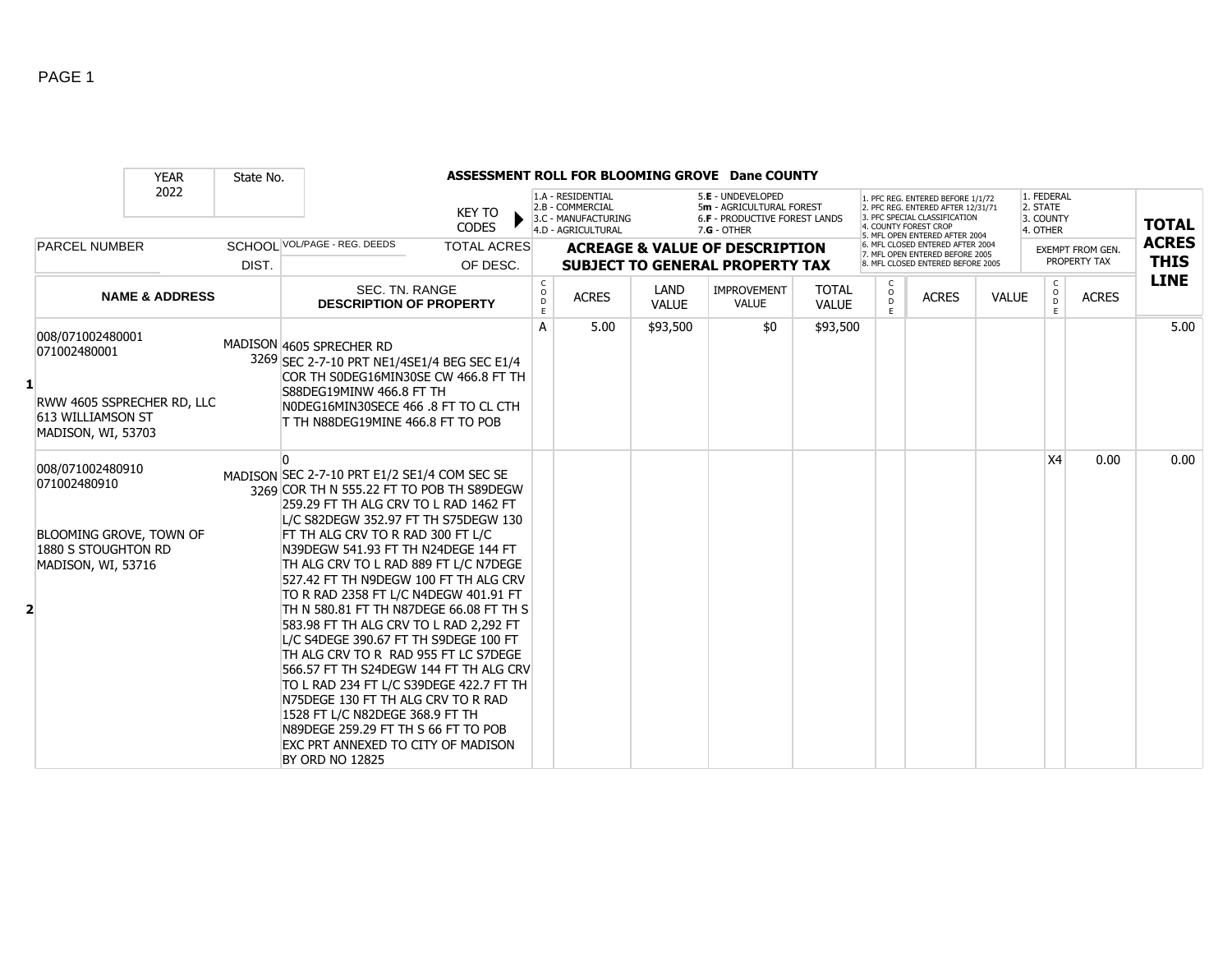|                |                                                                                                          | <b>YEAR</b>                | State No. |                                                                                                                                                                                                                                                                                                                                                                                                                                                                                                                                                                                                                                                                                                                                                                                                                    |                                   |                                                                                    |                      | ASSESSMENT ROLL FOR BLOOMING GROVE Dane COUNTY                                                         |                              |                         |                                                                                                                                                                     |              |                                                 |                  |              |
|----------------|----------------------------------------------------------------------------------------------------------|----------------------------|-----------|--------------------------------------------------------------------------------------------------------------------------------------------------------------------------------------------------------------------------------------------------------------------------------------------------------------------------------------------------------------------------------------------------------------------------------------------------------------------------------------------------------------------------------------------------------------------------------------------------------------------------------------------------------------------------------------------------------------------------------------------------------------------------------------------------------------------|-----------------------------------|------------------------------------------------------------------------------------|----------------------|--------------------------------------------------------------------------------------------------------|------------------------------|-------------------------|---------------------------------------------------------------------------------------------------------------------------------------------------------------------|--------------|-------------------------------------------------|------------------|--------------|
|                |                                                                                                          | 2022                       |           | <b>KEY TO</b><br><b>CODES</b>                                                                                                                                                                                                                                                                                                                                                                                                                                                                                                                                                                                                                                                                                                                                                                                      |                                   | 1.A - RESIDENTIAL<br>2.B - COMMERCIAL<br>3.C - MANUFACTURING<br>4.D - AGRICULTURAL |                      | 5.E - UNDEVELOPED<br>5m - AGRICULTURAL FOREST<br><b>6.F - PRODUCTIVE FOREST LANDS</b><br>$7.G - OTHER$ |                              |                         | 1. PFC REG. ENTERED BEFORE 1/1/72<br>2. PFC REG. ENTERED AFTER 12/31/71<br>3. PFC SPECIAL CLASSIFICATION<br>4. COUNTY FOREST CROP<br>5. MFL OPEN ENTERED AFTER 2004 |              | 1. FEDERAL<br>2. STATE<br>3. COUNTY<br>4. OTHER |                  | <b>TOTAL</b> |
|                | <b>PARCEL NUMBER</b>                                                                                     |                            |           | SCHOOL VOL/PAGE - REG. DEEDS<br><b>TOTAL ACRES</b>                                                                                                                                                                                                                                                                                                                                                                                                                                                                                                                                                                                                                                                                                                                                                                 |                                   |                                                                                    |                      | <b>ACREAGE &amp; VALUE OF DESCRIPTION</b>                                                              |                              |                         | 6. MFL CLOSED ENTERED AFTER 2004<br>7. MFL OPEN ENTERED BEFORE 2005                                                                                                 |              |                                                 | EXEMPT FROM GEN. | <b>ACRES</b> |
|                |                                                                                                          |                            | DIST.     | OF DESC.                                                                                                                                                                                                                                                                                                                                                                                                                                                                                                                                                                                                                                                                                                                                                                                                           |                                   |                                                                                    |                      | <b>SUBJECT TO GENERAL PROPERTY TAX</b>                                                                 |                              |                         | 8. MFL CLOSED ENTERED BEFORE 2005                                                                                                                                   |              |                                                 | PROPERTY TAX     | <b>THIS</b>  |
|                |                                                                                                          | <b>NAME &amp; ADDRESS</b>  |           | <b>SEC. TN. RANGE</b><br><b>DESCRIPTION OF PROPERTY</b>                                                                                                                                                                                                                                                                                                                                                                                                                                                                                                                                                                                                                                                                                                                                                            | $\mathsf{C}$<br>$\circ$<br>D<br>E | <b>ACRES</b>                                                                       | LAND<br><b>VALUE</b> | IMPROVEMENT<br><b>VALUE</b>                                                                            | <b>TOTAL</b><br><b>VALUE</b> | C<br>$\circ$<br>D<br>F. | <b>ACRES</b>                                                                                                                                                        | <b>VALUE</b> | <sub>c</sub><br>$\circ$                         | <b>ACRES</b>     | <b>LINE</b>  |
|                | 008/071002480001<br>071002480001<br>613 WILLIAMSON ST<br>MADISON, WI, 53703                              | RWW 4605 SSPRECHER RD, LLC |           | MADISON 4605 SPRECHER RD<br>3269 SEC 2-7-10 PRT NE1/4SE1/4 BEG SEC E1/4<br>COR TH SODEG16MIN30SE CW 466.8 FT TH<br>S88DEG19MINW 466.8 FT TH<br>NODEG16MIN30SECE 466 .8 FT TO CL CTH<br>T TH N88DEG19MINE 466.8 FT TO POB                                                                                                                                                                                                                                                                                                                                                                                                                                                                                                                                                                                           | A                                 | 5.00                                                                               | \$93,500             | \$0                                                                                                    | \$93,500                     |                         |                                                                                                                                                                     |              |                                                 |                  | 5.00         |
| $\overline{2}$ | 008/071002480910<br>071002480910<br>BLOOMING GROVE, TOWN OF<br>1880 S STOUGHTON RD<br>MADISON, WI, 53716 |                            |           | <sup>0</sup><br>MADISON SEC 2-7-10 PRT E1/2 SE1/4 COM SEC SE<br>3269 COR TH N 555.22 FT TO POB TH S89DEGW<br>259.29 FT TH ALG CRV TO L RAD 1462 FT<br>L/C S82DEGW 352.97 FT TH S75DEGW 130<br>FT TH ALG CRV TO R RAD 300 FT L/C<br>N39DEGW 541.93 FT TH N24DEGE 144 FT<br>TH ALG CRV TO L RAD 889 FT L/C N7DEGE<br>527.42 FT TH N9DEGW 100 FT TH ALG CRV<br>TO R RAD 2358 FT L/C N4DEGW 401.91 FT<br>TH N 580.81 FT TH N87DEGE 66.08 FT TH S<br>583.98 FT TH ALG CRV TO L RAD 2,292 FT<br>L/C S4DEGE 390.67 FT TH S9DEGE 100 FT<br>TH ALG CRV TO R RAD 955 FT LC S7DEGE<br>566.57 FT TH S24DEGW 144 FT TH ALG CRV<br>TO L RAD 234 FT L/C S39DEGE 422.7 FT TH<br>N75DEGE 130 FT TH ALG CRV TO R RAD<br>1528 FT L/C N82DEGE 368.9 FT TH<br>N89DEGE 259.29 FT TH S 66 FT TO POB<br>EXC PRT ANNEXED TO CITY OF MADISON |                                   |                                                                                    |                      |                                                                                                        |                              |                         |                                                                                                                                                                     |              | X4                                              | 0.00             | 0.00         |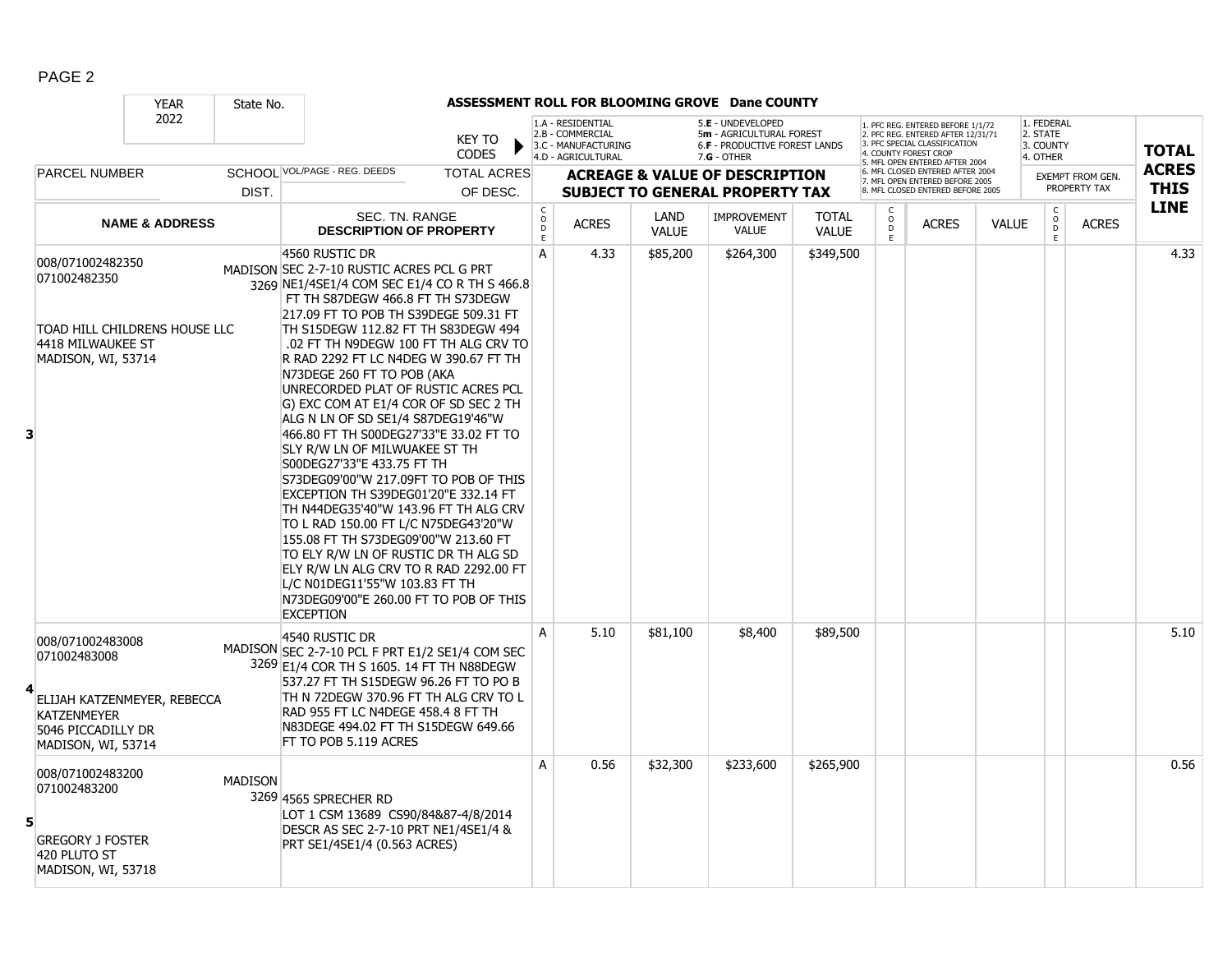|                                                                                                                                   | <b>YEAR</b>               | State No.      |                                                                                                                                                                                                                                                                                                                                                                                                                                                                                                                                                                                                                                                                                                                                                                                                                                                                                                                                                                             |                                                |                                                                                    |                      | ASSESSMENT ROLL FOR BLOOMING GROVE Dane COUNTY                                                         |                              |                          |                                                                                                                                                                     |              |                                                 |                                         |                             |
|-----------------------------------------------------------------------------------------------------------------------------------|---------------------------|----------------|-----------------------------------------------------------------------------------------------------------------------------------------------------------------------------------------------------------------------------------------------------------------------------------------------------------------------------------------------------------------------------------------------------------------------------------------------------------------------------------------------------------------------------------------------------------------------------------------------------------------------------------------------------------------------------------------------------------------------------------------------------------------------------------------------------------------------------------------------------------------------------------------------------------------------------------------------------------------------------|------------------------------------------------|------------------------------------------------------------------------------------|----------------------|--------------------------------------------------------------------------------------------------------|------------------------------|--------------------------|---------------------------------------------------------------------------------------------------------------------------------------------------------------------|--------------|-------------------------------------------------|-----------------------------------------|-----------------------------|
|                                                                                                                                   | 2022                      |                | <b>KEY TO</b><br><b>CODES</b>                                                                                                                                                                                                                                                                                                                                                                                                                                                                                                                                                                                                                                                                                                                                                                                                                                                                                                                                               |                                                | 1.A - RESIDENTIAL<br>2.B - COMMERCIAL<br>3.C - MANUFACTURING<br>4.D - AGRICULTURAL |                      | 5.E - UNDEVELOPED<br>5m - AGRICULTURAL FOREST<br><b>6.F - PRODUCTIVE FOREST LANDS</b><br>$7.G - OTHER$ |                              |                          | 1. PFC REG. ENTERED BEFORE 1/1/72<br>2. PFC REG. ENTERED AFTER 12/31/71<br>3. PFC SPECIAL CLASSIFICATION<br>4. COUNTY FOREST CROP<br>5. MFL OPEN ENTERED AFTER 2004 |              | 1. FEDERAL<br>2. STATE<br>3. COUNTY<br>4. OTHER |                                         | <b>TOTAL</b>                |
| <b>PARCEL NUMBER</b>                                                                                                              |                           | DIST.          | SCHOOL VOL/PAGE - REG. DEEDS<br><b>TOTAL ACRES</b><br>OF DESC.                                                                                                                                                                                                                                                                                                                                                                                                                                                                                                                                                                                                                                                                                                                                                                                                                                                                                                              |                                                |                                                                                    |                      | <b>ACREAGE &amp; VALUE OF DESCRIPTION</b><br><b>SUBJECT TO GENERAL PROPERTY TAX</b>                    |                              |                          | 6. MFL CLOSED ENTERED AFTER 2004<br>7. MFL OPEN ENTERED BEFORE 2005<br>8. MFL CLOSED ENTERED BEFORE 2005                                                            |              |                                                 | <b>EXEMPT FROM GEN.</b><br>PROPERTY TAX | <b>ACRES</b><br><b>THIS</b> |
|                                                                                                                                   | <b>NAME &amp; ADDRESS</b> |                | SEC. TN. RANGE<br><b>DESCRIPTION OF PROPERTY</b>                                                                                                                                                                                                                                                                                                                                                                                                                                                                                                                                                                                                                                                                                                                                                                                                                                                                                                                            | $\begin{matrix} 0 \\ 0 \\ 0 \end{matrix}$<br>E | <b>ACRES</b>                                                                       | LAND<br><b>VALUE</b> | <b>IMPROVEMENT</b><br><b>VALUE</b>                                                                     | <b>TOTAL</b><br><b>VALUE</b> | $\frac{c}{0}$<br>D<br>E. | <b>ACRES</b>                                                                                                                                                        | <b>VALUE</b> | $\mathsf{C}$<br>$\mathsf{O}$<br>D<br>E          | <b>ACRES</b>                            | <b>LINE</b>                 |
| 008/071002482350<br>071002482350<br>TOAD HILL CHILDRENS HOUSE LLC<br>4418 MILWAUKEE ST<br>MADISON, WI, 53714<br>3                 |                           |                | 4560 RUSTIC DR<br>MADISON SEC 2-7-10 RUSTIC ACRES PCL G PRT<br>3269 NE1/4SE1/4 COM SEC E1/4 CO R TH S 466.8<br>FT TH S87DEGW 466.8 FT TH S73DEGW<br>217.09 FT TO POB TH S39DEGE 509.31 FT<br>TH S15DEGW 112.82 FT TH S83DEGW 494<br>.02 FT TH N9DEGW 100 FT TH ALG CRV TO<br>R RAD 2292 FT LC N4DEG W 390.67 FT TH<br>N73DEGE 260 FT TO POB (AKA<br>UNRECORDED PLAT OF RUSTIC ACRES PCL<br>G) EXC COM AT E1/4 COR OF SD SEC 2 TH<br>ALG N LN OF SD SE1/4 S87DEG19'46"W<br>466.80 FT TH S00DEG27'33"E 33.02 FT TO<br>SLY R/W LN OF MILWUAKEE ST TH<br>S00DEG27'33"E 433.75 FT TH<br>S73DEG09'00"W 217.09FT TO POB OF THIS<br>EXCEPTION TH S39DEG01'20"E 332.14 FT<br>TH N44DEG35'40"W 143.96 FT TH ALG CRV<br>TO L RAD 150.00 FT L/C N75DEG43'20"W<br>155.08 FT TH S73DEG09'00"W 213.60 FT<br>TO ELY R/W LN OF RUSTIC DR TH ALG SD<br>ELY R/W LN ALG CRV TO R RAD 2292.00 FT<br>L/C N01DEG11'55"W 103.83 FT TH<br>N73DEG09'00"E 260.00 FT TO POB OF THIS<br><b>EXCEPTION</b> | A                                              | 4.33                                                                               | \$85,200             | \$264,300                                                                                              | \$349,500                    |                          |                                                                                                                                                                     |              |                                                 |                                         | 4.33                        |
| 008/071002483008<br>071002483008<br>ELIJAH KATZENMEYER, REBECCA<br><b>KATZENMEYER</b><br>5046 PICCADILLY DR<br>MADISON, WI, 53714 |                           |                | 4540 RUSTIC DR<br>MADISON SEC 2-7-10 PCL F PRT E1/2 SE1/4 COM SEC<br>3269 E1/4 COR TH S 1605. 14 FT TH N88DEGW<br>537.27 FT TH S15DEGW 96.26 FT TO PO B<br>TH N 72DEGW 370.96 FT TH ALG CRV TO L<br>RAD 955 FT LC N4DEGE 458.4 8 FT TH<br>N83DEGE 494.02 FT TH S15DEGW 649.66<br>FT TO POB 5.119 ACRES                                                                                                                                                                                                                                                                                                                                                                                                                                                                                                                                                                                                                                                                      | A                                              | 5.10                                                                               | \$81,100             | \$8,400                                                                                                | \$89,500                     |                          |                                                                                                                                                                     |              |                                                 |                                         | 5.10                        |
| 008/071002483200<br>071002483200<br>5<br><b>GREGORY J FOSTER</b><br>420 PLUTO ST<br>MADISON, WI, 53718                            |                           | <b>MADISON</b> | 3269 4565 SPRECHER RD<br>LOT 1 CSM 13689 CS90/84&87-4/8/2014<br>DESCR AS SEC 2-7-10 PRT NE1/4SE1/4 &<br>PRT SE1/4SE1/4 (0.563 ACRES)                                                                                                                                                                                                                                                                                                                                                                                                                                                                                                                                                                                                                                                                                                                                                                                                                                        | A                                              | 0.56                                                                               | \$32,300             | \$233,600                                                                                              | \$265,900                    |                          |                                                                                                                                                                     |              |                                                 |                                         | 0.56                        |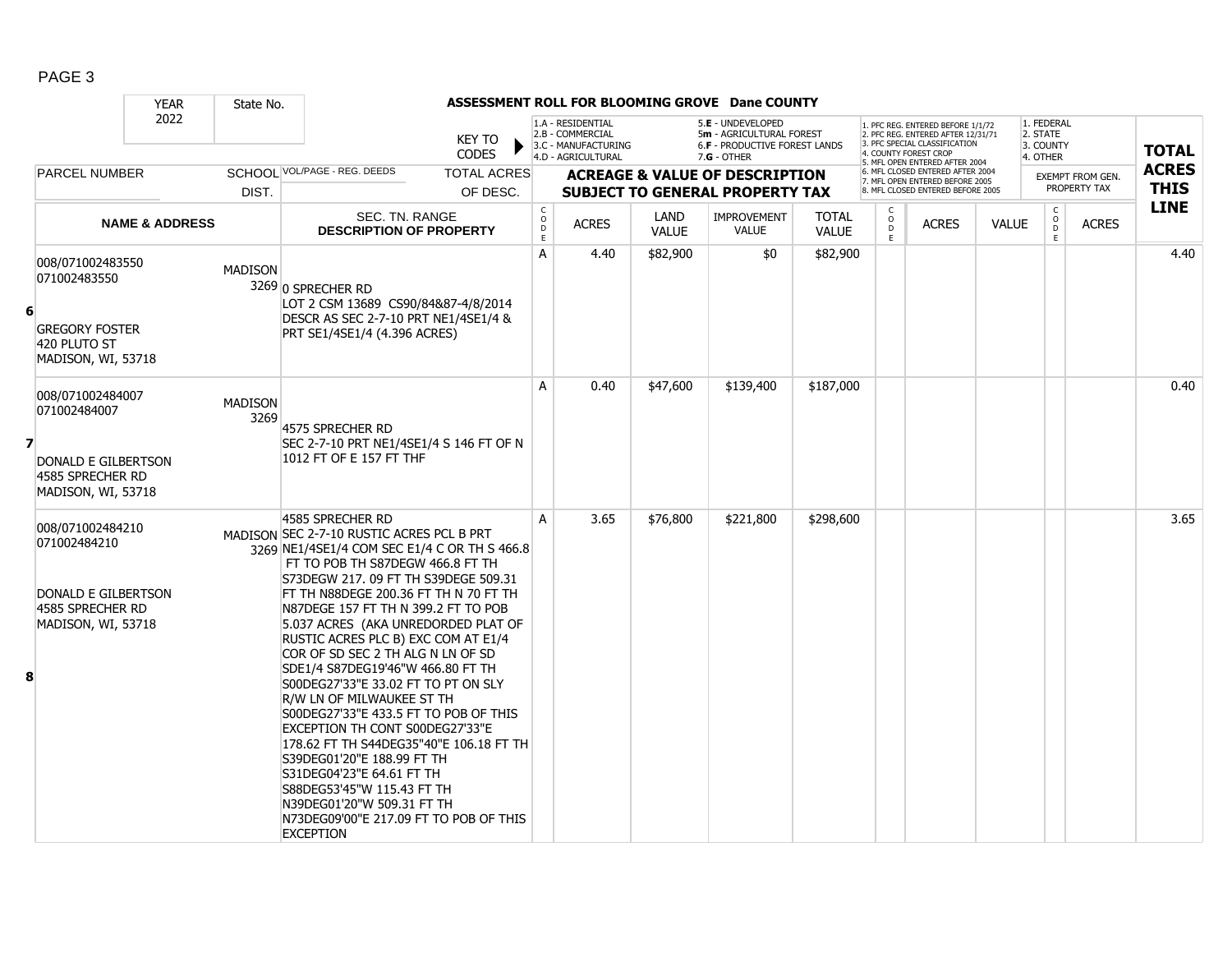|                         |                                                                                                   | <b>YEAR</b>               | State No.              |                                                                                                                                                                                                                                                                                                                                                                                                                                                                                                                                                                                                                                                                                                                                                                                                                   |                                |                                                           |                                                                                    |                      | ASSESSMENT ROLL FOR BLOOMING GROVE Dane COUNTY                                                         |                              |                              |                                                                                                                                                                     |              |                                                 |                                         |                             |
|-------------------------|---------------------------------------------------------------------------------------------------|---------------------------|------------------------|-------------------------------------------------------------------------------------------------------------------------------------------------------------------------------------------------------------------------------------------------------------------------------------------------------------------------------------------------------------------------------------------------------------------------------------------------------------------------------------------------------------------------------------------------------------------------------------------------------------------------------------------------------------------------------------------------------------------------------------------------------------------------------------------------------------------|--------------------------------|-----------------------------------------------------------|------------------------------------------------------------------------------------|----------------------|--------------------------------------------------------------------------------------------------------|------------------------------|------------------------------|---------------------------------------------------------------------------------------------------------------------------------------------------------------------|--------------|-------------------------------------------------|-----------------------------------------|-----------------------------|
|                         |                                                                                                   | 2022                      |                        |                                                                                                                                                                                                                                                                                                                                                                                                                                                                                                                                                                                                                                                                                                                                                                                                                   | <b>KEY TO</b><br><b>CODES</b>  |                                                           | 1.A - RESIDENTIAL<br>2.B - COMMERCIAL<br>3.C - MANUFACTURING<br>4.D - AGRICULTURAL |                      | 5.E - UNDEVELOPED<br>5m - AGRICULTURAL FOREST<br><b>6.F - PRODUCTIVE FOREST LANDS</b><br>$7.G - OTHER$ |                              |                              | 1. PFC REG. ENTERED BEFORE 1/1/72<br>2. PFC REG. ENTERED AFTER 12/31/71<br>3. PFC SPECIAL CLASSIFICATION<br>4. COUNTY FOREST CROP<br>5. MFL OPEN ENTERED AFTER 2004 |              | 1. FEDERAL<br>2. STATE<br>3. COUNTY<br>4. OTHER |                                         | <b>TOTAL</b>                |
|                         | <b>PARCEL NUMBER</b>                                                                              |                           | DIST.                  | SCHOOL VOL/PAGE - REG. DEEDS                                                                                                                                                                                                                                                                                                                                                                                                                                                                                                                                                                                                                                                                                                                                                                                      | <b>TOTAL ACRES</b><br>OF DESC. |                                                           |                                                                                    |                      | <b>ACREAGE &amp; VALUE OF DESCRIPTION</b><br><b>SUBJECT TO GENERAL PROPERTY TAX</b>                    |                              |                              | 6. MFL CLOSED ENTERED AFTER 2004<br>7. MFL OPEN ENTERED BEFORE 2005<br>8. MFL CLOSED ENTERED BEFORE 2005                                                            |              |                                                 | <b>EXEMPT FROM GEN.</b><br>PROPERTY TAX | <b>ACRES</b><br><b>THIS</b> |
|                         |                                                                                                   | <b>NAME &amp; ADDRESS</b> |                        | SEC. TN. RANGE<br><b>DESCRIPTION OF PROPERTY</b>                                                                                                                                                                                                                                                                                                                                                                                                                                                                                                                                                                                                                                                                                                                                                                  |                                | $\begin{matrix} 0 \\ 0 \\ D \end{matrix}$<br>$\mathsf{E}$ | <b>ACRES</b>                                                                       | LAND<br><b>VALUE</b> | <b>IMPROVEMENT</b><br><b>VALUE</b>                                                                     | <b>TOTAL</b><br><b>VALUE</b> | C<br>$_{\rm D}^{\rm O}$<br>E | <b>ACRES</b>                                                                                                                                                        | <b>VALUE</b> | $\mathsf{C}$<br>$\mathsf O$<br>D<br>E           | <b>ACRES</b>                            | <b>LINE</b>                 |
| 6                       | 008/071002483550<br>071002483550<br><b>GREGORY FOSTER</b><br>420 PLUTO ST<br>MADISON, WI, 53718   |                           | <b>MADISON</b>         | 3269 0 SPRECHER RD<br>LOT 2 CSM 13689 CS90/84&87-4/8/2014<br>DESCR AS SEC 2-7-10 PRT NE1/4SE1/4 &<br>PRT SE1/4SE1/4 (4.396 ACRES)                                                                                                                                                                                                                                                                                                                                                                                                                                                                                                                                                                                                                                                                                 |                                | A                                                         | 4.40                                                                               | \$82,900             | \$0                                                                                                    | \$82,900                     |                              |                                                                                                                                                                     |              |                                                 |                                         | 4.40                        |
| $\overline{\mathbf{z}}$ | 008/071002484007<br>071002484007<br>DONALD E GILBERTSON<br>4585 SPRECHER RD<br>MADISON, WI, 53718 |                           | <b>MADISON</b><br>3269 | 4575 SPRECHER RD<br>SEC 2-7-10 PRT NE1/4SE1/4 S 146 FT OF N<br>1012 FT OF E 157 FT THF                                                                                                                                                                                                                                                                                                                                                                                                                                                                                                                                                                                                                                                                                                                            |                                | A                                                         | 0.40                                                                               | \$47,600             | \$139,400                                                                                              | \$187,000                    |                              |                                                                                                                                                                     |              |                                                 |                                         | 0.40                        |
| 8                       | 008/071002484210<br>071002484210<br>DONALD E GILBERTSON<br>4585 SPRECHER RD<br>MADISON, WI, 53718 |                           |                        | 4585 SPRECHER RD<br>MADISON SEC 2-7-10 RUSTIC ACRES PCL B PRT<br>3269 NE1/4SE1/4 COM SEC E1/4 C OR TH S 466.8<br>FT TO POB TH S87DEGW 466.8 FT TH<br>S73DEGW 217. 09 FT TH S39DEGE 509.31<br>FT TH N88DEGE 200.36 FT TH N 70 FT TH<br>N87DEGE 157 FT TH N 399.2 FT TO POB<br>5.037 ACRES (AKA UNREDORDED PLAT OF<br>RUSTIC ACRES PLC B) EXC COM AT E1/4<br>COR OF SD SEC 2 TH ALG N LN OF SD<br>SDE1/4 S87DEG19'46"W 466.80 FT TH<br>S00DEG27'33"E 33.02 FT TO PT ON SLY<br>R/W LN OF MILWAUKEE ST TH<br>S00DEG27'33"E 433.5 FT TO POB OF THIS<br>EXCEPTION TH CONT S00DEG27'33"E<br>178.62 FT TH S44DEG35"40"E 106.18 FT TH<br>S39DEG01'20"E 188.99 FT TH<br>S31DEG04'23"E 64.61 FT TH<br>S88DEG53'45"W 115.43 FT TH<br>N39DEG01'20"W 509.31 FT TH<br>N73DEG09'00"E 217.09 FT TO POB OF THIS<br><b>EXCEPTION</b> |                                | A                                                         | 3.65                                                                               | \$76,800             | \$221,800                                                                                              | \$298,600                    |                              |                                                                                                                                                                     |              |                                                 |                                         | 3.65                        |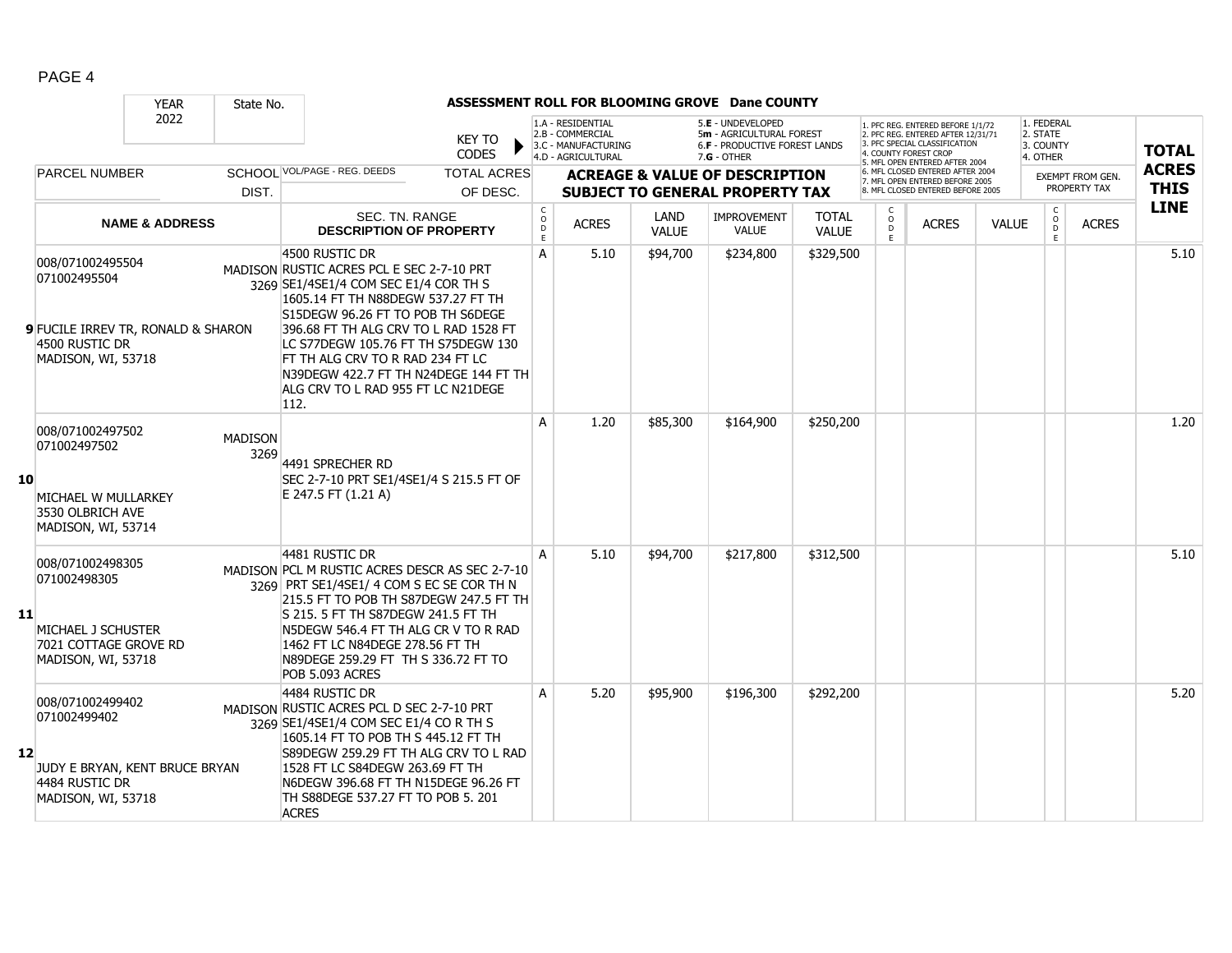|    |                                                                                                                       | <b>YEAR</b>               | State No.              |                                                                                                                                                                                                                                                                                                                                                                                            |                                   |                                                                                    |                      | ASSESSMENT ROLL FOR BLOOMING GROVE Dane COUNTY                                                       |                              |                          |                                                                                                                                                                     |              |                                                 |                                         |                             |
|----|-----------------------------------------------------------------------------------------------------------------------|---------------------------|------------------------|--------------------------------------------------------------------------------------------------------------------------------------------------------------------------------------------------------------------------------------------------------------------------------------------------------------------------------------------------------------------------------------------|-----------------------------------|------------------------------------------------------------------------------------|----------------------|------------------------------------------------------------------------------------------------------|------------------------------|--------------------------|---------------------------------------------------------------------------------------------------------------------------------------------------------------------|--------------|-------------------------------------------------|-----------------------------------------|-----------------------------|
|    |                                                                                                                       | 2022                      |                        | <b>KEY TO</b><br><b>CODES</b>                                                                                                                                                                                                                                                                                                                                                              |                                   | 1.A - RESIDENTIAL<br>2.B - COMMERCIAL<br>3.C - MANUFACTURING<br>4.D - AGRICULTURAL |                      | 5.E - UNDEVELOPED<br>5m - AGRICULTURAL FOREST<br><b>6.F - PRODUCTIVE FOREST LANDS</b><br>7.G - OTHER |                              |                          | 1. PFC REG. ENTERED BEFORE 1/1/72<br>2. PFC REG. ENTERED AFTER 12/31/71<br>3. PFC SPECIAL CLASSIFICATION<br>4. COUNTY FOREST CROP<br>5. MFL OPEN ENTERED AFTER 2004 |              | 1. FEDERAL<br>2. STATE<br>3. COUNTY<br>4. OTHER |                                         | <b>TOTAL</b>                |
|    | <b>PARCEL NUMBER</b>                                                                                                  |                           | DIST.                  | SCHOOL VOL/PAGE - REG. DEEDS<br><b>TOTAL ACRES</b><br>OF DESC.                                                                                                                                                                                                                                                                                                                             |                                   |                                                                                    |                      | <b>ACREAGE &amp; VALUE OF DESCRIPTION</b><br><b>SUBJECT TO GENERAL PROPERTY TAX</b>                  |                              |                          | 6. MFL CLOSED ENTERED AFTER 2004<br>7. MFL OPEN ENTERED BEFORE 2005<br>8. MFL CLOSED ENTERED BEFORE 2005                                                            |              |                                                 | <b>EXEMPT FROM GEN.</b><br>PROPERTY TAX | <b>ACRES</b><br><b>THIS</b> |
|    |                                                                                                                       | <b>NAME &amp; ADDRESS</b> |                        | <b>SEC. TN. RANGE</b><br><b>DESCRIPTION OF PROPERTY</b>                                                                                                                                                                                                                                                                                                                                    | $\mathsf{C}$<br>$\circ$<br>D<br>E | <b>ACRES</b>                                                                       | LAND<br><b>VALUE</b> | <b>IMPROVEMENT</b><br><b>VALUE</b>                                                                   | <b>TOTAL</b><br><b>VALUE</b> | c<br>$\overline{0}$<br>Ē | <b>ACRES</b>                                                                                                                                                        | <b>VALUE</b> | $\rm _o^C$<br>E                                 | <b>ACRES</b>                            | <b>LINE</b>                 |
|    | 008/071002495504<br>071002495504<br><b>9</b> FUCILE IRREV TR, RONALD & SHARON<br>4500 RUSTIC DR<br>MADISON, WI, 53718 |                           |                        | 4500 RUSTIC DR<br>MADISON RUSTIC ACRES PCL E SEC 2-7-10 PRT<br>3269 SE1/4SE1/4 COM SEC E1/4 COR TH S<br>1605.14 FT TH N88DEGW 537.27 FT TH<br>S15DEGW 96.26 FT TO POB TH S6DEGE<br>396.68 FT TH ALG CRV TO L RAD 1528 FT<br>LC S77DEGW 105.76 FT TH S75DEGW 130<br>FT TH ALG CRV TO R RAD 234 FT LC<br>N39DEGW 422.7 FT TH N24DEGE 144 FT TH<br>ALG CRV TO L RAD 955 FT LC N21DEGE<br>112. | A                                 | 5.10                                                                               | \$94,700             | \$234,800                                                                                            | \$329,500                    |                          |                                                                                                                                                                     |              |                                                 |                                         | 5.10                        |
| 10 | 008/071002497502<br>071002497502<br>MICHAEL W MULLARKEY<br>3530 OLBRICH AVE<br>MADISON, WI, 53714                     |                           | <b>MADISON</b><br>3269 | 4491 SPRECHER RD<br>SEC 2-7-10 PRT SE1/4SE1/4 S 215.5 FT OF<br>E 247.5 FT (1.21 A)                                                                                                                                                                                                                                                                                                         | A                                 | 1.20                                                                               | \$85,300             | \$164,900                                                                                            | \$250,200                    |                          |                                                                                                                                                                     |              |                                                 |                                         | 1.20                        |
| 11 | 008/071002498305<br>071002498305<br>MICHAEL J SCHUSTER<br>7021 COTTAGE GROVE RD<br>MADISON, WI, 53718                 |                           |                        | 4481 RUSTIC DR<br>MADISON PCL M RUSTIC ACRES DESCR AS SEC 2-7-10<br>3269 PRT SE1/4SE1/ 4 COM S EC SE COR TH N<br>215.5 FT TO POB TH S87DEGW 247.5 FT TH<br>S 215. 5 FT TH S87DEGW 241.5 FT TH<br>N5DEGW 546.4 FT TH ALG CR V TO R RAD<br>1462 FT LC N84DEGE 278.56 FT TH<br>N89DEGE 259.29 FT TH S 336.72 FT TO<br>POB 5.093 ACRES                                                         |                                   | 5.10                                                                               | \$94,700             | \$217,800                                                                                            | \$312,500                    |                          |                                                                                                                                                                     |              |                                                 |                                         | 5.10                        |
| 12 | 008/071002499402<br>071002499402<br>JUDY E BRYAN, KENT BRUCE BRYAN<br>4484 RUSTIC DR<br>MADISON, WI, 53718            |                           |                        | 4484 RUSTIC DR<br>MADISON RUSTIC ACRES PCL D SEC 2-7-10 PRT<br>3269 SE1/4SE1/4 COM SEC E1/4 CO R TH S<br>1605.14 FT TO POB TH S 445.12 FT TH<br>S89DEGW 259.29 FT TH ALG CRV TO L RAD<br>1528 FT LC S84DEGW 263.69 FT TH<br>N6DEGW 396.68 FT TH N15DEGE 96.26 FT<br>TH S88DEGE 537.27 FT TO POB 5. 201<br><b>ACRES</b>                                                                     | A                                 | 5.20                                                                               | \$95,900             | \$196,300                                                                                            | \$292,200                    |                          |                                                                                                                                                                     |              |                                                 |                                         | 5.20                        |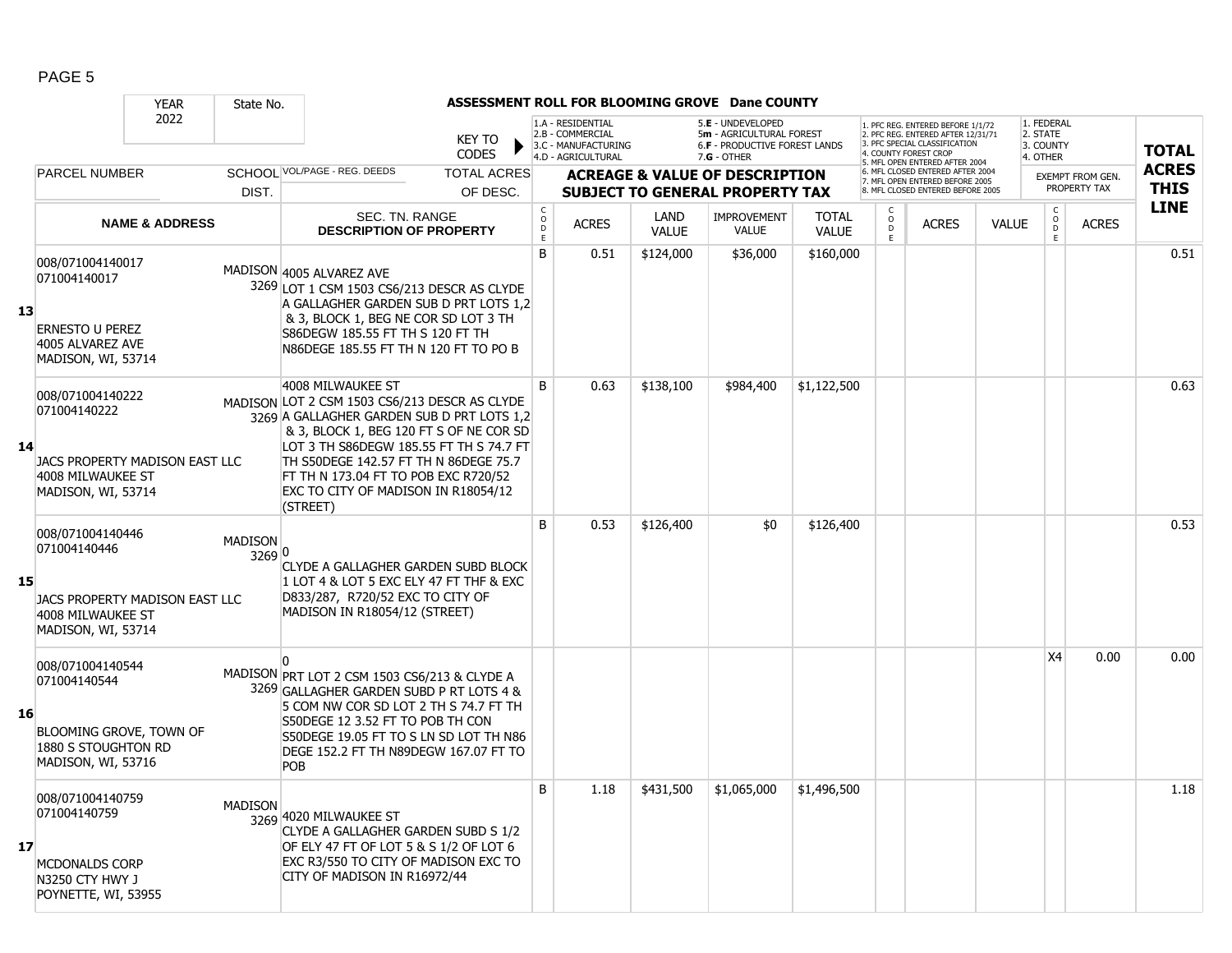|    |                                                                                                               | <b>YEAR</b>               | State No.                |                                                                                                                                                                                                                                                                                                                                            |                               |                                                 |                                                                                    |                      | ASSESSMENT ROLL FOR BLOOMING GROVE Dane COUNTY                                                  |                              |                                    |                                                                                                                                       |              |                                                 |                                         |                             |
|----|---------------------------------------------------------------------------------------------------------------|---------------------------|--------------------------|--------------------------------------------------------------------------------------------------------------------------------------------------------------------------------------------------------------------------------------------------------------------------------------------------------------------------------------------|-------------------------------|-------------------------------------------------|------------------------------------------------------------------------------------|----------------------|-------------------------------------------------------------------------------------------------|------------------------------|------------------------------------|---------------------------------------------------------------------------------------------------------------------------------------|--------------|-------------------------------------------------|-----------------------------------------|-----------------------------|
|    |                                                                                                               | 2022                      |                          |                                                                                                                                                                                                                                                                                                                                            | <b>KEY TO</b><br><b>CODES</b> |                                                 | 1.A - RESIDENTIAL<br>2.B - COMMERCIAL<br>3.C - MANUFACTURING<br>4.D - AGRICULTURAL |                      | 5.E - UNDEVELOPED<br>5m - AGRICULTURAL FOREST<br>6.F - PRODUCTIVE FOREST LANDS<br>$7.G - OTHER$ |                              |                                    | PFC REG. ENTERED BEFORE 1/1/72<br>2. PFC REG. ENTERED AFTER 12/31/71<br>3. PFC SPECIAL CLASSIFICATION<br><b>4. COUNTY FOREST CROP</b> |              | 1. FEDERAL<br>2. STATE<br>3. COUNTY<br>4. OTHER |                                         | <b>TOTAL</b>                |
|    | <b>PARCEL NUMBER</b>                                                                                          |                           |                          | SCHOOL VOL/PAGE - REG. DEEDS                                                                                                                                                                                                                                                                                                               | <b>TOTAL ACRES</b>            |                                                 |                                                                                    |                      | <b>ACREAGE &amp; VALUE OF DESCRIPTION</b>                                                       |                              |                                    | 5. MFL OPEN ENTERED AFTER 2004<br>6. MFL CLOSED ENTERED AFTER 2004<br>7. MFL OPEN ENTERED BEFORE 2005                                 |              |                                                 | <b>EXEMPT FROM GEN.</b><br>PROPERTY TAX | <b>ACRES</b><br><b>THIS</b> |
|    |                                                                                                               |                           | DIST.                    |                                                                                                                                                                                                                                                                                                                                            | OF DESC.                      |                                                 |                                                                                    |                      | <b>SUBJECT TO GENERAL PROPERTY TAX</b>                                                          |                              |                                    | 8. MFL CLOSED ENTERED BEFORE 2005                                                                                                     |              |                                                 |                                         | <b>LINE</b>                 |
|    |                                                                                                               | <b>NAME &amp; ADDRESS</b> |                          | SEC. TN. RANGE<br><b>DESCRIPTION OF PROPERTY</b>                                                                                                                                                                                                                                                                                           |                               | $\mathsf C$<br>$\overline{O}$<br>$\overline{P}$ | <b>ACRES</b>                                                                       | LAND<br><b>VALUE</b> | <b>IMPROVEMENT</b><br><b>VALUE</b>                                                              | <b>TOTAL</b><br><b>VALUE</b> | C<br>$\overline{0}$<br>$\mathsf E$ | <b>ACRES</b>                                                                                                                          | <b>VALUE</b> | $\begin{matrix} 0 \\ 0 \end{matrix}$<br>E       | <b>ACRES</b>                            |                             |
| 13 | 008/071004140017<br>071004140017<br><b>ERNESTO U PEREZ</b><br>4005 ALVAREZ AVE<br>MADISON, WI, 53714          |                           |                          | MADISON 4005 ALVAREZ AVE<br>3269 LOT 1 CSM 1503 CS6/213 DESCR AS CLYDE<br>A GALLAGHER GARDEN SUB D PRT LOTS 1,2<br>& 3, BLOCK 1, BEG NE COR SD LOT 3 TH<br>S86DEGW 185.55 FT TH S 120 FT TH<br>N86DEGE 185.55 FT TH N 120 FT TO PO B                                                                                                       |                               | B                                               | 0.51                                                                               | \$124,000            | \$36,000                                                                                        | \$160,000                    |                                    |                                                                                                                                       |              |                                                 |                                         | 0.51                        |
| 14 | 008/071004140222<br>071004140222<br>JACS PROPERTY MADISON EAST LLC<br>4008 MILWAUKEE ST<br>MADISON, WI, 53714 |                           |                          | 4008 MILWAUKEE ST<br>MADISON LOT 2 CSM 1503 CS6/213 DESCR AS CLYDE<br>3269 A GALLAGHER GARDEN SUB D PRT LOTS 1,2<br>& 3, BLOCK 1, BEG 120 FT S OF NE COR SD<br>LOT 3 TH S86DEGW 185.55 FT TH S 74.7 FT<br>TH S50DEGE 142.57 FT TH N 86DEGE 75.7<br>FT TH N 173.04 FT TO POB EXC R720/52<br>EXC TO CITY OF MADISON IN R18054/12<br>(STREET) |                               | B                                               | 0.63                                                                               | \$138,100            | \$984,400                                                                                       | \$1,122,500                  |                                    |                                                                                                                                       |              |                                                 |                                         | 0.63                        |
| 15 | 008/071004140446<br>071004140446<br>JACS PROPERTY MADISON EAST LLC<br>4008 MILWAUKEE ST<br>MADISON, WI, 53714 |                           | <b>MADISON</b><br>3269 0 | CLYDE A GALLAGHER GARDEN SUBD BLOCK<br>1 LOT 4 & LOT 5 EXC ELY 47 FT THF & EXC<br>D833/287, R720/52 EXC TO CITY OF<br>MADISON IN R18054/12 (STREET)                                                                                                                                                                                        |                               | B                                               | 0.53                                                                               | \$126,400            | \$0                                                                                             | \$126,400                    |                                    |                                                                                                                                       |              |                                                 |                                         | 0.53                        |
| 16 | 008/071004140544<br>071004140544<br>BLOOMING GROVE, TOWN OF<br>1880 S STOUGHTON RD<br>MADISON, WI, 53716      |                           |                          | MADISON PRT LOT 2 CSM 1503 CS6/213 & CLYDE A<br>3269 GALLAGHER GARDEN SUBD P RT LOTS 4 &<br>5 COM NW COR SD LOT 2 TH S 74.7 FT TH<br>S50DEGE 12 3.52 FT TO POB TH CON<br>S50DEGE 19.05 FT TO S LN SD LOT TH N86<br>DEGE 152.2 FT TH N89DEGW 167.07 FT TO<br><b>POB</b>                                                                     |                               |                                                 |                                                                                    |                      |                                                                                                 |                              |                                    |                                                                                                                                       |              | X4                                              | 0.00                                    | 0.00                        |
| 17 | 008/071004140759<br>071004140759<br>MCDONALDS CORP<br>N3250 CTY HWY J<br>POYNETTE, WI, 53955                  |                           | <b>MADISON</b>           | 3269 4020 MILWAUKEE ST<br>CLYDE A GALLAGHER GARDEN SUBD S 1/2<br>OF ELY 47 FT OF LOT 5 & S 1/2 OF LOT 6<br>EXC R3/550 TO CITY OF MADISON EXC TO<br>CITY OF MADISON IN R16972/44                                                                                                                                                            |                               | B                                               | 1.18                                                                               | \$431,500            | \$1,065,000                                                                                     | \$1,496,500                  |                                    |                                                                                                                                       |              |                                                 |                                         | 1.18                        |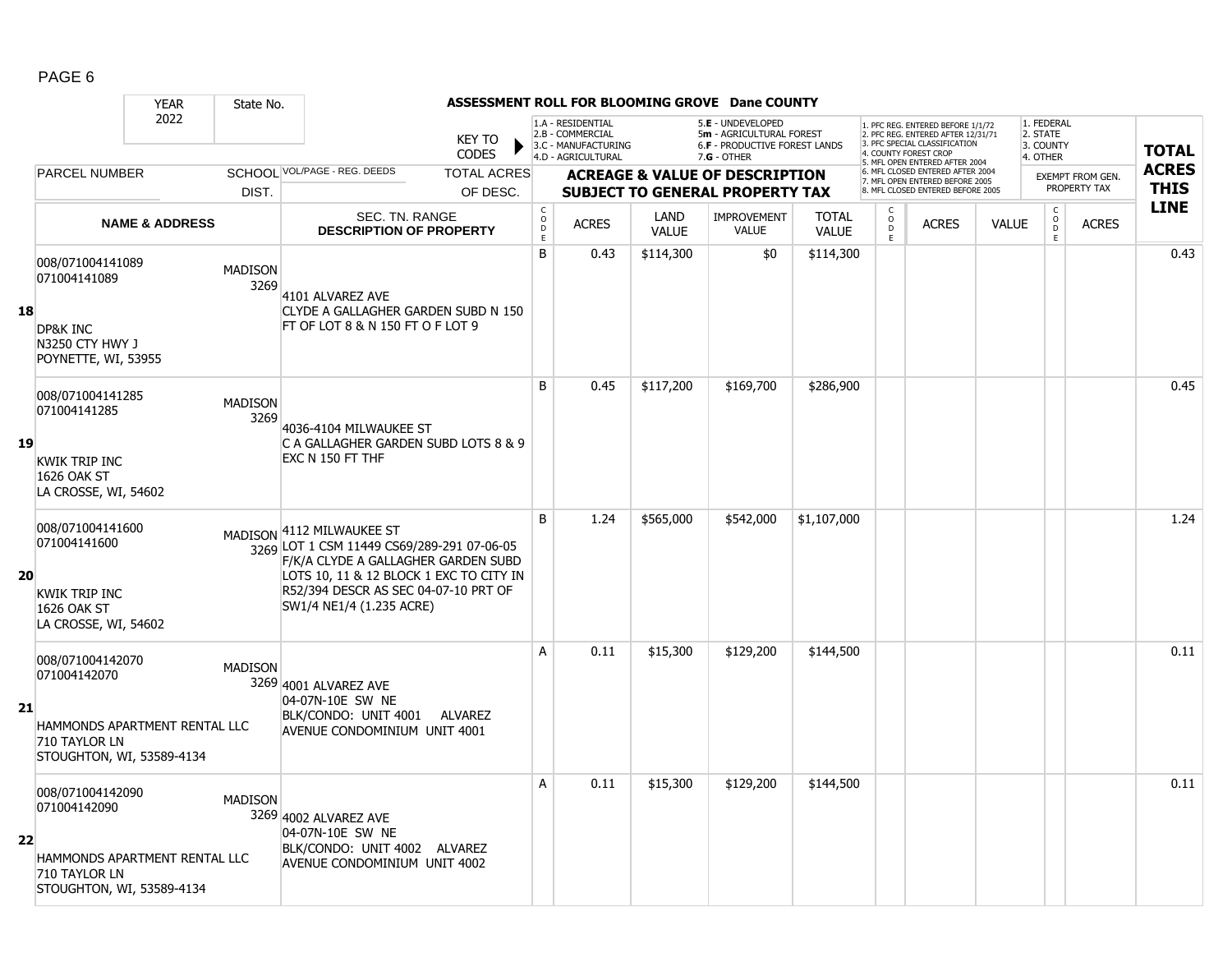|    |                                                                    | <b>YEAR</b>                   | State No.              |                                                                                                                                                           |                               |                                            |                                                                                    |                      | ASSESSMENT ROLL FOR BLOOMING GROVE Dane COUNTY                                                         |                              |                                        |                                                                                                                                  |              |                                                          |                         |              |
|----|--------------------------------------------------------------------|-------------------------------|------------------------|-----------------------------------------------------------------------------------------------------------------------------------------------------------|-------------------------------|--------------------------------------------|------------------------------------------------------------------------------------|----------------------|--------------------------------------------------------------------------------------------------------|------------------------------|----------------------------------------|----------------------------------------------------------------------------------------------------------------------------------|--------------|----------------------------------------------------------|-------------------------|--------------|
|    |                                                                    | 2022                          |                        |                                                                                                                                                           | <b>KEY TO</b><br><b>CODES</b> |                                            | 1.A - RESIDENTIAL<br>2.B - COMMERCIAL<br>3.C - MANUFACTURING<br>4.D - AGRICULTURAL |                      | 5.E - UNDEVELOPED<br>5m - AGRICULTURAL FOREST<br><b>6.F - PRODUCTIVE FOREST LANDS</b><br>$7.G - OTHER$ |                              |                                        | . PFC REG. ENTERED BEFORE 1/1/72<br>2. PFC REG. ENTERED AFTER 12/31/71<br>3. PFC SPECIAL CLASSIFICATION<br>4. COUNTY FOREST CROP |              | 1. FEDERAL<br>2. STATE<br>3. COUNTY<br>4. OTHER          |                         | <b>TOTAL</b> |
|    | <b>PARCEL NUMBER</b>                                               |                               |                        | SCHOOL VOL/PAGE - REG. DEEDS                                                                                                                              | <b>TOTAL ACRES</b>            |                                            |                                                                                    |                      | <b>ACREAGE &amp; VALUE OF DESCRIPTION</b>                                                              |                              |                                        | 5. MFL OPEN ENTERED AFTER 2004<br>6. MFL CLOSED ENTERED AFTER 2004                                                               |              |                                                          | <b>EXEMPT FROM GEN.</b> | <b>ACRES</b> |
|    |                                                                    |                               | DIST.                  |                                                                                                                                                           | OF DESC.                      |                                            |                                                                                    |                      | <b>SUBJECT TO GENERAL PROPERTY TAX</b>                                                                 |                              |                                        | 7. MFL OPEN ENTERED BEFORE 2005<br>8. MFL CLOSED ENTERED BEFORE 2005                                                             |              |                                                          | PROPERTY TAX            | <b>THIS</b>  |
|    |                                                                    | <b>NAME &amp; ADDRESS</b>     |                        | SEC. TN. RANGE<br><b>DESCRIPTION OF PROPERTY</b>                                                                                                          |                               | $\begin{array}{c} C \\ O \\ E \end{array}$ | <b>ACRES</b>                                                                       | LAND<br><b>VALUE</b> | <b>IMPROVEMENT</b><br><b>VALUE</b>                                                                     | <b>TOTAL</b><br><b>VALUE</b> | C<br>$_{\rm D}^{\rm O}$<br>$\mathsf E$ | <b>ACRES</b>                                                                                                                     | <b>VALUE</b> | $\begin{matrix} 0 \\ 0 \\ 0 \end{matrix}$<br>$\mathsf E$ | <b>ACRES</b>            | <b>LINE</b>  |
|    | 008/071004141089<br>071004141089                                   |                               | <b>MADISON</b><br>3269 | 4101 ALVAREZ AVE                                                                                                                                          |                               | B                                          | 0.43                                                                               | \$114,300            | \$0                                                                                                    | \$114,300                    |                                        |                                                                                                                                  |              |                                                          |                         | 0.43         |
| 18 | DP&K INC<br>N3250 CTY HWY J<br>POYNETTE, WI, 53955                 |                               |                        | CLYDE A GALLAGHER GARDEN SUBD N 150<br>FT OF LOT 8 & N 150 FT O F LOT 9                                                                                   |                               |                                            |                                                                                    |                      |                                                                                                        |                              |                                        |                                                                                                                                  |              |                                                          |                         |              |
|    | 008/071004141285<br>071004141285                                   |                               | <b>MADISON</b><br>3269 | 4036-4104 MILWAUKEE ST                                                                                                                                    |                               | B                                          | 0.45                                                                               | \$117,200            | \$169,700                                                                                              | \$286,900                    |                                        |                                                                                                                                  |              |                                                          |                         | 0.45         |
| 19 | <b>KWIK TRIP INC</b><br>1626 OAK ST<br>LA CROSSE, WI, 54602        |                               |                        | C A GALLAGHER GARDEN SUBD LOTS 8 & 9<br>EXC N 150 FT THF                                                                                                  |                               |                                            |                                                                                    |                      |                                                                                                        |                              |                                        |                                                                                                                                  |              |                                                          |                         |              |
| 20 | 008/071004141600<br>071004141600                                   |                               |                        | MADISON 4112 MILWAUKEE ST<br>3269 LOT 1 CSM 11449 CS69/289-291 07-06-05<br>F/K/A CLYDE A GALLAGHER GARDEN SUBD<br>LOTS 10, 11 & 12 BLOCK 1 EXC TO CITY IN |                               | B                                          | 1.24                                                                               | \$565,000            | \$542,000                                                                                              | \$1,107,000                  |                                        |                                                                                                                                  |              |                                                          |                         | 1.24         |
|    | <b>KWIK TRIP INC</b><br><b>1626 OAK ST</b><br>LA CROSSE, WI, 54602 |                               |                        | R52/394 DESCR AS SEC 04-07-10 PRT OF<br>SW1/4 NE1/4 (1.235 ACRE)                                                                                          |                               |                                            |                                                                                    |                      |                                                                                                        |                              |                                        |                                                                                                                                  |              |                                                          |                         |              |
| 21 | 008/071004142070<br>071004142070                                   |                               | <b>MADISON</b>         | 3269 4001 ALVAREZ AVE<br>04-07N-10E SW NE                                                                                                                 |                               | A                                          | 0.11                                                                               | \$15,300             | \$129,200                                                                                              | \$144,500                    |                                        |                                                                                                                                  |              |                                                          |                         | 0.11         |
|    | 710 TAYLOR LN<br>STOUGHTON, WI, 53589-4134                         | HAMMONDS APARTMENT RENTAL LLC |                        | BLK/CONDO: UNIT 4001 ALVAREZ<br>AVENUE CONDOMINIUM UNIT 4001                                                                                              |                               |                                            |                                                                                    |                      |                                                                                                        |                              |                                        |                                                                                                                                  |              |                                                          |                         |              |
|    | 008/071004142090<br>071004142090                                   |                               | <b>MADISON</b>         | 3269 4002 ALVAREZ AVE<br>04-07N-10E SW NE                                                                                                                 |                               | A                                          | 0.11                                                                               | \$15,300             | \$129,200                                                                                              | \$144,500                    |                                        |                                                                                                                                  |              |                                                          |                         | 0.11         |
| 22 | 710 TAYLOR LN<br>STOUGHTON, WI, 53589-4134                         | HAMMONDS APARTMENT RENTAL LLC |                        | BLK/CONDO: UNIT 4002 ALVAREZ<br>AVENUE CONDOMINIUM UNIT 4002                                                                                              |                               |                                            |                                                                                    |                      |                                                                                                        |                              |                                        |                                                                                                                                  |              |                                                          |                         |              |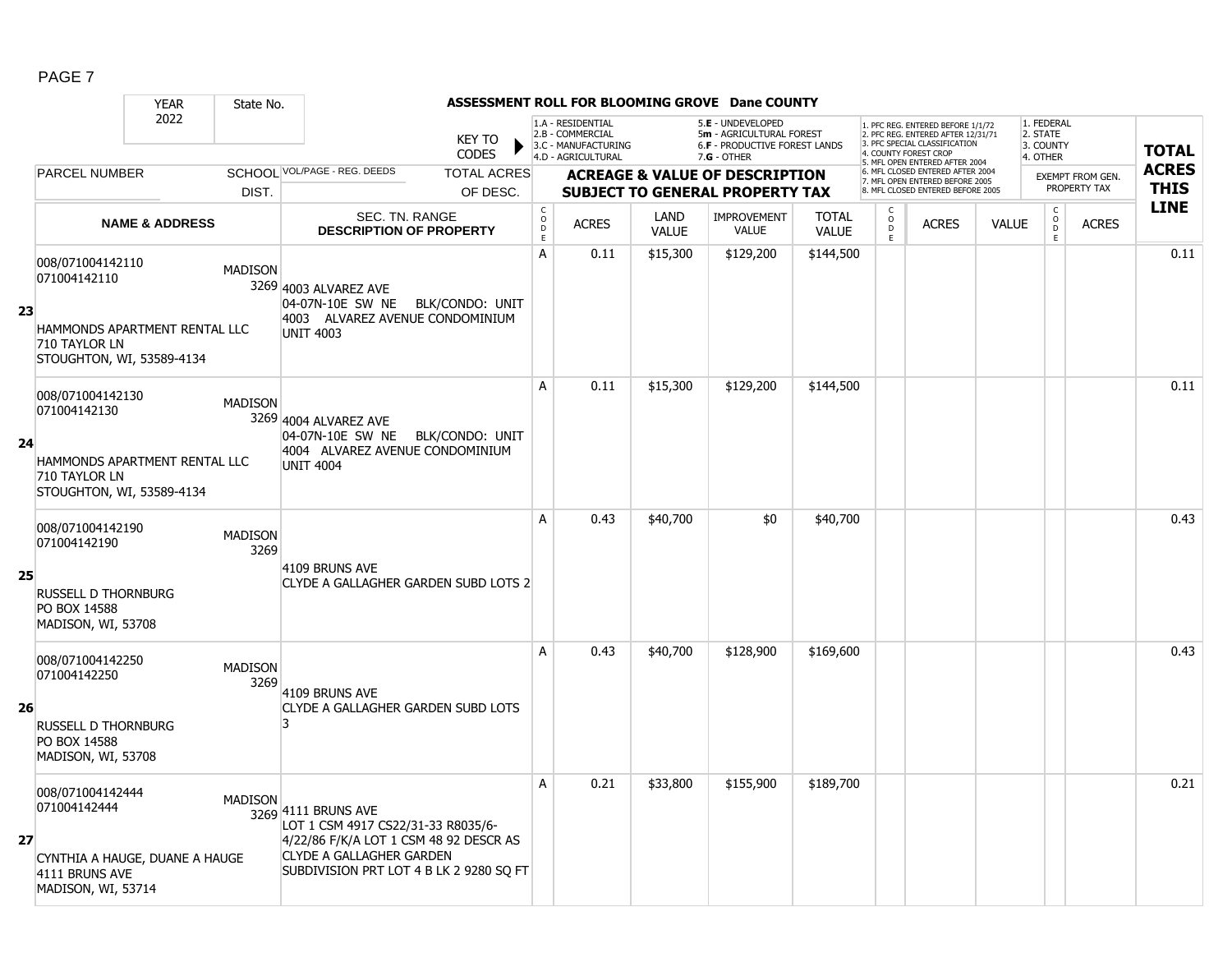|    |                                                                                                                 | <b>YEAR</b>               | State No.              |                                                                                                                                                                                   |                               |                                                |                                                                                    |                      | ASSESSMENT ROLL FOR BLOOMING GROVE Dane COUNTY                                                  |                       |                                    |                                                                                                                                  |              |                                                             |                         |              |
|----|-----------------------------------------------------------------------------------------------------------------|---------------------------|------------------------|-----------------------------------------------------------------------------------------------------------------------------------------------------------------------------------|-------------------------------|------------------------------------------------|------------------------------------------------------------------------------------|----------------------|-------------------------------------------------------------------------------------------------|-----------------------|------------------------------------|----------------------------------------------------------------------------------------------------------------------------------|--------------|-------------------------------------------------------------|-------------------------|--------------|
|    |                                                                                                                 | 2022                      |                        |                                                                                                                                                                                   | <b>KEY TO</b><br><b>CODES</b> |                                                | 1.A - RESIDENTIAL<br>2.B - COMMERCIAL<br>3.C - MANUFACTURING<br>4.D - AGRICULTURAL |                      | 5.E - UNDEVELOPED<br>5m - AGRICULTURAL FOREST<br>6.F - PRODUCTIVE FOREST LANDS<br>$7.G - OTHER$ |                       |                                    | . PFC REG. ENTERED BEFORE 1/1/72<br>2. PFC REG. ENTERED AFTER 12/31/71<br>3. PFC SPECIAL CLASSIFICATION<br>4. COUNTY FOREST CROP |              | 1. FEDERAL<br>2. STATE<br>3. COUNTY<br>4. OTHER             |                         | <b>TOTAL</b> |
|    | <b>PARCEL NUMBER</b>                                                                                            |                           |                        | SCHOOL VOL/PAGE - REG. DEEDS                                                                                                                                                      | <b>TOTAL ACRES</b>            |                                                |                                                                                    |                      | <b>ACREAGE &amp; VALUE OF DESCRIPTION</b>                                                       |                       |                                    | 5. MFL OPEN ENTERED AFTER 2004<br>6. MFL CLOSED ENTERED AFTER 2004<br>7. MFL OPEN ENTERED BEFORE 2005                            |              |                                                             | <b>EXEMPT FROM GEN.</b> | <b>ACRES</b> |
|    |                                                                                                                 |                           | DIST.                  |                                                                                                                                                                                   | OF DESC.                      |                                                |                                                                                    |                      | <b>SUBJECT TO GENERAL PROPERTY TAX</b>                                                          |                       |                                    | 8 MFL CLOSED ENTERED BEFORE 2005                                                                                                 |              |                                                             | PROPERTY TAX            | <b>THIS</b>  |
|    |                                                                                                                 | <b>NAME &amp; ADDRESS</b> |                        | SEC. TN. RANGE<br><b>DESCRIPTION OF PROPERTY</b>                                                                                                                                  |                               | $\begin{matrix} 0 \\ 0 \\ D \end{matrix}$<br>E | <b>ACRES</b>                                                                       | LAND<br><b>VALUE</b> | <b>IMPROVEMENT</b><br><b>VALUE</b>                                                              | <b>TOTAL</b><br>VALUE | С<br>$\mathsf O$<br>$\overline{P}$ | <b>ACRES</b>                                                                                                                     | <b>VALUE</b> | $\begin{matrix} 0 \\ 0 \\ D \end{matrix}$<br>$\mathsf{E}^-$ | <b>ACRES</b>            | <b>LINE</b>  |
| 23 | 008/071004142110<br>071004142110<br>HAMMONDS APARTMENT RENTAL LLC<br>710 TAYLOR LN<br>STOUGHTON, WI, 53589-4134 |                           | <b>MADISON</b>         | 3269 4003 ALVAREZ AVE<br>04-07N-10E SW NE BLK/CONDO: UNIT<br>4003 ALVAREZ AVENUE CONDOMINIUM<br><b>UNIT 4003</b>                                                                  |                               | A                                              | 0.11                                                                               | \$15,300             | \$129,200                                                                                       | \$144,500             |                                    |                                                                                                                                  |              |                                                             |                         | 0.11         |
| 24 | 008/071004142130<br>071004142130<br>HAMMONDS APARTMENT RENTAL LLC<br>710 TAYLOR LN<br>STOUGHTON, WI, 53589-4134 |                           | <b>MADISON</b>         | 3269 4004 ALVAREZ AVE<br>04-07N-10E SW NE BLK/CONDO: UNIT<br>4004 ALVAREZ AVENUE CONDOMINIUM<br><b>UNIT 4004</b>                                                                  |                               | A                                              | 0.11                                                                               | \$15,300             | \$129,200                                                                                       | \$144,500             |                                    |                                                                                                                                  |              |                                                             |                         | 0.11         |
| 25 | 008/071004142190<br>071004142190<br><b>RUSSELL D THORNBURG</b><br>PO BOX 14588<br>MADISON, WI, 53708            |                           | <b>MADISON</b><br>3269 | 4109 BRUNS AVE<br>CLYDE A GALLAGHER GARDEN SUBD LOTS 2                                                                                                                            |                               | A                                              | 0.43                                                                               | \$40,700             | \$0                                                                                             | \$40,700              |                                    |                                                                                                                                  |              |                                                             |                         | 0.43         |
| 26 | 008/071004142250<br>071004142250<br><b>RUSSELL D THORNBURG</b><br>PO BOX 14588<br>MADISON, WI, 53708            |                           | <b>MADISON</b><br>3269 | 4109 BRUNS AVE<br>CLYDE A GALLAGHER GARDEN SUBD LOTS<br>2                                                                                                                         |                               | A                                              | 0.43                                                                               | \$40,700             | \$128,900                                                                                       | \$169,600             |                                    |                                                                                                                                  |              |                                                             |                         | 0.43         |
| 27 | 008/071004142444<br>071004142444<br>CYNTHIA A HAUGE, DUANE A HAUGE<br>4111 BRUNS AVE<br>MADISON, WI, 53714      |                           | <b>MADISON</b>         | 3269 4111 BRUNS AVE<br>LOT 1 CSM 4917 CS22/31-33 R8035/6-<br>4/22/86 F/K/A LOT 1 CSM 48 92 DESCR AS<br><b>CLYDE A GALLAGHER GARDEN</b><br>SUBDIVISION PRT LOT 4 B LK 2 9280 SQ FT |                               | A                                              | 0.21                                                                               | \$33,800             | \$155,900                                                                                       | \$189,700             |                                    |                                                                                                                                  |              |                                                             |                         | 0.21         |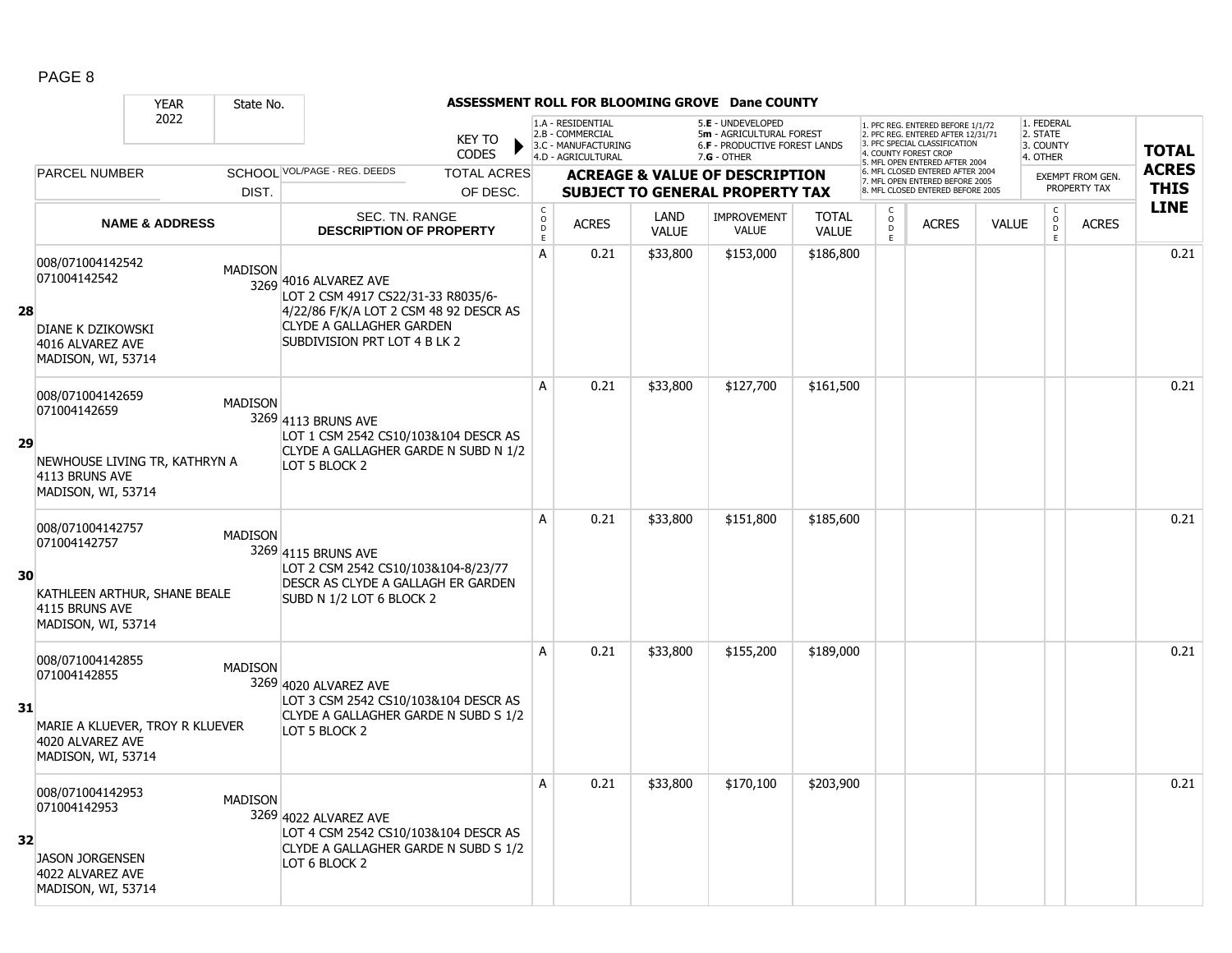|    |                                                                                                               | <b>YEAR</b>               | State No.      |                                                                                                                                                                          |                               |                                                |                                                                                    |                      | ASSESSMENT ROLL FOR BLOOMING GROVE Dane COUNTY                                                         |                       |                                                   |                                                                                                                                                                     |              |                                                 |                         |              |
|----|---------------------------------------------------------------------------------------------------------------|---------------------------|----------------|--------------------------------------------------------------------------------------------------------------------------------------------------------------------------|-------------------------------|------------------------------------------------|------------------------------------------------------------------------------------|----------------------|--------------------------------------------------------------------------------------------------------|-----------------------|---------------------------------------------------|---------------------------------------------------------------------------------------------------------------------------------------------------------------------|--------------|-------------------------------------------------|-------------------------|--------------|
|    |                                                                                                               | 2022                      |                |                                                                                                                                                                          | <b>KEY TO</b><br><b>CODES</b> |                                                | 1.A - RESIDENTIAL<br>2.B - COMMERCIAL<br>3.C - MANUFACTURING<br>4.D - AGRICULTURAL |                      | 5.E - UNDEVELOPED<br>5m - AGRICULTURAL FOREST<br><b>6.F - PRODUCTIVE FOREST LANDS</b><br>$7.G - OTHER$ |                       |                                                   | 1. PFC REG. ENTERED BEFORE 1/1/72<br>2. PFC REG. ENTERED AFTER 12/31/71<br>3. PFC SPECIAL CLASSIFICATION<br>4. COUNTY FOREST CROP<br>5. MFL OPEN ENTERED AFTER 2004 |              | 1. FEDERAL<br>2. STATE<br>3. COUNTY<br>4. OTHER |                         | <b>TOTAL</b> |
|    | <b>PARCEL NUMBER</b>                                                                                          |                           |                | SCHOOL VOL/PAGE - REG. DEEDS                                                                                                                                             | <b>TOTAL ACRES</b>            |                                                |                                                                                    |                      | <b>ACREAGE &amp; VALUE OF DESCRIPTION</b>                                                              |                       |                                                   | 6. MFL CLOSED ENTERED AFTER 2004<br>7. MFL OPEN ENTERED BEFORE 2005                                                                                                 |              |                                                 | <b>EXEMPT FROM GEN.</b> | <b>ACRES</b> |
|    |                                                                                                               |                           | DIST.          |                                                                                                                                                                          | OF DESC.                      |                                                |                                                                                    |                      | <b>SUBJECT TO GENERAL PROPERTY TAX</b>                                                                 |                       |                                                   | 8. MFL CLOSED ENTERED BEFORE 2005                                                                                                                                   |              |                                                 | PROPERTY TAX            | <b>THIS</b>  |
|    |                                                                                                               | <b>NAME &amp; ADDRESS</b> |                | SEC. TN. RANGE<br><b>DESCRIPTION OF PROPERTY</b>                                                                                                                         |                               | $\begin{matrix} 0 \\ 0 \\ 0 \end{matrix}$<br>E | <b>ACRES</b>                                                                       | LAND<br><b>VALUE</b> | <b>IMPROVEMENT</b><br><b>VALUE</b>                                                                     | <b>TOTAL</b><br>VALUE | C<br>$\begin{array}{c}\n0 \\ D \\ E\n\end{array}$ | <b>ACRES</b>                                                                                                                                                        | <b>VALUE</b> | $\mathsf C$<br>$_\mathrm{D}^\mathrm{O}$<br>E    | <b>ACRES</b>            | <b>LINE</b>  |
| 28 | 008/071004142542<br>071004142542<br><b>DIANE K DZIKOWSKI</b><br>4016 ALVAREZ AVE<br>MADISON, WI, 53714        |                           | <b>MADISON</b> | 3269 4016 ALVAREZ AVE<br>LOT 2 CSM 4917 CS22/31-33 R8035/6-<br>4/22/86 F/K/A LOT 2 CSM 48 92 DESCR AS<br><b>CLYDE A GALLAGHER GARDEN</b><br>SUBDIVISION PRT LOT 4 B LK 2 |                               | A                                              | 0.21                                                                               | \$33,800             | \$153,000                                                                                              | \$186,800             |                                                   |                                                                                                                                                                     |              |                                                 |                         | 0.21         |
| 29 | 008/071004142659<br>071004142659<br>NEWHOUSE LIVING TR, KATHRYN A<br>4113 BRUNS AVE<br>MADISON, WI, 53714     |                           | <b>MADISON</b> | 3269 4113 BRUNS AVE<br>LOT 1 CSM 2542 CS10/103&104 DESCR AS<br>CLYDE A GALLAGHER GARDE N SUBD N 1/2<br>LOT 5 BLOCK 2                                                     |                               | A                                              | 0.21                                                                               | \$33,800             | \$127,700                                                                                              | \$161,500             |                                                   |                                                                                                                                                                     |              |                                                 |                         | 0.21         |
| 30 | 008/071004142757<br>071004142757<br>KATHLEEN ARTHUR, SHANE BEALE<br>4115 BRUNS AVE<br>MADISON, WI, 53714      |                           | <b>MADISON</b> | 3269 4115 BRUNS AVE<br>LOT 2 CSM 2542 CS10/103&104-8/23/77<br>DESCR AS CLYDE A GALLAGH ER GARDEN<br>SUBD N 1/2 LOT 6 BLOCK 2                                             |                               | A                                              | 0.21                                                                               | \$33,800             | \$151,800                                                                                              | \$185,600             |                                                   |                                                                                                                                                                     |              |                                                 |                         | 0.21         |
| 31 | 008/071004142855<br>071004142855<br>MARIE A KLUEVER, TROY R KLUEVER<br>4020 ALVAREZ AVE<br>MADISON, WI, 53714 |                           | <b>MADISON</b> | 3269 4020 ALVAREZ AVE<br>LOT 3 CSM 2542 CS10/103&104 DESCR AS<br>CLYDE A GALLAGHER GARDE N SUBD S 1/2<br>LOT 5 BLOCK 2                                                   |                               | A                                              | 0.21                                                                               | \$33,800             | \$155,200                                                                                              | \$189,000             |                                                   |                                                                                                                                                                     |              |                                                 |                         | 0.21         |
| 32 | 008/071004142953<br>071004142953<br><b>JASON JORGENSEN</b><br>4022 ALVAREZ AVE<br>MADISON, WI, 53714          |                           | <b>MADISON</b> | 3269 4022 ALVAREZ AVE<br>LOT 4 CSM 2542 CS10/103&104 DESCR AS<br>CLYDE A GALLAGHER GARDE N SUBD S 1/2<br>LOT 6 BLOCK 2                                                   |                               | A                                              | 0.21                                                                               | \$33,800             | \$170,100                                                                                              | \$203,900             |                                                   |                                                                                                                                                                     |              |                                                 |                         | 0.21         |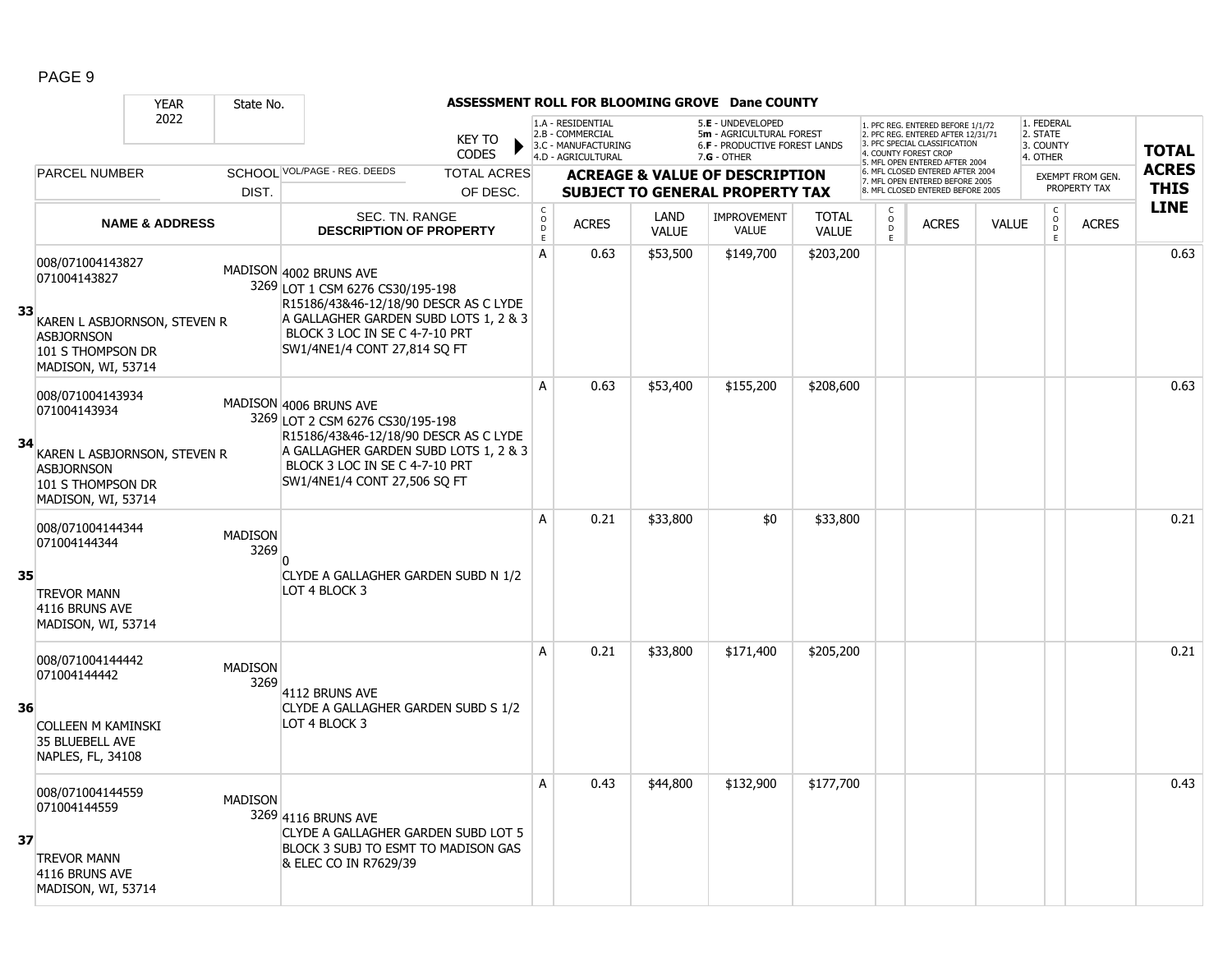|    |                                                                                                       | <b>YEAR</b>                  | State No.              |                                                                                                                                                                                                                |                               |                                              |                                                                                    |                      | ASSESSMENT ROLL FOR BLOOMING GROVE Dane COUNTY                                                       |                              |                                   |                                                                                                                                  |              |                                                          |                         |              |
|----|-------------------------------------------------------------------------------------------------------|------------------------------|------------------------|----------------------------------------------------------------------------------------------------------------------------------------------------------------------------------------------------------------|-------------------------------|----------------------------------------------|------------------------------------------------------------------------------------|----------------------|------------------------------------------------------------------------------------------------------|------------------------------|-----------------------------------|----------------------------------------------------------------------------------------------------------------------------------|--------------|----------------------------------------------------------|-------------------------|--------------|
|    |                                                                                                       | 2022                         |                        |                                                                                                                                                                                                                | <b>KEY TO</b><br><b>CODES</b> |                                              | 1.A - RESIDENTIAL<br>2.B - COMMERCIAL<br>3.C - MANUFACTURING<br>4.D - AGRICULTURAL |                      | 5.E - UNDEVELOPED<br>5m - AGRICULTURAL FOREST<br><b>6.F - PRODUCTIVE FOREST LANDS</b><br>7.G - OTHER |                              |                                   | . PFC REG. ENTERED BEFORE 1/1/72<br>2. PFC REG. ENTERED AFTER 12/31/71<br>3. PFC SPECIAL CLASSIFICATION<br>4. COUNTY FOREST CROP |              | 1. FEDERAL<br>2. STATE<br>3. COUNTY<br>4. OTHER          |                         | <b>TOTAL</b> |
|    | <b>PARCEL NUMBER</b>                                                                                  |                              |                        | SCHOOL VOL/PAGE - REG. DEEDS                                                                                                                                                                                   | <b>TOTAL ACRES</b>            |                                              |                                                                                    |                      | <b>ACREAGE &amp; VALUE OF DESCRIPTION</b>                                                            |                              |                                   | 5. MFL OPEN ENTERED AFTER 2004<br>6. MFL CLOSED ENTERED AFTER 2004<br>7. MFL OPEN ENTERED BEFORE 2005                            |              |                                                          | <b>EXEMPT FROM GEN.</b> | <b>ACRES</b> |
|    |                                                                                                       |                              | DIST.                  |                                                                                                                                                                                                                | OF DESC.                      |                                              |                                                                                    |                      | <b>SUBJECT TO GENERAL PROPERTY TAX</b>                                                               |                              |                                   | 8. MFL CLOSED ENTERED BEFORE 2005                                                                                                |              |                                                          | PROPERTY TAX            | <b>THIS</b>  |
|    |                                                                                                       | <b>NAME &amp; ADDRESS</b>    |                        | <b>SEC. TN. RANGE</b><br><b>DESCRIPTION OF PROPERTY</b>                                                                                                                                                        |                               | $\begin{array}{c}\nC \\ O \\ D\n\end{array}$ | <b>ACRES</b>                                                                       | LAND<br><b>VALUE</b> | <b>IMPROVEMENT</b><br><b>VALUE</b>                                                                   | <b>TOTAL</b><br><b>VALUE</b> | $\mathsf{C}$<br>$\circ$<br>D<br>E | <b>ACRES</b>                                                                                                                     | <b>VALUE</b> | $\begin{matrix} 0 \\ 0 \\ D \end{matrix}$<br>$\mathsf E$ | <b>ACRES</b>            | <b>LINE</b>  |
| 33 | 008/071004143827<br>071004143827<br><b>ASBJORNSON</b><br>101 S THOMPSON DR<br>MADISON, WI, 53714      | KAREN L ASBJORNSON, STEVEN R |                        | MADISON 4002 BRUNS AVE<br>3269 LOT 1 CSM 6276 CS30/195-198<br>R15186/43&46-12/18/90 DESCR AS C LYDE<br>A GALLAGHER GARDEN SUBD LOTS 1, 2 & 3<br>BLOCK 3 LOC IN SE C 4-7-10 PRT<br>SW1/4NE1/4 CONT 27,814 SQ FT |                               | A                                            | 0.63                                                                               | \$53,500             | \$149,700                                                                                            | \$203,200                    |                                   |                                                                                                                                  |              |                                                          |                         | 0.63         |
| 34 | 008/071004143934<br>071004143934<br><b>ASBJORNSON</b><br>101 S THOMPSON DR<br>MADISON, WI, 53714      | KAREN L ASBJORNSON, STEVEN R |                        | MADISON 4006 BRUNS AVE<br>3269 LOT 2 CSM 6276 CS30/195-198<br>R15186/43&46-12/18/90 DESCR AS C LYDE<br>A GALLAGHER GARDEN SUBD LOTS 1, 2 & 3<br>BLOCK 3 LOC IN SE C 4-7-10 PRT<br>SW1/4NE1/4 CONT 27,506 SQ FT |                               | A                                            | 0.63                                                                               | \$53,400             | \$155,200                                                                                            | \$208,600                    |                                   |                                                                                                                                  |              |                                                          |                         | 0.63         |
| 35 | 008/071004144344<br>071004144344<br><b>TREVOR MANN</b><br>4116 BRUNS AVE<br>MADISON, WI, 53714        |                              | <b>MADISON</b><br>3269 | CLYDE A GALLAGHER GARDEN SUBD N 1/2<br>LOT 4 BLOCK 3                                                                                                                                                           |                               | A                                            | 0.21                                                                               | \$33,800             | \$0                                                                                                  | \$33,800                     |                                   |                                                                                                                                  |              |                                                          |                         | 0.21         |
| 36 | 008/071004144442<br>071004144442<br><b>COLLEEN M KAMINSKI</b><br>35 BLUEBELL AVE<br>NAPLES, FL, 34108 |                              | <b>MADISON</b><br>3269 | 4112 BRUNS AVE<br>CLYDE A GALLAGHER GARDEN SUBD S 1/2<br>LOT 4 BLOCK 3                                                                                                                                         |                               | A                                            | 0.21                                                                               | \$33,800             | \$171,400                                                                                            | \$205,200                    |                                   |                                                                                                                                  |              |                                                          |                         | 0.21         |
| 37 | 008/071004144559<br>071004144559<br><b>TREVOR MANN</b><br>4116 BRUNS AVE<br>MADISON, WI, 53714        |                              | <b>MADISON</b>         | 3269 4116 BRUNS AVE<br>CLYDE A GALLAGHER GARDEN SUBD LOT 5<br>BLOCK 3 SUBJ TO ESMT TO MADISON GAS<br>& ELEC CO IN R7629/39                                                                                     |                               | A                                            | 0.43                                                                               | \$44,800             | \$132,900                                                                                            | \$177,700                    |                                   |                                                                                                                                  |              |                                                          |                         | 0.43         |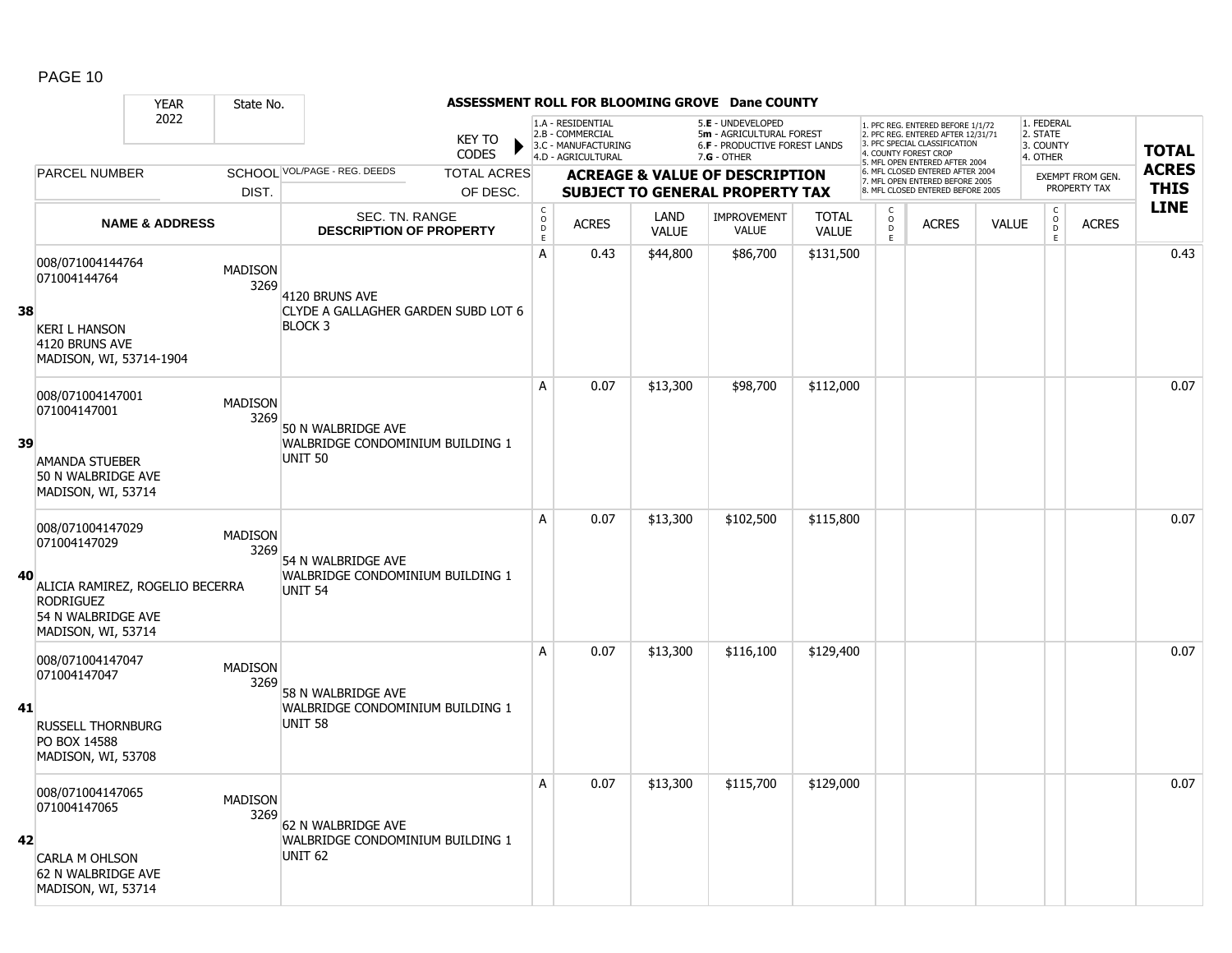|    |                                                                                                                                     | <b>YEAR</b>               | State No.              |                                                                          |                                |                                        |                                                                                    |                      | ASSESSMENT ROLL FOR BLOOMING GROVE Dane COUNTY                                                       |                              |                                    |                                                                                                                                                                     |              |                                                         |                                         |                             |
|----|-------------------------------------------------------------------------------------------------------------------------------------|---------------------------|------------------------|--------------------------------------------------------------------------|--------------------------------|----------------------------------------|------------------------------------------------------------------------------------|----------------------|------------------------------------------------------------------------------------------------------|------------------------------|------------------------------------|---------------------------------------------------------------------------------------------------------------------------------------------------------------------|--------------|---------------------------------------------------------|-----------------------------------------|-----------------------------|
|    |                                                                                                                                     | 2022                      |                        |                                                                          | <b>KEY TO</b><br><b>CODES</b>  |                                        | 1.A - RESIDENTIAL<br>2.B - COMMERCIAL<br>3.C - MANUFACTURING<br>4.D - AGRICULTURAL |                      | 5.E - UNDEVELOPED<br>5m - AGRICULTURAL FOREST<br><b>6.F - PRODUCTIVE FOREST LANDS</b><br>7.G - OTHER |                              |                                    | 1. PFC REG. ENTERED BEFORE 1/1/72<br>2. PFC REG. ENTERED AFTER 12/31/71<br>3. PFC SPECIAL CLASSIFICATION<br>4. COUNTY FOREST CROP<br>5. MFL OPEN ENTERED AFTER 2004 |              | 1. FEDERAL<br>2. STATE<br>3. COUNTY<br>4. OTHER         |                                         | <b>TOTAL</b>                |
|    | <b>PARCEL NUMBER</b>                                                                                                                |                           | DIST.                  | SCHOOL VOL/PAGE - REG. DEEDS                                             | <b>TOTAL ACRES</b><br>OF DESC. |                                        |                                                                                    |                      | <b>ACREAGE &amp; VALUE OF DESCRIPTION</b><br><b>SUBJECT TO GENERAL PROPERTY TAX</b>                  |                              |                                    | 6. MFL CLOSED ENTERED AFTER 2004<br>7. MFL OPEN ENTERED BEFORE 2005<br>8. MFL CLOSED ENTERED BEFORE 2005                                                            |              |                                                         | <b>EXEMPT FROM GEN.</b><br>PROPERTY TAX | <b>ACRES</b><br><b>THIS</b> |
|    |                                                                                                                                     | <b>NAME &amp; ADDRESS</b> |                        | SEC. TN. RANGE<br><b>DESCRIPTION OF PROPERTY</b>                         |                                | $\mathsf{C}$<br>$\mathsf{o}$<br>D<br>E | <b>ACRES</b>                                                                       | LAND<br><b>VALUE</b> | <b>IMPROVEMENT</b><br><b>VALUE</b>                                                                   | <b>TOTAL</b><br><b>VALUE</b> | $\overset{\circ}{\mathsf{D}}$<br>E | <b>ACRES</b>                                                                                                                                                        | <b>VALUE</b> | $\mathsf{C}$<br>$\overset{\mathsf{O}}{\mathsf{D}}$<br>E | <b>ACRES</b>                            | <b>LINE</b>                 |
| 38 | 008/071004144764<br>071004144764<br><b>KERI L HANSON</b><br>4120 BRUNS AVE<br>MADISON, WI, 53714-1904                               |                           | <b>MADISON</b><br>3269 | 4120 BRUNS AVE<br>CLYDE A GALLAGHER GARDEN SUBD LOT 6<br><b>BLOCK 3</b>  |                                | A                                      | 0.43                                                                               | \$44,800             | \$86,700                                                                                             | \$131,500                    |                                    |                                                                                                                                                                     |              |                                                         |                                         | 0.43                        |
| 39 | 008/071004147001<br>071004147001<br><b>AMANDA STUEBER</b><br>50 N WALBRIDGE AVE<br>MADISON, WI, 53714                               |                           | <b>MADISON</b><br>3269 | 50 N WALBRIDGE AVE<br>WALBRIDGE CONDOMINIUM BUILDING 1<br><b>UNIT 50</b> |                                | A                                      | 0.07                                                                               | \$13,300             | \$98,700                                                                                             | \$112,000                    |                                    |                                                                                                                                                                     |              |                                                         |                                         | 0.07                        |
| 40 | 008/071004147029<br>071004147029<br>ALICIA RAMIREZ, ROGELIO BECERRA<br><b>RODRIGUEZ</b><br>54 N WALBRIDGE AVE<br>MADISON, WI, 53714 |                           | <b>MADISON</b><br>3269 | 54 N WALBRIDGE AVE<br>WALBRIDGE CONDOMINIUM BUILDING 1<br><b>UNIT 54</b> |                                | A                                      | 0.07                                                                               | \$13,300             | \$102,500                                                                                            | \$115,800                    |                                    |                                                                                                                                                                     |              |                                                         |                                         | 0.07                        |
| 41 | 008/071004147047<br>071004147047<br><b>RUSSELL THORNBURG</b><br>PO BOX 14588<br>MADISON, WI, 53708                                  |                           | <b>MADISON</b><br>3269 | 58 N WALBRIDGE AVE<br>WALBRIDGE CONDOMINIUM BUILDING 1<br><b>UNIT 58</b> |                                | A                                      | 0.07                                                                               | \$13,300             | \$116,100                                                                                            | \$129,400                    |                                    |                                                                                                                                                                     |              |                                                         |                                         | 0.07                        |
| 42 | 008/071004147065<br>071004147065<br>CARLA M OHLSON<br>62 N WALBRIDGE AVE<br>MADISON, WI, 53714                                      |                           | <b>MADISON</b><br>3269 | 62 N WALBRIDGE AVE<br>WALBRIDGE CONDOMINIUM BUILDING 1<br>UNIT 62        |                                | A                                      | 0.07                                                                               | \$13,300             | \$115,700                                                                                            | \$129,000                    |                                    |                                                                                                                                                                     |              |                                                         |                                         | 0.07                        |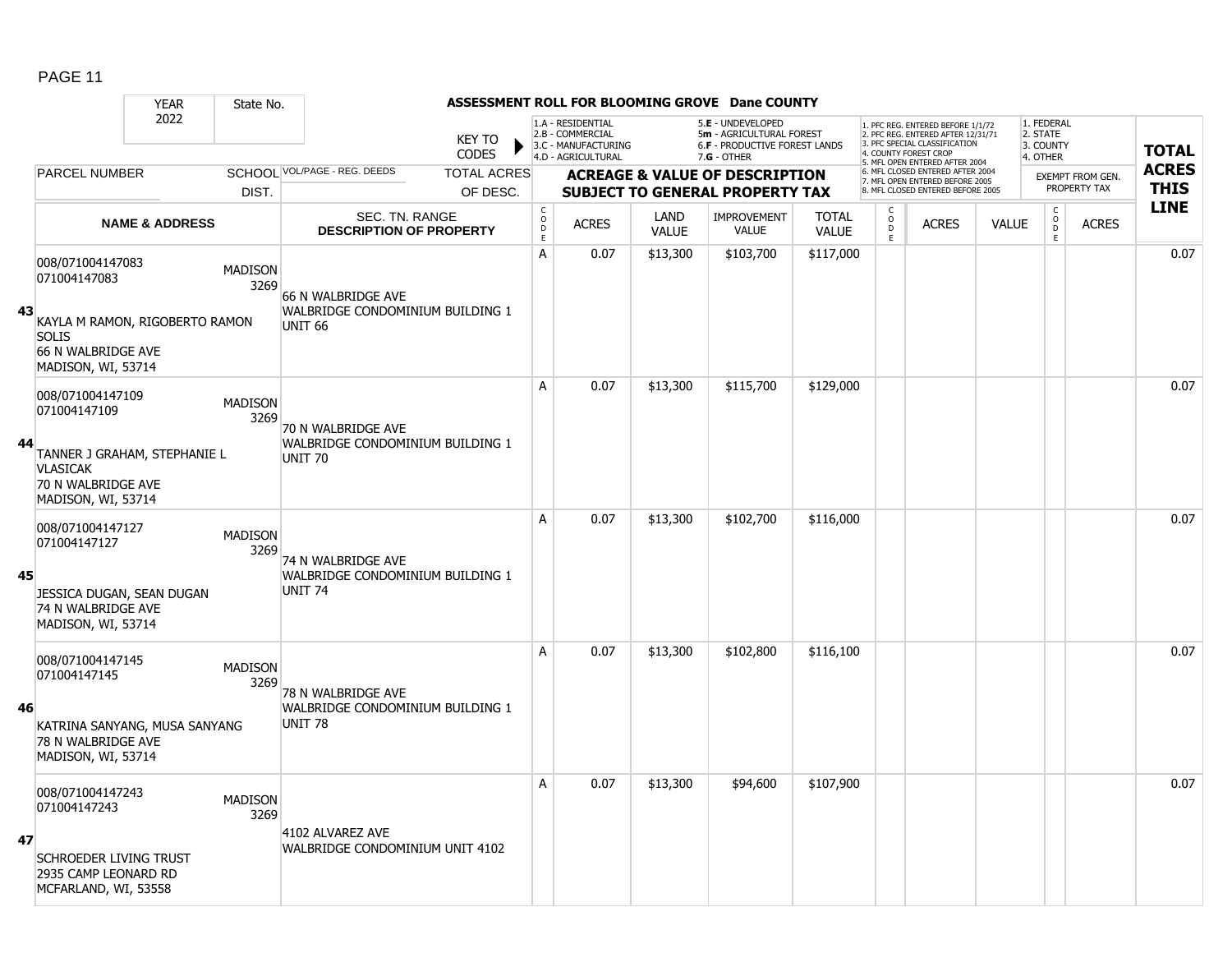|    |                                                                                                                                 | <b>YEAR</b>               | State No.              |                                                                              |                                |                                            |                                                                                    |                      | ASSESSMENT ROLL FOR BLOOMING GROVE Dane COUNTY                                                |                              |                              |                                                                                                                                                                     |              |                                                 |                                         |                             |
|----|---------------------------------------------------------------------------------------------------------------------------------|---------------------------|------------------------|------------------------------------------------------------------------------|--------------------------------|--------------------------------------------|------------------------------------------------------------------------------------|----------------------|-----------------------------------------------------------------------------------------------|------------------------------|------------------------------|---------------------------------------------------------------------------------------------------------------------------------------------------------------------|--------------|-------------------------------------------------|-----------------------------------------|-----------------------------|
|    |                                                                                                                                 | 2022                      |                        |                                                                              | <b>KEY TO</b><br><b>CODES</b>  |                                            | 1.A - RESIDENTIAL<br>2.B - COMMERCIAL<br>3.C - MANUFACTURING<br>4.D - AGRICULTURAL |                      | 5.E - UNDEVELOPED<br>5m - AGRICULTURAL FOREST<br>6.F - PRODUCTIVE FOREST LANDS<br>7.G - OTHER |                              |                              | 1. PFC REG. ENTERED BEFORE 1/1/72<br>2. PFC REG. ENTERED AFTER 12/31/71<br>3. PFC SPECIAL CLASSIFICATION<br>4. COUNTY FOREST CROP<br>5. MFL OPEN ENTERED AFTER 2004 |              | 1. FEDERAL<br>2. STATE<br>3. COUNTY<br>4. OTHER |                                         | <b>TOTAL</b>                |
|    | <b>PARCEL NUMBER</b>                                                                                                            |                           | DIST.                  | SCHOOL VOL/PAGE - REG. DEEDS                                                 | <b>TOTAL ACRES</b><br>OF DESC. |                                            |                                                                                    |                      | <b>ACREAGE &amp; VALUE OF DESCRIPTION</b><br><b>SUBJECT TO GENERAL PROPERTY TAX</b>           |                              |                              | 6. MFL CLOSED ENTERED AFTER 2004<br>7. MFL OPEN ENTERED BEFORE 2005<br>8 MEL CLOSED ENTERED BEFORE 2005                                                             |              |                                                 | <b>EXEMPT FROM GEN.</b><br>PROPERTY TAX | <b>ACRES</b><br><b>THIS</b> |
|    |                                                                                                                                 | <b>NAME &amp; ADDRESS</b> |                        | SEC. TN. RANGE<br><b>DESCRIPTION OF PROPERTY</b>                             |                                | $\begin{array}{c} C \\ O \\ E \end{array}$ | <b>ACRES</b>                                                                       | LAND<br><b>VALUE</b> | <b>IMPROVEMENT</b><br>VALUE                                                                   | <b>TOTAL</b><br><b>VALUE</b> | С<br>$_{\rm D}^{\rm O}$<br>E | <b>ACRES</b>                                                                                                                                                        | <b>VALUE</b> | $\mathsf C$<br>$_{\rm D}^{\rm O}$<br>E          | <b>ACRES</b>                            | <b>LINE</b>                 |
| 43 | 008/071004147083<br>071004147083<br>KAYLA M RAMON, RIGOBERTO RAMON<br><b>SOLIS</b><br>66 N WALBRIDGE AVE<br>MADISON, WI, 53714  |                           | <b>MADISON</b><br>3269 | 66 N WALBRIDGE AVE<br>WALBRIDGE CONDOMINIUM BUILDING 1<br>UNIT <sub>66</sub> |                                | А                                          | 0.07                                                                               | \$13,300             | \$103,700                                                                                     | \$117,000                    |                              |                                                                                                                                                                     |              |                                                 |                                         | 0.07                        |
| 44 | 008/071004147109<br>071004147109<br>TANNER J GRAHAM, STEPHANIE L<br><b>VLASICAK</b><br>70 N WALBRIDGE AVE<br>MADISON, WI, 53714 |                           | <b>MADISON</b><br>3269 | 70 N WALBRIDGE AVE<br>WALBRIDGE CONDOMINIUM BUILDING 1<br>UNIT <sub>70</sub> |                                | Α                                          | 0.07                                                                               | \$13,300             | \$115,700                                                                                     | \$129,000                    |                              |                                                                                                                                                                     |              |                                                 |                                         | 0.07                        |
| 45 | 008/071004147127<br>071004147127<br>JESSICA DUGAN, SEAN DUGAN<br>74 N WALBRIDGE AVE<br>MADISON, WI, 53714                       |                           | <b>MADISON</b><br>3269 | 74 N WALBRIDGE AVE<br>WALBRIDGE CONDOMINIUM BUILDING 1<br>UNIT <sub>74</sub> |                                | A                                          | 0.07                                                                               | \$13,300             | \$102,700                                                                                     | \$116,000                    |                              |                                                                                                                                                                     |              |                                                 |                                         | 0.07                        |
| 46 | 008/071004147145<br>071004147145<br>KATRINA SANYANG, MUSA SANYANG<br>78 N WALBRIDGE AVE<br>MADISON, WI, 53714                   |                           | <b>MADISON</b><br>3269 | 78 N WALBRIDGE AVE<br>WALBRIDGE CONDOMINIUM BUILDING 1<br>UNIT <sub>78</sub> |                                | А                                          | 0.07                                                                               | \$13,300             | \$102,800                                                                                     | \$116,100                    |                              |                                                                                                                                                                     |              |                                                 |                                         | 0.07                        |
| 47 | 008/071004147243<br>071004147243<br>SCHROEDER LIVING TRUST<br>2935 CAMP LEONARD RD<br>MCFARLAND, WI, 53558                      |                           | <b>MADISON</b><br>3269 | 4102 ALVAREZ AVE<br>WALBRIDGE CONDOMINIUM UNIT 4102                          |                                | A                                          | 0.07                                                                               | \$13,300             | \$94,600                                                                                      | \$107,900                    |                              |                                                                                                                                                                     |              |                                                 |                                         | 0.07                        |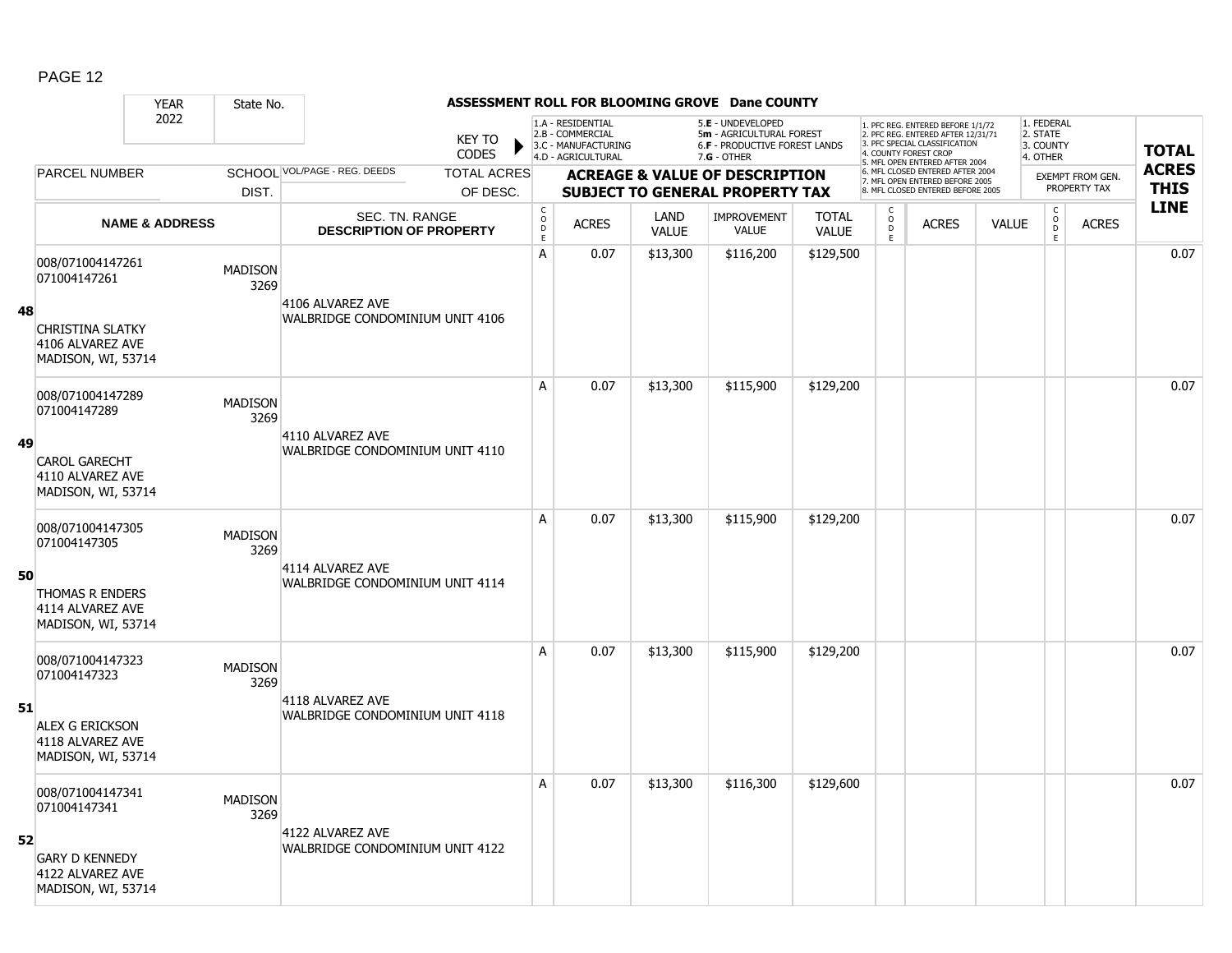|    |                                                                   | <b>YEAR</b>               | State No.              |                                                     |                               |                                                            |                                                                                    |                      | ASSESSMENT ROLL FOR BLOOMING GROVE Dane COUNTY                                                       |                              |                           |                                                                                                                                                                     |              |                                                 |                         |              |
|----|-------------------------------------------------------------------|---------------------------|------------------------|-----------------------------------------------------|-------------------------------|------------------------------------------------------------|------------------------------------------------------------------------------------|----------------------|------------------------------------------------------------------------------------------------------|------------------------------|---------------------------|---------------------------------------------------------------------------------------------------------------------------------------------------------------------|--------------|-------------------------------------------------|-------------------------|--------------|
|    |                                                                   | 2022                      |                        |                                                     | <b>KEY TO</b><br><b>CODES</b> |                                                            | 1.A - RESIDENTIAL<br>2.B - COMMERCIAL<br>3.C - MANUFACTURING<br>4.D - AGRICULTURAL |                      | 5.E - UNDEVELOPED<br>5m - AGRICULTURAL FOREST<br><b>6.F - PRODUCTIVE FOREST LANDS</b><br>7.G - OTHER |                              |                           | 1. PFC REG. ENTERED BEFORE 1/1/72<br>2. PFC REG. ENTERED AFTER 12/31/71<br>3. PFC SPECIAL CLASSIFICATION<br>4. COUNTY FOREST CROP<br>5. MFL OPEN ENTERED AFTER 2004 |              | 1. FEDERAL<br>2. STATE<br>3. COUNTY<br>4. OTHER |                         | <b>TOTAL</b> |
|    | <b>PARCEL NUMBER</b>                                              |                           |                        | SCHOOL VOL/PAGE - REG. DEEDS                        | <b>TOTAL ACRES</b>            |                                                            |                                                                                    |                      | <b>ACREAGE &amp; VALUE OF DESCRIPTION</b>                                                            |                              |                           | 6. MFL CLOSED ENTERED AFTER 2004<br>7. MFL OPEN ENTERED BEFORE 2005                                                                                                 |              |                                                 | <b>EXEMPT FROM GEN.</b> | <b>ACRES</b> |
|    |                                                                   |                           | DIST.                  |                                                     | OF DESC.                      |                                                            |                                                                                    |                      | <b>SUBJECT TO GENERAL PROPERTY TAX</b>                                                               |                              |                           | 8. MFL CLOSED ENTERED BEFORE 2005                                                                                                                                   |              |                                                 | PROPERTY TAX            | <b>THIS</b>  |
|    |                                                                   | <b>NAME &amp; ADDRESS</b> |                        | SEC. TN. RANGE<br><b>DESCRIPTION OF PROPERTY</b>    |                               | $\begin{smallmatrix} C\\ O\\ O\\ D \end{smallmatrix}$<br>E | <b>ACRES</b>                                                                       | LAND<br><b>VALUE</b> | <b>IMPROVEMENT</b><br><b>VALUE</b>                                                                   | <b>TOTAL</b><br><b>VALUE</b> | C<br>$\overline{0}$<br>E. | <b>ACRES</b>                                                                                                                                                        | <b>VALUE</b> | $\begin{matrix} 0 \\ 0 \\ 0 \end{matrix}$<br>E  | <b>ACRES</b>            | <b>LINE</b>  |
|    | 008/071004147261<br>071004147261                                  |                           | <b>MADISON</b><br>3269 |                                                     |                               | A                                                          | 0.07                                                                               | \$13,300             | \$116,200                                                                                            | \$129,500                    |                           |                                                                                                                                                                     |              |                                                 |                         | 0.07         |
| 48 | <b>CHRISTINA SLATKY</b><br>4106 ALVAREZ AVE<br>MADISON, WI, 53714 |                           |                        | 4106 ALVAREZ AVE<br>WALBRIDGE CONDOMINIUM UNIT 4106 |                               |                                                            |                                                                                    |                      |                                                                                                      |                              |                           |                                                                                                                                                                     |              |                                                 |                         |              |
|    | 008/071004147289<br>071004147289                                  |                           | <b>MADISON</b><br>3269 |                                                     |                               | A                                                          | 0.07                                                                               | \$13,300             | \$115,900                                                                                            | \$129,200                    |                           |                                                                                                                                                                     |              |                                                 |                         | 0.07         |
| 49 | <b>CAROL GARECHT</b><br>4110 ALVAREZ AVE<br>MADISON, WI, 53714    |                           |                        | 4110 ALVAREZ AVE<br>WALBRIDGE CONDOMINIUM UNIT 4110 |                               |                                                            |                                                                                    |                      |                                                                                                      |                              |                           |                                                                                                                                                                     |              |                                                 |                         |              |
|    | 008/071004147305<br>071004147305                                  |                           | <b>MADISON</b><br>3269 |                                                     |                               | A                                                          | 0.07                                                                               | \$13,300             | \$115,900                                                                                            | \$129,200                    |                           |                                                                                                                                                                     |              |                                                 |                         | 0.07         |
| 50 | THOMAS R ENDERS<br>4114 ALVAREZ AVE<br>MADISON, WI, 53714         |                           |                        | 4114 ALVAREZ AVE<br>WALBRIDGE CONDOMINIUM UNIT 4114 |                               |                                                            |                                                                                    |                      |                                                                                                      |                              |                           |                                                                                                                                                                     |              |                                                 |                         |              |
|    | 008/071004147323<br>071004147323                                  |                           | <b>MADISON</b><br>3269 |                                                     |                               | A                                                          | 0.07                                                                               | \$13,300             | \$115,900                                                                                            | \$129,200                    |                           |                                                                                                                                                                     |              |                                                 |                         | 0.07         |
| 51 | <b>ALEX G ERICKSON</b><br>4118 ALVAREZ AVE<br>MADISON, WI, 53714  |                           |                        | 4118 ALVAREZ AVE<br>WALBRIDGE CONDOMINIUM UNIT 4118 |                               |                                                            |                                                                                    |                      |                                                                                                      |                              |                           |                                                                                                                                                                     |              |                                                 |                         |              |
|    | 008/071004147341<br>071004147341                                  |                           | <b>MADISON</b><br>3269 |                                                     |                               | A                                                          | 0.07                                                                               | \$13,300             | \$116,300                                                                                            | \$129,600                    |                           |                                                                                                                                                                     |              |                                                 |                         | 0.07         |
| 52 | <b>GARY D KENNEDY</b><br>4122 ALVAREZ AVE<br>MADISON, WI, 53714   |                           |                        | 4122 ALVAREZ AVE<br>WALBRIDGE CONDOMINIUM UNIT 4122 |                               |                                                            |                                                                                    |                      |                                                                                                      |                              |                           |                                                                                                                                                                     |              |                                                 |                         |              |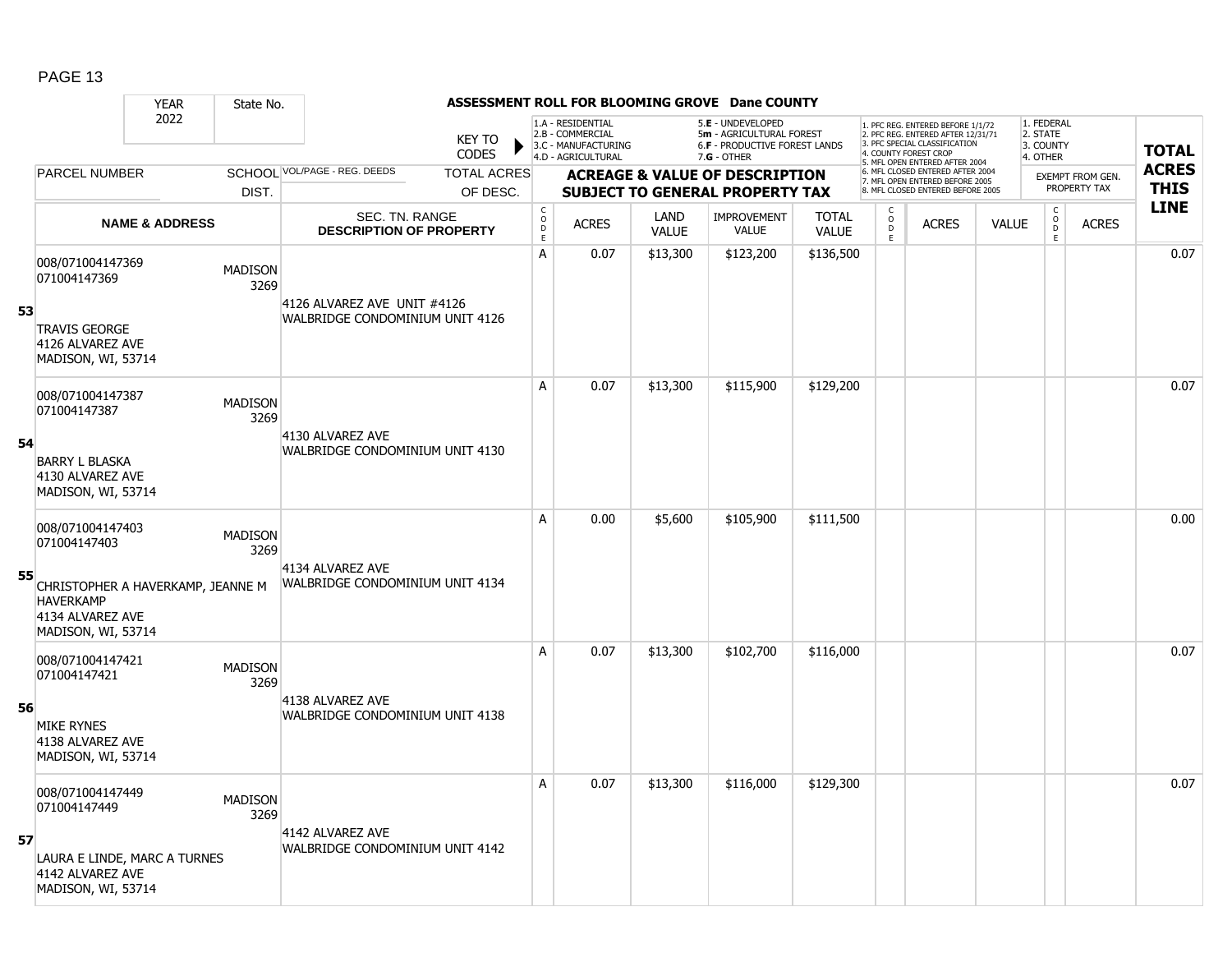|    |                                                                                                 | <b>YEAR</b>               | State No.              |                                                     |                               |                                                            |                                                                                    |                             | ASSESSMENT ROLL FOR BLOOMING GROVE Dane COUNTY                                                |                              |                     |                                                                                                                                                                     |              |                                                          |                         |                            |
|----|-------------------------------------------------------------------------------------------------|---------------------------|------------------------|-----------------------------------------------------|-------------------------------|------------------------------------------------------------|------------------------------------------------------------------------------------|-----------------------------|-----------------------------------------------------------------------------------------------|------------------------------|---------------------|---------------------------------------------------------------------------------------------------------------------------------------------------------------------|--------------|----------------------------------------------------------|-------------------------|----------------------------|
|    |                                                                                                 | 2022                      |                        |                                                     | <b>KEY TO</b><br><b>CODES</b> |                                                            | 1.A - RESIDENTIAL<br>2.B - COMMERCIAL<br>3.C - MANUFACTURING<br>4.D - AGRICULTURAL |                             | 5.E - UNDEVELOPED<br>5m - AGRICULTURAL FOREST<br>6.F - PRODUCTIVE FOREST LANDS<br>7.G - OTHER |                              |                     | 1. PFC REG. ENTERED BEFORE 1/1/72<br>2. PFC REG. ENTERED AFTER 12/31/71<br>3. PFC SPECIAL CLASSIFICATION<br>4. COUNTY FOREST CROP<br>5. MFL OPEN ENTERED AFTER 2004 |              | 1. FEDERAL<br>2. STATE<br>3. COUNTY<br>4. OTHER          |                         | <b>TOTAL</b>               |
|    | <b>PARCEL NUMBER</b>                                                                            |                           |                        | SCHOOL VOL/PAGE - REG. DEEDS                        | <b>TOTAL ACRES</b>            |                                                            |                                                                                    |                             | <b>ACREAGE &amp; VALUE OF DESCRIPTION</b>                                                     |                              |                     | 6. MFL CLOSED ENTERED AFTER 2004<br>7. MFL OPEN ENTERED BEFORE 2005                                                                                                 |              |                                                          | <b>EXEMPT FROM GEN.</b> | <b>ACRES</b>               |
|    |                                                                                                 |                           | DIST.                  |                                                     | OF DESC.                      |                                                            |                                                                                    |                             | <b>SUBJECT TO GENERAL PROPERTY TAX</b>                                                        |                              |                     | 8. MFL CLOSED ENTERED BEFORE 2005                                                                                                                                   |              |                                                          | PROPERTY TAX            | <b>THIS</b><br><b>LINE</b> |
|    |                                                                                                 | <b>NAME &amp; ADDRESS</b> |                        | SEC. TN. RANGE<br><b>DESCRIPTION OF PROPERTY</b>    |                               | $\begin{smallmatrix} C\\ O\\ O\\ D \end{smallmatrix}$<br>E | <b>ACRES</b>                                                                       | <b>LAND</b><br><b>VALUE</b> | <b>IMPROVEMENT</b><br><b>VALUE</b>                                                            | <b>TOTAL</b><br><b>VALUE</b> | $\overline{0}$<br>E | <b>ACRES</b>                                                                                                                                                        | <b>VALUE</b> | $\begin{matrix} 0 \\ 0 \\ D \end{matrix}$<br>$\mathsf E$ | <b>ACRES</b>            |                            |
|    | 008/071004147369<br>071004147369                                                                |                           | <b>MADISON</b><br>3269 | 4126 ALVAREZ AVE UNIT #4126                         |                               | A                                                          | 0.07                                                                               | \$13,300                    | \$123,200                                                                                     | \$136,500                    |                     |                                                                                                                                                                     |              |                                                          |                         | 0.07                       |
| 53 | <b>TRAVIS GEORGE</b><br>4126 ALVAREZ AVE<br>MADISON, WI, 53714                                  |                           |                        | WALBRIDGE CONDOMINIUM UNIT 4126                     |                               |                                                            |                                                                                    |                             |                                                                                               |                              |                     |                                                                                                                                                                     |              |                                                          |                         |                            |
|    | 008/071004147387<br>071004147387                                                                |                           | <b>MADISON</b><br>3269 |                                                     |                               | A                                                          | 0.07                                                                               | \$13,300                    | \$115,900                                                                                     | \$129,200                    |                     |                                                                                                                                                                     |              |                                                          |                         | 0.07                       |
| 54 | <b>BARRY L BLASKA</b><br>4130 ALVAREZ AVE<br>MADISON, WI, 53714                                 |                           |                        | 4130 ALVAREZ AVE<br>WALBRIDGE CONDOMINIUM UNIT 4130 |                               |                                                            |                                                                                    |                             |                                                                                               |                              |                     |                                                                                                                                                                     |              |                                                          |                         |                            |
|    | 008/071004147403<br>071004147403                                                                |                           | <b>MADISON</b><br>3269 | 4134 ALVAREZ AVE                                    |                               | A                                                          | 0.00                                                                               | \$5,600                     | \$105,900                                                                                     | \$111,500                    |                     |                                                                                                                                                                     |              |                                                          |                         | 0.00                       |
| 55 | CHRISTOPHER A HAVERKAMP, JEANNE M<br><b>HAVERKAMP</b><br>4134 ALVAREZ AVE<br>MADISON, WI, 53714 |                           |                        | WALBRIDGE CONDOMINIUM UNIT 4134                     |                               |                                                            |                                                                                    |                             |                                                                                               |                              |                     |                                                                                                                                                                     |              |                                                          |                         |                            |
|    | 008/071004147421<br>071004147421                                                                |                           | <b>MADISON</b><br>3269 |                                                     |                               | A                                                          | 0.07                                                                               | \$13,300                    | \$102,700                                                                                     | \$116,000                    |                     |                                                                                                                                                                     |              |                                                          |                         | 0.07                       |
| 56 | <b>MIKE RYNES</b><br>4138 ALVAREZ AVE<br>MADISON, WI, 53714                                     |                           |                        | 4138 ALVAREZ AVE<br>WALBRIDGE CONDOMINIUM UNIT 4138 |                               |                                                            |                                                                                    |                             |                                                                                               |                              |                     |                                                                                                                                                                     |              |                                                          |                         |                            |
|    | 008/071004147449<br>071004147449                                                                |                           | <b>MADISON</b><br>3269 |                                                     |                               | A                                                          | 0.07                                                                               | \$13,300                    | \$116,000                                                                                     | \$129,300                    |                     |                                                                                                                                                                     |              |                                                          |                         | 0.07                       |
| 57 | LAURA E LINDE, MARC A TURNES<br>4142 ALVAREZ AVE<br>MADISON, WI, 53714                          |                           |                        | 4142 ALVAREZ AVE<br>WALBRIDGE CONDOMINIUM UNIT 4142 |                               |                                                            |                                                                                    |                             |                                                                                               |                              |                     |                                                                                                                                                                     |              |                                                          |                         |                            |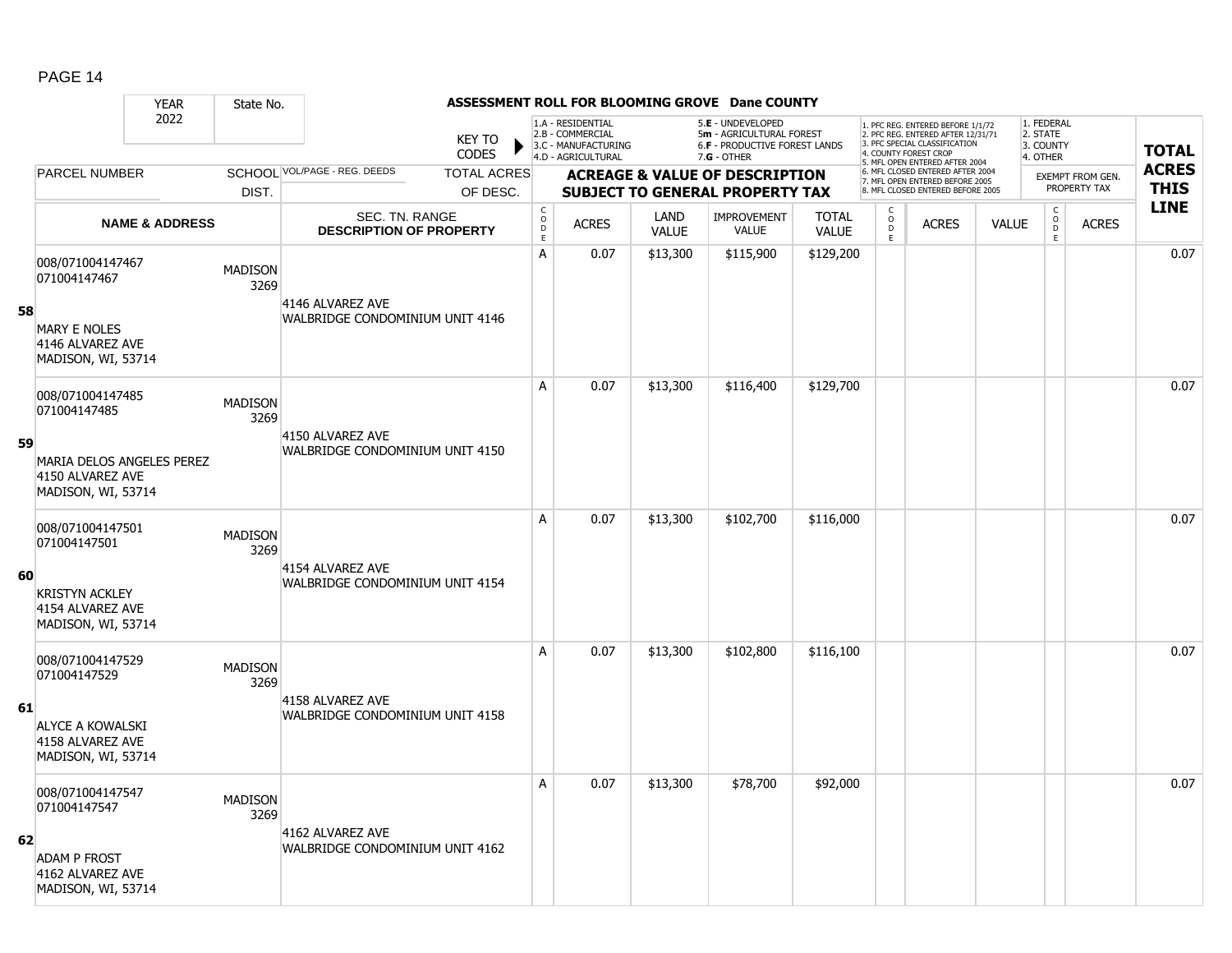|    |                                                                     | <b>YEAR</b>               | State No.              |                                                     |                               |                                            |                                                                                    |                      | ASSESSMENT ROLL FOR BLOOMING GROVE Dane COUNTY                                                         |                              |                             |                                                                                                                                  |              |                                                 |                         |              |
|----|---------------------------------------------------------------------|---------------------------|------------------------|-----------------------------------------------------|-------------------------------|--------------------------------------------|------------------------------------------------------------------------------------|----------------------|--------------------------------------------------------------------------------------------------------|------------------------------|-----------------------------|----------------------------------------------------------------------------------------------------------------------------------|--------------|-------------------------------------------------|-------------------------|--------------|
|    |                                                                     | 2022                      |                        |                                                     | <b>KEY TO</b><br><b>CODES</b> |                                            | 1.A - RESIDENTIAL<br>2.B - COMMERCIAL<br>3.C - MANUFACTURING<br>4.D - AGRICULTURAL |                      | 5.E - UNDEVELOPED<br>5m - AGRICULTURAL FOREST<br><b>6.F - PRODUCTIVE FOREST LANDS</b><br>$7.G - OTHER$ |                              |                             | . PFC REG. ENTERED BEFORE 1/1/72<br>2. PFC REG. ENTERED AFTER 12/31/71<br>3. PFC SPECIAL CLASSIFICATION<br>4. COUNTY FOREST CROP |              | 1. FEDERAL<br>2. STATE<br>3. COUNTY<br>4. OTHER |                         | <b>TOTAL</b> |
|    | PARCEL NUMBER                                                       |                           |                        | SCHOOL VOL/PAGE - REG. DEEDS                        | <b>TOTAL ACRES</b>            |                                            |                                                                                    |                      | <b>ACREAGE &amp; VALUE OF DESCRIPTION</b>                                                              |                              |                             | 5. MFL OPEN ENTERED AFTER 2004<br>6. MFL CLOSED ENTERED AFTER 2004                                                               |              |                                                 | <b>EXEMPT FROM GEN.</b> | <b>ACRES</b> |
|    |                                                                     |                           | DIST.                  |                                                     | OF DESC.                      |                                            |                                                                                    |                      | <b>SUBJECT TO GENERAL PROPERTY TAX</b>                                                                 |                              |                             | 7. MFL OPEN ENTERED BEFORE 2005<br>8. MFL CLOSED ENTERED BEFORE 2005                                                             |              |                                                 | PROPERTY TAX            | <b>THIS</b>  |
|    |                                                                     | <b>NAME &amp; ADDRESS</b> |                        | SEC. TN. RANGE<br><b>DESCRIPTION OF PROPERTY</b>    |                               | $\begin{array}{c} C \\ O \\ E \end{array}$ | <b>ACRES</b>                                                                       | LAND<br><b>VALUE</b> | <b>IMPROVEMENT</b><br><b>VALUE</b>                                                                     | <b>TOTAL</b><br><b>VALUE</b> | $\rm _o^c$<br>$\frac{D}{E}$ | <b>ACRES</b>                                                                                                                     | <b>VALUE</b> | $\begin{matrix} C \\ O \\ D \end{matrix}$<br>E  | <b>ACRES</b>            | <b>LINE</b>  |
|    | 008/071004147467<br>071004147467                                    |                           | <b>MADISON</b><br>3269 | 4146 ALVAREZ AVE                                    |                               | A                                          | 0.07                                                                               | \$13,300             | \$115,900                                                                                              | \$129,200                    |                             |                                                                                                                                  |              |                                                 |                         | 0.07         |
| 58 | <b>MARY E NOLES</b><br>4146 ALVAREZ AVE<br>MADISON, WI, 53714       |                           |                        | WALBRIDGE CONDOMINIUM UNIT 4146                     |                               |                                            |                                                                                    |                      |                                                                                                        |                              |                             |                                                                                                                                  |              |                                                 |                         |              |
|    | 008/071004147485<br>071004147485                                    |                           | <b>MADISON</b><br>3269 | 4150 ALVAREZ AVE                                    |                               | A                                          | 0.07                                                                               | \$13,300             | \$116,400                                                                                              | \$129,700                    |                             |                                                                                                                                  |              |                                                 |                         | 0.07         |
| 59 | MARIA DELOS ANGELES PEREZ<br>4150 ALVAREZ AVE<br>MADISON, WI, 53714 |                           |                        | WALBRIDGE CONDOMINIUM UNIT 4150                     |                               |                                            |                                                                                    |                      |                                                                                                        |                              |                             |                                                                                                                                  |              |                                                 |                         |              |
|    | 008/071004147501<br>071004147501                                    |                           | <b>MADISON</b><br>3269 |                                                     |                               | A                                          | 0.07                                                                               | \$13,300             | \$102,700                                                                                              | \$116,000                    |                             |                                                                                                                                  |              |                                                 |                         | 0.07         |
| 60 | <b>KRISTYN ACKLEY</b><br>4154 ALVAREZ AVE<br>MADISON, WI, 53714     |                           |                        | 4154 ALVAREZ AVE<br>WALBRIDGE CONDOMINIUM UNIT 4154 |                               |                                            |                                                                                    |                      |                                                                                                        |                              |                             |                                                                                                                                  |              |                                                 |                         |              |
|    | 008/071004147529<br>071004147529                                    |                           | <b>MADISON</b><br>3269 |                                                     |                               | A                                          | 0.07                                                                               | \$13,300             | \$102,800                                                                                              | \$116,100                    |                             |                                                                                                                                  |              |                                                 |                         | 0.07         |
| 61 | <b>ALYCE A KOWALSKI</b><br>4158 ALVAREZ AVE<br>MADISON, WI, 53714   |                           |                        | 4158 ALVAREZ AVE<br>WALBRIDGE CONDOMINIUM UNIT 4158 |                               |                                            |                                                                                    |                      |                                                                                                        |                              |                             |                                                                                                                                  |              |                                                 |                         |              |
|    | 008/071004147547<br>071004147547                                    |                           | <b>MADISON</b><br>3269 |                                                     |                               | A                                          | 0.07                                                                               | \$13,300             | \$78,700                                                                                               | \$92,000                     |                             |                                                                                                                                  |              |                                                 |                         | 0.07         |
| 62 | <b>ADAM P FROST</b><br>4162 ALVAREZ AVE<br>MADISON, WI, 53714       |                           |                        | 4162 ALVAREZ AVE<br>WALBRIDGE CONDOMINIUM UNIT 4162 |                               |                                            |                                                                                    |                      |                                                                                                        |                              |                             |                                                                                                                                  |              |                                                 |                         |              |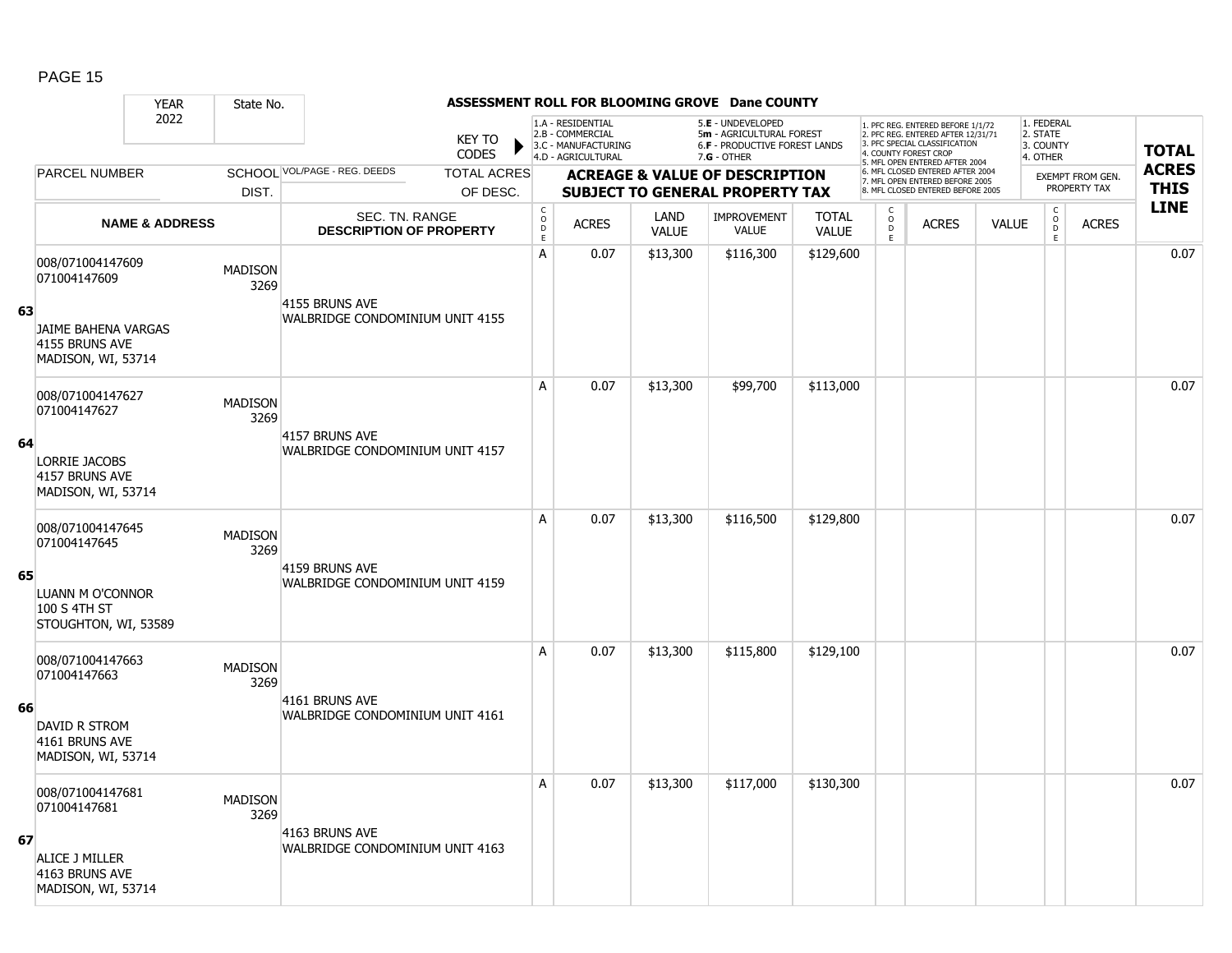|    |                                                              | <b>YEAR</b>               | State No.              |                                                   |                        |                                 |                                                                                    |                      | ASSESSMENT ROLL FOR BLOOMING GROVE Dane COUNTY                                                |                              |                                                   |                                                                                                                                                                     |              |                                                     |                         |                            |
|----|--------------------------------------------------------------|---------------------------|------------------------|---------------------------------------------------|------------------------|---------------------------------|------------------------------------------------------------------------------------|----------------------|-----------------------------------------------------------------------------------------------|------------------------------|---------------------------------------------------|---------------------------------------------------------------------------------------------------------------------------------------------------------------------|--------------|-----------------------------------------------------|-------------------------|----------------------------|
|    |                                                              | 2022                      |                        |                                                   | KEY TO<br><b>CODES</b> |                                 | 1.A - RESIDENTIAL<br>2.B - COMMERCIAL<br>3.C - MANUFACTURING<br>4.D - AGRICULTURAL |                      | 5.E - UNDEVELOPED<br>5m - AGRICULTURAL FOREST<br>6.F - PRODUCTIVE FOREST LANDS<br>7.G - OTHER |                              |                                                   | 1. PFC REG. ENTERED BEFORE 1/1/72<br>2. PFC REG. ENTERED AFTER 12/31/71<br>3. PFC SPECIAL CLASSIFICATION<br>4. COUNTY FOREST CROP<br>5. MFL OPEN ENTERED AFTER 2004 |              | 1. FEDERAL<br>2. STATE<br>3. COUNTY<br>4. OTHER     |                         | <b>TOTAL</b>               |
|    | <b>PARCEL NUMBER</b>                                         |                           |                        | SCHOOL VOL/PAGE - REG. DEEDS                      | <b>TOTAL ACRES</b>     |                                 |                                                                                    |                      | <b>ACREAGE &amp; VALUE OF DESCRIPTION</b>                                                     |                              |                                                   | 6. MFL CLOSED ENTERED AFTER 2004<br>7. MFL OPEN ENTERED BEFORE 2005                                                                                                 |              |                                                     | <b>EXEMPT FROM GEN.</b> | <b>ACRES</b>               |
|    |                                                              |                           | DIST.                  |                                                   | OF DESC.               |                                 |                                                                                    |                      | <b>SUBJECT TO GENERAL PROPERTY TAX</b>                                                        |                              |                                                   | 8. MFL CLOSED ENTERED BEFORE 2005                                                                                                                                   |              |                                                     | PROPERTY TAX            | <b>THIS</b><br><b>LINE</b> |
|    |                                                              | <b>NAME &amp; ADDRESS</b> |                        | SEC. TN. RANGE<br><b>DESCRIPTION OF PROPERTY</b>  |                        | $\rm _o^C$<br>$\mathsf{D}$<br>E | <b>ACRES</b>                                                                       | LAND<br><b>VALUE</b> | IMPROVEMENT<br><b>VALUE</b>                                                                   | <b>TOTAL</b><br><b>VALUE</b> | $\begin{array}{c}\nC \\ O \\ D \\ E\n\end{array}$ | <b>ACRES</b>                                                                                                                                                        | <b>VALUE</b> | $\begin{matrix} 0 \\ 0 \end{matrix}$<br>$\mathsf E$ | <b>ACRES</b>            |                            |
| 63 | 008/071004147609<br>071004147609<br>JAIME BAHENA VARGAS      |                           | <b>MADISON</b><br>3269 | 4155 BRUNS AVE<br>WALBRIDGE CONDOMINIUM UNIT 4155 |                        | A                               | 0.07                                                                               | \$13,300             | \$116,300                                                                                     | \$129,600                    |                                                   |                                                                                                                                                                     |              |                                                     |                         | 0.07                       |
|    | 4155 BRUNS AVE<br>MADISON, WI, 53714                         |                           |                        |                                                   |                        |                                 |                                                                                    |                      |                                                                                               |                              |                                                   |                                                                                                                                                                     |              |                                                     |                         |                            |
|    | 008/071004147627<br>071004147627                             |                           | <b>MADISON</b><br>3269 |                                                   |                        | A                               | 0.07                                                                               | \$13,300             | \$99,700                                                                                      | \$113,000                    |                                                   |                                                                                                                                                                     |              |                                                     |                         | 0.07                       |
| 64 | <b>LORRIE JACOBS</b><br>4157 BRUNS AVE<br>MADISON, WI, 53714 |                           |                        | 4157 BRUNS AVE<br>WALBRIDGE CONDOMINIUM UNIT 4157 |                        |                                 |                                                                                    |                      |                                                                                               |                              |                                                   |                                                                                                                                                                     |              |                                                     |                         |                            |
|    | 008/071004147645<br>071004147645                             |                           | <b>MADISON</b><br>3269 |                                                   |                        | A                               | 0.07                                                                               | \$13,300             | \$116,500                                                                                     | \$129,800                    |                                                   |                                                                                                                                                                     |              |                                                     |                         | 0.07                       |
| 65 | LUANN M O'CONNOR<br>100 S 4TH ST<br>STOUGHTON, WI, 53589     |                           |                        | 4159 BRUNS AVE<br>WALBRIDGE CONDOMINIUM UNIT 4159 |                        |                                 |                                                                                    |                      |                                                                                               |                              |                                                   |                                                                                                                                                                     |              |                                                     |                         |                            |
|    | 008/071004147663<br>071004147663                             |                           | <b>MADISON</b><br>3269 |                                                   |                        | A                               | 0.07                                                                               | \$13,300             | \$115,800                                                                                     | \$129,100                    |                                                   |                                                                                                                                                                     |              |                                                     |                         | 0.07                       |
| 66 | DAVID R STROM<br>4161 BRUNS AVE<br>MADISON, WI, 53714        |                           |                        | 4161 BRUNS AVE<br>WALBRIDGE CONDOMINIUM UNIT 4161 |                        |                                 |                                                                                    |                      |                                                                                               |                              |                                                   |                                                                                                                                                                     |              |                                                     |                         |                            |
|    | 008/071004147681<br>071004147681                             |                           | <b>MADISON</b><br>3269 |                                                   |                        | A                               | 0.07                                                                               | \$13,300             | \$117,000                                                                                     | \$130,300                    |                                                   |                                                                                                                                                                     |              |                                                     |                         | 0.07                       |
| 67 | ALICE J MILLER<br>4163 BRUNS AVE<br>MADISON, WI, 53714       |                           |                        | 4163 BRUNS AVE<br>WALBRIDGE CONDOMINIUM UNIT 4163 |                        |                                 |                                                                                    |                      |                                                                                               |                              |                                                   |                                                                                                                                                                     |              |                                                     |                         |                            |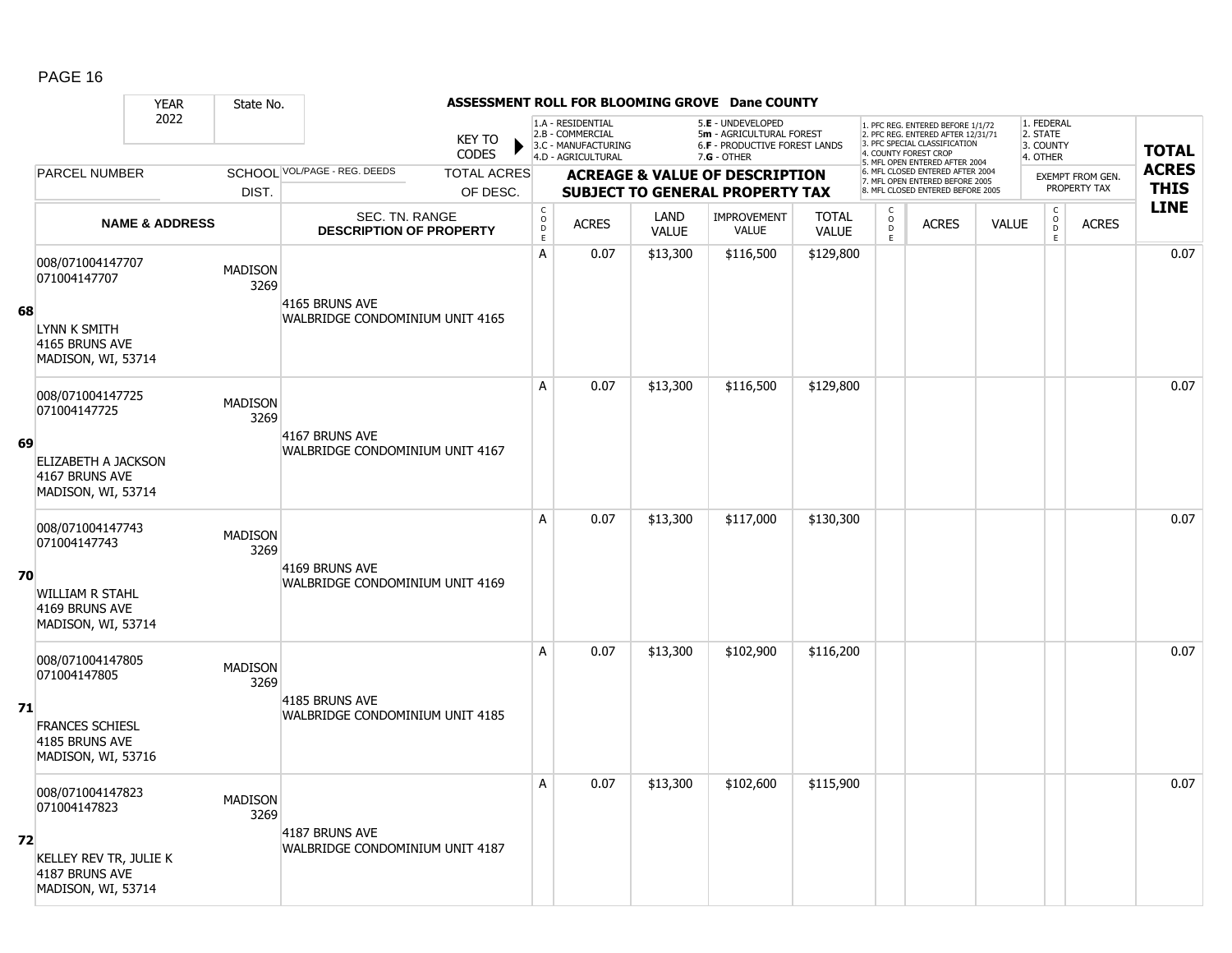#### YEAR State No. **ASSESSMENT ROLL FOR BLOOMING GROVE Dane COUNTY** 2022 KEY TO **CODES** 1. PFC REG. ENTERED BEFORE 1/1/72 2. PFC REG. ENTERED AFTER 12/31/71 3. PFC SPECIAL CLASSIFICATION 4. COUNTY FOREST CROP 5. MFL OPEN ENTERED AFTER 2004 6. MFL CLOSED ENTERED AFTER 2004 7. MFL OPEN ENTERED BEFORE 2005 8. MFL CLOSED ENTERED BEFORE 2005 1. FEDERAL 2. STATE 3. COUNTY 4. OTHER **ACREAGE & VALUE OF DESCRIPTION SUBJECT TO GENERAL PROPERTY TAX** EXEMPT FROM GEN. PROPERTY TAX **TOTAL ACRES THIS LINE** 1.A - RESIDENTIAL 2.B - COMMERCIAL 3.C - MANUFACTURING 4.D - AGRICULTURAL 5.**E** - UNDEVELOPED 5**m** - AGRICULTURAL FOREST 6.**F** - PRODUCTIVE FOREST LANDS 7.**G** - OTHER TOTAL ACRES OF DESC. SCHOOL VOL/PAGE - REG. DEEDS DIST. PARCEL NUMBER ACRES C O  $\overline{D}$ E ACRES VALUE  $\mathsf{C}$ O  $\overline{D}$ E TOTAL VALUE IMPROVEMENT VALUE LAND ACRES | VALUE C O  $\overline{D}$ E SEC. TN. RANGE **DESCRIPTION OF PROPERTY NAME & ADDRESS 68** 008/071004147707 000/071004147707 MADISON 3269 LYNN K SMITH 4165 BRUNS AVE MADISON, WI, 53714 4165 BRUNS AVE WALBRIDGE CONDOMINIUM UNIT 4165 A 0.07 \$13,300 \$116,500 \$129,800 distribution of the 10.07 \$13,300 \$116,500 \$129,800 distribution of the 10.07 **69** 008/071004147725 006/071004147725 MADISON<br>071004147725 2369 3269 ELIZABETH A JACKSON 4167 BRUNS AVE MADISON, WI, 53714 4167 BRUNS AVE WALBRIDGE CONDOMINIUM UNIT 4167 A 0.07 \$13,300 \$116,500 \$129,800 distribution of the 10.07 \$13,300 \$116,500 \$129,800 distribution of the 10.07 **70** 008/071004147743 006/071004147743 MADISON 3269 WILLIAM R STAHL 4169 BRUNS AVE MADISON, WI, 53714 4169 BRUNS AVE WALBRIDGE CONDOMINIUM UNIT 4169 A 0.07 \$13,300 \$117,000 \$130,300 distribution of the 10.07 \$130,300 distribution of the 10.07  $\,$ **71** 008/071004147805 0007071004147603<br>071004147805 MADISON 3269 FRANCES SCHIESL 4185 BRUNS AVE MADISON, WI, 53716 4185 BRUNS AVE WALBRIDGE CONDOMINIUM UNIT 4185 A 0.07 \$13,300 \$102,900 \$116,200 distribution of the 10.07 \$13,300 \$102,900 \$116,200 distribution of the 10.07 **72** 008/071004147823 0000071004147023<br>071004147823 MADISON 3269 KELLEY REV TR, JULIE K 4187 BRUNS AVE MADISON, WI, 53714 4187 BRUNS AVE WALBRIDGE CONDOMINIUM UNIT 4187 A 0.07 \$13,300 \$102,600 \$115,900 distribution and 0.07  $\,$  0.07  $\,$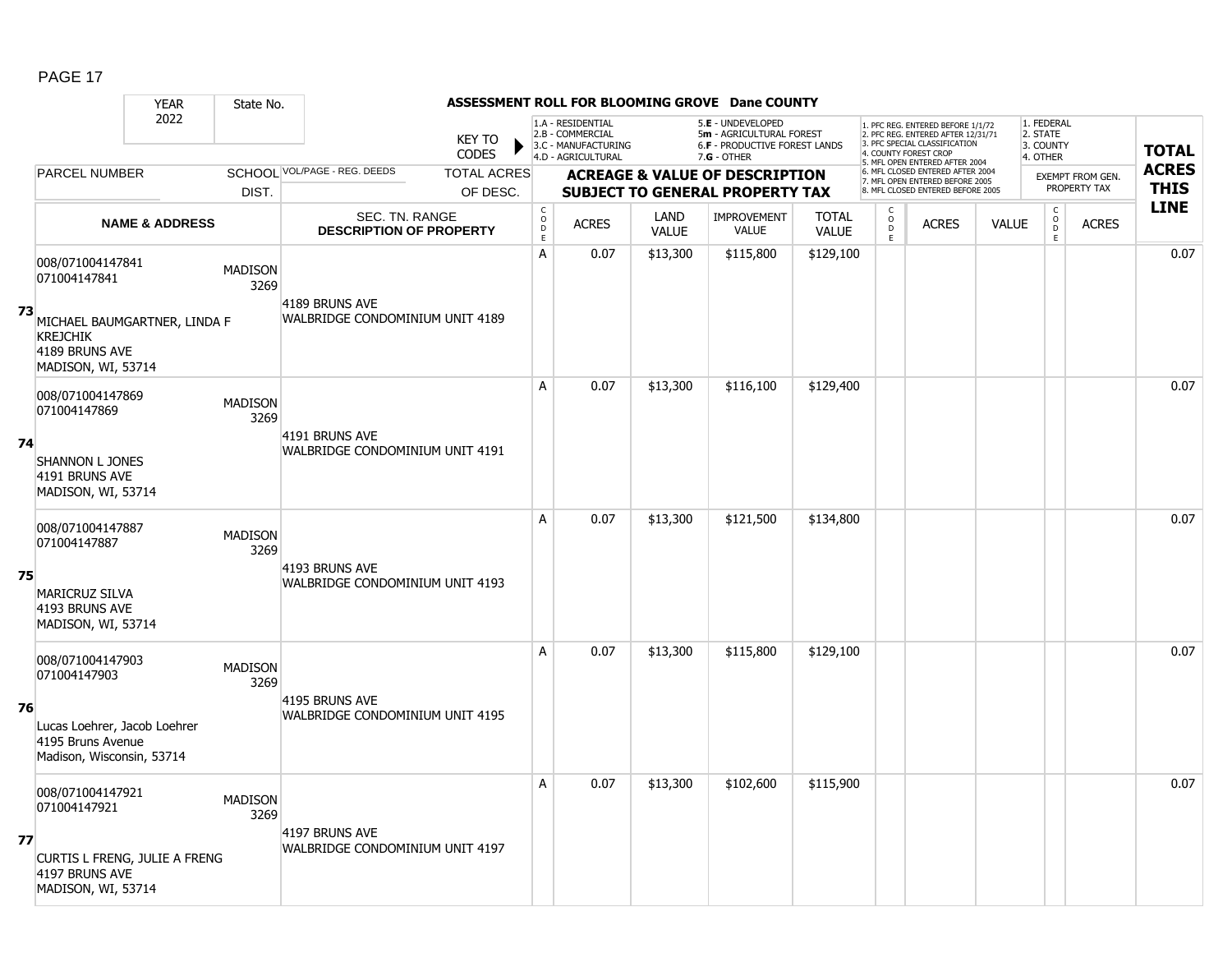#### YEAR State No. **ASSESSMENT ROLL FOR BLOOMING GROVE Dane COUNTY** 2022 KEY TO **CODES** 1. PFC REG. ENTERED BEFORE 1/1/72 2. PFC REG. ENTERED AFTER 12/31/71 3. PFC SPECIAL CLASSIFICATION 4. COUNTY FOREST CROP 5. MFL OPEN ENTERED AFTER 2004 6. MFL CLOSED ENTERED AFTER 2004 7. MFL OPEN ENTERED BEFORE 2005 8. MFL CLOSED ENTERED BEFORE 2005 1. FEDERAL 2. STATE 3. COUNTY 4. OTHER **ACREAGE & VALUE OF DESCRIPTION SUBJECT TO GENERAL PROPERTY TAX** EXEMPT FROM GEN. PROPERTY TAX **TOTAL ACRES THIS LINE** 1.A - RESIDENTIAL 2.B - COMMERCIAL 3.C - MANUFACTURING 4.D - AGRICULTURAL 5.**E** - UNDEVELOPED 5**m** - AGRICULTURAL FOREST 6.**F** - PRODUCTIVE FOREST LANDS 7.**G** - OTHER TOTAL ACRES OF DESC. SCHOOL VOL/PAGE - REG. DEEDS DIST. PARCEL NUMBER ACRES C O  $\overline{D}$ E ACRES VALUE  $\mathsf{C}$ O  $\overline{D}$ E TOTAL VALUE IMPROVEMENT VALUE LAND ACRES | VALUE C O  $\overline{D}$ E SEC. TN. RANGE **DESCRIPTION OF PROPERTY NAME & ADDRESS 73** 008/071004147841 000/071004147641 MADISON 3269 MICHAEL BAUMGARTNER, LINDA F KREJCHIK 4189 BRUNS AVE MADISON, WI, 53714 4189 BRUNS AVE WALBRIDGE CONDOMINIUM UNIT 4189 A 0.07 \$13,300 \$115,800 \$129,100 distance the set of the set of the set of the set of the set of the set of th **74** 008/071004147869 006/071004147869 MADISON<br>071004147869 2360 3269 SHANNON L JONES 4191 BRUNS AVE MADISON, WI, 53714 4191 BRUNS AVE WALBRIDGE CONDOMINIUM UNIT 4191 A 0.07 \$13,300 \$116,100 \$129,400 distribution of the 13,300 \$116,100 \$129,400 distribution of the 1 **75** 008/071004147887 006/071004147667<br>071004147887 MADISON 3269 MARICRUZ SILVA 4193 BRUNS AVE MADISON, WI, 53714 4193 BRUNS AVE WALBRIDGE CONDOMINIUM UNIT 4193 A 0.07 \$13,300 \$121,500 \$134,800 distribution of the 13,300 or the 10.07  $\,$ **76** 008/071004147903 0007071004147903 MADISON 3269 Lucas Loehrer, Jacob Loehrer 4195 Bruns Avenue Madison, Wisconsin, 53714 4195 BRUNS AVE WALBRIDGE CONDOMINIUM UNIT 4195 A 0.07 \$13,300 \$115,800 \$129,100 distance the set of the set of the set of the set of the set of the set of th **77** 008/071004147921 0000071004147921 MADISON 3269 CURTIS L FRENG, JULIE A FRENG 4197 BRUNS AVE MADISON, WI, 53714 4197 BRUNS AVE WALBRIDGE CONDOMINIUM UNIT 4197 A 0.07 \$13,300 \$102,600 \$115,900 distribution and 0.07  $\,$  0.07  $\,$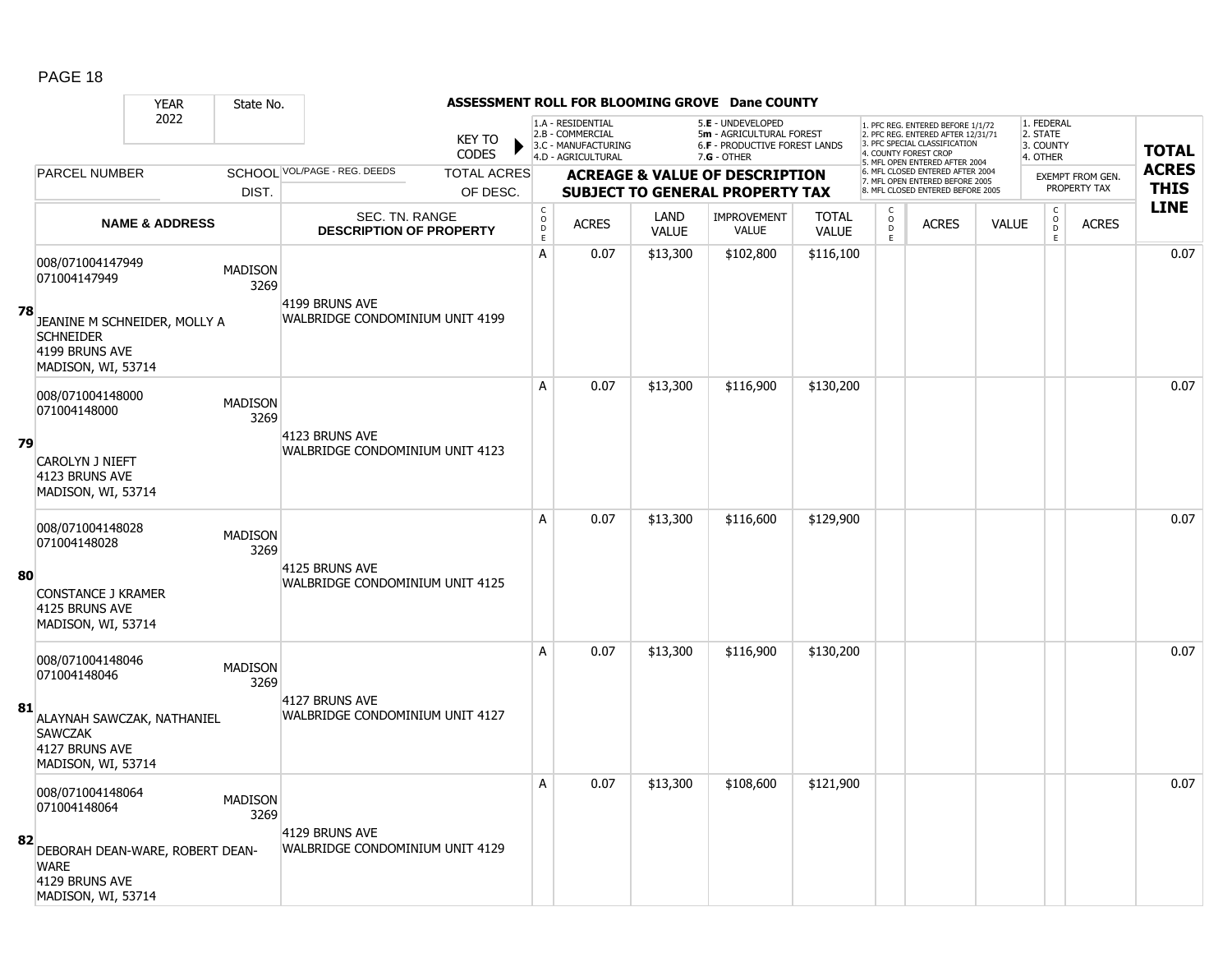#### YEAR State No. **ASSESSMENT ROLL FOR BLOOMING GROVE Dane COUNTY** 2022 KEY TO **CODES** 1. PFC REG. ENTERED BEFORE 1/1/72 2. PFC REG. ENTERED AFTER 12/31/71 3. PFC SPECIAL CLASSIFICATION 4. COUNTY FOREST CROP 5. MFL OPEN ENTERED AFTER 2004 6. MFL CLOSED ENTERED AFTER 2004 7. MFL OPEN ENTERED BEFORE 2005 8. MFL CLOSED ENTERED BEFORE 2005 1. FEDERAL 2. STATE 3. COUNTY 4. OTHER **ACREAGE & VALUE OF DESCRIPTION SUBJECT TO GENERAL PROPERTY TAX** EXEMPT FROM GEN. PROPERTY TAX **TOTAL ACRES THIS LINE** 1.A - RESIDENTIAL 2.B - COMMERCIAL 3.C - MANUFACTURING 4.D - AGRICULTURAL 5.**E** - UNDEVELOPED 5**m** - AGRICULTURAL FOREST 6.**F** - PRODUCTIVE FOREST LANDS 7.**G** - OTHER TOTAL ACRES OF DESC. SCHOOL VOL/PAGE - REG. DEEDS DIST. PARCEL NUMBER ACRES C O  $\overline{D}$ E ACRES VALUE  $\mathsf{C}$ O  $\overline{D}$ E TOTAL VALUE IMPROVEMENT VALUE LAND ACRES | VALUE C O  $\overline{D}$ E SEC. TN. RANGE **DESCRIPTION OF PROPERTY NAME & ADDRESS 78** 008/071004147949 000/071004147949 MADISON 3269 JEANINE M SCHNEIDER, MOLLY A **SCHNEIDER** 4199 BRUNS AVE MADISON, WI, 53714 4199 BRUNS AVE WALBRIDGE CONDOMINIUM UNIT 4199 A 0.07 \$13,300 \$102,800 \$116,100 distribution of the 10.07 \$13,300 \$102,800 \$116,100 distribution of the 10.07 **79** 008/071004148000 006/071004146000<br>071004148000 MADISON 3269 CAROLYN J NIEFT 4123 BRUNS AVE MADISON, WI, 53714 4123 BRUNS AVE WALBRIDGE CONDOMINIUM UNIT 4123 A 0.07 \$13,300 \$116,900 \$130,200 distribution of the 10.07 \$130,200 distribution of the 10.07  $\,$ **80** 008/071004148028 006/071004146026<br>071004148028 MADISON 3269 CONSTANCE J KRAMER 4125 BRUNS AVE MADISON, WI, 53714 4125 BRUNS AVE WALBRIDGE CONDOMINIUM UNIT 4125 A 0.07 \$13,300 \$116,600 \$129,900 distance the set of the set of the set of the set of the set of the set of th **81** 008/071004148046 0007071004148046 MADISON 3269 ALAYNAH SAWCZAK, NATHANIEL **SAWCZAK** 4127 BRUNS AVE MADISON, WI, 53714 4127 BRUNS AVE WALBRIDGE CONDOMINIUM UNIT 4127 A 0.07 \$13,300 \$116,900 \$130,200 distribution of the 10.07 \$130,200 distribution of the 10.07  $\,$ **82** 008/071004148064 0007071004148064 MADISON 3269 DEBORAH DEAN-WARE, ROBERT DEAN-**WARE** 4129 BRUNS AVE MADISON, WI, 53714 4129 BRUNS AVE WALBRIDGE CONDOMINIUM UNIT 4129 A 0.07 \$13,300 \$108,600 \$121,900 distribution of the 10.07  $\,$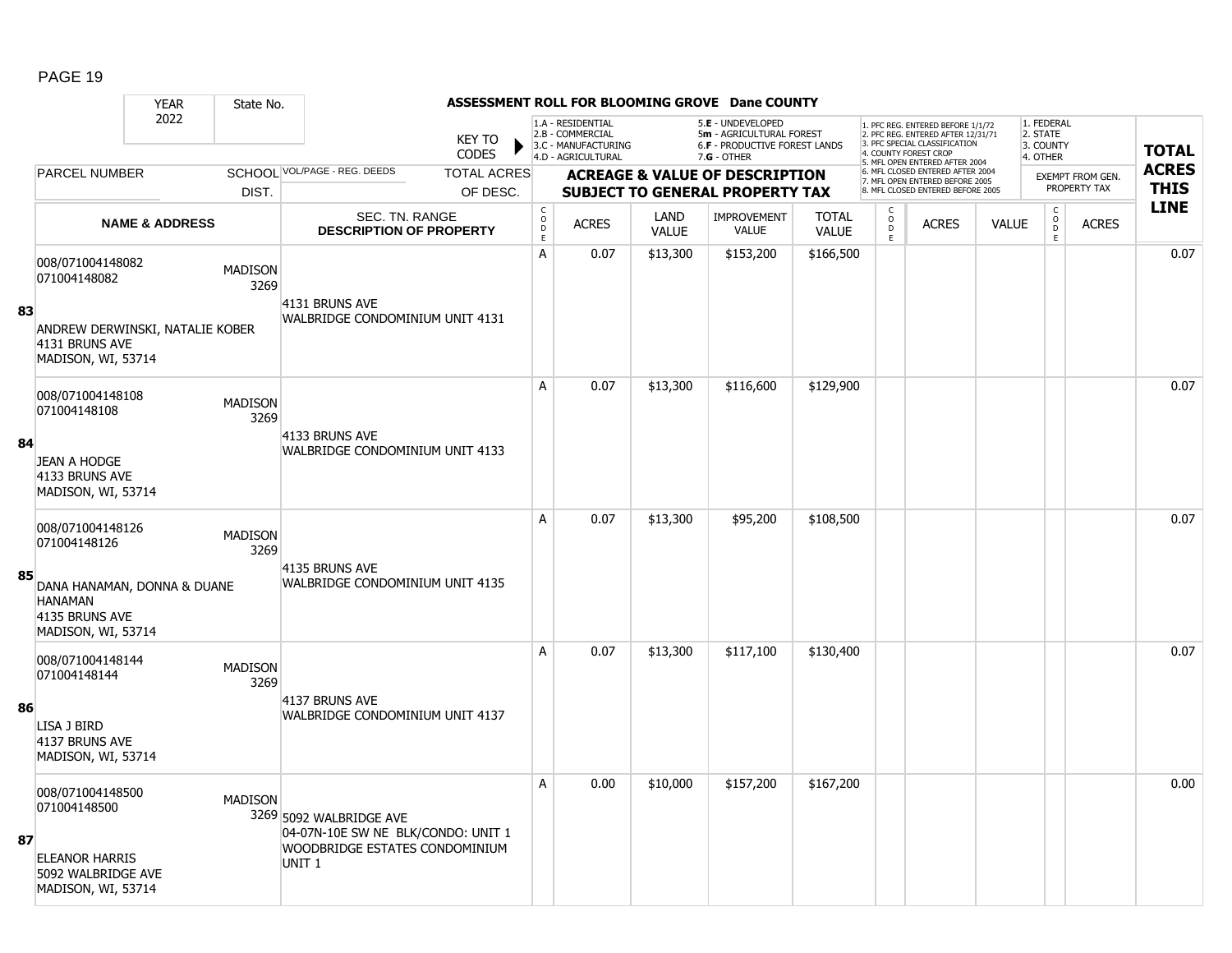#### YEAR State No. **ASSESSMENT ROLL FOR BLOOMING GROVE Dane COUNTY** 2022 KEY TO **CODES** 1. PFC REG. ENTERED BEFORE 1/1/72 2. PFC REG. ENTERED AFTER 12/31/71 3. PFC SPECIAL CLASSIFICATION 4. COUNTY FOREST CROP 5. MFL OPEN ENTERED AFTER 2004 6. MFL CLOSED ENTERED AFTER 2004 7. MFL OPEN ENTERED BEFORE 2005 8. MFL CLOSED ENTERED BEFORE 2005 1. FEDERAL 2. STATE 3. COUNTY 4. OTHER **ACREAGE & VALUE OF DESCRIPTION SUBJECT TO GENERAL PROPERTY TAX** EXEMPT FROM GEN. PROPERTY TAX **TOTAL ACRES THIS LINE** 1.A - RESIDENTIAL 2.B - COMMERCIAL 3.C - MANUFACTURING 4.D - AGRICULTURAL 5.**E** - UNDEVELOPED 5**m** - AGRICULTURAL FOREST 6.**F** - PRODUCTIVE FOREST LANDS 7.**G** - OTHER TOTAL ACRES OF DESC. SCHOOL VOL/PAGE - REG. DEEDS DIST. PARCEL NUMBER ACRES C O D E ACRES VALUE  $\mathsf{C}$ O  $\overline{D}$ E TOTAL VALUE IMPROVEMENT VALUE LAND ACRES | VALUE C O  $\overline{D}$ E SEC. TN. RANGE **DESCRIPTION OF PROPERTY NAME & ADDRESS 83** 008/071004148082 0007071004148082 MADISON 3269 ANDREW DERWINSKI, NATALIE KOBER 4131 BRUNS AVE MADISON, WI, 53714 4131 BRUNS AVE WALBRIDGE CONDOMINIUM UNIT 4131 A 0.07 \$13,300 \$153,200 \$166,500 distribution of the 10.07 \$13,300 \$153,200 \$166,500 distribution of the 10.07 **84** 008/071004148108 006/071004146106<br>071004148108 MADISON 3269 JEAN A HODGE 4133 BRUNS AVE MADISON, WI, 53714 4133 BRUNS AVE WALBRIDGE CONDOMINIUM UNIT 4133 A 0.07 \$13,300 \$116,600 \$129,900 distance the set of the set of the set of the set of the set of the set of th **85** 008/071004148126 006/071004146126 MADISON 3269 DANA HANAMAN, DONNA & DUANE **HANAMAN** 4135 BRUNS AVE MADISON, WI, 53714 4135 BRUNS AVE WALBRIDGE CONDOMINIUM UNIT 4135 A 0.07 \$13,300 \$95,200 \$108,500 distance the contract of the contract of the contract of the contract of the c **86** 008/071004148144 0000071004146144 MADISON 3269 LISA J BIRD 4137 BRUNS AVE MADISON, WI, 53714 4137 BRUNS AVE WALBRIDGE CONDOMINIUM UNIT 4137 A 0.07 \$13,300 \$117,100 \$130,400 distribution of the 10.07 \$130,400 distribution of the 10.07  $\,$ **87** 008/071004148500 0000071004148500<br>071004148500 3269 5092 WALBRIDGE AVE ELEANOR HARRIS 5092 WALBRIDGE AVE MADISON, WI, 53714 04-07N-10E SW NE BLK/CONDO: UNIT 1 WOODBRIDGE ESTATES CONDOMINIUM UNIT 1 A 0.00 \$10,000 \$157,200 \$167,200 distribution of the 10.00 distribution of the 10.000  $\,$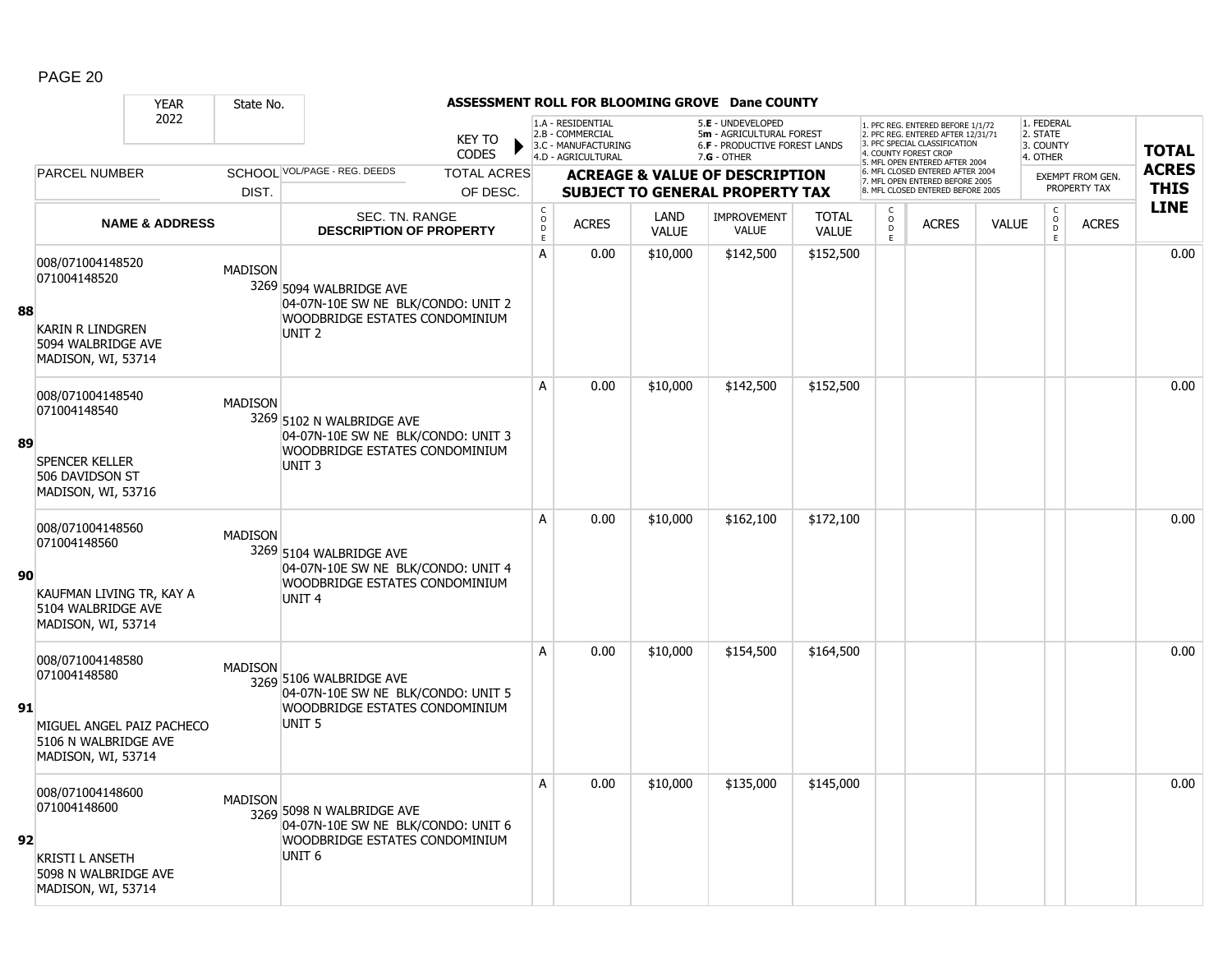|    | <b>YEAR</b>                                                                                                 | State No.      |                                                                                                                             |                               |                                                          |                                                                                    |                      | ASSESSMENT ROLL FOR BLOOMING GROVE Dane COUNTY                                                         |                              |                                                   |                                                                                                                                                                    |              |                                                        |                         |                            |
|----|-------------------------------------------------------------------------------------------------------------|----------------|-----------------------------------------------------------------------------------------------------------------------------|-------------------------------|----------------------------------------------------------|------------------------------------------------------------------------------------|----------------------|--------------------------------------------------------------------------------------------------------|------------------------------|---------------------------------------------------|--------------------------------------------------------------------------------------------------------------------------------------------------------------------|--------------|--------------------------------------------------------|-------------------------|----------------------------|
|    | 2022                                                                                                        |                |                                                                                                                             | <b>KEY TO</b><br><b>CODES</b> |                                                          | 1.A - RESIDENTIAL<br>2.B - COMMERCIAL<br>3.C - MANUFACTURING<br>4.D - AGRICULTURAL |                      | 5.E - UNDEVELOPED<br>5m - AGRICULTURAL FOREST<br><b>6.F - PRODUCTIVE FOREST LANDS</b><br>$7.G - OTHER$ |                              |                                                   | 1. PFC REG. ENTERED BEFORE 1/1/72<br>2. PFC REG. ENTERED AFTER 12/31/71<br>3. PFC SPECIAL CLASSIFICATION<br>4. COUNTY FOREST CROP<br>. MFL OPEN ENTERED AFTER 2004 |              | 1. FEDERAL<br>2. STATE<br>3. COUNTY<br>4. OTHER        |                         | <b>TOTAL</b>               |
|    | <b>PARCEL NUMBER</b>                                                                                        |                | SCHOOL VOL/PAGE - REG. DEEDS                                                                                                | <b>TOTAL ACRES</b>            |                                                          |                                                                                    |                      | <b>ACREAGE &amp; VALUE OF DESCRIPTION</b>                                                              |                              |                                                   | 6. MFL CLOSED ENTERED AFTER 2004<br>7. MFL OPEN ENTERED BEFORE 2005                                                                                                |              |                                                        | <b>EXEMPT FROM GEN.</b> | <b>ACRES</b>               |
|    |                                                                                                             | DIST.          |                                                                                                                             | OF DESC.                      |                                                          |                                                                                    |                      | <b>SUBJECT TO GENERAL PROPERTY TAX</b>                                                                 |                              |                                                   | 8. MFL CLOSED ENTERED BEFORE 2005                                                                                                                                  |              |                                                        | PROPERTY TAX            | <b>THIS</b><br><b>LINE</b> |
|    | <b>NAME &amp; ADDRESS</b>                                                                                   |                | SEC. TN. RANGE<br><b>DESCRIPTION OF PROPERTY</b>                                                                            |                               | $\begin{matrix} 0 \\ 0 \\ 0 \end{matrix}$<br>$\mathsf E$ | <b>ACRES</b>                                                                       | LAND<br><b>VALUE</b> | <b>IMPROVEMENT</b><br><b>VALUE</b>                                                                     | <b>TOTAL</b><br><b>VALUE</b> | C<br>$\begin{array}{c}\n0 \\ 0 \\ E\n\end{array}$ | <b>ACRES</b>                                                                                                                                                       | <b>VALUE</b> | $\mathsf C$<br>$\overset{\mathsf{O}}{\mathsf{D}}$<br>E | <b>ACRES</b>            |                            |
| 88 | 008/071004148520<br>071004148520<br>KARIN R LINDGREN<br>5094 WALBRIDGE AVE<br>MADISON, WI, 53714            | <b>MADISON</b> | 3269 5094 WALBRIDGE AVE<br>04-07N-10E SW NE BLK/CONDO: UNIT 2<br>WOODBRIDGE ESTATES CONDOMINIUM<br>UNIT <sub>2</sub>        |                               | A                                                        | 0.00                                                                               | \$10,000             | \$142,500                                                                                              | \$152,500                    |                                                   |                                                                                                                                                                    |              |                                                        |                         | 0.00                       |
| 89 | 008/071004148540<br>071004148540<br>SPENCER KELLER<br>506 DAVIDSON ST<br>MADISON, WI, 53716                 | <b>MADISON</b> | 3269 5102 N WALBRIDGE AVE<br>04-07N-10E SW NE BLK/CONDO: UNIT 3<br>WOODBRIDGE ESTATES CONDOMINIUM<br>UNIT <sub>3</sub>      |                               | A                                                        | 0.00                                                                               | \$10,000             | \$142,500                                                                                              | \$152,500                    |                                                   |                                                                                                                                                                    |              |                                                        |                         | 0.00                       |
| 90 | 008/071004148560<br>071004148560<br>KAUFMAN LIVING TR, KAY A<br>5104 WALBRIDGE AVE<br>MADISON, WI, 53714    | <b>MADISON</b> | 3269 5104 WALBRIDGE AVE<br>04-07N-10E SW NE BLK/CONDO: UNIT 4<br><b>WOODBRIDGE ESTATES CONDOMINIUM</b><br>UNIT <sub>4</sub> |                               | A                                                        | 0.00                                                                               | \$10,000             | \$162,100                                                                                              | \$172,100                    |                                                   |                                                                                                                                                                    |              |                                                        |                         | 0.00                       |
| 91 | 008/071004148580<br>071004148580<br>MIGUEL ANGEL PAIZ PACHECO<br>5106 N WALBRIDGE AVE<br>MADISON, WI, 53714 | <b>MADISON</b> | 3269 5106 WALBRIDGE AVE<br>04-07N-10E SW NE BLK/CONDO: UNIT 5<br>WOODBRIDGE ESTATES CONDOMINIUM<br>UNIT <sub>5</sub>        |                               | A                                                        | 0.00                                                                               | \$10,000             | \$154,500                                                                                              | \$164,500                    |                                                   |                                                                                                                                                                    |              |                                                        |                         | 0.00                       |
| 92 | 008/071004148600<br>071004148600<br><b>KRISTI L ANSETH</b><br>5098 N WALBRIDGE AVE<br>MADISON, WI, 53714    | <b>MADISON</b> | 3269 5098 N WALBRIDGE AVE<br>04-07N-10E SW NE BLK/CONDO: UNIT 6<br>WOODBRIDGE ESTATES CONDOMINIUM<br>UNIT <sub>6</sub>      |                               | A                                                        | 0.00                                                                               | \$10,000             | \$135,000                                                                                              | \$145,000                    |                                                   |                                                                                                                                                                    |              |                                                        |                         | 0.00                       |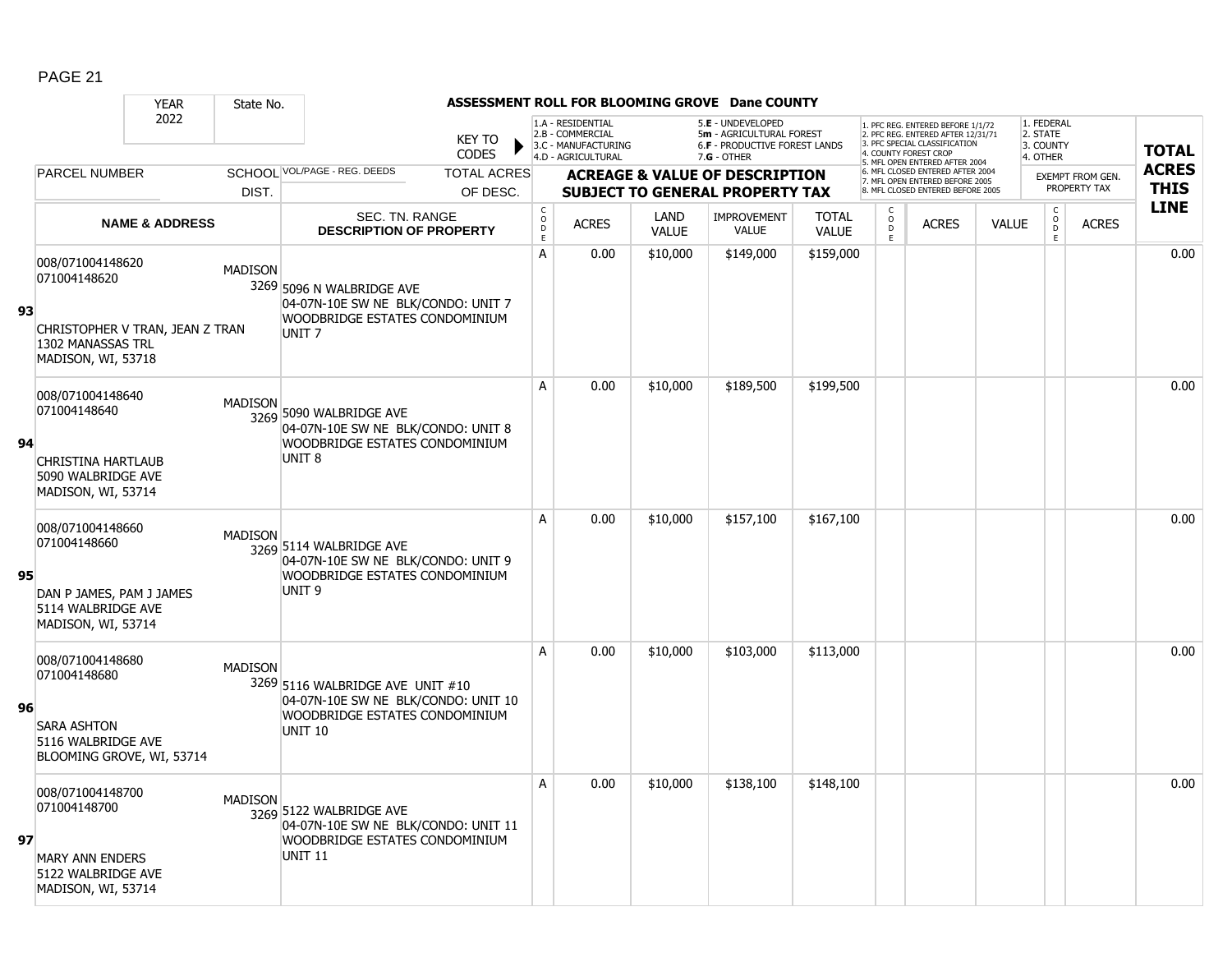|    |                                                                                                                | <b>YEAR</b>               | State No.      |                                                                                                                             |                                |                                            |                                                                                    |                      | ASSESSMENT ROLL FOR BLOOMING GROVE Dane COUNTY                                                  |                       |                               |                                                                                                                                                                     |              |                                                 |                                         |                             |
|----|----------------------------------------------------------------------------------------------------------------|---------------------------|----------------|-----------------------------------------------------------------------------------------------------------------------------|--------------------------------|--------------------------------------------|------------------------------------------------------------------------------------|----------------------|-------------------------------------------------------------------------------------------------|-----------------------|-------------------------------|---------------------------------------------------------------------------------------------------------------------------------------------------------------------|--------------|-------------------------------------------------|-----------------------------------------|-----------------------------|
|    |                                                                                                                | 2022                      |                |                                                                                                                             | <b>KEY TO</b><br><b>CODES</b>  |                                            | 1.A - RESIDENTIAL<br>2.B - COMMERCIAL<br>3.C - MANUFACTURING<br>4.D - AGRICULTURAL |                      | 5.E - UNDEVELOPED<br>5m - AGRICULTURAL FOREST<br>6.F - PRODUCTIVE FOREST LANDS<br>$7.G - OTHER$ |                       |                               | 1. PFC REG. ENTERED BEFORE 1/1/72<br>2. PFC REG. ENTERED AFTER 12/31/71<br>3. PFC SPECIAL CLASSIFICATION<br>4. COUNTY FOREST CROP<br>5. MFL OPEN ENTERED AFTER 2004 |              | 1. FEDERAL<br>2. STATE<br>3. COUNTY<br>4. OTHER |                                         | <b>TOTAL</b>                |
|    | PARCEL NUMBER                                                                                                  |                           | DIST.          | SCHOOL VOL/PAGE - REG. DEEDS                                                                                                | <b>TOTAL ACRES</b><br>OF DESC. |                                            |                                                                                    |                      | <b>ACREAGE &amp; VALUE OF DESCRIPTION</b><br><b>SUBJECT TO GENERAL PROPERTY TAX</b>             |                       |                               | 6. MFL CLOSED ENTERED AFTER 2004<br>7. MFL OPEN ENTERED BEFORE 2005<br>8. MFL CLOSED ENTERED BEFORE 2005                                                            |              |                                                 | <b>EXEMPT FROM GEN.</b><br>PROPERTY TAX | <b>ACRES</b><br><b>THIS</b> |
|    |                                                                                                                | <b>NAME &amp; ADDRESS</b> |                | SEC. TN. RANGE<br><b>DESCRIPTION OF PROPERTY</b>                                                                            |                                | $\begin{array}{c} C \\ O \\ E \end{array}$ | <b>ACRES</b>                                                                       | LAND<br><b>VALUE</b> | <b>IMPROVEMENT</b><br><b>VALUE</b>                                                              | <b>TOTAL</b><br>VALUE | C<br>$_{\rm D}^{\rm O}$<br>F. | <b>ACRES</b>                                                                                                                                                        | <b>VALUE</b> | $\mathsf{C}$<br>$_{\rm D}^{\rm O}$<br>E         | <b>ACRES</b>                            | <b>LINE</b>                 |
| 93 | 008/071004148620<br>071004148620<br>CHRISTOPHER V TRAN, JEAN Z TRAN<br>1302 MANASSAS TRL<br>MADISON, WI, 53718 |                           | <b>MADISON</b> | 3269 5096 N WALBRIDGE AVE<br>04-07N-10E SW NE BLK/CONDO: UNIT 7<br>WOODBRIDGE ESTATES CONDOMINIUM<br>UNIT <sub>7</sub>      |                                | A                                          | 0.00                                                                               | \$10,000             | \$149,000                                                                                       | \$159,000             |                               |                                                                                                                                                                     |              |                                                 |                                         | 0.00                        |
| 94 | 008/071004148640<br>071004148640<br>CHRISTINA HARTLAUB<br>5090 WALBRIDGE AVE<br>MADISON, WI, 53714             |                           | <b>MADISON</b> | 3269 5090 WALBRIDGE AVE<br>04-07N-10E SW NE BLK/CONDO: UNIT 8<br>WOODBRIDGE ESTATES CONDOMINIUM<br>UNIT <sub>8</sub>        |                                | A                                          | 0.00                                                                               | \$10,000             | \$189,500                                                                                       | \$199,500             |                               |                                                                                                                                                                     |              |                                                 |                                         | 0.00                        |
| 95 | 008/071004148660<br>071004148660<br>DAN P JAMES, PAM J JAMES<br>5114 WALBRIDGE AVE<br>MADISON, WI, 53714       |                           | <b>MADISON</b> | 3269 5114 WALBRIDGE AVE<br>04-07N-10E SW NE BLK/CONDO: UNIT 9<br>WOODBRIDGE ESTATES CONDOMINIUM<br>UNIT <sub>9</sub>        |                                | A                                          | 0.00                                                                               | \$10,000             | \$157,100                                                                                       | \$167,100             |                               |                                                                                                                                                                     |              |                                                 |                                         | 0.00                        |
| 96 | 008/071004148680<br>071004148680<br><b>SARA ASHTON</b><br>5116 WALBRIDGE AVE<br>BLOOMING GROVE, WI, 53714      |                           | <b>MADISON</b> | 3269 5116 WALBRIDGE AVE UNIT #10<br>04-07N-10E SW NE BLK/CONDO: UNIT 10<br>WOODBRIDGE ESTATES CONDOMINIUM<br><b>UNIT 10</b> |                                | A                                          | 0.00                                                                               | \$10,000             | \$103,000                                                                                       | \$113,000             |                               |                                                                                                                                                                     |              |                                                 |                                         | 0.00                        |
| 97 | 008/071004148700<br>071004148700<br><b>MARY ANN ENDERS</b><br>5122 WALBRIDGE AVE<br>MADISON, WI, 53714         |                           | <b>MADISON</b> | 3269 5122 WALBRIDGE AVE<br>04-07N-10E SW NE BLK/CONDO: UNIT 11<br>WOODBRIDGE ESTATES CONDOMINIUM<br><b>UNIT 11</b>          |                                | A                                          | 0.00                                                                               | \$10,000             | \$138,100                                                                                       | \$148,100             |                               |                                                                                                                                                                     |              |                                                 |                                         | 0.00                        |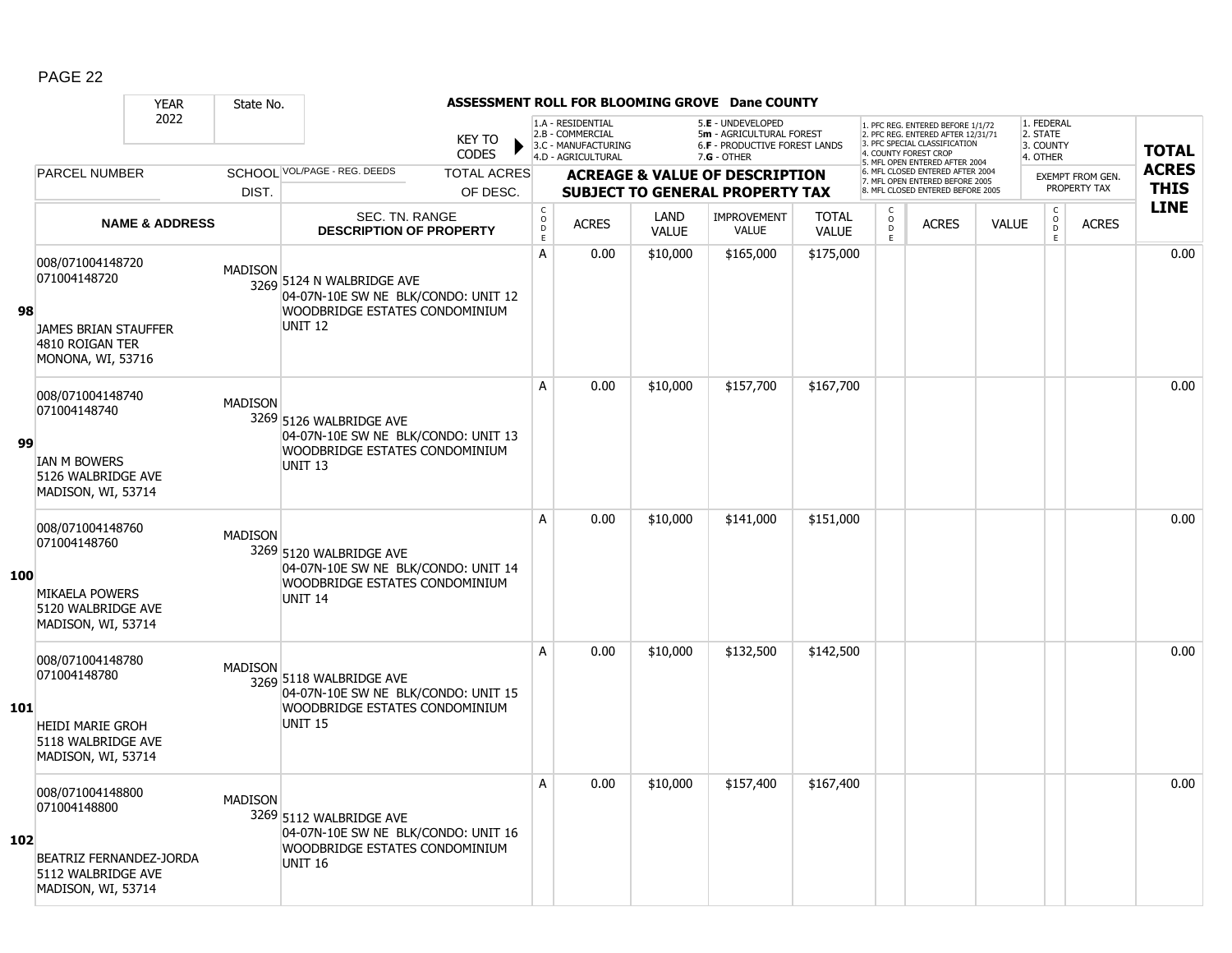|            |                                                                            | <b>YEAR</b>               | State No.      |                                                                                                                      |                               |                                        |                                                                                    |                      | ASSESSMENT ROLL FOR BLOOMING GROVE Dane COUNTY                                                         |                              |                              |                                                                                                                                   |              |                                                                   |                                         |                             |
|------------|----------------------------------------------------------------------------|---------------------------|----------------|----------------------------------------------------------------------------------------------------------------------|-------------------------------|----------------------------------------|------------------------------------------------------------------------------------|----------------------|--------------------------------------------------------------------------------------------------------|------------------------------|------------------------------|-----------------------------------------------------------------------------------------------------------------------------------|--------------|-------------------------------------------------------------------|-----------------------------------------|-----------------------------|
|            |                                                                            | 2022                      |                |                                                                                                                      | <b>KEY TO</b><br><b>CODES</b> |                                        | 1.A - RESIDENTIAL<br>2.B - COMMERCIAL<br>3.C - MANUFACTURING<br>4.D - AGRICULTURAL |                      | 5.E - UNDEVELOPED<br>5m - AGRICULTURAL FOREST<br><b>6.F - PRODUCTIVE FOREST LANDS</b><br>$7.G - OTHER$ |                              |                              | 1. PFC REG. ENTERED BEFORE 1/1/72<br>2. PFC REG. ENTERED AFTER 12/31/71<br>3. PFC SPECIAL CLASSIFICATION<br>4. COUNTY FOREST CROP |              | 1. FEDERAL<br>2. STATE<br>3. COUNTY<br>4. OTHER                   |                                         | <b>TOTAL</b>                |
|            | PARCEL NUMBER                                                              |                           |                | SCHOOL VOL/PAGE - REG. DEEDS                                                                                         | <b>TOTAL ACRES</b>            |                                        |                                                                                    |                      | <b>ACREAGE &amp; VALUE OF DESCRIPTION</b>                                                              |                              |                              | 5. MFL OPEN ENTERED AFTER 2004<br>6. MFL CLOSED ENTERED AFTER 2004<br>7. MFL OPEN ENTERED BEFORE 2005                             |              |                                                                   | <b>EXEMPT FROM GEN.</b><br>PROPERTY TAX | <b>ACRES</b><br><b>THIS</b> |
|            |                                                                            |                           | DIST.          |                                                                                                                      | OF DESC.                      |                                        |                                                                                    |                      | <b>SUBJECT TO GENERAL PROPERTY TAX</b>                                                                 |                              |                              | 8. MFL CLOSED ENTERED BEFORE 2005                                                                                                 |              |                                                                   |                                         | <b>LINE</b>                 |
|            |                                                                            | <b>NAME &amp; ADDRESS</b> |                | SEC. TN. RANGE<br><b>DESCRIPTION OF PROPERTY</b>                                                                     |                               | $_{\rm o}^{\rm c}$<br>$\mathsf D$<br>E | <b>ACRES</b>                                                                       | LAND<br><b>VALUE</b> | <b>IMPROVEMENT</b><br>VALUE                                                                            | <b>TOTAL</b><br><b>VALUE</b> | C<br>$_{\rm D}^{\rm O}$<br>E | <b>ACRES</b>                                                                                                                      | <b>VALUE</b> | $\begin{smallmatrix} C\\O\\O\\D \end{smallmatrix}$<br>$\mathsf E$ | <b>ACRES</b>                            |                             |
| 98         | 008/071004148720<br>071004148720                                           |                           | <b>MADISON</b> | 3269 5124 N WALBRIDGE AVE<br>04-07N-10E SW NE BLK/CONDO: UNIT 12<br>WOODBRIDGE ESTATES CONDOMINIUM<br><b>UNIT 12</b> |                               | A                                      | 0.00                                                                               | \$10,000             | \$165,000                                                                                              | \$175,000                    |                              |                                                                                                                                   |              |                                                                   |                                         | 0.00                        |
|            | <b>JAMES BRIAN STAUFFER</b><br>4810 ROIGAN TER<br><b>MONONA, WI, 53716</b> |                           |                |                                                                                                                      |                               |                                        |                                                                                    |                      |                                                                                                        |                              |                              |                                                                                                                                   |              |                                                                   |                                         |                             |
|            | 008/071004148740<br>071004148740                                           |                           | <b>MADISON</b> | 3269 5126 WALBRIDGE AVE<br>04-07N-10E SW NE BLK/CONDO: UNIT 13                                                       |                               | A                                      | 0.00                                                                               | \$10,000             | \$157,700                                                                                              | \$167,700                    |                              |                                                                                                                                   |              |                                                                   |                                         | 0.00                        |
| 99         | <b>IAN M BOWERS</b><br>5126 WALBRIDGE AVE<br>MADISON, WI, 53714            |                           |                | WOODBRIDGE ESTATES CONDOMINIUM<br>UNIT <sub>13</sub>                                                                 |                               |                                        |                                                                                    |                      |                                                                                                        |                              |                              |                                                                                                                                   |              |                                                                   |                                         |                             |
| 100        | 008/071004148760<br>071004148760                                           |                           | <b>MADISON</b> | 3269 5120 WALBRIDGE AVE<br>04-07N-10E SW NE BLK/CONDO: UNIT 14                                                       |                               | A                                      | 0.00                                                                               | \$10,000             | \$141,000                                                                                              | \$151,000                    |                              |                                                                                                                                   |              |                                                                   |                                         | 0.00                        |
|            | <b>MIKAELA POWERS</b><br>5120 WALBRIDGE AVE<br>MADISON, WI, 53714          |                           |                | WOODBRIDGE ESTATES CONDOMINIUM<br>UNIT <sub>14</sub>                                                                 |                               |                                        |                                                                                    |                      |                                                                                                        |                              |                              |                                                                                                                                   |              |                                                                   |                                         |                             |
|            | 008/071004148780<br>071004148780                                           |                           | <b>MADISON</b> | 3269 5118 WALBRIDGE AVE<br>04-07N-10E SW NE BLK/CONDO: UNIT 15                                                       |                               | A                                      | 0.00                                                                               | \$10,000             | \$132,500                                                                                              | \$142,500                    |                              |                                                                                                                                   |              |                                                                   |                                         | 0.00                        |
| <b>101</b> | <b>HEIDI MARIE GROH</b><br>5118 WALBRIDGE AVE<br>MADISON, WI, 53714        |                           |                | WOODBRIDGE ESTATES CONDOMINIUM<br><b>UNIT 15</b>                                                                     |                               |                                        |                                                                                    |                      |                                                                                                        |                              |                              |                                                                                                                                   |              |                                                                   |                                         |                             |
| 102        | 008/071004148800<br>071004148800                                           |                           | <b>MADISON</b> | 3269 5112 WALBRIDGE AVE<br>04-07N-10E SW NE BLK/CONDO: UNIT 16                                                       |                               | A                                      | 0.00                                                                               | \$10,000             | \$157,400                                                                                              | \$167,400                    |                              |                                                                                                                                   |              |                                                                   |                                         | 0.00                        |
|            | BEATRIZ FERNANDEZ-JORDA<br>5112 WALBRIDGE AVE<br>MADISON, WI, 53714        |                           |                | WOODBRIDGE ESTATES CONDOMINIUM<br>UNIT <sub>16</sub>                                                                 |                               |                                        |                                                                                    |                      |                                                                                                        |                              |                              |                                                                                                                                   |              |                                                                   |                                         |                             |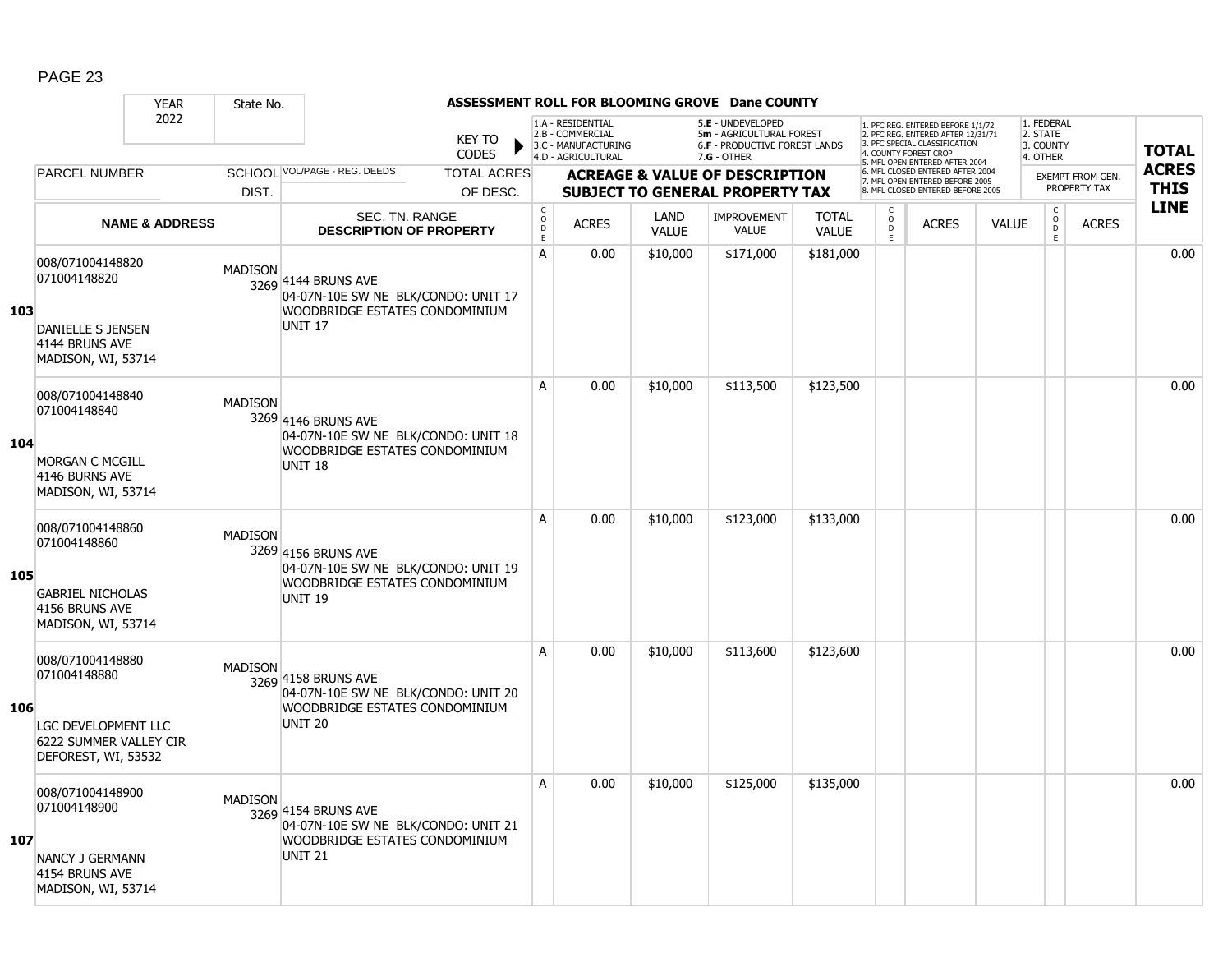|     |                                                                                                          | <b>YEAR</b>               | State No.      |                                                                                                                |                               |                                        |                                                                                    |                      | ASSESSMENT ROLL FOR BLOOMING GROVE Dane COUNTY                                                  |                              |                                                |                                                                                                                                                                     |              |                                                 |                  |                            |
|-----|----------------------------------------------------------------------------------------------------------|---------------------------|----------------|----------------------------------------------------------------------------------------------------------------|-------------------------------|----------------------------------------|------------------------------------------------------------------------------------|----------------------|-------------------------------------------------------------------------------------------------|------------------------------|------------------------------------------------|---------------------------------------------------------------------------------------------------------------------------------------------------------------------|--------------|-------------------------------------------------|------------------|----------------------------|
|     |                                                                                                          | 2022                      |                |                                                                                                                | <b>KEY TO</b><br><b>CODES</b> |                                        | 1.A - RESIDENTIAL<br>2.B - COMMERCIAL<br>3.C - MANUFACTURING<br>4.D - AGRICULTURAL |                      | 5.E - UNDEVELOPED<br>5m - AGRICULTURAL FOREST<br>6.F - PRODUCTIVE FOREST LANDS<br>$7.G - OTHER$ |                              |                                                | 1. PFC REG. ENTERED BEFORE 1/1/72<br>2. PFC REG. ENTERED AFTER 12/31/71<br>3. PFC SPECIAL CLASSIFICATION<br>4. COUNTY FOREST CROP<br>5. MFL OPEN ENTERED AFTER 2004 |              | 1. FEDERAL<br>2. STATE<br>3. COUNTY<br>4. OTHER |                  | <b>TOTAL</b>               |
|     | <b>PARCEL NUMBER</b>                                                                                     |                           |                | SCHOOL VOL/PAGE - REG. DEEDS                                                                                   | <b>TOTAL ACRES</b>            |                                        |                                                                                    |                      | <b>ACREAGE &amp; VALUE OF DESCRIPTION</b>                                                       |                              |                                                | 6. MFL CLOSED ENTERED AFTER 2004<br>7. MFL OPEN ENTERED BEFORE 2005                                                                                                 |              |                                                 | EXEMPT FROM GEN. | <b>ACRES</b>               |
|     |                                                                                                          |                           | DIST.          |                                                                                                                | OF DESC.                      |                                        |                                                                                    |                      | <b>SUBJECT TO GENERAL PROPERTY TAX</b>                                                          |                              |                                                | 8. MFL CLOSED ENTERED BEFORE 2005                                                                                                                                   |              |                                                 | PROPERTY TAX     | <b>THIS</b><br><b>LINE</b> |
|     |                                                                                                          | <b>NAME &amp; ADDRESS</b> |                | SEC. TN. RANGE<br><b>DESCRIPTION OF PROPERTY</b>                                                               |                               | $_{\rm o}^{\rm c}$<br>$\mathsf D$<br>E | <b>ACRES</b>                                                                       | LAND<br><b>VALUE</b> | <b>IMPROVEMENT</b><br><b>VALUE</b>                                                              | <b>TOTAL</b><br><b>VALUE</b> | $\begin{matrix} 0 \\ 0 \\ D \end{matrix}$<br>E | <b>ACRES</b>                                                                                                                                                        | <b>VALUE</b> | $\begin{matrix} 0 \\ 0 \\ 0 \end{matrix}$<br>E  | <b>ACRES</b>     |                            |
| 103 | 008/071004148820<br>071004148820<br>DANIELLE S JENSEN<br>4144 BRUNS AVE<br>MADISON, WI, 53714            |                           | <b>MADISON</b> | 3269 4144 BRUNS AVE<br>04-07N-10E SW NE BLK/CONDO: UNIT 17<br>WOODBRIDGE ESTATES CONDOMINIUM<br><b>UNIT 17</b> |                               | A                                      | 0.00                                                                               | \$10,000             | \$171,000                                                                                       | \$181,000                    |                                                |                                                                                                                                                                     |              |                                                 |                  | 0.00                       |
| 104 | 008/071004148840<br>071004148840<br><b>MORGAN C MCGILL</b><br>4146 BURNS AVE<br>MADISON, WI, 53714       |                           | <b>MADISON</b> | 3269 4146 BRUNS AVE<br>04-07N-10E SW NE BLK/CONDO: UNIT 18<br>WOODBRIDGE ESTATES CONDOMINIUM<br><b>UNIT 18</b> |                               | A                                      | 0.00                                                                               | \$10,000             | \$113,500                                                                                       | \$123,500                    |                                                |                                                                                                                                                                     |              |                                                 |                  | 0.00                       |
| 105 | 008/071004148860<br>071004148860<br><b>GABRIEL NICHOLAS</b><br>4156 BRUNS AVE<br>MADISON, WI, 53714      |                           | <b>MADISON</b> | 3269 4156 BRUNS AVE<br>04-07N-10E SW NE BLK/CONDO: UNIT 19<br>WOODBRIDGE ESTATES CONDOMINIUM<br><b>UNIT 19</b> |                               | A                                      | 0.00                                                                               | \$10,000             | \$123,000                                                                                       | \$133,000                    |                                                |                                                                                                                                                                     |              |                                                 |                  | 0.00                       |
| 106 | 008/071004148880<br>071004148880<br>LGC DEVELOPMENT LLC<br>6222 SUMMER VALLEY CIR<br>DEFOREST, WI, 53532 |                           | <b>MADISON</b> | 3269 4158 BRUNS AVE<br>04-07N-10E SW NE BLK/CONDO: UNIT 20<br>WOODBRIDGE ESTATES CONDOMINIUM<br><b>UNIT 20</b> |                               | A                                      | 0.00                                                                               | \$10,000             | \$113,600                                                                                       | \$123,600                    |                                                |                                                                                                                                                                     |              |                                                 |                  | 0.00                       |
| 107 | 008/071004148900<br>071004148900<br>NANCY J GERMANN<br>4154 BRUNS AVE<br>MADISON, WI, 53714              |                           | <b>MADISON</b> | 3269 4154 BRUNS AVE<br>04-07N-10E SW NE BLK/CONDO: UNIT 21<br>WOODBRIDGE ESTATES CONDOMINIUM<br><b>UNIT 21</b> |                               | A                                      | 0.00                                                                               | \$10,000             | \$125,000                                                                                       | \$135,000                    |                                                |                                                                                                                                                                     |              |                                                 |                  | 0.00                       |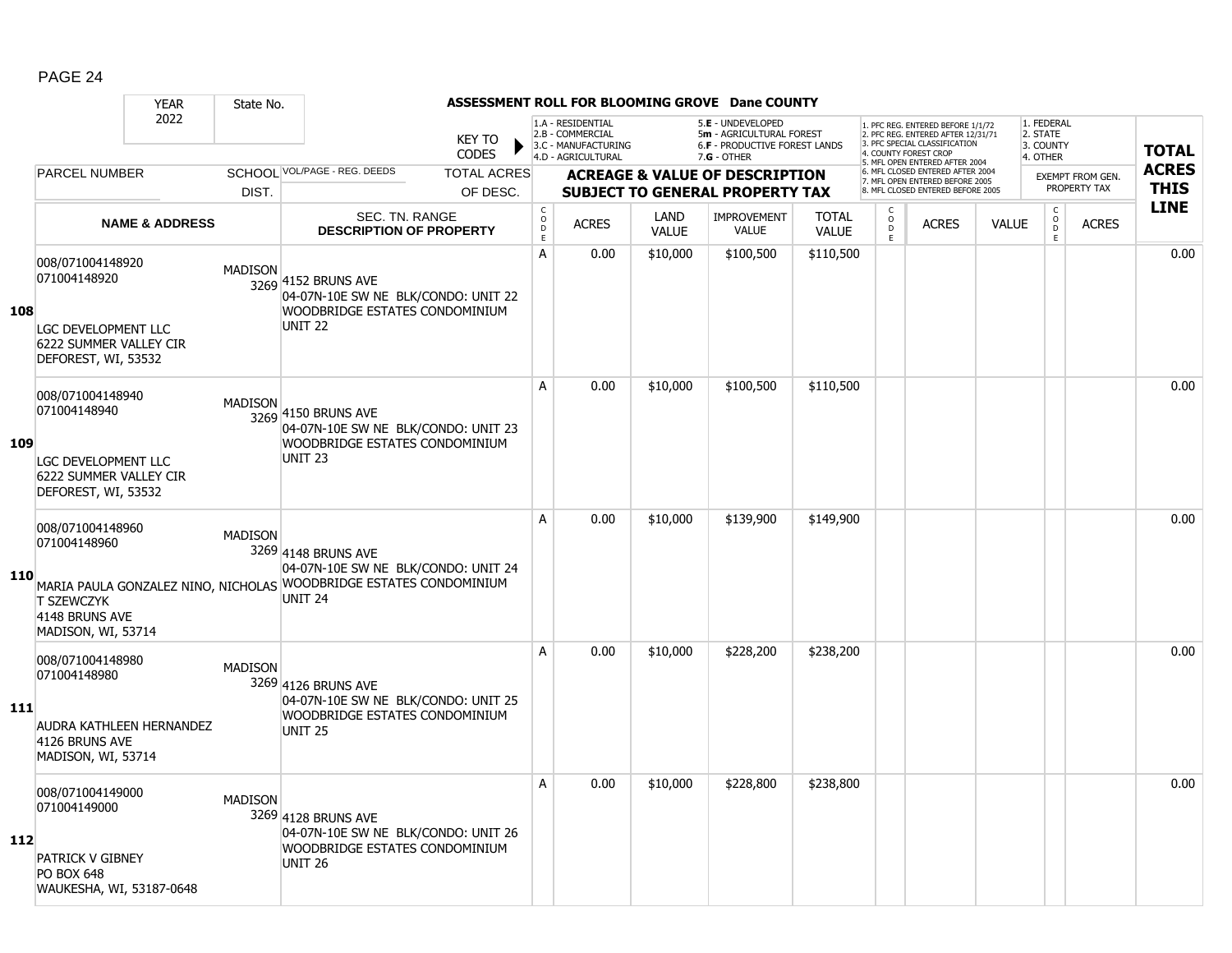|     |                                                                                                                 | <b>YEAR</b>               | State No.      |                                                                                                                                                    |                               |                                          |                                                                                    |                      | ASSESSMENT ROLL FOR BLOOMING GROVE Dane COUNTY                                                  |                              |                               |                                                                                                                                   |              |                                                 |                         |                            |
|-----|-----------------------------------------------------------------------------------------------------------------|---------------------------|----------------|----------------------------------------------------------------------------------------------------------------------------------------------------|-------------------------------|------------------------------------------|------------------------------------------------------------------------------------|----------------------|-------------------------------------------------------------------------------------------------|------------------------------|-------------------------------|-----------------------------------------------------------------------------------------------------------------------------------|--------------|-------------------------------------------------|-------------------------|----------------------------|
|     |                                                                                                                 | 2022                      |                |                                                                                                                                                    | <b>KEY TO</b><br><b>CODES</b> |                                          | 1.A - RESIDENTIAL<br>2.B - COMMERCIAL<br>3.C - MANUFACTURING<br>4.D - AGRICULTURAL |                      | 5.E - UNDEVELOPED<br>5m - AGRICULTURAL FOREST<br>6.F - PRODUCTIVE FOREST LANDS<br>$7.G - OTHER$ |                              |                               | 1. PFC REG. ENTERED BEFORE 1/1/72<br>2. PFC REG. ENTERED AFTER 12/31/71<br>3. PFC SPECIAL CLASSIFICATION<br>4. COUNTY FOREST CROP |              | 1. FEDERAL<br>2. STATE<br>3. COUNTY<br>4. OTHER |                         | <b>TOTAL</b>               |
|     | PARCEL NUMBER                                                                                                   |                           |                | SCHOOL VOL/PAGE - REG. DEEDS                                                                                                                       | <b>TOTAL ACRES</b>            |                                          |                                                                                    |                      | <b>ACREAGE &amp; VALUE OF DESCRIPTION</b>                                                       |                              |                               | 5. MFL OPEN ENTERED AFTER 2004<br>6. MFL CLOSED ENTERED AFTER 2004<br>7. MFL OPEN ENTERED BEFORE 2005                             |              |                                                 | <b>EXEMPT FROM GEN.</b> | <b>ACRES</b>               |
|     |                                                                                                                 |                           | DIST.          |                                                                                                                                                    | OF DESC.                      |                                          |                                                                                    |                      | <b>SUBJECT TO GENERAL PROPERTY TAX</b>                                                          |                              |                               | 8. MFL CLOSED ENTERED BEFORE 2005                                                                                                 |              |                                                 | PROPERTY TAX            | <b>THIS</b><br><b>LINE</b> |
|     |                                                                                                                 | <b>NAME &amp; ADDRESS</b> |                | SEC. TN. RANGE<br><b>DESCRIPTION OF PROPERTY</b>                                                                                                   |                               | C<br>$\mathsf{O}$<br>$\overline{D}$<br>E | <b>ACRES</b>                                                                       | LAND<br><b>VALUE</b> | <b>IMPROVEMENT</b><br>VALUE                                                                     | <b>TOTAL</b><br><b>VALUE</b> | C<br>$_{\rm D}^{\rm O}$<br>F. | <b>ACRES</b>                                                                                                                      | <b>VALUE</b> | $\begin{matrix} 0 \\ 0 \\ D \end{matrix}$<br>E  | <b>ACRES</b>            |                            |
| 108 | 008/071004148920<br>071004148920<br>LGC DEVELOPMENT LLC<br><b>6222 SUMMER VALLEY CIR</b><br>DEFOREST, WI, 53532 |                           | <b>MADISON</b> | 3269 4152 BRUNS AVE<br>04-07N-10E SW NE BLK/CONDO: UNIT 22<br><b>WOODBRIDGE ESTATES CONDOMINIUM</b><br><b>UNIT 22</b>                              |                               | А                                        | 0.00                                                                               | \$10,000             | \$100,500                                                                                       | \$110,500                    |                               |                                                                                                                                   |              |                                                 |                         | 0.00                       |
| 109 | 008/071004148940<br>071004148940<br>LGC DEVELOPMENT LLC<br><b>6222 SUMMER VALLEY CIR</b><br>DEFOREST, WI, 53532 |                           | <b>MADISON</b> | 3269 4150 BRUNS AVE<br>04-07N-10E SW NE BLK/CONDO: UNIT 23<br>WOODBRIDGE ESTATES CONDOMINIUM<br><b>UNIT 23</b>                                     |                               | A                                        | 0.00                                                                               | \$10,000             | \$100,500                                                                                       | \$110,500                    |                               |                                                                                                                                   |              |                                                 |                         | 0.00                       |
| 110 | 008/071004148960<br>071004148960<br><b>T SZEWCZYK</b><br>4148 BRUNS AVE<br>MADISON, WI, 53714                   |                           | <b>MADISON</b> | 3269 4148 BRUNS AVE<br>04-07N-10E SW NE BLK/CONDO: UNIT 24<br>MARIA PAULA GONZALEZ NINO, NICHOLAS WOODBRIDGE ESTATES CONDOMINIUM<br><b>UNIT 24</b> |                               | A                                        | 0.00                                                                               | \$10,000             | \$139,900                                                                                       | \$149,900                    |                               |                                                                                                                                   |              |                                                 |                         | 0.00                       |
| 111 | 008/071004148980<br>071004148980<br>AUDRA KATHLEEN HERNANDEZ<br>4126 BRUNS AVE<br>MADISON, WI, 53714            |                           | <b>MADISON</b> | 3269 4126 BRUNS AVE<br>04-07N-10E SW NE BLK/CONDO: UNIT 25<br>WOODBRIDGE ESTATES CONDOMINIUM<br><b>UNIT 25</b>                                     |                               | A                                        | 0.00                                                                               | \$10,000             | \$228,200                                                                                       | \$238,200                    |                               |                                                                                                                                   |              |                                                 |                         | 0.00                       |
| 112 | 008/071004149000<br>071004149000<br>PATRICK V GIBNEY<br><b>PO BOX 648</b><br>WAUKESHA, WI, 53187-0648           |                           | <b>MADISON</b> | 3269 4128 BRUNS AVE<br>04-07N-10E SW NE BLK/CONDO: UNIT 26<br>WOODBRIDGE ESTATES CONDOMINIUM<br><b>UNIT 26</b>                                     |                               | A                                        | 0.00                                                                               | \$10,000             | \$228,800                                                                                       | \$238,800                    |                               |                                                                                                                                   |              |                                                 |                         | 0.00                       |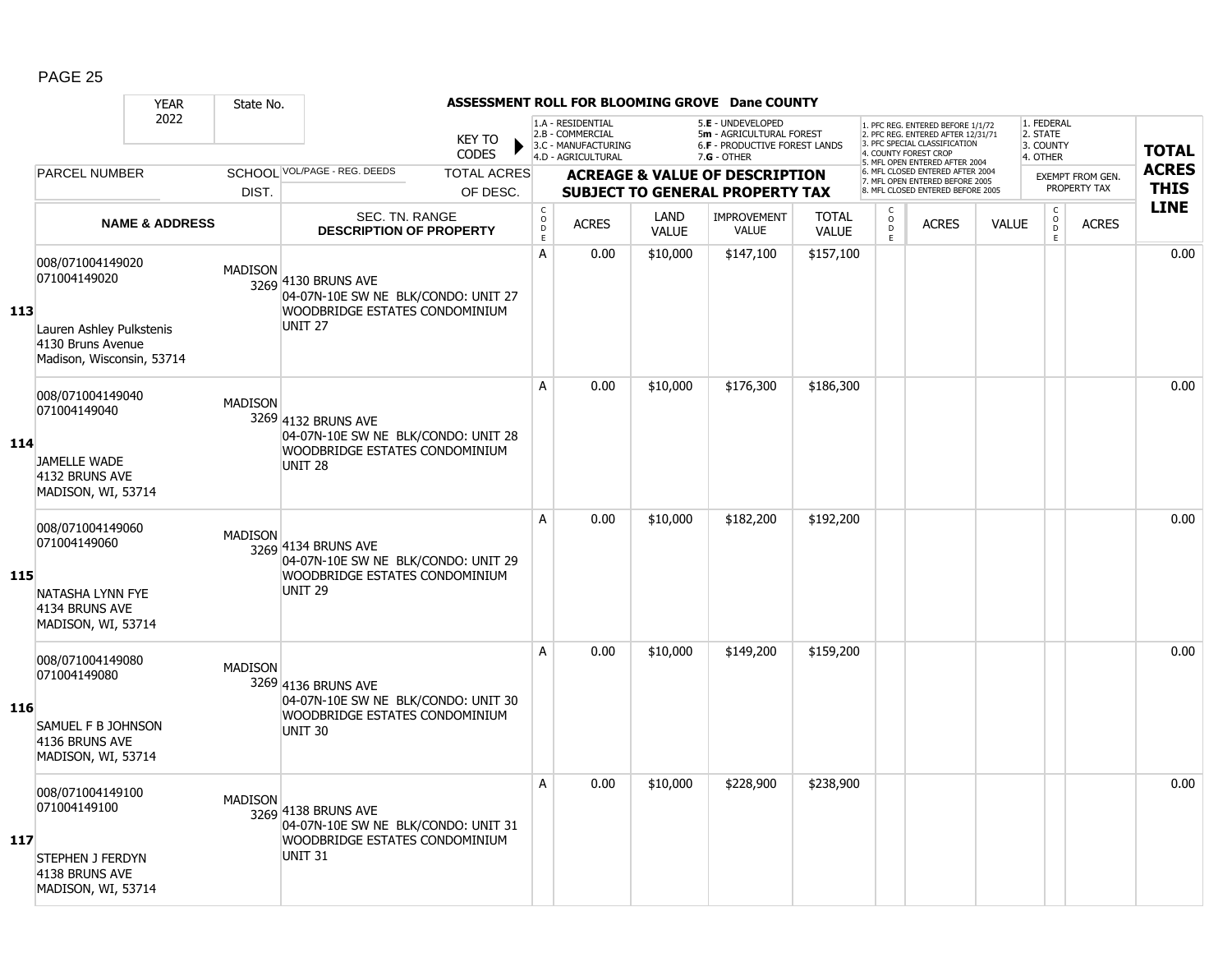|     |                                                                                                                | <b>YEAR</b>               | State No.      |                                                                                                                       |                                |                                           |                                                                                    |                      | ASSESSMENT ROLL FOR BLOOMING GROVE Dane COUNTY                                                |                              |                     |                                                                                                                                                                     |              |                                                 |                                         |                             |
|-----|----------------------------------------------------------------------------------------------------------------|---------------------------|----------------|-----------------------------------------------------------------------------------------------------------------------|--------------------------------|-------------------------------------------|------------------------------------------------------------------------------------|----------------------|-----------------------------------------------------------------------------------------------|------------------------------|---------------------|---------------------------------------------------------------------------------------------------------------------------------------------------------------------|--------------|-------------------------------------------------|-----------------------------------------|-----------------------------|
|     |                                                                                                                | 2022                      |                |                                                                                                                       | <b>KEY TO</b><br><b>CODES</b>  |                                           | 1.A - RESIDENTIAL<br>2.B - COMMERCIAL<br>3.C - MANUFACTURING<br>4.D - AGRICULTURAL |                      | 5.E - UNDEVELOPED<br>5m - AGRICULTURAL FOREST<br>6.F - PRODUCTIVE FOREST LANDS<br>7.G - OTHER |                              |                     | 1. PFC REG. ENTERED BEFORE 1/1/72<br>2. PFC REG. ENTERED AFTER 12/31/71<br>3. PFC SPECIAL CLASSIFICATION<br>4. COUNTY FOREST CROP<br>5. MFL OPEN ENTERED AFTER 2004 |              | 1. FEDERAL<br>2. STATE<br>3. COUNTY<br>4. OTHER |                                         | <b>TOTAL</b>                |
|     | PARCEL NUMBER                                                                                                  |                           | DIST.          | SCHOOL VOL/PAGE - REG. DEEDS                                                                                          | <b>TOTAL ACRES</b><br>OF DESC. |                                           |                                                                                    |                      | <b>ACREAGE &amp; VALUE OF DESCRIPTION</b><br><b>SUBJECT TO GENERAL PROPERTY TAX</b>           |                              |                     | 6. MFL CLOSED ENTERED AFTER 2004<br>7. MFL OPEN ENTERED BEFORE 2005<br>8. MFL CLOSED ENTERED BEFORE 2005                                                            |              |                                                 | <b>EXEMPT FROM GEN.</b><br>PROPERTY TAX | <b>ACRES</b><br><b>THIS</b> |
|     |                                                                                                                | <b>NAME &amp; ADDRESS</b> |                | SEC. TN. RANGE<br><b>DESCRIPTION OF PROPERTY</b>                                                                      |                                | $\begin{matrix} 0 \\ 0 \\ D \end{matrix}$ | <b>ACRES</b>                                                                       | LAND<br><b>VALUE</b> | <b>IMPROVEMENT</b><br><b>VALUE</b>                                                            | <b>TOTAL</b><br><b>VALUE</b> | C<br>$\overline{D}$ | <b>ACRES</b>                                                                                                                                                        | <b>VALUE</b> | $\begin{matrix} C \\ O \\ D \end{matrix}$       | <b>ACRES</b>                            | <b>LINE</b>                 |
| 113 | 008/071004149020<br>071004149020<br>Lauren Ashley Pulkstenis<br>4130 Bruns Avenue<br>Madison, Wisconsin, 53714 |                           | <b>MADISON</b> | 3269 4130 BRUNS AVE<br>04-07N-10E SW NE BLK/CONDO: UNIT 27<br>WOODBRIDGE ESTATES CONDOMINIUM<br><b>UNIT 27</b>        |                                | E<br>A                                    | 0.00                                                                               | \$10,000             | \$147,100                                                                                     | \$157,100                    | E                   |                                                                                                                                                                     |              | E.                                              |                                         | 0.00                        |
| 114 | 008/071004149040<br>071004149040<br><b>JAMELLE WADE</b><br>4132 BRUNS AVE<br>MADISON, WI, 53714                |                           | <b>MADISON</b> | 3269 4132 BRUNS AVE<br>04-07N-10E SW NE BLK/CONDO: UNIT 28<br>WOODBRIDGE ESTATES CONDOMINIUM<br><b>UNIT 28</b>        |                                | A                                         | 0.00                                                                               | \$10,000             | \$176,300                                                                                     | \$186,300                    |                     |                                                                                                                                                                     |              |                                                 |                                         | 0.00                        |
| 115 | 008/071004149060<br>071004149060<br>NATASHA LYNN FYE<br>4134 BRUNS AVE<br>MADISON, WI, 53714                   |                           | <b>MADISON</b> | 3269 4134 BRUNS AVE<br>04-07N-10E SW NE BLK/CONDO: UNIT 29<br><b>WOODBRIDGE ESTATES CONDOMINIUM</b><br><b>UNIT 29</b> |                                | A                                         | 0.00                                                                               | \$10,000             | \$182,200                                                                                     | \$192,200                    |                     |                                                                                                                                                                     |              |                                                 |                                         | 0.00                        |
| 116 | 008/071004149080<br>071004149080<br>SAMUEL F B JOHNSON<br>4136 BRUNS AVE<br>MADISON, WI, 53714                 |                           | <b>MADISON</b> | 3269 4136 BRUNS AVE<br>04-07N-10E SW NE BLK/CONDO: UNIT 30<br><b>WOODBRIDGE ESTATES CONDOMINIUM</b><br><b>UNIT 30</b> |                                | A                                         | 0.00                                                                               | \$10,000             | \$149,200                                                                                     | \$159,200                    |                     |                                                                                                                                                                     |              |                                                 |                                         | 0.00                        |
| 117 | 008/071004149100<br>071004149100<br>STEPHEN J FERDYN<br>4138 BRUNS AVE<br>MADISON, WI, 53714                   |                           | <b>MADISON</b> | 3269 4138 BRUNS AVE<br>04-07N-10E SW NE BLK/CONDO: UNIT 31<br>WOODBRIDGE ESTATES CONDOMINIUM<br><b>UNIT 31</b>        |                                | A                                         | 0.00                                                                               | \$10,000             | \$228,900                                                                                     | \$238,900                    |                     |                                                                                                                                                                     |              |                                                 |                                         | 0.00                        |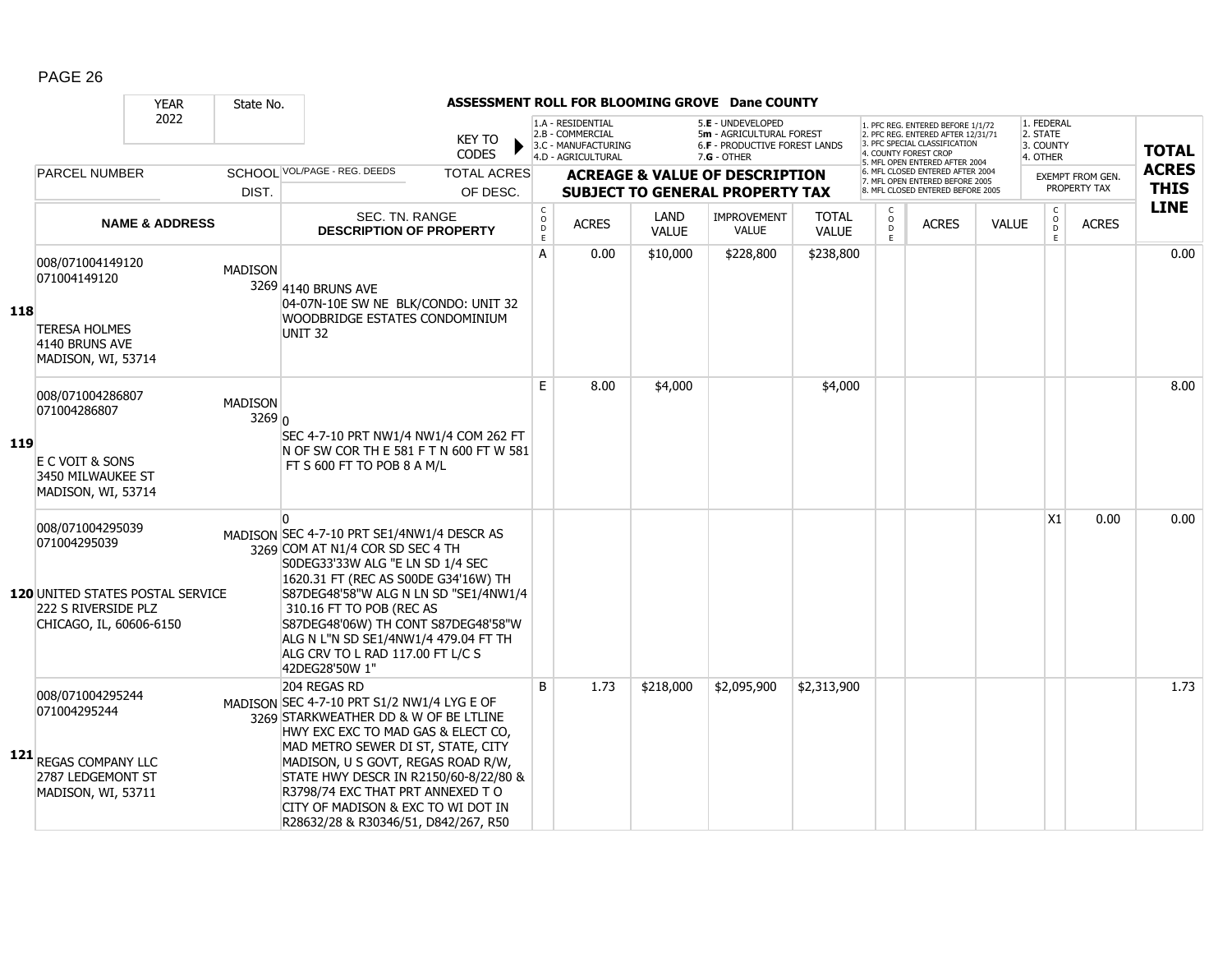|            |                                                                                                                               | <b>YEAR</b>               | State No.                |                                                                                                                                                                                                                                                                                                                                                                                  |                                |                                                     |                                                                                    |                      | ASSESSMENT ROLL FOR BLOOMING GROVE Dane COUNTY                                                         |                              |                                  |                                                                                                                                                                     |              |                                                 |                                         |                             |
|------------|-------------------------------------------------------------------------------------------------------------------------------|---------------------------|--------------------------|----------------------------------------------------------------------------------------------------------------------------------------------------------------------------------------------------------------------------------------------------------------------------------------------------------------------------------------------------------------------------------|--------------------------------|-----------------------------------------------------|------------------------------------------------------------------------------------|----------------------|--------------------------------------------------------------------------------------------------------|------------------------------|----------------------------------|---------------------------------------------------------------------------------------------------------------------------------------------------------------------|--------------|-------------------------------------------------|-----------------------------------------|-----------------------------|
|            |                                                                                                                               | 2022                      |                          |                                                                                                                                                                                                                                                                                                                                                                                  | <b>KEY TO</b><br><b>CODES</b>  |                                                     | 1.A - RESIDENTIAL<br>2.B - COMMERCIAL<br>3.C - MANUFACTURING<br>4.D - AGRICULTURAL |                      | 5.E - UNDEVELOPED<br>5m - AGRICULTURAL FOREST<br><b>6.F - PRODUCTIVE FOREST LANDS</b><br>$7.G - OTHER$ |                              |                                  | 1. PFC REG. ENTERED BEFORE 1/1/72<br>2. PFC REG. ENTERED AFTER 12/31/71<br>3. PFC SPECIAL CLASSIFICATION<br>4. COUNTY FOREST CROP<br>5. MFL OPEN ENTERED AFTER 2004 |              | 1. FEDERAL<br>2. STATE<br>3. COUNTY<br>4. OTHER |                                         | <b>TOTAL</b>                |
|            | <b>PARCEL NUMBER</b>                                                                                                          |                           | DIST.                    | SCHOOL VOL/PAGE - REG. DEEDS                                                                                                                                                                                                                                                                                                                                                     | <b>TOTAL ACRES</b><br>OF DESC. |                                                     |                                                                                    |                      | <b>ACREAGE &amp; VALUE OF DESCRIPTION</b><br><b>SUBJECT TO GENERAL PROPERTY TAX</b>                    |                              |                                  | 6. MFL CLOSED ENTERED AFTER 2004<br>7. MFL OPEN ENTERED BEFORE 2005<br>8. MFL CLOSED ENTERED BEFORE 2005                                                            |              |                                                 | <b>EXEMPT FROM GEN.</b><br>PROPERTY TAX | <b>ACRES</b><br><b>THIS</b> |
|            |                                                                                                                               | <b>NAME &amp; ADDRESS</b> |                          | SEC. TN. RANGE<br><b>DESCRIPTION OF PROPERTY</b>                                                                                                                                                                                                                                                                                                                                 |                                | $_{\rm o}^{\rm c}$<br>$\overline{D}$<br>$\mathsf E$ | <b>ACRES</b>                                                                       | LAND<br><b>VALUE</b> | <b>IMPROVEMENT</b><br><b>VALUE</b>                                                                     | <b>TOTAL</b><br><b>VALUE</b> | C<br>$\circ$<br>$\mathsf D$<br>E | <b>ACRES</b>                                                                                                                                                        | <b>VALUE</b> | $\mathsf{C}$<br>$_{\rm D}^{\rm O}$<br>E         | <b>ACRES</b>                            | <b>LINE</b>                 |
| 118        | 008/071004149120<br>071004149120<br><b>TERESA HOLMES</b><br>4140 BRUNS AVE<br>MADISON, WI, 53714                              |                           | <b>MADISON</b>           | 3269 4140 BRUNS AVE<br>04-07N-10E SW NE BLK/CONDO: UNIT 32<br>WOODBRIDGE ESTATES CONDOMINIUM<br><b>UNIT 32</b>                                                                                                                                                                                                                                                                   |                                | A                                                   | 0.00                                                                               | \$10,000             | \$228,800                                                                                              | \$238,800                    |                                  |                                                                                                                                                                     |              |                                                 |                                         | 0.00                        |
| <b>119</b> | 008/071004286807<br>071004286807<br>E C VOIT & SONS<br>3450 MILWAUKEE ST<br>MADISON, WI, 53714                                |                           | <b>MADISON</b><br>3269 0 | SEC 4-7-10 PRT NW1/4 NW1/4 COM 262 FT<br>N OF SW COR TH E 581 F T N 600 FT W 581<br>FT S 600 FT TO POB 8 A M/L                                                                                                                                                                                                                                                                   |                                | E                                                   | 8.00                                                                               | \$4,000              |                                                                                                        | \$4,000                      |                                  |                                                                                                                                                                     |              |                                                 |                                         | 8.00                        |
|            | 008/071004295039<br>071004295039<br><b>120 UNITED STATES POSTAL SERVICE</b><br>222 S RIVERSIDE PLZ<br>CHICAGO, IL, 60606-6150 |                           |                          | $\Omega$<br>MADISON SEC 4-7-10 PRT SE1/4NW1/4 DESCR AS<br>3269 COM AT N1/4 COR SD SEC 4 TH<br>S0DEG33'33W ALG "E LN SD 1/4 SEC<br>1620.31 FT (REC AS S00DE G34'16W) TH<br>S87DEG48'58"W ALG N LN SD "SE1/4NW1/4<br>310.16 FT TO POB (REC AS<br>S87DEG48'06W) TH CONT S87DEG48'58"W<br>ALG N L"N SD SE1/4NW1/4 479.04 FT TH<br>ALG CRV TO L RAD 117.00 FT L/C S<br>42DEG28'50W 1" |                                |                                                     |                                                                                    |                      |                                                                                                        |                              |                                  |                                                                                                                                                                     |              | X1                                              | 0.00                                    | 0.00                        |
|            | 008/071004295244<br>071004295244<br>121 REGAS COMPANY LLC<br>2787 LEDGEMONT ST<br>MADISON, WI, 53711                          |                           |                          | 204 REGAS RD<br>MADISON SEC 4-7-10 PRT S1/2 NW1/4 LYG E OF<br>3269 STARKWEATHER DD & W OF BE LTLINE<br>HWY EXC EXC TO MAD GAS & ELECT CO,<br>MAD METRO SEWER DI ST, STATE, CITY<br>MADISON, U S GOVT, REGAS ROAD R/W,<br>STATE HWY DESCR IN R2150/60-8/22/80 &<br>R3798/74 EXC THAT PRT ANNEXED TO<br>CITY OF MADISON & EXC TO WI DOT IN<br>R28632/28 & R30346/51, D842/267, R50 |                                | B                                                   | 1.73                                                                               | \$218,000            | \$2,095,900                                                                                            | \$2,313,900                  |                                  |                                                                                                                                                                     |              |                                                 |                                         | 1.73                        |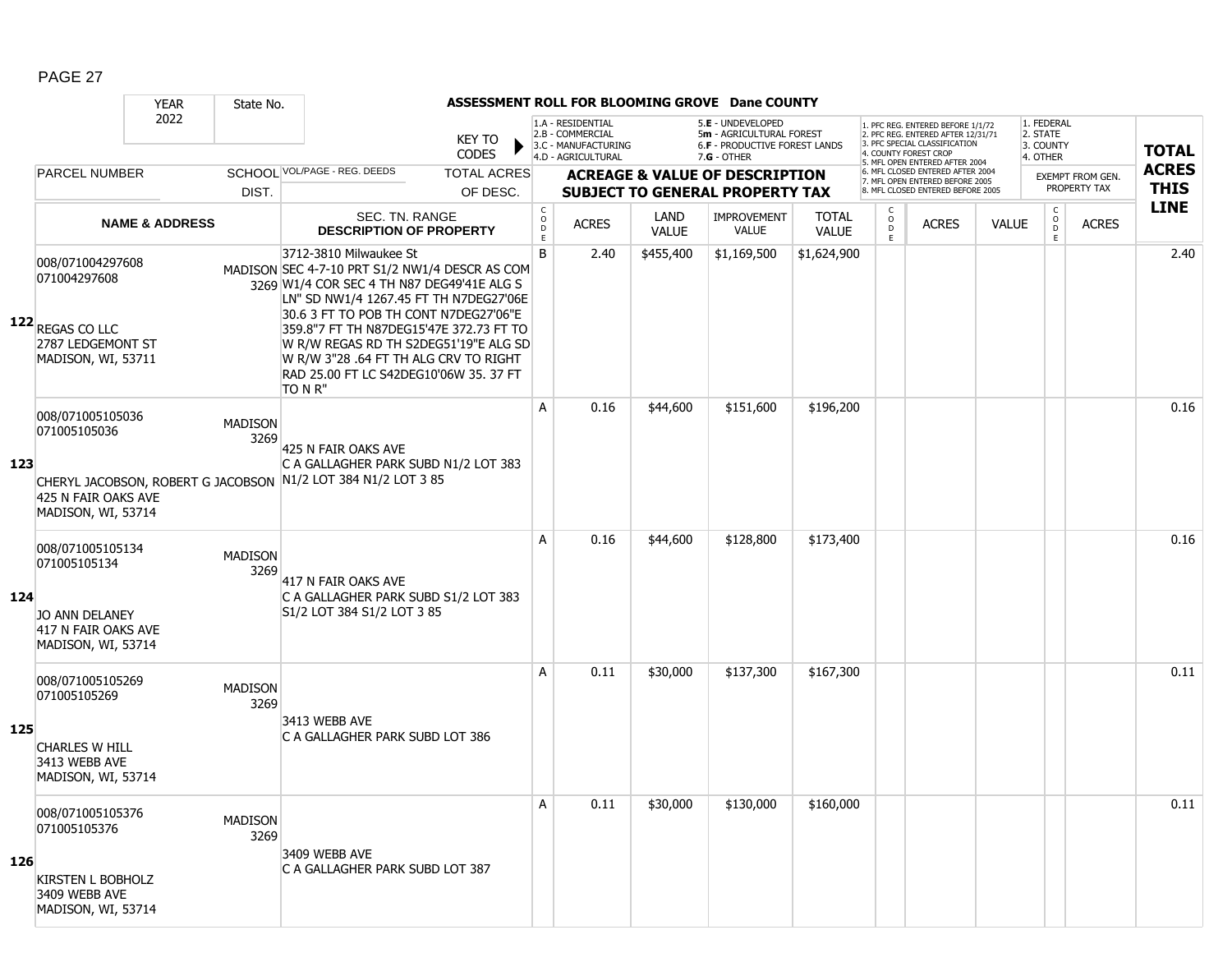|     |                                                                                                        | <b>YEAR</b>               | State No.              |                                                                                                                                                                                                           | ASSESSMENT ROLL FOR BLOOMING GROVE Dane COUNTY |                                                          |                                                                                    |                      |                                                                                                 |                              |                          |                                                                                                                                   |              |                                                 |                         |              |
|-----|--------------------------------------------------------------------------------------------------------|---------------------------|------------------------|-----------------------------------------------------------------------------------------------------------------------------------------------------------------------------------------------------------|------------------------------------------------|----------------------------------------------------------|------------------------------------------------------------------------------------|----------------------|-------------------------------------------------------------------------------------------------|------------------------------|--------------------------|-----------------------------------------------------------------------------------------------------------------------------------|--------------|-------------------------------------------------|-------------------------|--------------|
|     |                                                                                                        | 2022                      |                        |                                                                                                                                                                                                           | <b>KEY TO</b><br><b>CODES</b>                  |                                                          | 1.A - RESIDENTIAL<br>2.B - COMMERCIAL<br>3.C - MANUFACTURING<br>4.D - AGRICULTURAL |                      | 5.E - UNDEVELOPED<br>5m - AGRICULTURAL FOREST<br>6.F - PRODUCTIVE FOREST LANDS<br>$7.G - OTHER$ |                              |                          | 1. PFC REG. ENTERED BEFORE 1/1/72<br>2. PFC REG. ENTERED AFTER 12/31/71<br>3. PFC SPECIAL CLASSIFICATION<br>4. COUNTY FOREST CROP |              | 1. FEDERAL<br>2. STATE<br>3. COUNTY<br>4. OTHER |                         | <b>TOTAL</b> |
|     | <b>PARCEL NUMBER</b>                                                                                   |                           |                        | SCHOOL VOL/PAGE - REG. DEEDS                                                                                                                                                                              | <b>TOTAL ACRES</b>                             |                                                          |                                                                                    |                      | <b>ACREAGE &amp; VALUE OF DESCRIPTION</b>                                                       |                              |                          | 5. MFL OPEN ENTERED AFTER 2004<br>6. MFL CLOSED ENTERED AFTER 2004                                                                |              |                                                 | <b>EXEMPT FROM GEN.</b> | <b>ACRES</b> |
|     |                                                                                                        |                           | DIST.                  |                                                                                                                                                                                                           | OF DESC.                                       |                                                          |                                                                                    |                      | <b>SUBJECT TO GENERAL PROPERTY TAX</b>                                                          |                              |                          | 7. MFL OPEN ENTERED BEFORE 2005<br>8. MFL CLOSED ENTERED BEFORE 2005                                                              |              |                                                 | PROPERTY TAX            | <b>THIS</b>  |
|     |                                                                                                        | <b>NAME &amp; ADDRESS</b> |                        | SEC. TN. RANGE<br><b>DESCRIPTION OF PROPERTY</b>                                                                                                                                                          |                                                | $\begin{matrix} 0 \\ 0 \\ D \end{matrix}$<br>$\mathsf E$ | <b>ACRES</b>                                                                       | LAND<br><b>VALUE</b> | <b>IMPROVEMENT</b><br><b>VALUE</b>                                                              | <b>TOTAL</b><br><b>VALUE</b> | C<br>$\overline{0}$<br>E | <b>ACRES</b>                                                                                                                      | <b>VALUE</b> | $\mathsf{C}$<br>$\overline{0}$<br>E             | <b>ACRES</b>            | <b>LINE</b>  |
|     | 008/071004297608<br>071004297608                                                                       |                           |                        | 3712-3810 Milwaukee St<br>MADISON SEC 4-7-10 PRT S1/2 NW1/4 DESCR AS COM<br>3269 W1/4 COR SEC 4 TH N87 DEG49'41E ALG S<br>LN" SD NW1/4 1267.45 FT TH N7DEG27'06E<br>30.6 3 FT TO POB TH CONT N7DEG27'06"E |                                                | B                                                        | 2.40                                                                               | \$455,400            | \$1,169,500                                                                                     | \$1,624,900                  |                          |                                                                                                                                   |              |                                                 |                         | 2.40         |
|     | 122 REGAS CO LLC<br>2787 LEDGEMONT ST<br>MADISON, WI, 53711                                            |                           |                        | 359.8"7 FT TH N87DEG15'47E 372.73 FT TO<br>W R/W REGAS RD TH S2DEG51'19"E ALG SD<br>W R/W 3"28 .64 FT TH ALG CRV TO RIGHT<br>RAD 25.00 FT LC S42DEG10'06W 35. 37 FT<br>TO N R"                            |                                                |                                                          |                                                                                    |                      |                                                                                                 |                              |                          |                                                                                                                                   |              |                                                 |                         |              |
| 123 | 008/071005105036<br>071005105036                                                                       |                           | <b>MADISON</b><br>3269 | 425 N FAIR OAKS AVE<br>C A GALLAGHER PARK SUBD N1/2 LOT 383                                                                                                                                               |                                                | A                                                        | 0.16                                                                               | \$44,600             | \$151,600                                                                                       | \$196,200                    |                          |                                                                                                                                   |              |                                                 |                         | 0.16         |
|     | 425 N FAIR OAKS AVE<br>MADISON, WI, 53714                                                              |                           |                        | CHERYL JACOBSON, ROBERT G JACOBSON N1/2 LOT 384 N1/2 LOT 3 85                                                                                                                                             |                                                |                                                          |                                                                                    |                      |                                                                                                 |                              |                          |                                                                                                                                   |              |                                                 |                         |              |
| 124 | 008/071005105134<br>071005105134<br><b>JO ANN DELANEY</b><br>417 N FAIR OAKS AVE<br>MADISON, WI, 53714 |                           | <b>MADISON</b><br>3269 | 417 N FAIR OAKS AVE<br>C A GALLAGHER PARK SUBD S1/2 LOT 383<br>S1/2 LOT 384 S1/2 LOT 3 85                                                                                                                 |                                                | A                                                        | 0.16                                                                               | \$44,600             | \$128,800                                                                                       | \$173,400                    |                          |                                                                                                                                   |              |                                                 |                         | 0.16         |
| 125 | 008/071005105269<br>071005105269                                                                       |                           | <b>MADISON</b><br>3269 | 3413 WEBB AVE<br>C A GALLAGHER PARK SUBD LOT 386                                                                                                                                                          |                                                | A                                                        | 0.11                                                                               | \$30,000             | \$137,300                                                                                       | \$167,300                    |                          |                                                                                                                                   |              |                                                 |                         | 0.11         |
|     | <b>CHARLES W HILL</b><br>3413 WEBB AVE<br>MADISON, WI, 53714                                           |                           |                        |                                                                                                                                                                                                           |                                                |                                                          |                                                                                    |                      |                                                                                                 |                              |                          |                                                                                                                                   |              |                                                 |                         |              |
| 126 | 008/071005105376<br>071005105376<br><b>KIRSTEN L BOBHOLZ</b><br>3409 WEBB AVE<br>MADISON, WI, 53714    |                           | <b>MADISON</b><br>3269 | 3409 WEBB AVE<br>C A GALLAGHER PARK SUBD LOT 387                                                                                                                                                          |                                                | Α                                                        | 0.11                                                                               | \$30,000             | \$130,000                                                                                       | \$160,000                    |                          |                                                                                                                                   |              |                                                 |                         | 0.11         |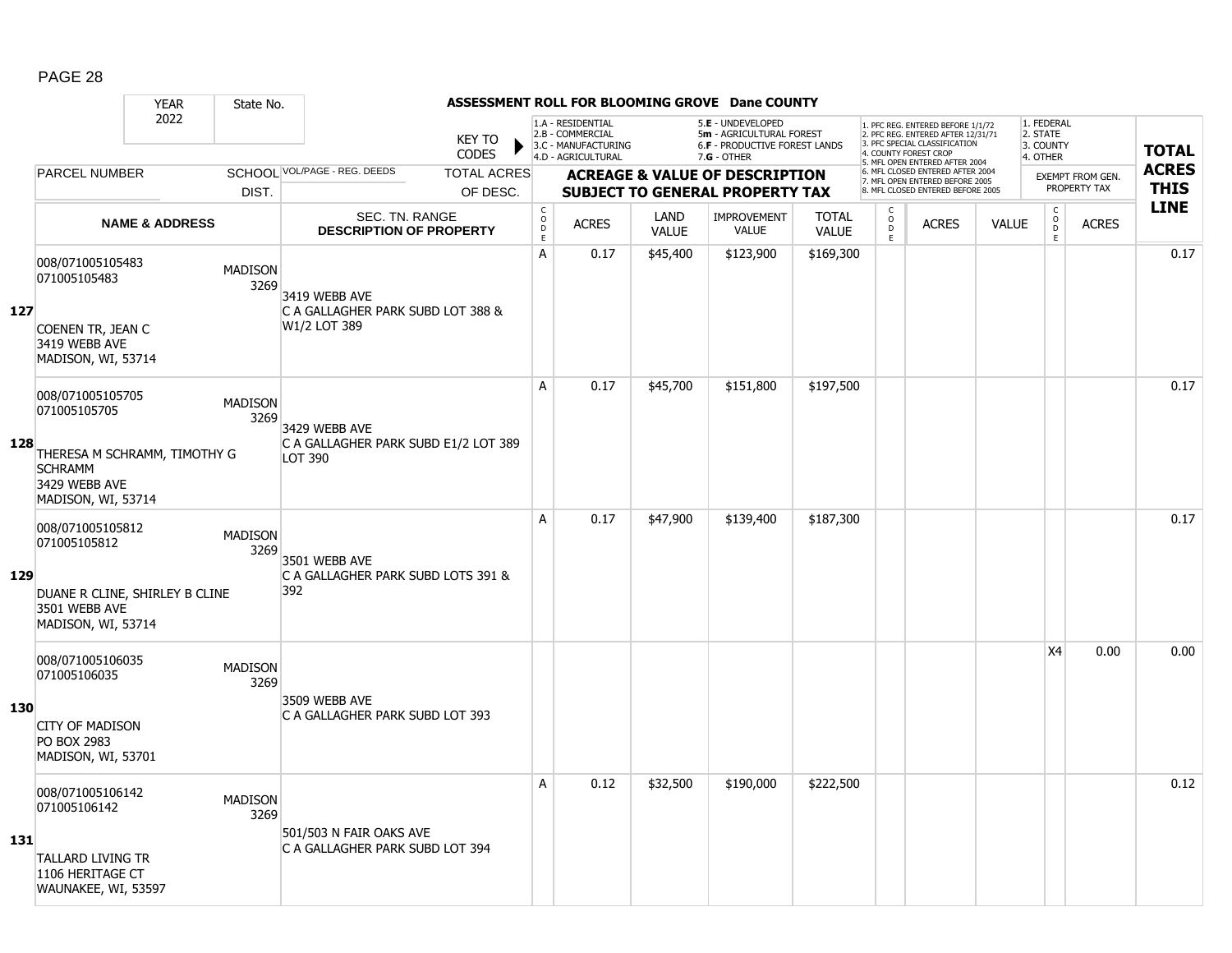|     |                                                                                       | <b>YEAR</b>               | State No.              |                                                     |                             |                                        |                                                                                    |                      | ASSESSMENT ROLL FOR BLOOMING GROVE Dane COUNTY                                                       |                              |                             |                                                                                                                                   |              |                                                |                                         |              |
|-----|---------------------------------------------------------------------------------------|---------------------------|------------------------|-----------------------------------------------------|-----------------------------|----------------------------------------|------------------------------------------------------------------------------------|----------------------|------------------------------------------------------------------------------------------------------|------------------------------|-----------------------------|-----------------------------------------------------------------------------------------------------------------------------------|--------------|------------------------------------------------|-----------------------------------------|--------------|
|     |                                                                                       | 2022                      |                        |                                                     | <b>KEY TO</b><br>▶<br>CODES |                                        | 1.A - RESIDENTIAL<br>2.B - COMMERCIAL<br>3.C - MANUFACTURING<br>4.D - AGRICULTURAL |                      | 5.E - UNDEVELOPED<br>5m - AGRICULTURAL FOREST<br><b>6.F - PRODUCTIVE FOREST LANDS</b><br>7.G - OTHER |                              |                             | 1. PFC REG. ENTERED BEFORE 1/1/72<br>2. PFC REG. ENTERED AFTER 12/31/71<br>3. PFC SPECIAL CLASSIFICATION<br>4. COUNTY FOREST CROP |              | 1. FEDERAL<br>2. STATE<br>3. COUNTY            |                                         | <b>TOTAL</b> |
|     | <b>PARCEL NUMBER</b>                                                                  |                           |                        | SCHOOL VOL/PAGE - REG. DEEDS                        | <b>TOTAL ACRES</b>          |                                        |                                                                                    |                      |                                                                                                      |                              |                             | 5. MFL OPEN ENTERED AFTER 2004<br>6. MFL CLOSED ENTERED AFTER 2004                                                                |              | 4. OTHER                                       |                                         | <b>ACRES</b> |
|     |                                                                                       |                           | DIST.                  |                                                     | OF DESC.                    |                                        |                                                                                    |                      | <b>ACREAGE &amp; VALUE OF DESCRIPTION</b><br><b>SUBJECT TO GENERAL PROPERTY TAX</b>                  |                              |                             | 7. MFL OPEN ENTERED BEFORE 2005<br>8. MFL CLOSED ENTERED BEFORE 2005                                                              |              |                                                | <b>EXEMPT FROM GEN.</b><br>PROPERTY TAX | <b>THIS</b>  |
|     |                                                                                       | <b>NAME &amp; ADDRESS</b> |                        | SEC. TN. RANGE<br><b>DESCRIPTION OF PROPERTY</b>    |                             | $_{\rm o}^{\rm c}$<br>D<br>$\mathsf E$ | <b>ACRES</b>                                                                       | LAND<br><b>VALUE</b> | <b>IMPROVEMENT</b><br><b>VALUE</b>                                                                   | <b>TOTAL</b><br><b>VALUE</b> | $\mathsf C$<br>$\circ$<br>D | <b>ACRES</b>                                                                                                                      | <b>VALUE</b> | $\begin{matrix} 0 \\ 0 \\ 0 \end{matrix}$<br>E | <b>ACRES</b>                            | <b>LINE</b>  |
| 127 | 008/071005105483<br>071005105483                                                      |                           | <b>MADISON</b><br>3269 | 3419 WEBB AVE<br>C A GALLAGHER PARK SUBD LOT 388 &  |                             | A                                      | 0.17                                                                               | \$45,400             | \$123,900                                                                                            | \$169,300                    | E.                          |                                                                                                                                   |              |                                                |                                         | 0.17         |
|     | COENEN TR, JEAN C<br>3419 WEBB AVE<br>MADISON, WI, 53714                              |                           |                        | W1/2 LOT 389                                        |                             |                                        |                                                                                    |                      |                                                                                                      |                              |                             |                                                                                                                                   |              |                                                |                                         |              |
|     | 008/071005105705<br>071005105705                                                      |                           | <b>MADISON</b><br>3269 | 3429 WEBB AVE                                       |                             | A                                      | 0.17                                                                               | \$45,700             | \$151,800                                                                                            | \$197,500                    |                             |                                                                                                                                   |              |                                                |                                         | 0.17         |
| 128 | THERESA M SCHRAMM, TIMOTHY G<br><b>SCHRAMM</b><br>3429 WEBB AVE<br>MADISON, WI, 53714 |                           |                        | C A GALLAGHER PARK SUBD E1/2 LOT 389<br>LOT 390     |                             |                                        |                                                                                    |                      |                                                                                                      |                              |                             |                                                                                                                                   |              |                                                |                                         |              |
| 129 | 008/071005105812<br>071005105812                                                      |                           | <b>MADISON</b><br>3269 | 3501 WEBB AVE<br>C A GALLAGHER PARK SUBD LOTS 391 & |                             | A                                      | 0.17                                                                               | \$47,900             | \$139,400                                                                                            | \$187,300                    |                             |                                                                                                                                   |              |                                                |                                         | 0.17         |
|     | DUANE R CLINE, SHIRLEY B CLINE<br>3501 WEBB AVE<br>MADISON, WI, 53714                 |                           |                        | 392                                                 |                             |                                        |                                                                                    |                      |                                                                                                      |                              |                             |                                                                                                                                   |              |                                                |                                         |              |
|     | 008/071005106035<br>071005106035                                                      |                           | <b>MADISON</b><br>3269 |                                                     |                             |                                        |                                                                                    |                      |                                                                                                      |                              |                             |                                                                                                                                   |              | X4                                             | 0.00                                    | 0.00         |
| 130 | <b>CITY OF MADISON</b><br><b>PO BOX 2983</b><br>MADISON, WI, 53701                    |                           |                        | 3509 WEBB AVE<br>C A GALLAGHER PARK SUBD LOT 393    |                             |                                        |                                                                                    |                      |                                                                                                      |                              |                             |                                                                                                                                   |              |                                                |                                         |              |
|     | 008/071005106142<br>071005106142                                                      |                           | <b>MADISON</b><br>3269 | 501/503 N FAIR OAKS AVE                             |                             | А                                      | 0.12                                                                               | \$32,500             | \$190,000                                                                                            | \$222,500                    |                             |                                                                                                                                   |              |                                                |                                         | 0.12         |
| 131 | <b>TALLARD LIVING TR</b><br>1106 HERITAGE CT<br>WAUNAKEE, WI, 53597                   |                           |                        | C A GALLAGHER PARK SUBD LOT 394                     |                             |                                        |                                                                                    |                      |                                                                                                      |                              |                             |                                                                                                                                   |              |                                                |                                         |              |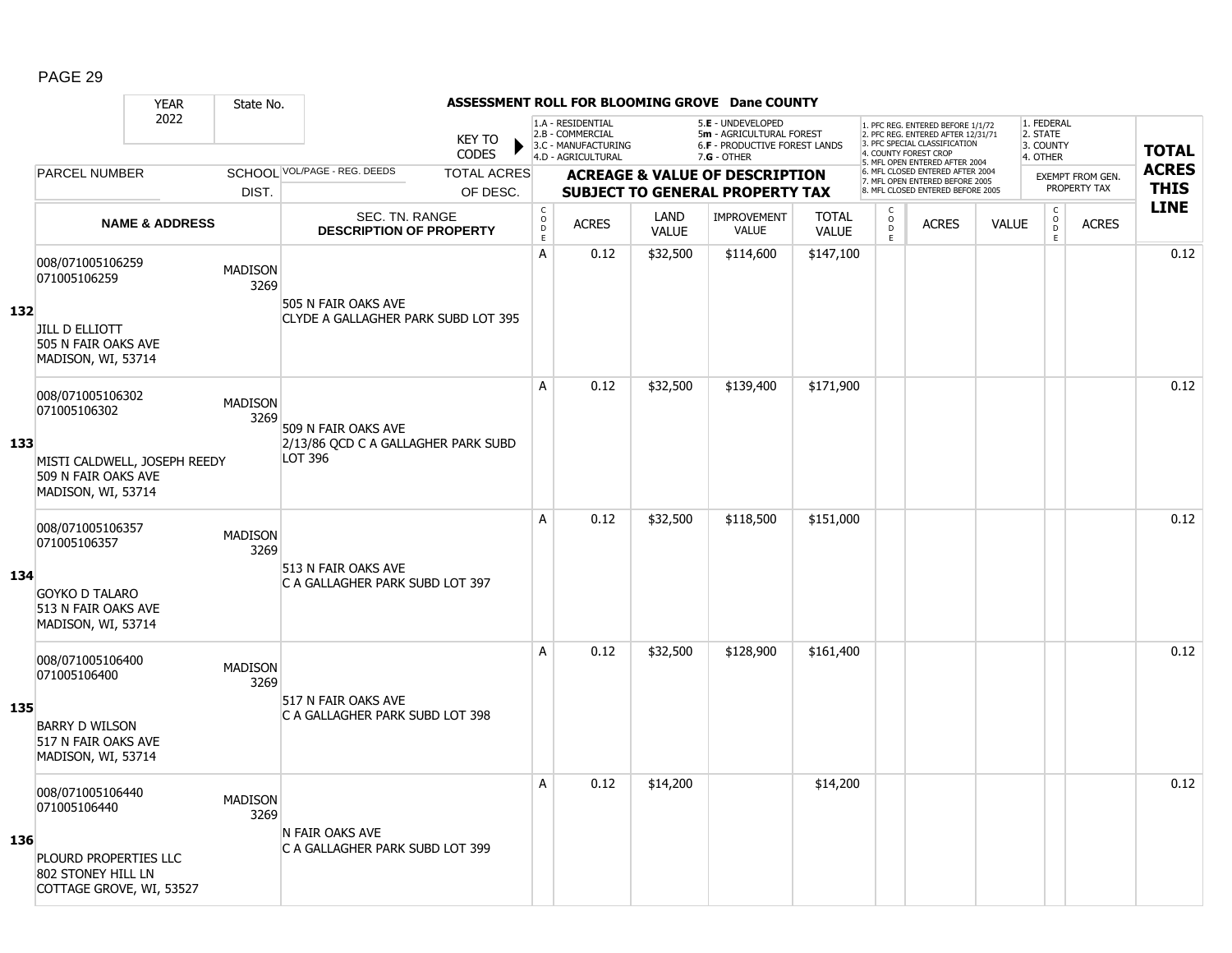|     |                                                                           | <b>YEAR</b>               | State No.              |                                                            |                               |                                        |                                                                                    |                             | ASSESSMENT ROLL FOR BLOOMING GROVE Dane COUNTY                                                       |                              |                                   |                                                                                                                                   |              |                                                          |                         |              |
|-----|---------------------------------------------------------------------------|---------------------------|------------------------|------------------------------------------------------------|-------------------------------|----------------------------------------|------------------------------------------------------------------------------------|-----------------------------|------------------------------------------------------------------------------------------------------|------------------------------|-----------------------------------|-----------------------------------------------------------------------------------------------------------------------------------|--------------|----------------------------------------------------------|-------------------------|--------------|
|     |                                                                           | 2022                      |                        |                                                            | <b>KEY TO</b><br><b>CODES</b> |                                        | 1.A - RESIDENTIAL<br>2.B - COMMERCIAL<br>3.C - MANUFACTURING<br>4.D - AGRICULTURAL |                             | 5.E - UNDEVELOPED<br>5m - AGRICULTURAL FOREST<br><b>6.F - PRODUCTIVE FOREST LANDS</b><br>7.G - OTHER |                              |                                   | 1. PFC REG. ENTERED BEFORE 1/1/72<br>2. PFC REG. ENTERED AFTER 12/31/71<br>3. PFC SPECIAL CLASSIFICATION<br>4. COUNTY FOREST CROP |              | 1. FEDERAL<br>2. STATE<br>3. COUNTY<br>4. OTHER          |                         | <b>TOTAL</b> |
|     | <b>PARCEL NUMBER</b>                                                      |                           |                        | SCHOOL VOL/PAGE - REG. DEEDS                               | <b>TOTAL ACRES</b>            |                                        |                                                                                    |                             | <b>ACREAGE &amp; VALUE OF DESCRIPTION</b>                                                            |                              |                                   | 5. MFL OPEN ENTERED AFTER 2004<br>6. MFL CLOSED ENTERED AFTER 2004                                                                |              |                                                          | <b>EXEMPT FROM GEN.</b> | <b>ACRES</b> |
|     |                                                                           |                           | DIST.                  |                                                            | OF DESC.                      |                                        |                                                                                    |                             | <b>SUBJECT TO GENERAL PROPERTY TAX</b>                                                               |                              |                                   | 7. MFL OPEN ENTERED BEFORE 2005<br>8. MFL CLOSED ENTERED BEFORE 2005                                                              |              |                                                          | PROPERTY TAX            | <b>THIS</b>  |
|     |                                                                           | <b>NAME &amp; ADDRESS</b> |                        | SEC. TN. RANGE<br><b>DESCRIPTION OF PROPERTY</b>           |                               | $_{\rm o}^{\rm c}$<br>D<br>$\mathsf E$ | <b>ACRES</b>                                                                       | <b>LAND</b><br><b>VALUE</b> | <b>IMPROVEMENT</b><br><b>VALUE</b>                                                                   | <b>TOTAL</b><br><b>VALUE</b> | $\mathsf C$<br>$\circ$<br>D<br>E. | <b>ACRES</b>                                                                                                                      | <b>VALUE</b> | $\begin{matrix} 0 \\ 0 \\ 0 \end{matrix}$<br>$\mathsf E$ | <b>ACRES</b>            | <b>LINE</b>  |
| 132 | 008/071005106259<br>071005106259<br><b>JILL D ELLIOTT</b>                 |                           | <b>MADISON</b><br>3269 | 505 N FAIR OAKS AVE<br>CLYDE A GALLAGHER PARK SUBD LOT 395 |                               | A                                      | 0.12                                                                               | \$32,500                    | \$114,600                                                                                            | \$147,100                    |                                   |                                                                                                                                   |              |                                                          |                         | 0.12         |
|     | 505 N FAIR OAKS AVE<br>MADISON, WI, 53714                                 |                           |                        |                                                            |                               |                                        |                                                                                    |                             |                                                                                                      |                              |                                   |                                                                                                                                   |              |                                                          |                         |              |
| 133 | 008/071005106302<br>071005106302                                          |                           | <b>MADISON</b><br>3269 | 509 N FAIR OAKS AVE<br>2/13/86 QCD C A GALLAGHER PARK SUBD |                               | A                                      | 0.12                                                                               | \$32,500                    | \$139,400                                                                                            | \$171,900                    |                                   |                                                                                                                                   |              |                                                          |                         | 0.12         |
|     | MISTI CALDWELL, JOSEPH REEDY<br>509 N FAIR OAKS AVE<br>MADISON, WI, 53714 |                           |                        | LOT 396                                                    |                               |                                        |                                                                                    |                             |                                                                                                      |                              |                                   |                                                                                                                                   |              |                                                          |                         |              |
|     | 008/071005106357<br>071005106357                                          |                           | <b>MADISON</b><br>3269 | 513 N FAIR OAKS AVE                                        |                               | A                                      | 0.12                                                                               | \$32,500                    | \$118,500                                                                                            | \$151,000                    |                                   |                                                                                                                                   |              |                                                          |                         | 0.12         |
| 134 | <b>GOYKO D TALARO</b><br>513 N FAIR OAKS AVE<br>MADISON, WI, 53714        |                           |                        | C A GALLAGHER PARK SUBD LOT 397                            |                               |                                        |                                                                                    |                             |                                                                                                      |                              |                                   |                                                                                                                                   |              |                                                          |                         |              |
|     | 008/071005106400<br>071005106400                                          |                           | <b>MADISON</b><br>3269 |                                                            |                               | A                                      | 0.12                                                                               | \$32,500                    | \$128,900                                                                                            | \$161,400                    |                                   |                                                                                                                                   |              |                                                          |                         | 0.12         |
| 135 | <b>BARRY D WILSON</b><br>517 N FAIR OAKS AVE<br>MADISON, WI, 53714        |                           |                        | 517 N FAIR OAKS AVE<br>C A GALLAGHER PARK SUBD LOT 398     |                               |                                        |                                                                                    |                             |                                                                                                      |                              |                                   |                                                                                                                                   |              |                                                          |                         |              |
|     | 008/071005106440<br>071005106440                                          |                           | <b>MADISON</b><br>3269 | N FAIR OAKS AVE                                            |                               | A                                      | 0.12                                                                               | \$14,200                    |                                                                                                      | \$14,200                     |                                   |                                                                                                                                   |              |                                                          |                         | 0.12         |
| 136 | PLOURD PROPERTIES LLC<br>802 STONEY HILL LN<br>COTTAGE GROVE, WI, 53527   |                           |                        | C A GALLAGHER PARK SUBD LOT 399                            |                               |                                        |                                                                                    |                             |                                                                                                      |                              |                                   |                                                                                                                                   |              |                                                          |                         |              |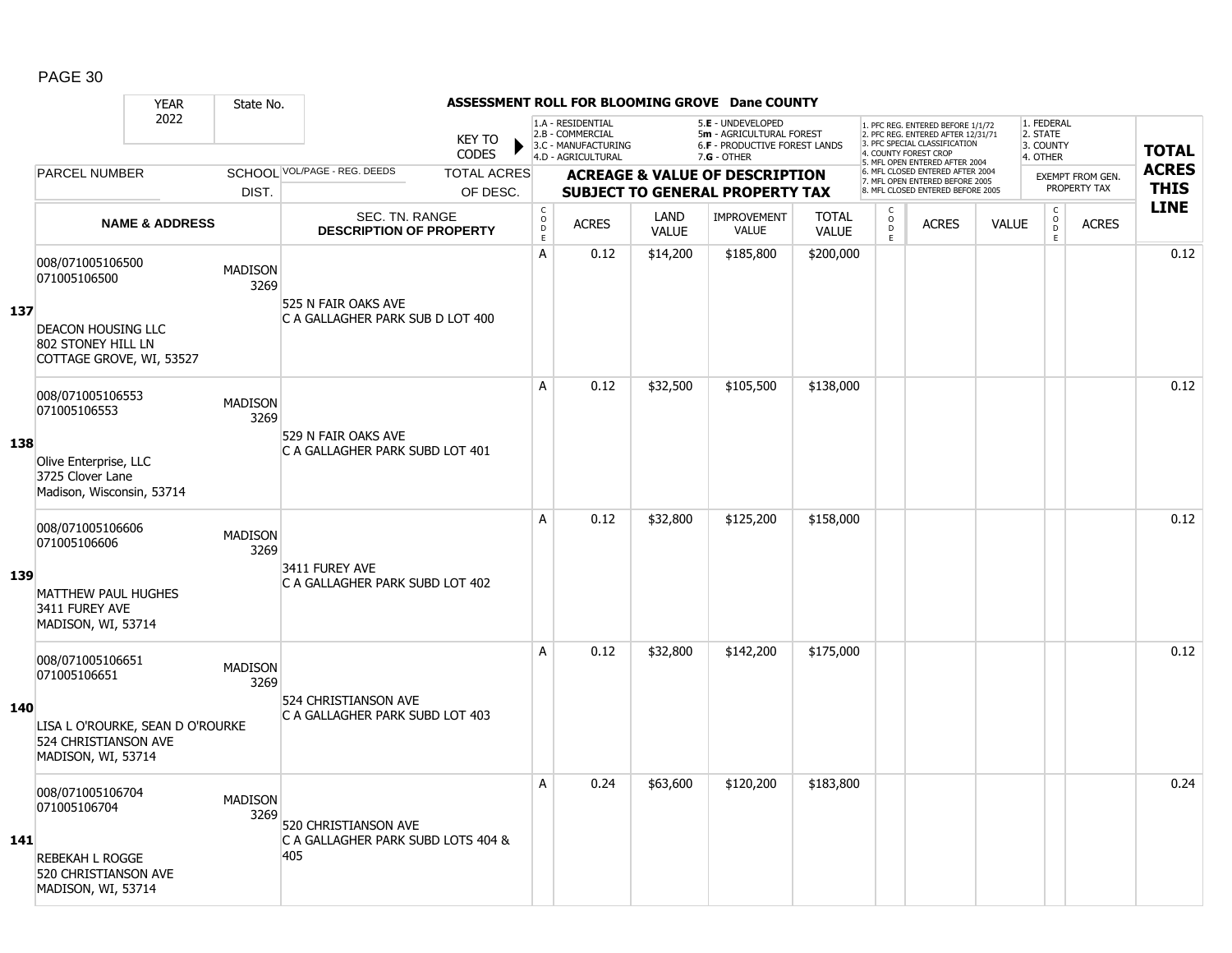|     |                                                                                                                    | <b>YEAR</b>               | State No.              |                                                                   |                               | ASSESSMENT ROLL FOR BLOOMING GROVE Dane COUNTY |                                                                                    |                             |                                                                                                      |                              |                                   |                                                                                                                                   |              |                                                          |                         |              |
|-----|--------------------------------------------------------------------------------------------------------------------|---------------------------|------------------------|-------------------------------------------------------------------|-------------------------------|------------------------------------------------|------------------------------------------------------------------------------------|-----------------------------|------------------------------------------------------------------------------------------------------|------------------------------|-----------------------------------|-----------------------------------------------------------------------------------------------------------------------------------|--------------|----------------------------------------------------------|-------------------------|--------------|
|     |                                                                                                                    | 2022                      |                        |                                                                   | <b>KEY TO</b><br><b>CODES</b> |                                                | 1.A - RESIDENTIAL<br>2.B - COMMERCIAL<br>3.C - MANUFACTURING<br>4.D - AGRICULTURAL |                             | 5.E - UNDEVELOPED<br>5m - AGRICULTURAL FOREST<br><b>6.F - PRODUCTIVE FOREST LANDS</b><br>7.G - OTHER |                              |                                   | 1. PFC REG. ENTERED BEFORE 1/1/72<br>2. PFC REG. ENTERED AFTER 12/31/71<br>3. PFC SPECIAL CLASSIFICATION<br>4. COUNTY FOREST CROP |              | 1. FEDERAL<br>2. STATE<br>3. COUNTY<br>4. OTHER          |                         | <b>TOTAL</b> |
|     | <b>PARCEL NUMBER</b>                                                                                               |                           |                        | SCHOOL VOL/PAGE - REG. DEEDS                                      | <b>TOTAL ACRES</b>            |                                                |                                                                                    |                             | <b>ACREAGE &amp; VALUE OF DESCRIPTION</b>                                                            |                              |                                   | 5. MFL OPEN ENTERED AFTER 2004<br>6. MFL CLOSED ENTERED AFTER 2004                                                                |              |                                                          | <b>EXEMPT FROM GEN.</b> | <b>ACRES</b> |
|     |                                                                                                                    |                           | DIST.                  |                                                                   | OF DESC.                      |                                                |                                                                                    |                             | <b>SUBJECT TO GENERAL PROPERTY TAX</b>                                                               |                              |                                   | 7. MFL OPEN ENTERED BEFORE 2005<br>8. MFL CLOSED ENTERED BEFORE 2005                                                              |              |                                                          | PROPERTY TAX            | <b>THIS</b>  |
|     |                                                                                                                    | <b>NAME &amp; ADDRESS</b> |                        | SEC. TN. RANGE<br><b>DESCRIPTION OF PROPERTY</b>                  |                               | $_{\rm o}^{\rm c}$<br>D<br>$\mathsf E$         | <b>ACRES</b>                                                                       | <b>LAND</b><br><b>VALUE</b> | IMPROVEMENT<br><b>VALUE</b>                                                                          | <b>TOTAL</b><br><b>VALUE</b> | $\mathsf C$<br>$\circ$<br>D<br>E. | <b>ACRES</b>                                                                                                                      | <b>VALUE</b> | $\begin{matrix} 0 \\ 0 \\ 0 \end{matrix}$<br>$\mathsf E$ | <b>ACRES</b>            | <b>LINE</b>  |
| 137 | 008/071005106500<br>071005106500<br>DEACON HOUSING LLC                                                             |                           | <b>MADISON</b><br>3269 | 525 N FAIR OAKS AVE<br>C A GALLAGHER PARK SUB D LOT 400           |                               | A                                              | 0.12                                                                               | \$14,200                    | \$185,800                                                                                            | \$200,000                    |                                   |                                                                                                                                   |              |                                                          |                         | 0.12         |
|     | 802 STONEY HILL LN<br>COTTAGE GROVE, WI, 53527                                                                     |                           |                        |                                                                   |                               | A                                              | 0.12                                                                               | \$32,500                    | \$105,500                                                                                            | \$138,000                    |                                   |                                                                                                                                   |              |                                                          |                         | 0.12         |
| 138 | 008/071005106553<br>071005106553<br>Olive Enterprise, LLC<br>3725 Clover Lane<br>Madison, Wisconsin, 53714         |                           | <b>MADISON</b><br>3269 | 529 N FAIR OAKS AVE<br>C A GALLAGHER PARK SUBD LOT 401            |                               |                                                |                                                                                    |                             |                                                                                                      |                              |                                   |                                                                                                                                   |              |                                                          |                         |              |
| 139 | 008/071005106606<br>071005106606<br><b>MATTHEW PAUL HUGHES</b><br>3411 FUREY AVE<br>MADISON, WI, 53714             |                           | <b>MADISON</b><br>3269 | 3411 FUREY AVE<br>C A GALLAGHER PARK SUBD LOT 402                 |                               | A                                              | 0.12                                                                               | \$32,800                    | \$125,200                                                                                            | \$158,000                    |                                   |                                                                                                                                   |              |                                                          |                         | 0.12         |
| 140 | 008/071005106651<br>071005106651<br>LISA L O'ROURKE, SEAN D O'ROURKE<br>524 CHRISTIANSON AVE<br>MADISON, WI, 53714 |                           | <b>MADISON</b><br>3269 | 524 CHRISTIANSON AVE<br>C A GALLAGHER PARK SUBD LOT 403           |                               | A                                              | 0.12                                                                               | \$32,800                    | \$142,200                                                                                            | \$175,000                    |                                   |                                                                                                                                   |              |                                                          |                         | 0.12         |
| 141 | 008/071005106704<br>071005106704<br><b>REBEKAH L ROGGE</b><br>520 CHRISTIANSON AVE<br>MADISON, WI, 53714           |                           | <b>MADISON</b><br>3269 | 520 CHRISTIANSON AVE<br>C A GALLAGHER PARK SUBD LOTS 404 &<br>405 |                               | А                                              | 0.24                                                                               | \$63,600                    | \$120,200                                                                                            | \$183,800                    |                                   |                                                                                                                                   |              |                                                          |                         | 0.24         |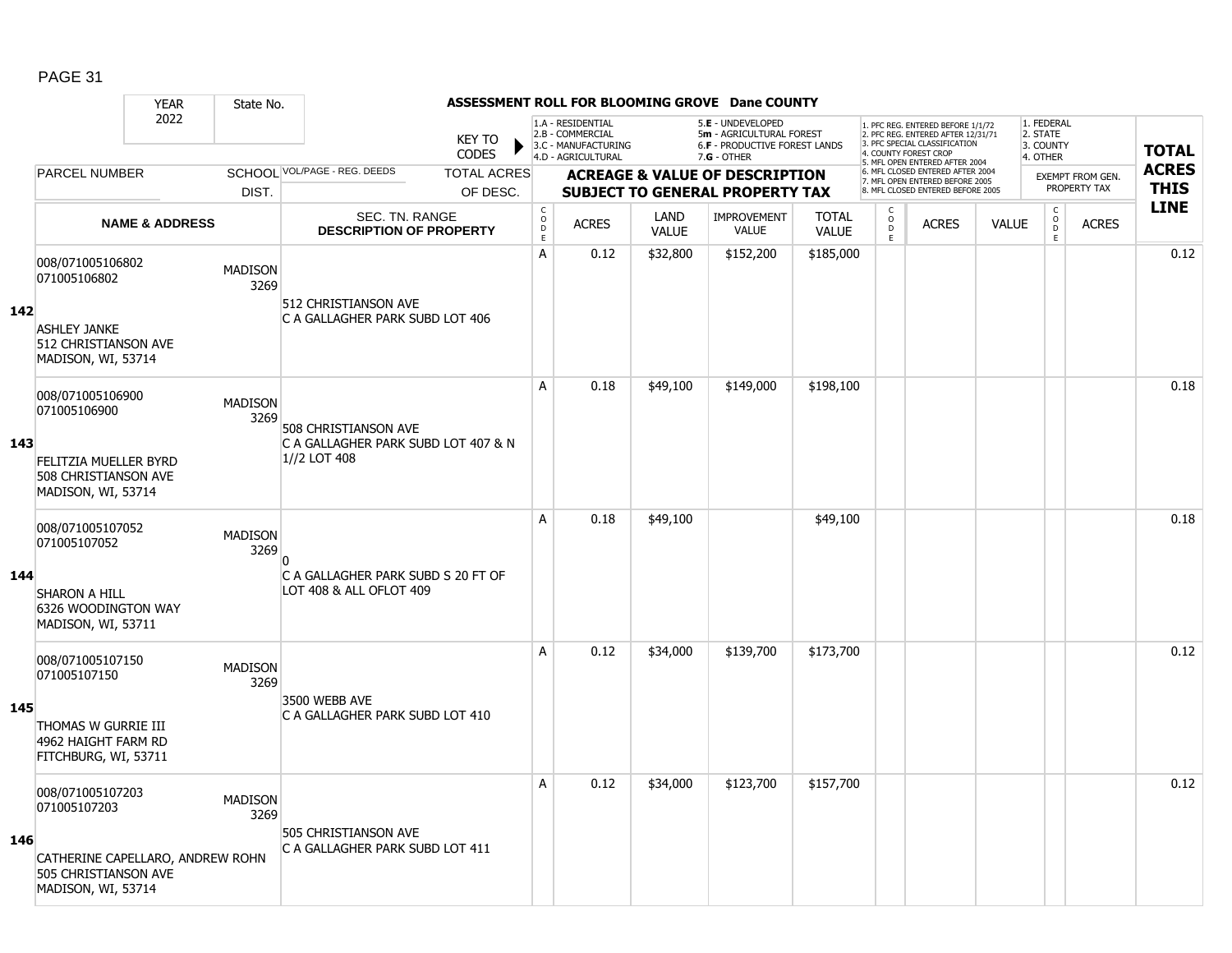#### YEAR State No. **ASSESSMENT ROLL FOR BLOOMING GROVE Dane COUNTY** 2022 KEY TO **CODES** 1. PFC REG. ENTERED BEFORE 1/1/72 2. PFC REG. ENTERED AFTER 12/31/71 3. PFC SPECIAL CLASSIFICATION 4. COUNTY FOREST CROP 5. MFL OPEN ENTERED AFTER 2004 6. MFL CLOSED ENTERED AFTER 2004 7. MFL OPEN ENTERED BEFORE 2005 8. MFL CLOSED ENTERED BEFORE 2005 1. FEDERAL 2. STATE 3. COUNTY 4. OTHER **ACREAGE & VALUE OF DESCRIPTION SUBJECT TO GENERAL PROPERTY TAX** EXEMPT FROM GEN. PROPERTY TAX **TOTAL ACRES THIS LINE** 1.A - RESIDENTIAL 2.B - COMMERCIAL 3.C - MANUFACTURING 4.D - AGRICULTURAL 5.**E** - UNDEVELOPED 5**m** - AGRICULTURAL FOREST 6.**F** - PRODUCTIVE FOREST LANDS 7.**G** - OTHER TOTAL ACRES OF DESC. SCHOOL VOL/PAGE - REG. DEEDS DIST. PARCEL NUMBER ACRES C O D E ACRES VALUE  $\mathsf{C}$ O  $\overline{D}$ E TOTAL VALUE IMPROVEMENT VALUE LAND ACRES | VALUE C O  $\overline{D}$ E SEC. TN. RANGE **DESCRIPTION OF PROPERTY NAME & ADDRESS 142** 008/071005106802 0007071005100002<br>071005106802 MADISON 3269 ASHLEY JANKE 512 CHRISTIANSON AVE MADISON, WI, 53714 512 CHRISTIANSON AVE C A GALLAGHER PARK SUBD LOT 406 A 0.12 \$32,800 \$152,200 \$185,000 distance the set of the set of the set of the set of the set of the set of th **143** 008/071005106900 008/071005106900<br>071005106900 MADISON 3269 FELITZIA MUELLER BYRD 508 CHRISTIANSON AVE MADISON, WI, 53714 508 CHRISTIANSON AVE C A GALLAGHER PARK SUBD LOT 407 & N 1//2 LOT 408 A 0.18 \$49,100 \$149,000 \$198,100 distribution of the 10.18 0.18 **144** 008/071005107052 006/071005107052 MADISON<br>071005107052 MADISON 3269 SHARON A HILL 6326 WOODINGTON WAY MADISON, WI, 53711  $\overline{0}$ C A GALLAGHER PARK SUBD S 20 FT OF LOT 408 & ALL OFLOT 409 A 0.18 \$49,100 \$49,100 \$49,100 \$49,100 \$49,100 \$49,100 \$49,100 \$49,100 \$49,100 \$ **145** 008/071005107150 00000710003107150<br>071005107150 MADISON 3269 THOMAS W GURRIE III 4962 HAIGHT FARM RD FITCHBURG, WI, 53711 3500 WEBB AVE C A GALLAGHER PARK SUBD LOT 410 A 0.12 \$34,000 \$139,700 \$173,700 0.12 **146** 008/071005107203 0007071005107203 MADISON<br>071005107203 3269 CATHERINE CAPELLARO, ANDREW ROHN 505 CHRISTIANSON AVE MADISON, WI, 53714 505 CHRISTIANSON AVE C A GALLAGHER PARK SUBD LOT 411 A 0.12 \$34,000 \$123,700 \$157,700 distribution of the 10.12 to 1.12 to 1.12 and 1.12 to 1.12 and 1.12 and 1.12 to 1.12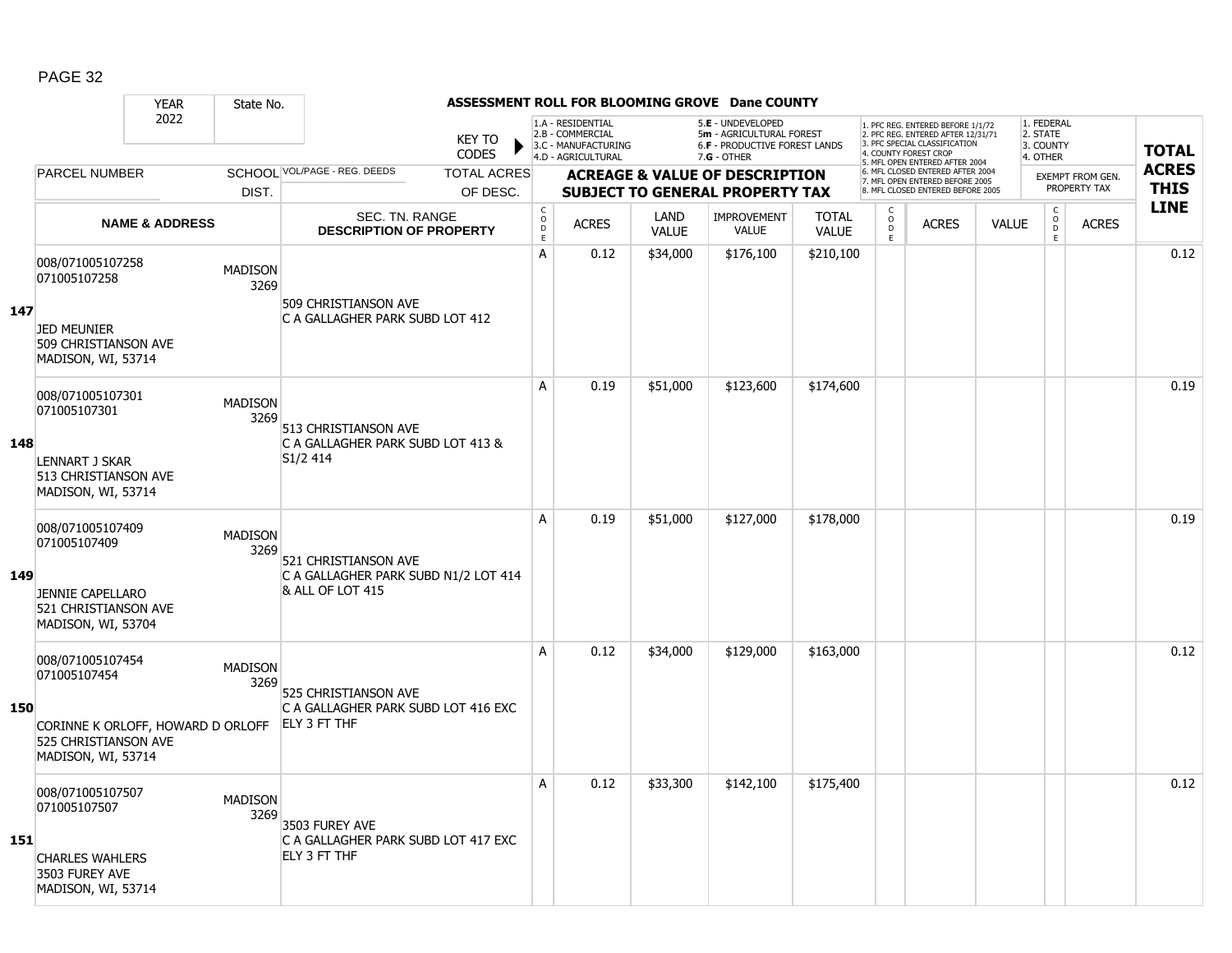|     |                                                                                                                     | <b>YEAR</b>               | State No.              |                                                                                                |                               | ASSESSMENT ROLL FOR BLOOMING GROVE Dane COUNTY  |                                                                                    |                      |                                                                                                      |                              |                         |                                                                                                                                                                    |              |                                                 |                         |              |
|-----|---------------------------------------------------------------------------------------------------------------------|---------------------------|------------------------|------------------------------------------------------------------------------------------------|-------------------------------|-------------------------------------------------|------------------------------------------------------------------------------------|----------------------|------------------------------------------------------------------------------------------------------|------------------------------|-------------------------|--------------------------------------------------------------------------------------------------------------------------------------------------------------------|--------------|-------------------------------------------------|-------------------------|--------------|
|     |                                                                                                                     | 2022                      |                        |                                                                                                | <b>KEY TO</b><br><b>CODES</b> |                                                 | 1.A - RESIDENTIAL<br>2.B - COMMERCIAL<br>3.C - MANUFACTURING<br>4.D - AGRICULTURAL |                      | 5.E - UNDEVELOPED<br>5m - AGRICULTURAL FOREST<br><b>6.F - PRODUCTIVE FOREST LANDS</b><br>7.G - OTHER |                              |                         | . PFC REG. ENTERED BEFORE 1/1/72<br>2. PFC REG. ENTERED AFTER 12/31/71<br>3. PFC SPECIAL CLASSIFICATION<br>4. COUNTY FOREST CROP<br>5. MFL OPEN ENTERED AFTER 2004 |              | 1. FEDERAL<br>2. STATE<br>3. COUNTY<br>4. OTHER |                         | <b>TOTAL</b> |
|     | PARCEL NUMBER                                                                                                       |                           |                        | SCHOOL VOL/PAGE - REG. DEEDS                                                                   | <b>TOTAL ACRES</b>            |                                                 |                                                                                    |                      | <b>ACREAGE &amp; VALUE OF DESCRIPTION</b>                                                            |                              |                         | 6. MFL CLOSED ENTERED AFTER 2004<br>7. MFL OPEN ENTERED BEFORE 2005                                                                                                |              |                                                 | <b>EXEMPT FROM GEN.</b> | <b>ACRES</b> |
|     |                                                                                                                     |                           | DIST.                  |                                                                                                | OF DESC.                      |                                                 |                                                                                    |                      | <b>SUBJECT TO GENERAL PROPERTY TAX</b>                                                               |                              |                         | 8. MFL CLOSED ENTERED BEFORE 2005                                                                                                                                  |              |                                                 | PROPERTY TAX            | <b>THIS</b>  |
|     |                                                                                                                     | <b>NAME &amp; ADDRESS</b> |                        | <b>SEC. TN. RANGE</b><br><b>DESCRIPTION OF PROPERTY</b>                                        |                               | $_{\rm o}^{\rm c}$<br>$\mathsf{D}_{\mathsf{E}}$ | <b>ACRES</b>                                                                       | LAND<br><b>VALUE</b> | <b>IMPROVEMENT</b><br><b>VALUE</b>                                                                   | <b>TOTAL</b><br><b>VALUE</b> | C<br>$\circ$<br>D<br>E. | <b>ACRES</b>                                                                                                                                                       | <b>VALUE</b> | $_{\rm o}^{\rm c}$<br>$\mathsf D$<br>E          | <b>ACRES</b>            | <b>LINE</b>  |
| 147 | 008/071005107258<br>071005107258<br><b>JED MEUNIER</b><br>509 CHRISTIANSON AVE                                      |                           | <b>MADISON</b><br>3269 | 509 CHRISTIANSON AVE<br>C A GALLAGHER PARK SUBD LOT 412                                        |                               | A                                               | 0.12                                                                               | \$34,000             | \$176,100                                                                                            | \$210,100                    |                         |                                                                                                                                                                    |              |                                                 |                         | 0.12         |
|     | MADISON, WI, 53714<br>008/071005107301                                                                              |                           |                        |                                                                                                |                               | A                                               | 0.19                                                                               | \$51,000             | \$123,600                                                                                            | \$174,600                    |                         |                                                                                                                                                                    |              |                                                 |                         | 0.19         |
| 148 | 071005107301<br><b>LENNART J SKAR</b><br>513 CHRISTIANSON AVE<br>MADISON, WI, 53714                                 |                           | <b>MADISON</b><br>3269 | 513 CHRISTIANSON AVE<br>C A GALLAGHER PARK SUBD LOT 413 &<br>S <sub>1</sub> /2 4 <sub>14</sub> |                               |                                                 |                                                                                    |                      |                                                                                                      |                              |                         |                                                                                                                                                                    |              |                                                 |                         |              |
| 149 | 008/071005107409<br>071005107409<br><b>JENNIE CAPELLARO</b><br>521 CHRISTIANSON AVE<br>MADISON, WI, 53704           |                           | <b>MADISON</b><br>3269 | 521 CHRISTIANSON AVE<br>C A GALLAGHER PARK SUBD N1/2 LOT 414<br><b>&amp; ALL OF LOT 415</b>    |                               | A                                               | 0.19                                                                               | \$51,000             | \$127,000                                                                                            | \$178,000                    |                         |                                                                                                                                                                    |              |                                                 |                         | 0.19         |
| 150 | 008/071005107454<br>071005107454<br>CORINNE K ORLOFF, HOWARD D ORLOFF<br>525 CHRISTIANSON AVE<br>MADISON, WI, 53714 |                           | <b>MADISON</b><br>3269 | 525 CHRISTIANSON AVE<br>C A GALLAGHER PARK SUBD LOT 416 EXC<br>ELY 3 FT THF                    |                               | A                                               | 0.12                                                                               | \$34,000             | \$129,000                                                                                            | \$163,000                    |                         |                                                                                                                                                                    |              |                                                 |                         | 0.12         |
| 151 | 008/071005107507<br>071005107507<br><b>CHARLES WAHLERS</b><br>3503 FUREY AVE<br>MADISON, WI, 53714                  |                           | <b>MADISON</b><br>3269 | 3503 FUREY AVE<br>C A GALLAGHER PARK SUBD LOT 417 EXC<br>ELY 3 FT THF                          |                               | А                                               | 0.12                                                                               | \$33,300             | \$142,100                                                                                            | \$175,400                    |                         |                                                                                                                                                                    |              |                                                 |                         | 0.12         |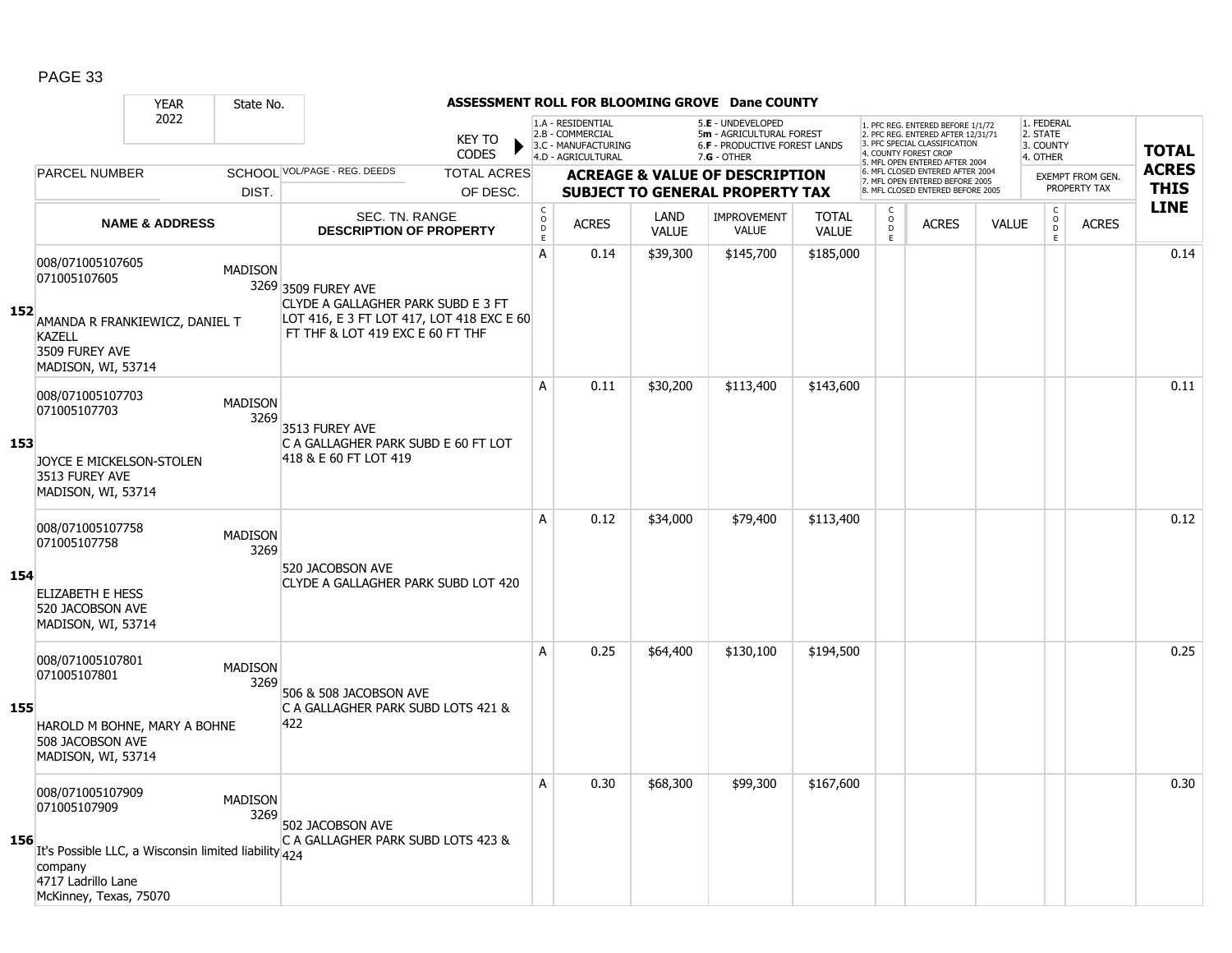|     |                                                                  | <b>YEAR</b><br>State No.                                                       |                                                                                                                                            |                                        |                                                                                    |                      | ASSESSMENT ROLL FOR BLOOMING GROVE Dane COUNTY                                                  |                              |                                                                                                                                                                     |                                                                     |              |                                                 |                                                |                         |              |
|-----|------------------------------------------------------------------|--------------------------------------------------------------------------------|--------------------------------------------------------------------------------------------------------------------------------------------|----------------------------------------|------------------------------------------------------------------------------------|----------------------|-------------------------------------------------------------------------------------------------|------------------------------|---------------------------------------------------------------------------------------------------------------------------------------------------------------------|---------------------------------------------------------------------|--------------|-------------------------------------------------|------------------------------------------------|-------------------------|--------------|
|     |                                                                  | 2022                                                                           | <b>KEY TO</b><br><b>CODES</b>                                                                                                              |                                        | 1.A - RESIDENTIAL<br>2.B - COMMERCIAL<br>3.C - MANUFACTURING<br>4.D - AGRICULTURAL |                      | 5.E - UNDEVELOPED<br>5m - AGRICULTURAL FOREST<br>6.F - PRODUCTIVE FOREST LANDS<br>$7.G - OTHER$ |                              | 1. PFC REG. ENTERED BEFORE 1/1/72<br>2. PFC REG. ENTERED AFTER 12/31/71<br>3. PFC SPECIAL CLASSIFICATION<br>4. COUNTY FOREST CROP<br>5. MFL OPEN ENTERED AFTER 2004 |                                                                     |              | 1. FEDERAL<br>2. STATE<br>3. COUNTY<br>4. OTHER |                                                |                         | <b>TOTAL</b> |
|     | <b>PARCEL NUMBER</b>                                             |                                                                                | SCHOOL VOL/PAGE - REG. DEEDS<br><b>TOTAL ACRES</b>                                                                                         |                                        |                                                                                    |                      | <b>ACREAGE &amp; VALUE OF DESCRIPTION</b>                                                       |                              |                                                                                                                                                                     | 6. MFL CLOSED ENTERED AFTER 2004<br>7. MFL OPEN ENTERED BEFORE 2005 |              |                                                 |                                                | <b>EXEMPT FROM GEN.</b> | <b>ACRES</b> |
|     |                                                                  | DIST.                                                                          | OF DESC.                                                                                                                                   |                                        |                                                                                    |                      | <b>SUBJECT TO GENERAL PROPERTY TAX</b>                                                          |                              |                                                                                                                                                                     | 8. MFL CLOSED ENTERED BEFORE 2005                                   |              |                                                 |                                                | PROPERTY TAX            | <b>THIS</b>  |
|     |                                                                  | <b>NAME &amp; ADDRESS</b>                                                      | SEC. TN. RANGE<br><b>DESCRIPTION OF PROPERTY</b>                                                                                           | $_{\rm o}^{\rm c}$<br>D<br>$\mathsf E$ | <b>ACRES</b>                                                                       | LAND<br><b>VALUE</b> | <b>IMPROVEMENT</b><br><b>VALUE</b>                                                              | <b>TOTAL</b><br><b>VALUE</b> | $\begin{matrix} 0 \\ 0 \\ D \end{matrix}$<br>$\mathsf E$                                                                                                            | <b>ACRES</b>                                                        | <b>VALUE</b> |                                                 | $\begin{matrix} C \\ O \\ D \end{matrix}$<br>E | <b>ACRES</b>            | <b>LINE</b>  |
| 152 | 008/071005107605<br>071005107605<br><b>KAZELL</b>                | <b>MADISON</b><br>AMANDA R FRANKIEWICZ, DANIEL T                               | 3269 3509 FUREY AVE<br>CLYDE A GALLAGHER PARK SUBD E 3 FT<br>LOT 416, E 3 FT LOT 417, LOT 418 EXC E 60<br>FT THF & LOT 419 EXC E 60 FT THF | A                                      | 0.14                                                                               | \$39,300             | \$145,700                                                                                       | \$185,000                    |                                                                                                                                                                     |                                                                     |              |                                                 |                                                |                         | 0.14         |
|     | 3509 FUREY AVE<br>MADISON, WI, 53714                             |                                                                                |                                                                                                                                            |                                        |                                                                                    |                      |                                                                                                 |                              |                                                                                                                                                                     |                                                                     |              |                                                 |                                                |                         |              |
|     | 008/071005107703<br>071005107703                                 | <b>MADISON</b><br>3269                                                         | 3513 FUREY AVE                                                                                                                             | A                                      | 0.11                                                                               | \$30,200             | \$113,400                                                                                       | \$143,600                    |                                                                                                                                                                     |                                                                     |              |                                                 |                                                |                         | 0.11         |
| 153 | JOYCE E MICKELSON-STOLEN<br>3513 FUREY AVE<br>MADISON, WI, 53714 |                                                                                | C A GALLAGHER PARK SUBD E 60 FT LOT<br>418 & E 60 FT LOT 419                                                                               |                                        |                                                                                    |                      |                                                                                                 |                              |                                                                                                                                                                     |                                                                     |              |                                                 |                                                |                         |              |
|     | 008/071005107758<br>071005107758                                 | <b>MADISON</b><br>3269                                                         |                                                                                                                                            | A                                      | 0.12                                                                               | \$34,000             | \$79,400                                                                                        | \$113,400                    |                                                                                                                                                                     |                                                                     |              |                                                 |                                                |                         | 0.12         |
| 154 | ELIZABETH E HESS<br>520 JACOBSON AVE<br>MADISON, WI, 53714       |                                                                                | 520 JACOBSON AVE<br>CLYDE A GALLAGHER PARK SUBD LOT 420                                                                                    |                                        |                                                                                    |                      |                                                                                                 |                              |                                                                                                                                                                     |                                                                     |              |                                                 |                                                |                         |              |
|     | 008/071005107801<br>071005107801                                 | <b>MADISON</b><br>3269                                                         | 506 & 508 JACOBSON AVE                                                                                                                     | $\mathsf{A}$                           | 0.25                                                                               | \$64,400             | \$130,100                                                                                       | \$194,500                    |                                                                                                                                                                     |                                                                     |              |                                                 |                                                |                         | 0.25         |
| 155 | 508 JACOBSON AVE<br>MADISON, WI, 53714                           | HAROLD M BOHNE, MARY A BOHNE                                                   | C A GALLAGHER PARK SUBD LOTS 421 &<br>422                                                                                                  |                                        |                                                                                    |                      |                                                                                                 |                              |                                                                                                                                                                     |                                                                     |              |                                                 |                                                |                         |              |
| 156 | 008/071005107909<br>071005107909                                 | <b>MADISON</b><br>3269<br>It's Possible LLC, a Wisconsin limited liability 424 | 502 JACOBSON AVE<br>C A GALLAGHER PARK SUBD LOTS 423 &                                                                                     | Α                                      | 0.30                                                                               | \$68,300             | \$99,300                                                                                        | \$167,600                    |                                                                                                                                                                     |                                                                     |              |                                                 |                                                |                         | 0.30         |
|     | company<br>4717 Ladrillo Lane<br>McKinney, Texas, 75070          |                                                                                |                                                                                                                                            |                                        |                                                                                    |                      |                                                                                                 |                              |                                                                                                                                                                     |                                                                     |              |                                                 |                                                |                         |              |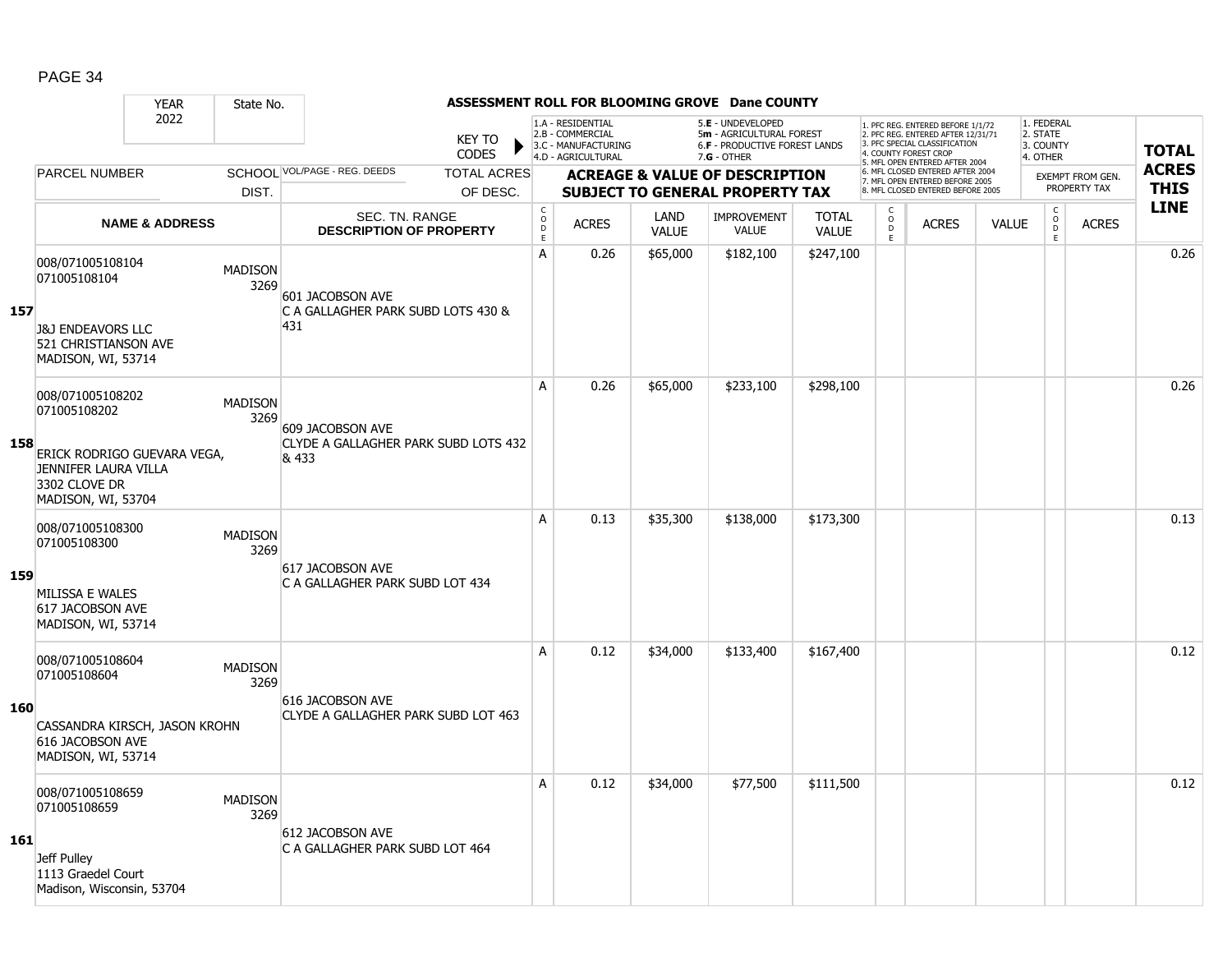|     |                                                                                                                | <b>YEAR</b>                 | State No.              |                                                               |                                                  |                              |                                                                                    |                      | ASSESSMENT ROLL FOR BLOOMING GROVE Dane COUNTY                                      |                              |                     |                                                                                                                                   |              |                                     |                                         |              |
|-----|----------------------------------------------------------------------------------------------------------------|-----------------------------|------------------------|---------------------------------------------------------------|--------------------------------------------------|------------------------------|------------------------------------------------------------------------------------|----------------------|-------------------------------------------------------------------------------------|------------------------------|---------------------|-----------------------------------------------------------------------------------------------------------------------------------|--------------|-------------------------------------|-----------------------------------------|--------------|
|     |                                                                                                                | 2022                        |                        |                                                               | <b>KEY TO</b><br><b>CODES</b>                    |                              | 1.A - RESIDENTIAL<br>2.B - COMMERCIAL<br>3.C - MANUFACTURING<br>4.D - AGRICULTURAL |                      | 5.E - UNDEVELOPED<br>5m - AGRICULTURAL FOREST<br>6.F - PRODUCTIVE FOREST LANDS      |                              |                     | 1. PFC REG. ENTERED BEFORE 1/1/72<br>2. PFC REG. ENTERED AFTER 12/31/71<br>3. PFC SPECIAL CLASSIFICATION<br>4. COUNTY FOREST CROP |              | 1. FEDERAL<br>2. STATE<br>3. COUNTY |                                         | <b>TOTAL</b> |
|     | <b>PARCEL NUMBER</b>                                                                                           |                             |                        | SCHOOL VOL/PAGE - REG. DEEDS                                  | <b>TOTAL ACRES</b>                               |                              |                                                                                    |                      | 7.G - OTHER                                                                         |                              |                     | 5. MFL OPEN ENTERED AFTER 2004<br>6. MFL CLOSED ENTERED AFTER 2004                                                                |              | 4. OTHER                            |                                         | <b>ACRES</b> |
|     |                                                                                                                |                             | DIST.                  |                                                               | OF DESC.                                         |                              |                                                                                    |                      | <b>ACREAGE &amp; VALUE OF DESCRIPTION</b><br><b>SUBJECT TO GENERAL PROPERTY TAX</b> |                              |                     | 7. MFL OPEN ENTERED BEFORE 2005<br>8. MFL CLOSED ENTERED BEFORE 2005                                                              |              |                                     | <b>EXEMPT FROM GEN.</b><br>PROPERTY TAX | <b>THIS</b>  |
|     |                                                                                                                | <b>NAME &amp; ADDRESS</b>   |                        |                                                               | SEC. TN. RANGE<br><b>DESCRIPTION OF PROPERTY</b> | $_{\rm o}^{\rm c}$<br>D<br>E | <b>ACRES</b>                                                                       | LAND<br><b>VALUE</b> | <b>IMPROVEMENT</b><br><b>VALUE</b>                                                  | <b>TOTAL</b><br><b>VALUE</b> | C<br>$\overline{0}$ | <b>ACRES</b>                                                                                                                      | <b>VALUE</b> | $\rm _o^C$                          | <b>ACRES</b>                            | <b>LINE</b>  |
| 157 | 008/071005108104<br>071005108104<br><b>J&amp;J ENDEAVORS LLC</b><br>521 CHRISTIANSON AVE<br>MADISON, WI, 53714 |                             | <b>MADISON</b><br>3269 | 601 JACOBSON AVE<br>C A GALLAGHER PARK SUBD LOTS 430 &<br>431 |                                                  | A                            | 0.26                                                                               | \$65,000             | \$182,100                                                                           | \$247,100                    | E                   |                                                                                                                                   |              | E.                                  |                                         | 0.26         |
| 158 | 008/071005108202<br>071005108202<br>JENNIFER LAURA VILLA<br>3302 CLOVE DR<br>MADISON, WI, 53704                | ERICK RODRIGO GUEVARA VEGA, | <b>MADISON</b><br>3269 | 609 JACOBSON AVE<br>& 433                                     | CLYDE A GALLAGHER PARK SUBD LOTS 432             | A                            | 0.26                                                                               | \$65,000             | \$233,100                                                                           | \$298,100                    |                     |                                                                                                                                   |              |                                     |                                         | 0.26         |
| 159 | 008/071005108300<br>071005108300<br>MILISSA E WALES<br>617 JACOBSON AVE<br>MADISON, WI, 53714                  |                             | <b>MADISON</b><br>3269 | 617 JACOBSON AVE<br>C A GALLAGHER PARK SUBD LOT 434           |                                                  | A                            | 0.13                                                                               | \$35,300             | \$138,000                                                                           | \$173,300                    |                     |                                                                                                                                   |              |                                     |                                         | 0.13         |
| 160 | 008/071005108604<br>071005108604<br>CASSANDRA KIRSCH, JASON KROHN<br>616 JACOBSON AVE<br>MADISON, WI, 53714    |                             | <b>MADISON</b><br>3269 | 616 JACOBSON AVE<br>CLYDE A GALLAGHER PARK SUBD LOT 463       |                                                  | A                            | 0.12                                                                               | \$34,000             | \$133,400                                                                           | \$167,400                    |                     |                                                                                                                                   |              |                                     |                                         | 0.12         |
| 161 | 008/071005108659<br>071005108659<br>Jeff Pulley<br>1113 Graedel Court<br>Madison, Wisconsin, 53704             |                             | <b>MADISON</b><br>3269 | 612 JACOBSON AVE<br>C A GALLAGHER PARK SUBD LOT 464           |                                                  | A                            | 0.12                                                                               | \$34,000             | \$77,500                                                                            | \$111,500                    |                     |                                                                                                                                   |              |                                     |                                         | 0.12         |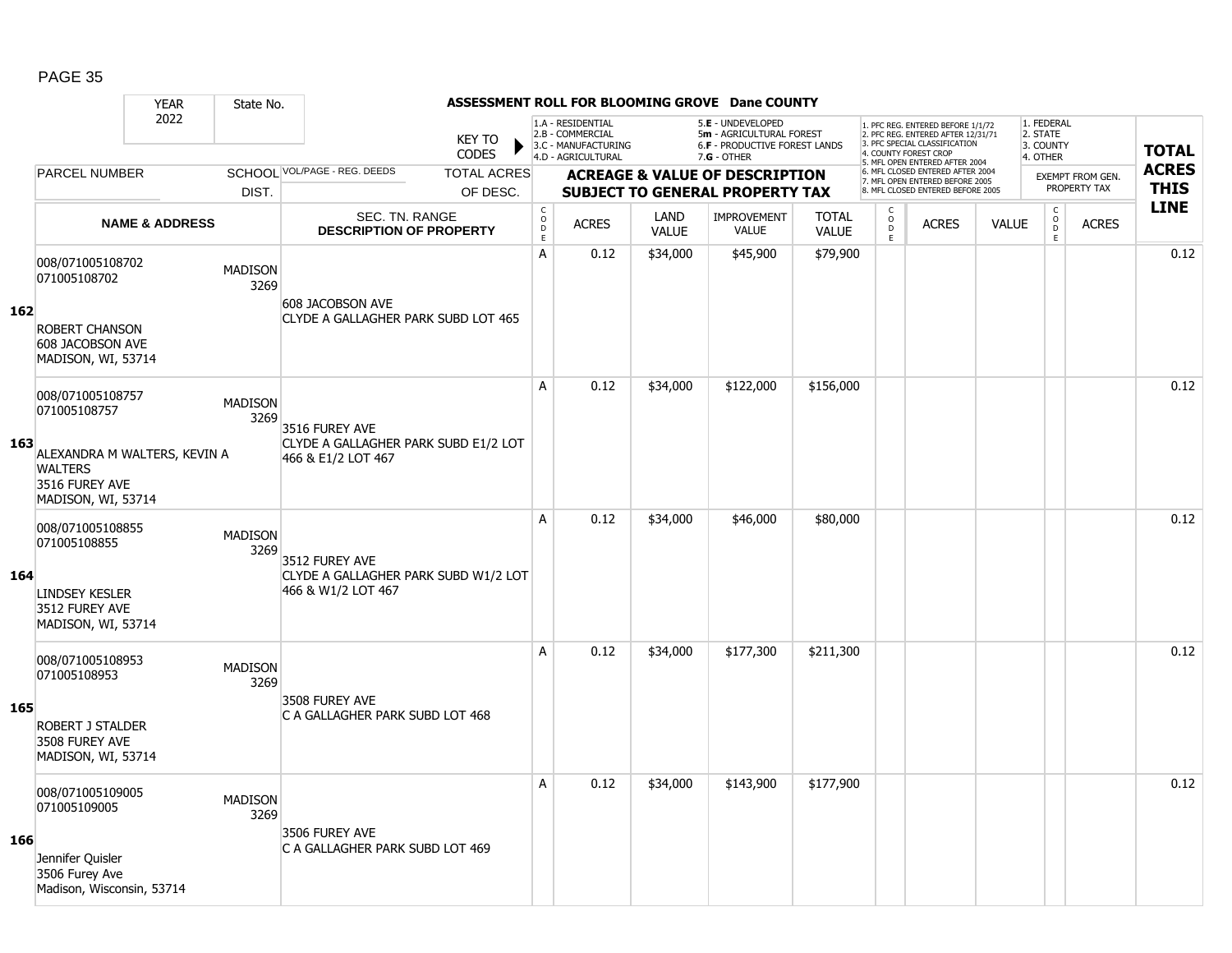|     |                                                                                                                            | <b>YEAR</b>               | State No.              |                                                                              |                               |                                            |                                                                                    |                                           | ASSESSMENT ROLL FOR BLOOMING GROVE Dane COUNTY                                                         |                              |                                                                                                                                   |                                                                      |              |                                                 |                         |              |
|-----|----------------------------------------------------------------------------------------------------------------------------|---------------------------|------------------------|------------------------------------------------------------------------------|-------------------------------|--------------------------------------------|------------------------------------------------------------------------------------|-------------------------------------------|--------------------------------------------------------------------------------------------------------|------------------------------|-----------------------------------------------------------------------------------------------------------------------------------|----------------------------------------------------------------------|--------------|-------------------------------------------------|-------------------------|--------------|
|     |                                                                                                                            | 2022                      |                        |                                                                              | <b>KEY TO</b><br><b>CODES</b> |                                            | 1.A - RESIDENTIAL<br>2.B - COMMERCIAL<br>3.C - MANUFACTURING<br>4.D - AGRICULTURAL |                                           | 5.E - UNDEVELOPED<br>5m - AGRICULTURAL FOREST<br><b>6.F - PRODUCTIVE FOREST LANDS</b><br>$7.G - OTHER$ |                              | 1. PFC REG. ENTERED BEFORE 1/1/72<br>2. PFC REG. ENTERED AFTER 12/31/71<br>3. PFC SPECIAL CLASSIFICATION<br>4. COUNTY FOREST CROP |                                                                      |              | 1. FEDERAL<br>2. STATE<br>3. COUNTY<br>4. OTHER |                         | <b>TOTAL</b> |
|     | <b>PARCEL NUMBER</b>                                                                                                       |                           |                        | SCHOOL VOL/PAGE - REG. DEEDS                                                 | <b>TOTAL ACRES</b>            |                                            |                                                                                    | <b>ACREAGE &amp; VALUE OF DESCRIPTION</b> |                                                                                                        |                              |                                                                                                                                   | 5. MFL OPEN ENTERED AFTER 2004<br>6. MFL CLOSED ENTERED AFTER 2004   |              |                                                 | <b>EXEMPT FROM GEN.</b> | <b>ACRES</b> |
|     |                                                                                                                            |                           | DIST.                  |                                                                              | OF DESC.                      |                                            |                                                                                    |                                           | <b>SUBJECT TO GENERAL PROPERTY TAX</b>                                                                 |                              |                                                                                                                                   | 7. MFL OPEN ENTERED BEFORE 2005<br>8. MFL CLOSED ENTERED BEFORE 2005 |              |                                                 | PROPERTY TAX            | <b>THIS</b>  |
|     |                                                                                                                            | <b>NAME &amp; ADDRESS</b> |                        | SEC. TN. RANGE<br><b>DESCRIPTION OF PROPERTY</b>                             |                               | $\mathsf C$<br>$\circ$<br>D<br>$\mathsf E$ | <b>ACRES</b>                                                                       | <b>LAND</b><br><b>VALUE</b>               | <b>IMPROVEMENT</b><br><b>VALUE</b>                                                                     | <b>TOTAL</b><br><b>VALUE</b> | $\mathsf C$<br>$\circ$<br>$\mathsf D$<br>E.                                                                                       | <b>ACRES</b>                                                         | <b>VALUE</b> | $\mathsf C$<br>$\overline{0}$<br>$\mathsf E$    | <b>ACRES</b>            | <b>LINE</b>  |
| 162 | 008/071005108702<br>071005108702<br><b>ROBERT CHANSON</b><br>608 JACOBSON AVE<br>MADISON, WI, 53714                        |                           | <b>MADISON</b><br>3269 | 608 JACOBSON AVE<br>CLYDE A GALLAGHER PARK SUBD LOT 465                      |                               | A                                          | 0.12                                                                               | \$34,000                                  | \$45,900                                                                                               | \$79,900                     |                                                                                                                                   |                                                                      |              |                                                 |                         | 0.12         |
| 163 | 008/071005108757<br>071005108757<br>ALEXANDRA M WALTERS, KEVIN A<br><b>WALTERS</b><br>3516 FUREY AVE<br>MADISON, WI, 53714 |                           | <b>MADISON</b><br>3269 | 3516 FUREY AVE<br>CLYDE A GALLAGHER PARK SUBD E1/2 LOT<br>466 & E1/2 LOT 467 |                               | A                                          | 0.12                                                                               | \$34,000                                  | \$122,000                                                                                              | \$156,000                    |                                                                                                                                   |                                                                      |              |                                                 |                         | 0.12         |
| 164 | 008/071005108855<br>071005108855<br><b>LINDSEY KESLER</b><br>3512 FUREY AVE<br>MADISON, WI, 53714                          |                           | <b>MADISON</b><br>3269 | 3512 FUREY AVE<br>CLYDE A GALLAGHER PARK SUBD W1/2 LOT<br>466 & W1/2 LOT 467 |                               | A                                          | 0.12                                                                               | \$34,000                                  | \$46,000                                                                                               | \$80,000                     |                                                                                                                                   |                                                                      |              |                                                 |                         | 0.12         |
| 165 | 008/071005108953<br>071005108953<br><b>ROBERT J STALDER</b><br>3508 FUREY AVE<br>MADISON, WI, 53714                        |                           | <b>MADISON</b><br>3269 | 3508 FUREY AVE<br>C A GALLAGHER PARK SUBD LOT 468                            |                               | A                                          | 0.12                                                                               | \$34,000                                  | \$177,300                                                                                              | \$211,300                    |                                                                                                                                   |                                                                      |              |                                                 |                         | 0.12         |
| 166 | 008/071005109005<br>071005109005<br>Jennifer Quisler<br>3506 Furey Ave<br>Madison, Wisconsin, 53714                        |                           | <b>MADISON</b><br>3269 | 3506 FUREY AVE<br>C A GALLAGHER PARK SUBD LOT 469                            |                               | A                                          | 0.12                                                                               | \$34,000                                  | \$143,900                                                                                              | \$177,900                    |                                                                                                                                   |                                                                      |              |                                                 |                         | 0.12         |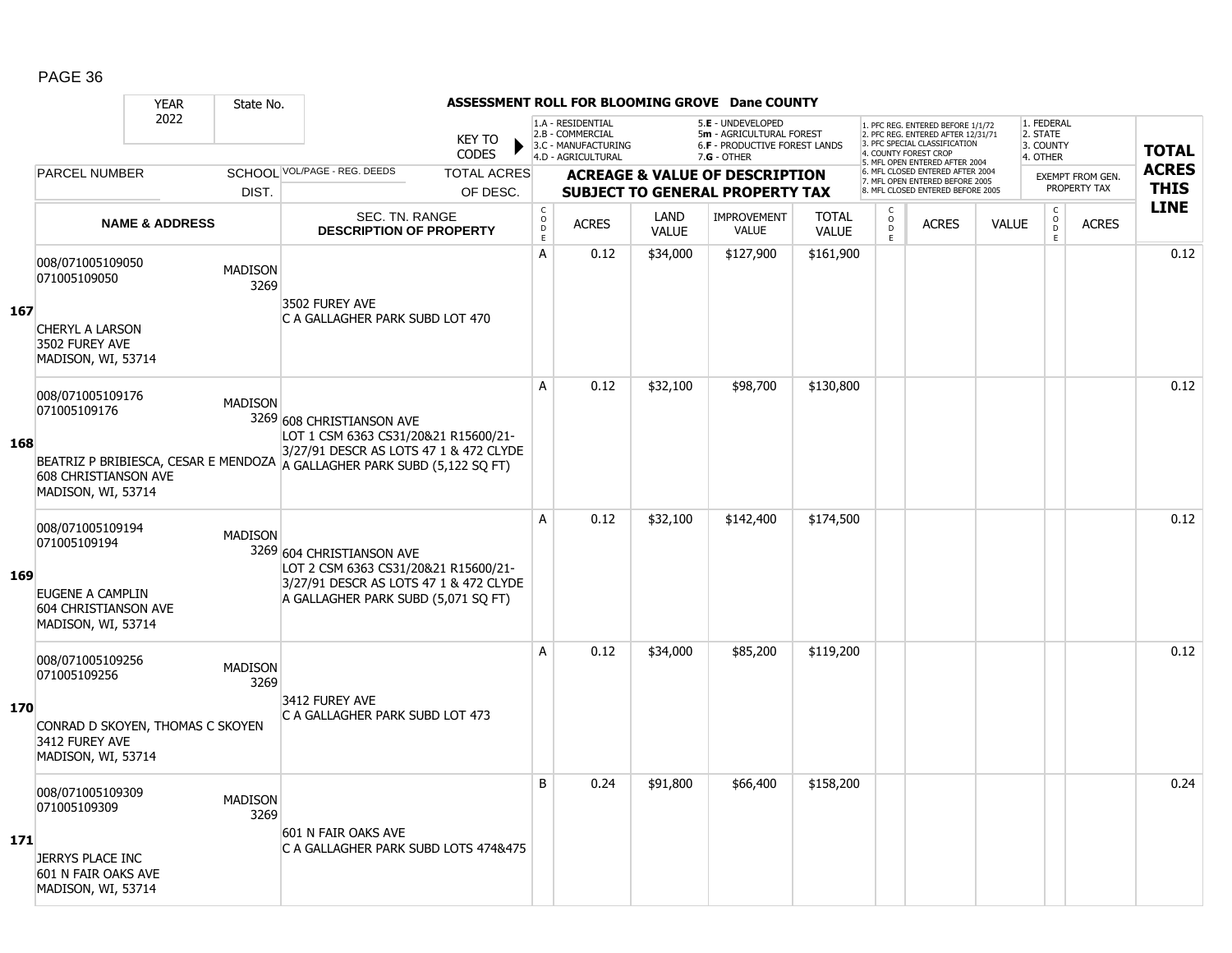|     |                                                                                                              | <b>YEAR</b>               | State No.              |                                                                                                                                                                                         |                               | ASSESSMENT ROLL FOR BLOOMING GROVE Dane COUNTY |                                                                                    |                      |                                                                                                      |                              |                              |                                                                                                                                                                    |              |                                                 |                         |              |
|-----|--------------------------------------------------------------------------------------------------------------|---------------------------|------------------------|-----------------------------------------------------------------------------------------------------------------------------------------------------------------------------------------|-------------------------------|------------------------------------------------|------------------------------------------------------------------------------------|----------------------|------------------------------------------------------------------------------------------------------|------------------------------|------------------------------|--------------------------------------------------------------------------------------------------------------------------------------------------------------------|--------------|-------------------------------------------------|-------------------------|--------------|
|     |                                                                                                              | 2022                      |                        |                                                                                                                                                                                         | <b>KEY TO</b><br><b>CODES</b> |                                                | 1.A - RESIDENTIAL<br>2.B - COMMERCIAL<br>3.C - MANUFACTURING<br>4.D - AGRICULTURAL |                      | 5.E - UNDEVELOPED<br>5m - AGRICULTURAL FOREST<br><b>6.F - PRODUCTIVE FOREST LANDS</b><br>7.G - OTHER |                              |                              | . PFC REG. ENTERED BEFORE 1/1/72<br>2. PFC REG. ENTERED AFTER 12/31/71<br>3. PFC SPECIAL CLASSIFICATION<br>4. COUNTY FOREST CROP<br>5. MFL OPEN ENTERED AFTER 2004 |              | 1. FEDERAL<br>2. STATE<br>3. COUNTY<br>4. OTHER |                         | <b>TOTAL</b> |
|     | <b>PARCEL NUMBER</b>                                                                                         |                           |                        | SCHOOL VOL/PAGE - REG. DEEDS                                                                                                                                                            | <b>TOTAL ACRES</b>            |                                                |                                                                                    |                      | <b>ACREAGE &amp; VALUE OF DESCRIPTION</b>                                                            |                              |                              | 6. MFL CLOSED ENTERED AFTER 2004<br>7. MFL OPEN ENTERED BEFORE 2005                                                                                                |              |                                                 | <b>EXEMPT FROM GEN.</b> | <b>ACRES</b> |
|     |                                                                                                              |                           | DIST.                  |                                                                                                                                                                                         | OF DESC.                      |                                                |                                                                                    |                      | <b>SUBJECT TO GENERAL PROPERTY TAX</b>                                                               |                              |                              | 8. MFL CLOSED ENTERED BEFORE 2005                                                                                                                                  |              |                                                 | PROPERTY TAX            | <b>THIS</b>  |
|     |                                                                                                              | <b>NAME &amp; ADDRESS</b> |                        | SEC. TN. RANGE<br><b>DESCRIPTION OF PROPERTY</b>                                                                                                                                        |                               | $_{\rm o}^{\rm c}$<br>D<br>Ē                   | <b>ACRES</b>                                                                       | LAND<br><b>VALUE</b> | <b>IMPROVEMENT</b><br><b>VALUE</b>                                                                   | <b>TOTAL</b><br><b>VALUE</b> | C<br>$\mathsf{o}$<br>D<br>E. | <b>ACRES</b>                                                                                                                                                       | <b>VALUE</b> | $_{\rm o}^{\rm c}$<br>D<br>E                    | <b>ACRES</b>            | <b>LINE</b>  |
| 167 | 008/071005109050<br>071005109050<br><b>CHERYL A LARSON</b><br>3502 FUREY AVE<br>MADISON, WI, 53714           |                           | <b>MADISON</b><br>3269 | 3502 FUREY AVE<br>C A GALLAGHER PARK SUBD LOT 470                                                                                                                                       |                               | A                                              | 0.12                                                                               | \$34,000             | \$127,900                                                                                            | \$161,900                    |                              |                                                                                                                                                                    |              |                                                 |                         | 0.12         |
| 168 | 008/071005109176<br>071005109176<br><b>608 CHRISTIANSON AVE</b><br>MADISON, WI, 53714                        |                           | <b>MADISON</b>         | 3269 608 CHRISTIANSON AVE<br>LOT 1 CSM 6363 CS31/20&21 R15600/21-<br>3/27/91 DESCR AS LOTS 47 1 & 472 CLYDE<br>BEATRIZ P BRIBIESCA, CESAR E MENDOZA A GALLAGHER PARK SUBD (5,122 SQ FT) |                               | A                                              | 0.12                                                                               | \$32,100             | \$98,700                                                                                             | \$130,800                    |                              |                                                                                                                                                                    |              |                                                 |                         | 0.12         |
| 169 | 008/071005109194<br>071005109194<br>EUGENE A CAMPLIN<br>604 CHRISTIANSON AVE<br>MADISON, WI, 53714           |                           | <b>MADISON</b>         | 3269 604 CHRISTIANSON AVE<br>LOT 2 CSM 6363 CS31/20&21 R15600/21-<br>3/27/91 DESCR AS LOTS 47 1 & 472 CLYDE<br>A GALLAGHER PARK SUBD (5,071 SQ FT)                                      |                               | A                                              | 0.12                                                                               | \$32,100             | \$142,400                                                                                            | \$174,500                    |                              |                                                                                                                                                                    |              |                                                 |                         | 0.12         |
| 170 | 008/071005109256<br>071005109256<br>CONRAD D SKOYEN, THOMAS C SKOYEN<br>3412 FUREY AVE<br>MADISON, WI, 53714 |                           | <b>MADISON</b><br>3269 | 3412 FUREY AVE<br>C A GALLAGHER PARK SUBD LOT 473                                                                                                                                       |                               | A                                              | 0.12                                                                               | \$34,000             | \$85,200                                                                                             | \$119,200                    |                              |                                                                                                                                                                    |              |                                                 |                         | 0.12         |
| 171 | 008/071005109309<br>071005109309<br>JERRYS PLACE INC<br>601 N FAIR OAKS AVE<br>MADISON, WI, 53714            |                           | <b>MADISON</b><br>3269 | 601 N FAIR OAKS AVE<br>C A GALLAGHER PARK SUBD LOTS 474&475                                                                                                                             |                               | B                                              | 0.24                                                                               | \$91,800             | \$66,400                                                                                             | \$158,200                    |                              |                                                                                                                                                                    |              |                                                 |                         | 0.24         |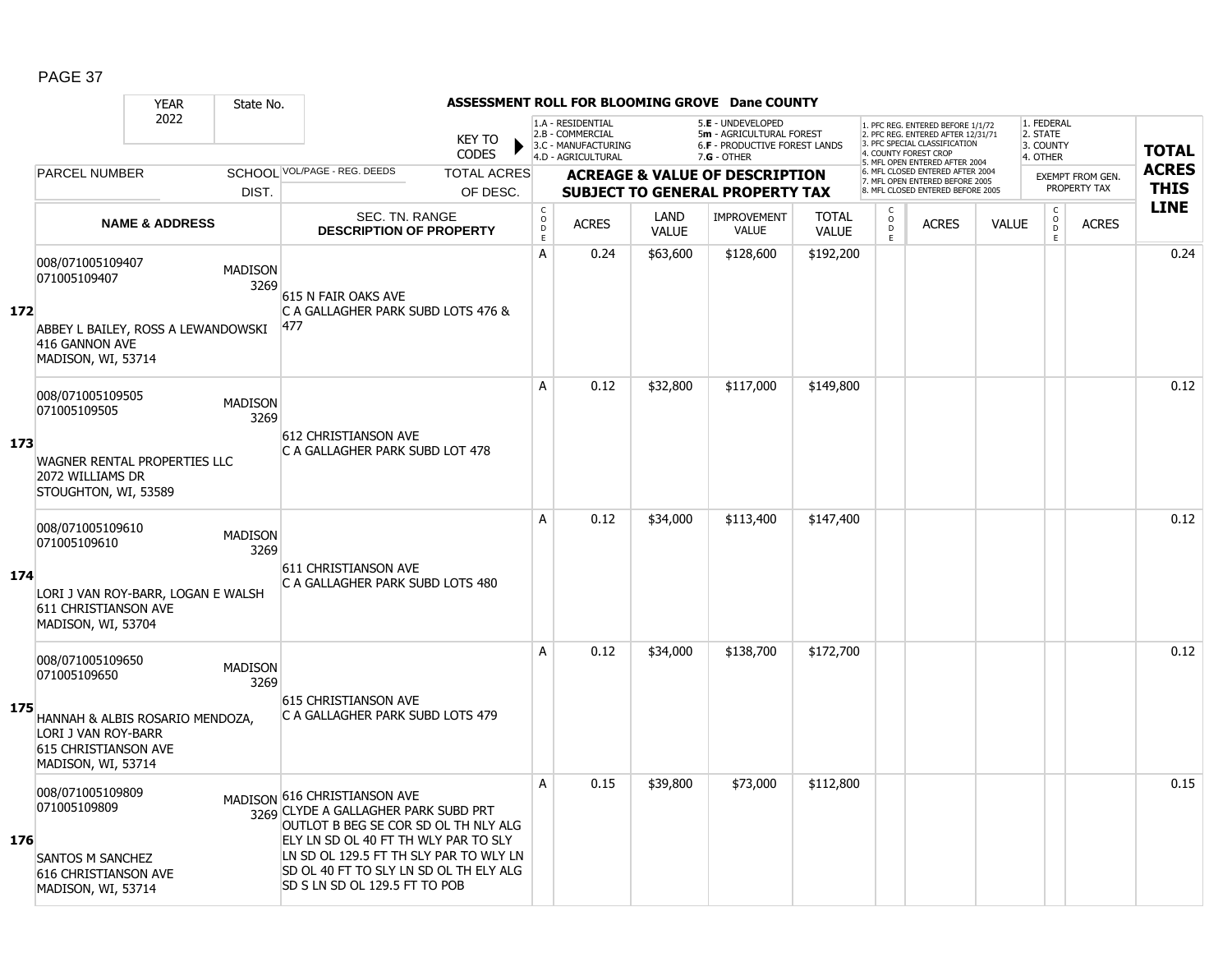|     |                                                                                                                                          | <b>YEAR</b>               | State No.              |                                                                                                                                                                                                                                                                           |                        |                                                  |                                                                                    |                      | ASSESSMENT ROLL FOR BLOOMING GROVE Dane COUNTY                                                  |                              |                         |                                                                                                                                  |              |                                                 |                         |              |
|-----|------------------------------------------------------------------------------------------------------------------------------------------|---------------------------|------------------------|---------------------------------------------------------------------------------------------------------------------------------------------------------------------------------------------------------------------------------------------------------------------------|------------------------|--------------------------------------------------|------------------------------------------------------------------------------------|----------------------|-------------------------------------------------------------------------------------------------|------------------------------|-------------------------|----------------------------------------------------------------------------------------------------------------------------------|--------------|-------------------------------------------------|-------------------------|--------------|
|     |                                                                                                                                          | 2022                      |                        |                                                                                                                                                                                                                                                                           | <b>KEY TO</b><br>CODES |                                                  | 1.A - RESIDENTIAL<br>2.B - COMMERCIAL<br>3.C - MANUFACTURING<br>4.D - AGRICULTURAL |                      | 5.E - UNDEVELOPED<br>5m - AGRICULTURAL FOREST<br>6.F - PRODUCTIVE FOREST LANDS<br>$7.G - OTHER$ |                              |                         | . PFC REG. ENTERED BEFORE 1/1/72<br>2. PFC REG. ENTERED AFTER 12/31/71<br>3. PFC SPECIAL CLASSIFICATION<br>4. COUNTY FOREST CROE |              | 1. FEDERAL<br>2. STATE<br>3. COUNTY<br>4. OTHER |                         | <b>TOTAL</b> |
|     | <b>PARCEL NUMBER</b>                                                                                                                     |                           |                        | SCHOOL VOL/PAGE - REG. DEEDS                                                                                                                                                                                                                                              | <b>TOTAL ACRES</b>     |                                                  |                                                                                    |                      | <b>ACREAGE &amp; VALUE OF DESCRIPTION</b>                                                       |                              |                         | 5. MFL OPEN ENTERED AFTER 2004<br>6. MFL CLOSED ENTERED AFTER 2004                                                               |              |                                                 | <b>EXEMPT FROM GEN.</b> | <b>ACRES</b> |
|     |                                                                                                                                          |                           | DIST.                  |                                                                                                                                                                                                                                                                           | OF DESC.               |                                                  |                                                                                    |                      | SUBJECT TO GENERAL PROPERTY TAX                                                                 |                              |                         | 7. MFL OPEN ENTERED BEFORE 2005<br>8. MFL CLOSED ENTERED BEFORE 2005                                                             |              |                                                 | PROPERTY TAX            | <b>THIS</b>  |
|     |                                                                                                                                          | <b>NAME &amp; ADDRESS</b> |                        | <b>SEC. TN. RANGE</b><br><b>DESCRIPTION OF PROPERTY</b>                                                                                                                                                                                                                   |                        | $_{\rm o}^{\rm c}$<br>$\mathsf D$<br>$\mathsf E$ | <b>ACRES</b>                                                                       | LAND<br><b>VALUE</b> | <b>IMPROVEMENT</b><br><b>VALUE</b>                                                              | <b>TOTAL</b><br><b>VALUE</b> | C<br>$\circ$<br>D<br>E. | <b>ACRES</b>                                                                                                                     | <b>VALUE</b> | $_{\rm o}^{\rm c}$<br>D<br>E                    | <b>ACRES</b>            | <b>LINE</b>  |
| 172 | 008/071005109407<br>071005109407<br>ABBEY L BAILEY, ROSS A LEWANDOWSKI<br>416 GANNON AVE<br>MADISON, WI, 53714                           |                           | <b>MADISON</b><br>3269 | 615 N FAIR OAKS AVE<br>C A GALLAGHER PARK SUBD LOTS 476 &<br>477                                                                                                                                                                                                          |                        | A                                                | 0.24                                                                               | \$63,600             | \$128,600                                                                                       | \$192,200                    |                         |                                                                                                                                  |              |                                                 |                         | 0.24         |
| 173 | 008/071005109505<br>071005109505<br>WAGNER RENTAL PROPERTIES LLC<br>2072 WILLIAMS DR<br>STOUGHTON, WI, 53589                             |                           | <b>MADISON</b><br>3269 | <b>612 CHRISTIANSON AVE</b><br>C A GALLAGHER PARK SUBD LOT 478                                                                                                                                                                                                            |                        | A                                                | 0.12                                                                               | \$32,800             | \$117,000                                                                                       | \$149,800                    |                         |                                                                                                                                  |              |                                                 |                         | 0.12         |
| 174 | 008/071005109610<br>071005109610<br>LORI J VAN ROY-BARR, LOGAN E WALSH<br>611 CHRISTIANSON AVE<br>MADISON, WI, 53704                     |                           | <b>MADISON</b><br>3269 | 611 CHRISTIANSON AVE<br>C A GALLAGHER PARK SUBD LOTS 480                                                                                                                                                                                                                  |                        | A                                                | 0.12                                                                               | \$34,000             | \$113,400                                                                                       | \$147,400                    |                         |                                                                                                                                  |              |                                                 |                         | 0.12         |
| 175 | 008/071005109650<br>071005109650<br>HANNAH & ALBIS ROSARIO MENDOZA,<br>LORI J VAN ROY-BARR<br>615 CHRISTIANSON AVE<br>MADISON, WI, 53714 |                           | <b>MADISON</b><br>3269 | <b>615 CHRISTIANSON AVE</b><br>C A GALLAGHER PARK SUBD LOTS 479                                                                                                                                                                                                           |                        | А                                                | 0.12                                                                               | \$34,000             | \$138,700                                                                                       | \$172,700                    |                         |                                                                                                                                  |              |                                                 |                         | 0.12         |
| 176 | 008/071005109809<br>071005109809<br>SANTOS M SANCHEZ<br>616 CHRISTIANSON AVE<br>MADISON, WI, 53714                                       |                           |                        | MADISON 616 CHRISTIANSON AVE<br>3269 CLYDE A GALLAGHER PARK SUBD PRT<br>OUTLOT B BEG SE COR SD OL TH NLY ALG<br>ELY LN SD OL 40 FT TH WLY PAR TO SLY<br>LN SD OL 129.5 FT TH SLY PAR TO WLY LN<br>SD OL 40 FT TO SLY LN SD OL TH ELY ALG<br>SD S LN SD OL 129.5 FT TO POB |                        | A                                                | 0.15                                                                               | \$39,800             | \$73,000                                                                                        | \$112,800                    |                         |                                                                                                                                  |              |                                                 |                         | 0.15         |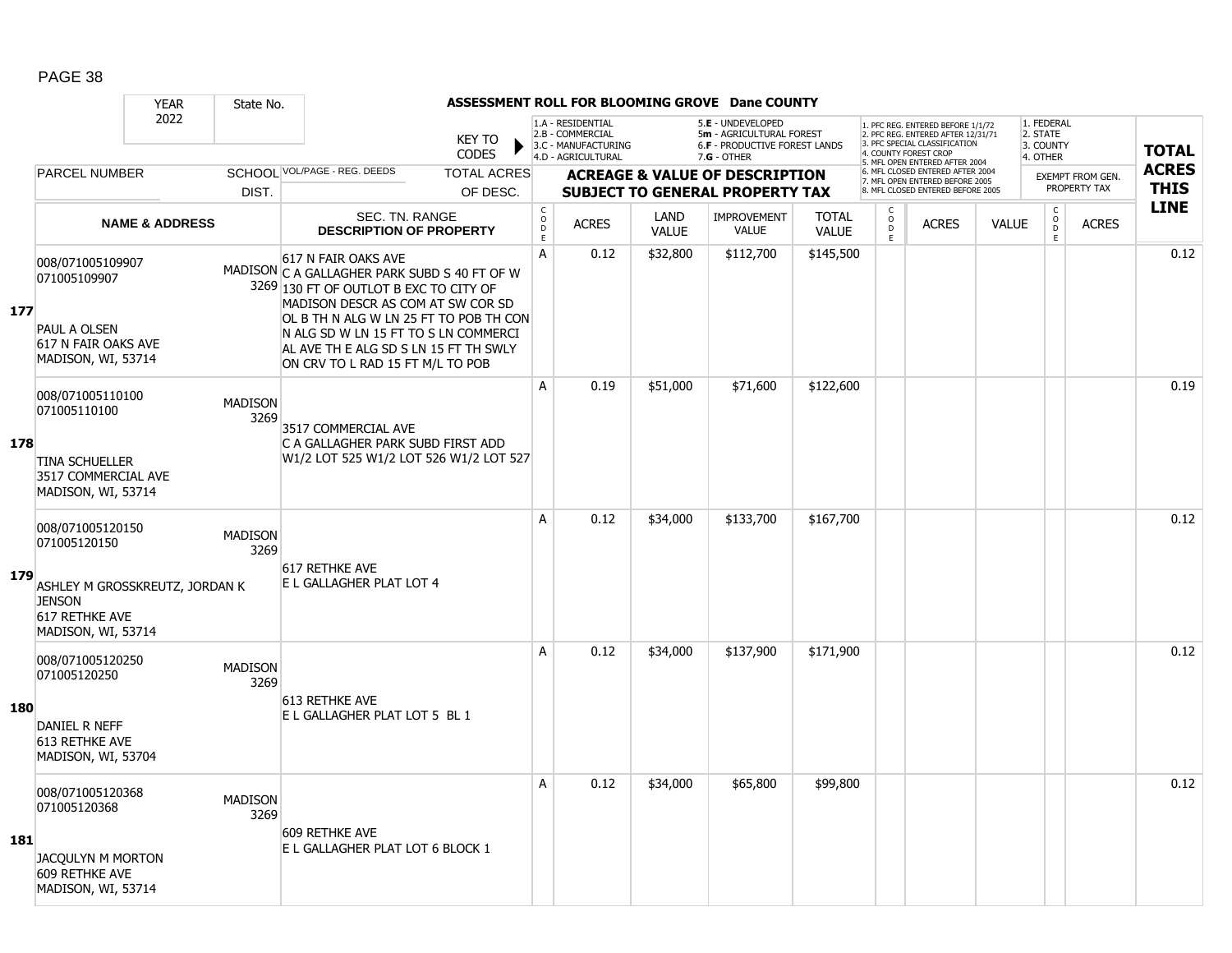|            |                                                                                               | <b>YEAR</b>               | State No.              |                                                                                                                                                                                                                                 |                                                                                |                              |                                                                                    |                      | ASSESSMENT ROLL FOR BLOOMING GROVE Dane COUNTY                                                |                              |                              |                                                                                                                                   |              |                                                           |                         |              |
|------------|-----------------------------------------------------------------------------------------------|---------------------------|------------------------|---------------------------------------------------------------------------------------------------------------------------------------------------------------------------------------------------------------------------------|--------------------------------------------------------------------------------|------------------------------|------------------------------------------------------------------------------------|----------------------|-----------------------------------------------------------------------------------------------|------------------------------|------------------------------|-----------------------------------------------------------------------------------------------------------------------------------|--------------|-----------------------------------------------------------|-------------------------|--------------|
|            |                                                                                               | 2022                      |                        |                                                                                                                                                                                                                                 | <b>KEY TO</b><br><b>CODES</b>                                                  |                              | 1.A - RESIDENTIAL<br>2.B - COMMERCIAL<br>3.C - MANUFACTURING<br>4.D - AGRICULTURAL |                      | 5.E - UNDEVELOPED<br>5m - AGRICULTURAL FOREST<br>6.F - PRODUCTIVE FOREST LANDS<br>7.G - OTHER |                              |                              | 1. PFC REG. ENTERED BEFORE 1/1/72<br>2. PFC REG. ENTERED AFTER 12/31/71<br>3. PFC SPECIAL CLASSIFICATION<br>4. COUNTY FOREST CROP |              | 1. FEDERAL<br>2. STATE<br>3. COUNTY<br>4. OTHER           |                         | <b>TOTAL</b> |
|            | <b>PARCEL NUMBER</b>                                                                          |                           |                        | SCHOOL VOL/PAGE - REG. DEEDS                                                                                                                                                                                                    | <b>TOTAL ACRES</b>                                                             |                              |                                                                                    |                      | <b>ACREAGE &amp; VALUE OF DESCRIPTION</b>                                                     |                              |                              | 5. MFL OPEN ENTERED AFTER 2004<br>6. MFL CLOSED ENTERED AFTER 2004                                                                |              |                                                           | <b>EXEMPT FROM GEN.</b> | <b>ACRES</b> |
|            |                                                                                               |                           | DIST.                  |                                                                                                                                                                                                                                 | OF DESC.                                                                       |                              |                                                                                    |                      | <b>SUBJECT TO GENERAL PROPERTY TAX</b>                                                        |                              |                              | 7. MFL OPEN ENTERED BEFORE 2005<br>8. MFL CLOSED ENTERED BEFORE 2005                                                              |              |                                                           | PROPERTY TAX            | <b>THIS</b>  |
|            |                                                                                               | <b>NAME &amp; ADDRESS</b> |                        |                                                                                                                                                                                                                                 | SEC. TN. RANGE<br><b>DESCRIPTION OF PROPERTY</b>                               | $_{\rm o}^{\rm c}$<br>D<br>E | <b>ACRES</b>                                                                       | LAND<br><b>VALUE</b> | <b>IMPROVEMENT</b><br><b>VALUE</b>                                                            | <b>TOTAL</b><br><b>VALUE</b> | C<br>$_{\rm D}^{\rm O}$<br>E | <b>ACRES</b>                                                                                                                      | <b>VALUE</b> | $\overset{\mathsf{C}}{\underset{\mathsf{D}}{\circ}}$<br>E | <b>ACRES</b>            | <b>LINE</b>  |
| 177        | 008/071005109907<br>071005109907<br>PAUL A OLSEN<br>617 N FAIR OAKS AVE<br>MADISON, WI, 53714 |                           |                        | 617 N FAIR OAKS AVE<br>MADISON C A GALLAGHER PARK SUBD S 40 FT OF W<br>3269 130 FT OF OUTLOT B EXC TO CITY OF<br>MADISON DESCR AS COM AT SW COR SD<br>AL AVE TH E ALG SD S LN 15 FT TH SWLY<br>ON CRV TO L RAD 15 FT M/L TO POB | OL B TH N ALG W LN 25 FT TO POB TH CON<br>N ALG SD W LN 15 FT TO S LN COMMERCI | A                            | 0.12                                                                               | \$32,800             | \$112,700                                                                                     | \$145,500                    |                              |                                                                                                                                   |              |                                                           |                         | 0.12         |
| 178        | 008/071005110100<br>071005110100<br><b>TINA SCHUELLER</b>                                     |                           | <b>MADISON</b><br>3269 | 3517 COMMERCIAL AVE<br>C A GALLAGHER PARK SUBD FIRST ADD                                                                                                                                                                        | W1/2 LOT 525 W1/2 LOT 526 W1/2 LOT 527                                         | A                            | 0.19                                                                               | \$51,000             | \$71,600                                                                                      | \$122,600                    |                              |                                                                                                                                   |              |                                                           |                         | 0.19         |
|            | 3517 COMMERCIAL AVE<br>MADISON, WI, 53714<br>008/071005120150<br>071005120150                 |                           | <b>MADISON</b><br>3269 |                                                                                                                                                                                                                                 |                                                                                | A                            | 0.12                                                                               | \$34,000             | \$133,700                                                                                     | \$167,700                    |                              |                                                                                                                                   |              |                                                           |                         | 0.12         |
| 179        | ASHLEY M GROSSKREUTZ, JORDAN K<br><b>JENSON</b><br>617 RETHKE AVE<br>MADISON, WI, 53714       |                           |                        | 617 RETHKE AVE<br>E L GALLAGHER PLAT LOT 4                                                                                                                                                                                      |                                                                                |                              |                                                                                    |                      |                                                                                               |                              |                              |                                                                                                                                   |              |                                                           |                         |              |
| <b>180</b> | 008/071005120250<br>071005120250<br>DANIEL R NEFF                                             |                           | <b>MADISON</b><br>3269 | 613 RETHKE AVE<br>E L GALLAGHER PLAT LOT 5 BL 1                                                                                                                                                                                 |                                                                                | A                            | 0.12                                                                               | \$34,000             | \$137,900                                                                                     | \$171,900                    |                              |                                                                                                                                   |              |                                                           |                         | 0.12         |
|            | 613 RETHKE AVE<br>MADISON, WI, 53704<br>008/071005120368<br>071005120368                      |                           | <b>MADISON</b><br>3269 |                                                                                                                                                                                                                                 |                                                                                | A                            | 0.12                                                                               | \$34,000             | \$65,800                                                                                      | \$99,800                     |                              |                                                                                                                                   |              |                                                           |                         | 0.12         |
| 181        | JACOULYN M MORTON<br>609 RETHKE AVE<br>MADISON, WI, 53714                                     |                           |                        | 609 RETHKE AVE<br>E L GALLAGHER PLAT LOT 6 BLOCK 1                                                                                                                                                                              |                                                                                |                              |                                                                                    |                      |                                                                                               |                              |                              |                                                                                                                                   |              |                                                           |                         |              |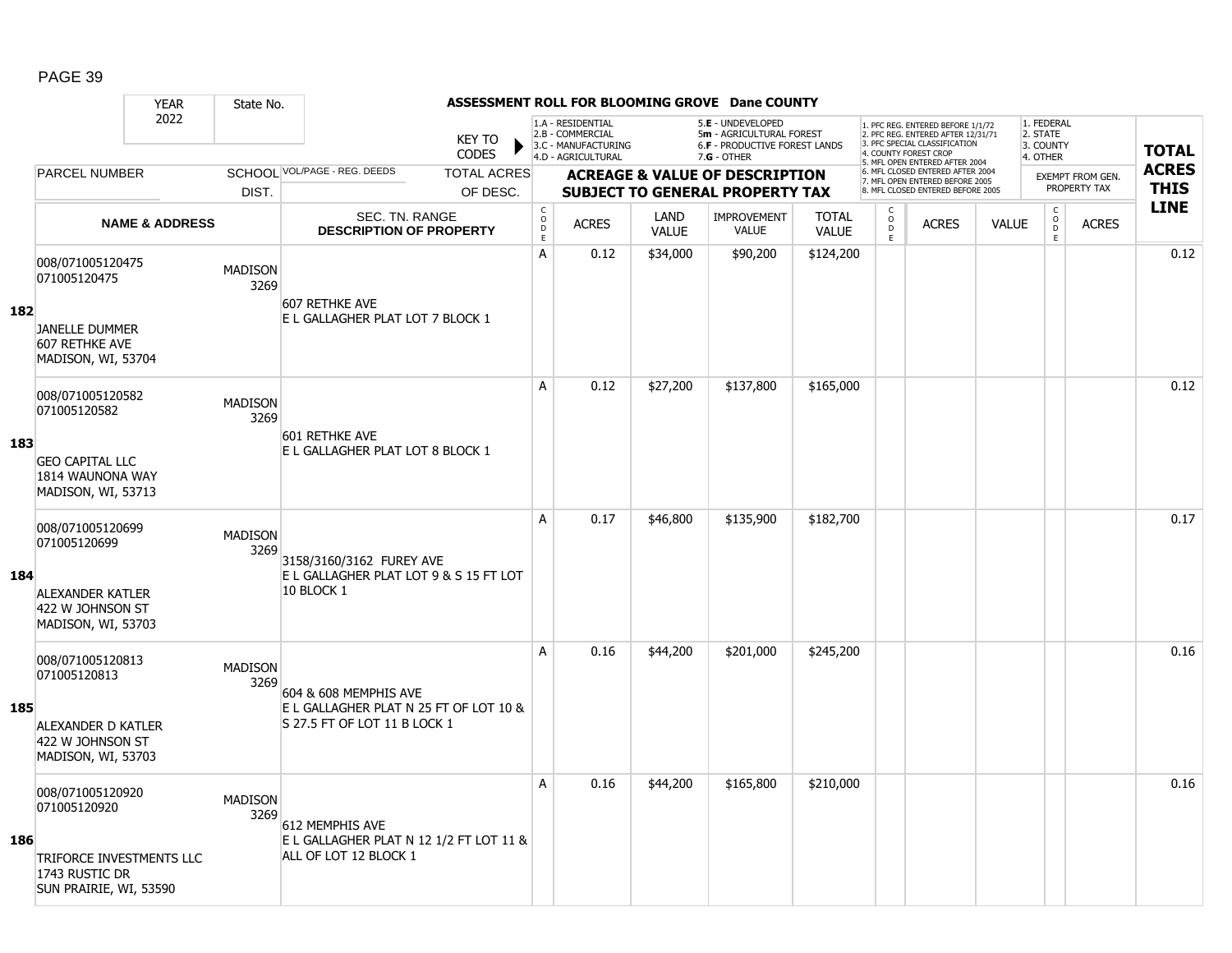|     |                                                                                                          | <b>YEAR</b>               | State No.              |                                                                                                 |                               |                              |                                                                                    |                      | ASSESSMENT ROLL FOR BLOOMING GROVE Dane COUNTY                                                         |                              |                                   |                                                                                                                                   |              |                                                 |                         |              |
|-----|----------------------------------------------------------------------------------------------------------|---------------------------|------------------------|-------------------------------------------------------------------------------------------------|-------------------------------|------------------------------|------------------------------------------------------------------------------------|----------------------|--------------------------------------------------------------------------------------------------------|------------------------------|-----------------------------------|-----------------------------------------------------------------------------------------------------------------------------------|--------------|-------------------------------------------------|-------------------------|--------------|
|     |                                                                                                          | 2022                      |                        |                                                                                                 | <b>KEY TO</b><br><b>CODES</b> |                              | 1.A - RESIDENTIAL<br>2.B - COMMERCIAL<br>3.C - MANUFACTURING<br>4.D - AGRICULTURAL |                      | 5.E - UNDEVELOPED<br>5m - AGRICULTURAL FOREST<br><b>6.F - PRODUCTIVE FOREST LANDS</b><br>$7.G - OTHER$ |                              |                                   | 1. PFC REG. ENTERED BEFORE 1/1/72<br>2. PFC REG. ENTERED AFTER 12/31/71<br>3. PFC SPECIAL CLASSIFICATION<br>4. COUNTY FOREST CROP |              | 1. FEDERAL<br>2. STATE<br>3. COUNTY<br>4. OTHER |                         | <b>TOTAL</b> |
|     | <b>PARCEL NUMBER</b>                                                                                     |                           |                        | SCHOOL VOL/PAGE - REG. DEEDS                                                                    | <b>TOTAL ACRES</b>            |                              |                                                                                    |                      | <b>ACREAGE &amp; VALUE OF DESCRIPTION</b>                                                              |                              |                                   | 5. MFL OPEN ENTERED AFTER 2004<br>6. MFL CLOSED ENTERED AFTER 2004                                                                |              |                                                 | <b>EXEMPT FROM GEN.</b> | <b>ACRES</b> |
|     |                                                                                                          |                           | DIST.                  |                                                                                                 | OF DESC.                      |                              |                                                                                    |                      | <b>SUBJECT TO GENERAL PROPERTY TAX</b>                                                                 |                              |                                   | 7. MFL OPEN ENTERED BEFORE 2005<br>8. MFL CLOSED ENTERED BEFORE 2005                                                              |              |                                                 | PROPERTY TAX            | <b>THIS</b>  |
|     |                                                                                                          | <b>NAME &amp; ADDRESS</b> |                        | <b>SEC. TN. RANGE</b><br><b>DESCRIPTION OF PROPERTY</b>                                         |                               | $_{\rm o}^{\rm c}$<br>D<br>Ē | <b>ACRES</b>                                                                       | LAND<br><b>VALUE</b> | <b>IMPROVEMENT</b><br><b>VALUE</b>                                                                     | <b>TOTAL</b><br><b>VALUE</b> | $\mathsf{C}$<br>$\circ$<br>D<br>E | <b>ACRES</b>                                                                                                                      | <b>VALUE</b> | $_{\rm o}^{\rm c}$<br>D<br>E                    | <b>ACRES</b>            | <b>LINE</b>  |
| 182 | 008/071005120475<br>071005120475<br><b>JANELLE DUMMER</b><br>607 RETHKE AVE<br>MADISON, WI, 53704        |                           | <b>MADISON</b><br>3269 | 607 RETHKE AVE<br>E L GALLAGHER PLAT LOT 7 BLOCK 1                                              |                               | A                            | 0.12                                                                               | \$34,000             | \$90,200                                                                                               | \$124,200                    |                                   |                                                                                                                                   |              |                                                 |                         | 0.12         |
| 183 | 008/071005120582<br>071005120582<br><b>GEO CAPITAL LLC</b><br>1814 WAUNONA WAY<br>MADISON, WI, 53713     |                           | <b>MADISON</b><br>3269 | 601 RETHKE AVE<br>E L GALLAGHER PLAT LOT 8 BLOCK 1                                              |                               | A                            | 0.12                                                                               | \$27,200             | \$137,800                                                                                              | \$165,000                    |                                   |                                                                                                                                   |              |                                                 |                         | 0.12         |
| 184 | 008/071005120699<br>071005120699<br>ALEXANDER KATLER<br>422 W JOHNSON ST<br>MADISON, WI, 53703           |                           | <b>MADISON</b><br>3269 | 3158/3160/3162 FUREY AVE<br>E L GALLAGHER PLAT LOT 9 & S 15 FT LOT<br>10 BLOCK 1                |                               | A                            | 0.17                                                                               | \$46,800             | \$135,900                                                                                              | \$182,700                    |                                   |                                                                                                                                   |              |                                                 |                         | 0.17         |
| 185 | 008/071005120813<br>071005120813<br><b>ALEXANDER D KATLER</b><br>422 W JOHNSON ST<br>MADISON, WI, 53703  |                           | <b>MADISON</b><br>3269 | 604 & 608 MEMPHIS AVE<br>E L GALLAGHER PLAT N 25 FT OF LOT 10 &<br>S 27.5 FT OF LOT 11 B LOCK 1 |                               | A                            | 0.16                                                                               | \$44,200             | \$201,000                                                                                              | \$245,200                    |                                   |                                                                                                                                   |              |                                                 |                         | 0.16         |
| 186 | 008/071005120920<br>071005120920<br>TRIFORCE INVESTMENTS LLC<br>1743 RUSTIC DR<br>SUN PRAIRIE, WI, 53590 |                           | <b>MADISON</b><br>3269 | 612 MEMPHIS AVE<br>E L GALLAGHER PLAT N 12 1/2 FT LOT 11 &<br>ALL OF LOT 12 BLOCK 1             |                               | A                            | 0.16                                                                               | \$44,200             | \$165,800                                                                                              | \$210,000                    |                                   |                                                                                                                                   |              |                                                 |                         | 0.16         |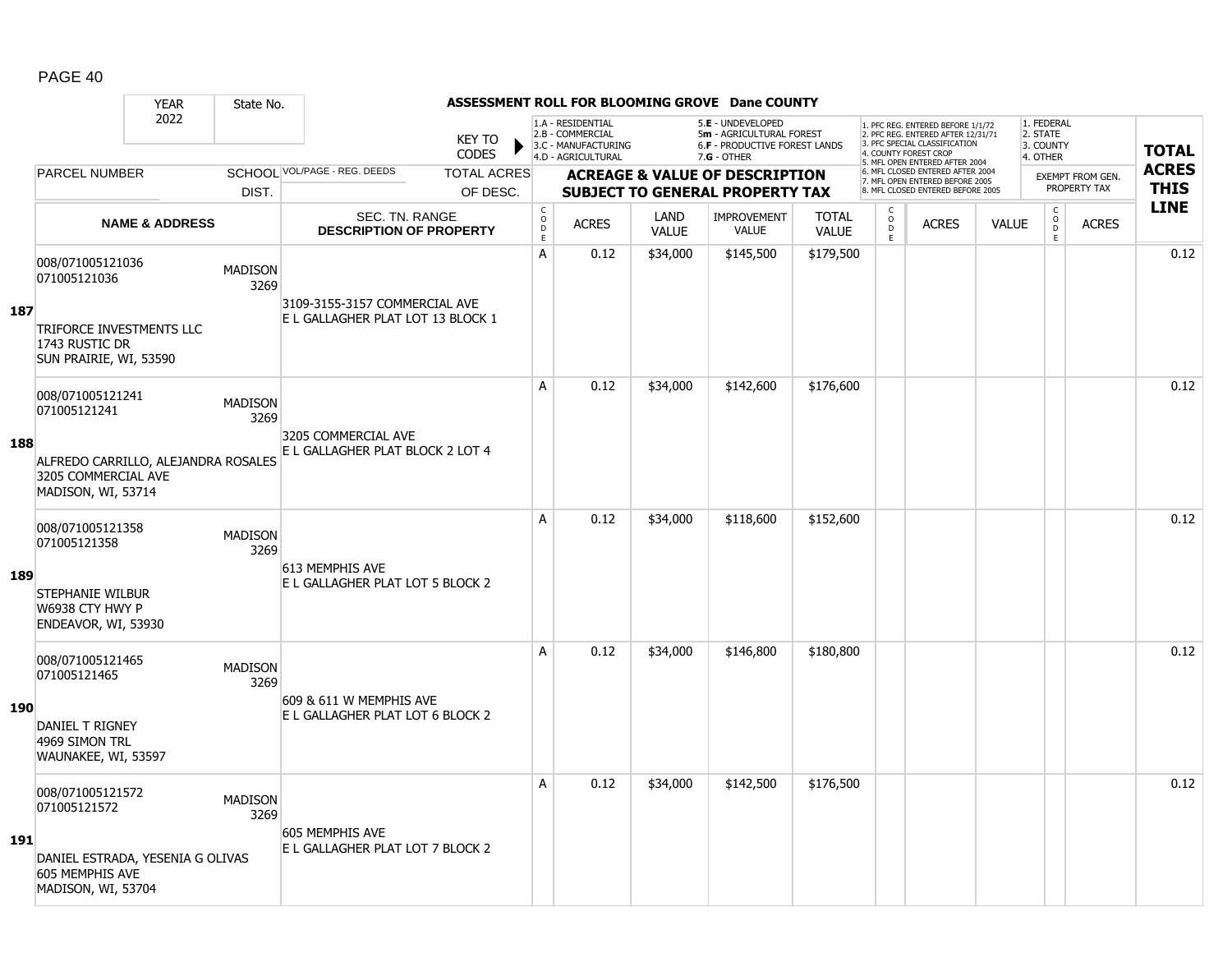|     |                                                                                  | <b>YEAR</b>               | State No.              |                                                                    |                                    |                              |                                                                                    |                      | ASSESSMENT ROLL FOR BLOOMING GROVE Dane COUNTY                                                       |                              |                        |                                                                                                          |              |                                                 |                  |              |
|-----|----------------------------------------------------------------------------------|---------------------------|------------------------|--------------------------------------------------------------------|------------------------------------|------------------------------|------------------------------------------------------------------------------------|----------------------|------------------------------------------------------------------------------------------------------|------------------------------|------------------------|----------------------------------------------------------------------------------------------------------|--------------|-------------------------------------------------|------------------|--------------|
|     |                                                                                  | 2022                      |                        |                                                                    | <b>KEY TO</b><br>▶<br><b>CODES</b> |                              | 1.A - RESIDENTIAL<br>2.B - COMMERCIAL<br>3.C - MANUFACTURING<br>4.D - AGRICULTURAL |                      | 5.E - UNDEVELOPED<br>5m - AGRICULTURAL FOREST<br><b>6.F - PRODUCTIVE FOREST LANDS</b><br>7.G - OTHER |                              | 4. COUNTY FOREST CROP  | 1. PFC REG. ENTERED BEFORE 1/1/72<br>2. PFC REG. ENTERED AFTER 12/31/71<br>3. PFC SPECIAL CLASSIFICATION |              | 1. FEDERAL<br>2. STATE<br>3. COUNTY<br>4. OTHER |                  | <b>TOTAL</b> |
|     | <b>PARCEL NUMBER</b>                                                             |                           |                        | SCHOOL VOL/PAGE - REG. DEEDS                                       | <b>TOTAL ACRES</b>                 |                              |                                                                                    |                      | <b>ACREAGE &amp; VALUE OF DESCRIPTION</b>                                                            |                              |                        | 5. MFL OPEN ENTERED AFTER 2004<br>6. MFL CLOSED ENTERED AFTER 2004                                       |              |                                                 | EXEMPT FROM GEN. | <b>ACRES</b> |
|     |                                                                                  |                           | DIST.                  |                                                                    | OF DESC.                           |                              |                                                                                    |                      | <b>SUBJECT TO GENERAL PROPERTY TAX</b>                                                               |                              |                        | 7. MFL OPEN ENTERED BEFORE 2005<br>8. MFL CLOSED ENTERED BEFORE 2005                                     |              |                                                 | PROPERTY TAX     | <b>THIS</b>  |
|     |                                                                                  | <b>NAME &amp; ADDRESS</b> |                        | SEC. TN. RANGE<br><b>DESCRIPTION OF PROPERTY</b>                   |                                    | $_{\rm o}^{\rm c}$<br>D<br>E | <b>ACRES</b>                                                                       | LAND<br><b>VALUE</b> | <b>IMPROVEMENT</b><br><b>VALUE</b>                                                                   | <b>TOTAL</b><br><b>VALUE</b> | C<br>$\circ$<br>D<br>E | <b>ACRES</b>                                                                                             | <b>VALUE</b> | C<br>$\overline{0}$<br>E.                       | <b>ACRES</b>     | <b>LINE</b>  |
| 187 | 008/071005121036<br>071005121036<br>TRIFORCE INVESTMENTS LLC                     |                           | <b>MADISON</b><br>3269 | 3109-3155-3157 COMMERCIAL AVE<br>E L GALLAGHER PLAT LOT 13 BLOCK 1 |                                    | A                            | 0.12                                                                               | \$34,000             | \$145,500                                                                                            | \$179,500                    |                        |                                                                                                          |              |                                                 |                  | 0.12         |
|     | 1743 RUSTIC DR<br>SUN PRAIRIE, WI, 53590                                         |                           |                        |                                                                    |                                    |                              |                                                                                    |                      |                                                                                                      |                              |                        |                                                                                                          |              |                                                 |                  |              |
|     | 008/071005121241<br>071005121241                                                 |                           | <b>MADISON</b><br>3269 |                                                                    |                                    | A                            | 0.12                                                                               | \$34,000             | \$142,600                                                                                            | \$176,600                    |                        |                                                                                                          |              |                                                 |                  | 0.12         |
| 188 | ALFREDO CARRILLO, ALEJANDRA ROSALES<br>3205 COMMERCIAL AVE<br>MADISON, WI, 53714 |                           |                        | 3205 COMMERCIAL AVE<br>E L GALLAGHER PLAT BLOCK 2 LOT 4            |                                    |                              |                                                                                    |                      |                                                                                                      |                              |                        |                                                                                                          |              |                                                 |                  |              |
|     | 008/071005121358<br>071005121358                                                 |                           | <b>MADISON</b><br>3269 | 613 MEMPHIS AVE                                                    |                                    | A                            | 0.12                                                                               | \$34,000             | \$118,600                                                                                            | \$152,600                    |                        |                                                                                                          |              |                                                 |                  | 0.12         |
| 189 | <b>STEPHANIE WILBUR</b><br>W6938 CTY HWY P<br>ENDEAVOR, WI, 53930                |                           |                        | E L GALLAGHER PLAT LOT 5 BLOCK 2                                   |                                    |                              |                                                                                    |                      |                                                                                                      |                              |                        |                                                                                                          |              |                                                 |                  |              |
|     | 008/071005121465<br>071005121465                                                 |                           | <b>MADISON</b><br>3269 |                                                                    |                                    | A                            | 0.12                                                                               | \$34,000             | \$146,800                                                                                            | \$180,800                    |                        |                                                                                                          |              |                                                 |                  | 0.12         |
| 190 | DANIEL T RIGNEY<br>4969 SIMON TRL<br>WAUNAKEE, WI, 53597                         |                           |                        | 609 & 611 W MEMPHIS AVE<br>E L GALLAGHER PLAT LOT 6 BLOCK 2        |                                    |                              |                                                                                    |                      |                                                                                                      |                              |                        |                                                                                                          |              |                                                 |                  |              |
|     | 008/071005121572<br>071005121572                                                 |                           | <b>MADISON</b><br>3269 | 605 MEMPHIS AVE                                                    |                                    | A                            | 0.12                                                                               | \$34,000             | \$142,500                                                                                            | \$176,500                    |                        |                                                                                                          |              |                                                 |                  | 0.12         |
| 191 | DANIEL ESTRADA, YESENIA G OLIVAS<br>605 MEMPHIS AVE<br>MADISON, WI, 53704        |                           |                        | E L GALLAGHER PLAT LOT 7 BLOCK 2                                   |                                    |                              |                                                                                    |                      |                                                                                                      |                              |                        |                                                                                                          |              |                                                 |                  |              |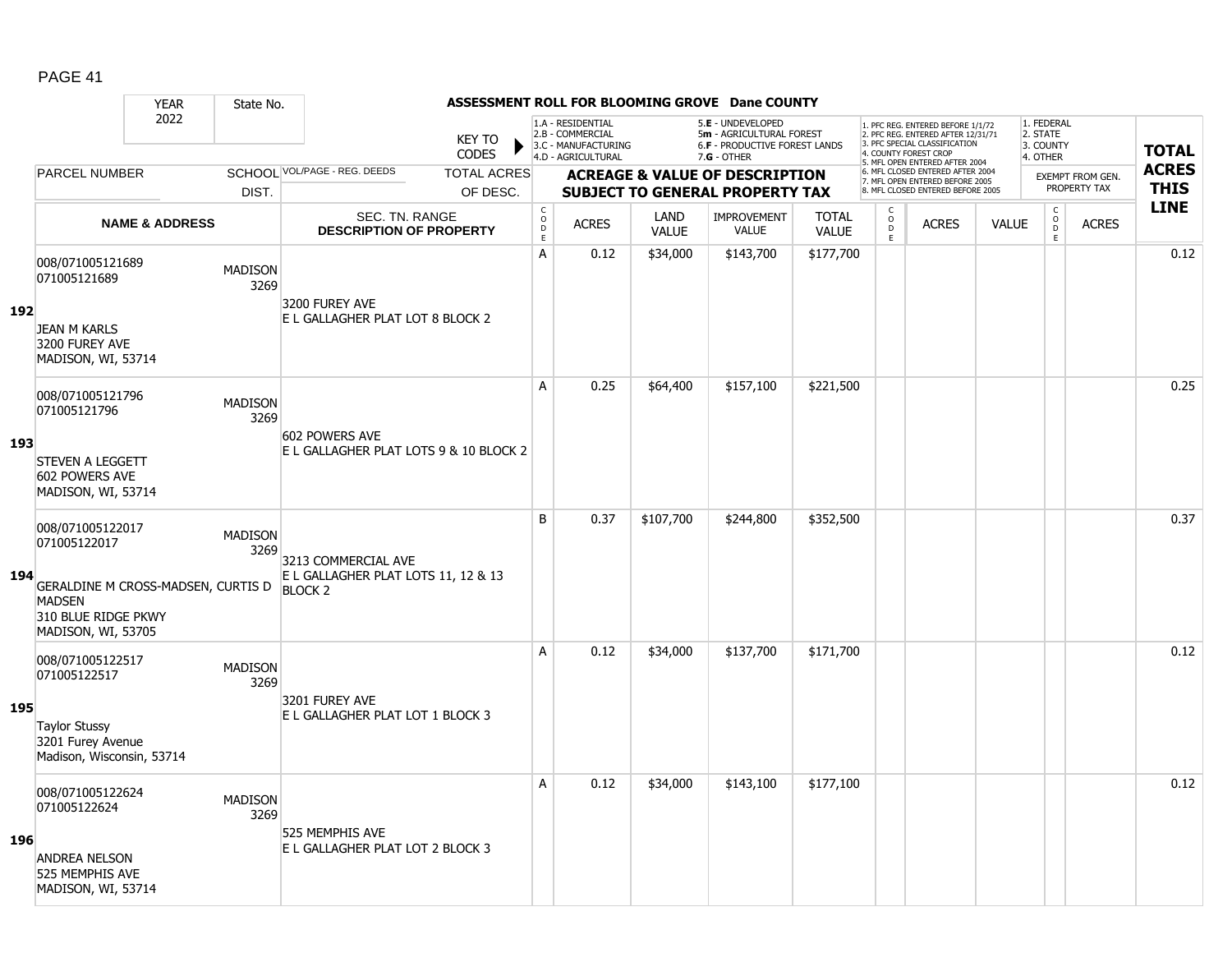|     |                                                                                                                                      | <b>YEAR</b>               | State No.              |                                                                              |                               |                                        |                                                                                    |                             | ASSESSMENT ROLL FOR BLOOMING GROVE Dane COUNTY                                                       |                              |                                  |                                                                                                                                   |              |                                                          |                         |              |
|-----|--------------------------------------------------------------------------------------------------------------------------------------|---------------------------|------------------------|------------------------------------------------------------------------------|-------------------------------|----------------------------------------|------------------------------------------------------------------------------------|-----------------------------|------------------------------------------------------------------------------------------------------|------------------------------|----------------------------------|-----------------------------------------------------------------------------------------------------------------------------------|--------------|----------------------------------------------------------|-------------------------|--------------|
|     |                                                                                                                                      | 2022                      |                        |                                                                              | <b>KEY TO</b><br><b>CODES</b> |                                        | 1.A - RESIDENTIAL<br>2.B - COMMERCIAL<br>3.C - MANUFACTURING<br>4.D - AGRICULTURAL |                             | 5.E - UNDEVELOPED<br>5m - AGRICULTURAL FOREST<br><b>6.F - PRODUCTIVE FOREST LANDS</b><br>7.G - OTHER |                              |                                  | 1. PFC REG. ENTERED BEFORE 1/1/72<br>2. PFC REG. ENTERED AFTER 12/31/71<br>3. PFC SPECIAL CLASSIFICATION<br>4. COUNTY FOREST CROP |              | 1. FEDERAL<br>2. STATE<br>3. COUNTY<br>4. OTHER          |                         | <b>TOTAL</b> |
|     | <b>PARCEL NUMBER</b>                                                                                                                 |                           |                        | SCHOOL VOL/PAGE - REG. DEEDS                                                 | <b>TOTAL ACRES</b>            |                                        |                                                                                    |                             | <b>ACREAGE &amp; VALUE OF DESCRIPTION</b>                                                            |                              |                                  | 5. MFL OPEN ENTERED AFTER 2004<br>6. MFL CLOSED ENTERED AFTER 2004                                                                |              |                                                          | <b>EXEMPT FROM GEN.</b> | <b>ACRES</b> |
|     |                                                                                                                                      |                           | DIST.                  |                                                                              | OF DESC.                      |                                        |                                                                                    |                             | <b>SUBJECT TO GENERAL PROPERTY TAX</b>                                                               |                              |                                  | 7. MFL OPEN ENTERED BEFORE 2005<br>8. MFL CLOSED ENTERED BEFORE 2005                                                              |              |                                                          | PROPERTY TAX            | <b>THIS</b>  |
|     |                                                                                                                                      | <b>NAME &amp; ADDRESS</b> |                        | SEC. TN. RANGE<br><b>DESCRIPTION OF PROPERTY</b>                             |                               | $_{\rm o}^{\rm c}$<br>D<br>$\mathsf E$ | <b>ACRES</b>                                                                       | <b>LAND</b><br><b>VALUE</b> | IMPROVEMENT<br><b>VALUE</b>                                                                          | <b>TOTAL</b><br><b>VALUE</b> | $\mathsf C$<br>$\circ$<br>D<br>E | <b>ACRES</b>                                                                                                                      | <b>VALUE</b> | $\begin{matrix} 0 \\ 0 \\ 0 \end{matrix}$<br>$\mathsf E$ | <b>ACRES</b>            | <b>LINE</b>  |
| 192 | 008/071005121689<br>071005121689<br><b>JEAN M KARLS</b>                                                                              |                           | <b>MADISON</b><br>3269 | 3200 FUREY AVE<br>E L GALLAGHER PLAT LOT 8 BLOCK 2                           |                               | A                                      | 0.12                                                                               | \$34,000                    | \$143,700                                                                                            | \$177,700                    |                                  |                                                                                                                                   |              |                                                          |                         | 0.12         |
|     | 3200 FUREY AVE<br>MADISON, WI, 53714                                                                                                 |                           |                        |                                                                              |                               |                                        |                                                                                    |                             |                                                                                                      |                              |                                  |                                                                                                                                   |              |                                                          |                         |              |
|     | 008/071005121796<br>071005121796                                                                                                     |                           | <b>MADISON</b><br>3269 | 602 POWERS AVE                                                               |                               | A                                      | 0.25                                                                               | \$64,400                    | \$157,100                                                                                            | \$221,500                    |                                  |                                                                                                                                   |              |                                                          |                         | 0.25         |
| 193 | <b>STEVEN A LEGGETT</b><br>602 POWERS AVE<br>MADISON, WI, 53714                                                                      |                           |                        | E L GALLAGHER PLAT LOTS 9 & 10 BLOCK 2                                       |                               |                                        |                                                                                    |                             |                                                                                                      |                              |                                  |                                                                                                                                   |              |                                                          |                         |              |
| 194 | 008/071005122017<br>071005122017<br>GERALDINE M CROSS-MADSEN, CURTIS D<br><b>MADSEN</b><br>310 BLUE RIDGE PKWY<br>MADISON, WI, 53705 |                           | <b>MADISON</b><br>3269 | 3213 COMMERCIAL AVE<br>E L GALLAGHER PLAT LOTS 11, 12 & 13<br><b>BLOCK 2</b> |                               | B                                      | 0.37                                                                               | \$107,700                   | \$244,800                                                                                            | \$352,500                    |                                  |                                                                                                                                   |              |                                                          |                         | 0.37         |
|     | 008/071005122517<br>071005122517                                                                                                     |                           | <b>MADISON</b><br>3269 |                                                                              |                               | A                                      | 0.12                                                                               | \$34,000                    | \$137,700                                                                                            | \$171,700                    |                                  |                                                                                                                                   |              |                                                          |                         | 0.12         |
| 195 | <b>Taylor Stussy</b><br>3201 Furey Avenue<br>Madison, Wisconsin, 53714                                                               |                           |                        | 3201 FUREY AVE<br>E L GALLAGHER PLAT LOT 1 BLOCK 3                           |                               |                                        |                                                                                    |                             |                                                                                                      |                              |                                  |                                                                                                                                   |              |                                                          |                         |              |
| 196 | 008/071005122624<br>071005122624<br><b>ANDREA NELSON</b>                                                                             |                           | <b>MADISON</b><br>3269 | 525 MEMPHIS AVE<br>E L GALLAGHER PLAT LOT 2 BLOCK 3                          |                               | А                                      | 0.12                                                                               | \$34,000                    | \$143,100                                                                                            | \$177,100                    |                                  |                                                                                                                                   |              |                                                          |                         | 0.12         |
|     | 525 MEMPHIS AVE<br>MADISON, WI, 53714                                                                                                |                           |                        |                                                                              |                               |                                        |                                                                                    |                             |                                                                                                      |                              |                                  |                                                                                                                                   |              |                                                          |                         |              |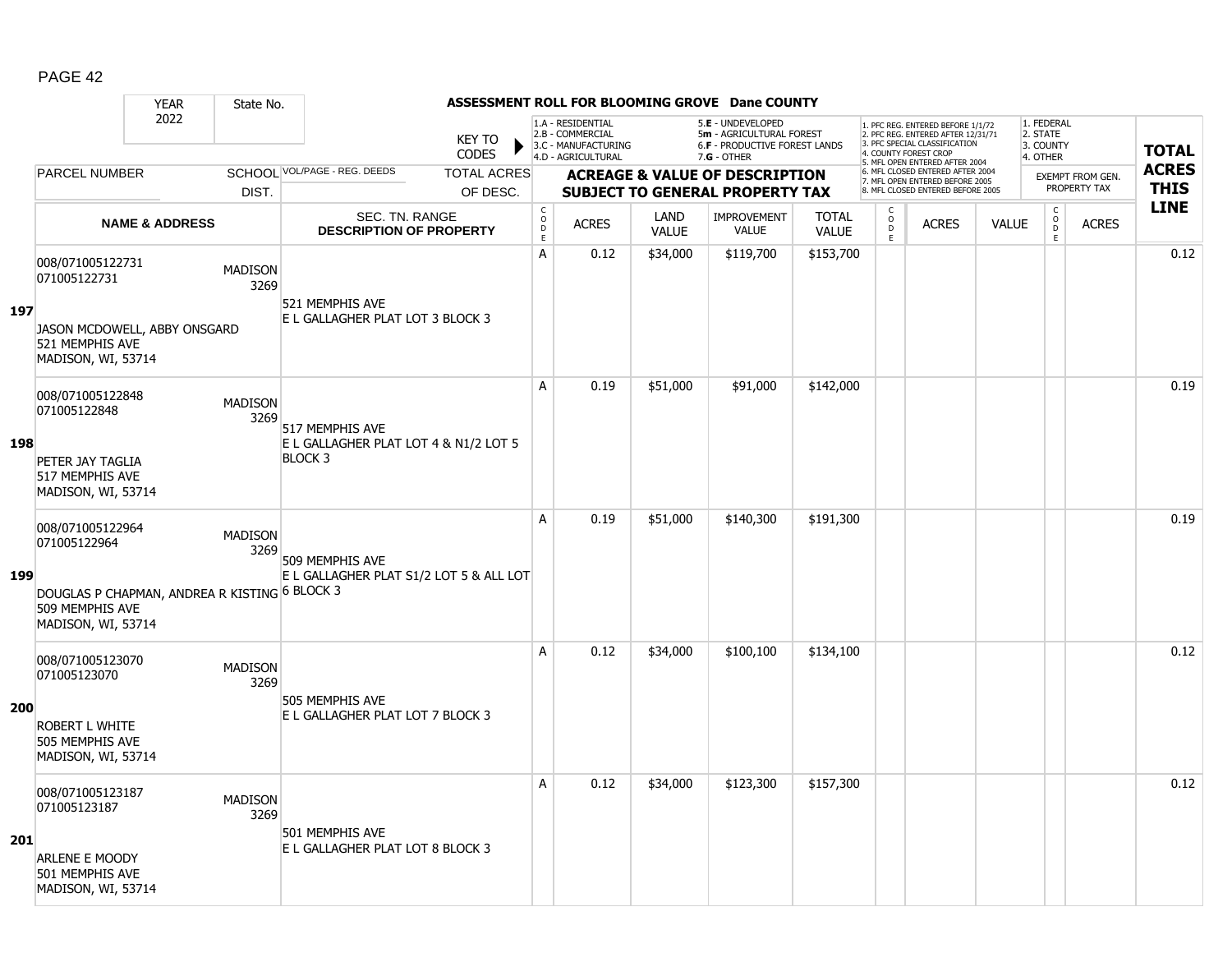|     |                                                                                        | <b>YEAR</b>               | State No.              |                                                         |                                    |                                   |                                                                                    |                      | ASSESSMENT ROLL FOR BLOOMING GROVE Dane COUNTY                                                       |                              |                        |                                                                                                          |              |                                                 |                  |              |
|-----|----------------------------------------------------------------------------------------|---------------------------|------------------------|---------------------------------------------------------|------------------------------------|-----------------------------------|------------------------------------------------------------------------------------|----------------------|------------------------------------------------------------------------------------------------------|------------------------------|------------------------|----------------------------------------------------------------------------------------------------------|--------------|-------------------------------------------------|------------------|--------------|
|     |                                                                                        | 2022                      |                        |                                                         | <b>KEY TO</b><br>▶<br><b>CODES</b> |                                   | 1.A - RESIDENTIAL<br>2.B - COMMERCIAL<br>3.C - MANUFACTURING<br>4.D - AGRICULTURAL |                      | 5.E - UNDEVELOPED<br>5m - AGRICULTURAL FOREST<br><b>6.F - PRODUCTIVE FOREST LANDS</b><br>7.G - OTHER |                              | 4. COUNTY FOREST CROP  | 1. PFC REG. ENTERED BEFORE 1/1/72<br>2. PFC REG. ENTERED AFTER 12/31/71<br>3. PFC SPECIAL CLASSIFICATION |              | 1. FEDERAL<br>2. STATE<br>3. COUNTY<br>4. OTHER |                  | <b>TOTAL</b> |
|     | <b>PARCEL NUMBER</b>                                                                   |                           |                        | SCHOOL VOL/PAGE - REG. DEEDS                            | <b>TOTAL ACRES</b>                 |                                   |                                                                                    |                      | <b>ACREAGE &amp; VALUE OF DESCRIPTION</b>                                                            |                              |                        | 5. MFL OPEN ENTERED AFTER 2004<br>6. MFL CLOSED ENTERED AFTER 2004                                       |              |                                                 | EXEMPT FROM GEN. | <b>ACRES</b> |
|     |                                                                                        |                           | DIST.                  |                                                         | OF DESC.                           |                                   |                                                                                    |                      | <b>SUBJECT TO GENERAL PROPERTY TAX</b>                                                               |                              |                        | 7. MFL OPEN ENTERED BEFORE 2005<br>8. MFL CLOSED ENTERED BEFORE 2005                                     |              |                                                 | PROPERTY TAX     | <b>THIS</b>  |
|     |                                                                                        | <b>NAME &amp; ADDRESS</b> |                        | SEC. TN. RANGE<br><b>DESCRIPTION OF PROPERTY</b>        |                                    | C<br>$\circ$<br>D<br>$\mathsf{E}$ | <b>ACRES</b>                                                                       | LAND<br><b>VALUE</b> | <b>IMPROVEMENT</b><br><b>VALUE</b>                                                                   | <b>TOTAL</b><br><b>VALUE</b> | C<br>$\circ$<br>D<br>E | <b>ACRES</b>                                                                                             | <b>VALUE</b> | C<br>$\overline{0}$<br>E.                       | <b>ACRES</b>     | <b>LINE</b>  |
| 197 | 008/071005122731<br>071005122731                                                       |                           | <b>MADISON</b><br>3269 | 521 MEMPHIS AVE<br>E L GALLAGHER PLAT LOT 3 BLOCK 3     |                                    | A                                 | 0.12                                                                               | \$34,000             | \$119,700                                                                                            | \$153,700                    |                        |                                                                                                          |              |                                                 |                  | 0.12         |
|     | JASON MCDOWELL, ABBY ONSGARD<br>521 MEMPHIS AVE<br>MADISON, WI, 53714                  |                           |                        |                                                         |                                    |                                   |                                                                                    |                      |                                                                                                      |                              |                        |                                                                                                          |              |                                                 |                  |              |
|     | 008/071005122848<br>071005122848                                                       |                           | <b>MADISON</b><br>3269 | 517 MEMPHIS AVE                                         |                                    | A                                 | 0.19                                                                               | \$51,000             | \$91,000                                                                                             | \$142,000                    |                        |                                                                                                          |              |                                                 |                  | 0.19         |
| 198 | PETER JAY TAGLIA<br>517 MEMPHIS AVE<br>MADISON, WI, 53714                              |                           |                        | E L GALLAGHER PLAT LOT 4 & N1/2 LOT 5<br><b>BLOCK 3</b> |                                    |                                   |                                                                                    |                      |                                                                                                      |                              |                        |                                                                                                          |              |                                                 |                  |              |
|     | 008/071005122964<br>071005122964                                                       |                           | <b>MADISON</b><br>3269 | 509 MEMPHIS AVE                                         |                                    | A                                 | 0.19                                                                               | \$51,000             | \$140,300                                                                                            | \$191,300                    |                        |                                                                                                          |              |                                                 |                  | 0.19         |
| 199 | DOUGLAS P CHAPMAN, ANDREA R KISTING 6 BLOCK 3<br>509 MEMPHIS AVE<br>MADISON, WI, 53714 |                           |                        | E L GALLAGHER PLAT S1/2 LOT 5 & ALL LOT                 |                                    |                                   |                                                                                    |                      |                                                                                                      |                              |                        |                                                                                                          |              |                                                 |                  |              |
|     | 008/071005123070<br>071005123070                                                       |                           | <b>MADISON</b><br>3269 | 505 MEMPHIS AVE                                         |                                    | A                                 | 0.12                                                                               | \$34,000             | \$100,100                                                                                            | \$134,100                    |                        |                                                                                                          |              |                                                 |                  | 0.12         |
| 200 | ROBERT L WHITE<br>505 MEMPHIS AVE<br>MADISON, WI, 53714                                |                           |                        | E L GALLAGHER PLAT LOT 7 BLOCK 3                        |                                    |                                   |                                                                                    |                      |                                                                                                      |                              |                        |                                                                                                          |              |                                                 |                  |              |
|     | 008/071005123187<br>071005123187                                                       |                           | <b>MADISON</b><br>3269 | 501 MEMPHIS AVE                                         |                                    | A                                 | 0.12                                                                               | \$34,000             | \$123,300                                                                                            | \$157,300                    |                        |                                                                                                          |              |                                                 |                  | 0.12         |
| 201 | <b>ARLENE E MOODY</b><br>501 MEMPHIS AVE<br>MADISON, WI, 53714                         |                           |                        | E L GALLAGHER PLAT LOT 8 BLOCK 3                        |                                    |                                   |                                                                                    |                      |                                                                                                      |                              |                        |                                                                                                          |              |                                                 |                  |              |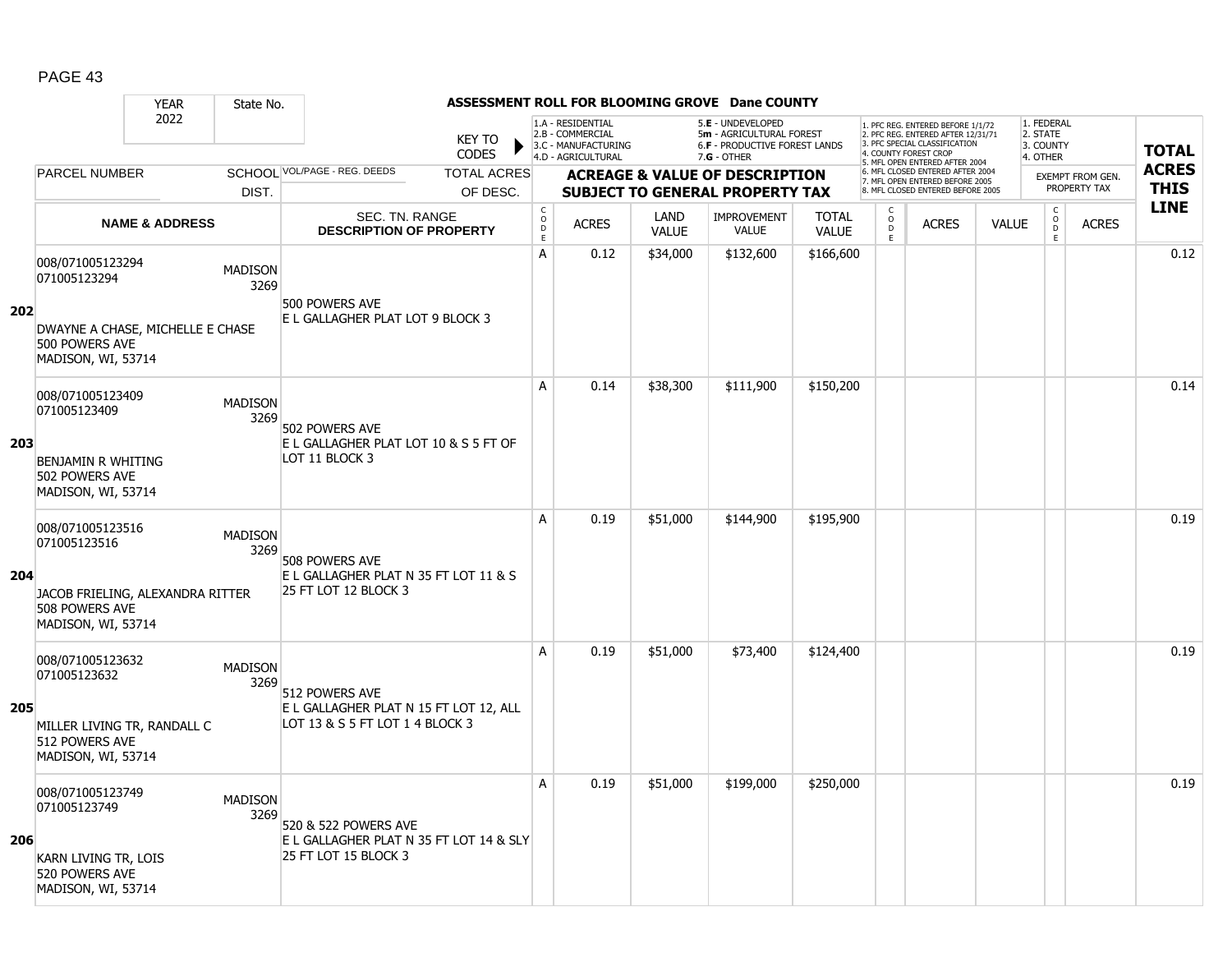|     |                                                                                                              | <b>YEAR</b>               | State No.              |                                                                                             |                               |                                            |                                                              |                      | ASSESSMENT ROLL FOR BLOOMING GROVE Dane COUNTY                                      |                              |                                   |                                                                                                          |              |                                               |                                         |              |
|-----|--------------------------------------------------------------------------------------------------------------|---------------------------|------------------------|---------------------------------------------------------------------------------------------|-------------------------------|--------------------------------------------|--------------------------------------------------------------|----------------------|-------------------------------------------------------------------------------------|------------------------------|-----------------------------------|----------------------------------------------------------------------------------------------------------|--------------|-----------------------------------------------|-----------------------------------------|--------------|
|     |                                                                                                              | 2022                      |                        |                                                                                             | <b>KEY TO</b><br><b>CODES</b> |                                            | 1.A - RESIDENTIAL<br>2.B - COMMERCIAL<br>3.C - MANUFACTURING |                      | 5.E - UNDEVELOPED<br>5m - AGRICULTURAL FOREST<br>6.F - PRODUCTIVE FOREST LANDS      |                              | 4. COUNTY FOREST CROP             | 1. PFC REG. ENTERED BEFORE 1/1/72<br>2. PFC REG. ENTERED AFTER 12/31/71<br>3. PFC SPECIAL CLASSIFICATION |              | 1. FEDERAL<br>2. STATE<br>3. COUNTY           |                                         | <b>TOTAL</b> |
|     | <b>PARCEL NUMBER</b>                                                                                         |                           |                        | SCHOOL VOL/PAGE - REG. DEEDS                                                                | <b>TOTAL ACRES</b>            |                                            | 4.D - AGRICULTURAL                                           |                      | 7.G - OTHER                                                                         |                              |                                   | 5. MFL OPEN ENTERED AFTER 2004<br>6. MFL CLOSED ENTERED AFTER 2004                                       |              | 4. OTHER                                      |                                         | <b>ACRES</b> |
|     |                                                                                                              |                           | DIST.                  |                                                                                             | OF DESC.                      |                                            |                                                              |                      | <b>ACREAGE &amp; VALUE OF DESCRIPTION</b><br><b>SUBJECT TO GENERAL PROPERTY TAX</b> |                              |                                   | 7. MFL OPEN ENTERED BEFORE 2005<br>8. MFL CLOSED ENTERED BEFORE 2005                                     |              |                                               | <b>EXEMPT FROM GEN.</b><br>PROPERTY TAX | <b>THIS</b>  |
|     |                                                                                                              | <b>NAME &amp; ADDRESS</b> |                        | SEC. TN. RANGE<br><b>DESCRIPTION OF PROPERTY</b>                                            |                               | $\mathsf C$<br>$\circ$<br>D<br>$\mathsf E$ | <b>ACRES</b>                                                 | LAND<br><b>VALUE</b> | <b>IMPROVEMENT</b><br><b>VALUE</b>                                                  | <b>TOTAL</b><br><b>VALUE</b> | $\mathsf{C}$<br>$\circ$<br>D<br>E | <b>ACRES</b>                                                                                             | <b>VALUE</b> | $\mathsf{C}$<br>$\overline{0}$<br>$\mathsf E$ | <b>ACRES</b>                            | <b>LINE</b>  |
| 202 | 008/071005123294<br>071005123294<br>DWAYNE A CHASE, MICHELLE E CHASE<br>500 POWERS AVE                       |                           | <b>MADISON</b><br>3269 | 500 POWERS AVE<br>E L GALLAGHER PLAT LOT 9 BLOCK 3                                          |                               | A                                          | 0.12                                                         | \$34,000             | \$132,600                                                                           | \$166,600                    |                                   |                                                                                                          |              |                                               |                                         | 0.12         |
|     | MADISON, WI, 53714<br>008/071005123409<br>071005123409                                                       |                           | <b>MADISON</b><br>3269 | 502 POWERS AVE                                                                              |                               | A                                          | 0.14                                                         | \$38,300             | \$111,900                                                                           | \$150,200                    |                                   |                                                                                                          |              |                                               |                                         | 0.14         |
| 203 | BENJAMIN R WHITING<br>502 POWERS AVE<br>MADISON, WI, 53714                                                   |                           |                        | E L GALLAGHER PLAT LOT 10 & S 5 FT OF<br>LOT 11 BLOCK 3                                     |                               |                                            |                                                              |                      |                                                                                     |                              |                                   |                                                                                                          |              |                                               |                                         |              |
| 204 | 008/071005123516<br>071005123516<br>JACOB FRIELING, ALEXANDRA RITTER<br>508 POWERS AVE<br>MADISON, WI, 53714 |                           | <b>MADISON</b><br>3269 | 508 POWERS AVE<br>E L GALLAGHER PLAT N 35 FT LOT 11 & S<br>25 FT LOT 12 BLOCK 3             |                               | A                                          | 0.19                                                         | \$51,000             | \$144,900                                                                           | \$195,900                    |                                   |                                                                                                          |              |                                               |                                         | 0.19         |
| 205 | 008/071005123632<br>071005123632<br>MILLER LIVING TR, RANDALL C<br>512 POWERS AVE<br>MADISON, WI, 53714      |                           | <b>MADISON</b><br>3269 | 512 POWERS AVE<br>E L GALLAGHER PLAT N 15 FT LOT 12, ALL<br>LOT 13 & S 5 FT LOT 1 4 BLOCK 3 |                               | A                                          | 0.19                                                         | \$51,000             | \$73,400                                                                            | \$124,400                    |                                   |                                                                                                          |              |                                               |                                         | 0.19         |
| 206 | 008/071005123749<br>071005123749<br>KARN LIVING TR, LOIS<br>520 POWERS AVE<br>MADISON, WI, 53714             |                           | <b>MADISON</b><br>3269 | 520 & 522 POWERS AVE<br>E L GALLAGHER PLAT N 35 FT LOT 14 & SLY<br>25 FT LOT 15 BLOCK 3     |                               | A                                          | 0.19                                                         | \$51,000             | \$199,000                                                                           | \$250,000                    |                                   |                                                                                                          |              |                                               |                                         | 0.19         |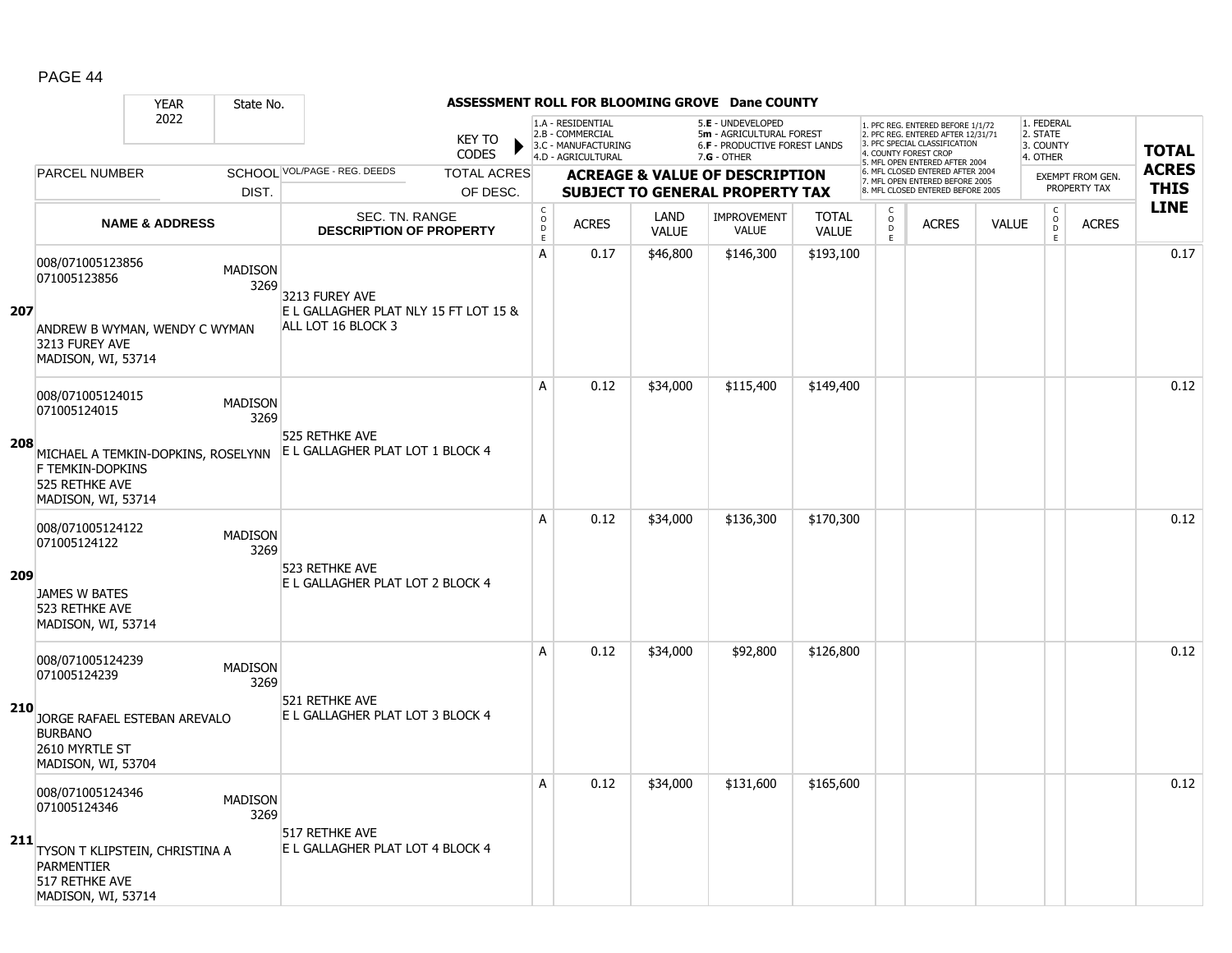|     |                                                           | <b>YEAR</b><br>State No.           |                                                             |                                |                                                 |                                                              |                      | ASSESSMENT ROLL FOR BLOOMING GROVE Dane COUNTY                                      |                              |                          |                                                                                                                                   |              |                                                |                                         |              |
|-----|-----------------------------------------------------------|------------------------------------|-------------------------------------------------------------|--------------------------------|-------------------------------------------------|--------------------------------------------------------------|----------------------|-------------------------------------------------------------------------------------|------------------------------|--------------------------|-----------------------------------------------------------------------------------------------------------------------------------|--------------|------------------------------------------------|-----------------------------------------|--------------|
|     |                                                           | 2022                               |                                                             | <b>KEY TO</b><br><b>CODES</b>  |                                                 | 1.A - RESIDENTIAL<br>2.B - COMMERCIAL<br>3.C - MANUFACTURING |                      | 5.E - UNDEVELOPED<br>5m - AGRICULTURAL FOREST<br>6.F - PRODUCTIVE FOREST LANDS      |                              |                          | 1. PFC REG. ENTERED BEFORE 1/1/72<br>2. PFC REG. ENTERED AFTER 12/31/71<br>3. PFC SPECIAL CLASSIFICATION<br>4. COUNTY FOREST CROP |              | 1. FEDERAL<br>2. STATE<br>3. COUNTY            |                                         | <b>TOTAL</b> |
|     | <b>PARCEL NUMBER</b>                                      |                                    | SCHOOL VOL/PAGE - REG. DEEDS                                |                                |                                                 | 4.D - AGRICULTURAL                                           |                      | $7.G - OTHER$                                                                       |                              |                          | 5. MFL OPEN ENTERED AFTER 2004<br>6. MFL CLOSED ENTERED AFTER 2004                                                                |              | 4. OTHER                                       |                                         | <b>ACRES</b> |
|     |                                                           | DIST.                              |                                                             | <b>TOTAL ACRES</b><br>OF DESC. |                                                 |                                                              |                      | <b>ACREAGE &amp; VALUE OF DESCRIPTION</b><br><b>SUBJECT TO GENERAL PROPERTY TAX</b> |                              |                          | 7. MFL OPEN ENTERED BEFORE 2005<br>8. MFL CLOSED ENTERED BEFORE 2005                                                              |              |                                                | <b>EXEMPT FROM GEN.</b><br>PROPERTY TAX | <b>THIS</b>  |
|     |                                                           | <b>NAME &amp; ADDRESS</b>          | SEC. TN. RANGE<br><b>DESCRIPTION OF PROPERTY</b>            |                                | $\mathsf C$<br>$\mathsf{o}$<br>D<br>$\mathsf E$ | <b>ACRES</b>                                                 | LAND<br><b>VALUE</b> | <b>IMPROVEMENT</b><br><b>VALUE</b>                                                  | <b>TOTAL</b><br><b>VALUE</b> | C<br>$\overline{D}$<br>E | <b>ACRES</b>                                                                                                                      | <b>VALUE</b> | $\begin{matrix} 0 \\ 0 \\ D \end{matrix}$<br>E | <b>ACRES</b>                            | <b>LINE</b>  |
|     | 008/071005123856<br>071005123856                          | <b>MADISON</b><br>3269             | 3213 FUREY AVE                                              |                                | A                                               | 0.17                                                         | \$46,800             | \$146,300                                                                           | \$193,100                    |                          |                                                                                                                                   |              |                                                |                                         | 0.17         |
| 207 | 3213 FUREY AVE<br>MADISON, WI, 53714                      | ANDREW B WYMAN, WENDY C WYMAN      | E L GALLAGHER PLAT NLY 15 FT LOT 15 &<br>ALL LOT 16 BLOCK 3 |                                |                                                 |                                                              |                      |                                                                                     |                              |                          |                                                                                                                                   |              |                                                |                                         |              |
|     | 008/071005124015<br>071005124015                          | <b>MADISON</b><br>3269             |                                                             |                                | Α                                               | 0.12                                                         | \$34,000             | \$115,400                                                                           | \$149,400                    |                          |                                                                                                                                   |              |                                                |                                         | 0.12         |
| 208 | F TEMKIN-DOPKINS<br>525 RETHKE AVE<br>MADISON, WI, 53714  | MICHAEL A TEMKIN-DOPKINS, ROSELYNN | 525 RETHKE AVE<br>E L GALLAGHER PLAT LOT 1 BLOCK 4          |                                |                                                 |                                                              |                      |                                                                                     |                              |                          |                                                                                                                                   |              |                                                |                                         |              |
| 209 | 008/071005124122<br>071005124122                          | <b>MADISON</b><br>3269             | 523 RETHKE AVE                                              |                                | A                                               | 0.12                                                         | \$34,000             | \$136,300                                                                           | \$170,300                    |                          |                                                                                                                                   |              |                                                |                                         | 0.12         |
|     | JAMES W BATES<br>523 RETHKE AVE<br>MADISON, WI, 53714     |                                    | E L GALLAGHER PLAT LOT 2 BLOCK 4                            |                                |                                                 |                                                              |                      |                                                                                     |                              |                          |                                                                                                                                   |              |                                                |                                         |              |
|     | 008/071005124239<br>071005124239                          | <b>MADISON</b><br>3269             | 521 RETHKE AVE                                              |                                | A                                               | 0.12                                                         | \$34,000             | \$92,800                                                                            | \$126,800                    |                          |                                                                                                                                   |              |                                                |                                         | 0.12         |
| 210 | <b>BURBANO</b><br>2610 MYRTLE ST<br>MADISON, WI, 53704    | JORGE RAFAEL ESTEBAN AREVALO       | E L GALLAGHER PLAT LOT 3 BLOCK 4                            |                                |                                                 |                                                              |                      |                                                                                     |                              |                          |                                                                                                                                   |              |                                                |                                         |              |
| 211 | 008/071005124346<br>071005124346                          | <b>MADISON</b><br>3269             | 517 RETHKE AVE<br>E L GALLAGHER PLAT LOT 4 BLOCK 4          |                                | Α                                               | 0.12                                                         | \$34,000             | \$131,600                                                                           | \$165,600                    |                          |                                                                                                                                   |              |                                                |                                         | 0.12         |
|     | <b>PARMENTIER</b><br>517 RETHKE AVE<br>MADISON, WI, 53714 | TYSON T KLIPSTEIN, CHRISTINA A     |                                                             |                                |                                                 |                                                              |                      |                                                                                     |                              |                          |                                                                                                                                   |              |                                                |                                         |              |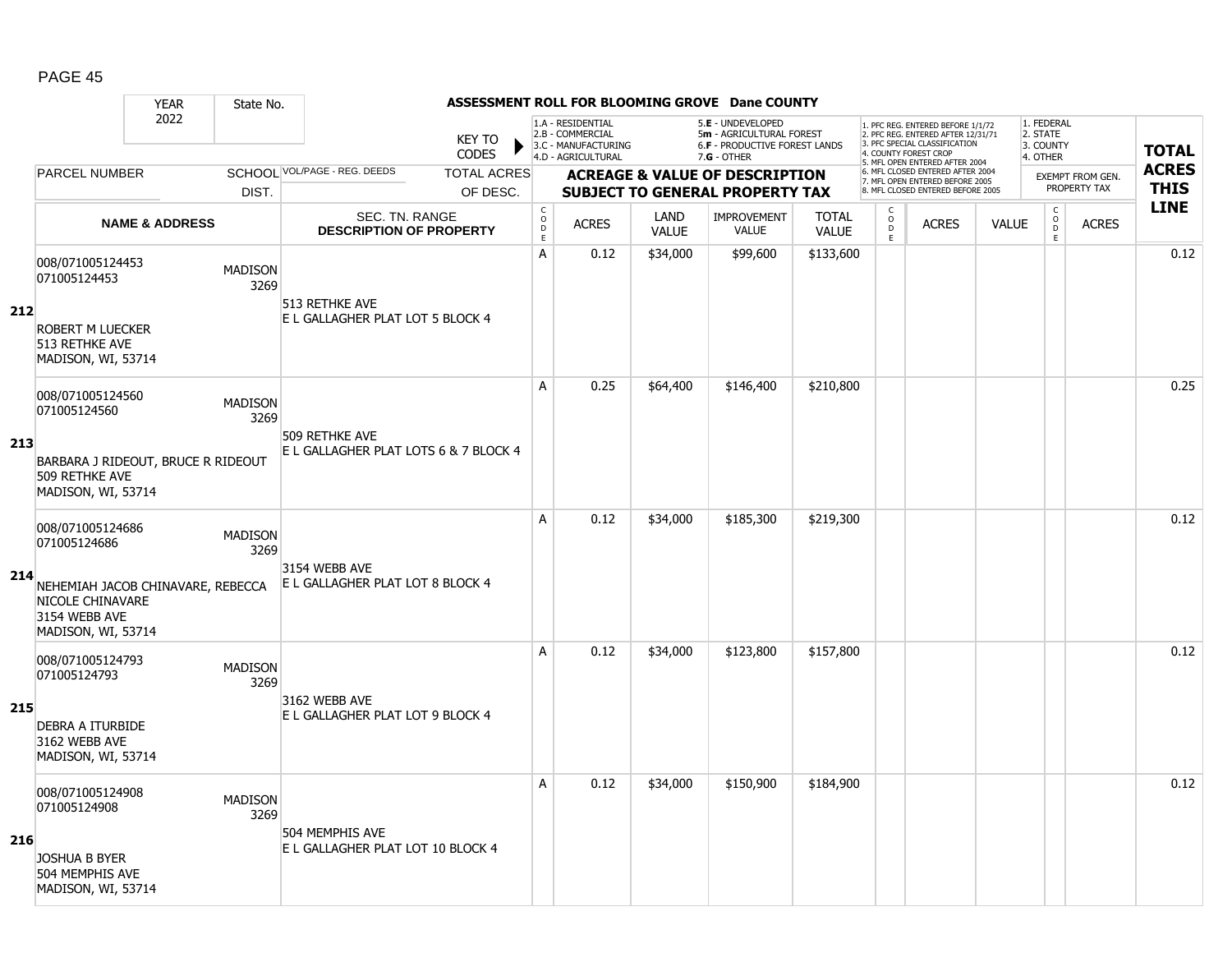|     |                                                                                                                                  | <b>YEAR</b>               | State No.              |                                                         |                               |                                            |                                                                                    |                      | ASSESSMENT ROLL FOR BLOOMING GROVE Dane COUNTY                                                       |                              |                                   |                                                                                                          |              |                                                 |                         |              |
|-----|----------------------------------------------------------------------------------------------------------------------------------|---------------------------|------------------------|---------------------------------------------------------|-------------------------------|--------------------------------------------|------------------------------------------------------------------------------------|----------------------|------------------------------------------------------------------------------------------------------|------------------------------|-----------------------------------|----------------------------------------------------------------------------------------------------------|--------------|-------------------------------------------------|-------------------------|--------------|
|     |                                                                                                                                  | 2022                      |                        |                                                         | <b>KEY TO</b><br><b>CODES</b> |                                            | 1.A - RESIDENTIAL<br>2.B - COMMERCIAL<br>3.C - MANUFACTURING<br>4.D - AGRICULTURAL |                      | 5.E - UNDEVELOPED<br>5m - AGRICULTURAL FOREST<br><b>6.F - PRODUCTIVE FOREST LANDS</b><br>7.G - OTHER |                              | 4. COUNTY FOREST CROP             | 1. PFC REG. ENTERED BEFORE 1/1/72<br>2. PFC REG. ENTERED AFTER 12/31/71<br>3. PFC SPECIAL CLASSIFICATION |              | 1. FEDERAL<br>2. STATE<br>3. COUNTY<br>4. OTHER |                         | <b>TOTAL</b> |
|     | <b>PARCEL NUMBER</b>                                                                                                             |                           |                        | SCHOOL VOL/PAGE - REG. DEEDS                            | <b>TOTAL ACRES</b>            |                                            |                                                                                    |                      | <b>ACREAGE &amp; VALUE OF DESCRIPTION</b>                                                            |                              |                                   | 5. MFL OPEN ENTERED AFTER 2004<br>6. MFL CLOSED ENTERED AFTER 2004                                       |              |                                                 | <b>EXEMPT FROM GEN.</b> | <b>ACRES</b> |
|     |                                                                                                                                  |                           | DIST.                  |                                                         | OF DESC.                      |                                            |                                                                                    |                      | <b>SUBJECT TO GENERAL PROPERTY TAX</b>                                                               |                              |                                   | 7. MFL OPEN ENTERED BEFORE 2005<br>8. MFL CLOSED ENTERED BEFORE 2005                                     |              |                                                 | PROPERTY TAX            | <b>THIS</b>  |
|     |                                                                                                                                  | <b>NAME &amp; ADDRESS</b> |                        | SEC. TN. RANGE<br><b>DESCRIPTION OF PROPERTY</b>        |                               | $\mathsf C$<br>$\circ$<br>D<br>$\mathsf E$ | <b>ACRES</b>                                                                       | LAND<br><b>VALUE</b> | <b>IMPROVEMENT</b><br><b>VALUE</b>                                                                   | <b>TOTAL</b><br><b>VALUE</b> | $\mathsf{C}$<br>$\circ$<br>D<br>E | <b>ACRES</b>                                                                                             | <b>VALUE</b> | $\mathsf{C}$<br>$\overline{0}$<br>$\mathsf E$   | <b>ACRES</b>            | <b>LINE</b>  |
| 212 | 008/071005124453<br>071005124453<br>ROBERT M LUECKER<br>513 RETHKE AVE<br>MADISON, WI, 53714                                     |                           | <b>MADISON</b><br>3269 | 513 RETHKE AVE<br>E L GALLAGHER PLAT LOT 5 BLOCK 4      |                               | A                                          | 0.12                                                                               | \$34,000             | \$99,600                                                                                             | \$133,600                    |                                   |                                                                                                          |              |                                                 |                         | 0.12         |
| 213 | 008/071005124560<br>071005124560<br>BARBARA J RIDEOUT, BRUCE R RIDEOUT<br>509 RETHKE AVE<br>MADISON, WI, 53714                   |                           | <b>MADISON</b><br>3269 | 509 RETHKE AVE<br>E L GALLAGHER PLAT LOTS 6 & 7 BLOCK 4 |                               | A                                          | 0.25                                                                               | \$64,400             | \$146,400                                                                                            | \$210,800                    |                                   |                                                                                                          |              |                                                 |                         | 0.25         |
| 214 | 008/071005124686<br>071005124686<br>NEHEMIAH JACOB CHINAVARE, REBECCA<br>NICOLE CHINAVARE<br>3154 WEBB AVE<br>MADISON, WI, 53714 |                           | <b>MADISON</b><br>3269 | 3154 WEBB AVE<br>E L GALLAGHER PLAT LOT 8 BLOCK 4       |                               | A                                          | 0.12                                                                               | \$34,000             | \$185,300                                                                                            | \$219,300                    |                                   |                                                                                                          |              |                                                 |                         | 0.12         |
| 215 | 008/071005124793<br>071005124793<br><b>DEBRA A ITURBIDE</b><br>3162 WEBB AVE<br>MADISON, WI, 53714                               |                           | <b>MADISON</b><br>3269 | 3162 WEBB AVE<br>E L GALLAGHER PLAT LOT 9 BLOCK 4       |                               | A                                          | 0.12                                                                               | \$34,000             | \$123,800                                                                                            | \$157,800                    |                                   |                                                                                                          |              |                                                 |                         | 0.12         |
| 216 | 008/071005124908<br>071005124908<br><b>JOSHUA B BYER</b><br>504 MEMPHIS AVE<br>MADISON, WI, 53714                                |                           | <b>MADISON</b><br>3269 | 504 MEMPHIS AVE<br>E L GALLAGHER PLAT LOT 10 BLOCK 4    |                               | A                                          | 0.12                                                                               | \$34,000             | \$150,900                                                                                            | \$184,900                    |                                   |                                                                                                          |              |                                                 |                         | 0.12         |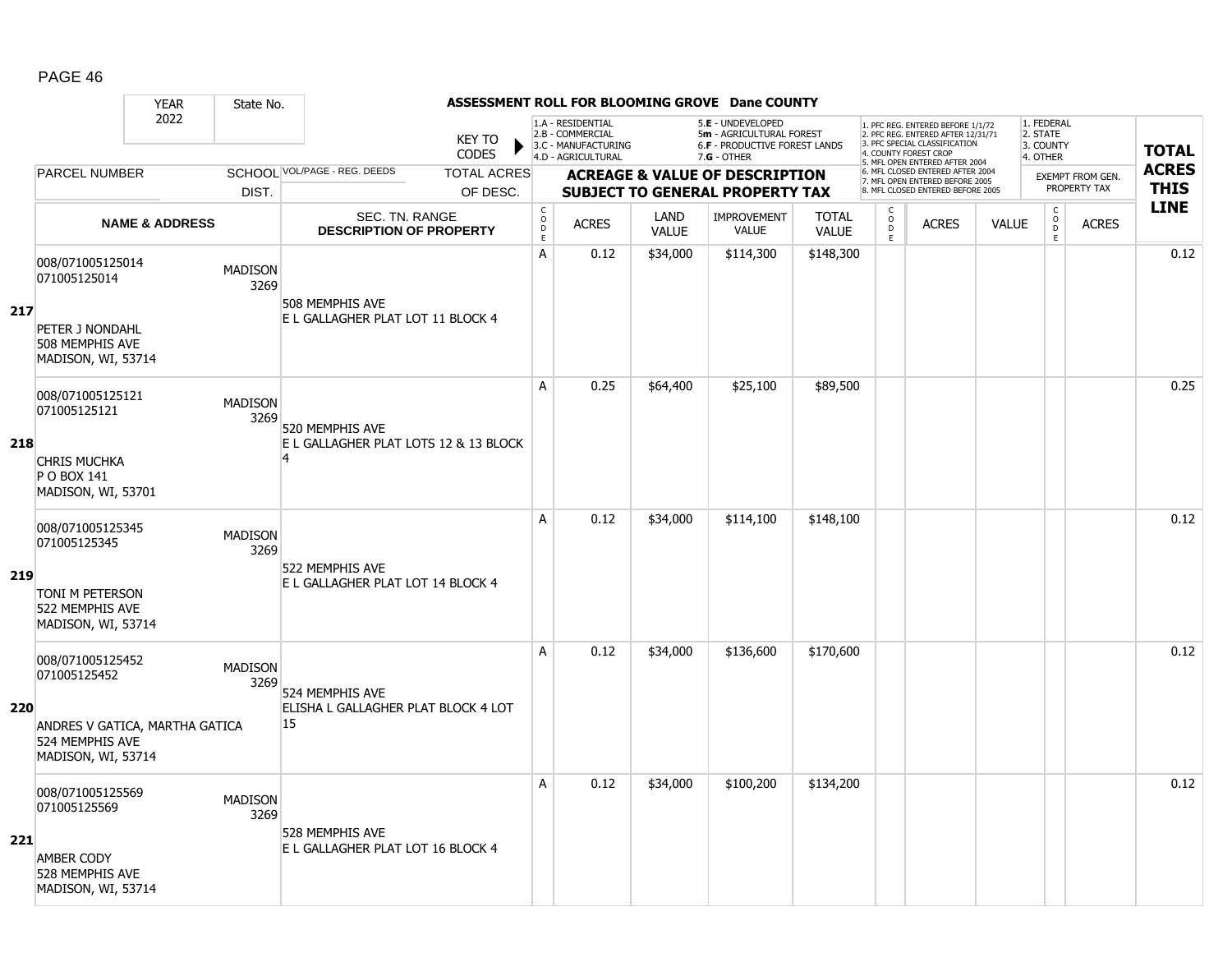|     |                                                                                                             | <b>YEAR</b>               | State No.              |                                                      |                                                  |                                        |                                                                                    |                      | ASSESSMENT ROLL FOR BLOOMING GROVE Dane COUNTY                                                       |                              |                                   |                                                                                                                                   |              |                                                 |                         |              |
|-----|-------------------------------------------------------------------------------------------------------------|---------------------------|------------------------|------------------------------------------------------|--------------------------------------------------|----------------------------------------|------------------------------------------------------------------------------------|----------------------|------------------------------------------------------------------------------------------------------|------------------------------|-----------------------------------|-----------------------------------------------------------------------------------------------------------------------------------|--------------|-------------------------------------------------|-------------------------|--------------|
|     |                                                                                                             | 2022                      |                        |                                                      | <b>KEY TO</b><br><b>CODES</b>                    |                                        | 1.A - RESIDENTIAL<br>2.B - COMMERCIAL<br>3.C - MANUFACTURING<br>4.D - AGRICULTURAL |                      | 5.E - UNDEVELOPED<br>5m - AGRICULTURAL FOREST<br><b>6.F - PRODUCTIVE FOREST LANDS</b><br>7.G - OTHER |                              |                                   | 1. PFC REG. ENTERED BEFORE 1/1/72<br>2. PFC REG. ENTERED AFTER 12/31/71<br>3. PFC SPECIAL CLASSIFICATION<br>4. COUNTY FOREST CROP |              | 1. FEDERAL<br>2. STATE<br>3. COUNTY<br>4. OTHER |                         | <b>TOTAL</b> |
|     | PARCEL NUMBER                                                                                               |                           |                        | SCHOOL VOL/PAGE - REG. DEEDS                         | <b>TOTAL ACRES</b>                               |                                        |                                                                                    |                      | <b>ACREAGE &amp; VALUE OF DESCRIPTION</b>                                                            |                              |                                   | 5. MFL OPEN ENTERED AFTER 2004<br>6. MFL CLOSED ENTERED AFTER 2004                                                                |              |                                                 | <b>EXEMPT FROM GEN.</b> | <b>ACRES</b> |
|     |                                                                                                             |                           | DIST.                  |                                                      | OF DESC.                                         |                                        |                                                                                    |                      | <b>SUBJECT TO GENERAL PROPERTY TAX</b>                                                               |                              |                                   | 7. MFL OPEN ENTERED BEFORE 2005<br>8. MFL CLOSED ENTERED BEFORE 2005                                                              |              |                                                 | PROPERTY TAX            | <b>THIS</b>  |
|     |                                                                                                             | <b>NAME &amp; ADDRESS</b> |                        |                                                      | SEC. TN. RANGE<br><b>DESCRIPTION OF PROPERTY</b> | $_{\rm o}^{\rm c}$<br>D<br>$\mathsf E$ | <b>ACRES</b>                                                                       | LAND<br><b>VALUE</b> | <b>IMPROVEMENT</b><br><b>VALUE</b>                                                                   | <b>TOTAL</b><br><b>VALUE</b> | $\mathsf{C}$<br>$\circ$<br>D<br>E | <b>ACRES</b>                                                                                                                      | <b>VALUE</b> | C<br>$\overline{0}$<br>E                        | <b>ACRES</b>            | <b>LINE</b>  |
| 217 | 008/071005125014<br>071005125014<br>PETER J NONDAHL<br>508 MEMPHIS AVE<br>MADISON, WI, 53714                |                           | <b>MADISON</b><br>3269 | 508 MEMPHIS AVE<br>E L GALLAGHER PLAT LOT 11 BLOCK 4 |                                                  | A                                      | 0.12                                                                               | \$34,000             | \$114,300                                                                                            | \$148,300                    |                                   |                                                                                                                                   |              |                                                 |                         | 0.12         |
| 218 | 008/071005125121<br>071005125121                                                                            |                           | <b>MADISON</b><br>3269 | 520 MEMPHIS AVE                                      | E L GALLAGHER PLAT LOTS 12 & 13 BLOCK            | A                                      | 0.25                                                                               | \$64,400             | \$25,100                                                                                             | \$89,500                     |                                   |                                                                                                                                   |              |                                                 |                         | 0.25         |
|     | <b>CHRIS MUCHKA</b><br>P O BOX 141<br>MADISON, WI, 53701                                                    |                           |                        |                                                      |                                                  | A                                      | 0.12                                                                               | \$34,000             |                                                                                                      |                              |                                   |                                                                                                                                   |              |                                                 |                         | 0.12         |
| 219 | 008/071005125345<br>071005125345<br>TONI M PETERSON<br>522 MEMPHIS AVE<br>MADISON, WI, 53714                |                           | <b>MADISON</b><br>3269 | 522 MEMPHIS AVE<br>E L GALLAGHER PLAT LOT 14 BLOCK 4 |                                                  |                                        |                                                                                    |                      | \$114,100                                                                                            | \$148,100                    |                                   |                                                                                                                                   |              |                                                 |                         |              |
| 220 | 008/071005125452<br>071005125452<br>ANDRES V GATICA, MARTHA GATICA<br>524 MEMPHIS AVE<br>MADISON, WI, 53714 |                           | <b>MADISON</b><br>3269 | 524 MEMPHIS AVE<br>15                                | ELISHA L GALLAGHER PLAT BLOCK 4 LOT              | A                                      | 0.12                                                                               | \$34,000             | \$136,600                                                                                            | \$170,600                    |                                   |                                                                                                                                   |              |                                                 |                         | 0.12         |
| 221 | 008/071005125569<br>071005125569<br><b>AMBER CODY</b><br>528 MEMPHIS AVE<br>MADISON, WI, 53714              |                           | <b>MADISON</b><br>3269 | 528 MEMPHIS AVE<br>E L GALLAGHER PLAT LOT 16 BLOCK 4 |                                                  | A                                      | 0.12                                                                               | \$34,000             | \$100,200                                                                                            | \$134,200                    |                                   |                                                                                                                                   |              |                                                 |                         | 0.12         |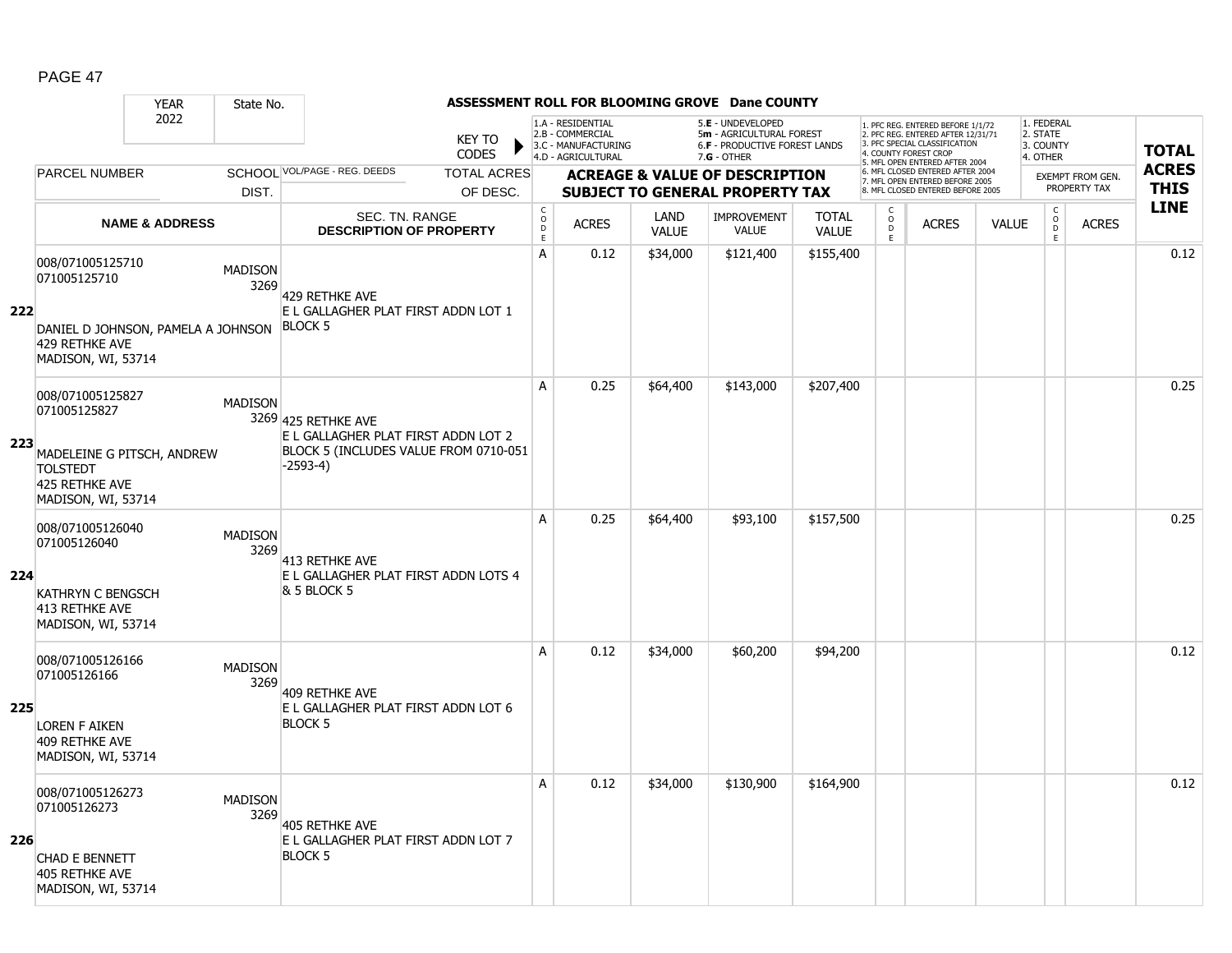|     |                                                                                               | <b>YEAR</b>               | State No.              |                                                                         |                               |                                             |                                                                                    |                             | ASSESSMENT ROLL FOR BLOOMING GROVE Dane COUNTY                                                         |                              |                                     |                                                                                                                                   |              |                                                 |                         |              |
|-----|-----------------------------------------------------------------------------------------------|---------------------------|------------------------|-------------------------------------------------------------------------|-------------------------------|---------------------------------------------|------------------------------------------------------------------------------------|-----------------------------|--------------------------------------------------------------------------------------------------------|------------------------------|-------------------------------------|-----------------------------------------------------------------------------------------------------------------------------------|--------------|-------------------------------------------------|-------------------------|--------------|
|     |                                                                                               | 2022                      |                        |                                                                         | <b>KEY TO</b><br><b>CODES</b> |                                             | 1.A - RESIDENTIAL<br>2.B - COMMERCIAL<br>3.C - MANUFACTURING<br>4.D - AGRICULTURAL |                             | 5.E - UNDEVELOPED<br>5m - AGRICULTURAL FOREST<br><b>6.F - PRODUCTIVE FOREST LANDS</b><br>$7.G - OTHER$ |                              |                                     | 1. PFC REG. ENTERED BEFORE 1/1/72<br>2. PFC REG. ENTERED AFTER 12/31/71<br>3. PFC SPECIAL CLASSIFICATION<br>4. COUNTY FOREST CROP |              | 1. FEDERAL<br>2. STATE<br>3. COUNTY<br>4. OTHER |                         | <b>TOTAL</b> |
|     | <b>PARCEL NUMBER</b>                                                                          |                           |                        | SCHOOL VOL/PAGE - REG. DEEDS                                            | <b>TOTAL ACRES</b>            |                                             |                                                                                    |                             | <b>ACREAGE &amp; VALUE OF DESCRIPTION</b>                                                              |                              |                                     | 5. MFL OPEN ENTERED AFTER 2004<br>6. MFL CLOSED ENTERED AFTER 2004                                                                |              |                                                 | <b>EXEMPT FROM GEN.</b> | <b>ACRES</b> |
|     |                                                                                               |                           | DIST.                  |                                                                         | OF DESC.                      |                                             |                                                                                    |                             | <b>SUBJECT TO GENERAL PROPERTY TAX</b>                                                                 |                              |                                     | 7. MFL OPEN ENTERED BEFORE 2005<br>8. MFL CLOSED ENTERED BEFORE 2005                                                              |              |                                                 | PROPERTY TAX            | <b>THIS</b>  |
|     |                                                                                               | <b>NAME &amp; ADDRESS</b> |                        | <b>SEC. TN. RANGE</b><br><b>DESCRIPTION OF PROPERTY</b>                 |                               | $\mathsf{C}$<br>$\circ$<br>D<br>$\mathsf E$ | <b>ACRES</b>                                                                       | <b>LAND</b><br><b>VALUE</b> | <b>IMPROVEMENT</b><br><b>VALUE</b>                                                                     | <b>TOTAL</b><br><b>VALUE</b> | $\mathsf{C}$<br>$\overline{0}$<br>E | <b>ACRES</b>                                                                                                                      | <b>VALUE</b> | $\begin{matrix} 0 \\ 0 \\ 0 \end{matrix}$<br>E  | <b>ACRES</b>            | <b>LINE</b>  |
| 222 | 008/071005125710<br>071005125710<br>DANIEL D JOHNSON, PAMELA A JOHNSON                        |                           | <b>MADISON</b><br>3269 | 429 RETHKE AVE<br>E L GALLAGHER PLAT FIRST ADDN LOT 1<br><b>BLOCK 5</b> |                               | A                                           | 0.12                                                                               | \$34,000                    | \$121,400                                                                                              | \$155,400                    |                                     |                                                                                                                                   |              |                                                 |                         | 0.12         |
|     | 429 RETHKE AVE<br>MADISON, WI, 53714                                                          |                           |                        |                                                                         |                               |                                             |                                                                                    |                             |                                                                                                        |                              |                                     |                                                                                                                                   |              |                                                 |                         |              |
| 223 | 008/071005125827<br>071005125827                                                              |                           | <b>MADISON</b>         | 3269 425 RETHKE AVE<br>E L GALLAGHER PLAT FIRST ADDN LOT 2              |                               | A                                           | 0.25                                                                               | \$64,400                    | \$143,000                                                                                              | \$207,400                    |                                     |                                                                                                                                   |              |                                                 |                         | 0.25         |
|     | MADELEINE G PITSCH, ANDREW<br><b>TOLSTEDT</b><br>425 RETHKE AVE<br>MADISON, WI, 53714         |                           |                        | BLOCK 5 (INCLUDES VALUE FROM 0710-051<br>$-2593-4)$                     |                               |                                             |                                                                                    |                             |                                                                                                        |                              |                                     |                                                                                                                                   |              |                                                 |                         |              |
| 224 | 008/071005126040<br>071005126040<br>KATHRYN C BENGSCH<br>413 RETHKE AVE<br>MADISON, WI, 53714 |                           | <b>MADISON</b><br>3269 | 413 RETHKE AVE<br>E L GALLAGHER PLAT FIRST ADDN LOTS 4<br>& 5 BLOCK 5   |                               | A                                           | 0.25                                                                               | \$64,400                    | \$93,100                                                                                               | \$157,500                    |                                     |                                                                                                                                   |              |                                                 |                         | 0.25         |
| 225 | 008/071005126166<br>071005126166                                                              |                           | <b>MADISON</b><br>3269 | 409 RETHKE AVE<br>E L GALLAGHER PLAT FIRST ADDN LOT 6                   |                               | A                                           | 0.12                                                                               | \$34,000                    | \$60,200                                                                                               | \$94,200                     |                                     |                                                                                                                                   |              |                                                 |                         | 0.12         |
|     | <b>LOREN F AIKEN</b><br>409 RETHKE AVE<br>MADISON, WI, 53714                                  |                           |                        | <b>BLOCK 5</b>                                                          |                               |                                             |                                                                                    |                             |                                                                                                        |                              |                                     |                                                                                                                                   |              |                                                 |                         |              |
| 226 | 008/071005126273<br>071005126273<br>CHAD E BENNETT<br>405 RETHKE AVE<br>MADISON, WI, 53714    |                           | <b>MADISON</b><br>3269 | 405 RETHKE AVE<br>E L GALLAGHER PLAT FIRST ADDN LOT 7<br><b>BLOCK 5</b> |                               | A                                           | 0.12                                                                               | \$34,000                    | \$130,900                                                                                              | \$164,900                    |                                     |                                                                                                                                   |              |                                                 |                         | 0.12         |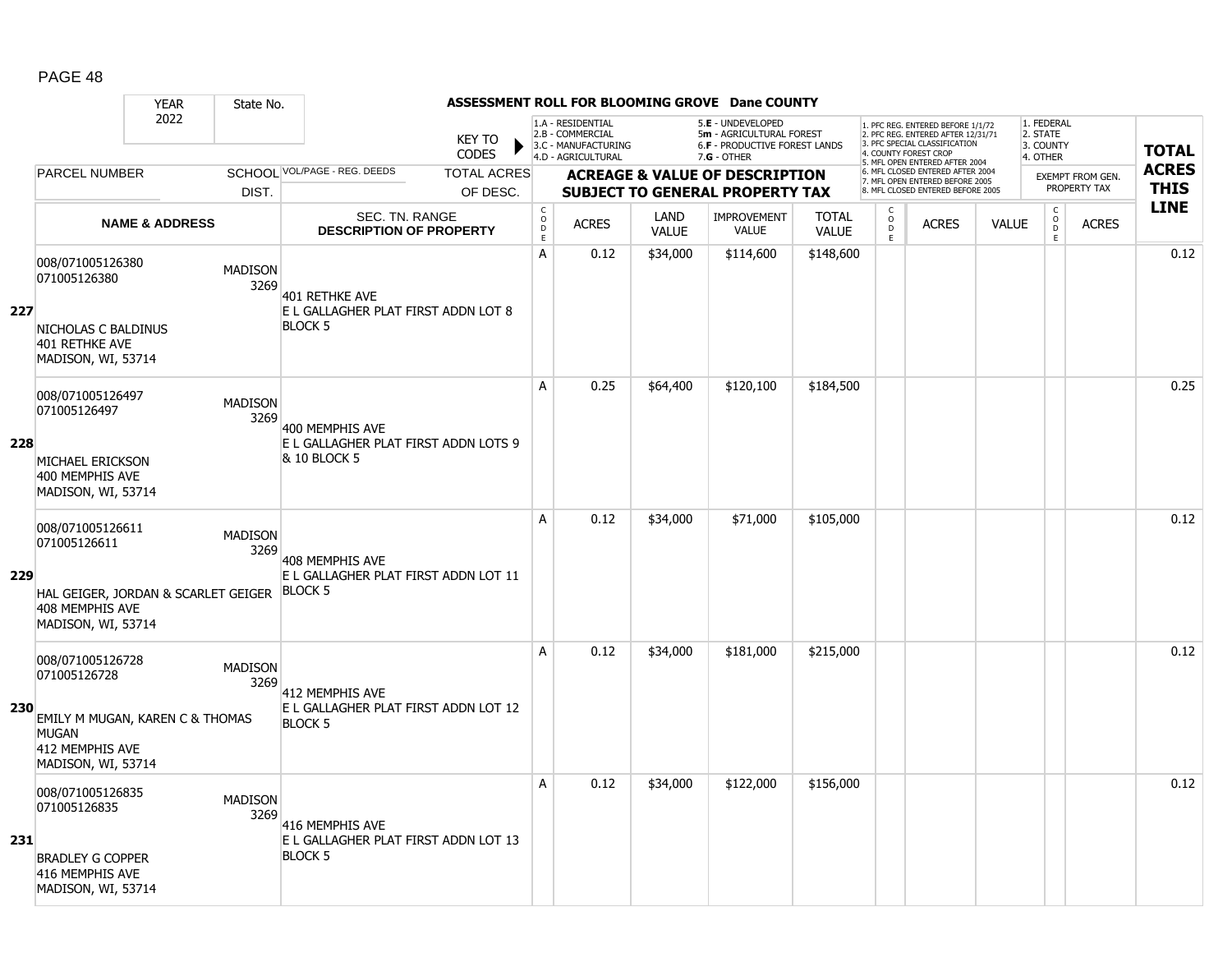|     |                                                                                                      | <b>YEAR</b>                                           | State No.                                       |                                                         |                                                           |                                                                                    |                      | ASSESSMENT ROLL FOR BLOOMING GROVE Dane COUNTY                                                       |                              |                         |                                                                                                                                   |              |                                                 |                         |              |
|-----|------------------------------------------------------------------------------------------------------|-------------------------------------------------------|-------------------------------------------------|---------------------------------------------------------|-----------------------------------------------------------|------------------------------------------------------------------------------------|----------------------|------------------------------------------------------------------------------------------------------|------------------------------|-------------------------|-----------------------------------------------------------------------------------------------------------------------------------|--------------|-------------------------------------------------|-------------------------|--------------|
|     |                                                                                                      | 2022                                                  |                                                 | <b>KEY TO</b><br><b>CODES</b>                           |                                                           | 1.A - RESIDENTIAL<br>2.B - COMMERCIAL<br>3.C - MANUFACTURING<br>4.D - AGRICULTURAL |                      | 5.E - UNDEVELOPED<br>5m - AGRICULTURAL FOREST<br><b>6.F - PRODUCTIVE FOREST LANDS</b><br>7.G - OTHER |                              |                         | 1. PFC REG. ENTERED BEFORE 1/1/72<br>2. PFC REG. ENTERED AFTER 12/31/71<br>3. PFC SPECIAL CLASSIFICATION<br>4. COUNTY FOREST CROP |              | 1. FEDERAL<br>2. STATE<br>3. COUNTY<br>4. OTHER |                         | <b>TOTAL</b> |
|     | <b>PARCEL NUMBER</b>                                                                                 |                                                       | SCHOOL VOL/PAGE - REG. DEEDS                    | <b>TOTAL ACRES</b>                                      |                                                           |                                                                                    |                      | <b>ACREAGE &amp; VALUE OF DESCRIPTION</b>                                                            |                              |                         | 5. MFL OPEN ENTERED AFTER 2004<br>6. MFL CLOSED ENTERED AFTER 2004                                                                |              |                                                 | <b>EXEMPT FROM GEN.</b> | <b>ACRES</b> |
|     |                                                                                                      | DIST.                                                 |                                                 | OF DESC.                                                |                                                           |                                                                                    |                      | <b>SUBJECT TO GENERAL PROPERTY TAX</b>                                                               |                              |                         | 7. MFL OPEN ENTERED BEFORE 2005<br>8. MFL CLOSED ENTERED BEFORE 2005                                                              |              |                                                 | PROPERTY TAX            | <b>THIS</b>  |
|     |                                                                                                      | <b>NAME &amp; ADDRESS</b>                             |                                                 | <b>SEC. TN. RANGE</b><br><b>DESCRIPTION OF PROPERTY</b> | $\mathsf C$<br>$\mathsf{O}$<br>$\mathsf D$<br>$\mathsf E$ | <b>ACRES</b>                                                                       | LAND<br><b>VALUE</b> | <b>IMPROVEMENT</b><br><b>VALUE</b>                                                                   | <b>TOTAL</b><br><b>VALUE</b> | C<br>$\circ$<br>D<br>E. | <b>ACRES</b>                                                                                                                      | <b>VALUE</b> | $\mathsf C$<br>$_{\rm D}^{\rm O}$<br>E          | <b>ACRES</b>            | <b>LINE</b>  |
| 227 | 008/071005126380<br>071005126380<br>NICHOLAS C BALDINUS<br>401 RETHKE AVE<br>MADISON, WI, 53714      | <b>MADISON</b>                                        | 3269<br><b>401 RETHKE AVE</b><br><b>BLOCK 5</b> | E L GALLAGHER PLAT FIRST ADDN LOT 8                     | А                                                         | 0.12                                                                               | \$34,000             | \$114,600                                                                                            | \$148,600                    |                         |                                                                                                                                   |              |                                                 |                         | 0.12         |
| 228 | 008/071005126497<br>071005126497<br>MICHAEL ERICKSON<br>400 MEMPHIS AVE<br>MADISON, WI, 53714        | <b>MADISON</b>                                        | 3269<br>400 MEMPHIS AVE<br>& 10 BLOCK 5         | E L GALLAGHER PLAT FIRST ADDN LOTS 9                    | A                                                         | 0.25                                                                               | \$64,400             | \$120,100                                                                                            | \$184,500                    |                         |                                                                                                                                   |              |                                                 |                         | 0.25         |
| 229 | 008/071005126611<br>071005126611<br>408 MEMPHIS AVE<br>MADISON, WI, 53714                            | <b>MADISON</b><br>HAL GEIGER, JORDAN & SCARLET GEIGER | 3269<br>408 MEMPHIS AVE<br><b>BLOCK 5</b>       | E L GALLAGHER PLAT FIRST ADDN LOT 11                    | A                                                         | 0.12                                                                               | \$34,000             | \$71,000                                                                                             | \$105,000                    |                         |                                                                                                                                   |              |                                                 |                         | 0.12         |
| 230 | 008/071005126728<br>071005126728<br><b>MUGAN</b><br>412 MEMPHIS AVE<br>MADISON, WI, 53714            | <b>MADISON</b><br>EMILY M MUGAN, KAREN C & THOMAS     | 3269<br>412 MEMPHIS AVE<br><b>BLOCK 5</b>       | E L GALLAGHER PLAT FIRST ADDN LOT 12                    | A                                                         | 0.12                                                                               | \$34,000             | \$181,000                                                                                            | \$215,000                    |                         |                                                                                                                                   |              |                                                 |                         | 0.12         |
| 231 | 008/071005126835<br>071005126835<br><b>BRADLEY G COPPER</b><br>416 MEMPHIS AVE<br>MADISON, WI, 53714 | <b>MADISON</b>                                        | 3269<br>416 MEMPHIS AVE<br><b>BLOCK 5</b>       | E L GALLAGHER PLAT FIRST ADDN LOT 13                    | Α                                                         | 0.12                                                                               | \$34,000             | \$122,000                                                                                            | \$156,000                    |                         |                                                                                                                                   |              |                                                 |                         | 0.12         |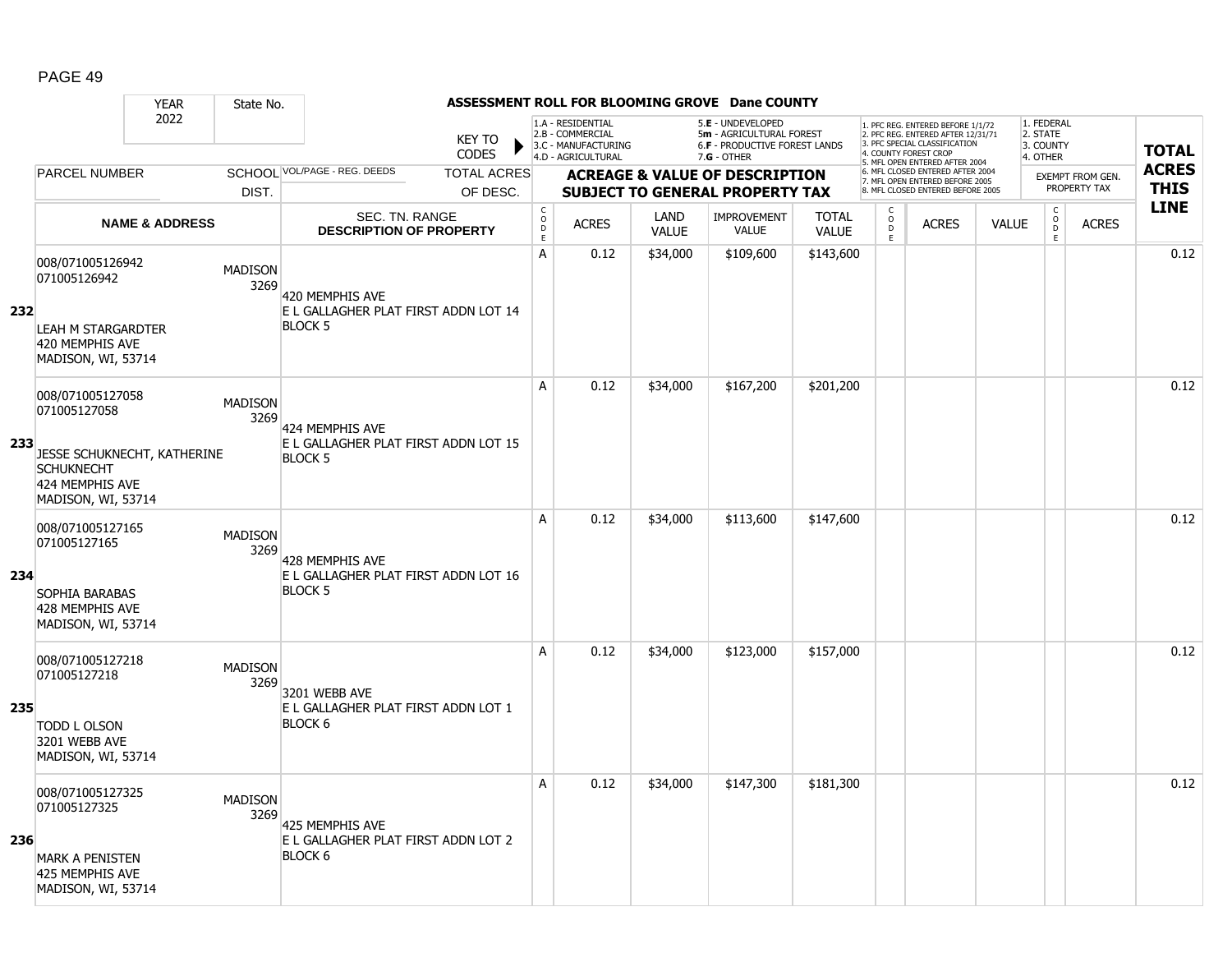|     |                                                                                           | <b>YEAR</b>               | State No.              |                                                         |                                |                             |                                                              |                             | ASSESSMENT ROLL FOR BLOOMING GROVE Dane COUNTY                                        |                              |                     |                                                                                                                                   |              |                                                |                                         |              |
|-----|-------------------------------------------------------------------------------------------|---------------------------|------------------------|---------------------------------------------------------|--------------------------------|-----------------------------|--------------------------------------------------------------|-----------------------------|---------------------------------------------------------------------------------------|------------------------------|---------------------|-----------------------------------------------------------------------------------------------------------------------------------|--------------|------------------------------------------------|-----------------------------------------|--------------|
|     |                                                                                           | 2022                      |                        |                                                         | <b>KEY TO</b><br><b>CODES</b>  |                             | 1.A - RESIDENTIAL<br>2.B - COMMERCIAL<br>3.C - MANUFACTURING |                             | 5.E - UNDEVELOPED<br>5m - AGRICULTURAL FOREST<br><b>6.F - PRODUCTIVE FOREST LANDS</b> |                              |                     | 1. PFC REG. ENTERED BEFORE 1/1/72<br>2. PFC REG. ENTERED AFTER 12/31/71<br>3. PFC SPECIAL CLASSIFICATION<br>4. COUNTY FOREST CROP |              | 1. FEDERAL<br>2. STATE<br>3. COUNTY            |                                         | <b>TOTAL</b> |
|     | <b>PARCEL NUMBER</b>                                                                      |                           |                        | SCHOOL VOL/PAGE - REG. DEEDS                            |                                |                             | 4.D - AGRICULTURAL                                           |                             | $7.G - OTHER$                                                                         |                              |                     | 5. MFL OPEN ENTERED AFTER 2004<br>6. MFL CLOSED ENTERED AFTER 2004                                                                |              | 4. OTHER                                       |                                         | <b>ACRES</b> |
|     |                                                                                           |                           | DIST.                  |                                                         | <b>TOTAL ACRES</b><br>OF DESC. |                             |                                                              |                             | <b>ACREAGE &amp; VALUE OF DESCRIPTION</b><br><b>SUBJECT TO GENERAL PROPERTY TAX</b>   |                              |                     | 7. MFL OPEN ENTERED BEFORE 2005<br>8. MFL CLOSED ENTERED BEFORE 2005                                                              |              |                                                | <b>EXEMPT FROM GEN.</b><br>PROPERTY TAX | <b>THIS</b>  |
|     |                                                                                           |                           |                        |                                                         |                                | $\mathsf{C}$                |                                                              |                             |                                                                                       |                              | $\mathsf{C}$        |                                                                                                                                   |              |                                                |                                         | <b>LINE</b>  |
|     |                                                                                           | <b>NAME &amp; ADDRESS</b> |                        | <b>SEC. TN. RANGE</b><br><b>DESCRIPTION OF PROPERTY</b> |                                | $\circ$<br>D<br>$\mathsf E$ | <b>ACRES</b>                                                 | <b>LAND</b><br><b>VALUE</b> | <b>IMPROVEMENT</b><br><b>VALUE</b>                                                    | <b>TOTAL</b><br><b>VALUE</b> | $\overline{0}$<br>E | <b>ACRES</b>                                                                                                                      | <b>VALUE</b> | $\begin{matrix} 0 \\ 0 \\ 0 \end{matrix}$<br>E | <b>ACRES</b>                            |              |
| 232 | 008/071005126942<br>071005126942                                                          |                           | <b>MADISON</b><br>3269 | 420 MEMPHIS AVE<br>E L GALLAGHER PLAT FIRST ADDN LOT 14 |                                | A                           | 0.12                                                         | \$34,000                    | \$109,600                                                                             | \$143,600                    |                     |                                                                                                                                   |              |                                                |                                         | 0.12         |
|     | LEAH M STARGARDTER<br>420 MEMPHIS AVE<br>MADISON, WI, 53714                               |                           |                        | <b>BLOCK 5</b>                                          |                                |                             |                                                              |                             |                                                                                       |                              |                     |                                                                                                                                   |              |                                                |                                         |              |
|     | 008/071005127058<br>071005127058                                                          |                           | <b>MADISON</b><br>3269 | 424 MEMPHIS AVE                                         |                                | A                           | 0.12                                                         | \$34,000                    | \$167,200                                                                             | \$201,200                    |                     |                                                                                                                                   |              |                                                |                                         | 0.12         |
| 233 | JESSE SCHUKNECHT, KATHERINE<br><b>SCHUKNECHT</b><br>424 MEMPHIS AVE<br>MADISON, WI, 53714 |                           |                        | E L GALLAGHER PLAT FIRST ADDN LOT 15<br><b>BLOCK 5</b>  |                                |                             |                                                              |                             |                                                                                       |                              |                     |                                                                                                                                   |              |                                                |                                         |              |
| 234 | 008/071005127165<br>071005127165                                                          |                           | <b>MADISON</b><br>3269 | 428 MEMPHIS AVE<br>E L GALLAGHER PLAT FIRST ADDN LOT 16 |                                | A                           | 0.12                                                         | \$34,000                    | \$113,600                                                                             | \$147,600                    |                     |                                                                                                                                   |              |                                                |                                         | 0.12         |
|     | SOPHIA BARABAS<br>428 MEMPHIS AVE<br>MADISON, WI, 53714                                   |                           |                        | <b>BLOCK 5</b>                                          |                                |                             |                                                              |                             |                                                                                       |                              |                     |                                                                                                                                   |              |                                                |                                         |              |
|     | 008/071005127218<br>071005127218                                                          |                           | <b>MADISON</b><br>3269 | 3201 WEBB AVE                                           |                                | Α                           | 0.12                                                         | \$34,000                    | \$123,000                                                                             | \$157,000                    |                     |                                                                                                                                   |              |                                                |                                         | 0.12         |
| 235 | <b>TODD L OLSON</b><br>3201 WEBB AVE<br>MADISON, WI, 53714                                |                           |                        | E L GALLAGHER PLAT FIRST ADDN LOT 1<br>BLOCK 6          |                                |                             |                                                              |                             |                                                                                       |                              |                     |                                                                                                                                   |              |                                                |                                         |              |
| 236 | 008/071005127325<br>071005127325                                                          |                           | <b>MADISON</b><br>3269 | 425 MEMPHIS AVE<br>E L GALLAGHER PLAT FIRST ADDN LOT 2  |                                | A                           | 0.12                                                         | \$34,000                    | \$147,300                                                                             | \$181,300                    |                     |                                                                                                                                   |              |                                                |                                         | 0.12         |
|     | <b>MARK A PENISTEN</b><br>425 MEMPHIS AVE<br>MADISON, WI, 53714                           |                           |                        | BLOCK 6                                                 |                                |                             |                                                              |                             |                                                                                       |                              |                     |                                                                                                                                   |              |                                                |                                         |              |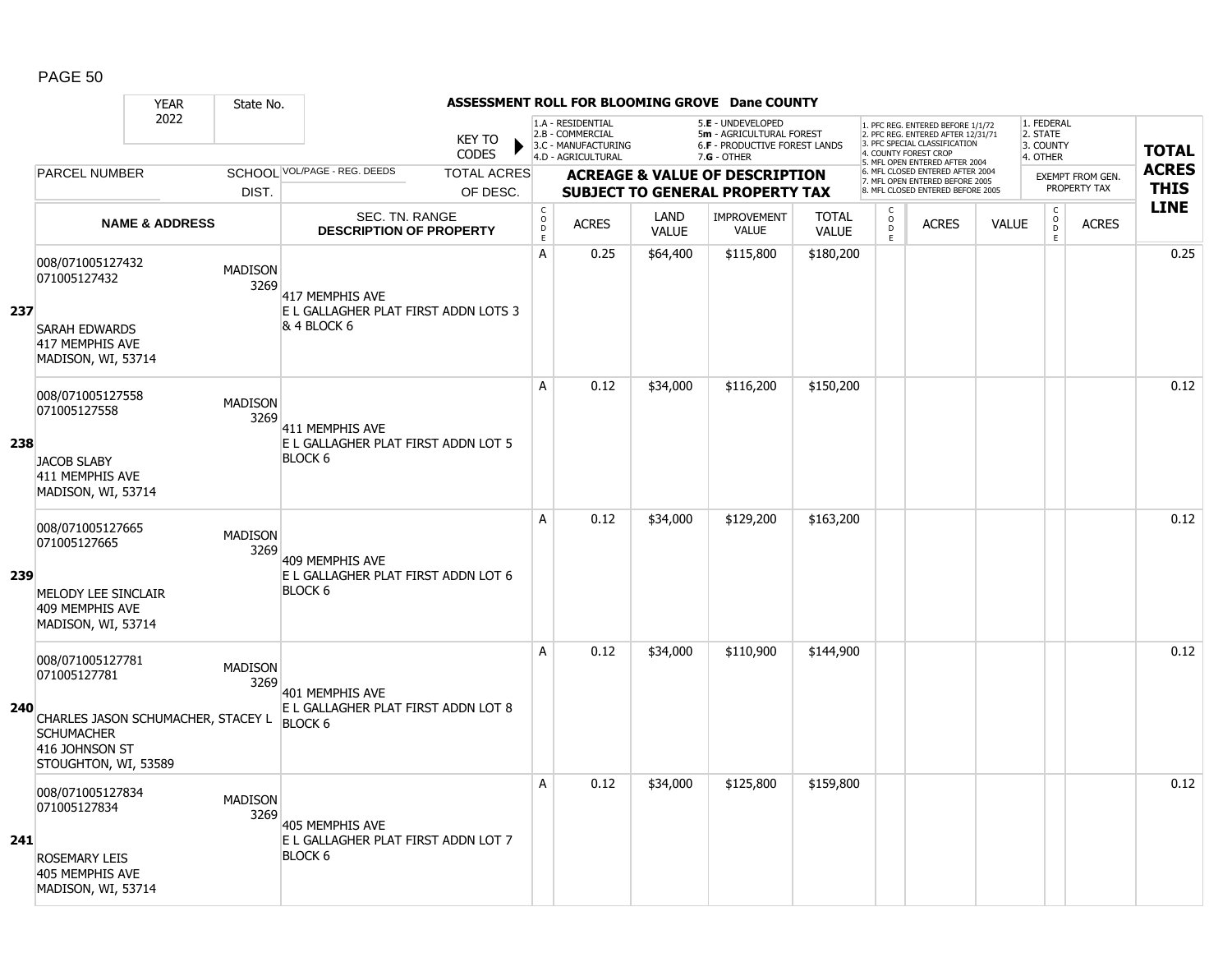|     |                                                                                                                                               | <b>YEAR</b>               | State No.              |                                                                          |                               |                                      |                                                                                    |                      | ASSESSMENT ROLL FOR BLOOMING GROVE Dane COUNTY                                                         |                              |                          |                                                                                                                                   |              |                                                 |                  |              |
|-----|-----------------------------------------------------------------------------------------------------------------------------------------------|---------------------------|------------------------|--------------------------------------------------------------------------|-------------------------------|--------------------------------------|------------------------------------------------------------------------------------|----------------------|--------------------------------------------------------------------------------------------------------|------------------------------|--------------------------|-----------------------------------------------------------------------------------------------------------------------------------|--------------|-------------------------------------------------|------------------|--------------|
|     |                                                                                                                                               | 2022                      |                        |                                                                          | <b>KEY TO</b><br><b>CODES</b> |                                      | 1.A - RESIDENTIAL<br>2.B - COMMERCIAL<br>3.C - MANUFACTURING<br>4.D - AGRICULTURAL |                      | 5.E - UNDEVELOPED<br>5m - AGRICULTURAL FOREST<br><b>6.F - PRODUCTIVE FOREST LANDS</b><br>$7.G - OTHER$ |                              |                          | 1. PFC REG. ENTERED BEFORE 1/1/72<br>2. PFC REG. ENTERED AFTER 12/31/71<br>3. PFC SPECIAL CLASSIFICATION<br>4. COUNTY FOREST CROP |              | 1. FEDERAL<br>2. STATE<br>3. COUNTY<br>4. OTHER |                  | <b>TOTAL</b> |
|     | <b>PARCEL NUMBER</b>                                                                                                                          |                           |                        | SCHOOL VOL/PAGE - REG. DEEDS                                             | <b>TOTAL ACRES</b>            |                                      |                                                                                    |                      | <b>ACREAGE &amp; VALUE OF DESCRIPTION</b>                                                              |                              |                          | 5. MFL OPEN ENTERED AFTER 2004<br>6. MFL CLOSED ENTERED AFTER 2004                                                                |              |                                                 | EXEMPT FROM GEN. | <b>ACRES</b> |
|     |                                                                                                                                               |                           | DIST.                  |                                                                          | OF DESC.                      |                                      |                                                                                    |                      | <b>SUBJECT TO GENERAL PROPERTY TAX</b>                                                                 |                              |                          | 7. MFL OPEN ENTERED BEFORE 2005<br>8. MFL CLOSED ENTERED BEFORE 2005                                                              |              |                                                 | PROPERTY TAX     | <b>THIS</b>  |
|     |                                                                                                                                               | <b>NAME &amp; ADDRESS</b> |                        | <b>SEC. TN. RANGE</b><br><b>DESCRIPTION OF PROPERTY</b>                  |                               | $_{\rm o}^{\rm c}$<br>D<br>$\bar{E}$ | <b>ACRES</b>                                                                       | LAND<br><b>VALUE</b> | <b>IMPROVEMENT</b><br><b>VALUE</b>                                                                     | <b>TOTAL</b><br><b>VALUE</b> | C<br>$\overline{0}$<br>E | <b>ACRES</b>                                                                                                                      | <b>VALUE</b> | $\mathsf{C}$<br>$\overline{0}$<br>E.            | <b>ACRES</b>     | <b>LINE</b>  |
| 237 | 008/071005127432<br>071005127432<br><b>SARAH EDWARDS</b><br>417 MEMPHIS AVE<br>MADISON, WI, 53714                                             |                           | <b>MADISON</b><br>3269 | 417 MEMPHIS AVE<br>E L GALLAGHER PLAT FIRST ADDN LOTS 3<br>& 4 BLOCK 6   |                               | A                                    | 0.25                                                                               | \$64,400             | \$115,800                                                                                              | \$180,200                    |                          |                                                                                                                                   |              |                                                 |                  | 0.25         |
| 238 | 008/071005127558<br>071005127558<br><b>JACOB SLABY</b><br>411 MEMPHIS AVE<br>MADISON, WI, 53714                                               |                           | <b>MADISON</b><br>3269 | 411 MEMPHIS AVE<br>E L GALLAGHER PLAT FIRST ADDN LOT 5<br><b>BLOCK 6</b> |                               | A                                    | 0.12                                                                               | \$34,000             | \$116,200                                                                                              | \$150,200                    |                          |                                                                                                                                   |              |                                                 |                  | 0.12         |
| 239 | 008/071005127665<br>071005127665<br>MELODY LEE SINCLAIR<br>409 MEMPHIS AVE<br>MADISON, WI, 53714                                              |                           | <b>MADISON</b><br>3269 | 409 MEMPHIS AVE<br>E L GALLAGHER PLAT FIRST ADDN LOT 6<br><b>BLOCK 6</b> |                               | A                                    | 0.12                                                                               | \$34,000             | \$129,200                                                                                              | \$163,200                    |                          |                                                                                                                                   |              |                                                 |                  | 0.12         |
| 240 | 008/071005127781<br>071005127781<br>CHARLES JASON SCHUMACHER, STACEY L BLOCK 6<br><b>SCHUMACHER</b><br>416 JOHNSON ST<br>STOUGHTON, WI, 53589 |                           | <b>MADISON</b><br>3269 | 401 MEMPHIS AVE<br>E L GALLAGHER PLAT FIRST ADDN LOT 8                   |                               | A                                    | 0.12                                                                               | \$34,000             | \$110,900                                                                                              | \$144,900                    |                          |                                                                                                                                   |              |                                                 |                  | 0.12         |
| 241 | 008/071005127834<br>071005127834<br><b>ROSEMARY LEIS</b><br>405 MEMPHIS AVE<br>MADISON, WI, 53714                                             |                           | <b>MADISON</b><br>3269 | 405 MEMPHIS AVE<br>E L GALLAGHER PLAT FIRST ADDN LOT 7<br><b>BLOCK 6</b> |                               | A                                    | 0.12                                                                               | \$34,000             | \$125,800                                                                                              | \$159,800                    |                          |                                                                                                                                   |              |                                                 |                  | 0.12         |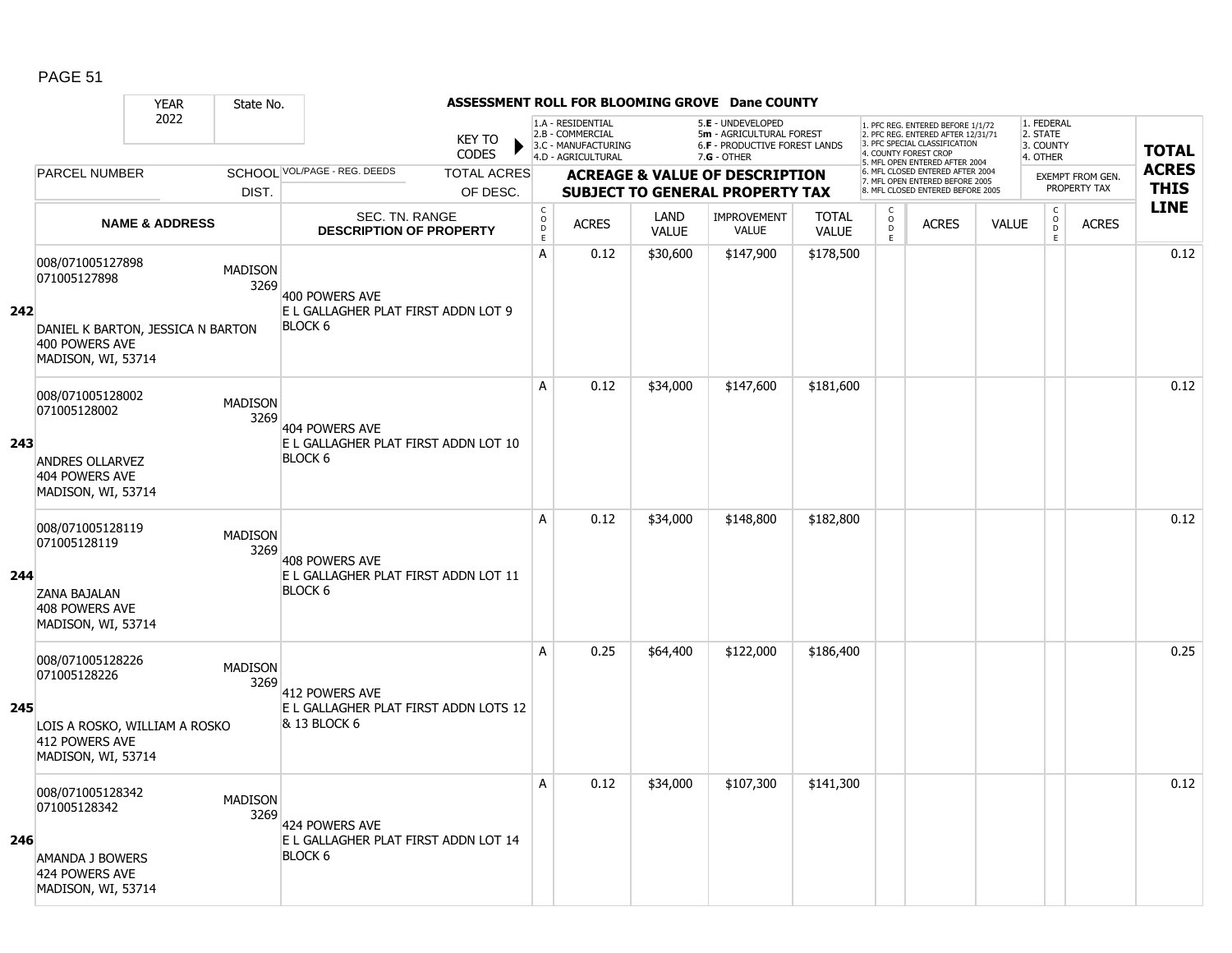|     |                                                                                                               | <b>YEAR</b>               | State No.              |                                                                          |                                |                                        |                                                                                    |                      | ASSESSMENT ROLL FOR BLOOMING GROVE Dane COUNTY                                                       |                              |                                              |                                                                                                                                                                     |              |                                                 |                                         |                             |
|-----|---------------------------------------------------------------------------------------------------------------|---------------------------|------------------------|--------------------------------------------------------------------------|--------------------------------|----------------------------------------|------------------------------------------------------------------------------------|----------------------|------------------------------------------------------------------------------------------------------|------------------------------|----------------------------------------------|---------------------------------------------------------------------------------------------------------------------------------------------------------------------|--------------|-------------------------------------------------|-----------------------------------------|-----------------------------|
|     |                                                                                                               | 2022                      |                        |                                                                          | <b>KEY TO</b><br>CODES         |                                        | 1.A - RESIDENTIAL<br>2.B - COMMERCIAL<br>3.C - MANUFACTURING<br>4.D - AGRICULTURAL |                      | 5.E - UNDEVELOPED<br>5m - AGRICULTURAL FOREST<br><b>6.F - PRODUCTIVE FOREST LANDS</b><br>7.G - OTHER |                              |                                              | 1. PFC REG. ENTERED BEFORE 1/1/72<br>2. PFC REG. ENTERED AFTER 12/31/71<br>3. PFC SPECIAL CLASSIFICATION<br>4. COUNTY FOREST CROP<br>5. MFL OPEN ENTERED AFTER 2004 |              | 1. FEDERAL<br>2. STATE<br>3. COUNTY<br>4. OTHER |                                         | <b>TOTAL</b>                |
|     | <b>PARCEL NUMBER</b>                                                                                          |                           | DIST.                  | SCHOOL VOL/PAGE - REG. DEEDS                                             | <b>TOTAL ACRES</b><br>OF DESC. |                                        |                                                                                    |                      | <b>ACREAGE &amp; VALUE OF DESCRIPTION</b><br><b>SUBJECT TO GENERAL PROPERTY TAX</b>                  |                              |                                              | 6. MFL CLOSED ENTERED AFTER 2004<br>7. MFL OPEN ENTERED BEFORE 2005<br>8. MFL CLOSED ENTERED BEFORE 2005                                                            |              |                                                 | <b>EXEMPT FROM GEN.</b><br>PROPERTY TAX | <b>ACRES</b><br><b>THIS</b> |
|     |                                                                                                               | <b>NAME &amp; ADDRESS</b> |                        | SEC. TN. RANGE<br><b>DESCRIPTION OF PROPERTY</b>                         |                                | $_{\rm o}^{\rm c}$<br>$\mathsf D$<br>E | <b>ACRES</b>                                                                       | LAND<br><b>VALUE</b> | <b>IMPROVEMENT</b><br><b>VALUE</b>                                                                   | <b>TOTAL</b><br><b>VALUE</b> | C<br>$\mathsf{O}\xspace$<br>$\mathsf D$<br>E | <b>ACRES</b>                                                                                                                                                        | <b>VALUE</b> | $\begin{matrix} 0 \\ 0 \\ D \end{matrix}$<br>E  | <b>ACRES</b>                            | <b>LINE</b>                 |
| 242 | 008/071005127898<br>071005127898<br>DANIEL K BARTON, JESSICA N BARTON<br>400 POWERS AVE<br>MADISON, WI, 53714 |                           | <b>MADISON</b><br>3269 | 400 POWERS AVE<br>E L GALLAGHER PLAT FIRST ADDN LOT 9<br><b>BLOCK 6</b>  |                                | А                                      | 0.12                                                                               | \$30,600             | \$147,900                                                                                            | \$178,500                    |                                              |                                                                                                                                                                     |              |                                                 |                                         | 0.12                        |
| 243 | 008/071005128002<br>071005128002<br><b>ANDRES OLLARVEZ</b><br>404 POWERS AVE<br>MADISON, WI, 53714            |                           | <b>MADISON</b><br>3269 | 404 POWERS AVE<br>E L GALLAGHER PLAT FIRST ADDN LOT 10<br><b>BLOCK 6</b> |                                | A                                      | 0.12                                                                               | \$34,000             | \$147,600                                                                                            | \$181,600                    |                                              |                                                                                                                                                                     |              |                                                 |                                         | 0.12                        |
| 244 | 008/071005128119<br>071005128119<br><b>ZANA BAJALAN</b><br>408 POWERS AVE<br>MADISON, WI, 53714               |                           | <b>MADISON</b><br>3269 | 408 POWERS AVE<br>E L GALLAGHER PLAT FIRST ADDN LOT 11<br><b>BLOCK 6</b> |                                | A                                      | 0.12                                                                               | \$34,000             | \$148,800                                                                                            | \$182,800                    |                                              |                                                                                                                                                                     |              |                                                 |                                         | 0.12                        |
| 245 | 008/071005128226<br>071005128226<br>LOIS A ROSKO, WILLIAM A ROSKO<br>412 POWERS AVE<br>MADISON, WI, 53714     |                           | <b>MADISON</b><br>3269 | 412 POWERS AVE<br>E L GALLAGHER PLAT FIRST ADDN LOTS 12<br>& 13 BLOCK 6  |                                | A                                      | 0.25                                                                               | \$64,400             | \$122,000                                                                                            | \$186,400                    |                                              |                                                                                                                                                                     |              |                                                 |                                         | 0.25                        |
| 246 | 008/071005128342<br>071005128342<br><b>AMANDA J BOWERS</b><br>424 POWERS AVE<br>MADISON, WI, 53714            |                           | <b>MADISON</b><br>3269 | 424 POWERS AVE<br>E L GALLAGHER PLAT FIRST ADDN LOT 14<br><b>BLOCK 6</b> |                                | A                                      | 0.12                                                                               | \$34,000             | \$107,300                                                                                            | \$141,300                    |                                              |                                                                                                                                                                     |              |                                                 |                                         | 0.12                        |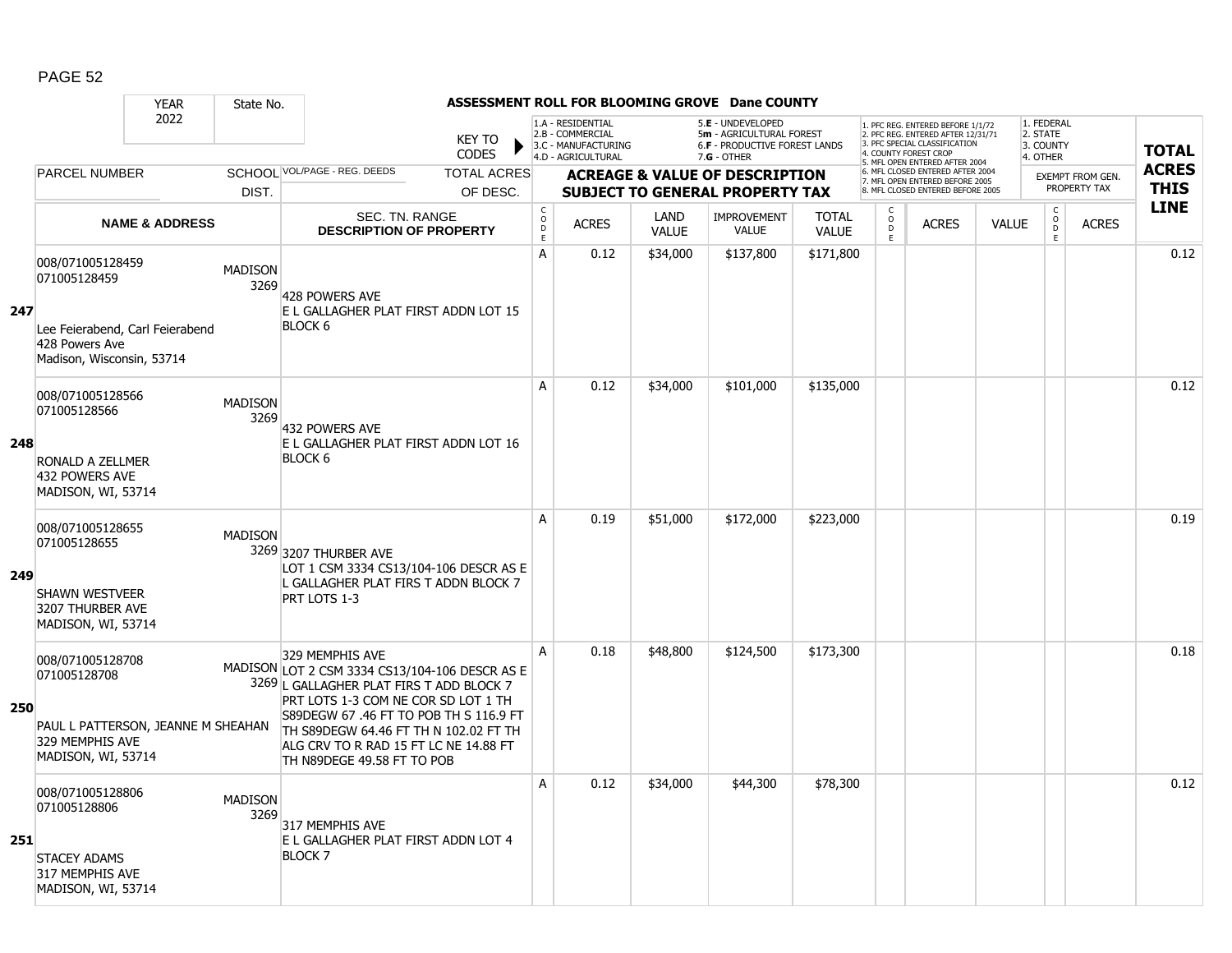|     |                                                                                                                    | <b>YEAR</b>               | State No.              |                                                                                                                                                                                                                                                                                                                |                               |                         |                                                                                    |                      | ASSESSMENT ROLL FOR BLOOMING GROVE Dane COUNTY                                                  |                              |                              |                                                                                                          |              |                                                 |                                         |              |
|-----|--------------------------------------------------------------------------------------------------------------------|---------------------------|------------------------|----------------------------------------------------------------------------------------------------------------------------------------------------------------------------------------------------------------------------------------------------------------------------------------------------------------|-------------------------------|-------------------------|------------------------------------------------------------------------------------|----------------------|-------------------------------------------------------------------------------------------------|------------------------------|------------------------------|----------------------------------------------------------------------------------------------------------|--------------|-------------------------------------------------|-----------------------------------------|--------------|
|     |                                                                                                                    | 2022                      |                        |                                                                                                                                                                                                                                                                                                                | <b>KEY TO</b><br><b>CODES</b> |                         | 1.A - RESIDENTIAL<br>2.B - COMMERCIAL<br>3.C - MANUFACTURING<br>4.D - AGRICULTURAL |                      | 5.E - UNDEVELOPED<br>5m - AGRICULTURAL FOREST<br>6.F - PRODUCTIVE FOREST LANDS<br>$7.G - OTHER$ |                              | 4. COUNTY FOREST CROP        | 1. PFC REG. ENTERED BEFORE 1/1/72<br>2. PFC REG. ENTERED AFTER 12/31/71<br>3. PFC SPECIAL CLASSIFICATION |              | 1. FEDERAL<br>2. STATE<br>3. COUNTY<br>4. OTHER |                                         | <b>TOTAL</b> |
|     | <b>PARCEL NUMBER</b>                                                                                               |                           |                        | SCHOOL VOL/PAGE - REG. DEEDS                                                                                                                                                                                                                                                                                   | <b>TOTAL ACRES</b>            |                         |                                                                                    |                      |                                                                                                 |                              |                              | 5. MFL OPEN ENTERED AFTER 2004<br>6. MFL CLOSED ENTERED AFTER 2004                                       |              |                                                 |                                         | <b>ACRES</b> |
|     |                                                                                                                    |                           | DIST.                  |                                                                                                                                                                                                                                                                                                                | OF DESC.                      |                         |                                                                                    |                      | <b>ACREAGE &amp; VALUE OF DESCRIPTION</b><br><b>SUBJECT TO GENERAL PROPERTY TAX</b>             |                              |                              | 7. MFL OPEN ENTERED BEFORE 2005<br>8. MFL CLOSED ENTERED BEFORE 2005                                     |              |                                                 | <b>EXEMPT FROM GEN.</b><br>PROPERTY TAX | <b>THIS</b>  |
|     |                                                                                                                    | <b>NAME &amp; ADDRESS</b> |                        | SEC. TN. RANGE<br><b>DESCRIPTION OF PROPERTY</b>                                                                                                                                                                                                                                                               |                               | $_{\rm o}^{\rm c}$<br>D | <b>ACRES</b>                                                                       | LAND<br><b>VALUE</b> | <b>IMPROVEMENT</b><br><b>VALUE</b>                                                              | <b>TOTAL</b><br><b>VALUE</b> | $\mathsf{C}$<br>$\circ$<br>D | <b>ACRES</b>                                                                                             | <b>VALUE</b> | $\mathsf{C}$<br>$\overline{0}$                  | <b>ACRES</b>                            | <b>LINE</b>  |
| 247 | 008/071005128459<br>071005128459<br>Lee Feierabend, Carl Feierabend<br>428 Powers Ave<br>Madison, Wisconsin, 53714 |                           | <b>MADISON</b><br>3269 | 428 POWERS AVE<br>E L GALLAGHER PLAT FIRST ADDN LOT 15<br><b>BLOCK 6</b>                                                                                                                                                                                                                                       |                               | $\mathsf E$<br>A        | 0.12                                                                               | \$34,000             | \$137,800                                                                                       | \$171,800                    | E                            |                                                                                                          |              | E                                               |                                         | 0.12         |
| 248 | 008/071005128566<br>071005128566<br>RONALD A ZELLMER<br>432 POWERS AVE<br>MADISON, WI, 53714                       |                           | <b>MADISON</b><br>3269 | 432 POWERS AVE<br>E L GALLAGHER PLAT FIRST ADDN LOT 16<br><b>BLOCK 6</b>                                                                                                                                                                                                                                       |                               | A                       | 0.12                                                                               | \$34,000             | \$101,000                                                                                       | \$135,000                    |                              |                                                                                                          |              |                                                 |                                         | 0.12         |
| 249 | 008/071005128655<br>071005128655<br><b>SHAWN WESTVEER</b><br>3207 THURBER AVE<br>MADISON, WI, 53714                |                           | <b>MADISON</b>         | 3269 3207 THURBER AVE<br>LOT 1 CSM 3334 CS13/104-106 DESCR AS E<br>L GALLAGHER PLAT FIRS T ADDN BLOCK 7<br>PRT LOTS 1-3                                                                                                                                                                                        |                               | A                       | 0.19                                                                               | \$51,000             | \$172,000                                                                                       | \$223,000                    |                              |                                                                                                          |              |                                                 |                                         | 0.19         |
| 250 | 008/071005128708<br>071005128708<br>PAUL L PATTERSON, JEANNE M SHEAHAN<br>329 MEMPHIS AVE<br>MADISON, WI, 53714    |                           |                        | 329 MEMPHIS AVE<br>MADISON LOT 2 CSM 3334 CS13/104-106 DESCR AS E<br>3269 L GALLAGHER PLAT FIRS T ADD BLOCK 7<br>PRT LOTS 1-3 COM NE COR SD LOT 1 TH<br>S89DEGW 67 .46 FT TO POB TH S 116.9 FT<br>TH S89DEGW 64.46 FT TH N 102.02 FT TH<br>ALG CRV TO R RAD 15 FT LC NE 14.88 FT<br>TH N89DEGE 49.58 FT TO POB |                               | A                       | 0.18                                                                               | \$48,800             | \$124,500                                                                                       | \$173,300                    |                              |                                                                                                          |              |                                                 |                                         | 0.18         |
| 251 | 008/071005128806<br>071005128806<br><b>STACEY ADAMS</b><br>317 MEMPHIS AVE<br>MADISON, WI, 53714                   |                           | <b>MADISON</b><br>3269 | 317 MEMPHIS AVE<br>E L GALLAGHER PLAT FIRST ADDN LOT 4<br><b>BLOCK 7</b>                                                                                                                                                                                                                                       |                               | A                       | 0.12                                                                               | \$34,000             | \$44,300                                                                                        | \$78,300                     |                              |                                                                                                          |              |                                                 |                                         | 0.12         |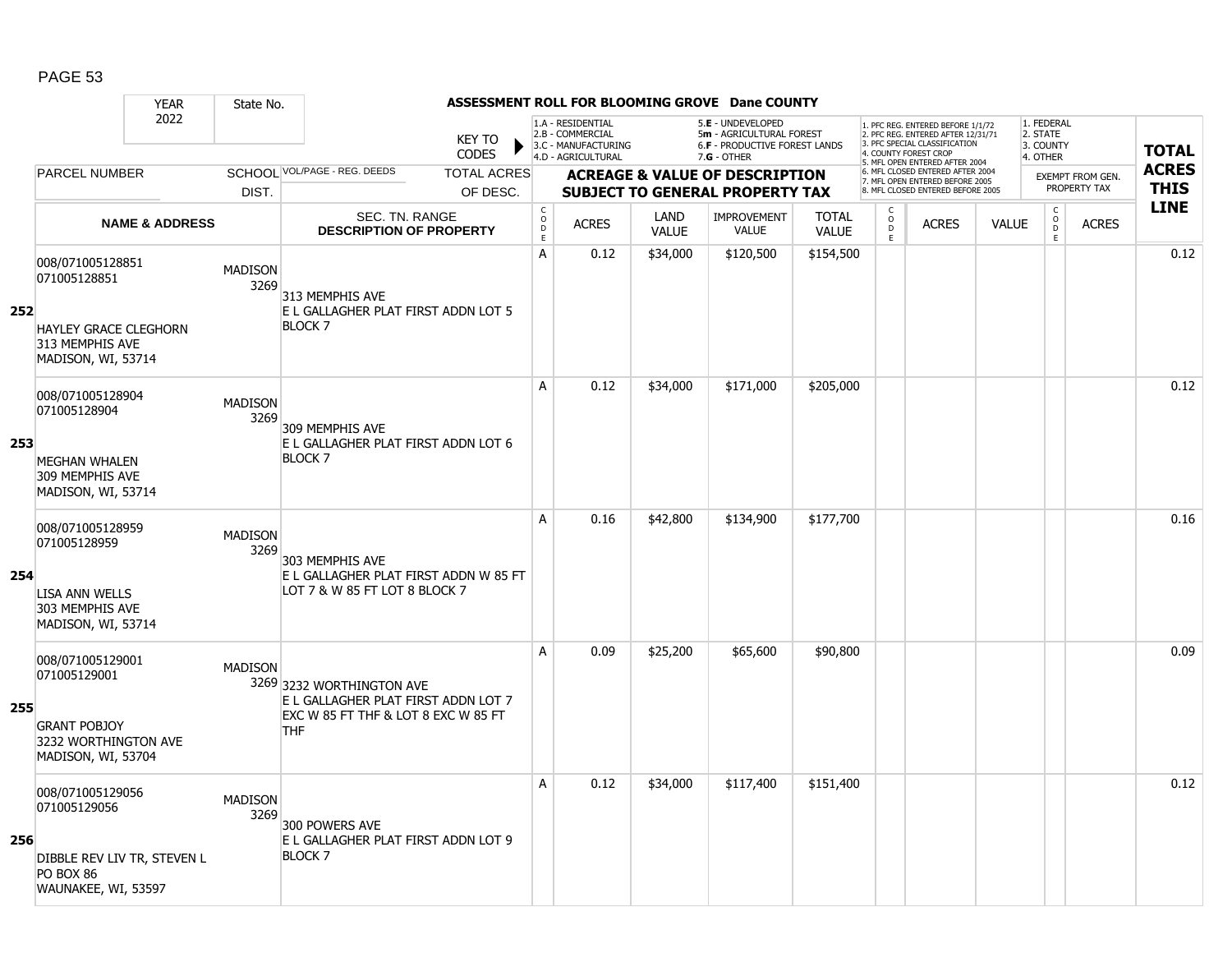|     | <b>YEAR</b>                                                                                                | State No.              |                                                                                                                       |                             |                                                                                    |                      | ASSESSMENT ROLL FOR BLOOMING GROVE Dane COUNTY                                                |                              |                                                 |                                                                                                                                   |              |                                                 |                         |              |
|-----|------------------------------------------------------------------------------------------------------------|------------------------|-----------------------------------------------------------------------------------------------------------------------|-----------------------------|------------------------------------------------------------------------------------|----------------------|-----------------------------------------------------------------------------------------------|------------------------------|-------------------------------------------------|-----------------------------------------------------------------------------------------------------------------------------------|--------------|-------------------------------------------------|-------------------------|--------------|
|     | 2022                                                                                                       |                        | <b>KEY TO</b><br><b>CODES</b>                                                                                         |                             | 1.A - RESIDENTIAL<br>2.B - COMMERCIAL<br>3.C - MANUFACTURING<br>4.D - AGRICULTURAL |                      | 5.E - UNDEVELOPED<br>5m - AGRICULTURAL FOREST<br>6.F - PRODUCTIVE FOREST LANDS<br>7.G - OTHER |                              |                                                 | 1. PFC REG. ENTERED BEFORE 1/1/72<br>2. PFC REG. ENTERED AFTER 12/31/71<br>3. PFC SPECIAL CLASSIFICATION<br>4. COUNTY FOREST CROP |              | 1. FEDERAL<br>2. STATE<br>3. COUNTY<br>4. OTHER |                         | <b>TOTAL</b> |
|     | <b>PARCEL NUMBER</b>                                                                                       |                        | SCHOOL VOL/PAGE - REG. DEEDS<br><b>TOTAL ACRES</b>                                                                    |                             |                                                                                    |                      | <b>ACREAGE &amp; VALUE OF DESCRIPTION</b>                                                     |                              |                                                 | 5. MFL OPEN ENTERED AFTER 2004<br>6. MFL CLOSED ENTERED AFTER 2004                                                                |              |                                                 | <b>EXEMPT FROM GEN.</b> | <b>ACRES</b> |
|     |                                                                                                            | DIST.                  | OF DESC.                                                                                                              |                             |                                                                                    |                      | <b>SUBJECT TO GENERAL PROPERTY TAX</b>                                                        |                              |                                                 | 7. MFL OPEN ENTERED BEFORE 2005<br>8. MFL CLOSED ENTERED BEFORE 2005                                                              |              |                                                 | PROPERTY TAX            | <b>THIS</b>  |
|     | <b>NAME &amp; ADDRESS</b>                                                                                  |                        | SEC. TN. RANGE<br><b>DESCRIPTION OF PROPERTY</b>                                                                      | $\rm _c^C$<br>$\frac{D}{E}$ | <b>ACRES</b>                                                                       | LAND<br><b>VALUE</b> | <b>IMPROVEMENT</b><br><b>VALUE</b>                                                            | <b>TOTAL</b><br><b>VALUE</b> | $\begin{matrix} 0 \\ 0 \\ D \end{matrix}$<br>E. | <b>ACRES</b>                                                                                                                      | <b>VALUE</b> | $\begin{matrix} 0 \\ 0 \\ 0 \end{matrix}$<br>E  | <b>ACRES</b>            | <b>LINE</b>  |
| 252 | 008/071005128851<br>071005128851<br><b>HAYLEY GRACE CLEGHORN</b><br>313 MEMPHIS AVE                        | <b>MADISON</b><br>3269 | 313 MEMPHIS AVE<br>E L GALLAGHER PLAT FIRST ADDN LOT 5<br><b>BLOCK 7</b>                                              | A                           | 0.12                                                                               | \$34,000             | \$120,500                                                                                     | \$154,500                    |                                                 |                                                                                                                                   |              |                                                 |                         | 0.12         |
| 253 | MADISON, WI, 53714<br>008/071005128904<br>071005128904                                                     | <b>MADISON</b><br>3269 | 309 MEMPHIS AVE<br>E L GALLAGHER PLAT FIRST ADDN LOT 6                                                                | A                           | 0.12                                                                               | \$34,000             | \$171,000                                                                                     | \$205,000                    |                                                 |                                                                                                                                   |              |                                                 |                         | 0.12         |
|     | <b>MEGHAN WHALEN</b><br>309 MEMPHIS AVE<br>MADISON, WI, 53714<br>008/071005128959                          | <b>MADISON</b>         | <b>BLOCK 7</b>                                                                                                        | A                           | 0.16                                                                               | \$42,800             | \$134,900                                                                                     | \$177,700                    |                                                 |                                                                                                                                   |              |                                                 |                         | 0.16         |
| 254 | 071005128959<br>LISA ANN WELLS<br>303 MEMPHIS AVE<br>MADISON, WI, 53714                                    | 3269                   | 303 MEMPHIS AVE<br>E L GALLAGHER PLAT FIRST ADDN W 85 FT<br>LOT 7 & W 85 FT LOT 8 BLOCK 7                             |                             |                                                                                    |                      |                                                                                               |                              |                                                 |                                                                                                                                   |              |                                                 |                         |              |
| 255 | 008/071005129001<br>071005129001<br><b>GRANT POBJOY</b><br>3232 WORTHINGTON AVE<br>MADISON, WI, 53704      | <b>MADISON</b>         | 3269 3232 WORTHINGTON AVE<br>E L GALLAGHER PLAT FIRST ADDN LOT 7<br>EXC W 85 FT THF & LOT 8 EXC W 85 FT<br><b>THF</b> | A                           | 0.09                                                                               | \$25,200             | \$65,600                                                                                      | \$90,800                     |                                                 |                                                                                                                                   |              |                                                 |                         | 0.09         |
| 256 | 008/071005129056<br>071005129056<br>DIBBLE REV LIV TR, STEVEN L<br><b>PO BOX 86</b><br>WAUNAKEE, WI, 53597 | <b>MADISON</b><br>3269 | 300 POWERS AVE<br>E L GALLAGHER PLAT FIRST ADDN LOT 9<br><b>BLOCK7</b>                                                | A                           | 0.12                                                                               | \$34,000             | \$117,400                                                                                     | \$151,400                    |                                                 |                                                                                                                                   |              |                                                 |                         | 0.12         |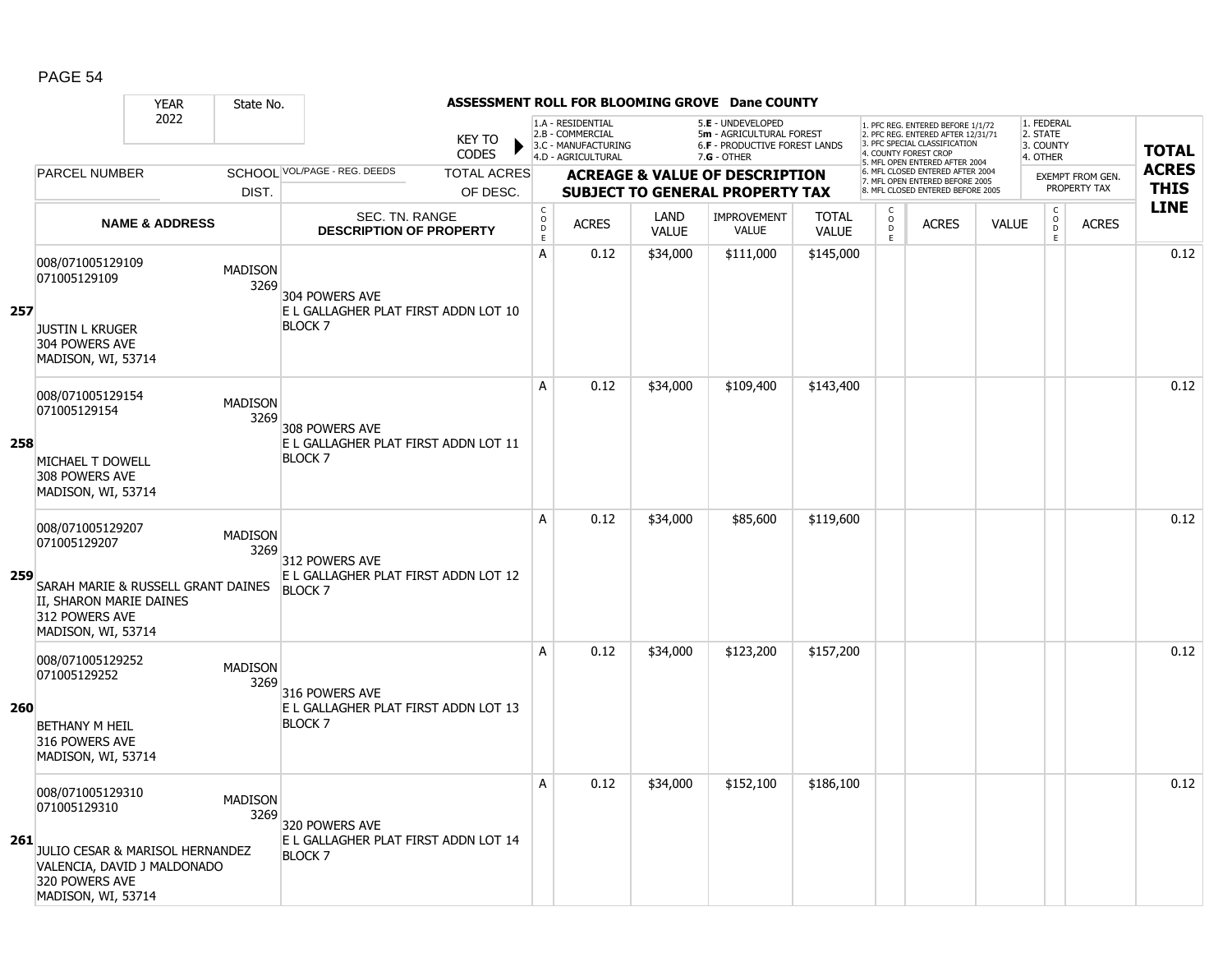|            |                                                                                                                                            | <b>YEAR</b>               | State No.              |                                                                          |                               |                             |                                                                                    |                             | ASSESSMENT ROLL FOR BLOOMING GROVE Dane COUNTY                                                |                              |                                                 |                                                                                                                                   |              |                                                          |                         |              |
|------------|--------------------------------------------------------------------------------------------------------------------------------------------|---------------------------|------------------------|--------------------------------------------------------------------------|-------------------------------|-----------------------------|------------------------------------------------------------------------------------|-----------------------------|-----------------------------------------------------------------------------------------------|------------------------------|-------------------------------------------------|-----------------------------------------------------------------------------------------------------------------------------------|--------------|----------------------------------------------------------|-------------------------|--------------|
|            |                                                                                                                                            | 2022                      |                        |                                                                          | <b>KEY TO</b><br><b>CODES</b> |                             | 1.A - RESIDENTIAL<br>2.B - COMMERCIAL<br>3.C - MANUFACTURING<br>4.D - AGRICULTURAL |                             | 5.E - UNDEVELOPED<br>5m - AGRICULTURAL FOREST<br>6.F - PRODUCTIVE FOREST LANDS<br>7.G - OTHER |                              |                                                 | 1. PFC REG. ENTERED BEFORE 1/1/72<br>2. PFC REG. ENTERED AFTER 12/31/71<br>3. PFC SPECIAL CLASSIFICATION<br>4. COUNTY FOREST CROP |              | 1. FEDERAL<br>2. STATE<br>3. COUNTY<br>4. OTHER          |                         | <b>TOTAL</b> |
|            | <b>PARCEL NUMBER</b>                                                                                                                       |                           |                        | SCHOOL VOL/PAGE - REG. DEEDS                                             | <b>TOTAL ACRES</b>            |                             |                                                                                    |                             | <b>ACREAGE &amp; VALUE OF DESCRIPTION</b>                                                     |                              |                                                 | 5. MFL OPEN ENTERED AFTER 2004<br>6. MFL CLOSED ENTERED AFTER 2004                                                                |              |                                                          | <b>EXEMPT FROM GEN.</b> | <b>ACRES</b> |
|            |                                                                                                                                            |                           | DIST.                  |                                                                          | OF DESC.                      |                             |                                                                                    |                             | <b>SUBJECT TO GENERAL PROPERTY TAX</b>                                                        |                              |                                                 | 7. MFL OPEN ENTERED BEFORE 2005<br>8. MFL CLOSED ENTERED BEFORE 2005                                                              |              |                                                          | PROPERTY TAX            | <b>THIS</b>  |
|            |                                                                                                                                            | <b>NAME &amp; ADDRESS</b> |                        | SEC. TN. RANGE<br><b>DESCRIPTION OF PROPERTY</b>                         |                               | $\rm _c^C$<br>$\frac{D}{E}$ | <b>ACRES</b>                                                                       | <b>LAND</b><br><b>VALUE</b> | <b>IMPROVEMENT</b><br><b>VALUE</b>                                                            | <b>TOTAL</b><br><b>VALUE</b> | $\begin{matrix} 0 \\ 0 \\ D \end{matrix}$<br>E. | <b>ACRES</b>                                                                                                                      | <b>VALUE</b> | $\begin{matrix} 0 \\ 0 \\ 0 \end{matrix}$<br>$\mathsf E$ | <b>ACRES</b>            | <b>LINE</b>  |
| 257        | 008/071005129109<br>071005129109<br><b>JUSTIN L KRUGER</b><br>304 POWERS AVE<br>MADISON, WI, 53714                                         |                           | <b>MADISON</b><br>3269 | 304 POWERS AVE<br>E L GALLAGHER PLAT FIRST ADDN LOT 10<br><b>BLOCK 7</b> |                               | A                           | 0.12                                                                               | \$34,000                    | \$111,000                                                                                     | \$145,000                    |                                                 |                                                                                                                                   |              |                                                          |                         | 0.12         |
|            | 008/071005129154<br>071005129154                                                                                                           |                           | <b>MADISON</b><br>3269 | 308 POWERS AVE                                                           |                               | A                           | 0.12                                                                               | \$34,000                    | \$109,400                                                                                     | \$143,400                    |                                                 |                                                                                                                                   |              |                                                          |                         | 0.12         |
| 258        | MICHAEL T DOWELL<br>308 POWERS AVE<br>MADISON, WI, 53714                                                                                   |                           |                        | E L GALLAGHER PLAT FIRST ADDN LOT 11<br><b>BLOCK 7</b>                   |                               |                             |                                                                                    |                             |                                                                                               |                              |                                                 |                                                                                                                                   |              |                                                          |                         |              |
| 259        | 008/071005129207<br>071005129207<br>SARAH MARIE & RUSSELL GRANT DAINES<br>II, SHARON MARIE DAINES<br>312 POWERS AVE<br>MADISON, WI, 53714  |                           | <b>MADISON</b><br>3269 | 312 POWERS AVE<br>E L GALLAGHER PLAT FIRST ADDN LOT 12<br><b>BLOCK7</b>  |                               | A                           | 0.12                                                                               | \$34,000                    | \$85,600                                                                                      | \$119,600                    |                                                 |                                                                                                                                   |              |                                                          |                         | 0.12         |
| <b>260</b> | 008/071005129252<br>071005129252<br><b>BETHANY M HEIL</b><br>316 POWERS AVE<br>MADISON, WI, 53714                                          |                           | <b>MADISON</b><br>3269 | 316 POWERS AVE<br>E L GALLAGHER PLAT FIRST ADDN LOT 13<br><b>BLOCK 7</b> |                               | Α                           | 0.12                                                                               | \$34,000                    | \$123,200                                                                                     | \$157,200                    |                                                 |                                                                                                                                   |              |                                                          |                         | 0.12         |
| 261        | 008/071005129310<br>071005129310<br>JULIO CESAR & MARISOL HERNANDEZ<br>VALENCIA, DAVID J MALDONADO<br>320 POWERS AVE<br>MADISON, WI, 53714 |                           | <b>MADISON</b><br>3269 | 320 POWERS AVE<br>E L GALLAGHER PLAT FIRST ADDN LOT 14<br><b>BLOCK7</b>  |                               | Α                           | 0.12                                                                               | \$34,000                    | \$152,100                                                                                     | \$186,100                    |                                                 |                                                                                                                                   |              |                                                          |                         | 0.12         |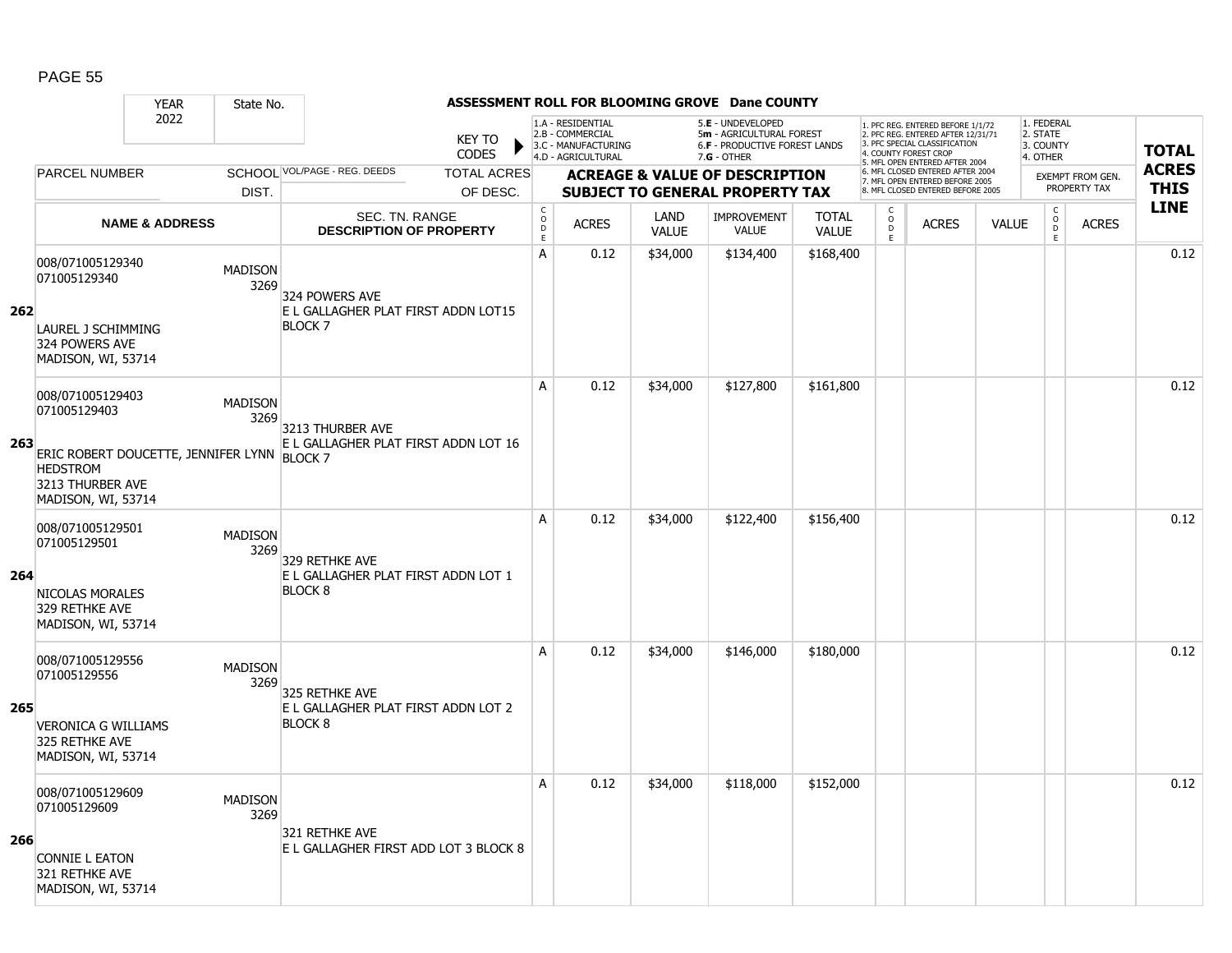|     |                                                                                                                                              | <b>YEAR</b>               | State No.              |                                                                         |                               |                                            |                                                                                    |                      | ASSESSMENT ROLL FOR BLOOMING GROVE Dane COUNTY                                                         |                              |                           |                                                                                                          |              |                                                   |                         |              |
|-----|----------------------------------------------------------------------------------------------------------------------------------------------|---------------------------|------------------------|-------------------------------------------------------------------------|-------------------------------|--------------------------------------------|------------------------------------------------------------------------------------|----------------------|--------------------------------------------------------------------------------------------------------|------------------------------|---------------------------|----------------------------------------------------------------------------------------------------------|--------------|---------------------------------------------------|-------------------------|--------------|
|     |                                                                                                                                              | 2022                      |                        |                                                                         | <b>KEY TO</b><br><b>CODES</b> |                                            | 1.A - RESIDENTIAL<br>2.B - COMMERCIAL<br>3.C - MANUFACTURING<br>4.D - AGRICULTURAL |                      | 5.E - UNDEVELOPED<br>5m - AGRICULTURAL FOREST<br><b>6.F - PRODUCTIVE FOREST LANDS</b><br>$7.G - OTHER$ |                              | 4. COUNTY FOREST CROP     | 1. PFC REG. ENTERED BEFORE 1/1/72<br>2. PFC REG. ENTERED AFTER 12/31/71<br>3. PFC SPECIAL CLASSIFICATION |              | 1. FEDERAL<br>2. STATE<br>3. COUNTY<br>4. OTHER   |                         | <b>TOTAL</b> |
|     | <b>PARCEL NUMBER</b>                                                                                                                         |                           |                        | SCHOOL VOL/PAGE - REG. DEEDS                                            | <b>TOTAL ACRES</b>            |                                            |                                                                                    |                      | <b>ACREAGE &amp; VALUE OF DESCRIPTION</b>                                                              |                              |                           | 5. MFL OPEN ENTERED AFTER 2004<br>6. MFL CLOSED ENTERED AFTER 2004                                       |              |                                                   | <b>EXEMPT FROM GEN.</b> | <b>ACRES</b> |
|     |                                                                                                                                              |                           | DIST.                  |                                                                         | OF DESC.                      |                                            |                                                                                    |                      | <b>SUBJECT TO GENERAL PROPERTY TAX</b>                                                                 |                              |                           | 7. MFL OPEN ENTERED BEFORE 2005<br>8. MFL CLOSED ENTERED BEFORE 2005                                     |              |                                                   | PROPERTY TAX            | <b>THIS</b>  |
|     |                                                                                                                                              | <b>NAME &amp; ADDRESS</b> |                        | <b>SEC. TN. RANGE</b><br><b>DESCRIPTION OF PROPERTY</b>                 |                               | $\mathsf C$<br>$\circ$<br>D<br>$\mathsf E$ | <b>ACRES</b>                                                                       | LAND<br><b>VALUE</b> | <b>IMPROVEMENT</b><br><b>VALUE</b>                                                                     | <b>TOTAL</b><br><b>VALUE</b> | C<br>$\overline{0}$<br>E. | <b>ACRES</b>                                                                                             | <b>VALUE</b> | $\mathsf C$<br>$\overset{\circ}{\mathsf{D}}$<br>E | <b>ACRES</b>            | <b>LINE</b>  |
| 262 | 008/071005129340<br>071005129340<br>LAUREL J SCHIMMING<br>324 POWERS AVE<br>MADISON, WI, 53714                                               |                           | <b>MADISON</b><br>3269 | 324 POWERS AVE<br>E L GALLAGHER PLAT FIRST ADDN LOT15<br><b>BLOCK 7</b> |                               | А                                          | 0.12                                                                               | \$34,000             | \$134,400                                                                                              | \$168,400                    |                           |                                                                                                          |              |                                                   |                         | 0.12         |
| 263 | 008/071005129403<br>071005129403<br>ERIC ROBERT DOUCETTE, JENNIFER LYNN BLOCK 7<br><b>HEDSTROM</b><br>3213 THURBER AVE<br>MADISON, WI, 53714 |                           | <b>MADISON</b><br>3269 | 3213 THURBER AVE<br>E L GALLAGHER PLAT FIRST ADDN LOT 16                |                               | A                                          | 0.12                                                                               | \$34,000             | \$127,800                                                                                              | \$161,800                    |                           |                                                                                                          |              |                                                   |                         | 0.12         |
| 264 | 008/071005129501<br>071005129501<br>NICOLAS MORALES<br>329 RETHKE AVE<br>MADISON, WI, 53714                                                  |                           | <b>MADISON</b><br>3269 | 329 RETHKE AVE<br>E L GALLAGHER PLAT FIRST ADDN LOT 1<br><b>BLOCK 8</b> |                               | A                                          | 0.12                                                                               | \$34,000             | \$122,400                                                                                              | \$156,400                    |                           |                                                                                                          |              |                                                   |                         | 0.12         |
| 265 | 008/071005129556<br>071005129556<br><b>VERONICA G WILLIAMS</b><br>325 RETHKE AVE<br>MADISON, WI, 53714                                       |                           | <b>MADISON</b><br>3269 | 325 RETHKE AVE<br>E L GALLAGHER PLAT FIRST ADDN LOT 2<br><b>BLOCK 8</b> |                               | A                                          | 0.12                                                                               | \$34,000             | \$146,000                                                                                              | \$180,000                    |                           |                                                                                                          |              |                                                   |                         | 0.12         |
| 266 | 008/071005129609<br>071005129609<br><b>CONNIE L EATON</b><br>321 RETHKE AVE<br>MADISON, WI, 53714                                            |                           | <b>MADISON</b><br>3269 | 321 RETHKE AVE<br>E L GALLAGHER FIRST ADD LOT 3 BLOCK 8                 |                               | A                                          | 0.12                                                                               | \$34,000             | \$118,000                                                                                              | \$152,000                    |                           |                                                                                                          |              |                                                   |                         | 0.12         |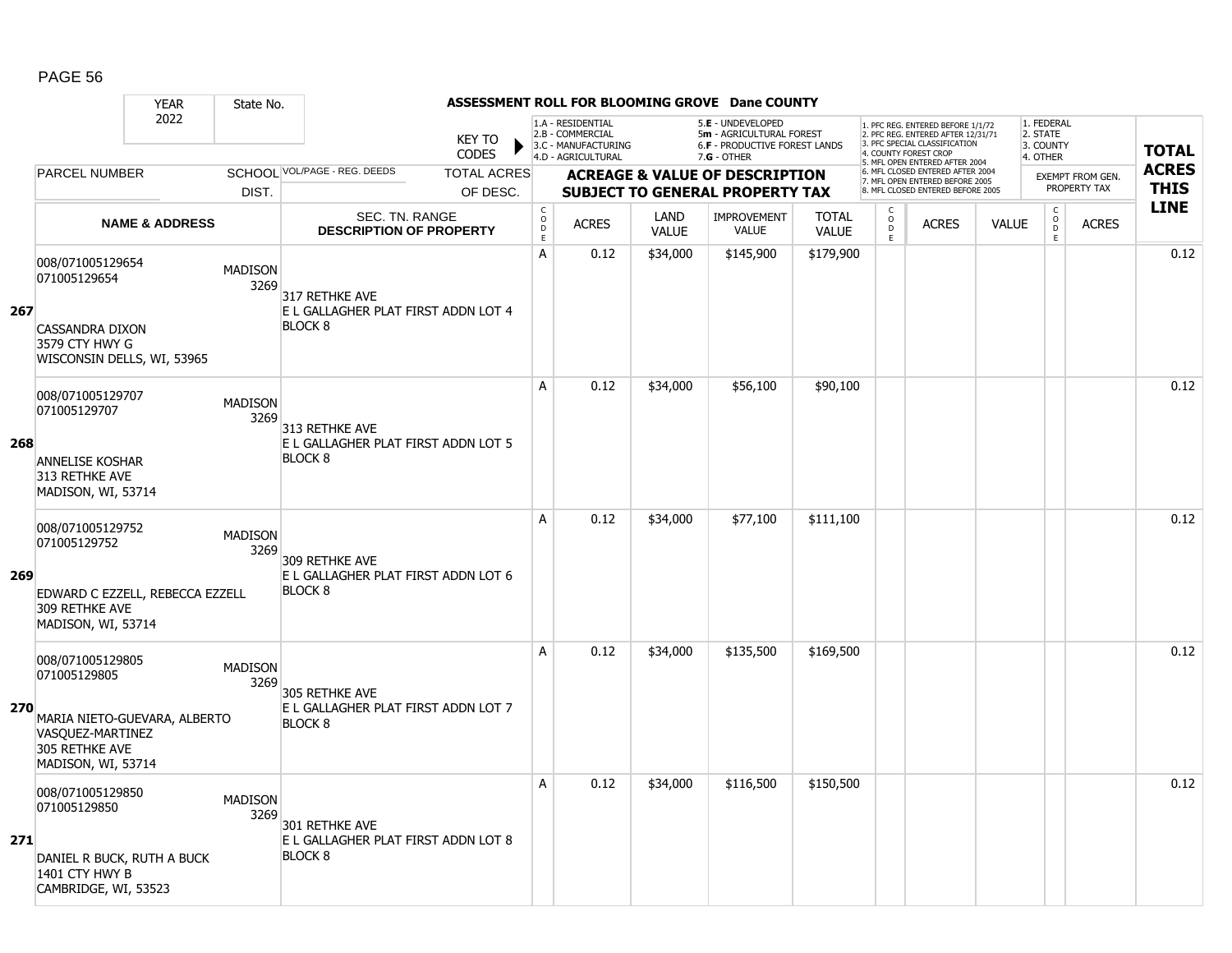|     |                                                                                                                              | <b>YEAR</b>               | State No.              |                                                                         |                               |                                      |                                                                                    |                      | ASSESSMENT ROLL FOR BLOOMING GROVE Dane COUNTY                                                  |                              |                           |                                                                                                                                   |              |                                                 |                         |              |
|-----|------------------------------------------------------------------------------------------------------------------------------|---------------------------|------------------------|-------------------------------------------------------------------------|-------------------------------|--------------------------------------|------------------------------------------------------------------------------------|----------------------|-------------------------------------------------------------------------------------------------|------------------------------|---------------------------|-----------------------------------------------------------------------------------------------------------------------------------|--------------|-------------------------------------------------|-------------------------|--------------|
|     |                                                                                                                              | 2022                      |                        |                                                                         | <b>KEY TO</b><br><b>CODES</b> |                                      | 1.A - RESIDENTIAL<br>2.B - COMMERCIAL<br>3.C - MANUFACTURING<br>4.D - AGRICULTURAL |                      | 5.E - UNDEVELOPED<br>5m - AGRICULTURAL FOREST<br>6.F - PRODUCTIVE FOREST LANDS<br>$7.G - OTHER$ |                              |                           | 1. PFC REG. ENTERED BEFORE 1/1/72<br>2. PFC REG. ENTERED AFTER 12/31/71<br>3. PFC SPECIAL CLASSIFICATION<br>4. COUNTY FOREST CROP |              | 1. FEDERAL<br>2. STATE<br>3. COUNTY<br>4. OTHER |                         | <b>TOTAL</b> |
|     | <b>PARCEL NUMBER</b>                                                                                                         |                           |                        | SCHOOL VOL/PAGE - REG. DEEDS                                            | <b>TOTAL ACRES</b>            |                                      |                                                                                    |                      | <b>ACREAGE &amp; VALUE OF DESCRIPTION</b>                                                       |                              |                           | 5. MFL OPEN ENTERED AFTER 2004<br>6. MFL CLOSED ENTERED AFTER 2004                                                                |              |                                                 | <b>EXEMPT FROM GEN.</b> | <b>ACRES</b> |
|     |                                                                                                                              |                           | DIST.                  |                                                                         | OF DESC.                      |                                      |                                                                                    |                      | <b>SUBJECT TO GENERAL PROPERTY TAX</b>                                                          |                              |                           | 7. MFL OPEN ENTERED BEFORE 2005<br>8. MFL CLOSED ENTERED BEFORE 2005                                                              |              |                                                 | PROPERTY TAX            | <b>THIS</b>  |
|     |                                                                                                                              | <b>NAME &amp; ADDRESS</b> |                        | <b>SEC. TN. RANGE</b><br><b>DESCRIPTION OF PROPERTY</b>                 |                               | $_{\rm o}^{\rm c}$<br>D<br>$\bar{E}$ | <b>ACRES</b>                                                                       | LAND<br><b>VALUE</b> | <b>IMPROVEMENT</b><br><b>VALUE</b>                                                              | <b>TOTAL</b><br><b>VALUE</b> | C<br>$\overline{0}$<br>E. | <b>ACRES</b>                                                                                                                      | <b>VALUE</b> | $\begin{matrix} 0 \\ 0 \\ 0 \end{matrix}$<br>E. | <b>ACRES</b>            | <b>LINE</b>  |
| 267 | 008/071005129654<br>071005129654<br><b>CASSANDRA DIXON</b><br>3579 CTY HWY G<br>WISCONSIN DELLS, WI, 53965                   |                           | <b>MADISON</b><br>3269 | 317 RETHKE AVE<br>E L GALLAGHER PLAT FIRST ADDN LOT 4<br><b>BLOCK 8</b> |                               | A                                    | 0.12                                                                               | \$34,000             | \$145,900                                                                                       | \$179,900                    |                           |                                                                                                                                   |              |                                                 |                         | 0.12         |
| 268 | 008/071005129707<br>071005129707                                                                                             |                           | <b>MADISON</b><br>3269 | 313 RETHKE AVE<br>E L GALLAGHER PLAT FIRST ADDN LOT 5                   |                               | A                                    | 0.12                                                                               | \$34,000             | \$56,100                                                                                        | \$90,100                     |                           |                                                                                                                                   |              |                                                 |                         | 0.12         |
|     | <b>ANNELISE KOSHAR</b><br>313 RETHKE AVE<br>MADISON, WI, 53714                                                               |                           |                        | <b>BLOCK 8</b>                                                          |                               |                                      |                                                                                    |                      |                                                                                                 |                              |                           |                                                                                                                                   |              |                                                 |                         |              |
| 269 | 008/071005129752<br>071005129752<br>EDWARD C EZZELL, REBECCA EZZELL<br>309 RETHKE AVE<br>MADISON, WI, 53714                  |                           | <b>MADISON</b><br>3269 | 309 RETHKE AVE<br>E L GALLAGHER PLAT FIRST ADDN LOT 6<br><b>BLOCK 8</b> |                               | A                                    | 0.12                                                                               | \$34,000             | \$77,100                                                                                        | \$111,100                    |                           |                                                                                                                                   |              |                                                 |                         | 0.12         |
| 270 | 008/071005129805<br>071005129805<br>MARIA NIETO-GUEVARA, ALBERTO<br>VASQUEZ-MARTINEZ<br>305 RETHKE AVE<br>MADISON, WI, 53714 |                           | <b>MADISON</b><br>3269 | 305 RETHKE AVE<br>E L GALLAGHER PLAT FIRST ADDN LOT 7<br><b>BLOCK 8</b> |                               | A                                    | 0.12                                                                               | \$34,000             | \$135,500                                                                                       | \$169,500                    |                           |                                                                                                                                   |              |                                                 |                         | 0.12         |
| 271 | 008/071005129850<br>071005129850<br>DANIEL R BUCK, RUTH A BUCK<br>1401 CTY HWY B<br>CAMBRIDGE, WI, 53523                     |                           | <b>MADISON</b><br>3269 | 301 RETHKE AVE<br>E L GALLAGHER PLAT FIRST ADDN LOT 8<br><b>BLOCK 8</b> |                               | Α                                    | 0.12                                                                               | \$34,000             | \$116,500                                                                                       | \$150,500                    |                           |                                                                                                                                   |              |                                                 |                         | 0.12         |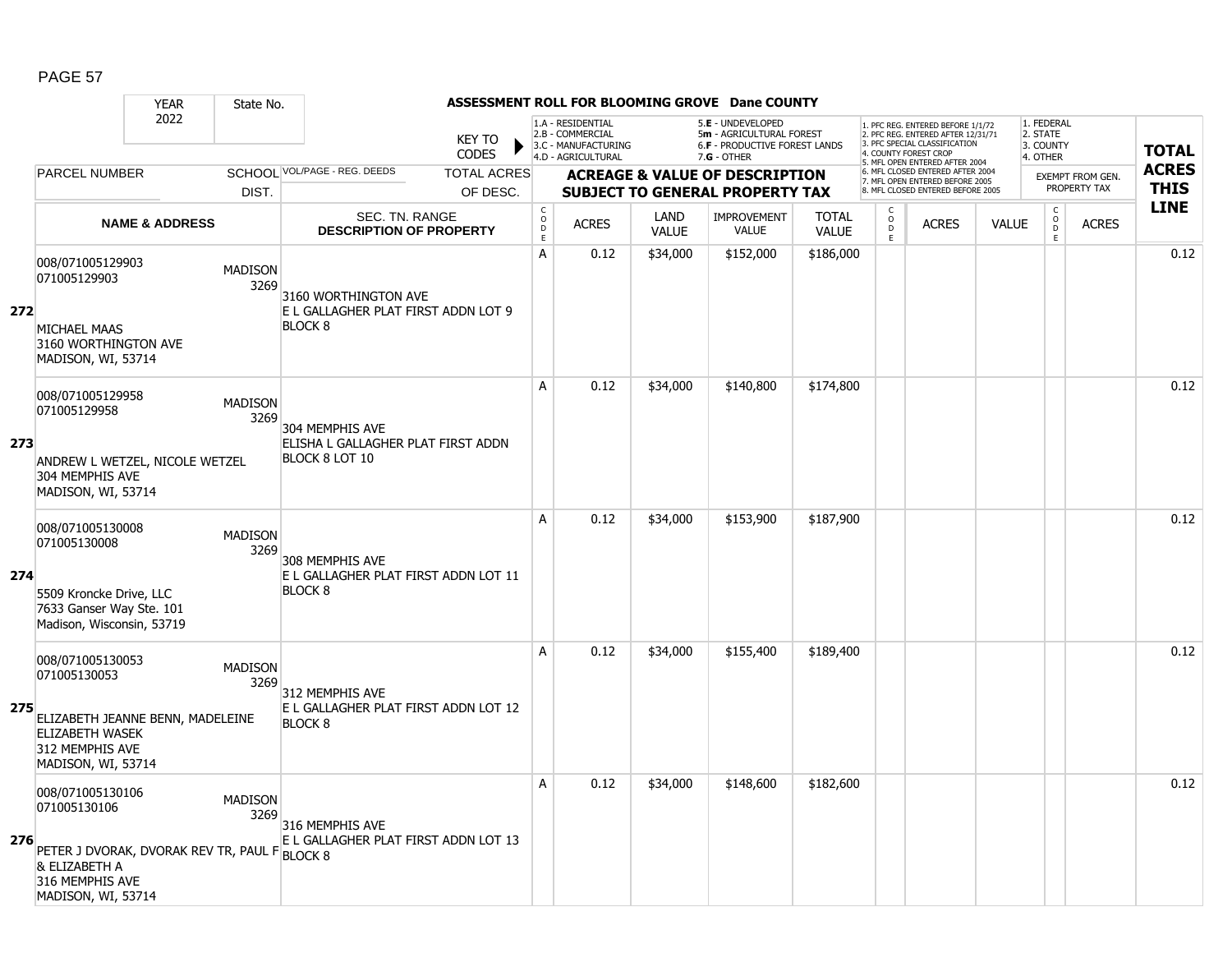|     |                                                                                                                                            | <b>YEAR</b>               | State No.              |                                                                           |                               |                                            |                                                                                    |                      | ASSESSMENT ROLL FOR BLOOMING GROVE Dane COUNTY                                                  |                              |                           |                                                                                                                                   |              |                                                 |                  |              |
|-----|--------------------------------------------------------------------------------------------------------------------------------------------|---------------------------|------------------------|---------------------------------------------------------------------------|-------------------------------|--------------------------------------------|------------------------------------------------------------------------------------|----------------------|-------------------------------------------------------------------------------------------------|------------------------------|---------------------------|-----------------------------------------------------------------------------------------------------------------------------------|--------------|-------------------------------------------------|------------------|--------------|
|     |                                                                                                                                            | 2022                      |                        |                                                                           | <b>KEY TO</b><br><b>CODES</b> |                                            | 1.A - RESIDENTIAL<br>2.B - COMMERCIAL<br>3.C - MANUFACTURING<br>4.D - AGRICULTURAL |                      | 5.E - UNDEVELOPED<br>5m - AGRICULTURAL FOREST<br>6.F - PRODUCTIVE FOREST LANDS<br>$7.G - OTHER$ |                              |                           | 1. PFC REG. ENTERED BEFORE 1/1/72<br>2. PFC REG. ENTERED AFTER 12/31/71<br>3. PFC SPECIAL CLASSIFICATION<br>4. COUNTY FOREST CROP |              | 1. FEDERAL<br>2. STATE<br>3. COUNTY<br>4. OTHER |                  | <b>TOTAL</b> |
|     | <b>PARCEL NUMBER</b>                                                                                                                       |                           |                        | SCHOOL VOL/PAGE - REG. DEEDS                                              | <b>TOTAL ACRES</b>            |                                            |                                                                                    |                      | <b>ACREAGE &amp; VALUE OF DESCRIPTION</b>                                                       |                              |                           | 5. MFL OPEN ENTERED AFTER 2004<br>6. MFL CLOSED ENTERED AFTER 2004                                                                |              |                                                 | EXEMPT FROM GEN. | <b>ACRES</b> |
|     |                                                                                                                                            |                           | DIST.                  |                                                                           | OF DESC.                      |                                            |                                                                                    |                      | <b>SUBJECT TO GENERAL PROPERTY TAX</b>                                                          |                              |                           | 7. MFL OPEN ENTERED BEFORE 2005<br>8. MFL CLOSED ENTERED BEFORE 2005                                                              |              |                                                 | PROPERTY TAX     | <b>THIS</b>  |
|     |                                                                                                                                            | <b>NAME &amp; ADDRESS</b> |                        | SEC. TN. RANGE<br><b>DESCRIPTION OF PROPERTY</b>                          |                               | $\mathsf C$<br>$\circ$<br>D<br>$\mathsf E$ | <b>ACRES</b>                                                                       | LAND<br><b>VALUE</b> | IMPROVEMENT<br><b>VALUE</b>                                                                     | <b>TOTAL</b><br><b>VALUE</b> | C<br>$\overline{0}$<br>E. | <b>ACRES</b>                                                                                                                      | <b>VALUE</b> | $\begin{matrix} 0 \\ 0 \\ 0 \end{matrix}$<br>E  | <b>ACRES</b>     | <b>LINE</b>  |
| 272 | 008/071005129903<br>071005129903                                                                                                           |                           | <b>MADISON</b><br>3269 | 3160 WORTHINGTON AVE<br>E L GALLAGHER PLAT FIRST ADDN LOT 9               |                               | A                                          | 0.12                                                                               | \$34,000             | \$152,000                                                                                       | \$186,000                    |                           |                                                                                                                                   |              |                                                 |                  | 0.12         |
|     | MICHAEL MAAS<br>3160 WORTHINGTON AVE<br>MADISON, WI, 53714                                                                                 |                           |                        | <b>BLOCK 8</b>                                                            |                               |                                            |                                                                                    |                      |                                                                                                 |                              |                           |                                                                                                                                   |              |                                                 |                  |              |
|     | 008/071005129958<br>071005129958                                                                                                           |                           | <b>MADISON</b><br>3269 | 304 MEMPHIS AVE                                                           |                               | A                                          | 0.12                                                                               | \$34,000             | \$140,800                                                                                       | \$174,800                    |                           |                                                                                                                                   |              |                                                 |                  | 0.12         |
| 273 | ANDREW L WETZEL, NICOLE WETZEL<br>304 MEMPHIS AVE<br>MADISON, WI, 53714                                                                    |                           |                        | ELISHA L GALLAGHER PLAT FIRST ADDN<br>BLOCK 8 LOT 10                      |                               |                                            |                                                                                    |                      |                                                                                                 |                              |                           |                                                                                                                                   |              |                                                 |                  |              |
| 274 | 008/071005130008<br>071005130008<br>5509 Kroncke Drive, LLC                                                                                |                           | <b>MADISON</b><br>3269 | 308 MEMPHIS AVE<br>E L GALLAGHER PLAT FIRST ADDN LOT 11<br><b>BLOCK 8</b> |                               | A                                          | 0.12                                                                               | \$34,000             | \$153,900                                                                                       | \$187,900                    |                           |                                                                                                                                   |              |                                                 |                  | 0.12         |
|     | 7633 Ganser Way Ste. 101<br>Madison, Wisconsin, 53719                                                                                      |                           |                        |                                                                           |                               |                                            |                                                                                    |                      |                                                                                                 |                              |                           |                                                                                                                                   |              |                                                 |                  |              |
| 275 | 008/071005130053<br>071005130053                                                                                                           |                           | <b>MADISON</b><br>3269 | 312 MEMPHIS AVE<br>E L GALLAGHER PLAT FIRST ADDN LOT 12                   |                               | A                                          | 0.12                                                                               | \$34,000             | \$155,400                                                                                       | \$189,400                    |                           |                                                                                                                                   |              |                                                 |                  | 0.12         |
|     | ELIZABETH JEANNE BENN, MADELEINE<br><b>ELIZABETH WASEK</b><br>312 MEMPHIS AVE<br>MADISON, WI, 53714                                        |                           |                        | <b>BLOCK 8</b>                                                            |                               |                                            |                                                                                    |                      |                                                                                                 |                              |                           |                                                                                                                                   |              |                                                 |                  |              |
| 276 | 008/071005130106<br>071005130106<br>PETER J DVORAK, DVORAK REV TR, PAUL FBLOCK 8<br>& ELIZABETH A<br>316 MEMPHIS AVE<br>MADISON, WI, 53714 |                           | <b>MADISON</b><br>3269 | 316 MEMPHIS AVE<br>E L GALLAGHER PLAT FIRST ADDN LOT 13                   |                               | Α                                          | 0.12                                                                               | \$34,000             | \$148,600                                                                                       | \$182,600                    |                           |                                                                                                                                   |              |                                                 |                  | 0.12         |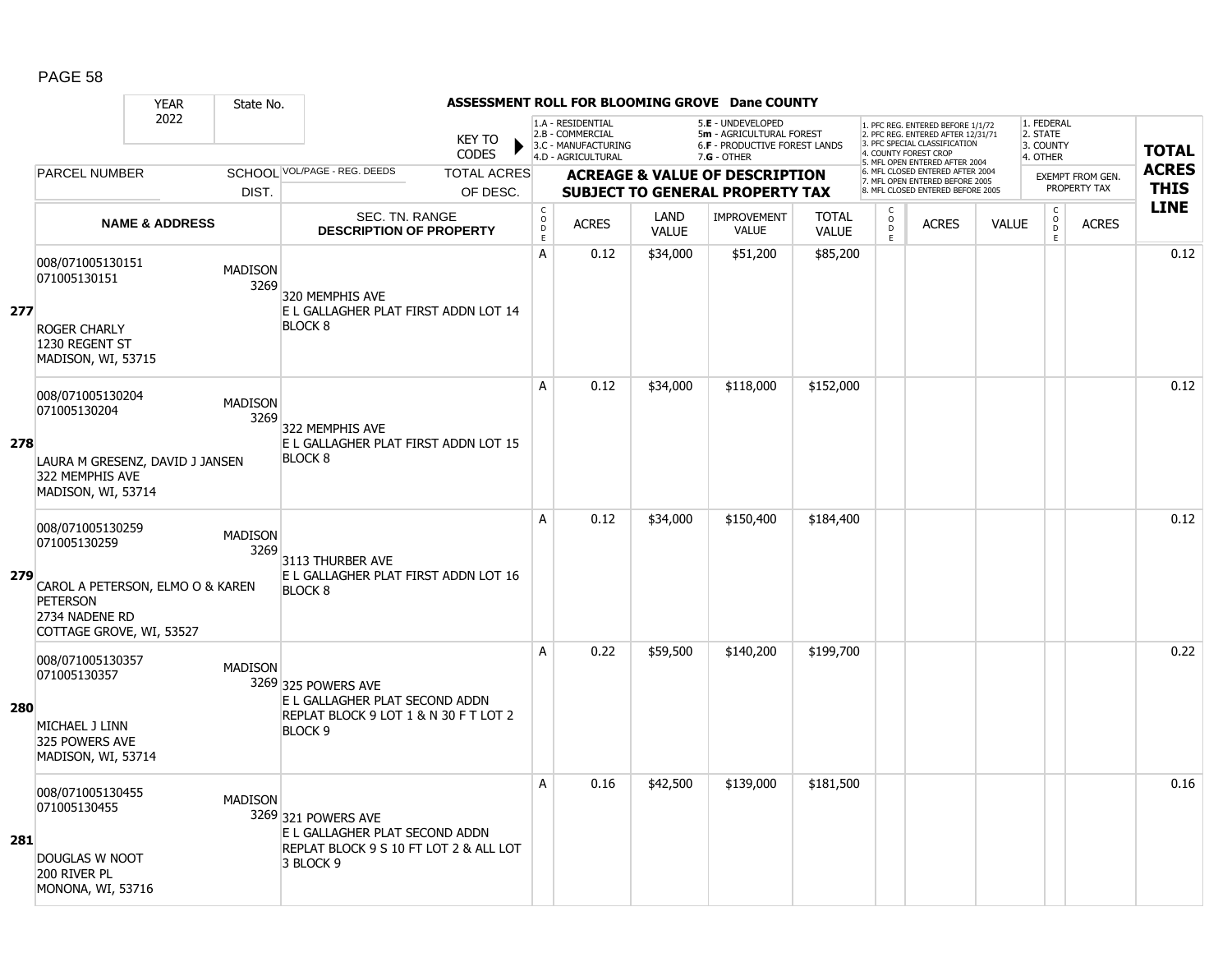|            |                                                                   | <b>YEAR</b><br>State No.         |                                                         |                                            |                                                              |                      | ASSESSMENT ROLL FOR BLOOMING GROVE Dane COUNTY                                        |                              |                        |                                                                                                                                   |              |                                     |                                         |              |
|------------|-------------------------------------------------------------------|----------------------------------|---------------------------------------------------------|--------------------------------------------|--------------------------------------------------------------|----------------------|---------------------------------------------------------------------------------------|------------------------------|------------------------|-----------------------------------------------------------------------------------------------------------------------------------|--------------|-------------------------------------|-----------------------------------------|--------------|
|            |                                                                   | 2022                             | <b>KEY TO</b><br><b>CODES</b>                           |                                            | 1.A - RESIDENTIAL<br>2.B - COMMERCIAL<br>3.C - MANUFACTURING |                      | 5.E - UNDEVELOPED<br>5m - AGRICULTURAL FOREST<br><b>6.F - PRODUCTIVE FOREST LANDS</b> |                              |                        | 1. PFC REG. ENTERED BEFORE 1/1/72<br>2. PFC REG. ENTERED AFTER 12/31/71<br>3. PFC SPECIAL CLASSIFICATION<br>4. COUNTY FOREST CROP |              | 1. FEDERAL<br>2. STATE<br>3. COUNTY |                                         | <b>TOTAL</b> |
|            |                                                                   |                                  |                                                         |                                            | 4.D - AGRICULTURAL                                           |                      | $7.G - OTHER$                                                                         |                              |                        | 5. MFL OPEN ENTERED AFTER 2004<br>6. MFL CLOSED ENTERED AFTER 2004                                                                |              | 4. OTHER                            |                                         | <b>ACRES</b> |
|            | <b>PARCEL NUMBER</b>                                              |                                  | SCHOOL VOL/PAGE - REG. DEEDS<br><b>TOTAL ACRES</b>      |                                            |                                                              |                      | <b>ACREAGE &amp; VALUE OF DESCRIPTION</b>                                             |                              |                        | 7. MFL OPEN ENTERED BEFORE 2005                                                                                                   |              |                                     | <b>EXEMPT FROM GEN.</b><br>PROPERTY TAX | <b>THIS</b>  |
|            |                                                                   | DIST.                            | OF DESC.                                                |                                            |                                                              |                      | <b>SUBJECT TO GENERAL PROPERTY TAX</b>                                                |                              |                        | 8. MFL CLOSED ENTERED BEFORE 2005                                                                                                 |              |                                     |                                         | <b>LINE</b>  |
|            |                                                                   | <b>NAME &amp; ADDRESS</b>        | SEC. TN. RANGE<br><b>DESCRIPTION OF PROPERTY</b>        | $\mathsf C$<br>$\circ$<br>D<br>$\mathsf E$ | <b>ACRES</b>                                                 | LAND<br><b>VALUE</b> | IMPROVEMENT<br><b>VALUE</b>                                                           | <b>TOTAL</b><br><b>VALUE</b> | C<br>$\circ$<br>D<br>E | <b>ACRES</b>                                                                                                                      | <b>VALUE</b> | $\mathsf{C}$<br>$\overline{0}$<br>E | <b>ACRES</b>                            |              |
|            | 008/071005130151<br>071005130151                                  | <b>MADISON</b><br>3269           | 320 MEMPHIS AVE                                         | A                                          | 0.12                                                         | \$34,000             | \$51,200                                                                              | \$85,200                     |                        |                                                                                                                                   |              |                                     |                                         | 0.12         |
| 277        | <b>ROGER CHARLY</b><br>1230 REGENT ST<br>MADISON, WI, 53715       |                                  | E L GALLAGHER PLAT FIRST ADDN LOT 14<br><b>BLOCK 8</b>  |                                            |                                                              |                      |                                                                                       |                              |                        |                                                                                                                                   |              |                                     |                                         |              |
|            | 008/071005130204<br>071005130204                                  | <b>MADISON</b><br>3269           | 322 MEMPHIS AVE                                         | A                                          | 0.12                                                         | \$34,000             | \$118,000                                                                             | \$152,000                    |                        |                                                                                                                                   |              |                                     |                                         | 0.12         |
| 278        | 322 MEMPHIS AVE<br>MADISON, WI, 53714                             | LAURA M GRESENZ, DAVID J JANSEN  | E L GALLAGHER PLAT FIRST ADDN LOT 15<br><b>BLOCK 8</b>  |                                            |                                                              |                      |                                                                                       |                              |                        |                                                                                                                                   |              |                                     |                                         |              |
| 279        | 008/071005130259<br>071005130259                                  | <b>MADISON</b><br>3269           | 3113 THURBER AVE                                        | A                                          | 0.12                                                         | \$34,000             | \$150,400                                                                             | \$184,400                    |                        |                                                                                                                                   |              |                                     |                                         | 0.12         |
|            | <b>PETERSON</b><br>2734 NADENE RD<br>COTTAGE GROVE, WI, 53527     | CAROL A PETERSON, ELMO O & KAREN | E L GALLAGHER PLAT FIRST ADDN LOT 16<br><b>BLOCK 8</b>  |                                            |                                                              |                      |                                                                                       |                              |                        |                                                                                                                                   |              |                                     |                                         |              |
|            | 008/071005130357<br>071005130357                                  | <b>MADISON</b>                   | 3269 325 POWERS AVE<br>E L GALLAGHER PLAT SECOND ADDN   | A                                          | 0.22                                                         | \$59,500             | \$140,200                                                                             | \$199,700                    |                        |                                                                                                                                   |              |                                     |                                         | 0.22         |
| <b>280</b> | MICHAEL J LINN<br>325 POWERS AVE<br>MADISON, WI, 53714            |                                  | REPLAT BLOCK 9 LOT 1 & N 30 F T LOT 2<br><b>BLOCK 9</b> |                                            |                                                              |                      |                                                                                       |                              |                        |                                                                                                                                   |              |                                     |                                         |              |
|            | 008/071005130455<br>071005130455                                  | <b>MADISON</b>                   | 3269 321 POWERS AVE<br>E L GALLAGHER PLAT SECOND ADDN   | A                                          | 0.16                                                         | \$42,500             | \$139,000                                                                             | \$181,500                    |                        |                                                                                                                                   |              |                                     |                                         | 0.16         |
| 281        | <b>DOUGLAS W NOOT</b><br>200 RIVER PL<br><b>MONONA, WI, 53716</b> |                                  | REPLAT BLOCK 9 S 10 FT LOT 2 & ALL LOT<br>3 BLOCK 9     |                                            |                                                              |                      |                                                                                       |                              |                        |                                                                                                                                   |              |                                     |                                         |              |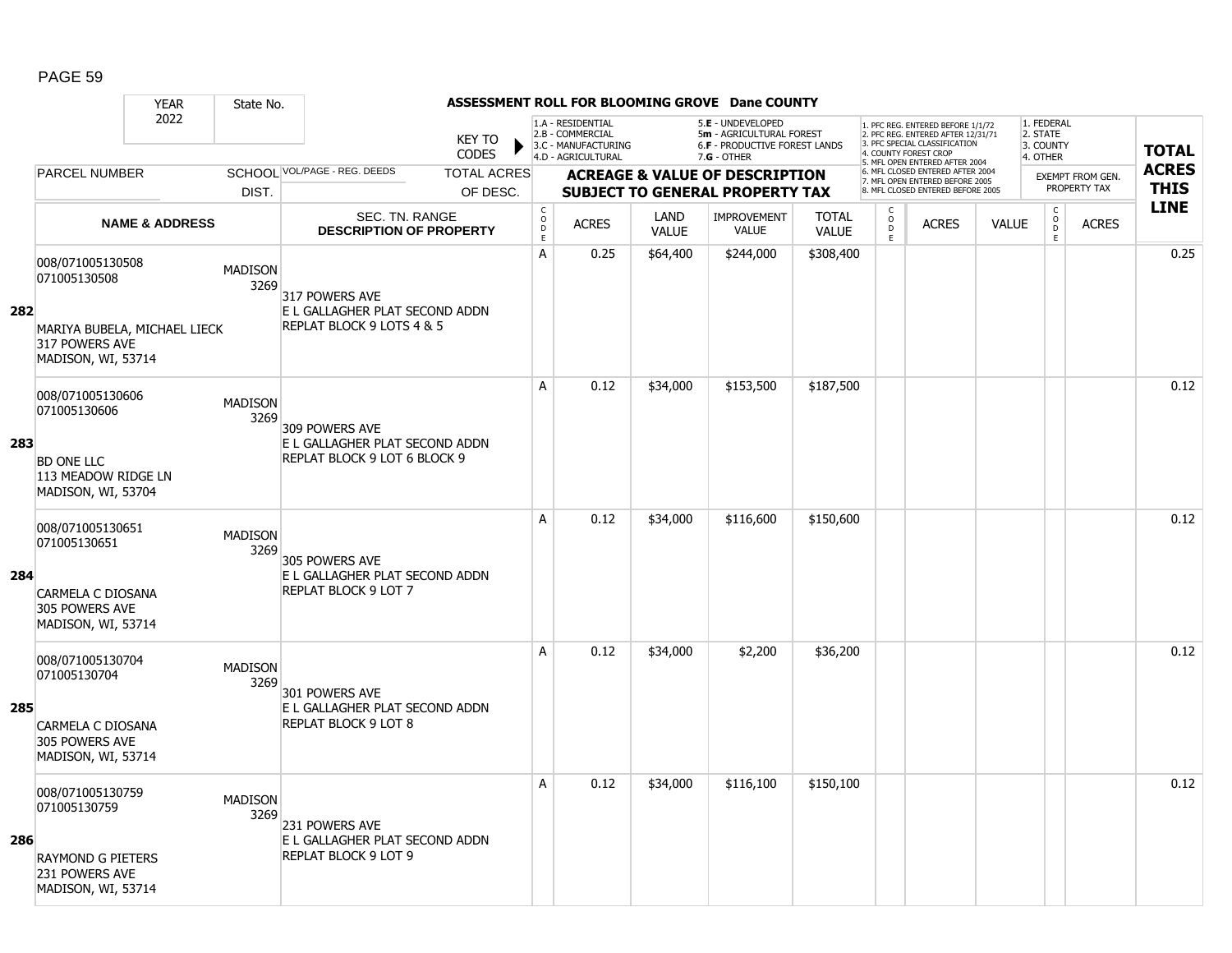|     |                                                                      | <b>YEAR</b>               | State No.              |                                                                |                               |                                            |                                                              |                             | ASSESSMENT ROLL FOR BLOOMING GROVE Dane COUNTY                                 |                              |                                  |                                                                                                          |              |                                              |                                         |              |
|-----|----------------------------------------------------------------------|---------------------------|------------------------|----------------------------------------------------------------|-------------------------------|--------------------------------------------|--------------------------------------------------------------|-----------------------------|--------------------------------------------------------------------------------|------------------------------|----------------------------------|----------------------------------------------------------------------------------------------------------|--------------|----------------------------------------------|-----------------------------------------|--------------|
|     |                                                                      | 2022                      |                        |                                                                | <b>KEY TO</b><br><b>CODES</b> |                                            | 1.A - RESIDENTIAL<br>2.B - COMMERCIAL<br>3.C - MANUFACTURING |                             | 5.E - UNDEVELOPED<br>5m - AGRICULTURAL FOREST<br>6.F - PRODUCTIVE FOREST LANDS |                              | 4. COUNTY FOREST CROP            | 1. PFC REG. ENTERED BEFORE 1/1/72<br>2. PFC REG. ENTERED AFTER 12/31/71<br>3. PFC SPECIAL CLASSIFICATION |              | 1. FEDERAL<br>2. STATE<br>3. COUNTY          |                                         | <b>TOTAL</b> |
|     |                                                                      |                           |                        |                                                                |                               |                                            | 4.D - AGRICULTURAL                                           |                             | 7.G - OTHER                                                                    |                              |                                  | 5. MFL OPEN ENTERED AFTER 2004                                                                           |              | 4. OTHER                                     |                                         | <b>ACRES</b> |
|     | <b>PARCEL NUMBER</b>                                                 |                           |                        | SCHOOL VOL/PAGE - REG. DEEDS                                   | <b>TOTAL ACRES</b>            |                                            |                                                              |                             | <b>ACREAGE &amp; VALUE OF DESCRIPTION</b>                                      |                              |                                  | 6. MFL CLOSED ENTERED AFTER 2004<br>7. MFL OPEN ENTERED BEFORE 2005                                      |              |                                              | <b>EXEMPT FROM GEN.</b><br>PROPERTY TAX | <b>THIS</b>  |
|     |                                                                      |                           | DIST.                  |                                                                | OF DESC.                      |                                            |                                                              |                             | <b>SUBJECT TO GENERAL PROPERTY TAX</b>                                         |                              |                                  | 8. MFL CLOSED ENTERED BEFORE 2005                                                                        |              |                                              |                                         |              |
|     |                                                                      | <b>NAME &amp; ADDRESS</b> |                        | SEC. TN. RANGE<br><b>DESCRIPTION OF PROPERTY</b>               |                               | $\mathsf C$<br>$\circ$<br>D<br>$\mathsf E$ | <b>ACRES</b>                                                 | <b>LAND</b><br><b>VALUE</b> | <b>IMPROVEMENT</b><br><b>VALUE</b>                                             | <b>TOTAL</b><br><b>VALUE</b> | C<br>$\circ$<br>$\mathsf D$<br>E | <b>ACRES</b>                                                                                             | <b>VALUE</b> | $\mathsf C$<br>$\overline{0}$<br>$\mathsf E$ | <b>ACRES</b>                            | <b>LINE</b>  |
|     | 008/071005130508<br>071005130508                                     |                           | <b>MADISON</b><br>3269 | 317 POWERS AVE                                                 |                               | A                                          | 0.25                                                         | \$64,400                    | \$244,000                                                                      | \$308,400                    |                                  |                                                                                                          |              |                                              |                                         | 0.25         |
| 282 | MARIYA BUBELA, MICHAEL LIECK<br>317 POWERS AVE<br>MADISON, WI, 53714 |                           |                        | E L GALLAGHER PLAT SECOND ADDN<br>REPLAT BLOCK 9 LOTS 4 & 5    |                               |                                            |                                                              |                             |                                                                                |                              |                                  |                                                                                                          |              |                                              |                                         |              |
|     | 008/071005130606<br>071005130606                                     |                           | <b>MADISON</b><br>3269 | 309 POWERS AVE                                                 |                               | A                                          | 0.12                                                         | \$34,000                    | \$153,500                                                                      | \$187,500                    |                                  |                                                                                                          |              |                                              |                                         | 0.12         |
| 283 | <b>BD ONE LLC</b><br>113 MEADOW RIDGE LN<br>MADISON, WI, 53704       |                           |                        | E L GALLAGHER PLAT SECOND ADDN<br>REPLAT BLOCK 9 LOT 6 BLOCK 9 |                               |                                            |                                                              |                             |                                                                                |                              |                                  |                                                                                                          |              |                                              |                                         |              |
| 284 | 008/071005130651<br>071005130651                                     |                           | <b>MADISON</b><br>3269 | 305 POWERS AVE                                                 |                               | A                                          | 0.12                                                         | \$34,000                    | \$116,600                                                                      | \$150,600                    |                                  |                                                                                                          |              |                                              |                                         | 0.12         |
|     | CARMELA C DIOSANA<br>305 POWERS AVE<br>MADISON, WI, 53714            |                           |                        | E L GALLAGHER PLAT SECOND ADDN<br><b>REPLAT BLOCK 9 LOT 7</b>  |                               |                                            |                                                              |                             |                                                                                |                              |                                  |                                                                                                          |              |                                              |                                         |              |
|     | 008/071005130704<br>071005130704                                     |                           | <b>MADISON</b><br>3269 | 301 POWERS AVE                                                 |                               | A                                          | 0.12                                                         | \$34,000                    | \$2,200                                                                        | \$36,200                     |                                  |                                                                                                          |              |                                              |                                         | 0.12         |
| 285 | CARMELA C DIOSANA<br>305 POWERS AVE<br>MADISON, WI, 53714            |                           |                        | E L GALLAGHER PLAT SECOND ADDN<br>REPLAT BLOCK 9 LOT 8         |                               |                                            |                                                              |                             |                                                                                |                              |                                  |                                                                                                          |              |                                              |                                         |              |
| 286 | 008/071005130759<br>071005130759                                     |                           | <b>MADISON</b><br>3269 | 231 POWERS AVE<br>E L GALLAGHER PLAT SECOND ADDN               |                               | Α                                          | 0.12                                                         | \$34,000                    | \$116,100                                                                      | \$150,100                    |                                  |                                                                                                          |              |                                              |                                         | 0.12         |
|     | <b>RAYMOND G PIETERS</b><br>231 POWERS AVE<br>MADISON, WI, 53714     |                           |                        | <b>REPLAT BLOCK 9 LOT 9</b>                                    |                               |                                            |                                                              |                             |                                                                                |                              |                                  |                                                                                                          |              |                                              |                                         |              |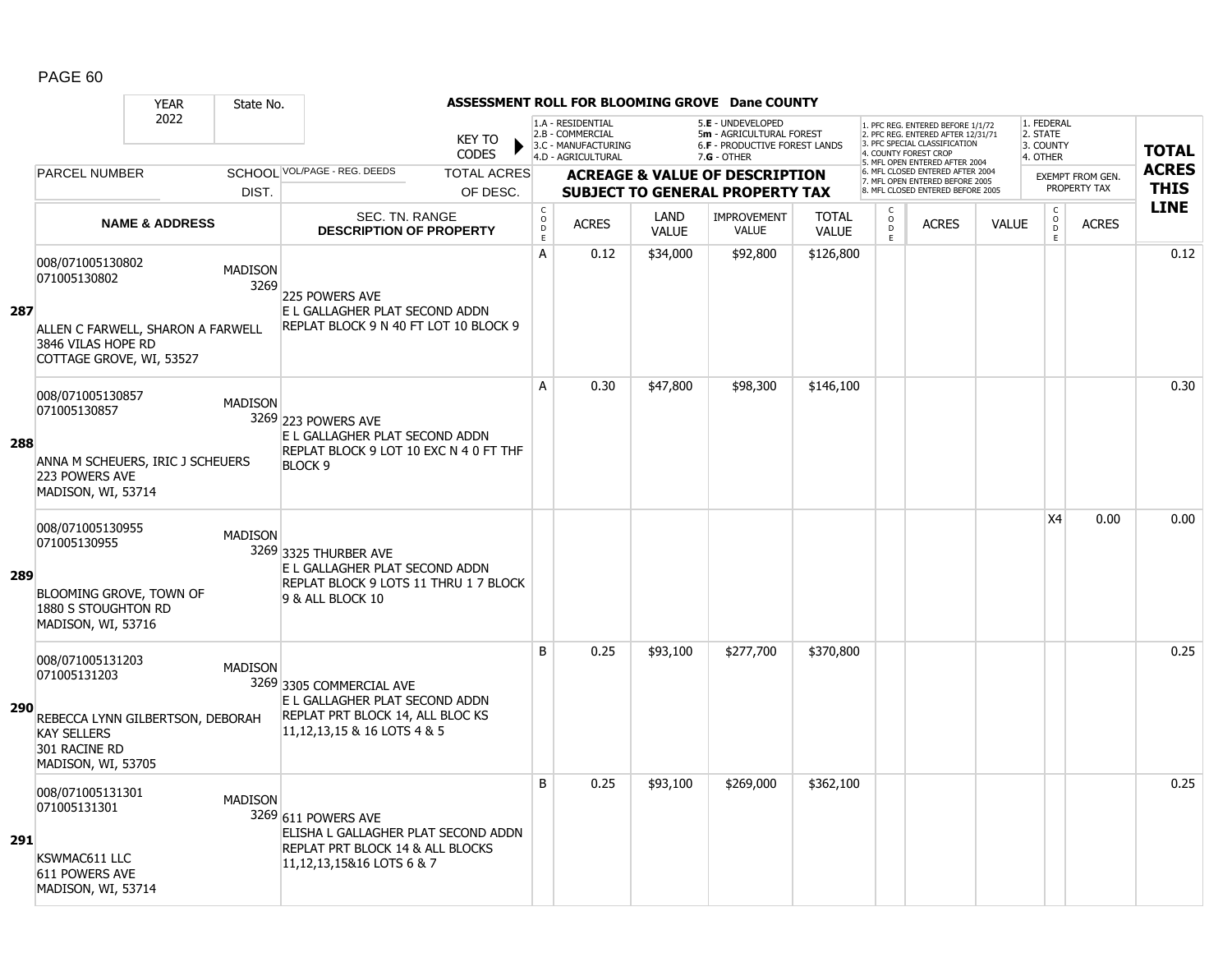|            |                                                                                                          | <b>YEAR</b><br>State No.                           |                                                                                                                                  |                                                          |                                                                                    |                      | ASSESSMENT ROLL FOR BLOOMING GROVE Dane COUNTY                                                       |                              |                                                          |                                                                                                                                   |              |                                                 |                         |              |
|------------|----------------------------------------------------------------------------------------------------------|----------------------------------------------------|----------------------------------------------------------------------------------------------------------------------------------|----------------------------------------------------------|------------------------------------------------------------------------------------|----------------------|------------------------------------------------------------------------------------------------------|------------------------------|----------------------------------------------------------|-----------------------------------------------------------------------------------------------------------------------------------|--------------|-------------------------------------------------|-------------------------|--------------|
|            |                                                                                                          | 2022                                               | <b>KEY TO</b><br><b>CODES</b>                                                                                                    |                                                          | 1.A - RESIDENTIAL<br>2.B - COMMERCIAL<br>3.C - MANUFACTURING<br>4.D - AGRICULTURAL |                      | 5.E - UNDEVELOPED<br>5m - AGRICULTURAL FOREST<br><b>6.F - PRODUCTIVE FOREST LANDS</b><br>7.G - OTHER |                              |                                                          | 1. PFC REG. ENTERED BEFORE 1/1/72<br>2. PFC REG. ENTERED AFTER 12/31/71<br>3. PFC SPECIAL CLASSIFICATION<br>4. COUNTY FOREST CROP |              | 1. FEDERAL<br>2. STATE<br>3. COUNTY<br>4. OTHER |                         | <b>TOTAL</b> |
|            | <b>PARCEL NUMBER</b>                                                                                     |                                                    | SCHOOL VOL/PAGE - REG. DEEDS<br><b>TOTAL ACRES</b>                                                                               |                                                          |                                                                                    |                      | <b>ACREAGE &amp; VALUE OF DESCRIPTION</b>                                                            |                              |                                                          | 5. MFL OPEN ENTERED AFTER 2004<br>6. MFL CLOSED ENTERED AFTER 2004                                                                |              |                                                 | <b>EXEMPT FROM GEN.</b> | <b>ACRES</b> |
|            |                                                                                                          | DIST.                                              | OF DESC.                                                                                                                         |                                                          |                                                                                    |                      | <b>SUBJECT TO GENERAL PROPERTY TAX</b>                                                               |                              |                                                          | 7. MFL OPEN ENTERED BEFORE 2005<br>8. MFL CLOSED ENTERED BEFORE 2005                                                              |              |                                                 | PROPERTY TAX            | <b>THIS</b>  |
|            |                                                                                                          | <b>NAME &amp; ADDRESS</b>                          | <b>SEC. TN. RANGE</b><br><b>DESCRIPTION OF PROPERTY</b>                                                                          | $\begin{matrix} 0 \\ 0 \\ D \end{matrix}$<br>$\mathsf E$ | <b>ACRES</b>                                                                       | LAND<br><b>VALUE</b> | <b>IMPROVEMENT</b><br><b>VALUE</b>                                                                   | <b>TOTAL</b><br><b>VALUE</b> | $\begin{matrix} 0 \\ 0 \\ D \end{matrix}$<br>$\mathsf E$ | <b>ACRES</b>                                                                                                                      | <b>VALUE</b> | $\begin{matrix} C \\ O \\ D \end{matrix}$<br>E  | <b>ACRES</b>            | <b>LINE</b>  |
|            | 008/071005130802<br>071005130802                                                                         | <b>MADISON</b><br>3269                             | <b>225 POWERS AVE</b>                                                                                                            | A                                                        | 0.12                                                                               | \$34,000             | \$92,800                                                                                             | \$126,800                    |                                                          |                                                                                                                                   |              |                                                 |                         | 0.12         |
| 287        | 3846 VILAS HOPE RD<br>COTTAGE GROVE, WI, 53527                                                           | ALLEN C FARWELL, SHARON A FARWELL                  | E L GALLAGHER PLAT SECOND ADDN<br>REPLAT BLOCK 9 N 40 FT LOT 10 BLOCK 9                                                          |                                                          |                                                                                    |                      |                                                                                                      |                              |                                                          |                                                                                                                                   |              |                                                 |                         |              |
|            | 008/071005130857<br>071005130857                                                                         | <b>MADISON</b>                                     | 3269 223 POWERS AVE<br>E L GALLAGHER PLAT SECOND ADDN                                                                            | A                                                        | 0.30                                                                               | \$47,800             | \$98,300                                                                                             | \$146,100                    |                                                          |                                                                                                                                   |              |                                                 |                         | 0.30         |
| 288        | 223 POWERS AVE<br>MADISON, WI, 53714                                                                     | ANNA M SCHEUERS, IRIC J SCHEUERS                   | REPLAT BLOCK 9 LOT 10 EXC N 4 0 FT THF<br><b>BLOCK 9</b>                                                                         |                                                          |                                                                                    |                      |                                                                                                      |                              |                                                          |                                                                                                                                   |              |                                                 |                         |              |
| 289        | 008/071005130955<br>071005130955<br>BLOOMING GROVE, TOWN OF<br>1880 S STOUGHTON RD<br>MADISON, WI, 53716 | <b>MADISON</b>                                     | 3269 3325 THURBER AVE<br>E L GALLAGHER PLAT SECOND ADDN<br>REPLAT BLOCK 9 LOTS 11 THRU 1 7 BLOCK<br>9 & ALL BLOCK 10             |                                                          |                                                                                    |                      |                                                                                                      |                              |                                                          |                                                                                                                                   |              | X4                                              | 0.00                    | 0.00         |
| <b>290</b> | 008/071005131203<br>071005131203<br><b>KAY SELLERS</b><br>301 RACINE RD<br>MADISON, WI, 53705            | <b>MADISON</b><br>REBECCA LYNN GILBERTSON, DEBORAH | 3269 3305 COMMERCIAL AVE<br>E L GALLAGHER PLAT SECOND ADDN<br>REPLAT PRT BLOCK 14, ALL BLOC KS<br>11, 12, 13, 15 & 16 LOTS 4 & 5 | B                                                        | 0.25                                                                               | \$93,100             | \$277,700                                                                                            | \$370,800                    |                                                          |                                                                                                                                   |              |                                                 |                         | 0.25         |
| 291        | 008/071005131301<br>071005131301<br>KSWMAC611 LLC<br>611 POWERS AVE<br>MADISON, WI, 53714                | <b>MADISON</b>                                     | 3269 611 POWERS AVE<br>ELISHA L GALLAGHER PLAT SECOND ADDN<br>REPLAT PRT BLOCK 14 & ALL BLOCKS<br>11, 12, 13, 15& 16 LOTS 6 & 7  | B                                                        | 0.25                                                                               | \$93,100             | \$269,000                                                                                            | \$362,100                    |                                                          |                                                                                                                                   |              |                                                 |                         | 0.25         |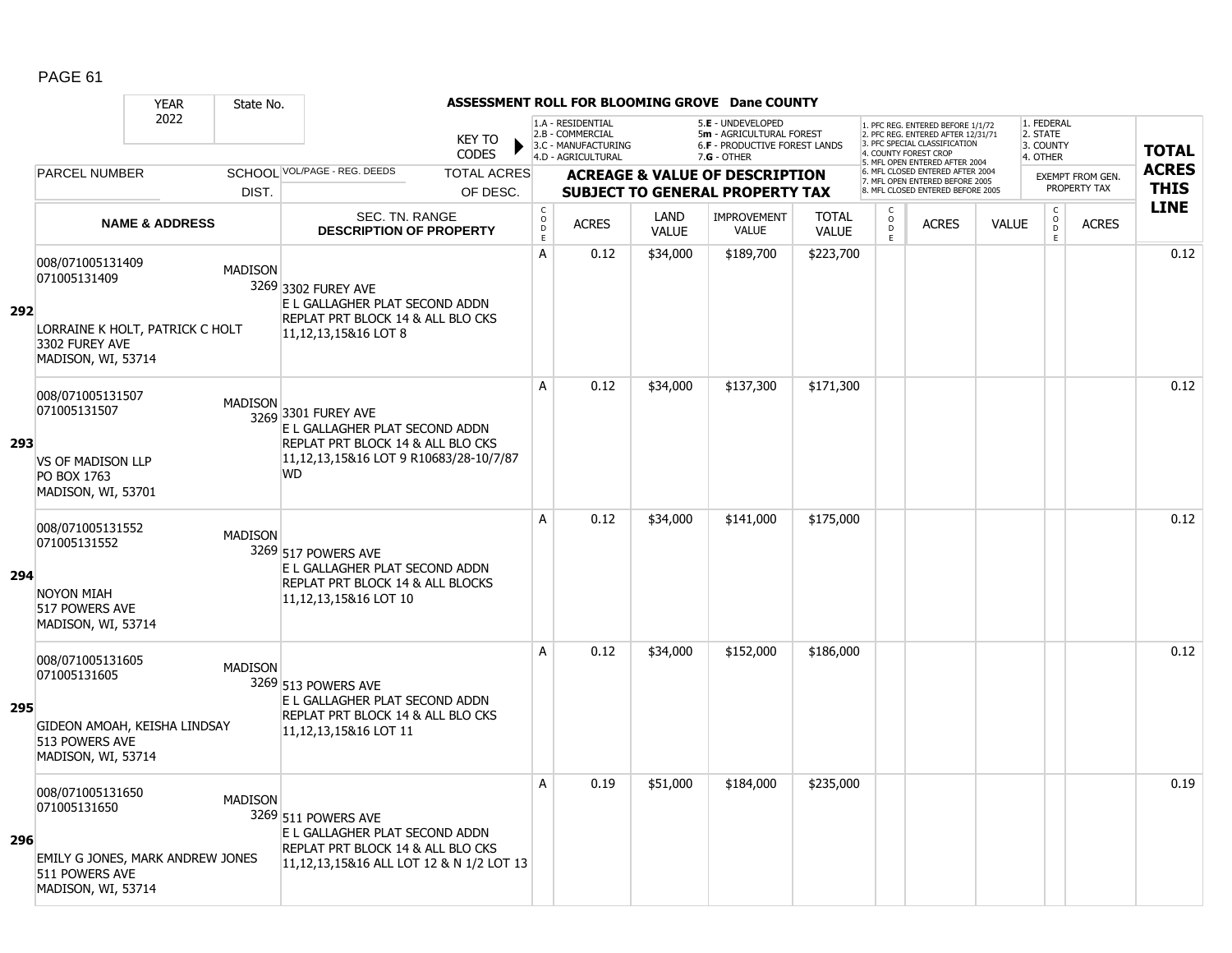|     |                                                                                                              | <b>YEAR</b>               | State No.      |                                                                                                                                                   |                                |                                         |                                                                                    |                      | ASSESSMENT ROLL FOR BLOOMING GROVE Dane COUNTY                                                         |                              |                                                 |                                                                                                                                            |              |                                                 |                                         |                             |
|-----|--------------------------------------------------------------------------------------------------------------|---------------------------|----------------|---------------------------------------------------------------------------------------------------------------------------------------------------|--------------------------------|-----------------------------------------|------------------------------------------------------------------------------------|----------------------|--------------------------------------------------------------------------------------------------------|------------------------------|-------------------------------------------------|--------------------------------------------------------------------------------------------------------------------------------------------|--------------|-------------------------------------------------|-----------------------------------------|-----------------------------|
|     |                                                                                                              | 2022                      |                |                                                                                                                                                   | <b>KEY TO</b><br>CODES         |                                         | 1.A - RESIDENTIAL<br>2.B - COMMERCIAL<br>3.C - MANUFACTURING<br>4.D - AGRICULTURAL |                      | 5.E - UNDEVELOPED<br>5m - AGRICULTURAL FOREST<br><b>6.F - PRODUCTIVE FOREST LANDS</b><br>$7.G - OTHER$ |                              |                                                 | 1. PFC REG. ENTERED BEFORE 1/1/72<br>2. PFC REG. ENTERED AFTER 12/31/71<br>3. PFC SPECIAL CLASSIFICATION<br>4. COUNTY FOREST CROP          |              | 1. FEDERAL<br>2. STATE<br>3. COUNTY<br>4. OTHER |                                         | <b>TOTAL</b>                |
|     | <b>PARCEL NUMBER</b>                                                                                         |                           | DIST.          | SCHOOL VOL/PAGE - REG. DEEDS                                                                                                                      | <b>TOTAL ACRES</b><br>OF DESC. |                                         |                                                                                    |                      | <b>ACREAGE &amp; VALUE OF DESCRIPTION</b><br><b>SUBJECT TO GENERAL PROPERTY TAX</b>                    |                              |                                                 | 5. MFL OPEN ENTERED AFTER 2004<br>6. MFL CLOSED ENTERED AFTER 2004<br>7. MFL OPEN ENTERED BEFORE 2005<br>8. MFL CLOSED ENTERED BEFORE 2005 |              |                                                 | <b>EXEMPT FROM GEN.</b><br>PROPERTY TAX | <b>ACRES</b><br><b>THIS</b> |
|     |                                                                                                              | <b>NAME &amp; ADDRESS</b> |                | SEC. TN. RANGE<br><b>DESCRIPTION OF PROPERTY</b>                                                                                                  |                                | $_{\rm o}^{\rm c}$<br>$\mathsf{D}$<br>E | <b>ACRES</b>                                                                       | LAND<br><b>VALUE</b> | <b>IMPROVEMENT</b><br><b>VALUE</b>                                                                     | <b>TOTAL</b><br><b>VALUE</b> | C<br>$\mathsf{O}\xspace$<br>$\overline{D}$<br>E | <b>ACRES</b>                                                                                                                               | <b>VALUE</b> | $\begin{matrix} 0 \\ 0 \\ 0 \end{matrix}$<br>E  | <b>ACRES</b>                            | <b>LINE</b>                 |
| 292 | 008/071005131409<br>071005131409<br>LORRAINE K HOLT, PATRICK C HOLT<br>3302 FUREY AVE<br>MADISON, WI, 53714  |                           | <b>MADISON</b> | 3269 3302 FUREY AVE<br>E L GALLAGHER PLAT SECOND ADDN<br>REPLAT PRT BLOCK 14 & ALL BLO CKS<br>11,12,13,15&16 LOT 8                                |                                | A                                       | 0.12                                                                               | \$34,000             | \$189,700                                                                                              | \$223,700                    |                                                 |                                                                                                                                            |              |                                                 |                                         | 0.12                        |
| 293 | 008/071005131507<br>071005131507<br><b>VS OF MADISON LLP</b><br>PO BOX 1763<br>MADISON, WI, 53701            |                           | <b>MADISON</b> | 3269 3301 FUREY AVE<br>E L GALLAGHER PLAT SECOND ADDN<br>REPLAT PRT BLOCK 14 & ALL BLO CKS<br>11,12,13,15&16 LOT 9 R10683/28-10/7/87<br><b>WD</b> |                                | A                                       | 0.12                                                                               | \$34,000             | \$137,300                                                                                              | \$171,300                    |                                                 |                                                                                                                                            |              |                                                 |                                         | 0.12                        |
| 294 | 008/071005131552<br>071005131552<br><b>NOYON MIAH</b><br>517 POWERS AVE<br>MADISON, WI, 53714                |                           | <b>MADISON</b> | 3269 517 POWERS AVE<br>E L GALLAGHER PLAT SECOND ADDN<br>REPLAT PRT BLOCK 14 & ALL BLOCKS<br>11,12,13,15&16 LOT 10                                |                                | A                                       | 0.12                                                                               | \$34,000             | \$141,000                                                                                              | \$175,000                    |                                                 |                                                                                                                                            |              |                                                 |                                         | 0.12                        |
| 295 | 008/071005131605<br>071005131605<br>GIDEON AMOAH, KEISHA LINDSAY<br>513 POWERS AVE<br>MADISON, WI, 53714     |                           | <b>MADISON</b> | 3269 513 POWERS AVE<br>E L GALLAGHER PLAT SECOND ADDN<br>REPLAT PRT BLOCK 14 & ALL BLO CKS<br>11, 12, 13, 15& 16 LOT 11                           |                                | A                                       | 0.12                                                                               | \$34,000             | \$152,000                                                                                              | \$186,000                    |                                                 |                                                                                                                                            |              |                                                 |                                         | 0.12                        |
| 296 | 008/071005131650<br>071005131650<br>EMILY G JONES, MARK ANDREW JONES<br>511 POWERS AVE<br>MADISON, WI, 53714 |                           | <b>MADISON</b> | 3269 511 POWERS AVE<br>E L GALLAGHER PLAT SECOND ADDN<br>REPLAT PRT BLOCK 14 & ALL BLO CKS<br>11,12,13,15&16 ALL LOT 12 & N 1/2 LOT 13            |                                | A                                       | 0.19                                                                               | \$51,000             | \$184,000                                                                                              | \$235,000                    |                                                 |                                                                                                                                            |              |                                                 |                                         | 0.19                        |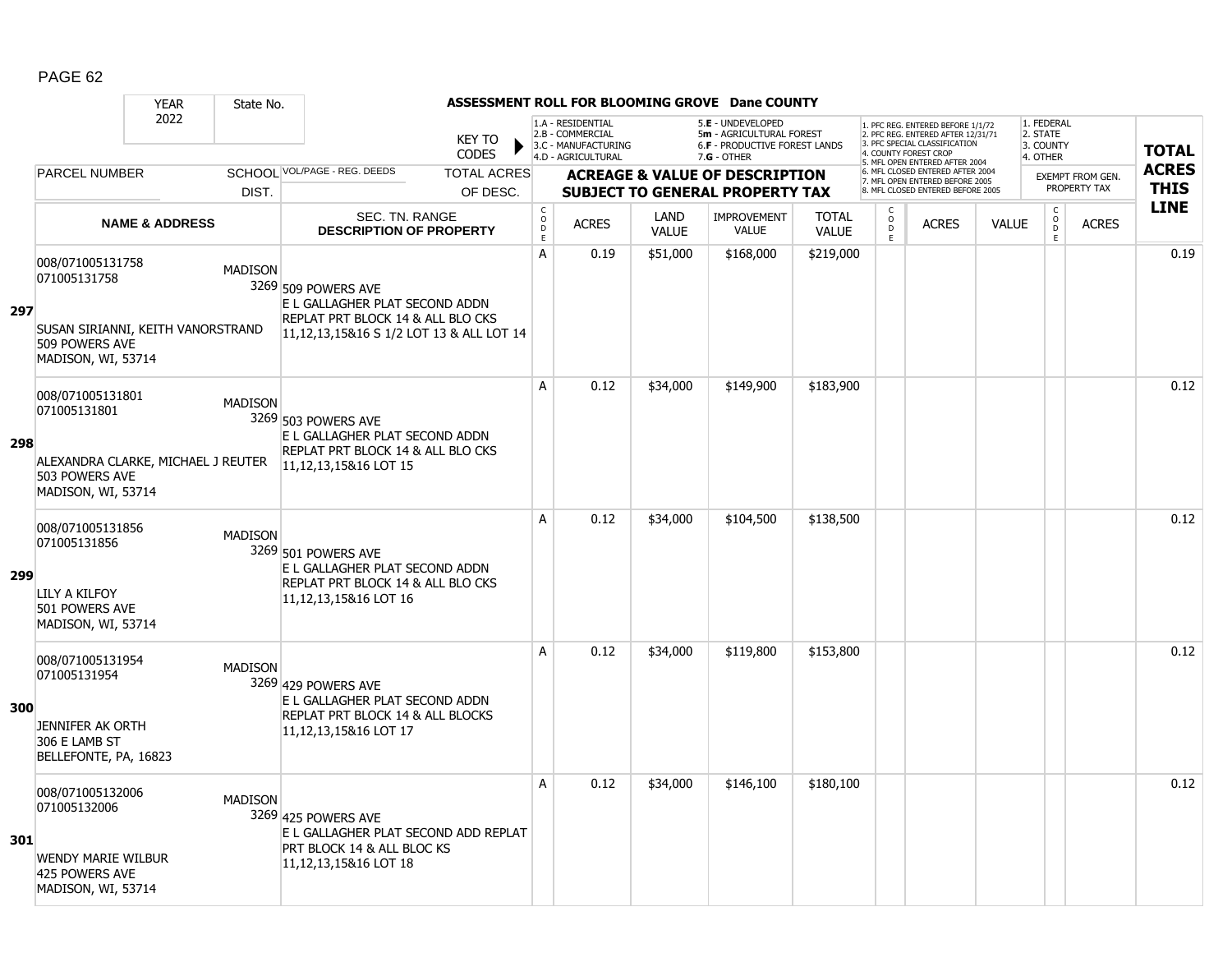|     |                                                                                                                                      | <b>YEAR</b>               | State No.      |                                                                                                                                        |            |                  |                                                              |                      | ASSESSMENT ROLL FOR BLOOMING GROVE Dane COUNTY                                        |                              |                          |                                                                                                          |              |                                                |                                         |              |
|-----|--------------------------------------------------------------------------------------------------------------------------------------|---------------------------|----------------|----------------------------------------------------------------------------------------------------------------------------------------|------------|------------------|--------------------------------------------------------------|----------------------|---------------------------------------------------------------------------------------|------------------------------|--------------------------|----------------------------------------------------------------------------------------------------------|--------------|------------------------------------------------|-----------------------------------------|--------------|
|     |                                                                                                                                      | 2022                      |                | <b>KEY TO</b>                                                                                                                          |            |                  | 1.A - RESIDENTIAL<br>2.B - COMMERCIAL<br>3.C - MANUFACTURING |                      | 5.E - UNDEVELOPED<br>5m - AGRICULTURAL FOREST<br><b>6.F - PRODUCTIVE FOREST LANDS</b> |                              |                          | 1. PFC REG. ENTERED BEFORE 1/1/72<br>2. PFC REG. ENTERED AFTER 12/31/71<br>3. PFC SPECIAL CLASSIFICATION |              | 1. FEDERAL<br>2. STATE<br>3. COUNTY            |                                         | <b>TOTAL</b> |
|     |                                                                                                                                      |                           |                | <b>CODES</b>                                                                                                                           |            |                  | 4.D - AGRICULTURAL                                           |                      | $7.G - OTHER$                                                                         |                              |                          | 4. COUNTY FOREST CROP<br>5. MFL OPEN ENTERED AFTER 2004                                                  |              | 4. OTHER                                       |                                         | <b>ACRES</b> |
|     | <b>PARCEL NUMBER</b>                                                                                                                 |                           |                | SCHOOL VOL/PAGE - REG. DEEDS<br><b>TOTAL ACRES</b>                                                                                     |            |                  |                                                              |                      | <b>ACREAGE &amp; VALUE OF DESCRIPTION</b>                                             |                              |                          | 6. MFL CLOSED ENTERED AFTER 2004<br>7. MFL OPEN ENTERED BEFORE 2005                                      |              |                                                | <b>EXEMPT FROM GEN.</b><br>PROPERTY TAX | <b>THIS</b>  |
|     |                                                                                                                                      |                           | DIST.          | OF DESC.                                                                                                                               |            |                  |                                                              |                      | <b>SUBJECT TO GENERAL PROPERTY TAX</b>                                                |                              |                          | 8. MFL CLOSED ENTERED BEFORE 2005                                                                        |              |                                                |                                         |              |
|     |                                                                                                                                      | <b>NAME &amp; ADDRESS</b> |                | SEC. TN. RANGE<br><b>DESCRIPTION OF PROPERTY</b>                                                                                       | $\rm _c^C$ | D<br>$\mathsf E$ | <b>ACRES</b>                                                 | LAND<br><b>VALUE</b> | <b>IMPROVEMENT</b><br><b>VALUE</b>                                                    | <b>TOTAL</b><br><b>VALUE</b> | C<br>$\overline{0}$<br>E | <b>ACRES</b>                                                                                             | <b>VALUE</b> | $\begin{matrix} 0 \\ 0 \\ 0 \end{matrix}$<br>E | <b>ACRES</b>                            | <b>LINE</b>  |
| 297 | 008/071005131758<br>071005131758<br>SUSAN SIRIANNI, KEITH VANORSTRAND<br>509 POWERS AVE                                              |                           | <b>MADISON</b> | 3269 509 POWERS AVE<br>E L GALLAGHER PLAT SECOND ADDN<br>REPLAT PRT BLOCK 14 & ALL BLO CKS<br>11,12,13,15&16 S 1/2 LOT 13 & ALL LOT 14 | A          |                  | 0.19                                                         | \$51,000             | \$168,000                                                                             | \$219,000                    |                          |                                                                                                          |              |                                                |                                         | 0.19         |
| 298 | MADISON, WI, 53714<br>008/071005131801<br>071005131801<br>ALEXANDRA CLARKE, MICHAEL J REUTER<br>503 POWERS AVE<br>MADISON, WI, 53714 |                           | <b>MADISON</b> | 3269 503 POWERS AVE<br>E L GALLAGHER PLAT SECOND ADDN<br>REPLAT PRT BLOCK 14 & ALL BLO CKS<br>11,12,13,15&16 LOT 15                    | A          |                  | 0.12                                                         | \$34,000             | \$149,900                                                                             | \$183,900                    |                          |                                                                                                          |              |                                                |                                         | 0.12         |
| 299 | 008/071005131856<br>071005131856<br>LILY A KILFOY<br>501 POWERS AVE<br>MADISON, WI, 53714                                            |                           | <b>MADISON</b> | 3269 501 POWERS AVE<br>E L GALLAGHER PLAT SECOND ADDN<br>REPLAT PRT BLOCK 14 & ALL BLO CKS<br>11,12,13,15&16 LOT 16                    | A          |                  | 0.12                                                         | \$34,000             | \$104,500                                                                             | \$138,500                    |                          |                                                                                                          |              |                                                |                                         | 0.12         |
| 300 | 008/071005131954<br>071005131954<br>JENNIFER AK ORTH<br>306 E LAMB ST<br>BELLEFONTE, PA, 16823                                       |                           | <b>MADISON</b> | 3269 429 POWERS AVE<br>E L GALLAGHER PLAT SECOND ADDN<br>REPLAT PRT BLOCK 14 & ALL BLOCKS<br>11, 12, 13, 15& 16 LOT 17                 | A          |                  | 0.12                                                         | \$34,000             | \$119,800                                                                             | \$153,800                    |                          |                                                                                                          |              |                                                |                                         | 0.12         |
| 301 | 008/071005132006<br>071005132006<br><b>WENDY MARIE WILBUR</b><br>425 POWERS AVE<br>MADISON, WI, 53714                                |                           | <b>MADISON</b> | 3269 425 POWERS AVE<br>E L GALLAGHER PLAT SECOND ADD REPLAT<br>PRT BLOCK 14 & ALL BLOC KS<br>11, 12, 13, 15& 16 LOT 18                 | A          |                  | 0.12                                                         | \$34,000             | \$146,100                                                                             | \$180,100                    |                          |                                                                                                          |              |                                                |                                         | 0.12         |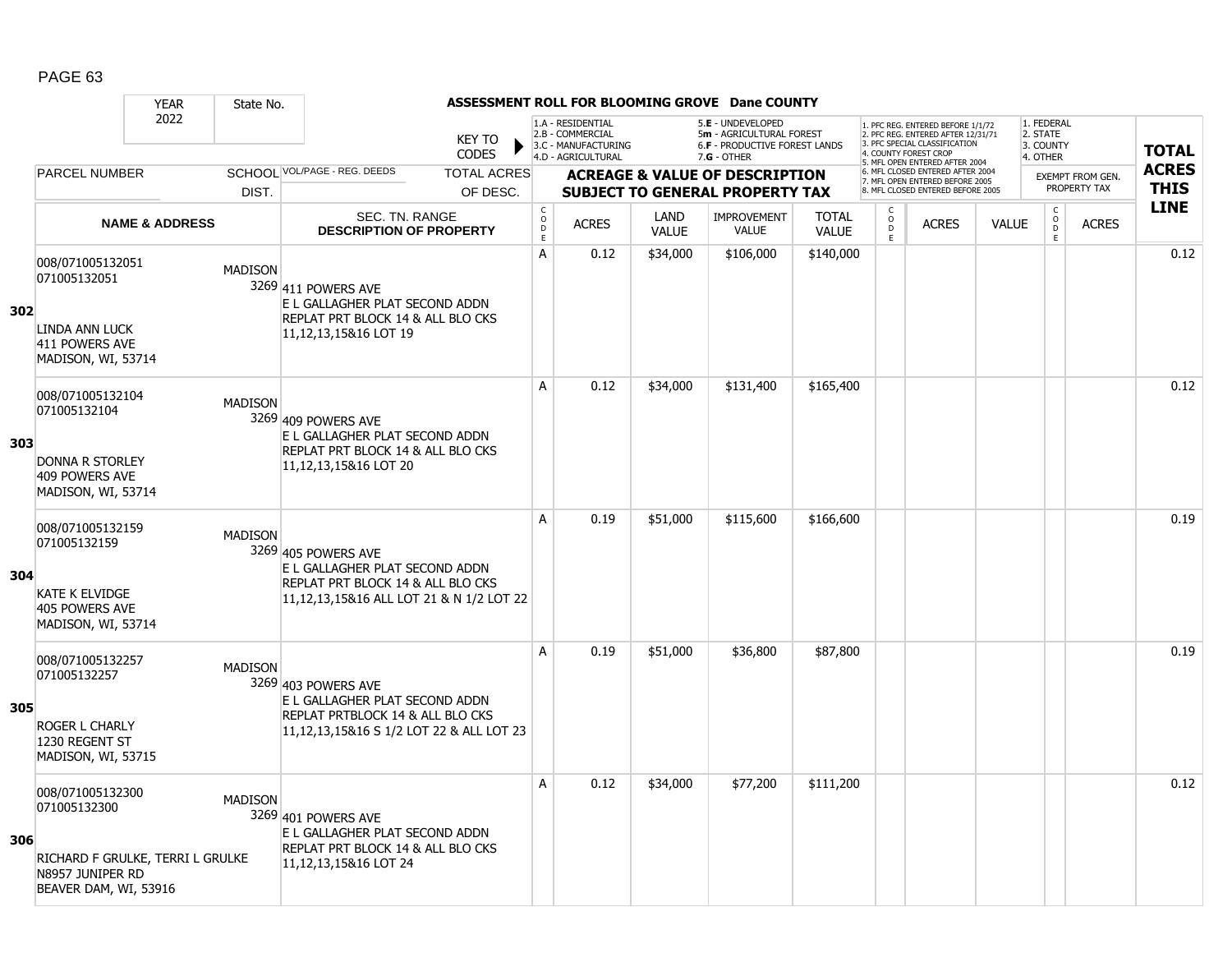|     |                                                                                                    | <b>YEAR</b>                      | State No.      |                                                                                                                                        |          |                                                 |                                                              |                      | ASSESSMENT ROLL FOR BLOOMING GROVE Dane COUNTY                                        |                              |                        |                                                                                                                                   |              |                                     |                                  |              |
|-----|----------------------------------------------------------------------------------------------------|----------------------------------|----------------|----------------------------------------------------------------------------------------------------------------------------------------|----------|-------------------------------------------------|--------------------------------------------------------------|----------------------|---------------------------------------------------------------------------------------|------------------------------|------------------------|-----------------------------------------------------------------------------------------------------------------------------------|--------------|-------------------------------------|----------------------------------|--------------|
|     |                                                                                                    | 2022                             |                | <b>KEY TO</b>                                                                                                                          |          |                                                 | 1.A - RESIDENTIAL<br>2.B - COMMERCIAL<br>3.C - MANUFACTURING |                      | 5.E - UNDEVELOPED<br>5m - AGRICULTURAL FOREST<br><b>6.F - PRODUCTIVE FOREST LANDS</b> |                              |                        | 1. PFC REG. ENTERED BEFORE 1/1/72<br>2. PFC REG. ENTERED AFTER 12/31/71<br>3. PFC SPECIAL CLASSIFICATION<br>4. COUNTY FOREST CROP |              | 1. FEDERAL<br>2. STATE<br>3. COUNTY |                                  | <b>TOTAL</b> |
|     |                                                                                                    |                                  |                | <b>CODES</b>                                                                                                                           |          |                                                 | 4.D - AGRICULTURAL                                           |                      | $7.G - OTHER$                                                                         |                              |                        | 5. MFL OPEN ENTERED AFTER 2004                                                                                                    |              | 4. OTHER                            |                                  | <b>ACRES</b> |
|     | <b>PARCEL NUMBER</b>                                                                               |                                  |                | SCHOOL VOL/PAGE - REG. DEEDS<br><b>TOTAL ACRES</b>                                                                                     |          |                                                 |                                                              |                      | <b>ACREAGE &amp; VALUE OF DESCRIPTION</b>                                             |                              |                        | 6. MFL CLOSED ENTERED AFTER 2004<br>7. MFL OPEN ENTERED BEFORE 2005<br>8. MFL CLOSED ENTERED BEFORE 2005                          |              |                                     | EXEMPT FROM GEN.<br>PROPERTY TAX | <b>THIS</b>  |
|     |                                                                                                    |                                  | DIST.          |                                                                                                                                        | OF DESC. |                                                 |                                                              |                      | <b>SUBJECT TO GENERAL PROPERTY TAX</b>                                                |                              |                        |                                                                                                                                   |              |                                     |                                  | <b>LINE</b>  |
|     |                                                                                                    | <b>NAME &amp; ADDRESS</b>        |                | <b>SEC. TN. RANGE</b><br><b>DESCRIPTION OF PROPERTY</b>                                                                                |          | $\mathsf C$<br>$\mathsf{o}$<br>D<br>$\mathsf E$ | <b>ACRES</b>                                                 | LAND<br><b>VALUE</b> | <b>IMPROVEMENT</b><br><b>VALUE</b>                                                    | <b>TOTAL</b><br><b>VALUE</b> | C<br>$\circ$<br>D<br>E | <b>ACRES</b>                                                                                                                      | <b>VALUE</b> | $\mathsf C$<br>$\overline{0}$<br>E  | <b>ACRES</b>                     |              |
| 302 | 008/071005132051<br>071005132051<br><b>LINDA ANN LUCK</b><br>411 POWERS AVE<br>MADISON, WI, 53714  |                                  | <b>MADISON</b> | 3269 411 POWERS AVE<br>E L GALLAGHER PLAT SECOND ADDN<br>REPLAT PRT BLOCK 14 & ALL BLO CKS<br>11,12,13,15&16 LOT 19                    |          | A                                               | 0.12                                                         | \$34,000             | \$106,000                                                                             | \$140,000                    |                        |                                                                                                                                   |              |                                     |                                  | 0.12         |
| 303 | 008/071005132104<br>071005132104<br><b>DONNA R STORLEY</b><br>409 POWERS AVE<br>MADISON, WI, 53714 |                                  | <b>MADISON</b> | 3269 409 POWERS AVE<br>E L GALLAGHER PLAT SECOND ADDN<br>REPLAT PRT BLOCK 14 & ALL BLO CKS<br>11,12,13,15&16 LOT 20                    |          | A                                               | 0.12                                                         | \$34,000             | \$131,400                                                                             | \$165,400                    |                        |                                                                                                                                   |              |                                     |                                  | 0.12         |
| 304 | 008/071005132159<br>071005132159<br><b>KATE K ELVIDGE</b><br>405 POWERS AVE<br>MADISON, WI, 53714  |                                  | <b>MADISON</b> | 3269 405 POWERS AVE<br>E L GALLAGHER PLAT SECOND ADDN<br>REPLAT PRT BLOCK 14 & ALL BLO CKS<br>11,12,13,15&16 ALL LOT 21 & N 1/2 LOT 22 |          | A                                               | 0.19                                                         | \$51,000             | \$115,600                                                                             | \$166,600                    |                        |                                                                                                                                   |              |                                     |                                  | 0.19         |
| 305 | 008/071005132257<br>071005132257<br><b>ROGER L CHARLY</b><br>1230 REGENT ST<br>MADISON, WI, 53715  |                                  | <b>MADISON</b> | 3269 403 POWERS AVE<br>E L GALLAGHER PLAT SECOND ADDN<br>REPLAT PRTBLOCK 14 & ALL BLO CKS<br>11,12,13,15&16 S 1/2 LOT 22 & ALL LOT 23  |          | A                                               | 0.19                                                         | \$51,000             | \$36,800                                                                              | \$87,800                     |                        |                                                                                                                                   |              |                                     |                                  | 0.19         |
| 306 | 008/071005132300<br>071005132300<br>N8957 JUNIPER RD<br>BEAVER DAM, WI, 53916                      | RICHARD F GRULKE, TERRI L GRULKE | <b>MADISON</b> | 3269 401 POWERS AVE<br>E L GALLAGHER PLAT SECOND ADDN<br>REPLAT PRT BLOCK 14 & ALL BLO CKS<br>11,12,13,15&16 LOT 24                    |          | A                                               | 0.12                                                         | \$34,000             | \$77,200                                                                              | \$111,200                    |                        |                                                                                                                                   |              |                                     |                                  | 0.12         |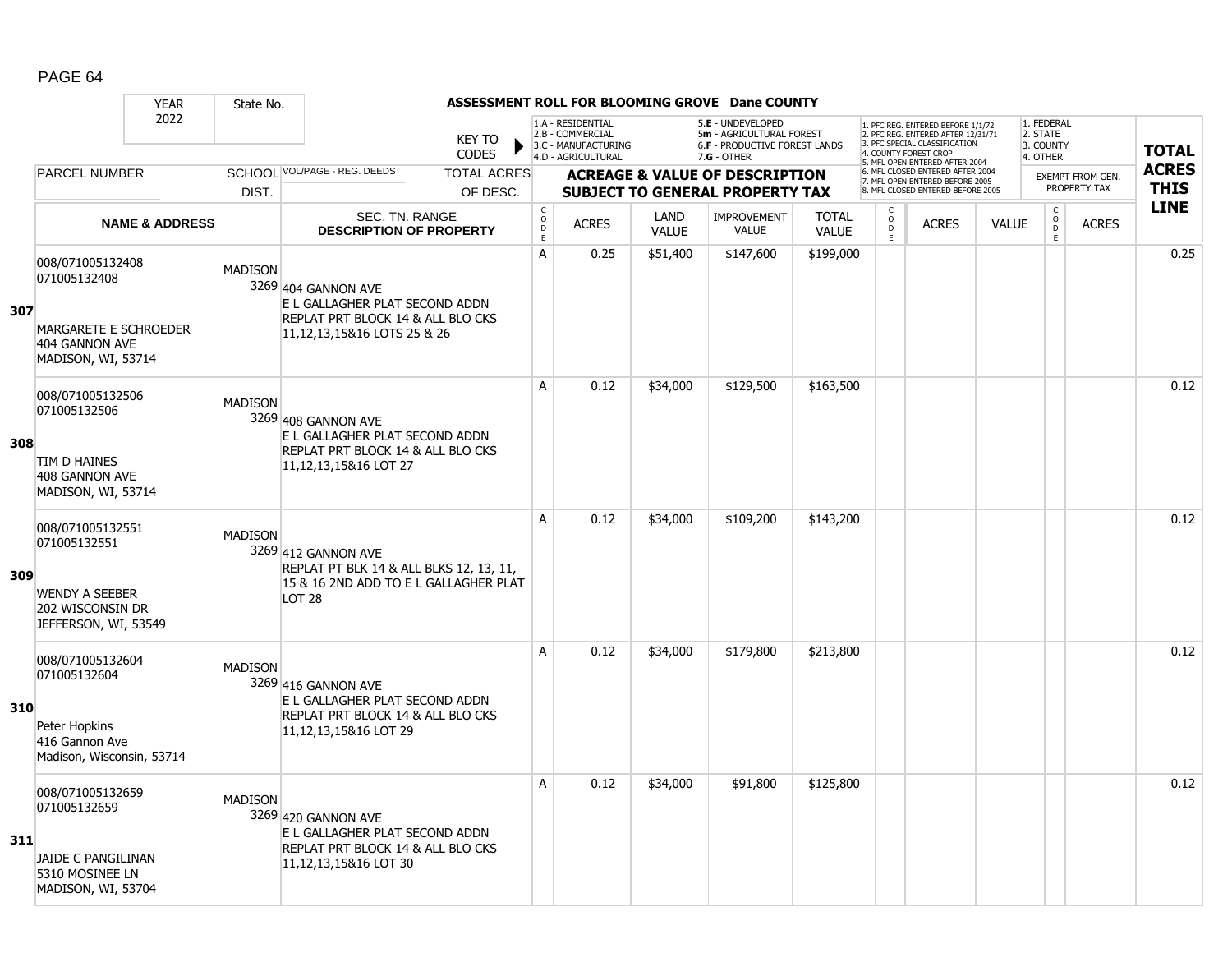|     |                                                                                                        | <b>YEAR</b>               | State No.      |                                                                                                                               |                                     |                                                                                    |                      | ASSESSMENT ROLL FOR BLOOMING GROVE Dane COUNTY                                                       |                              |                                                |                                                                                                                                   |              |                                                 |                                         |              |
|-----|--------------------------------------------------------------------------------------------------------|---------------------------|----------------|-------------------------------------------------------------------------------------------------------------------------------|-------------------------------------|------------------------------------------------------------------------------------|----------------------|------------------------------------------------------------------------------------------------------|------------------------------|------------------------------------------------|-----------------------------------------------------------------------------------------------------------------------------------|--------------|-------------------------------------------------|-----------------------------------------|--------------|
|     |                                                                                                        | 2022                      |                | <b>KEY TO</b><br><b>CODES</b>                                                                                                 |                                     | 1.A - RESIDENTIAL<br>2.B - COMMERCIAL<br>3.C - MANUFACTURING<br>4.D - AGRICULTURAL |                      | 5.E - UNDEVELOPED<br>5m - AGRICULTURAL FOREST<br><b>6.F - PRODUCTIVE FOREST LANDS</b><br>7.G - OTHER |                              |                                                | 1. PFC REG. ENTERED BEFORE 1/1/72<br>2. PFC REG. ENTERED AFTER 12/31/71<br>3. PFC SPECIAL CLASSIFICATION<br>4. COUNTY FOREST CROP |              | 1. FEDERAL<br>2. STATE<br>3. COUNTY<br>4. OTHER |                                         | <b>TOTAL</b> |
|     | <b>PARCEL NUMBER</b>                                                                                   |                           |                | SCHOOL VOL/PAGE - REG. DEEDS<br><b>TOTAL ACRES</b>                                                                            |                                     |                                                                                    |                      |                                                                                                      |                              |                                                | 5. MFL OPEN ENTERED AFTER 2004<br>6. MFL CLOSED ENTERED AFTER 2004                                                                |              |                                                 |                                         | <b>ACRES</b> |
|     |                                                                                                        |                           | DIST.          | OF DESC.                                                                                                                      |                                     |                                                                                    |                      | <b>ACREAGE &amp; VALUE OF DESCRIPTION</b><br><b>SUBJECT TO GENERAL PROPERTY TAX</b>                  |                              |                                                | 7. MFL OPEN ENTERED BEFORE 2005<br>8. MFL CLOSED ENTERED BEFORE 2005                                                              |              |                                                 | <b>EXEMPT FROM GEN.</b><br>PROPERTY TAX | <b>THIS</b>  |
|     |                                                                                                        | <b>NAME &amp; ADDRESS</b> |                | SEC. TN. RANGE<br><b>DESCRIPTION OF PROPERTY</b>                                                                              | $_{\rm o}^{\rm c}$<br>$\frac{D}{E}$ | <b>ACRES</b>                                                                       | LAND<br><b>VALUE</b> | <b>IMPROVEMENT</b><br><b>VALUE</b>                                                                   | <b>TOTAL</b><br><b>VALUE</b> | $\begin{matrix} 0 \\ 0 \\ D \end{matrix}$<br>E | <b>ACRES</b>                                                                                                                      | <b>VALUE</b> | $\begin{matrix} C \\ O \\ D \end{matrix}$<br>E  | <b>ACRES</b>                            | <b>LINE</b>  |
| 307 | 008/071005132408<br>071005132408<br>MARGARETE E SCHROEDER<br>404 GANNON AVE<br>MADISON, WI, 53714      |                           | <b>MADISON</b> | 3269 404 GANNON AVE<br>E L GALLAGHER PLAT SECOND ADDN<br>REPLAT PRT BLOCK 14 & ALL BLO CKS<br>11, 12, 13, 15& 16 LOTS 25 & 26 | A                                   | 0.25                                                                               | \$51,400             | \$147,600                                                                                            | \$199,000                    |                                                |                                                                                                                                   |              |                                                 |                                         | 0.25         |
| 308 | 008/071005132506<br>071005132506<br>TIM D HAINES<br>408 GANNON AVE<br>MADISON, WI, 53714               |                           | <b>MADISON</b> | 3269 408 GANNON AVE<br>E L GALLAGHER PLAT SECOND ADDN<br>REPLAT PRT BLOCK 14 & ALL BLO CKS<br>11,12,13,15&16 LOT 27           | A                                   | 0.12                                                                               | \$34,000             | \$129,500                                                                                            | \$163,500                    |                                                |                                                                                                                                   |              |                                                 |                                         | 0.12         |
| 309 | 008/071005132551<br>071005132551<br><b>WENDY A SEEBER</b><br>202 WISCONSIN DR<br>JEFFERSON, WI, 53549  |                           | <b>MADISON</b> | 3269 412 GANNON AVE<br>REPLAT PT BLK 14 & ALL BLKS 12, 13, 11,<br>15 & 16 2ND ADD TO E L GALLAGHER PLAT<br>LOT <sub>28</sub>  | A                                   | 0.12                                                                               | \$34,000             | \$109,200                                                                                            | \$143,200                    |                                                |                                                                                                                                   |              |                                                 |                                         | 0.12         |
| 310 | 008/071005132604<br>071005132604<br>Peter Hopkins<br>416 Gannon Ave<br>Madison, Wisconsin, 53714       |                           | <b>MADISON</b> | 3269 416 GANNON AVE<br>E L GALLAGHER PLAT SECOND ADDN<br>REPLAT PRT BLOCK 14 & ALL BLO CKS<br>11,12,13,15&16 LOT 29           | A                                   | 0.12                                                                               | \$34,000             | \$179,800                                                                                            | \$213,800                    |                                                |                                                                                                                                   |              |                                                 |                                         | 0.12         |
| 311 | 008/071005132659<br>071005132659<br><b>JAIDE C PANGILINAN</b><br>5310 MOSINEE LN<br>MADISON, WI, 53704 |                           | <b>MADISON</b> | 3269 420 GANNON AVE<br>E L GALLAGHER PLAT SECOND ADDN<br>REPLAT PRT BLOCK 14 & ALL BLO CKS<br>11,12,13,15&16 LOT 30           | A                                   | 0.12                                                                               | \$34,000             | \$91,800                                                                                             | \$125,800                    |                                                |                                                                                                                                   |              |                                                 |                                         | 0.12         |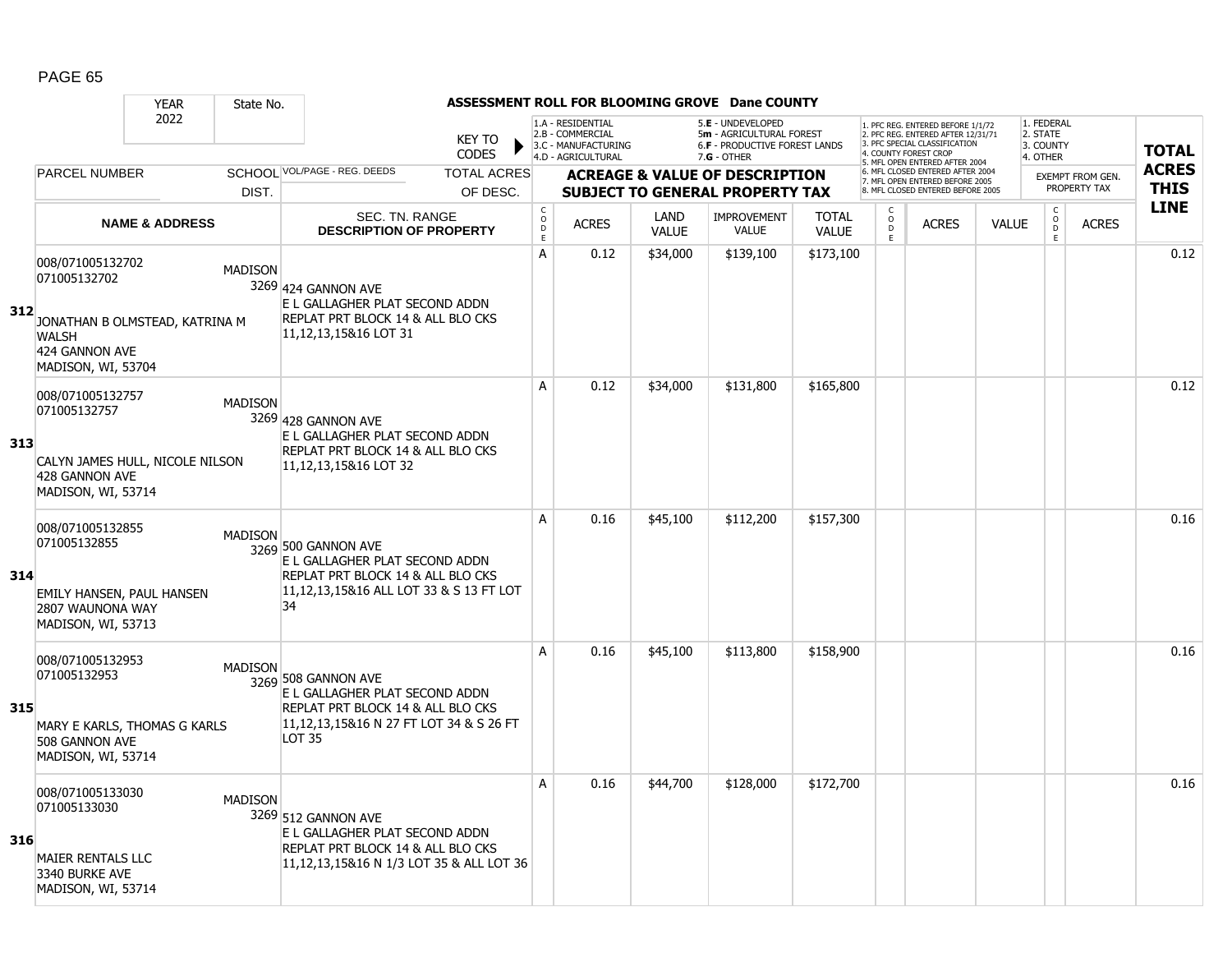|     |                                                                                                                            | <b>YEAR</b>               | State No.      |                                                                                                                                                     |                                                 |                                                                                    |                      | ASSESSMENT ROLL FOR BLOOMING GROVE Dane COUNTY                                                  |                              |                           |                                                                                                                                   |              |                                                 |                  |              |
|-----|----------------------------------------------------------------------------------------------------------------------------|---------------------------|----------------|-----------------------------------------------------------------------------------------------------------------------------------------------------|-------------------------------------------------|------------------------------------------------------------------------------------|----------------------|-------------------------------------------------------------------------------------------------|------------------------------|---------------------------|-----------------------------------------------------------------------------------------------------------------------------------|--------------|-------------------------------------------------|------------------|--------------|
|     |                                                                                                                            | 2022                      |                | <b>KEY TO</b><br><b>CODES</b>                                                                                                                       |                                                 | 1.A - RESIDENTIAL<br>2.B - COMMERCIAL<br>3.C - MANUFACTURING<br>4.D - AGRICULTURAL |                      | 5.E - UNDEVELOPED<br>5m - AGRICULTURAL FOREST<br>6.F - PRODUCTIVE FOREST LANDS<br>$7.G - OTHER$ |                              |                           | 1. PFC REG. ENTERED BEFORE 1/1/72<br>2. PFC REG. ENTERED AFTER 12/31/71<br>3. PFC SPECIAL CLASSIFICATION<br>4. COUNTY FOREST CROP |              | 1. FEDERAL<br>2. STATE<br>3. COUNTY<br>4. OTHER |                  | <b>TOTAL</b> |
|     | <b>PARCEL NUMBER</b>                                                                                                       |                           |                | SCHOOL VOL/PAGE - REG. DEEDS<br><b>TOTAL ACRES</b>                                                                                                  |                                                 |                                                                                    |                      | <b>ACREAGE &amp; VALUE OF DESCRIPTION</b>                                                       |                              |                           | 5. MFL OPEN ENTERED AFTER 2004<br>6. MFL CLOSED ENTERED AFTER 2004                                                                |              |                                                 | EXEMPT FROM GEN. | <b>ACRES</b> |
|     |                                                                                                                            |                           | DIST.          | OF DESC.                                                                                                                                            |                                                 |                                                                                    |                      | <b>SUBJECT TO GENERAL PROPERTY TAX</b>                                                          |                              |                           | 7. MFL OPEN ENTERED BEFORE 2005<br>8. MFL CLOSED ENTERED BEFORE 2005                                                              |              |                                                 | PROPERTY TAX     | <b>THIS</b>  |
|     |                                                                                                                            | <b>NAME &amp; ADDRESS</b> |                | <b>SEC. TN. RANGE</b><br><b>DESCRIPTION OF PROPERTY</b>                                                                                             | $_{\rm o}^{\rm c}$<br>$\mathsf{D}_{\mathsf{E}}$ | <b>ACRES</b>                                                                       | LAND<br><b>VALUE</b> | <b>IMPROVEMENT</b><br><b>VALUE</b>                                                              | <b>TOTAL</b><br><b>VALUE</b> | C<br>$\overline{0}$<br>E. | <b>ACRES</b>                                                                                                                      | <b>VALUE</b> | $\begin{matrix} 0 \\ 0 \\ 0 \end{matrix}$<br>E  | <b>ACRES</b>     | <b>LINE</b>  |
| 312 | 008/071005132702<br>071005132702<br>JONATHAN B OLMSTEAD, KATRINA M<br><b>WALSH</b><br>424 GANNON AVE<br>MADISON, WI, 53704 |                           | <b>MADISON</b> | 3269 424 GANNON AVE<br>E L GALLAGHER PLAT SECOND ADDN<br>REPLAT PRT BLOCK 14 & ALL BLO CKS<br>11,12,13,15&16 LOT 31                                 | A                                               | 0.12                                                                               | \$34,000             | \$139,100                                                                                       | \$173,100                    |                           |                                                                                                                                   |              |                                                 |                  | 0.12         |
| 313 | 008/071005132757<br>071005132757<br>CALYN JAMES HULL, NICOLE NILSON<br>428 GANNON AVE<br>MADISON, WI, 53714                |                           | <b>MADISON</b> | 3269 428 GANNON AVE<br>E L GALLAGHER PLAT SECOND ADDN<br>REPLAT PRT BLOCK 14 & ALL BLO CKS<br>11,12,13,15&16 LOT 32                                 | A                                               | 0.12                                                                               | \$34,000             | \$131,800                                                                                       | \$165,800                    |                           |                                                                                                                                   |              |                                                 |                  | 0.12         |
| 314 | 008/071005132855<br>071005132855<br><b>EMILY HANSEN, PAUL HANSEN</b><br>2807 WAUNONA WAY<br>MADISON, WI, 53713             |                           | <b>MADISON</b> | 3269 500 GANNON AVE<br>E L GALLAGHER PLAT SECOND ADDN<br>REPLAT PRT BLOCK 14 & ALL BLO CKS<br>11,12,13,15&16 ALL LOT 33 & S 13 FT LOT<br>34         | A                                               | 0.16                                                                               | \$45,100             | \$112,200                                                                                       | \$157,300                    |                           |                                                                                                                                   |              |                                                 |                  | 0.16         |
| 315 | 008/071005132953<br>071005132953<br>MARY E KARLS, THOMAS G KARLS<br>508 GANNON AVE<br>MADISON, WI, 53714                   |                           | <b>MADISON</b> | 3269 508 GANNON AVE<br>E L GALLAGHER PLAT SECOND ADDN<br>REPLAT PRT BLOCK 14 & ALL BLO CKS<br>11, 12, 13, 15& 16 N 27 FT LOT 34 & S 26 FT<br>LOT 35 | A                                               | 0.16                                                                               | \$45,100             | \$113,800                                                                                       | \$158,900                    |                           |                                                                                                                                   |              |                                                 |                  | 0.16         |
| 316 | 008/071005133030<br>071005133030<br><b>MAIER RENTALS LLC</b><br>3340 BURKE AVE<br>MADISON, WI, 53714                       |                           | <b>MADISON</b> | 3269 512 GANNON AVE<br>E L GALLAGHER PLAT SECOND ADDN<br>REPLAT PRT BLOCK 14 & ALL BLO CKS<br>11,12,13,15&16 N 1/3 LOT 35 & ALL LOT 36              | A                                               | 0.16                                                                               | \$44,700             | \$128,000                                                                                       | \$172,700                    |                           |                                                                                                                                   |              |                                                 |                  | 0.16         |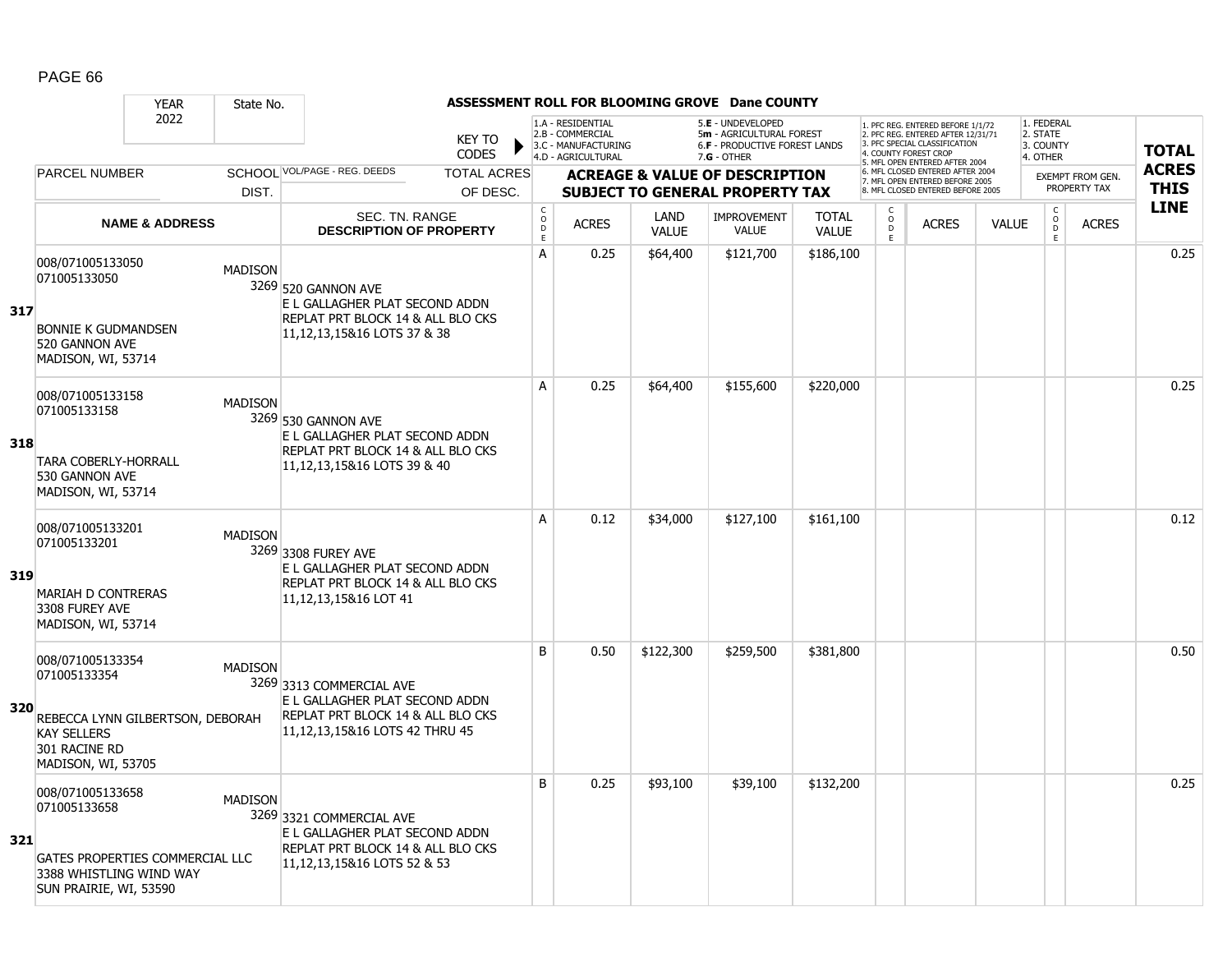|     |                                                                                                         | <b>YEAR</b>                      | State No.      |                                                                                                                                       |                               |                                                      |                                                                                    |                             | ASSESSMENT ROLL FOR BLOOMING GROVE Dane COUNTY                                                         |                              |                                     |                                                                                                                                   |              |                                                 |                                         |              |
|-----|---------------------------------------------------------------------------------------------------------|----------------------------------|----------------|---------------------------------------------------------------------------------------------------------------------------------------|-------------------------------|------------------------------------------------------|------------------------------------------------------------------------------------|-----------------------------|--------------------------------------------------------------------------------------------------------|------------------------------|-------------------------------------|-----------------------------------------------------------------------------------------------------------------------------------|--------------|-------------------------------------------------|-----------------------------------------|--------------|
|     |                                                                                                         | 2022                             |                |                                                                                                                                       | <b>KEY TO</b><br><b>CODES</b> |                                                      | 1.A - RESIDENTIAL<br>2.B - COMMERCIAL<br>3.C - MANUFACTURING<br>4.D - AGRICULTURAL |                             | 5.E - UNDEVELOPED<br>5m - AGRICULTURAL FOREST<br><b>6.F - PRODUCTIVE FOREST LANDS</b><br>$7.G - OTHER$ |                              |                                     | 1. PFC REG. ENTERED BEFORE 1/1/72<br>2. PFC REG. ENTERED AFTER 12/31/71<br>3. PFC SPECIAL CLASSIFICATION<br>4. COUNTY FOREST CROP |              | 1. FEDERAL<br>2. STATE<br>3. COUNTY<br>4. OTHER |                                         | <b>TOTAL</b> |
|     | <b>PARCEL NUMBER</b>                                                                                    |                                  |                | SCHOOL VOL/PAGE - REG. DEEDS                                                                                                          | <b>TOTAL ACRES</b>            |                                                      |                                                                                    |                             |                                                                                                        |                              |                                     | 5. MFL OPEN ENTERED AFTER 2004<br>6. MFL CLOSED ENTERED AFTER 2004                                                                |              |                                                 |                                         | <b>ACRES</b> |
|     |                                                                                                         |                                  | DIST.          |                                                                                                                                       | OF DESC.                      |                                                      |                                                                                    |                             | <b>ACREAGE &amp; VALUE OF DESCRIPTION</b><br><b>SUBJECT TO GENERAL PROPERTY TAX</b>                    |                              |                                     | 7. MFL OPEN ENTERED BEFORE 2005<br>8. MFL CLOSED ENTERED BEFORE 2005                                                              |              |                                                 | <b>EXEMPT FROM GEN.</b><br>PROPERTY TAX | <b>THIS</b>  |
|     |                                                                                                         | <b>NAME &amp; ADDRESS</b>        |                | <b>SEC. TN. RANGE</b><br><b>DESCRIPTION OF PROPERTY</b>                                                                               |                               | $\mathsf{C}$<br>$\circ$<br>$\mathsf{D}_{\mathsf{E}}$ | <b>ACRES</b>                                                                       | <b>LAND</b><br><b>VALUE</b> | <b>IMPROVEMENT</b><br><b>VALUE</b>                                                                     | <b>TOTAL</b><br><b>VALUE</b> | $\mathsf{C}$<br>$\overline{0}$<br>E | <b>ACRES</b>                                                                                                                      | <b>VALUE</b> | $\begin{matrix} 0 \\ 0 \\ 0 \end{matrix}$<br>E  | <b>ACRES</b>                            | <b>LINE</b>  |
| 317 | 008/071005133050<br>071005133050<br><b>BONNIE K GUDMANDSEN</b><br>520 GANNON AVE<br>MADISON, WI, 53714  |                                  | <b>MADISON</b> | 3269 520 GANNON AVE<br>E L GALLAGHER PLAT SECOND ADDN<br>REPLAT PRT BLOCK 14 & ALL BLO CKS<br>11, 12, 13, 15& 16 LOTS 37 & 38         |                               | A                                                    | 0.25                                                                               | \$64,400                    | \$121,700                                                                                              | \$186,100                    |                                     |                                                                                                                                   |              |                                                 |                                         | 0.25         |
| 318 | 008/071005133158<br>071005133158<br><b>TARA COBERLY-HORRALL</b><br>530 GANNON AVE<br>MADISON, WI, 53714 |                                  | <b>MADISON</b> | 3269 530 GANNON AVE<br>E L GALLAGHER PLAT SECOND ADDN<br>REPLAT PRT BLOCK 14 & ALL BLO CKS<br>11, 12, 13, 15& 16 LOTS 39 & 40         |                               | A                                                    | 0.25                                                                               | \$64,400                    | \$155,600                                                                                              | \$220,000                    |                                     |                                                                                                                                   |              |                                                 |                                         | 0.25         |
| 319 | 008/071005133201<br>071005133201<br>MARIAH D CONTRERAS<br>3308 FUREY AVE<br>MADISON, WI, 53714          |                                  | <b>MADISON</b> | 3269 3308 FUREY AVE<br>E L GALLAGHER PLAT SECOND ADDN<br>REPLAT PRT BLOCK 14 & ALL BLO CKS<br>11,12,13,15&16 LOT 41                   |                               | A                                                    | 0.12                                                                               | \$34,000                    | \$127,100                                                                                              | \$161,100                    |                                     |                                                                                                                                   |              |                                                 |                                         | 0.12         |
| 320 | 008/071005133354<br>071005133354<br><b>KAY SELLERS</b><br>301 RACINE RD<br>MADISON, WI, 53705           | REBECCA LYNN GILBERTSON, DEBORAH | <b>MADISON</b> | 3269 3313 COMMERCIAL AVE<br>E L GALLAGHER PLAT SECOND ADDN<br>REPLAT PRT BLOCK 14 & ALL BLO CKS<br>11, 12, 13, 15& 16 LOTS 42 THRU 45 |                               | B                                                    | 0.50                                                                               | \$122,300                   | \$259,500                                                                                              | \$381,800                    |                                     |                                                                                                                                   |              |                                                 |                                         | 0.50         |
| 321 | 008/071005133658<br>071005133658<br>3388 WHISTLING WIND WAY<br>SUN PRAIRIE, WI, 53590                   | GATES PROPERTIES COMMERCIAL LLC  | <b>MADISON</b> | 3269 3321 COMMERCIAL AVE<br>E L GALLAGHER PLAT SECOND ADDN<br>REPLAT PRT BLOCK 14 & ALL BLO CKS<br>11, 12, 13, 15& 16 LOTS 52 & 53    |                               | B                                                    | 0.25                                                                               | \$93,100                    | \$39,100                                                                                               | \$132,200                    |                                     |                                                                                                                                   |              |                                                 |                                         | 0.25         |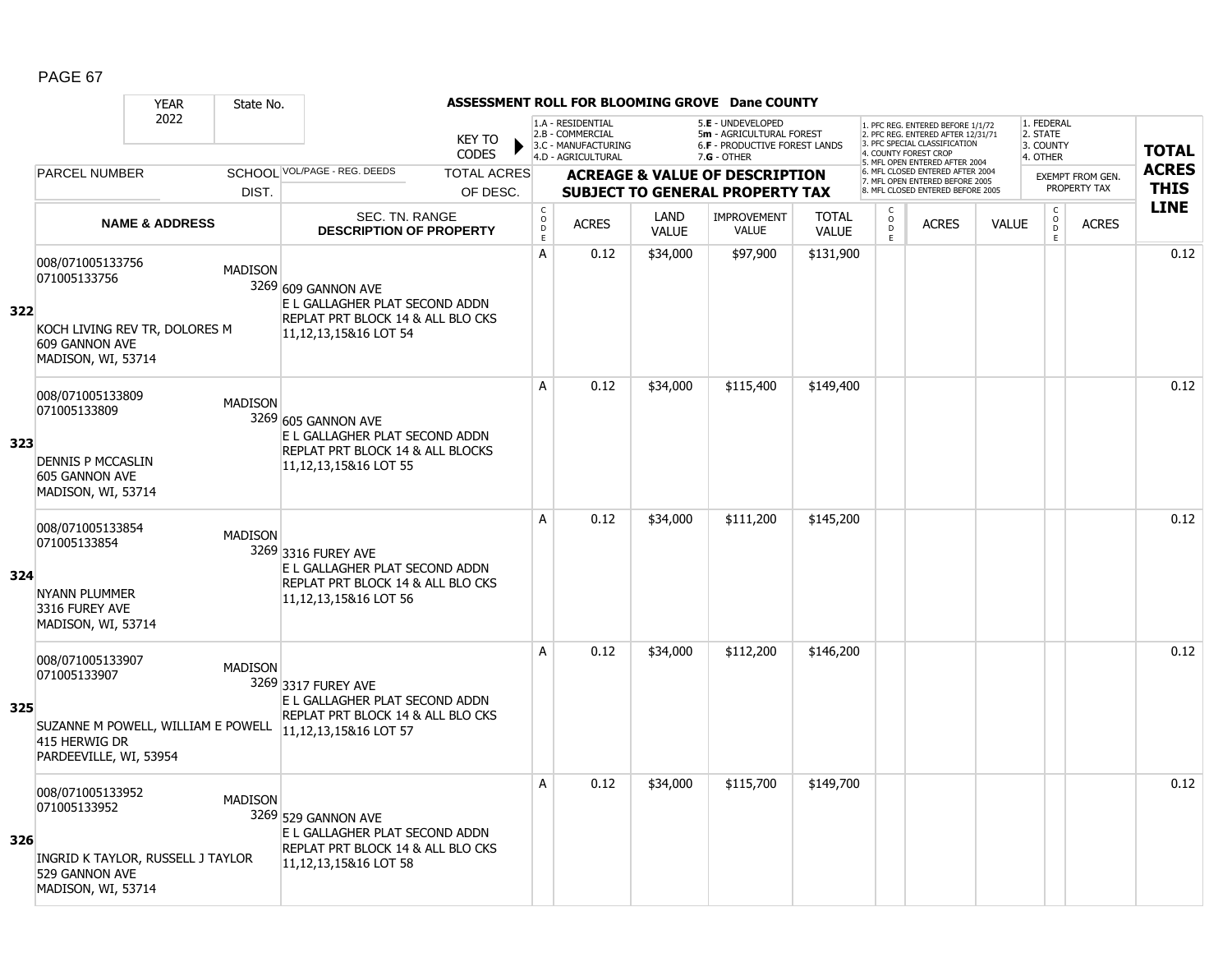|     |                                                                                                      | <b>YEAR</b>                        | State No.      |                                                                                                                         |                               |                                        |                                                                                    |                      | ASSESSMENT ROLL FOR BLOOMING GROVE Dane COUNTY                                                       |                              |                                                 |                                                                                                                                   |              |                                                 |                         |              |
|-----|------------------------------------------------------------------------------------------------------|------------------------------------|----------------|-------------------------------------------------------------------------------------------------------------------------|-------------------------------|----------------------------------------|------------------------------------------------------------------------------------|----------------------|------------------------------------------------------------------------------------------------------|------------------------------|-------------------------------------------------|-----------------------------------------------------------------------------------------------------------------------------------|--------------|-------------------------------------------------|-------------------------|--------------|
|     |                                                                                                      | 2022                               |                |                                                                                                                         | <b>KEY TO</b><br><b>CODES</b> |                                        | 1.A - RESIDENTIAL<br>2.B - COMMERCIAL<br>3.C - MANUFACTURING<br>4.D - AGRICULTURAL |                      | 5.E - UNDEVELOPED<br>5m - AGRICULTURAL FOREST<br><b>6.F - PRODUCTIVE FOREST LANDS</b><br>7.G - OTHER |                              |                                                 | 1. PFC REG. ENTERED BEFORE 1/1/72<br>2. PFC REG. ENTERED AFTER 12/31/71<br>3. PFC SPECIAL CLASSIFICATION<br>4. COUNTY FOREST CROP |              | 1. FEDERAL<br>2. STATE<br>3. COUNTY<br>4. OTHER |                         | <b>TOTAL</b> |
|     | <b>PARCEL NUMBER</b>                                                                                 |                                    |                | SCHOOL VOL/PAGE - REG. DEEDS                                                                                            | <b>TOTAL ACRES</b>            |                                        |                                                                                    |                      | <b>ACREAGE &amp; VALUE OF DESCRIPTION</b>                                                            |                              |                                                 | 5. MFL OPEN ENTERED AFTER 2004<br>6. MFL CLOSED ENTERED AFTER 2004                                                                |              |                                                 | <b>EXEMPT FROM GEN.</b> | <b>ACRES</b> |
|     |                                                                                                      |                                    | DIST.          |                                                                                                                         | OF DESC.                      |                                        |                                                                                    |                      | <b>SUBJECT TO GENERAL PROPERTY TAX</b>                                                               |                              |                                                 | 7. MFL OPEN ENTERED BEFORE 2005<br>8. MFL CLOSED ENTERED BEFORE 2005                                                              |              |                                                 | PROPERTY TAX            | <b>THIS</b>  |
|     |                                                                                                      | <b>NAME &amp; ADDRESS</b>          |                | <b>SEC. TN. RANGE</b><br><b>DESCRIPTION OF PROPERTY</b>                                                                 |                               | $_{\rm o}^{\rm c}$<br>$\mathsf D$<br>E | <b>ACRES</b>                                                                       | LAND<br><b>VALUE</b> | <b>IMPROVEMENT</b><br><b>VALUE</b>                                                                   | <b>TOTAL</b><br><b>VALUE</b> | $\begin{matrix} 0 \\ 0 \\ D \end{matrix}$<br>E. | <b>ACRES</b>                                                                                                                      | <b>VALUE</b> | $\begin{matrix} 0 \\ 0 \\ 0 \end{matrix}$<br>E  | <b>ACRES</b>            | <b>LINE</b>  |
| 322 | 008/071005133756<br>071005133756<br><b>609 GANNON AVE</b><br>MADISON, WI, 53714                      | KOCH LIVING REV TR, DOLORES M      | <b>MADISON</b> | 3269 609 GANNON AVE<br>E L GALLAGHER PLAT SECOND ADDN<br>REPLAT PRT BLOCK 14 & ALL BLO CKS<br>11, 12, 13, 15& 16 LOT 54 |                               | A                                      | 0.12                                                                               | \$34,000             | \$97,900                                                                                             | \$131,900                    |                                                 |                                                                                                                                   |              |                                                 |                         | 0.12         |
| 323 | 008/071005133809<br>071005133809<br><b>DENNIS P MCCASLIN</b><br>605 GANNON AVE<br>MADISON, WI, 53714 |                                    | <b>MADISON</b> | 3269 605 GANNON AVE<br>E L GALLAGHER PLAT SECOND ADDN<br>REPLAT PRT BLOCK 14 & ALL BLOCKS<br>11,12,13,15&16 LOT 55      |                               | A                                      | 0.12                                                                               | \$34,000             | \$115,400                                                                                            | \$149,400                    |                                                 |                                                                                                                                   |              |                                                 |                         | 0.12         |
| 324 | 008/071005133854<br>071005133854<br>NYANN PLUMMER<br>3316 FUREY AVE<br>MADISON, WI, 53714            |                                    | <b>MADISON</b> | 3269 3316 FUREY AVE<br>E L GALLAGHER PLAT SECOND ADDN<br>REPLAT PRT BLOCK 14 & ALL BLO CKS<br>11,12,13,15&16 LOT 56     |                               | A                                      | 0.12                                                                               | \$34,000             | \$111,200                                                                                            | \$145,200                    |                                                 |                                                                                                                                   |              |                                                 |                         | 0.12         |
| 325 | 008/071005133907<br>071005133907<br>415 HERWIG DR<br>PARDEEVILLE, WI, 53954                          | SUZANNE M POWELL, WILLIAM E POWELL | <b>MADISON</b> | 3269 3317 FUREY AVE<br>E L GALLAGHER PLAT SECOND ADDN<br>REPLAT PRT BLOCK 14 & ALL BLO CKS<br>11, 12, 13, 15& 16 LOT 57 |                               | A                                      | 0.12                                                                               | \$34,000             | \$112,200                                                                                            | \$146,200                    |                                                 |                                                                                                                                   |              |                                                 |                         | 0.12         |
| 326 | 008/071005133952<br>071005133952<br>529 GANNON AVE<br>MADISON, WI, 53714                             | INGRID K TAYLOR, RUSSELL J TAYLOR  | <b>MADISON</b> | 3269 529 GANNON AVE<br>E L GALLAGHER PLAT SECOND ADDN<br>REPLAT PRT BLOCK 14 & ALL BLO CKS<br>11, 12, 13, 15& 16 LOT 58 |                               | A                                      | 0.12                                                                               | \$34,000             | \$115,700                                                                                            | \$149,700                    |                                                 |                                                                                                                                   |              |                                                 |                         | 0.12         |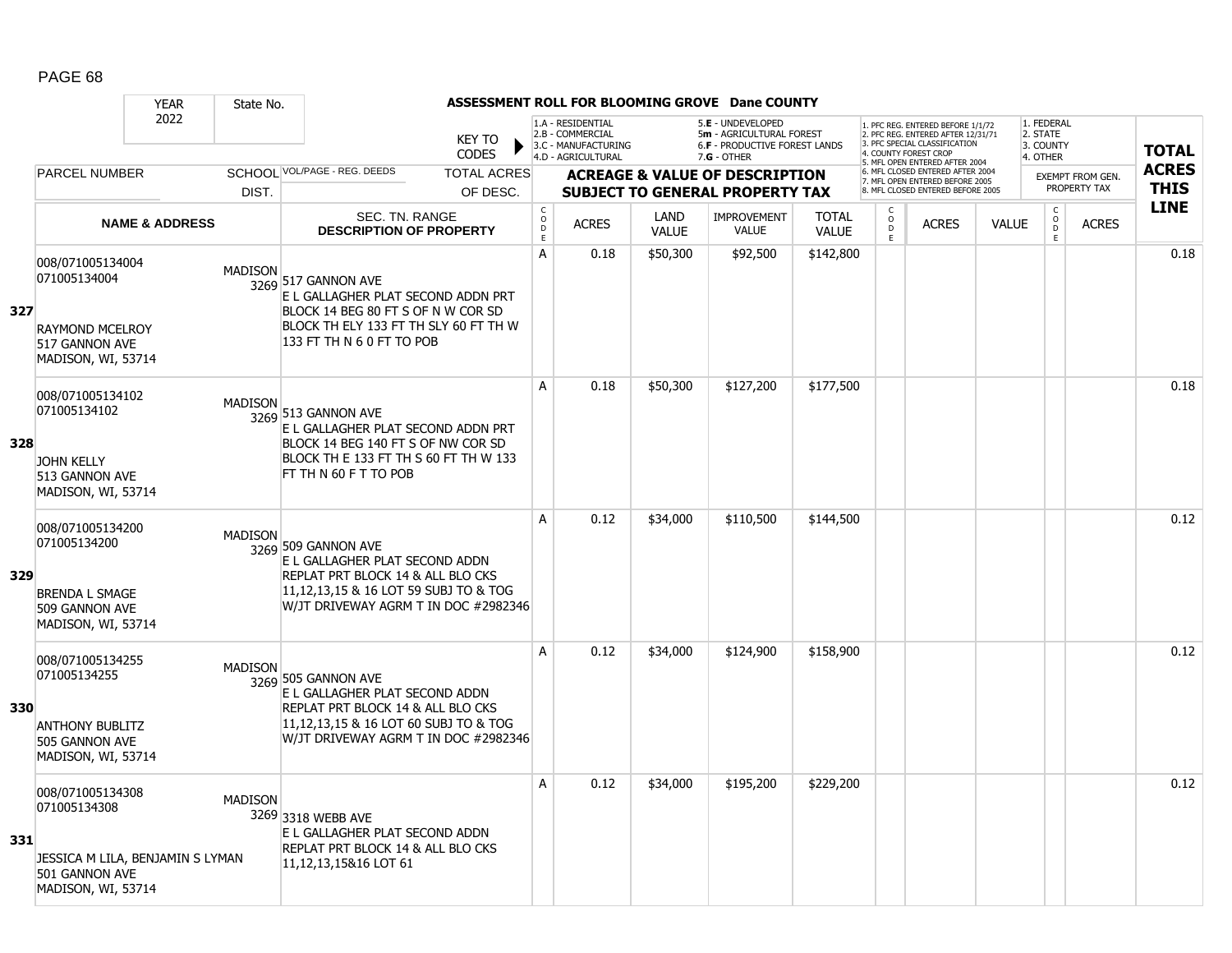|     |                                                                                                              | <b>YEAR</b>               | State No.      |                                                                                                                                                                                |                               |                             |                                                                                    |                      | ASSESSMENT ROLL FOR BLOOMING GROVE Dane COUNTY                                                  |                              |                                                 |                                                                                                                                   |              |                                                          |                         |              |
|-----|--------------------------------------------------------------------------------------------------------------|---------------------------|----------------|--------------------------------------------------------------------------------------------------------------------------------------------------------------------------------|-------------------------------|-----------------------------|------------------------------------------------------------------------------------|----------------------|-------------------------------------------------------------------------------------------------|------------------------------|-------------------------------------------------|-----------------------------------------------------------------------------------------------------------------------------------|--------------|----------------------------------------------------------|-------------------------|--------------|
|     |                                                                                                              | 2022                      |                |                                                                                                                                                                                | <b>KEY TO</b><br><b>CODES</b> |                             | 1.A - RESIDENTIAL<br>2.B - COMMERCIAL<br>3.C - MANUFACTURING<br>4.D - AGRICULTURAL |                      | 5.E - UNDEVELOPED<br>5m - AGRICULTURAL FOREST<br>6.F - PRODUCTIVE FOREST LANDS<br>$7.G - OTHER$ |                              |                                                 | 1. PFC REG. ENTERED BEFORE 1/1/72<br>2. PFC REG. ENTERED AFTER 12/31/71<br>3. PFC SPECIAL CLASSIFICATION<br>4. COUNTY FOREST CROP |              | 1. FEDERAL<br>2. STATE<br>3. COUNTY<br>4. OTHER          |                         | <b>TOTAL</b> |
|     | <b>PARCEL NUMBER</b>                                                                                         |                           |                | SCHOOL VOL/PAGE - REG. DEEDS                                                                                                                                                   | <b>TOTAL ACRES</b>            |                             |                                                                                    |                      | <b>ACREAGE &amp; VALUE OF DESCRIPTION</b>                                                       |                              |                                                 | 5. MFL OPEN ENTERED AFTER 2004<br>6. MFL CLOSED ENTERED AFTER 2004                                                                |              |                                                          | <b>EXEMPT FROM GEN.</b> | <b>ACRES</b> |
|     |                                                                                                              |                           | DIST.          |                                                                                                                                                                                | OF DESC.                      |                             |                                                                                    |                      | <b>SUBJECT TO GENERAL PROPERTY TAX</b>                                                          |                              |                                                 | 7. MFL OPEN ENTERED BEFORE 2005<br>8. MFL CLOSED ENTERED BEFORE 2005                                                              |              |                                                          | PROPERTY TAX            | <b>THIS</b>  |
|     |                                                                                                              | <b>NAME &amp; ADDRESS</b> |                | SEC. TN. RANGE<br><b>DESCRIPTION OF PROPERTY</b>                                                                                                                               |                               | $\rm _c^C$<br>$\frac{D}{E}$ | <b>ACRES</b>                                                                       | LAND<br><b>VALUE</b> | <b>IMPROVEMENT</b><br><b>VALUE</b>                                                              | <b>TOTAL</b><br><b>VALUE</b> | $\begin{matrix} 0 \\ 0 \\ D \end{matrix}$<br>E. | <b>ACRES</b>                                                                                                                      | <b>VALUE</b> | $\begin{matrix} 0 \\ 0 \\ 0 \end{matrix}$<br>$\mathsf E$ | <b>ACRES</b>            | <b>LINE</b>  |
| 327 | 008/071005134004<br>071005134004<br><b>RAYMOND MCELROY</b><br>517 GANNON AVE<br>MADISON, WI, 53714           |                           | <b>MADISON</b> | 3269 517 GANNON AVE<br>E L GALLAGHER PLAT SECOND ADDN PRT<br>BLOCK 14 BEG 80 FT S OF N W COR SD<br>BLOCK TH ELY 133 FT TH SLY 60 FT TH W<br>133 FT TH N 6 0 FT TO POB          |                               | A                           | 0.18                                                                               | \$50,300             | \$92,500                                                                                        | \$142,800                    |                                                 |                                                                                                                                   |              |                                                          |                         | 0.18         |
| 328 | 008/071005134102<br>071005134102<br><b>JOHN KELLY</b><br>513 GANNON AVE<br>MADISON, WI, 53714                |                           | <b>MADISON</b> | 3269 513 GANNON AVE<br>E L GALLAGHER PLAT SECOND ADDN PRT<br>BLOCK 14 BEG 140 FT S OF NW COR SD<br>BLOCK TH E 133 FT TH S 60 FT TH W 133<br>FT TH N 60 F T TO POB              |                               | A                           | 0.18                                                                               | \$50,300             | \$127,200                                                                                       | \$177,500                    |                                                 |                                                                                                                                   |              |                                                          |                         | 0.18         |
| 329 | 008/071005134200<br>071005134200<br><b>BRENDA L SMAGE</b><br>509 GANNON AVE<br>MADISON, WI, 53714            |                           | <b>MADISON</b> | 3269 509 GANNON AVE<br>E L GALLAGHER PLAT SECOND ADDN<br>REPLAT PRT BLOCK 14 & ALL BLO CKS<br>11,12,13,15 & 16 LOT 59 SUBJ TO & TOG<br>W/JT DRIVEWAY AGRM T IN DOC #2982346    |                               | A                           | 0.12                                                                               | \$34,000             | \$110,500                                                                                       | \$144,500                    |                                                 |                                                                                                                                   |              |                                                          |                         | 0.12         |
| 330 | 008/071005134255<br>071005134255<br><b>ANTHONY BUBLITZ</b><br>505 GANNON AVE<br>MADISON, WI, 53714           |                           | <b>MADISON</b> | 3269 505 GANNON AVE<br>E L GALLAGHER PLAT SECOND ADDN<br>REPLAT PRT BLOCK 14 & ALL BLO CKS<br>11, 12, 13, 15 & 16 LOT 60 SUBJ TO & TOG<br>W/JT DRIVEWAY AGRM T IN DOC #2982346 |                               | A                           | 0.12                                                                               | \$34,000             | \$124,900                                                                                       | \$158,900                    |                                                 |                                                                                                                                   |              |                                                          |                         | 0.12         |
| 331 | 008/071005134308<br>071005134308<br>JESSICA M LILA, BENJAMIN S LYMAN<br>501 GANNON AVE<br>MADISON, WI, 53714 |                           | <b>MADISON</b> | 3269 3318 WEBB AVE<br>E L GALLAGHER PLAT SECOND ADDN<br>REPLAT PRT BLOCK 14 & ALL BLO CKS<br>11, 12, 13, 15& 16 LOT 61                                                         |                               | Α                           | 0.12                                                                               | \$34,000             | \$195,200                                                                                       | \$229,200                    |                                                 |                                                                                                                                   |              |                                                          |                         | 0.12         |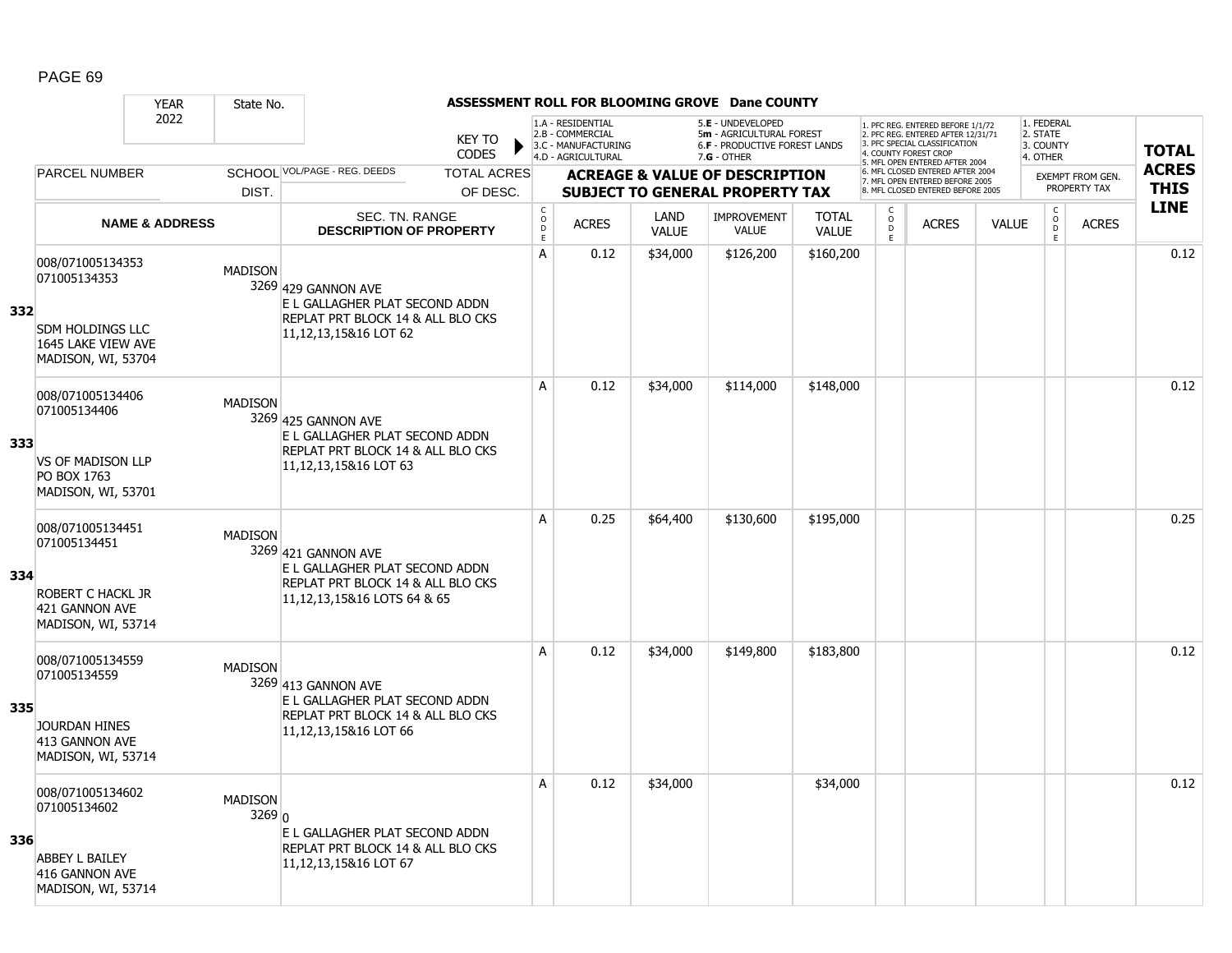|     |                                                                                                         | <b>YEAR</b>               | State No.                |                                                                                                                               |                               |                                                      |                                                                                    |                      | ASSESSMENT ROLL FOR BLOOMING GROVE Dane COUNTY                                                       |                              |                                     |                                                                                                                                   |              |                                                 |                                         |              |
|-----|---------------------------------------------------------------------------------------------------------|---------------------------|--------------------------|-------------------------------------------------------------------------------------------------------------------------------|-------------------------------|------------------------------------------------------|------------------------------------------------------------------------------------|----------------------|------------------------------------------------------------------------------------------------------|------------------------------|-------------------------------------|-----------------------------------------------------------------------------------------------------------------------------------|--------------|-------------------------------------------------|-----------------------------------------|--------------|
|     |                                                                                                         | 2022                      |                          |                                                                                                                               | <b>KEY TO</b><br><b>CODES</b> |                                                      | 1.A - RESIDENTIAL<br>2.B - COMMERCIAL<br>3.C - MANUFACTURING<br>4.D - AGRICULTURAL |                      | 5.E - UNDEVELOPED<br>5m - AGRICULTURAL FOREST<br><b>6.F - PRODUCTIVE FOREST LANDS</b><br>7.G - OTHER |                              |                                     | 1. PFC REG. ENTERED BEFORE 1/1/72<br>2. PFC REG. ENTERED AFTER 12/31/71<br>3. PFC SPECIAL CLASSIFICATION<br>4. COUNTY FOREST CROP |              | 1. FEDERAL<br>2. STATE<br>3. COUNTY<br>4. OTHER |                                         | <b>TOTAL</b> |
|     | <b>PARCEL NUMBER</b>                                                                                    |                           |                          | SCHOOL VOL/PAGE - REG. DEEDS                                                                                                  | <b>TOTAL ACRES</b>            |                                                      |                                                                                    |                      |                                                                                                      |                              |                                     | 5. MFL OPEN ENTERED AFTER 2004<br>6. MFL CLOSED ENTERED AFTER 2004                                                                |              |                                                 |                                         | <b>ACRES</b> |
|     |                                                                                                         |                           | DIST.                    |                                                                                                                               | OF DESC.                      |                                                      |                                                                                    |                      | <b>ACREAGE &amp; VALUE OF DESCRIPTION</b><br><b>SUBJECT TO GENERAL PROPERTY TAX</b>                  |                              |                                     | 7. MFL OPEN ENTERED BEFORE 2005<br>8. MFL CLOSED ENTERED BEFORE 2005                                                              |              |                                                 | <b>EXEMPT FROM GEN.</b><br>PROPERTY TAX | <b>THIS</b>  |
|     |                                                                                                         | <b>NAME &amp; ADDRESS</b> |                          | <b>SEC. TN. RANGE</b><br><b>DESCRIPTION OF PROPERTY</b>                                                                       |                               | $\mathsf{C}$<br>$\circ$<br>$\mathsf{D}_{\mathsf{E}}$ | <b>ACRES</b>                                                                       | LAND<br><b>VALUE</b> | <b>IMPROVEMENT</b><br><b>VALUE</b>                                                                   | <b>TOTAL</b><br><b>VALUE</b> | $\mathsf{C}$<br>$\overline{0}$<br>E | <b>ACRES</b>                                                                                                                      | <b>VALUE</b> | $\begin{matrix} 0 \\ 0 \\ 0 \end{matrix}$<br>E  | <b>ACRES</b>                            | <b>LINE</b>  |
| 332 | 008/071005134353<br>071005134353<br><b>SDM HOLDINGS LLC</b><br>1645 LAKE VIEW AVE<br>MADISON, WI, 53704 |                           | <b>MADISON</b>           | 3269 429 GANNON AVE<br>E L GALLAGHER PLAT SECOND ADDN<br>REPLAT PRT BLOCK 14 & ALL BLO CKS<br>11,12,13,15&16 LOT 62           |                               | A                                                    | 0.12                                                                               | \$34,000             | \$126,200                                                                                            | \$160,200                    |                                     |                                                                                                                                   |              |                                                 |                                         | 0.12         |
| 333 | 008/071005134406<br>071005134406<br><b>VS OF MADISON LLP</b><br>PO BOX 1763<br>MADISON, WI, 53701       |                           | <b>MADISON</b>           | 3269 425 GANNON AVE<br>E L GALLAGHER PLAT SECOND ADDN<br>REPLAT PRT BLOCK 14 & ALL BLO CKS<br>11,12,13,15&16 LOT 63           |                               | A                                                    | 0.12                                                                               | \$34,000             | \$114,000                                                                                            | \$148,000                    |                                     |                                                                                                                                   |              |                                                 |                                         | 0.12         |
| 334 | 008/071005134451<br>071005134451<br>ROBERT C HACKL JR<br>421 GANNON AVE<br>MADISON, WI, 53714           |                           | <b>MADISON</b>           | 3269 421 GANNON AVE<br>E L GALLAGHER PLAT SECOND ADDN<br>REPLAT PRT BLOCK 14 & ALL BLO CKS<br>11, 12, 13, 15& 16 LOTS 64 & 65 |                               | A                                                    | 0.25                                                                               | \$64,400             | \$130,600                                                                                            | \$195,000                    |                                     |                                                                                                                                   |              |                                                 |                                         | 0.25         |
| 335 | 008/071005134559<br>071005134559<br><b>JOURDAN HINES</b><br>413 GANNON AVE<br>MADISON, WI, 53714        |                           | <b>MADISON</b>           | 3269 413 GANNON AVE<br>E L GALLAGHER PLAT SECOND ADDN<br>REPLAT PRT BLOCK 14 & ALL BLO CKS<br>11,12,13,15&16 LOT 66           |                               | A                                                    | 0.12                                                                               | \$34,000             | \$149,800                                                                                            | \$183,800                    |                                     |                                                                                                                                   |              |                                                 |                                         | 0.12         |
| 336 | 008/071005134602<br>071005134602<br>ABBEY L BAILEY<br>416 GANNON AVE<br>MADISON, WI, 53714              |                           | <b>MADISON</b><br>3269 0 | E L GALLAGHER PLAT SECOND ADDN<br>REPLAT PRT BLOCK 14 & ALL BLO CKS<br>11, 12, 13, 15& 16 LOT 67                              |                               | A                                                    | 0.12                                                                               | \$34,000             |                                                                                                      | \$34,000                     |                                     |                                                                                                                                   |              |                                                 |                                         | 0.12         |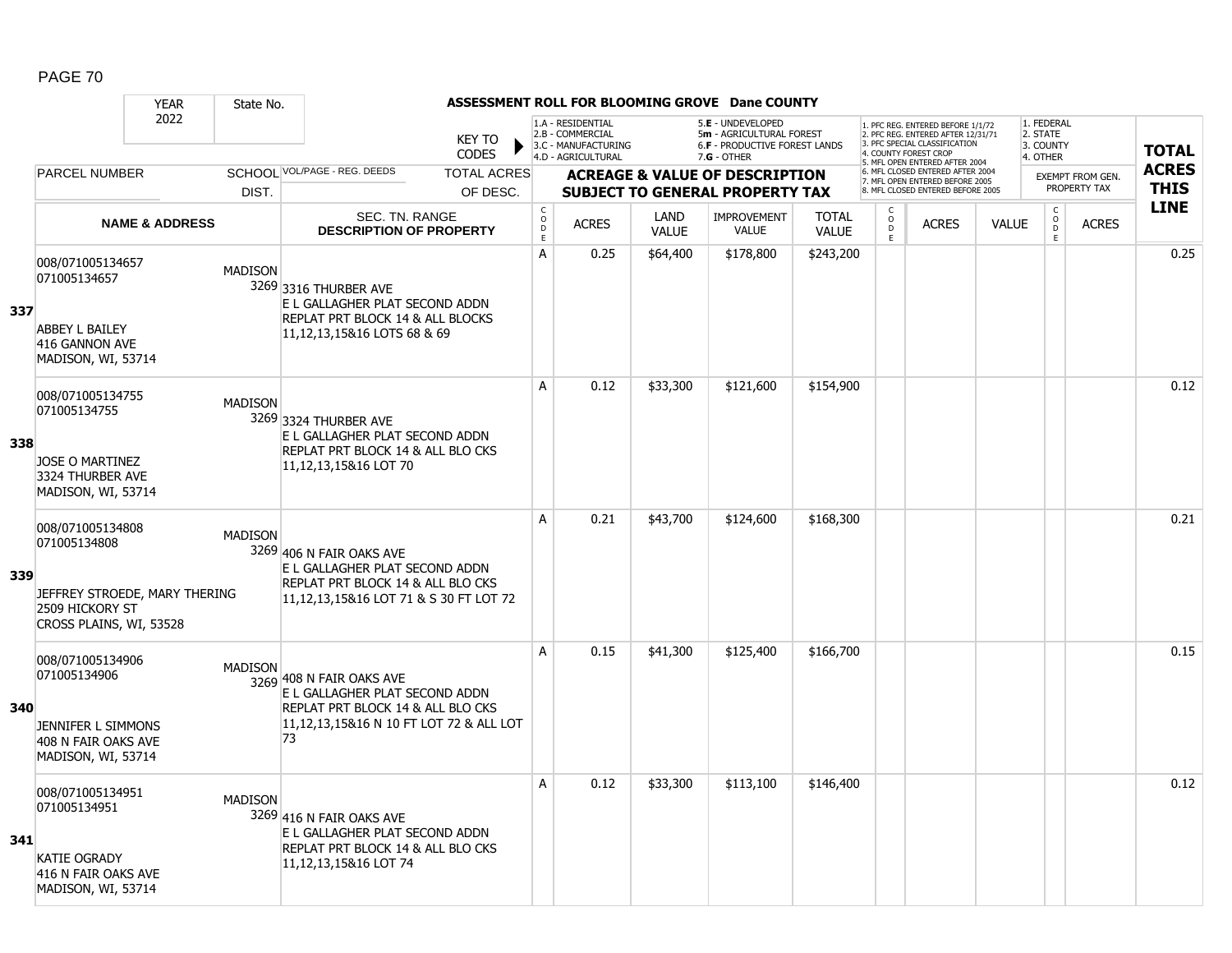|     |                                                                                                                 | <b>YEAR</b>               | State No.      |                                                                                                                                                  |                               |                                        |                                                                                    |                      | ASSESSMENT ROLL FOR BLOOMING GROVE Dane COUNTY                                                  |                              |                                              |                                                                                                          |              |                                                 |                  |              |
|-----|-----------------------------------------------------------------------------------------------------------------|---------------------------|----------------|--------------------------------------------------------------------------------------------------------------------------------------------------|-------------------------------|----------------------------------------|------------------------------------------------------------------------------------|----------------------|-------------------------------------------------------------------------------------------------|------------------------------|----------------------------------------------|----------------------------------------------------------------------------------------------------------|--------------|-------------------------------------------------|------------------|--------------|
|     |                                                                                                                 | 2022                      |                |                                                                                                                                                  | <b>KEY TO</b><br><b>CODES</b> |                                        | 1.A - RESIDENTIAL<br>2.B - COMMERCIAL<br>3.C - MANUFACTURING<br>4.D - AGRICULTURAL |                      | 5.E - UNDEVELOPED<br>5m - AGRICULTURAL FOREST<br>6.F - PRODUCTIVE FOREST LANDS<br>$7.G - OTHER$ |                              | 4. COUNTY FOREST CROP                        | 1. PFC REG. ENTERED BEFORE 1/1/72<br>2. PFC REG. ENTERED AFTER 12/31/71<br>3. PFC SPECIAL CLASSIFICATION |              | 1. FEDERAL<br>2. STATE<br>3. COUNTY<br>4. OTHER |                  | <b>TOTAL</b> |
|     | <b>PARCEL NUMBER</b>                                                                                            |                           |                | SCHOOL VOL/PAGE - REG. DEEDS                                                                                                                     | <b>TOTAL ACRES</b>            |                                        |                                                                                    |                      | <b>ACREAGE &amp; VALUE OF DESCRIPTION</b>                                                       |                              |                                              | 5. MFL OPEN ENTERED AFTER 2004<br>6. MFL CLOSED ENTERED AFTER 2004<br>7. MFL OPEN ENTERED BEFORE 2005    |              |                                                 | EXEMPT FROM GEN. | <b>ACRES</b> |
|     |                                                                                                                 |                           | DIST.          |                                                                                                                                                  | OF DESC.                      |                                        |                                                                                    |                      | <b>SUBJECT TO GENERAL PROPERTY TAX</b>                                                          |                              |                                              | 8. MFL CLOSED ENTERED BEFORE 2005                                                                        |              |                                                 | PROPERTY TAX     | <b>THIS</b>  |
|     |                                                                                                                 | <b>NAME &amp; ADDRESS</b> |                | SEC. TN. RANGE<br><b>DESCRIPTION OF PROPERTY</b>                                                                                                 |                               | $_{\rm o}^{\rm c}$<br>$\mathsf D$<br>E | <b>ACRES</b>                                                                       | LAND<br><b>VALUE</b> | <b>IMPROVEMENT</b><br><b>VALUE</b>                                                              | <b>TOTAL</b><br><b>VALUE</b> | C<br>$\overset{\circ}{\phantom{\circ}}$<br>E | <b>ACRES</b>                                                                                             | <b>VALUE</b> | $\begin{matrix} 0 \\ 0 \\ 0 \end{matrix}$<br>E  | <b>ACRES</b>     | <b>LINE</b>  |
| 337 | 008/071005134657<br>071005134657<br><b>ABBEY L BAILEY</b><br>416 GANNON AVE<br>MADISON, WI, 53714               |                           | <b>MADISON</b> | 3269 3316 THURBER AVE<br>E L GALLAGHER PLAT SECOND ADDN<br>REPLAT PRT BLOCK 14 & ALL BLOCKS<br>11, 12, 13, 15& 16 LOTS 68 & 69                   |                               | A                                      | 0.25                                                                               | \$64,400             | \$178,800                                                                                       | \$243,200                    |                                              |                                                                                                          |              |                                                 |                  | 0.25         |
| 338 | 008/071005134755<br>071005134755<br>JOSE O MARTINEZ<br>3324 THURBER AVE<br>MADISON, WI, 53714                   |                           | <b>MADISON</b> | 3269 3324 THURBER AVE<br>E L GALLAGHER PLAT SECOND ADDN<br>REPLAT PRT BLOCK 14 & ALL BLO CKS<br>11,12,13,15&16 LOT 70                            |                               | A                                      | 0.12                                                                               | \$33,300             | \$121,600                                                                                       | \$154,900                    |                                              |                                                                                                          |              |                                                 |                  | 0.12         |
| 339 | 008/071005134808<br>071005134808<br>JEFFREY STROEDE, MARY THERING<br>2509 HICKORY ST<br>CROSS PLAINS, WI, 53528 |                           | <b>MADISON</b> | 3269 406 N FAIR OAKS AVE<br>E L GALLAGHER PLAT SECOND ADDN<br>REPLAT PRT BLOCK 14 & ALL BLO CKS<br>11, 12, 13, 15& 16 LOT 71 & S 30 FT LOT 72    |                               | A                                      | 0.21                                                                               | \$43,700             | \$124,600                                                                                       | \$168,300                    |                                              |                                                                                                          |              |                                                 |                  | 0.21         |
| 340 | 008/071005134906<br>071005134906<br>JENNIFER L SIMMONS<br>408 N FAIR OAKS AVE<br>MADISON, WI, 53714             |                           | <b>MADISON</b> | 3269 408 N FAIR OAKS AVE<br>E L GALLAGHER PLAT SECOND ADDN<br>REPLAT PRT BLOCK 14 & ALL BLO CKS<br>11,12,13,15&16 N 10 FT LOT 72 & ALL LOT<br>73 |                               | A                                      | 0.15                                                                               | \$41,300             | \$125,400                                                                                       | \$166,700                    |                                              |                                                                                                          |              |                                                 |                  | 0.15         |
| 341 | 008/071005134951<br>071005134951<br><b>KATIE OGRADY</b><br>416 N FAIR OAKS AVE<br>MADISON, WI, 53714            |                           | <b>MADISON</b> | 3269 416 N FAIR OAKS AVE<br>E L GALLAGHER PLAT SECOND ADDN<br>REPLAT PRT BLOCK 14 & ALL BLO CKS<br>11, 12, 13, 15& 16 LOT 74                     |                               | A                                      | 0.12                                                                               | \$33,300             | \$113,100                                                                                       | \$146,400                    |                                              |                                                                                                          |              |                                                 |                  | 0.12         |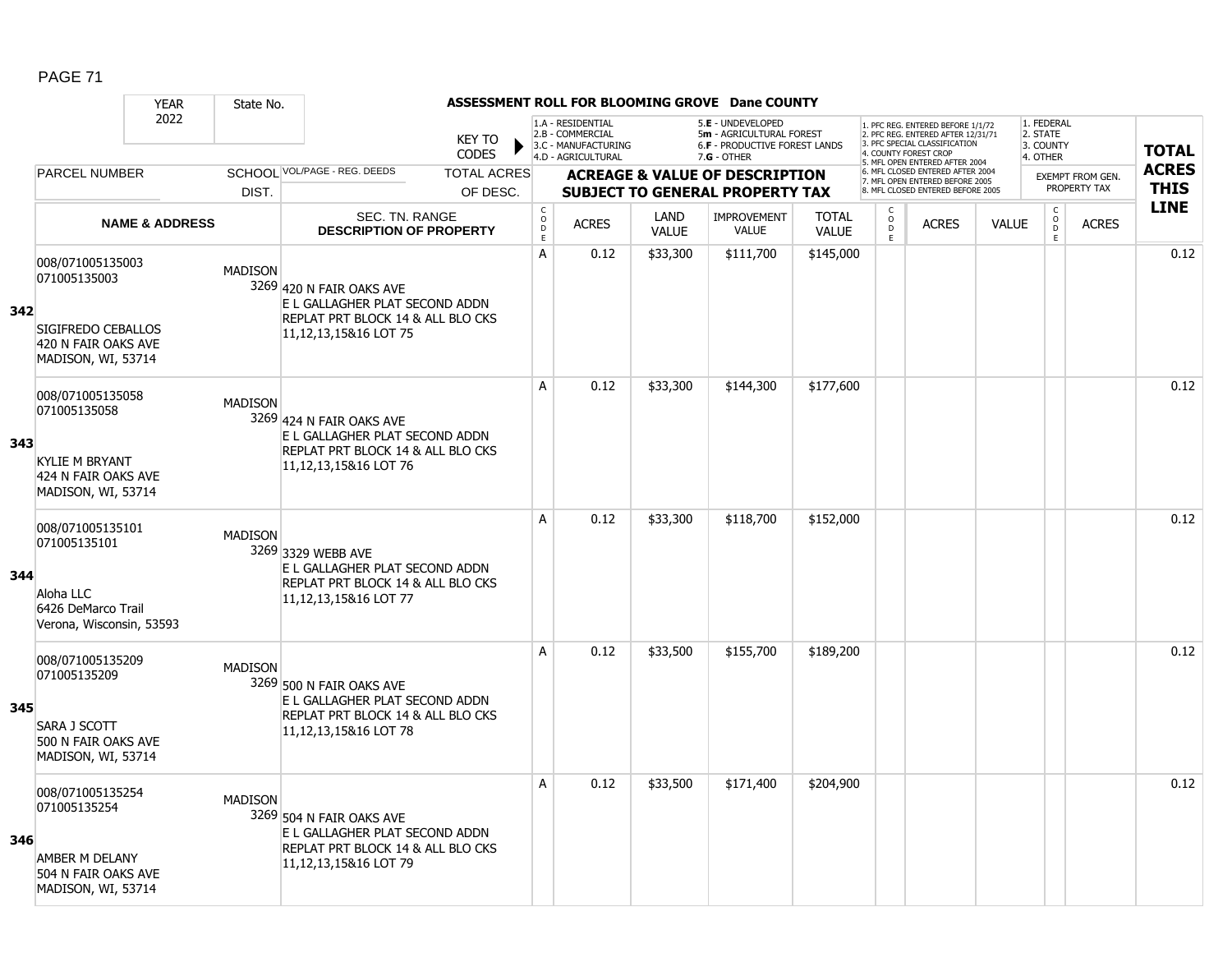|     |                                                                                                        | <b>YEAR</b>               | State No.      |                                                                                                                              |                               |                             |                                                                                    |                      | ASSESSMENT ROLL FOR BLOOMING GROVE Dane COUNTY                                                         |                              |                                                |                                                                                                                                   |              |                                                 |                                         |              |
|-----|--------------------------------------------------------------------------------------------------------|---------------------------|----------------|------------------------------------------------------------------------------------------------------------------------------|-------------------------------|-----------------------------|------------------------------------------------------------------------------------|----------------------|--------------------------------------------------------------------------------------------------------|------------------------------|------------------------------------------------|-----------------------------------------------------------------------------------------------------------------------------------|--------------|-------------------------------------------------|-----------------------------------------|--------------|
|     |                                                                                                        | 2022                      |                |                                                                                                                              | <b>KEY TO</b><br><b>CODES</b> |                             | 1.A - RESIDENTIAL<br>2.B - COMMERCIAL<br>3.C - MANUFACTURING<br>4.D - AGRICULTURAL |                      | 5.E - UNDEVELOPED<br>5m - AGRICULTURAL FOREST<br><b>6.F - PRODUCTIVE FOREST LANDS</b><br>$7.G - OTHER$ |                              |                                                | 1. PFC REG. ENTERED BEFORE 1/1/72<br>2. PFC REG. ENTERED AFTER 12/31/71<br>3. PFC SPECIAL CLASSIFICATION<br>4. COUNTY FOREST CROP |              | 1. FEDERAL<br>2. STATE<br>3. COUNTY<br>4. OTHER |                                         | <b>TOTAL</b> |
|     | <b>PARCEL NUMBER</b>                                                                                   |                           |                | SCHOOL VOL/PAGE - REG. DEEDS                                                                                                 | <b>TOTAL ACRES</b>            |                             |                                                                                    |                      |                                                                                                        |                              |                                                | 5. MFL OPEN ENTERED AFTER 2004<br>6. MFL CLOSED ENTERED AFTER 2004                                                                |              |                                                 |                                         | <b>ACRES</b> |
|     |                                                                                                        |                           | DIST.          |                                                                                                                              | OF DESC.                      |                             |                                                                                    |                      | <b>ACREAGE &amp; VALUE OF DESCRIPTION</b><br><b>SUBJECT TO GENERAL PROPERTY TAX</b>                    |                              |                                                | 7. MFL OPEN ENTERED BEFORE 2005<br>8. MFL CLOSED ENTERED BEFORE 2005                                                              |              |                                                 | <b>EXEMPT FROM GEN.</b><br>PROPERTY TAX | <b>THIS</b>  |
|     |                                                                                                        | <b>NAME &amp; ADDRESS</b> |                | SEC. TN. RANGE<br><b>DESCRIPTION OF PROPERTY</b>                                                                             |                               | $\rm _o^C$<br>$\frac{D}{E}$ | <b>ACRES</b>                                                                       | LAND<br><b>VALUE</b> | <b>IMPROVEMENT</b><br><b>VALUE</b>                                                                     | <b>TOTAL</b><br><b>VALUE</b> | $\begin{matrix} 0 \\ 0 \\ 0 \end{matrix}$<br>E | <b>ACRES</b>                                                                                                                      | <b>VALUE</b> | $\begin{matrix} C \\ O \\ D \end{matrix}$<br>E  | <b>ACRES</b>                            | <b>LINE</b>  |
| 342 | 008/071005135003<br>071005135003<br>SIGIFREDO CEBALLOS<br>420 N FAIR OAKS AVE<br>MADISON, WI, 53714    |                           | <b>MADISON</b> | 3269 420 N FAIR OAKS AVE<br>E L GALLAGHER PLAT SECOND ADDN<br>REPLAT PRT BLOCK 14 & ALL BLO CKS<br>11, 12, 13, 15& 16 LOT 75 |                               | A                           | 0.12                                                                               | \$33,300             | \$111,700                                                                                              | \$145,000                    |                                                |                                                                                                                                   |              |                                                 |                                         | 0.12         |
| 343 | 008/071005135058<br>071005135058<br><b>KYLIE M BRYANT</b><br>424 N FAIR OAKS AVE<br>MADISON, WI, 53714 |                           | <b>MADISON</b> | 3269 424 N FAIR OAKS AVE<br>E L GALLAGHER PLAT SECOND ADDN<br>REPLAT PRT BLOCK 14 & ALL BLO CKS<br>11, 12, 13, 15& 16 LOT 76 |                               | A                           | 0.12                                                                               | \$33,300             | \$144,300                                                                                              | \$177,600                    |                                                |                                                                                                                                   |              |                                                 |                                         | 0.12         |
| 344 | 008/071005135101<br>071005135101<br>Aloha LLC<br>6426 DeMarco Trail<br>Verona, Wisconsin, 53593        |                           | <b>MADISON</b> | 3269 3329 WEBB AVE<br>E L GALLAGHER PLAT SECOND ADDN<br>REPLAT PRT BLOCK 14 & ALL BLO CKS<br>11,12,13,15&16 LOT 77           |                               | A                           | 0.12                                                                               | \$33,300             | \$118,700                                                                                              | \$152,000                    |                                                |                                                                                                                                   |              |                                                 |                                         | 0.12         |
| 345 | 008/071005135209<br>071005135209<br>SARA J SCOTT<br>500 N FAIR OAKS AVE<br>MADISON, WI, 53714          |                           | <b>MADISON</b> | 3269 500 N FAIR OAKS AVE<br>E L GALLAGHER PLAT SECOND ADDN<br>REPLAT PRT BLOCK 14 & ALL BLO CKS<br>11,12,13,15&16 LOT 78     |                               | A                           | 0.12                                                                               | \$33,500             | \$155,700                                                                                              | \$189,200                    |                                                |                                                                                                                                   |              |                                                 |                                         | 0.12         |
| 346 | 008/071005135254<br>071005135254<br>AMBER M DELANY<br>504 N FAIR OAKS AVE<br>MADISON, WI, 53714        |                           | <b>MADISON</b> | 3269 504 N FAIR OAKS AVE<br>E L GALLAGHER PLAT SECOND ADDN<br>REPLAT PRT BLOCK 14 & ALL BLO CKS<br>11, 12, 13, 15& 16 LOT 79 |                               | Α                           | 0.12                                                                               | \$33,500             | \$171,400                                                                                              | \$204,900                    |                                                |                                                                                                                                   |              |                                                 |                                         | 0.12         |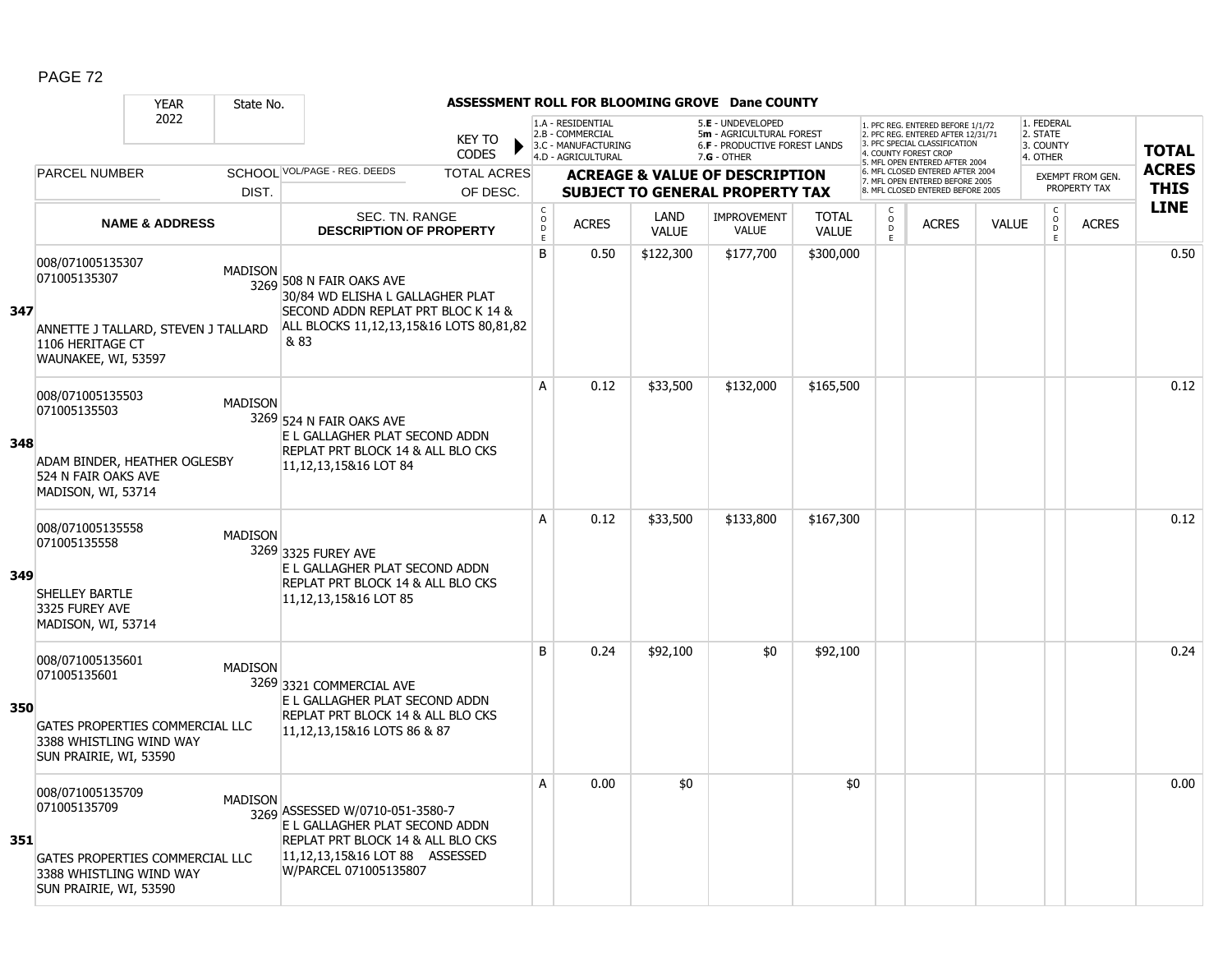|     |                                                                                                                          | <b>YEAR</b><br>State No.                              |                                                                                                                                                                   |                                        |                                                                                    |                      | ASSESSMENT ROLL FOR BLOOMING GROVE Dane COUNTY                                                |                              |                                                |                                                                                                                                                                     |              |                                                 |                                         |                             |
|-----|--------------------------------------------------------------------------------------------------------------------------|-------------------------------------------------------|-------------------------------------------------------------------------------------------------------------------------------------------------------------------|----------------------------------------|------------------------------------------------------------------------------------|----------------------|-----------------------------------------------------------------------------------------------|------------------------------|------------------------------------------------|---------------------------------------------------------------------------------------------------------------------------------------------------------------------|--------------|-------------------------------------------------|-----------------------------------------|-----------------------------|
|     |                                                                                                                          | 2022                                                  | <b>KEY TO</b><br><b>CODES</b>                                                                                                                                     |                                        | 1.A - RESIDENTIAL<br>2.B - COMMERCIAL<br>3.C - MANUFACTURING<br>4.D - AGRICULTURAL |                      | 5.E - UNDEVELOPED<br>5m - AGRICULTURAL FOREST<br>6.F - PRODUCTIVE FOREST LANDS<br>7.G - OTHER |                              |                                                | 1. PFC REG. ENTERED BEFORE 1/1/72<br>2. PFC REG. ENTERED AFTER 12/31/71<br>3. PFC SPECIAL CLASSIFICATION<br>4. COUNTY FOREST CROP<br>5. MFL OPEN ENTERED AFTER 2004 |              | 1. FEDERAL<br>2. STATE<br>3. COUNTY<br>4. OTHER |                                         | <b>TOTAL</b>                |
|     | <b>PARCEL NUMBER</b>                                                                                                     |                                                       | SCHOOL VOL/PAGE - REG. DEEDS<br><b>TOTAL ACRES</b>                                                                                                                |                                        |                                                                                    |                      | <b>ACREAGE &amp; VALUE OF DESCRIPTION</b>                                                     |                              |                                                | 6. MFL CLOSED ENTERED AFTER 2004<br>7. MFL OPEN ENTERED BEFORE 2005                                                                                                 |              |                                                 | <b>EXEMPT FROM GEN.</b><br>PROPERTY TAX | <b>ACRES</b><br><b>THIS</b> |
|     |                                                                                                                          | DIST.                                                 | OF DESC.                                                                                                                                                          |                                        |                                                                                    |                      | <b>SUBJECT TO GENERAL PROPERTY TAX</b>                                                        |                              |                                                | 8. MFL CLOSED ENTERED BEFORE 2005                                                                                                                                   |              |                                                 |                                         | <b>LINE</b>                 |
|     |                                                                                                                          | <b>NAME &amp; ADDRESS</b>                             | SEC. TN. RANGE<br><b>DESCRIPTION OF PROPERTY</b>                                                                                                                  | $_{\rm o}^{\rm c}$<br>$\mathsf D$<br>E | <b>ACRES</b>                                                                       | LAND<br><b>VALUE</b> | <b>IMPROVEMENT</b><br><b>VALUE</b>                                                            | <b>TOTAL</b><br><b>VALUE</b> | $\begin{matrix} 0 \\ 0 \\ 0 \end{matrix}$<br>E | <b>ACRES</b>                                                                                                                                                        | <b>VALUE</b> | $\begin{matrix} 0 \\ 0 \\ D \end{matrix}$<br>E  | <b>ACRES</b>                            |                             |
| 347 | 008/071005135307<br>071005135307<br>1106 HERITAGE CT<br>WAUNAKEE, WI, 53597                                              | <b>MADISON</b><br>ANNETTE J TALLARD, STEVEN J TALLARD | 3269 508 N FAIR OAKS AVE<br>30/84 WD ELISHA L GALLAGHER PLAT<br>SECOND ADDN REPLAT PRT BLOC K 14 &<br>ALL BLOCKS 11,12,13,15&16 LOTS 80,81,82<br>& 83             | B                                      | 0.50                                                                               | \$122,300            | \$177,700                                                                                     | \$300,000                    |                                                |                                                                                                                                                                     |              |                                                 |                                         | 0.50                        |
| 348 | 008/071005135503<br>071005135503<br>ADAM BINDER, HEATHER OGLESBY<br>524 N FAIR OAKS AVE<br>MADISON, WI, 53714            | <b>MADISON</b>                                        | 3269 524 N FAIR OAKS AVE<br>E L GALLAGHER PLAT SECOND ADDN<br>REPLAT PRT BLOCK 14 & ALL BLO CKS<br>11,12,13,15&16 LOT 84                                          | A                                      | 0.12                                                                               | \$33,500             | \$132,000                                                                                     | \$165,500                    |                                                |                                                                                                                                                                     |              |                                                 |                                         | 0.12                        |
| 349 | 008/071005135558<br>071005135558<br>SHELLEY BARTLE<br>3325 FUREY AVE<br>MADISON, WI, 53714                               | <b>MADISON</b>                                        | 3269 3325 FUREY AVE<br>E L GALLAGHER PLAT SECOND ADDN<br>REPLAT PRT BLOCK 14 & ALL BLO CKS<br>11, 12, 13, 15& 16 LOT 85                                           | A                                      | 0.12                                                                               | \$33,500             | \$133,800                                                                                     | \$167,300                    |                                                |                                                                                                                                                                     |              |                                                 |                                         | 0.12                        |
| 350 | 008/071005135601<br>071005135601<br>GATES PROPERTIES COMMERCIAL LLC<br>3388 WHISTLING WIND WAY<br>SUN PRAIRIE, WI, 53590 | <b>MADISON</b>                                        | 3269 3321 COMMERCIAL AVE<br>E L GALLAGHER PLAT SECOND ADDN<br>REPLAT PRT BLOCK 14 & ALL BLO CKS<br>11, 12, 13, 15& 16 LOTS 86 & 87                                | B                                      | 0.24                                                                               | \$92,100             | \$0                                                                                           | \$92,100                     |                                                |                                                                                                                                                                     |              |                                                 |                                         | 0.24                        |
| 351 | 008/071005135709<br>071005135709<br>GATES PROPERTIES COMMERCIAL LLC<br>3388 WHISTLING WIND WAY<br>SUN PRAIRIE, WI, 53590 | <b>MADISON</b>                                        | 3269 ASSESSED W/0710-051-3580-7<br>E L GALLAGHER PLAT SECOND ADDN<br>REPLAT PRT BLOCK 14 & ALL BLO CKS<br>11,12,13,15&16 LOT 88 ASSESSED<br>W/PARCEL 071005135807 | A                                      | 0.00                                                                               | \$0                  |                                                                                               | \$0                          |                                                |                                                                                                                                                                     |              |                                                 |                                         | 0.00                        |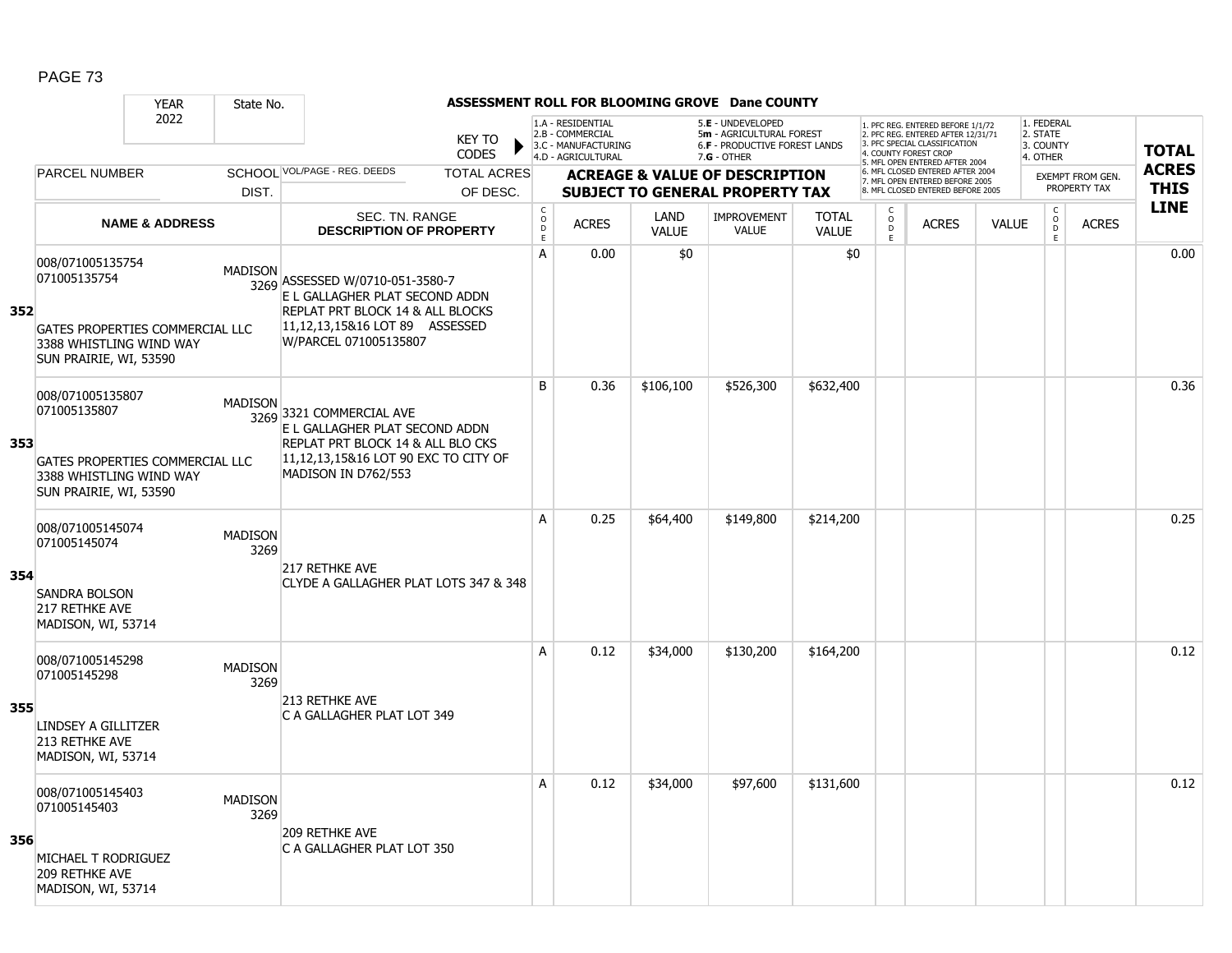|     |                                                                                                                          | <b>YEAR</b>               | State No.              |                                                                                                                                                                  |                               |                                                          |                                                                                    |                      | ASSESSMENT ROLL FOR BLOOMING GROVE Dane COUNTY                                                  |                              |                     |                                                                                                                                  |              |                                                 |                  |              |
|-----|--------------------------------------------------------------------------------------------------------------------------|---------------------------|------------------------|------------------------------------------------------------------------------------------------------------------------------------------------------------------|-------------------------------|----------------------------------------------------------|------------------------------------------------------------------------------------|----------------------|-------------------------------------------------------------------------------------------------|------------------------------|---------------------|----------------------------------------------------------------------------------------------------------------------------------|--------------|-------------------------------------------------|------------------|--------------|
|     |                                                                                                                          | 2022                      |                        |                                                                                                                                                                  | <b>KEY TO</b><br><b>CODES</b> |                                                          | 1.A - RESIDENTIAL<br>2.B - COMMERCIAL<br>3.C - MANUFACTURING<br>4.D - AGRICULTURAL |                      | 5.E - UNDEVELOPED<br>5m - AGRICULTURAL FOREST<br>6.F - PRODUCTIVE FOREST LANDS<br>$7.G - OTHER$ |                              |                     | 1. PFC REG. ENTERED BEFORE 1/1/72<br>2. PFC REG. ENTERED AFTER 12/31/71<br>3 PEC SPECIAL CLASSIFICATION<br>4. COUNTY FOREST CROP |              | 1. FEDERAL<br>2. STATE<br>3. COUNTY<br>4. OTHER |                  | <b>TOTAL</b> |
|     | <b>PARCEL NUMBER</b>                                                                                                     |                           |                        | SCHOOL VOL/PAGE - REG. DEEDS                                                                                                                                     | <b>TOTAL ACRES</b>            |                                                          |                                                                                    |                      | <b>ACREAGE &amp; VALUE OF DESCRIPTION</b>                                                       |                              |                     | 5. MFL OPEN ENTERED AFTER 2004<br>6. MFL CLOSED ENTERED AFTER 2004<br>7. MFL OPEN ENTERED BEFORE 2005                            |              |                                                 | EXEMPT FROM GEN. | <b>ACRES</b> |
|     |                                                                                                                          |                           | DIST.                  |                                                                                                                                                                  | OF DESC.                      |                                                          |                                                                                    |                      | <b>SUBJECT TO GENERAL PROPERTY TAX</b>                                                          |                              |                     | 8. MFL CLOSED ENTERED BEFORE 2005                                                                                                |              |                                                 | PROPERTY TAX     | <b>THIS</b>  |
|     |                                                                                                                          | <b>NAME &amp; ADDRESS</b> |                        | SEC. TN. RANGE<br><b>DESCRIPTION OF PROPERTY</b>                                                                                                                 |                               | $\begin{matrix} 0 \\ 0 \\ D \end{matrix}$<br>$\mathsf E$ | <b>ACRES</b>                                                                       | LAND<br><b>VALUE</b> | <b>IMPROVEMENT</b><br><b>VALUE</b>                                                              | <b>TOTAL</b><br><b>VALUE</b> | $\overline{D}$<br>E | <b>ACRES</b>                                                                                                                     | <b>VALUE</b> | $\begin{matrix} 0 \\ 0 \\ D \end{matrix}$<br>E  | <b>ACRES</b>     | <b>LINE</b>  |
| 352 | 008/071005135754<br>071005135754<br>GATES PROPERTIES COMMERCIAL LLC<br>3388 WHISTLING WIND WAY<br>SUN PRAIRIE, WI, 53590 |                           | <b>MADISON</b>         | 3269 ASSESSED W/0710-051-3580-7<br>E L GALLAGHER PLAT SECOND ADDN<br>REPLAT PRT BLOCK 14 & ALL BLOCKS<br>11,12,13,15&16 LOT 89 ASSESSED<br>W/PARCEL 071005135807 |                               | A                                                        | 0.00                                                                               | \$0                  |                                                                                                 | \$0                          |                     |                                                                                                                                  |              |                                                 |                  | 0.00         |
| 353 | 008/071005135807<br>071005135807<br>GATES PROPERTIES COMMERCIAL LLC<br>3388 WHISTLING WIND WAY<br>SUN PRAIRIE, WI, 53590 |                           | <b>MADISON</b>         | 3269 3321 COMMERCIAL AVE<br>E L GALLAGHER PLAT SECOND ADDN<br>REPLAT PRT BLOCK 14 & ALL BLO CKS<br>11,12,13,15&16 LOT 90 EXC TO CITY OF<br>MADISON IN D762/553   |                               | B                                                        | 0.36                                                                               | \$106,100            | \$526,300                                                                                       | \$632,400                    |                     |                                                                                                                                  |              |                                                 |                  | 0.36         |
| 354 | 008/071005145074<br>071005145074<br><b>SANDRA BOLSON</b><br>217 RETHKE AVE<br>MADISON, WI, 53714                         |                           | <b>MADISON</b><br>3269 | 217 RETHKE AVE<br>CLYDE A GALLAGHER PLAT LOTS 347 & 348                                                                                                          |                               | A                                                        | 0.25                                                                               | \$64,400             | \$149,800                                                                                       | \$214,200                    |                     |                                                                                                                                  |              |                                                 |                  | 0.25         |
| 355 | 008/071005145298<br>071005145298<br>LINDSEY A GILLITZER<br>213 RETHKE AVE<br>MADISON, WI, 53714                          |                           | <b>MADISON</b><br>3269 | 213 RETHKE AVE<br>C A GALLAGHER PLAT LOT 349                                                                                                                     |                               | A                                                        | 0.12                                                                               | \$34,000             | \$130,200                                                                                       | \$164,200                    |                     |                                                                                                                                  |              |                                                 |                  | 0.12         |
| 356 | 008/071005145403<br>071005145403<br>MICHAEL T RODRIGUEZ<br><b>209 RETHKE AVE</b><br>MADISON, WI, 53714                   |                           | <b>MADISON</b><br>3269 | <b>209 RETHKE AVE</b><br>C A GALLAGHER PLAT LOT 350                                                                                                              |                               | A                                                        | 0.12                                                                               | \$34,000             | \$97,600                                                                                        | \$131,600                    |                     |                                                                                                                                  |              |                                                 |                  | 0.12         |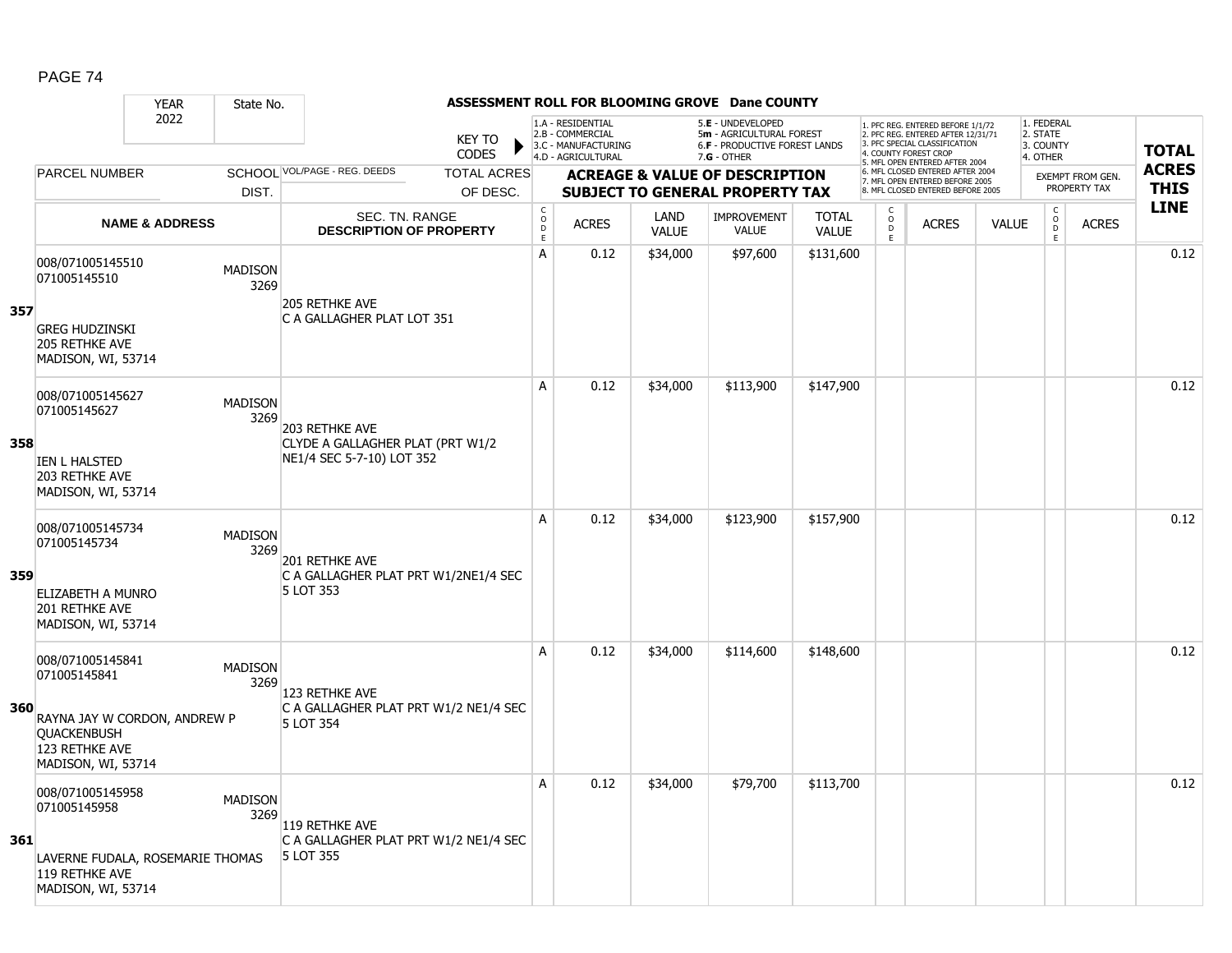|     |                                                                                                   | <b>YEAR</b>                      | State No.              |                                                                                 |                                       |                                                                                    |                      | ASSESSMENT ROLL FOR BLOOMING GROVE Dane COUNTY                                                  |                              |                                                 |                                                                                                                                   |              |                                                 |                         |              |
|-----|---------------------------------------------------------------------------------------------------|----------------------------------|------------------------|---------------------------------------------------------------------------------|---------------------------------------|------------------------------------------------------------------------------------|----------------------|-------------------------------------------------------------------------------------------------|------------------------------|-------------------------------------------------|-----------------------------------------------------------------------------------------------------------------------------------|--------------|-------------------------------------------------|-------------------------|--------------|
|     |                                                                                                   | 2022                             |                        | <b>KEY TO</b><br><b>CODES</b>                                                   |                                       | 1.A - RESIDENTIAL<br>2.B - COMMERCIAL<br>3.C - MANUFACTURING<br>4.D - AGRICULTURAL |                      | 5.E - UNDEVELOPED<br>5m - AGRICULTURAL FOREST<br>6.F - PRODUCTIVE FOREST LANDS<br>$7.G - OTHER$ |                              |                                                 | 1. PFC REG. ENTERED BEFORE 1/1/72<br>2. PFC REG. ENTERED AFTER 12/31/71<br>3. PFC SPECIAL CLASSIFICATION<br>4. COUNTY FOREST CROP |              | 1. FEDERAL<br>2. STATE<br>3. COUNTY<br>4. OTHER |                         | <b>TOTAL</b> |
|     | <b>PARCEL NUMBER</b>                                                                              |                                  |                        | SCHOOL VOL/PAGE - REG. DEEDS<br><b>TOTAL ACRES</b>                              |                                       |                                                                                    |                      | <b>ACREAGE &amp; VALUE OF DESCRIPTION</b>                                                       |                              |                                                 | 5. MFL OPEN ENTERED AFTER 2004<br>6. MFL CLOSED ENTERED AFTER 2004                                                                |              |                                                 | <b>EXEMPT FROM GEN.</b> | <b>ACRES</b> |
|     |                                                                                                   |                                  | DIST.                  | OF DESC.                                                                        |                                       |                                                                                    |                      | <b>SUBJECT TO GENERAL PROPERTY TAX</b>                                                          |                              |                                                 | 7. MFL OPEN ENTERED BEFORE 2005<br>8. MFL CLOSED ENTERED BEFORE 2005                                                              |              |                                                 | PROPERTY TAX            | <b>THIS</b>  |
|     |                                                                                                   | <b>NAME &amp; ADDRESS</b>        |                        | <b>SEC. TN. RANGE</b><br><b>DESCRIPTION OF PROPERTY</b>                         | C<br>$\mathsf{O}$<br>$\mathsf D$<br>E | <b>ACRES</b>                                                                       | LAND<br><b>VALUE</b> | <b>IMPROVEMENT</b><br><b>VALUE</b>                                                              | <b>TOTAL</b><br><b>VALUE</b> | $\begin{matrix} 0 \\ 0 \\ D \end{matrix}$<br>E. | <b>ACRES</b>                                                                                                                      | <b>VALUE</b> | $\begin{matrix} 0 \\ 0 \\ 0 \end{matrix}$<br>E  | <b>ACRES</b>            | <b>LINE</b>  |
| 357 | 008/071005145510<br>071005145510<br><b>GREG HUDZINSKI</b><br>205 RETHKE AVE<br>MADISON, WI, 53714 |                                  | <b>MADISON</b><br>3269 | <b>205 RETHKE AVE</b><br>C A GALLAGHER PLAT LOT 351                             | А                                     | 0.12                                                                               | \$34,000             | \$97,600                                                                                        | \$131,600                    |                                                 |                                                                                                                                   |              |                                                 |                         | 0.12         |
| 358 | 008/071005145627<br>071005145627                                                                  |                                  | <b>MADISON</b><br>3269 | 203 RETHKE AVE<br>CLYDE A GALLAGHER PLAT (PRT W1/2<br>NE1/4 SEC 5-7-10) LOT 352 | A                                     | 0.12                                                                               | \$34,000             | \$113,900                                                                                       | \$147,900                    |                                                 |                                                                                                                                   |              |                                                 |                         | 0.12         |
|     | <b>IEN L HALSTED</b><br>203 RETHKE AVE<br>MADISON, WI, 53714                                      |                                  |                        |                                                                                 | A                                     | 0.12                                                                               | \$34,000             | \$123,900                                                                                       | \$157,900                    |                                                 |                                                                                                                                   |              |                                                 |                         | 0.12         |
| 359 | 008/071005145734<br>071005145734<br>ELIZABETH A MUNRO<br>201 RETHKE AVE<br>MADISON, WI, 53714     |                                  | <b>MADISON</b><br>3269 | 201 RETHKE AVE<br>C A GALLAGHER PLAT PRT W1/2NE1/4 SEC<br>5 LOT 353             |                                       |                                                                                    |                      |                                                                                                 |                              |                                                 |                                                                                                                                   |              |                                                 |                         |              |
| 360 | 008/071005145841<br>071005145841<br><b>QUACKENBUSH</b><br>123 RETHKE AVE<br>MADISON, WI, 53714    | RAYNA JAY W CORDON, ANDREW P     | <b>MADISON</b><br>3269 | 123 RETHKE AVE<br>C A GALLAGHER PLAT PRT W1/2 NE1/4 SEC<br>5 LOT 354            | A                                     | 0.12                                                                               | \$34,000             | \$114,600                                                                                       | \$148,600                    |                                                 |                                                                                                                                   |              |                                                 |                         | 0.12         |
| 361 | 008/071005145958<br>071005145958<br>119 RETHKE AVE<br>MADISON, WI, 53714                          | LAVERNE FUDALA, ROSEMARIE THOMAS | <b>MADISON</b><br>3269 | 119 RETHKE AVE<br>C A GALLAGHER PLAT PRT W1/2 NE1/4 SEC<br>5 LOT 355            | Α                                     | 0.12                                                                               | \$34,000             | \$79,700                                                                                        | \$113,700                    |                                                 |                                                                                                                                   |              |                                                 |                         | 0.12         |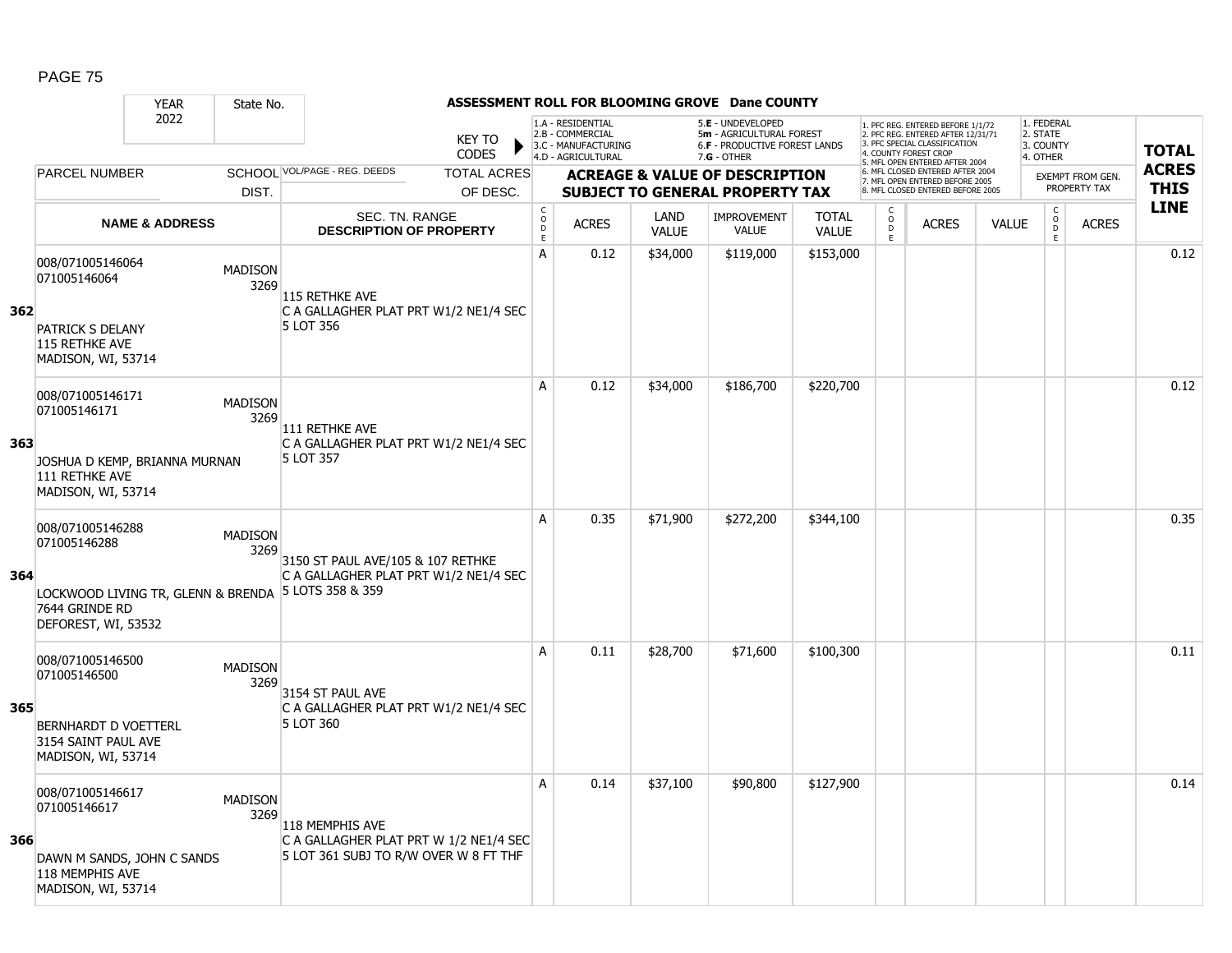|     |                                                                                                                 | <b>YEAR</b>               | State No.              |                                                                                                    |                        |                                     |                                                                                    |                      | ASSESSMENT ROLL FOR BLOOMING GROVE Dane COUNTY                                                         |                              |                         |                                                                                                         |              |                                                 |                         |              |
|-----|-----------------------------------------------------------------------------------------------------------------|---------------------------|------------------------|----------------------------------------------------------------------------------------------------|------------------------|-------------------------------------|------------------------------------------------------------------------------------|----------------------|--------------------------------------------------------------------------------------------------------|------------------------------|-------------------------|---------------------------------------------------------------------------------------------------------|--------------|-------------------------------------------------|-------------------------|--------------|
|     |                                                                                                                 | 2022                      |                        |                                                                                                    | <b>KEY TO</b><br>CODES |                                     | 1.A - RESIDENTIAL<br>2.B - COMMERCIAL<br>3.C - MANUFACTURING<br>4.D - AGRICULTURAL |                      | 5.E - UNDEVELOPED<br>5m - AGRICULTURAL FOREST<br><b>6.F - PRODUCTIVE FOREST LANDS</b><br>$7.G - OTHER$ |                              | 4. COUNTY FOREST CROP   | . PFC REG. ENTERED BEFORE 1/1/72<br>2. PFC REG. ENTERED AFTER 12/31/71<br>3. PFC SPECIAL CLASSIFICATION |              | 1. FEDERAL<br>2. STATE<br>3. COUNTY<br>4. OTHER |                         | <b>TOTAL</b> |
|     | <b>PARCEL NUMBER</b>                                                                                            |                           |                        | SCHOOL VOL/PAGE - REG. DEEDS                                                                       | <b>TOTAL ACRES</b>     |                                     |                                                                                    |                      | <b>ACREAGE &amp; VALUE OF DESCRIPTION</b>                                                              |                              |                         | 5. MFL OPEN ENTERED AFTER 2004<br>6. MFL CLOSED ENTERED AFTER 2004                                      |              |                                                 | <b>EXEMPT FROM GEN.</b> | <b>ACRES</b> |
|     |                                                                                                                 |                           | DIST.                  |                                                                                                    | OF DESC.               |                                     |                                                                                    |                      | <b>SUBJECT TO GENERAL PROPERTY TAX</b>                                                                 |                              |                         | 7. MFL OPEN ENTERED BEFORE 2005<br>8. MFL CLOSED ENTERED BEFORE 2005                                    |              |                                                 | PROPERTY TAX            | <b>THIS</b>  |
|     |                                                                                                                 | <b>NAME &amp; ADDRESS</b> |                        | SEC. TN. RANGE<br><b>DESCRIPTION OF PROPERTY</b>                                                   |                        | $_{\rm o}^{\rm c}$<br>$\frac{D}{E}$ | <b>ACRES</b>                                                                       | LAND<br><b>VALUE</b> | <b>IMPROVEMENT</b><br><b>VALUE</b>                                                                     | <b>TOTAL</b><br><b>VALUE</b> | C<br>$\circ$<br>D<br>E. | <b>ACRES</b>                                                                                            | <b>VALUE</b> | $_{\rm o}^{\rm c}$<br>D<br>E                    | <b>ACRES</b>            | <b>LINE</b>  |
| 362 | 008/071005146064<br>071005146064<br><b>PATRICK S DELANY</b><br>115 RETHKE AVE<br>MADISON, WI, 53714             |                           | <b>MADISON</b><br>3269 | 115 RETHKE AVE<br>C A GALLAGHER PLAT PRT W1/2 NE1/4 SEC<br>5 LOT 356                               |                        | A                                   | 0.12                                                                               | \$34,000             | \$119,000                                                                                              | \$153,000                    |                         |                                                                                                         |              |                                                 |                         | 0.12         |
| 363 | 008/071005146171<br>071005146171<br>JOSHUA D KEMP, BRIANNA MURNAN<br>111 RETHKE AVE<br>MADISON, WI, 53714       |                           | <b>MADISON</b><br>3269 | 111 RETHKE AVE<br>C A GALLAGHER PLAT PRT W1/2 NE1/4 SEC<br>5 LOT 357                               |                        | A                                   | 0.12                                                                               | \$34,000             | \$186,700                                                                                              | \$220,700                    |                         |                                                                                                         |              |                                                 |                         | 0.12         |
| 364 | 008/071005146288<br>071005146288<br>LOCKWOOD LIVING TR, GLENN & BRENDA<br>7644 GRINDE RD<br>DEFOREST, WI, 53532 |                           | <b>MADISON</b><br>3269 | 3150 ST PAUL AVE/105 & 107 RETHKE<br>C A GALLAGHER PLAT PRT W1/2 NE1/4 SEC<br>5 LOTS 358 & 359     |                        | A                                   | 0.35                                                                               | \$71,900             | \$272,200                                                                                              | \$344,100                    |                         |                                                                                                         |              |                                                 |                         | 0.35         |
| 365 | 008/071005146500<br>071005146500<br><b>BERNHARDT D VOETTERL</b><br>3154 SAINT PAUL AVE<br>MADISON, WI, 53714    |                           | <b>MADISON</b><br>3269 | 3154 ST PAUL AVE<br>C A GALLAGHER PLAT PRT W1/2 NE1/4 SEC<br>5 LOT 360                             |                        | A                                   | 0.11                                                                               | \$28,700             | \$71,600                                                                                               | \$100,300                    |                         |                                                                                                         |              |                                                 |                         | 0.11         |
| 366 | 008/071005146617<br>071005146617<br>DAWN M SANDS, JOHN C SANDS<br>118 MEMPHIS AVE<br>MADISON, WI, 53714         |                           | <b>MADISON</b><br>3269 | 118 MEMPHIS AVE<br>C A GALLAGHER PLAT PRT W 1/2 NE1/4 SEC<br>5 LOT 361 SUBJ TO R/W OVER W 8 FT THF |                        | A                                   | 0.14                                                                               | \$37,100             | \$90,800                                                                                               | \$127,900                    |                         |                                                                                                         |              |                                                 |                         | 0.14         |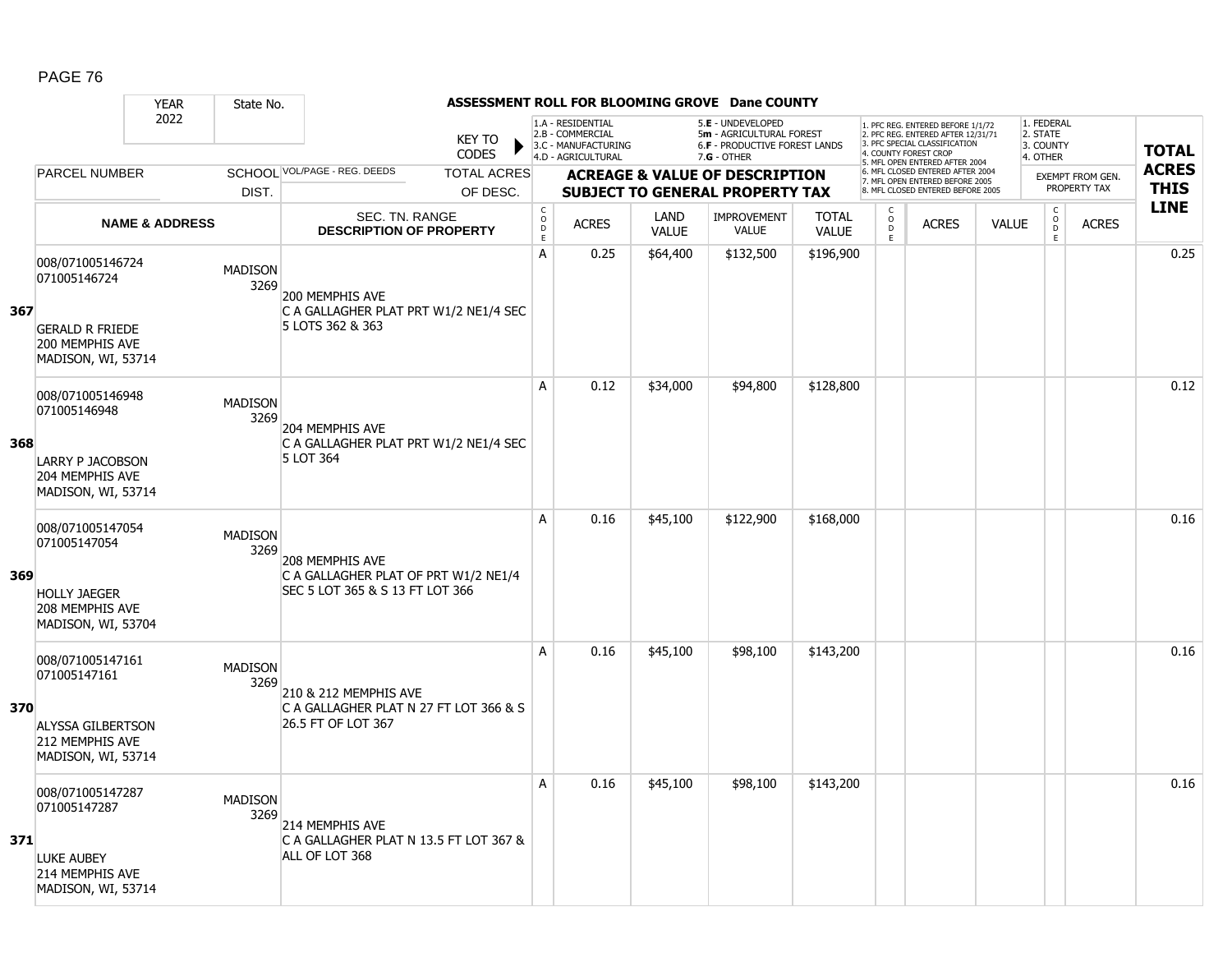|     |                                                                                                       | <b>YEAR</b>               | State No.              |                                                                                            |                             |                                                                                    |                      | ASSESSMENT ROLL FOR BLOOMING GROVE Dane COUNTY                                                         |                              |                                |                                                                                                                                   |              |                                                 |                                         |              |
|-----|-------------------------------------------------------------------------------------------------------|---------------------------|------------------------|--------------------------------------------------------------------------------------------|-----------------------------|------------------------------------------------------------------------------------|----------------------|--------------------------------------------------------------------------------------------------------|------------------------------|--------------------------------|-----------------------------------------------------------------------------------------------------------------------------------|--------------|-------------------------------------------------|-----------------------------------------|--------------|
|     |                                                                                                       | 2022                      |                        | <b>KEY TO</b><br><b>CODES</b>                                                              |                             | 1.A - RESIDENTIAL<br>2.B - COMMERCIAL<br>3.C - MANUFACTURING<br>4.D - AGRICULTURAL |                      | 5.E - UNDEVELOPED<br>5m - AGRICULTURAL FOREST<br><b>6.F - PRODUCTIVE FOREST LANDS</b><br>$7.G - OTHER$ |                              |                                | 1. PFC REG. ENTERED BEFORE 1/1/72<br>2. PFC REG. ENTERED AFTER 12/31/71<br>3. PFC SPECIAL CLASSIFICATION<br>4. COUNTY FOREST CROP |              | 1. FEDERAL<br>2. STATE<br>3. COUNTY<br>4. OTHER |                                         | <b>TOTAL</b> |
|     | <b>PARCEL NUMBER</b>                                                                                  |                           |                        | SCHOOL VOL/PAGE - REG. DEEDS<br><b>TOTAL ACRES</b>                                         |                             |                                                                                    |                      |                                                                                                        |                              |                                | 5. MFL OPEN ENTERED AFTER 2004<br>6. MFL CLOSED ENTERED AFTER 2004                                                                |              |                                                 |                                         | <b>ACRES</b> |
|     |                                                                                                       |                           | DIST.                  | OF DESC.                                                                                   |                             |                                                                                    |                      | <b>ACREAGE &amp; VALUE OF DESCRIPTION</b><br><b>SUBJECT TO GENERAL PROPERTY TAX</b>                    |                              |                                | 7. MFL OPEN ENTERED BEFORE 2005<br>8. MFL CLOSED ENTERED BEFORE 2005                                                              |              |                                                 | <b>EXEMPT FROM GEN.</b><br>PROPERTY TAX | <b>THIS</b>  |
|     |                                                                                                       | <b>NAME &amp; ADDRESS</b> |                        | <b>SEC. TN. RANGE</b><br><b>DESCRIPTION OF PROPERTY</b>                                    | $\mathsf C$<br>$\circ$<br>D | <b>ACRES</b>                                                                       | LAND<br><b>VALUE</b> | <b>IMPROVEMENT</b><br><b>VALUE</b>                                                                     | <b>TOTAL</b><br><b>VALUE</b> | C<br>$\overset{\mathsf{O}}{D}$ | <b>ACRES</b>                                                                                                                      | <b>VALUE</b> | $\mathsf C$<br>$\overline{0}$                   | <b>ACRES</b>                            | <b>LINE</b>  |
| 367 | 008/071005146724<br>071005146724<br><b>GERALD R FRIEDE</b><br>200 MEMPHIS AVE<br>MADISON, WI, 53714   |                           | <b>MADISON</b><br>3269 | 200 MEMPHIS AVE<br>C A GALLAGHER PLAT PRT W1/2 NE1/4 SEC<br>5 LOTS 362 & 363               | $\mathsf E$<br>Α            | 0.25                                                                               | \$64,400             | \$132,500                                                                                              | \$196,900                    | E.                             |                                                                                                                                   |              | E                                               |                                         | 0.25         |
| 368 | 008/071005146948<br>071005146948<br><b>LARRY P JACOBSON</b><br>204 MEMPHIS AVE<br>MADISON, WI, 53714  |                           | <b>MADISON</b><br>3269 | 204 MEMPHIS AVE<br>C A GALLAGHER PLAT PRT W1/2 NE1/4 SEC<br>5 LOT 364                      | A                           | 0.12                                                                               | \$34,000             | \$94,800                                                                                               | \$128,800                    |                                |                                                                                                                                   |              |                                                 |                                         | 0.12         |
| 369 | 008/071005147054<br>071005147054<br><b>HOLLY JAEGER</b><br>208 MEMPHIS AVE<br>MADISON, WI, 53704      |                           | <b>MADISON</b><br>3269 | 208 MEMPHIS AVE<br>C A GALLAGHER PLAT OF PRT W1/2 NE1/4<br>SEC 5 LOT 365 & S 13 FT LOT 366 | A                           | 0.16                                                                               | \$45,100             | \$122,900                                                                                              | \$168,000                    |                                |                                                                                                                                   |              |                                                 |                                         | 0.16         |
| 370 | 008/071005147161<br>071005147161<br><b>ALYSSA GILBERTSON</b><br>212 MEMPHIS AVE<br>MADISON, WI, 53714 |                           | <b>MADISON</b><br>3269 | 210 & 212 MEMPHIS AVE<br>C A GALLAGHER PLAT N 27 FT LOT 366 & S<br>26.5 FT OF LOT 367      | A                           | 0.16                                                                               | \$45,100             | \$98,100                                                                                               | \$143,200                    |                                |                                                                                                                                   |              |                                                 |                                         | 0.16         |
| 371 | 008/071005147287<br>071005147287<br><b>LUKE AUBEY</b><br>214 MEMPHIS AVE<br>MADISON, WI, 53714        |                           | <b>MADISON</b><br>3269 | 214 MEMPHIS AVE<br>C A GALLAGHER PLAT N 13.5 FT LOT 367 &<br>ALL OF LOT 368                | A                           | 0.16                                                                               | \$45,100             | \$98,100                                                                                               | \$143,200                    |                                |                                                                                                                                   |              |                                                 |                                         | 0.16         |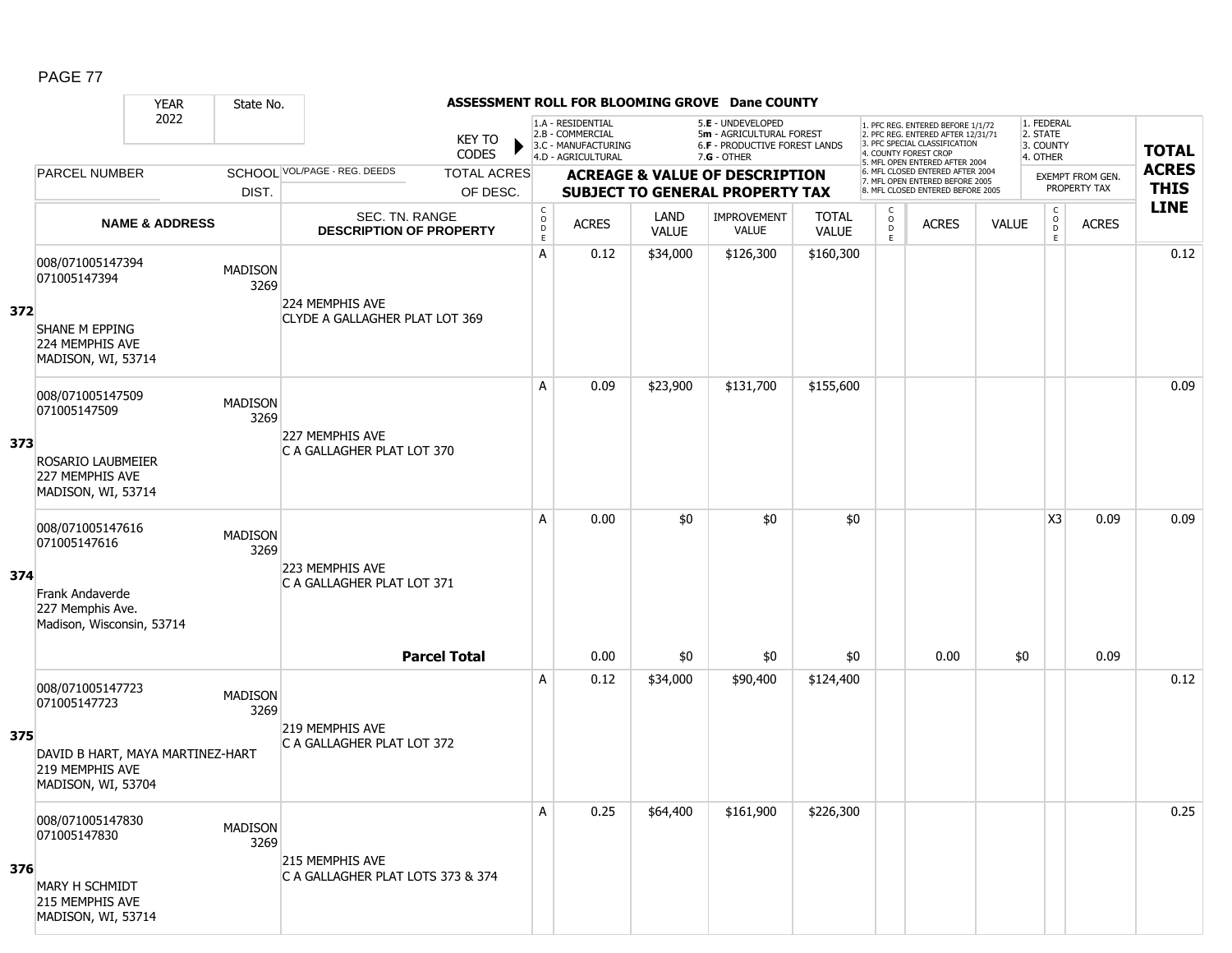### YEAR State No. **ASSESSMENT ROLL FOR BLOOMING GROVE Dane COUNTY** 2022 KEY TO **CODES** 1. PFC REG. ENTERED BEFORE 1/1/72 2. PFC REG. ENTERED AFTER 12/31/71 3. PFC SPECIAL CLASSIFICATION 4. COUNTY FOREST CROP 5. MFL OPEN ENTERED AFTER 2004 6. MFL CLOSED ENTERED AFTER 2004 7. MFL OPEN ENTERED BEFORE 2005 8. MFL CLOSED ENTERED BEFORE 2005 1. FEDERAL 2. STATE 3. COUNTY 4. OTHER **ACREAGE & VALUE OF DESCRIPTION SUBJECT TO GENERAL PROPERTY TAX** EXEMPT FROM GEN. PROPERTY TAX **TOTAL ACRES THIS LINE** 1.A - RESIDENTIAL 2.B - COMMERCIAL 3.C - MANUFACTURING 4.D - AGRICULTURAL 5.**E** - UNDEVELOPED 5**m** - AGRICULTURAL FOREST 6.**F** - PRODUCTIVE FOREST LANDS 7.**G** - OTHER TOTAL ACRES OF DESC. SCHOOL VOL/PAGE - REG. DEEDS DIST. PARCEL NUMBER ACRES C O  $\overline{D}$ E ACRES VALUE  $\mathsf{C}$ O  $\overline{D}$ E TOTAL VALUE IMPROVEMENT VALUE LAND ACRES | VALUE C O  $\overline{D}$ E SEC. TN. RANGE **DESCRIPTION OF PROPERTY NAME & ADDRESS 372** 008/071005147394 0007071005147534<br>071005147394 MADISON 3269 SHANE M EPPING 224 MEMPHIS AVE MADISON, WI, 53714 224 MEMPHIS AVE CLYDE A GALLAGHER PLAT LOT 369 A 0.12 \$34,000 \$126,300 \$160,300 distribution of the 10.12 0.12 distribution of the 10.12 distribution of the 1 **373** 008/071005147509 006/071005147509 MADISON<br>071005147509 2360 3269 ROSARIO LAUBMEIER 227 MEMPHIS AVE MADISON, WI, 53714 227 MEMPHIS AVE C A GALLAGHER PLAT LOT 370 A 0.09 \$23,900 \$131,700 \$155,600 distribution of the 10.09 \$130,000 distribution of the 10.09  $\,$ **374** 008/071005147616 006/071005147616<br>071005147616 MADISON 3269 Frank Andaverde 227 Memphis Ave. Madison, Wisconsin, 53714 223 MEMPHIS AVE C A GALLAGHER PLAT LOT 371 A 0.00 \$0 \$0 \$0 \$0 \$0  $\mid$  X3 0.09 0.09 **Parcel Total** | 0.00 \$0 | \$0 | 0.00 \$0 | | 0.09 **375** 008/071005147723 0000071005147723 MADISON<br>071005147723 3269 DAVID B HART, MAYA MARTINEZ-HART 219 MEMPHIS AVE MADISON, WI, 53704 219 MEMPHIS AVE C A GALLAGHER PLAT LOT 372 A 0.12 \$34,000 \$90,400 \$124,400 0.12 **376** 008/071005147830 0000071005147656<br>071005147830 MADISON 3269 MARY H SCHMIDT 215 MEMPHIS AVE MADISON, WI, 53714 215 MEMPHIS AVE C A GALLAGHER PLAT LOTS 373 & 374 A 0.25 \$64,400 \$161,900 \$226,300 discussed by the control of the control of the control of the control of the c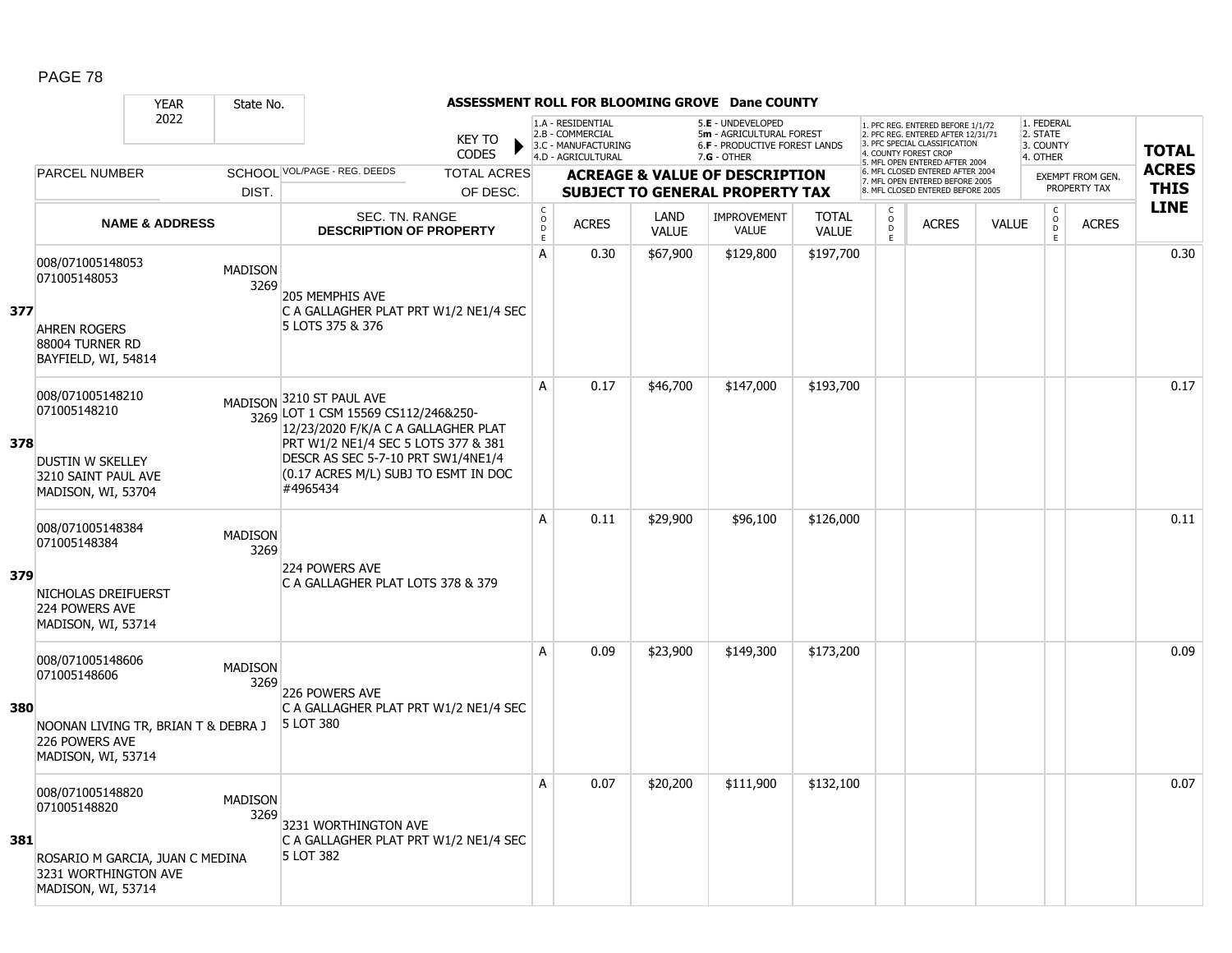|     |                                                                                                                   | <b>YEAR</b>               | State No.              |                                                                                                                                                                                                                                         |                                       |                                                                                    |                      | ASSESSMENT ROLL FOR BLOOMING GROVE Dane COUNTY                                                         |                              |                                                 |                                                                                                                                   |              |                                                 |                         |              |
|-----|-------------------------------------------------------------------------------------------------------------------|---------------------------|------------------------|-----------------------------------------------------------------------------------------------------------------------------------------------------------------------------------------------------------------------------------------|---------------------------------------|------------------------------------------------------------------------------------|----------------------|--------------------------------------------------------------------------------------------------------|------------------------------|-------------------------------------------------|-----------------------------------------------------------------------------------------------------------------------------------|--------------|-------------------------------------------------|-------------------------|--------------|
|     |                                                                                                                   | 2022                      |                        | <b>KEY TO</b><br><b>CODES</b>                                                                                                                                                                                                           |                                       | 1.A - RESIDENTIAL<br>2.B - COMMERCIAL<br>3.C - MANUFACTURING<br>4.D - AGRICULTURAL |                      | 5.E - UNDEVELOPED<br>5m - AGRICULTURAL FOREST<br><b>6.F - PRODUCTIVE FOREST LANDS</b><br>$7.G - OTHER$ |                              |                                                 | 1. PFC REG. ENTERED BEFORE 1/1/72<br>2. PFC REG. ENTERED AFTER 12/31/71<br>3. PFC SPECIAL CLASSIFICATION<br>4. COUNTY FOREST CROP |              | 1. FEDERAL<br>2. STATE<br>3. COUNTY<br>4. OTHER |                         | <b>TOTAL</b> |
|     | <b>PARCEL NUMBER</b>                                                                                              |                           |                        | SCHOOL VOL/PAGE - REG. DEEDS<br><b>TOTAL ACRES</b>                                                                                                                                                                                      |                                       |                                                                                    |                      | <b>ACREAGE &amp; VALUE OF DESCRIPTION</b>                                                              |                              |                                                 | 5. MFL OPEN ENTERED AFTER 2004<br>6. MFL CLOSED ENTERED AFTER 2004                                                                |              |                                                 | <b>EXEMPT FROM GEN.</b> | <b>ACRES</b> |
|     |                                                                                                                   |                           | DIST.                  | OF DESC.                                                                                                                                                                                                                                |                                       |                                                                                    |                      | <b>SUBJECT TO GENERAL PROPERTY TAX</b>                                                                 |                              |                                                 | 7. MFL OPEN ENTERED BEFORE 2005<br>8. MFL CLOSED ENTERED BEFORE 2005                                                              |              |                                                 | PROPERTY TAX            | <b>THIS</b>  |
|     |                                                                                                                   | <b>NAME &amp; ADDRESS</b> |                        | <b>SEC. TN. RANGE</b><br><b>DESCRIPTION OF PROPERTY</b>                                                                                                                                                                                 | C<br>$\mathsf{O}$<br>$\mathsf D$<br>E | <b>ACRES</b>                                                                       | LAND<br><b>VALUE</b> | IMPROVEMENT<br><b>VALUE</b>                                                                            | <b>TOTAL</b><br><b>VALUE</b> | $\begin{matrix} 0 \\ 0 \\ D \end{matrix}$<br>E. | <b>ACRES</b>                                                                                                                      | <b>VALUE</b> | $\begin{matrix} 0 \\ 0 \\ 0 \end{matrix}$<br>E  | <b>ACRES</b>            | <b>LINE</b>  |
| 377 | 008/071005148053<br>071005148053<br><b>AHREN ROGERS</b><br>88004 TURNER RD<br>BAYFIELD, WI, 54814                 |                           | <b>MADISON</b><br>3269 | 205 MEMPHIS AVE<br>C A GALLAGHER PLAT PRT W1/2 NE1/4 SEC<br>5 LOTS 375 & 376                                                                                                                                                            | A                                     | 0.30                                                                               | \$67,900             | \$129,800                                                                                              | \$197,700                    |                                                 |                                                                                                                                   |              |                                                 |                         | 0.30         |
| 378 | 008/071005148210<br>071005148210<br><b>DUSTIN W SKELLEY</b><br>3210 SAINT PAUL AVE<br>MADISON, WI, 53704          |                           |                        | MADISON 3210 ST PAUL AVE<br>3269 LOT 1 CSM 15569 CS112/246&250-<br>12/23/2020 F/K/A C A GALLAGHER PLAT<br>PRT W1/2 NE1/4 SEC 5 LOTS 377 & 381<br>DESCR AS SEC 5-7-10 PRT SW1/4NE1/4<br>(0.17 ACRES M/L) SUBJ TO ESMT IN DOC<br>#4965434 | A                                     | 0.17                                                                               | \$46,700             | \$147,000                                                                                              | \$193,700                    |                                                 |                                                                                                                                   |              |                                                 |                         | 0.17         |
| 379 | 008/071005148384<br>071005148384<br>NICHOLAS DREIFUERST<br>224 POWERS AVE<br>MADISON, WI, 53714                   |                           | <b>MADISON</b><br>3269 | 224 POWERS AVE<br>C A GALLAGHER PLAT LOTS 378 & 379                                                                                                                                                                                     | A                                     | 0.11                                                                               | \$29,900             | \$96,100                                                                                               | \$126,000                    |                                                 |                                                                                                                                   |              |                                                 |                         | 0.11         |
| 380 | 008/071005148606<br>071005148606<br>NOONAN LIVING TR, BRIAN T & DEBRA J<br>226 POWERS AVE<br>MADISON, WI, 53714   |                           | <b>MADISON</b><br>3269 | 226 POWERS AVE<br>C A GALLAGHER PLAT PRT W1/2 NE1/4 SEC<br>5 LOT 380                                                                                                                                                                    | A                                     | 0.09                                                                               | \$23,900             | \$149,300                                                                                              | \$173,200                    |                                                 |                                                                                                                                   |              |                                                 |                         | 0.09         |
| 381 | 008/071005148820<br>071005148820<br>ROSARIO M GARCIA, JUAN C MEDINA<br>3231 WORTHINGTON AVE<br>MADISON, WI, 53714 |                           | <b>MADISON</b><br>3269 | 3231 WORTHINGTON AVE<br>C A GALLAGHER PLAT PRT W1/2 NE1/4 SEC<br>5 LOT 382                                                                                                                                                              | Α                                     | 0.07                                                                               | \$20,200             | \$111,900                                                                                              | \$132,100                    |                                                 |                                                                                                                                   |              |                                                 |                         | 0.07         |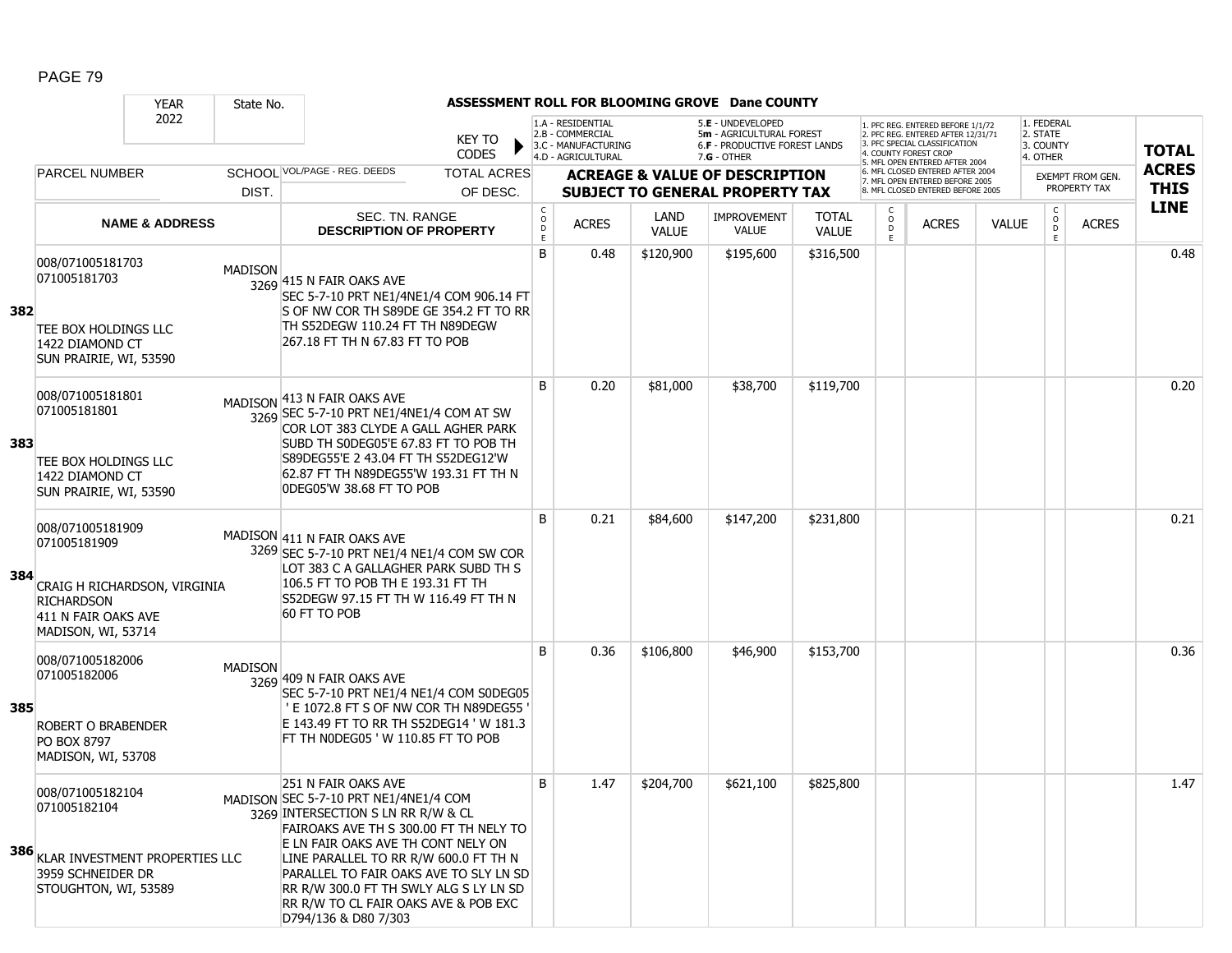|     |                                                                                                                                    | <b>YEAR</b>               | State No.      |                                                                                                                                                                                                                                                                                                                                                                                 |                               |                                       |                                                                                    |                      | ASSESSMENT ROLL FOR BLOOMING GROVE Dane COUNTY                                                         |                              |                                    |                                                                                                                                   |              |                                                 |                  |              |
|-----|------------------------------------------------------------------------------------------------------------------------------------|---------------------------|----------------|---------------------------------------------------------------------------------------------------------------------------------------------------------------------------------------------------------------------------------------------------------------------------------------------------------------------------------------------------------------------------------|-------------------------------|---------------------------------------|------------------------------------------------------------------------------------|----------------------|--------------------------------------------------------------------------------------------------------|------------------------------|------------------------------------|-----------------------------------------------------------------------------------------------------------------------------------|--------------|-------------------------------------------------|------------------|--------------|
|     |                                                                                                                                    | 2022                      |                |                                                                                                                                                                                                                                                                                                                                                                                 | <b>KEY TO</b><br><b>CODES</b> |                                       | 1.A - RESIDENTIAL<br>2.B - COMMERCIAL<br>3.C - MANUFACTURING<br>4.D - AGRICULTURAL |                      | 5.E - UNDEVELOPED<br>5m - AGRICULTURAL FOREST<br><b>6.F - PRODUCTIVE FOREST LANDS</b><br>$7.G - OTHER$ |                              |                                    | 1. PFC REG. ENTERED BEFORE 1/1/72<br>2. PFC REG. ENTERED AFTER 12/31/71<br>3. PFC SPECIAL CLASSIFICATION<br>4. COUNTY FOREST CROP |              | 1. FEDERAL<br>2. STATE<br>3. COUNTY<br>4. OTHER |                  | <b>TOTAL</b> |
|     | <b>PARCEL NUMBER</b>                                                                                                               |                           |                | SCHOOL VOL/PAGE - REG. DEEDS                                                                                                                                                                                                                                                                                                                                                    | <b>TOTAL ACRES</b>            |                                       |                                                                                    |                      | <b>ACREAGE &amp; VALUE OF DESCRIPTION</b>                                                              |                              |                                    | 5. MFL OPEN ENTERED AFTER 2004<br>6. MFL CLOSED ENTERED AFTER 2004<br>7. MFL OPEN ENTERED BEFORE 2005                             |              |                                                 | EXEMPT FROM GEN. | <b>ACRES</b> |
|     |                                                                                                                                    |                           | DIST.          |                                                                                                                                                                                                                                                                                                                                                                                 | OF DESC.                      |                                       |                                                                                    |                      | <b>SUBJECT TO GENERAL PROPERTY TAX</b>                                                                 |                              |                                    | 8. MFL CLOSED ENTERED BEFORE 2005                                                                                                 |              |                                                 | PROPERTY TAX     | <b>THIS</b>  |
|     |                                                                                                                                    | <b>NAME &amp; ADDRESS</b> |                | SEC. TN. RANGE<br><b>DESCRIPTION OF PROPERTY</b>                                                                                                                                                                                                                                                                                                                                |                               | $\mathsf{C}$<br>$\mathsf O$<br>D<br>E | <b>ACRES</b>                                                                       | LAND<br><b>VALUE</b> | <b>IMPROVEMENT</b><br><b>VALUE</b>                                                                     | <b>TOTAL</b><br><b>VALUE</b> | $\mathsf{C}$<br>$_{\rm D}^{\rm O}$ | <b>ACRES</b>                                                                                                                      | <b>VALUE</b> | $\rm _o^C$<br>D<br>E                            | <b>ACRES</b>     | <b>LINE</b>  |
| 382 | 008/071005181703<br>071005181703<br>TEE BOX HOLDINGS LLC<br>1422 DIAMOND CT<br>SUN PRAIRIE, WI, 53590                              |                           | <b>MADISON</b> | 3269 415 N FAIR OAKS AVE<br>SEC 5-7-10 PRT NE1/4NE1/4 COM 906.14 FT<br>S OF NW COR TH S89DE GE 354.2 FT TO RR<br>TH S52DEGW 110.24 FT TH N89DEGW<br>267.18 FT TH N 67.83 FT TO POB                                                                                                                                                                                              |                               | B                                     | 0.48                                                                               | \$120,900            | \$195,600                                                                                              | \$316,500                    |                                    |                                                                                                                                   |              |                                                 |                  | 0.48         |
| 383 | 008/071005181801<br>071005181801<br>TEE BOX HOLDINGS LLC<br>1422 DIAMOND CT<br>SUN PRAIRIE, WI, 53590                              |                           |                | MADISON 413 N FAIR OAKS AVE<br>3269 SEC 5-7-10 PRT NE1/4NE1/4 COM AT SW<br>COR LOT 383 CLYDE A GALL AGHER PARK<br>SUBD TH SODEG05'E 67.83 FT TO POB TH<br>S89DEG55'E 2 43.04 FT TH S52DEG12'W<br>62.87 FT TH N89DEG55'W 193.31 FT TH N<br>ODEG05'W 38.68 FT TO POB                                                                                                              |                               | B                                     | 0.20                                                                               | \$81,000             | \$38,700                                                                                               | \$119,700                    |                                    |                                                                                                                                   |              |                                                 |                  | 0.20         |
| 384 | 008/071005181909<br>071005181909<br>CRAIG H RICHARDSON, VIRGINIA<br><b>RICHARDSON</b><br>411 N FAIR OAKS AVE<br>MADISON, WI, 53714 |                           |                | MADISON 411 N FAIR OAKS AVE<br>3269 SEC 5-7-10 PRT NE1/4 NE1/4 COM SW COR<br>LOT 383 C A GALLAGHER PARK SUBD TH S<br>106.5 FT TO POB TH E 193.31 FT TH<br>S52DEGW 97.15 FT TH W 116.49 FT TH N<br>60 FT TO POB                                                                                                                                                                  |                               | B                                     | 0.21                                                                               | \$84,600             | \$147,200                                                                                              | \$231,800                    |                                    |                                                                                                                                   |              |                                                 |                  | 0.21         |
| 385 | 008/071005182006<br>071005182006<br><b>ROBERT O BRABENDER</b><br>PO BOX 8797<br>MADISON, WI, 53708                                 |                           | <b>MADISON</b> | 3269 409 N FAIR OAKS AVE<br>SEC 5-7-10 PRT NE1/4 NE1/4 COM S0DEG05<br>' E 1072.8 FT S OF NW COR TH N89DEG55<br>E 143.49 FT TO RR TH S52DEG14 'W 181.3<br>FT TH NODEG05 'W 110.85 FT TO POB                                                                                                                                                                                      |                               | B                                     | 0.36                                                                               | \$106,800            | \$46,900                                                                                               | \$153,700                    |                                    |                                                                                                                                   |              |                                                 |                  | 0.36         |
|     | 008/071005182104<br>071005182104<br><b>386 KLAR INVESTMENT PROPERTIES LLC</b><br>3959 SCHNEIDER DR<br>STOUGHTON, WI, 53589         |                           |                | 251 N FAIR OAKS AVE<br>MADISON SEC 5-7-10 PRT NE1/4NE1/4 COM<br>3269 INTERSECTION S LN RR R/W & CL<br>FAIROAKS AVE TH S 300.00 FT TH NELY TO<br>E LN FAIR OAKS AVE TH CONT NELY ON<br>LINE PARALLEL TO RR R/W 600.0 FT TH N<br>PARALLEL TO FAIR OAKS AVE TO SLY LN SD<br>RR R/W 300.0 FT TH SWLY ALG S LY LN SD<br>RR R/W TO CL FAIR OAKS AVE & POB EXC<br>D794/136 & D80 7/303 |                               | B                                     | 1.47                                                                               | \$204,700            | \$621,100                                                                                              | \$825,800                    |                                    |                                                                                                                                   |              |                                                 |                  | 1.47         |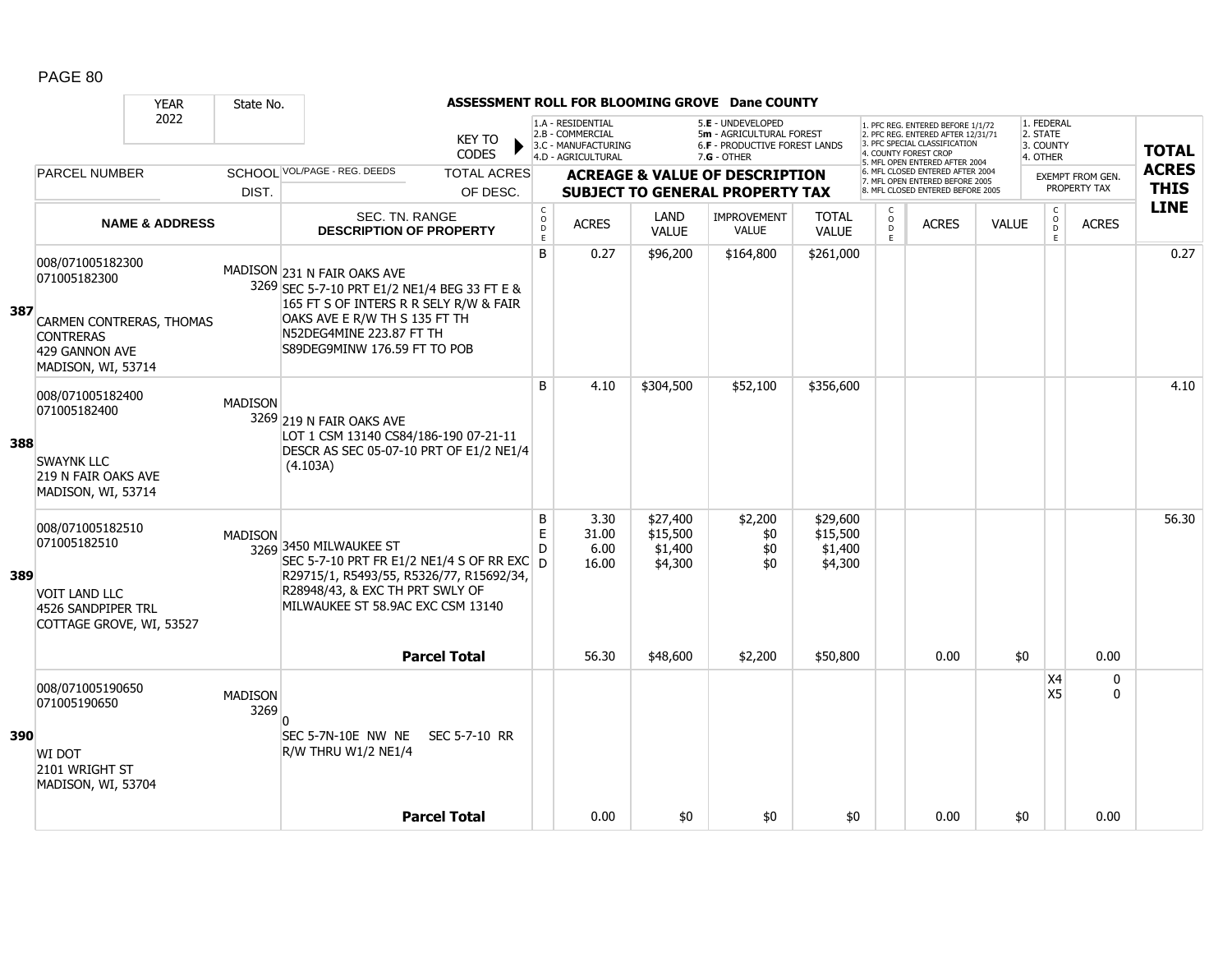|     |                                                                        | <b>YEAR</b>               | State No.              |                                                                                                                                                        |                        |                                              |                                                                                    |                                            | ASSESSMENT ROLL FOR BLOOMING GROVE Dane COUNTY                                                |                                            |                                                   |                                                                                                                                                                     |              |                                                 |                                         |                             |
|-----|------------------------------------------------------------------------|---------------------------|------------------------|--------------------------------------------------------------------------------------------------------------------------------------------------------|------------------------|----------------------------------------------|------------------------------------------------------------------------------------|--------------------------------------------|-----------------------------------------------------------------------------------------------|--------------------------------------------|---------------------------------------------------|---------------------------------------------------------------------------------------------------------------------------------------------------------------------|--------------|-------------------------------------------------|-----------------------------------------|-----------------------------|
|     |                                                                        | 2022                      |                        |                                                                                                                                                        | KEY TO<br><b>CODES</b> |                                              | 1.A - RESIDENTIAL<br>2.B - COMMERCIAL<br>3.C - MANUFACTURING<br>4.D - AGRICULTURAL |                                            | 5.E - UNDEVELOPED<br>5m - AGRICULTURAL FOREST<br>6.F - PRODUCTIVE FOREST LANDS<br>7.G - OTHER |                                            |                                                   | 1. PFC REG. ENTERED BEFORE 1/1/72<br>2. PFC REG. ENTERED AFTER 12/31/71<br>3. PFC SPECIAL CLASSIFICATION<br>4. COUNTY FOREST CROP<br>5. MFL OPEN ENTERED AFTER 2004 |              | 1. FEDERAL<br>2. STATE<br>3. COUNTY<br>4. OTHER |                                         | <b>TOTAL</b>                |
|     | <b>PARCEL NUMBER</b>                                                   |                           |                        | SCHOOL VOL/PAGE - REG. DEEDS                                                                                                                           | <b>TOTAL ACRES</b>     |                                              |                                                                                    |                                            | <b>ACREAGE &amp; VALUE OF DESCRIPTION</b>                                                     |                                            |                                                   | 6. MFL CLOSED ENTERED AFTER 2004<br>7. MFL OPEN ENTERED BEFORE 2005                                                                                                 |              |                                                 | <b>EXEMPT FROM GEN.</b><br>PROPERTY TAX | <b>ACRES</b><br><b>THIS</b> |
|     |                                                                        |                           | DIST.                  |                                                                                                                                                        | OF DESC.               |                                              |                                                                                    |                                            | <b>SUBJECT TO GENERAL PROPERTY TAX</b>                                                        |                                            |                                                   | 8. MFL CLOSED ENTERED BEFORE 2005                                                                                                                                   |              | $\mathsf C$                                     |                                         | <b>LINE</b>                 |
|     |                                                                        | <b>NAME &amp; ADDRESS</b> |                        | SEC. TN. RANGE<br><b>DESCRIPTION OF PROPERTY</b>                                                                                                       |                        | $\begin{array}{c}\nC \\ O \\ E\n\end{array}$ | <b>ACRES</b>                                                                       | <b>LAND</b><br><b>VALUE</b>                | <b>IMPROVEMENT</b><br>VALUE                                                                   | <b>TOTAL</b><br><b>VALUE</b>               | C<br>$\begin{array}{c}\n0 \\ D \\ E\n\end{array}$ | <b>ACRES</b>                                                                                                                                                        | <b>VALUE</b> | $_{\rm D}^{\rm O}$<br>E                         | <b>ACRES</b>                            |                             |
| 387 | 008/071005182300<br>071005182300<br>CARMEN CONTRERAS, THOMAS           |                           |                        | MADISON 231 N FAIR OAKS AVE<br>3269 SEC 5-7-10 PRT E1/2 NE1/4 BEG 33 FT E &<br>165 FT S OF INTERS R R SELY R/W & FAIR<br>OAKS AVE E R/W TH S 135 FT TH |                        | B                                            | 0.27                                                                               | \$96,200                                   | \$164,800                                                                                     | \$261,000                                  |                                                   |                                                                                                                                                                     |              |                                                 |                                         | 0.27                        |
|     | <b>CONTRERAS</b><br>429 GANNON AVE<br>MADISON, WI, 53714               |                           |                        | N52DEG4MINE 223.87 FT TH<br>S89DEG9MINW 176.59 FT TO POB                                                                                               |                        |                                              |                                                                                    |                                            |                                                                                               |                                            |                                                   |                                                                                                                                                                     |              |                                                 |                                         |                             |
| 388 | 008/071005182400<br>071005182400                                       |                           | <b>MADISON</b>         | 3269 219 N FAIR OAKS AVE<br>LOT 1 CSM 13140 CS84/186-190 07-21-11                                                                                      |                        | B                                            | 4.10                                                                               | \$304,500                                  | \$52,100                                                                                      | \$356,600                                  |                                                   |                                                                                                                                                                     |              |                                                 |                                         | 4.10                        |
|     | <b>SWAYNK LLC</b><br>219 N FAIR OAKS AVE<br>MADISON, WI, 53714         |                           |                        | DESCR AS SEC 05-07-10 PRT OF E1/2 NE1/4<br>(4.103A)                                                                                                    |                        |                                              |                                                                                    |                                            |                                                                                               |                                            |                                                   |                                                                                                                                                                     |              |                                                 |                                         |                             |
|     | 008/071005182510<br>071005182510                                       |                           | <b>MADISON</b>         | 3269 3450 MILWAUKEE ST<br>SEC 5-7-10 PRT FR E1/2 NE1/4 S OF RR EXC $\vert$ D                                                                           |                        | B<br>E<br>D                                  | 3.30<br>31.00<br>6.00<br>16.00                                                     | \$27,400<br>\$15,500<br>\$1,400<br>\$4,300 | \$2,200<br>\$0<br>\$0<br>\$0                                                                  | \$29,600<br>\$15,500<br>\$1,400<br>\$4,300 |                                                   |                                                                                                                                                                     |              |                                                 |                                         | 56.30                       |
| 389 | <b>VOIT LAND LLC</b><br>4526 SANDPIPER TRL<br>COTTAGE GROVE, WI, 53527 |                           |                        | R29715/1, R5493/55, R5326/77, R15692/34,<br>R28948/43, & EXC TH PRT SWLY OF<br>MILWAUKEE ST 58.9AC EXC CSM 13140                                       |                        |                                              |                                                                                    |                                            |                                                                                               |                                            |                                                   |                                                                                                                                                                     |              |                                                 |                                         |                             |
|     |                                                                        |                           |                        |                                                                                                                                                        | <b>Parcel Total</b>    |                                              | 56.30                                                                              | \$48,600                                   | \$2,200                                                                                       | \$50,800                                   |                                                   | 0.00                                                                                                                                                                | \$0          |                                                 | 0.00                                    |                             |
|     | 008/071005190650<br>071005190650                                       |                           | <b>MADISON</b><br>3269 | n                                                                                                                                                      |                        |                                              |                                                                                    |                                            |                                                                                               |                                            |                                                   |                                                                                                                                                                     |              | X4<br>X5                                        | $\mathbf 0$<br>$\Omega$                 |                             |
| 390 | WI DOT<br>2101 WRIGHT ST<br>MADISON, WI, 53704                         |                           |                        | SEC 5-7N-10E NW NE<br>R/W THRU W1/2 NE1/4                                                                                                              | SEC 5-7-10 RR          |                                              |                                                                                    |                                            |                                                                                               |                                            |                                                   |                                                                                                                                                                     |              |                                                 |                                         |                             |
|     |                                                                        |                           |                        |                                                                                                                                                        | <b>Parcel Total</b>    |                                              | 0.00                                                                               | \$0                                        | \$0                                                                                           | \$0                                        |                                                   | 0.00                                                                                                                                                                | \$0          |                                                 | 0.00                                    |                             |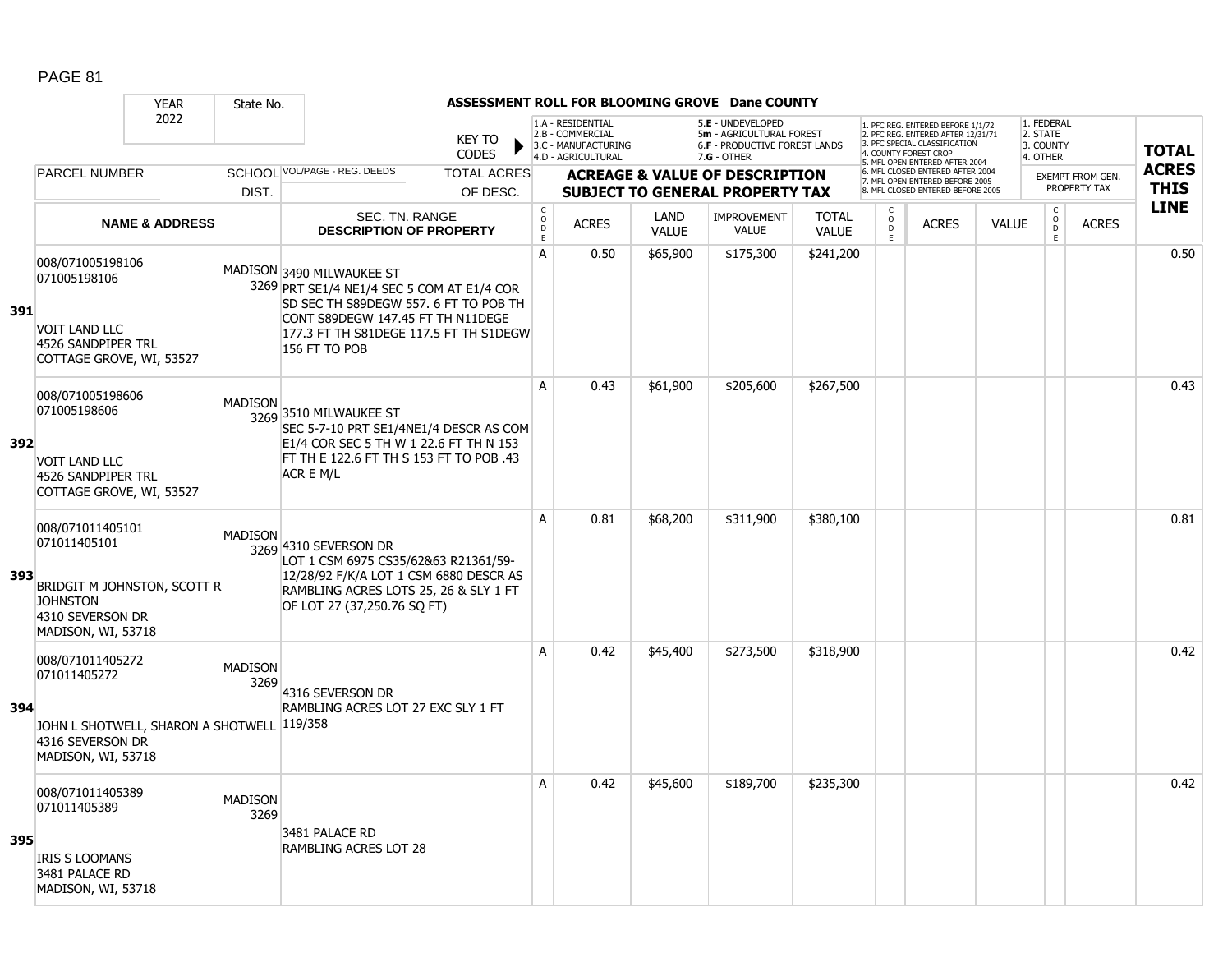|     |                                                                                                                              | <b>YEAR</b>               | State No.              |                                                                                                                                                                                                                  |                               |                             |                                                                                    |                      | ASSESSMENT ROLL FOR BLOOMING GROVE Dane COUNTY                                                  |                              |                                                 |                                                                                                                                   |              |                                                 |                         |              |
|-----|------------------------------------------------------------------------------------------------------------------------------|---------------------------|------------------------|------------------------------------------------------------------------------------------------------------------------------------------------------------------------------------------------------------------|-------------------------------|-----------------------------|------------------------------------------------------------------------------------|----------------------|-------------------------------------------------------------------------------------------------|------------------------------|-------------------------------------------------|-----------------------------------------------------------------------------------------------------------------------------------|--------------|-------------------------------------------------|-------------------------|--------------|
|     |                                                                                                                              | 2022                      |                        |                                                                                                                                                                                                                  | <b>KEY TO</b><br><b>CODES</b> |                             | 1.A - RESIDENTIAL<br>2.B - COMMERCIAL<br>3.C - MANUFACTURING<br>4.D - AGRICULTURAL |                      | 5.E - UNDEVELOPED<br>5m - AGRICULTURAL FOREST<br>6.F - PRODUCTIVE FOREST LANDS<br>$7.G - OTHER$ |                              |                                                 | 1. PFC REG. ENTERED BEFORE 1/1/72<br>2. PFC REG. ENTERED AFTER 12/31/71<br>3. PFC SPECIAL CLASSIFICATION<br>4. COUNTY FOREST CROP |              | 1. FEDERAL<br>2. STATE<br>3. COUNTY<br>4. OTHER |                         | <b>TOTAL</b> |
|     | <b>PARCEL NUMBER</b>                                                                                                         |                           |                        | SCHOOL VOL/PAGE - REG. DEEDS                                                                                                                                                                                     | <b>TOTAL ACRES</b>            |                             |                                                                                    |                      | <b>ACREAGE &amp; VALUE OF DESCRIPTION</b>                                                       |                              |                                                 | 5. MFL OPEN ENTERED AFTER 2004<br>6. MFL CLOSED ENTERED AFTER 2004                                                                |              |                                                 | <b>EXEMPT FROM GEN.</b> | <b>ACRES</b> |
|     |                                                                                                                              |                           | DIST.                  |                                                                                                                                                                                                                  | OF DESC.                      |                             |                                                                                    |                      | <b>SUBJECT TO GENERAL PROPERTY TAX</b>                                                          |                              |                                                 | 7. MFL OPEN ENTERED BEFORE 2005<br>8. MFL CLOSED ENTERED BEFORE 2005                                                              |              |                                                 | PROPERTY TAX            | <b>THIS</b>  |
|     |                                                                                                                              | <b>NAME &amp; ADDRESS</b> |                        | SEC. TN. RANGE<br><b>DESCRIPTION OF PROPERTY</b>                                                                                                                                                                 |                               | $\rm _c^C$<br>$\frac{D}{E}$ | <b>ACRES</b>                                                                       | LAND<br><b>VALUE</b> | <b>IMPROVEMENT</b><br><b>VALUE</b>                                                              | <b>TOTAL</b><br><b>VALUE</b> | $\begin{matrix} 0 \\ 0 \\ D \end{matrix}$<br>E. | <b>ACRES</b>                                                                                                                      | <b>VALUE</b> | $\begin{matrix} 0 \\ 0 \\ 0 \end{matrix}$<br>E  | <b>ACRES</b>            | <b>LINE</b>  |
| 391 | 008/071005198106<br>071005198106<br><b>VOIT LAND LLC</b><br>4526 SANDPIPER TRL<br>COTTAGE GROVE, WI, 53527                   |                           |                        | MADISON 3490 MILWAUKEE ST<br>3269 PRT SE1/4 NE1/4 SEC 5 COM AT E1/4 COR<br>SD SEC TH S89DEGW 557, 6 FT TO POB TH<br>CONT S89DEGW 147.45 FT TH N11DEGE<br>177.3 FT TH S81DEGE 117.5 FT TH S1DEGW<br>156 FT TO POB |                               | A                           | 0.50                                                                               | \$65,900             | \$175,300                                                                                       | \$241,200                    |                                                 |                                                                                                                                   |              |                                                 |                         | 0.50         |
| 392 | 008/071005198606<br>071005198606<br><b>VOIT LAND LLC</b><br>4526 SANDPIPER TRL<br>COTTAGE GROVE, WI, 53527                   |                           | <b>MADISON</b>         | 3269 3510 MILWAUKEE ST<br>SEC 5-7-10 PRT SE1/4NE1/4 DESCR AS COM<br>E1/4 COR SEC 5 TH W 1 22.6 FT TH N 153<br>FT TH E 122.6 FT TH S 153 FT TO POB .43<br>ACR E M/L                                               |                               | A                           | 0.43                                                                               | \$61,900             | \$205,600                                                                                       | \$267,500                    |                                                 |                                                                                                                                   |              |                                                 |                         | 0.43         |
| 393 | 008/071011405101<br>071011405101<br>BRIDGIT M JOHNSTON, SCOTT R<br><b>JOHNSTON</b><br>4310 SEVERSON DR<br>MADISON, WI, 53718 |                           | <b>MADISON</b>         | 3269 4310 SEVERSON DR<br>LOT 1 CSM 6975 CS35/62&63 R21361/59-<br>12/28/92 F/K/A LOT 1 CSM 6880 DESCR AS<br>RAMBLING ACRES LOTS 25, 26 & SLY 1 FT<br>OF LOT 27 (37,250.76 SQ FT)                                  |                               | A                           | 0.81                                                                               | \$68,200             | \$311,900                                                                                       | \$380,100                    |                                                 |                                                                                                                                   |              |                                                 |                         | 0.81         |
| 394 | 008/071011405272<br>071011405272<br>JOHN L SHOTWELL, SHARON A SHOTWELL<br>4316 SEVERSON DR<br>MADISON, WI, 53718             |                           | <b>MADISON</b><br>3269 | 4316 SEVERSON DR<br>RAMBLING ACRES LOT 27 EXC SLY 1 FT<br>119/358                                                                                                                                                |                               | A                           | 0.42                                                                               | \$45,400             | \$273,500                                                                                       | \$318,900                    |                                                 |                                                                                                                                   |              |                                                 |                         | 0.42         |
| 395 | 008/071011405389<br>071011405389<br><b>IRIS S LOOMANS</b><br>3481 PALACE RD<br>MADISON, WI, 53718                            |                           | <b>MADISON</b><br>3269 | 3481 PALACE RD<br><b>RAMBLING ACRES LOT 28</b>                                                                                                                                                                   |                               | A                           | 0.42                                                                               | \$45,600             | \$189,700                                                                                       | \$235,300                    |                                                 |                                                                                                                                   |              |                                                 |                         | 0.42         |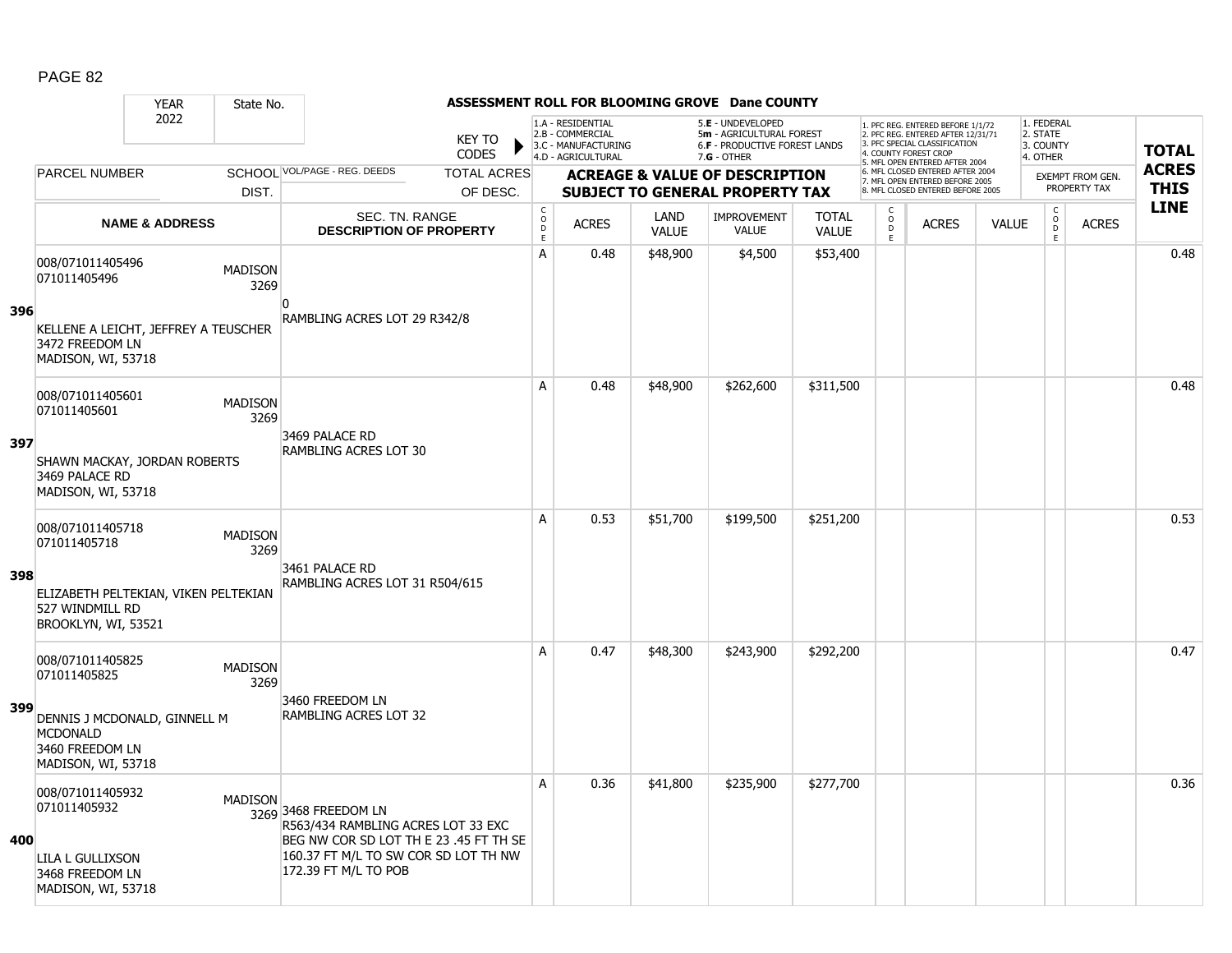#### YEAR State No. **ASSESSMENT ROLL FOR BLOOMING GROVE Dane COUNTY** 2022 KEY TO **CODES** 1. PFC REG. ENTERED BEFORE 1/1/72 2. PFC REG. ENTERED AFTER 12/31/71 3. PFC SPECIAL CLASSIFICATION 4. COUNTY FOREST CROP 5. MFL OPEN ENTERED AFTER 2004 6. MFL CLOSED ENTERED AFTER 2004 7. MFL OPEN ENTERED BEFORE 2005 8. MFL CLOSED ENTERED BEFORE 2005 1. FEDERAL 2. STATE 3. COUNTY 4. OTHER **ACREAGE & VALUE OF DESCRIPTION SUBJECT TO GENERAL PROPERTY TAX** EXEMPT FROM GEN. PROPERTY TAX **TOTAL ACRES THIS LINE** 1.A - RESIDENTIAL 2.B - COMMERCIAL 3.C - MANUFACTURING 4.D - AGRICULTURAL 5.**E** - UNDEVELOPED 5**m** - AGRICULTURAL FOREST 6.**F** - PRODUCTIVE FOREST LANDS 7.**G** - OTHER TOTAL ACRES OF DESC. SCHOOL VOL/PAGE - REG. DEEDS DIST. PARCEL NUMBER ACRES C O  $\overline{D}$ E ACRES VALUE  $\mathsf{C}$ O  $\overline{D}$ E TOTAL VALUE IMPROVEMENT VALUE LAND ACRES | VALUE C O  $\overline{D}$ E SEC. TN. RANGE **DESCRIPTION OF PROPERTY NAME & ADDRESS 396** 008/071011405496 000/071011405496 MADISON 3269 KELLENE A LEICHT, JEFFREY A TEUSCHER 3472 FREEDOM LN MADISON, WI, 53718  $\overline{0}$ RAMBLING ACRES LOT 29 R342/8 A | 0.48 | \$48,900 | \$4,500 | \$53,400 | | | | | | | | | | | 0.48 **397** 008/071011405601 006/071011405601 MADISON<br>071011405601 2360 3269 SHAWN MACKAY, JORDAN ROBERTS 3469 PALACE RD MADISON, WI, 53718 3469 PALACE RD RAMBLING ACRES LOT 30 A 0.48 \$48,900 \$262,600 \$311,500 distribution of the 10.48 \$48,900 \$262,600 \$311,500 distribution of the 10.48 **398** 008/071011405718 006/071011405716<br>071011405718 MADISON 3269 ELIZABETH PELTEKIAN, VIKEN PELTEKIAN 527 WINDMILL RD BROOKLYN, WI, 53521 3461 PALACE RD RAMBLING ACRES LOT 31 R504/615 A 0.53 \$51,700 \$199,500 \$251,200 distance the set of the set of the set of the set of the set of the set of th **399** 008/071011405825 0000071011405825<br>071011405825 MADISON 3269 DENNIS J MCDONALD, GINNELL M MCDONALD 3460 FREEDOM LN MADISON, WI, 53718 3460 FREEDOM LN RAMBLING ACRES LOT 32 A 0.47 \$48,300 \$243,900 \$292,200 0.47 **400** 008/071011405932 0000071011405932 MADISON<br>071011405932 3269 3468 FREEDOM LN LILA L GULLIXSON 3468 FREEDOM LN MADISON, WI, 53718 R563/434 RAMBLING ACRES LOT 33 EXC BEG NW COR SD LOT TH E 23 .45 FT TH SE 160.37 FT M/L TO SW COR SD LOT TH NW 172.39 FT M/L TO POB A 0.36 \$41,800 \$235,900 \$277,700 discussed by the 1 0.36 \$41,800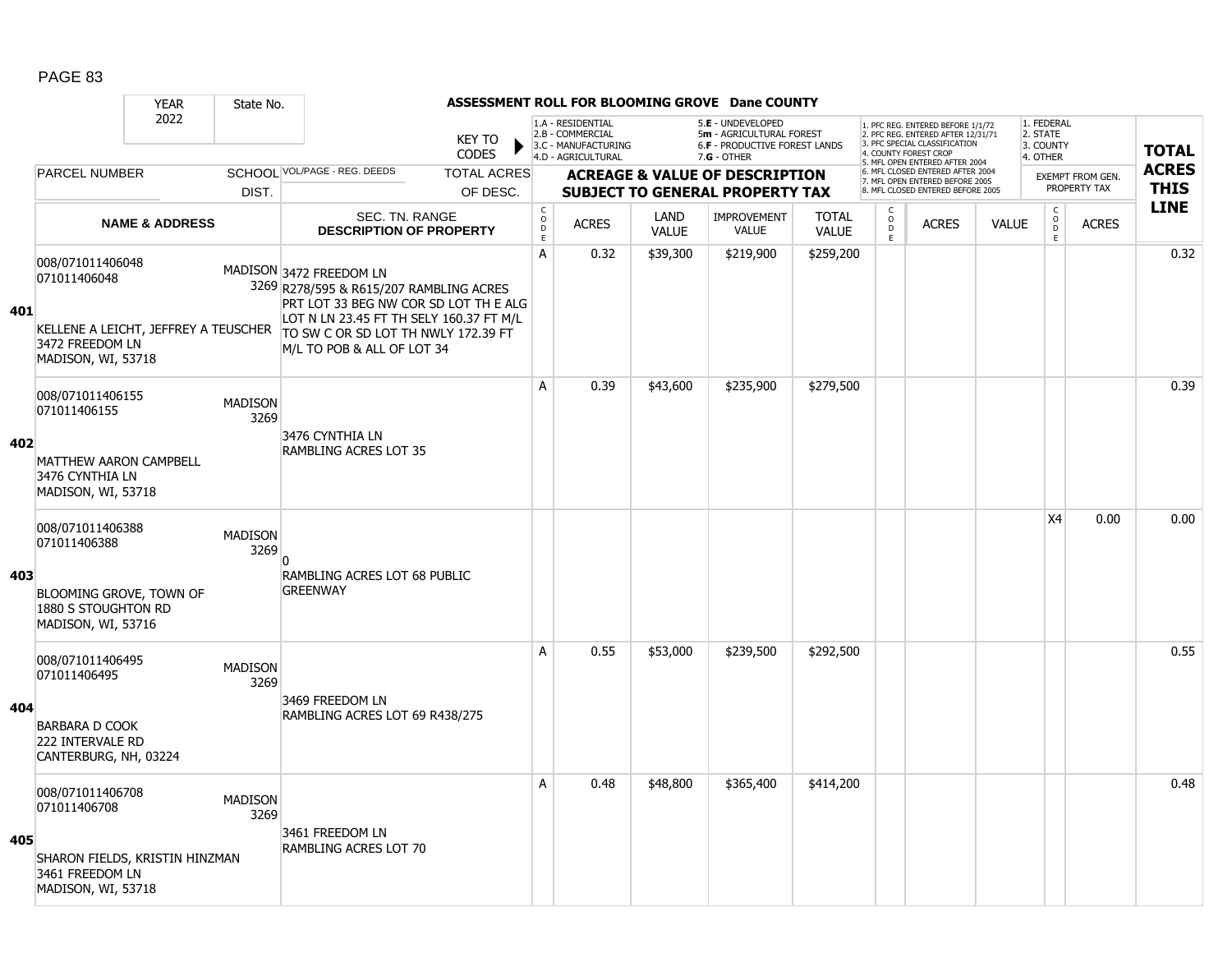|     |                                                                                             | <b>YEAR</b>               | State No.              |                                                                                                                                                                                               |                               |                                                       |                                                                                    |                      | ASSESSMENT ROLL FOR BLOOMING GROVE Dane COUNTY                                                         |                              |                                               |                                                                                                                                   |              |                                                 |                                         |              |
|-----|---------------------------------------------------------------------------------------------|---------------------------|------------------------|-----------------------------------------------------------------------------------------------------------------------------------------------------------------------------------------------|-------------------------------|-------------------------------------------------------|------------------------------------------------------------------------------------|----------------------|--------------------------------------------------------------------------------------------------------|------------------------------|-----------------------------------------------|-----------------------------------------------------------------------------------------------------------------------------------|--------------|-------------------------------------------------|-----------------------------------------|--------------|
|     |                                                                                             | 2022                      |                        |                                                                                                                                                                                               | <b>KEY TO</b><br><b>CODES</b> |                                                       | 1.A - RESIDENTIAL<br>2.B - COMMERCIAL<br>3.C - MANUFACTURING<br>4.D - AGRICULTURAL |                      | 5.E - UNDEVELOPED<br>5m - AGRICULTURAL FOREST<br><b>6.F - PRODUCTIVE FOREST LANDS</b><br>$7.G - OTHER$ |                              |                                               | 1. PFC REG. ENTERED BEFORE 1/1/72<br>2. PFC REG. ENTERED AFTER 12/31/71<br>3. PFC SPECIAL CLASSIFICATION<br>4. COUNTY FOREST CROP |              | 1. FEDERAL<br>2. STATE<br>3. COUNTY<br>4. OTHER |                                         | <b>TOTAL</b> |
|     | <b>PARCEL NUMBER</b>                                                                        |                           |                        | SCHOOL VOL/PAGE - REG. DEEDS                                                                                                                                                                  | <b>TOTAL ACRES</b>            |                                                       |                                                                                    |                      |                                                                                                        |                              |                                               | 5. MFL OPEN ENTERED AFTER 2004<br>6. MFL CLOSED ENTERED AFTER 2004                                                                |              |                                                 |                                         | <b>ACRES</b> |
|     |                                                                                             |                           | DIST.                  |                                                                                                                                                                                               | OF DESC.                      |                                                       |                                                                                    |                      | <b>ACREAGE &amp; VALUE OF DESCRIPTION</b><br><b>SUBJECT TO GENERAL PROPERTY TAX</b>                    |                              |                                               | 7. MFL OPEN ENTERED BEFORE 2005<br>8. MFL CLOSED ENTERED BEFORE 2005                                                              |              |                                                 | <b>EXEMPT FROM GEN.</b><br>PROPERTY TAX | <b>THIS</b>  |
|     |                                                                                             | <b>NAME &amp; ADDRESS</b> |                        | <b>SEC. TN. RANGE</b><br><b>DESCRIPTION OF PROPERTY</b>                                                                                                                                       |                               | $\mathsf{C}$<br>$\circ$<br>$\mathsf D$<br>$\mathsf E$ | <b>ACRES</b>                                                                       | LAND<br><b>VALUE</b> | <b>IMPROVEMENT</b><br>VALUE                                                                            | <b>TOTAL</b><br><b>VALUE</b> | $\mathsf{C}$<br>$\overline{0}$<br>$\mathsf E$ | <b>ACRES</b>                                                                                                                      | <b>VALUE</b> | $\begin{matrix} 0 \\ 0 \\ D \end{matrix}$<br>E  | <b>ACRES</b>                            | <b>LINE</b>  |
| 401 | 008/071011406048<br>071011406048<br>KELLENE A LEICHT, JEFFREY A TEUSCHER<br>3472 FREEDOM LN |                           |                        | MADISON 3472 FREEDOM LN<br>3269 R278/595 & R615/207 RAMBLING ACRES<br>PRT LOT 33 BEG NW COR SD LOT TH E ALG<br>LOT N LN 23.45 FT TH SELY 160.37 FT M/L<br>TO SW C OR SD LOT TH NWLY 172.39 FT |                               | $\overline{A}$                                        | 0.32                                                                               | \$39,300             | \$219,900                                                                                              | \$259,200                    |                                               |                                                                                                                                   |              |                                                 |                                         | 0.32         |
|     | MADISON, WI, 53718                                                                          |                           |                        | M/L TO POB & ALL OF LOT 34                                                                                                                                                                    |                               | A                                                     | 0.39                                                                               | \$43,600             | \$235,900                                                                                              | \$279,500                    |                                               |                                                                                                                                   |              |                                                 |                                         | 0.39         |
| 402 | 008/071011406155<br>071011406155                                                            |                           | <b>MADISON</b><br>3269 | 3476 CYNTHIA LN                                                                                                                                                                               |                               |                                                       |                                                                                    |                      |                                                                                                        |                              |                                               |                                                                                                                                   |              |                                                 |                                         |              |
|     | <b>MATTHEW AARON CAMPBELL</b><br>3476 CYNTHIA LN<br>MADISON, WI, 53718                      |                           |                        | RAMBLING ACRES LOT 35                                                                                                                                                                         |                               |                                                       |                                                                                    |                      |                                                                                                        |                              |                                               |                                                                                                                                   |              |                                                 |                                         |              |
|     | 008/071011406388<br>071011406388                                                            |                           | <b>MADISON</b><br>3269 | $\Omega$                                                                                                                                                                                      |                               |                                                       |                                                                                    |                      |                                                                                                        |                              |                                               |                                                                                                                                   |              | X4                                              | 0.00                                    | 0.00         |
| 403 | BLOOMING GROVE, TOWN OF<br>1880 S STOUGHTON RD<br>MADISON, WI, 53716                        |                           |                        | RAMBLING ACRES LOT 68 PUBLIC<br><b>GREENWAY</b>                                                                                                                                               |                               |                                                       |                                                                                    |                      |                                                                                                        |                              |                                               |                                                                                                                                   |              |                                                 |                                         |              |
|     | 008/071011406495<br>071011406495                                                            |                           | <b>MADISON</b><br>3269 | 3469 FREEDOM LN                                                                                                                                                                               |                               | A                                                     | 0.55                                                                               | \$53,000             | \$239,500                                                                                              | \$292,500                    |                                               |                                                                                                                                   |              |                                                 |                                         | 0.55         |
| 404 | <b>BARBARA D COOK</b><br>222 INTERVALE RD<br>CANTERBURG, NH, 03224                          |                           |                        | RAMBLING ACRES LOT 69 R438/275                                                                                                                                                                |                               |                                                       |                                                                                    |                      |                                                                                                        |                              |                                               |                                                                                                                                   |              |                                                 |                                         |              |
|     | 008/071011406708<br>071011406708                                                            |                           | <b>MADISON</b><br>3269 | 3461 FREEDOM LN                                                                                                                                                                               |                               | A                                                     | 0.48                                                                               | \$48,800             | \$365,400                                                                                              | \$414,200                    |                                               |                                                                                                                                   |              |                                                 |                                         | 0.48         |
| 405 | SHARON FIELDS, KRISTIN HINZMAN<br>3461 FREEDOM LN<br>MADISON, WI, 53718                     |                           |                        | RAMBLING ACRES LOT 70                                                                                                                                                                         |                               |                                                       |                                                                                    |                      |                                                                                                        |                              |                                               |                                                                                                                                   |              |                                                 |                                         |              |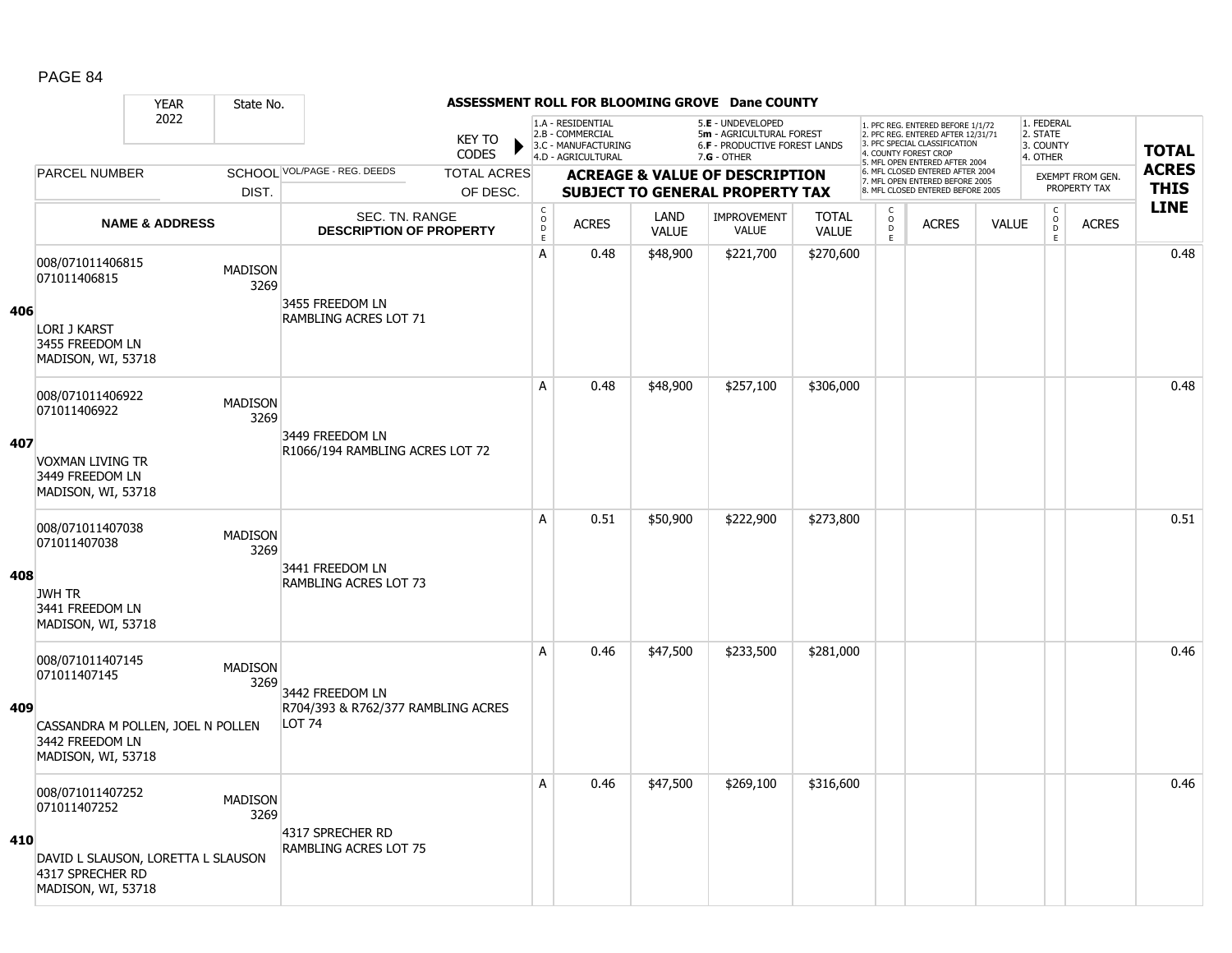|     |                                                                                                                  | <b>YEAR</b>               | State No.              |                                                                        |                               |                               |                                                                                    |                      | ASSESSMENT ROLL FOR BLOOMING GROVE Dane COUNTY                                                         |                              |                                   |                                                                                                          |              |                                                 |                         |              |
|-----|------------------------------------------------------------------------------------------------------------------|---------------------------|------------------------|------------------------------------------------------------------------|-------------------------------|-------------------------------|------------------------------------------------------------------------------------|----------------------|--------------------------------------------------------------------------------------------------------|------------------------------|-----------------------------------|----------------------------------------------------------------------------------------------------------|--------------|-------------------------------------------------|-------------------------|--------------|
|     |                                                                                                                  | 2022                      |                        |                                                                        | <b>KEY TO</b><br><b>CODES</b> |                               | 1.A - RESIDENTIAL<br>2.B - COMMERCIAL<br>3.C - MANUFACTURING<br>4.D - AGRICULTURAL |                      | 5.E - UNDEVELOPED<br>5m - AGRICULTURAL FOREST<br><b>6.F - PRODUCTIVE FOREST LANDS</b><br>$7.G - OTHER$ |                              | 4. COUNTY FOREST CROP             | 1. PFC REG. ENTERED BEFORE 1/1/72<br>2. PFC REG. ENTERED AFTER 12/31/71<br>3. PFC SPECIAL CLASSIFICATION |              | 1. FEDERAL<br>2. STATE<br>3. COUNTY<br>4. OTHER |                         | <b>TOTAL</b> |
|     | <b>PARCEL NUMBER</b>                                                                                             |                           |                        | SCHOOL VOL/PAGE - REG. DEEDS                                           | <b>TOTAL ACRES</b>            |                               |                                                                                    |                      | <b>ACREAGE &amp; VALUE OF DESCRIPTION</b>                                                              |                              |                                   | 5. MFL OPEN ENTERED AFTER 2004<br>6. MFL CLOSED ENTERED AFTER 2004                                       |              |                                                 | <b>EXEMPT FROM GEN.</b> | <b>ACRES</b> |
|     |                                                                                                                  |                           | DIST.                  |                                                                        | OF DESC.                      |                               |                                                                                    |                      | <b>SUBJECT TO GENERAL PROPERTY TAX</b>                                                                 |                              |                                   | 7. MFL OPEN ENTERED BEFORE 2005<br>8. MFL CLOSED ENTERED BEFORE 2005                                     |              |                                                 | PROPERTY TAX            | <b>THIS</b>  |
|     |                                                                                                                  | <b>NAME &amp; ADDRESS</b> |                        | SEC. TN. RANGE<br><b>DESCRIPTION OF PROPERTY</b>                       |                               | $_{\rm o}^{\rm c}$<br>D<br>E. | <b>ACRES</b>                                                                       | LAND<br><b>VALUE</b> | <b>IMPROVEMENT</b><br><b>VALUE</b>                                                                     | <b>TOTAL</b><br><b>VALUE</b> | $\mathsf{C}$<br>$\circ$<br>D<br>E | <b>ACRES</b>                                                                                             | <b>VALUE</b> | $_{\rm o}^{\rm c}$<br><b>D</b><br>E             | <b>ACRES</b>            | <b>LINE</b>  |
| 406 | 008/071011406815<br>071011406815<br>LORI J KARST<br>3455 FREEDOM LN<br>MADISON, WI, 53718                        |                           | <b>MADISON</b><br>3269 | 3455 FREEDOM LN<br>RAMBLING ACRES LOT 71                               |                               | A                             | 0.48                                                                               | \$48,900             | \$221,700                                                                                              | \$270,600                    |                                   |                                                                                                          |              |                                                 |                         | 0.48         |
| 407 | 008/071011406922<br>071011406922<br><b>VOXMAN LIVING TR</b><br>3449 FREEDOM LN<br>MADISON, WI, 53718             |                           | <b>MADISON</b><br>3269 | 3449 FREEDOM LN<br>R1066/194 RAMBLING ACRES LOT 72                     |                               | A                             | 0.48                                                                               | \$48,900             | \$257,100                                                                                              | \$306,000                    |                                   |                                                                                                          |              |                                                 |                         | 0.48         |
| 408 | 008/071011407038<br>071011407038<br><b>JWH TR</b><br>3441 FREEDOM LN<br>MADISON, WI, 53718                       |                           | <b>MADISON</b><br>3269 | 3441 FREEDOM LN<br><b>RAMBLING ACRES LOT 73</b>                        |                               | A                             | 0.51                                                                               | \$50,900             | \$222,900                                                                                              | \$273,800                    |                                   |                                                                                                          |              |                                                 |                         | 0.51         |
| 409 | 008/071011407145<br>071011407145<br>CASSANDRA M POLLEN, JOEL N POLLEN<br>3442 FREEDOM LN<br>MADISON, WI, 53718   |                           | <b>MADISON</b><br>3269 | 3442 FREEDOM LN<br>R704/393 & R762/377 RAMBLING ACRES<br><b>LOT 74</b> |                               | A                             | 0.46                                                                               | \$47,500             | \$233,500                                                                                              | \$281,000                    |                                   |                                                                                                          |              |                                                 |                         | 0.46         |
| 410 | 008/071011407252<br>071011407252<br>DAVID L SLAUSON, LORETTA L SLAUSON<br>4317 SPRECHER RD<br>MADISON, WI, 53718 |                           | <b>MADISON</b><br>3269 | 4317 SPRECHER RD<br>RAMBLING ACRES LOT 75                              |                               | A                             | 0.46                                                                               | \$47,500             | \$269,100                                                                                              | \$316,600                    |                                   |                                                                                                          |              |                                                 |                         | 0.46         |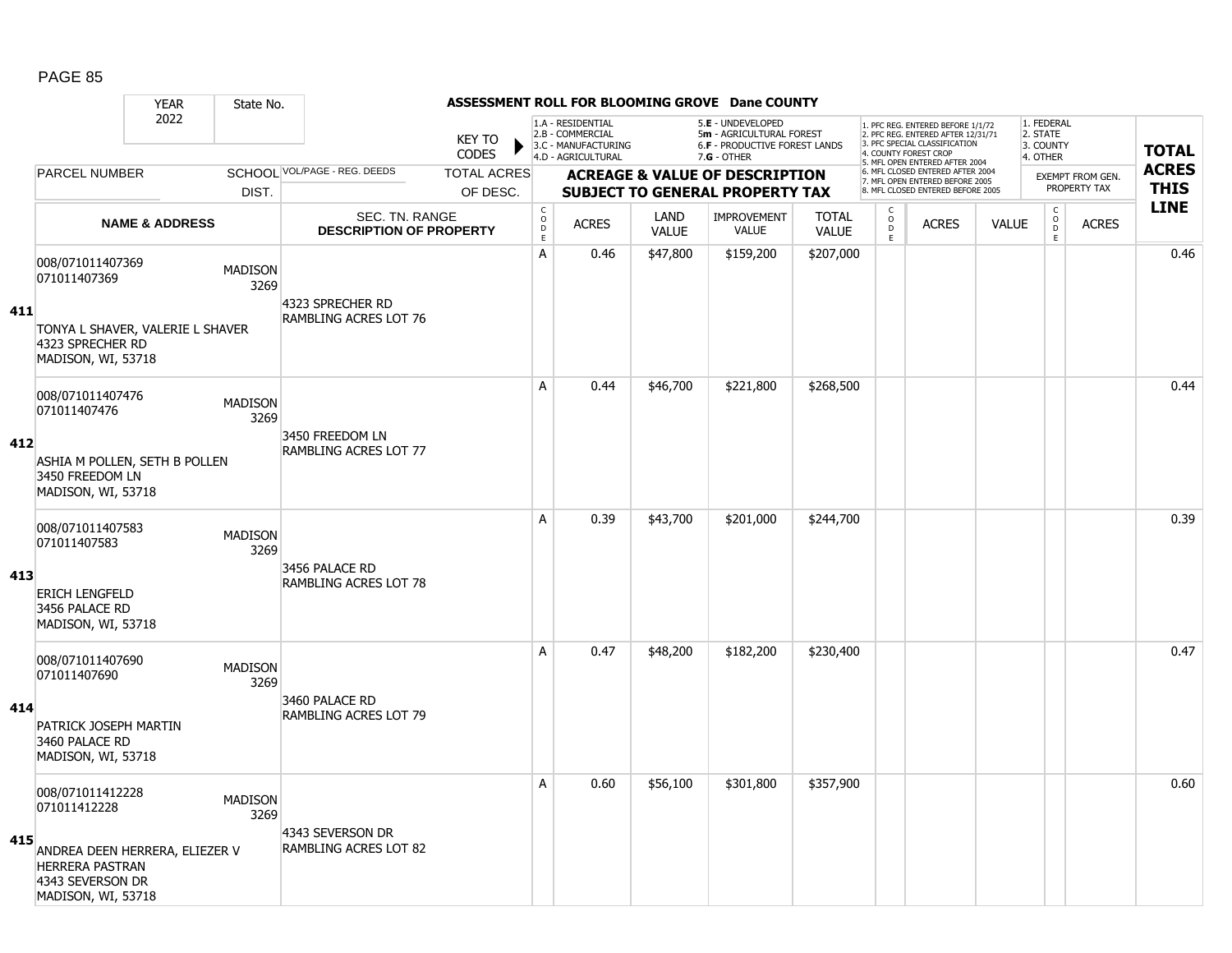|     |                                                                                                    | <b>YEAR</b>               | State No.              |                                                  |                               |                                              |                                                                                    |                      | ASSESSMENT ROLL FOR BLOOMING GROVE Dane COUNTY                                                         |                              |                          |                                                                                                                                   |              |                                                 |                  |              |
|-----|----------------------------------------------------------------------------------------------------|---------------------------|------------------------|--------------------------------------------------|-------------------------------|----------------------------------------------|------------------------------------------------------------------------------------|----------------------|--------------------------------------------------------------------------------------------------------|------------------------------|--------------------------|-----------------------------------------------------------------------------------------------------------------------------------|--------------|-------------------------------------------------|------------------|--------------|
|     |                                                                                                    | 2022                      |                        |                                                  | <b>KEY TO</b><br><b>CODES</b> |                                              | 1.A - RESIDENTIAL<br>2.B - COMMERCIAL<br>3.C - MANUFACTURING<br>4.D - AGRICULTURAL |                      | 5.E - UNDEVELOPED<br>5m - AGRICULTURAL FOREST<br><b>6.F - PRODUCTIVE FOREST LANDS</b><br>$7.G - OTHER$ |                              |                          | 1. PFC REG. ENTERED BEFORE 1/1/72<br>2. PFC REG. ENTERED AFTER 12/31/71<br>3. PFC SPECIAL CLASSIFICATION<br>4. COUNTY FOREST CROP |              | 1. FEDERAL<br>2. STATE<br>3. COUNTY<br>4. OTHER |                  | <b>TOTAL</b> |
|     | PARCEL NUMBER                                                                                      |                           |                        | SCHOOL VOL/PAGE - REG. DEEDS                     | <b>TOTAL ACRES</b>            |                                              |                                                                                    |                      | <b>ACREAGE &amp; VALUE OF DESCRIPTION</b>                                                              |                              |                          | 5. MFL OPEN ENTERED AFTER 2004<br>6. MFL CLOSED ENTERED AFTER 2004                                                                |              |                                                 | EXEMPT FROM GEN. | <b>ACRES</b> |
|     |                                                                                                    |                           | DIST.                  |                                                  | OF DESC.                      |                                              |                                                                                    |                      | <b>SUBJECT TO GENERAL PROPERTY TAX</b>                                                                 |                              |                          | 7. MFL OPEN ENTERED BEFORE 2005<br>8. MFL CLOSED ENTERED BEFORE 2005                                                              |              |                                                 | PROPERTY TAX     | <b>THIS</b>  |
|     |                                                                                                    | <b>NAME &amp; ADDRESS</b> |                        | SEC. TN. RANGE<br><b>DESCRIPTION OF PROPERTY</b> |                               | $\mathsf C$<br>$\overline{D}$<br>$\mathsf E$ | <b>ACRES</b>                                                                       | LAND<br><b>VALUE</b> | <b>IMPROVEMENT</b><br><b>VALUE</b>                                                                     | <b>TOTAL</b><br><b>VALUE</b> | C<br>$\overline{D}$<br>E | <b>ACRES</b>                                                                                                                      | <b>VALUE</b> | $\mathsf{C}$<br>$\overline{0}$<br>E             | <b>ACRES</b>     | <b>LINE</b>  |
|     | 008/071011407369<br>071011407369                                                                   |                           | <b>MADISON</b><br>3269 | 4323 SPRECHER RD                                 |                               | A                                            | 0.46                                                                               | \$47,800             | \$159,200                                                                                              | \$207,000                    |                          |                                                                                                                                   |              |                                                 |                  | 0.46         |
| 411 | TONYA L SHAVER, VALERIE L SHAVER<br>4323 SPRECHER RD<br>MADISON, WI, 53718                         |                           |                        | <b>RAMBLING ACRES LOT 76</b>                     |                               |                                              |                                                                                    |                      |                                                                                                        |                              |                          |                                                                                                                                   |              |                                                 |                  |              |
|     | 008/071011407476<br>071011407476                                                                   |                           | <b>MADISON</b><br>3269 |                                                  |                               | Α                                            | 0.44                                                                               | \$46,700             | \$221,800                                                                                              | \$268,500                    |                          |                                                                                                                                   |              |                                                 |                  | 0.44         |
| 412 | ASHIA M POLLEN, SETH B POLLEN<br>3450 FREEDOM LN<br>MADISON, WI, 53718                             |                           |                        | 3450 FREEDOM LN<br><b>RAMBLING ACRES LOT 77</b>  |                               |                                              |                                                                                    |                      |                                                                                                        |                              |                          |                                                                                                                                   |              |                                                 |                  |              |
|     | 008/071011407583<br>071011407583                                                                   |                           | <b>MADISON</b><br>3269 |                                                  |                               | A                                            | 0.39                                                                               | \$43,700             | \$201,000                                                                                              | \$244,700                    |                          |                                                                                                                                   |              |                                                 |                  | 0.39         |
| 413 | <b>ERICH LENGFELD</b><br>3456 PALACE RD<br>MADISON, WI, 53718                                      |                           |                        | 3456 PALACE RD<br><b>RAMBLING ACRES LOT 78</b>   |                               |                                              |                                                                                    |                      |                                                                                                        |                              |                          |                                                                                                                                   |              |                                                 |                  |              |
|     | 008/071011407690<br>071011407690                                                                   |                           | <b>MADISON</b><br>3269 |                                                  |                               | A                                            | 0.47                                                                               | \$48,200             | \$182,200                                                                                              | \$230,400                    |                          |                                                                                                                                   |              |                                                 |                  | 0.47         |
| 414 | PATRICK JOSEPH MARTIN<br>3460 PALACE RD<br>MADISON, WI, 53718                                      |                           |                        | 3460 PALACE RD<br><b>RAMBLING ACRES LOT 79</b>   |                               |                                              |                                                                                    |                      |                                                                                                        |                              |                          |                                                                                                                                   |              |                                                 |                  |              |
|     | 008/071011412228<br>071011412228                                                                   |                           | <b>MADISON</b><br>3269 |                                                  |                               | A                                            | 0.60                                                                               | \$56,100             | \$301,800                                                                                              | \$357,900                    |                          |                                                                                                                                   |              |                                                 |                  | 0.60         |
| 415 | ANDREA DEEN HERRERA, ELIEZER V<br><b>HERRERA PASTRAN</b><br>4343 SEVERSON DR<br>MADISON, WI, 53718 |                           |                        | 4343 SEVERSON DR<br>RAMBLING ACRES LOT 82        |                               |                                              |                                                                                    |                      |                                                                                                        |                              |                          |                                                                                                                                   |              |                                                 |                  |              |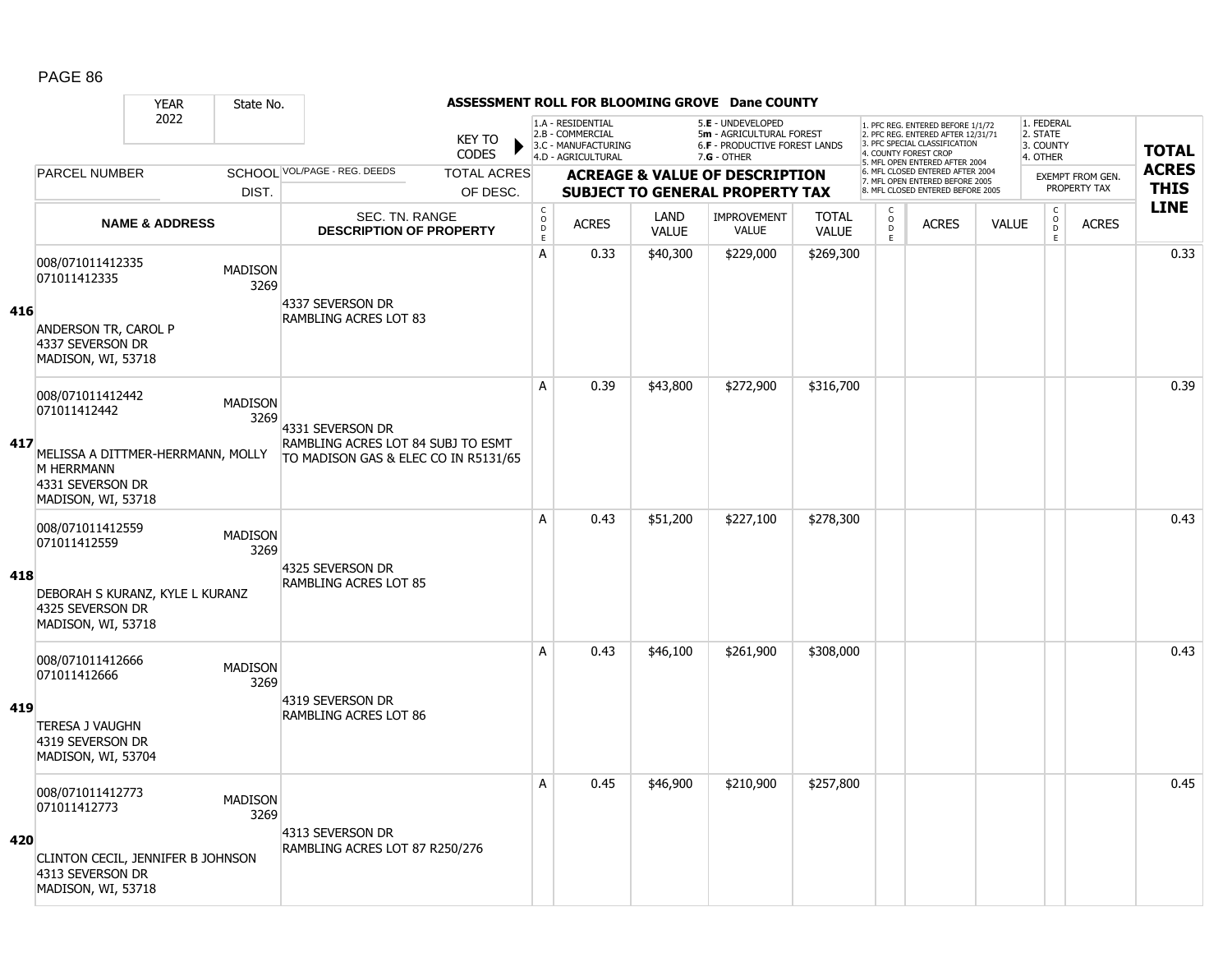|     |                                                                                                                 | <b>YEAR</b>               | State No.              |                                                                                                |                               |                                        |                                                                                    |                      | ASSESSMENT ROLL FOR BLOOMING GROVE Dane COUNTY                                                  |                              |                          |                                                                                                                                   |              |                                                 |                                         |              |
|-----|-----------------------------------------------------------------------------------------------------------------|---------------------------|------------------------|------------------------------------------------------------------------------------------------|-------------------------------|----------------------------------------|------------------------------------------------------------------------------------|----------------------|-------------------------------------------------------------------------------------------------|------------------------------|--------------------------|-----------------------------------------------------------------------------------------------------------------------------------|--------------|-------------------------------------------------|-----------------------------------------|--------------|
|     |                                                                                                                 | 2022                      |                        |                                                                                                | <b>KEY TO</b><br><b>CODES</b> |                                        | 1.A - RESIDENTIAL<br>2.B - COMMERCIAL<br>3.C - MANUFACTURING<br>4.D - AGRICULTURAL |                      | 5.E - UNDEVELOPED<br>5m - AGRICULTURAL FOREST<br>6.F - PRODUCTIVE FOREST LANDS<br>$7.G - OTHER$ |                              |                          | 1. PFC REG. ENTERED BEFORE 1/1/72<br>2. PFC REG. ENTERED AFTER 12/31/71<br>3. PFC SPECIAL CLASSIFICATION<br>4. COUNTY FOREST CROP |              | 1. FEDERAL<br>2. STATE<br>3. COUNTY<br>4. OTHER |                                         | <b>TOTAL</b> |
|     | <b>PARCEL NUMBER</b>                                                                                            |                           |                        | SCHOOL VOL/PAGE - REG. DEEDS                                                                   | <b>TOTAL ACRES</b>            |                                        |                                                                                    |                      | <b>ACREAGE &amp; VALUE OF DESCRIPTION</b>                                                       |                              |                          | 5. MFL OPEN ENTERED AFTER 2004<br>6. MFL CLOSED ENTERED AFTER 2004                                                                |              |                                                 |                                         | <b>ACRES</b> |
|     |                                                                                                                 |                           | DIST.                  |                                                                                                | OF DESC.                      |                                        |                                                                                    |                      | <b>SUBJECT TO GENERAL PROPERTY TAX</b>                                                          |                              |                          | 7. MFL OPEN ENTERED BEFORE 2005<br>8. MFL CLOSED ENTERED BEFORE 2005                                                              |              |                                                 | <b>EXEMPT FROM GEN.</b><br>PROPERTY TAX | <b>THIS</b>  |
|     |                                                                                                                 | <b>NAME &amp; ADDRESS</b> |                        | SEC. TN. RANGE<br><b>DESCRIPTION OF PROPERTY</b>                                               |                               | $_{\rm o}^{\rm c}$<br>D<br>$\mathsf E$ | <b>ACRES</b>                                                                       | LAND<br><b>VALUE</b> | <b>IMPROVEMENT</b><br><b>VALUE</b>                                                              | <b>TOTAL</b><br><b>VALUE</b> | C<br>$\overline{0}$<br>E | <b>ACRES</b>                                                                                                                      | <b>VALUE</b> | $\mathsf C$<br>$\overline{0}$<br>$\mathsf E$    | <b>ACRES</b>                            | <b>LINE</b>  |
| 416 | 008/071011412335<br>071011412335<br>ANDERSON TR, CAROL P<br>4337 SEVERSON DR                                    |                           | <b>MADISON</b><br>3269 | 4337 SEVERSON DR<br><b>RAMBLING ACRES LOT 83</b>                                               |                               | $\mathsf{A}$                           | 0.33                                                                               | \$40,300             | \$229,000                                                                                       | \$269,300                    |                          |                                                                                                                                   |              |                                                 |                                         | 0.33         |
|     | MADISON, WI, 53718<br>008/071011412442<br>071011412442                                                          |                           | <b>MADISON</b>         |                                                                                                |                               | A                                      | 0.39                                                                               | \$43,800             | \$272,900                                                                                       | \$316,700                    |                          |                                                                                                                                   |              |                                                 |                                         | 0.39         |
| 417 | MELISSA A DITTMER-HERRMANN, MOLLY<br><b>M HERRMANN</b><br>4331 SEVERSON DR<br>MADISON, WI, 53718                |                           | 3269                   | 4331 SEVERSON DR<br>RAMBLING ACRES LOT 84 SUBJ TO ESMT<br>TO MADISON GAS & ELEC CO IN R5131/65 |                               |                                        |                                                                                    |                      |                                                                                                 |                              |                          |                                                                                                                                   |              |                                                 |                                         |              |
| 418 | 008/071011412559<br>071011412559<br>DEBORAH S KURANZ, KYLE L KURANZ<br>4325 SEVERSON DR<br>MADISON, WI, 53718   |                           | <b>MADISON</b><br>3269 | 4325 SEVERSON DR<br><b>RAMBLING ACRES LOT 85</b>                                               |                               | A                                      | 0.43                                                                               | \$51,200             | \$227,100                                                                                       | \$278,300                    |                          |                                                                                                                                   |              |                                                 |                                         | 0.43         |
| 419 | 008/071011412666<br>071011412666<br><b>TERESA J VAUGHN</b><br>4319 SEVERSON DR<br>MADISON, WI, 53704            |                           | <b>MADISON</b><br>3269 | 4319 SEVERSON DR<br><b>RAMBLING ACRES LOT 86</b>                                               |                               | A                                      | 0.43                                                                               | \$46,100             | \$261,900                                                                                       | \$308,000                    |                          |                                                                                                                                   |              |                                                 |                                         | 0.43         |
| 420 | 008/071011412773<br>071011412773<br>CLINTON CECIL, JENNIFER B JOHNSON<br>4313 SEVERSON DR<br>MADISON, WI, 53718 |                           | <b>MADISON</b><br>3269 | 4313 SEVERSON DR<br>RAMBLING ACRES LOT 87 R250/276                                             |                               | A                                      | 0.45                                                                               | \$46,900             | \$210,900                                                                                       | \$257,800                    |                          |                                                                                                                                   |              |                                                 |                                         | 0.45         |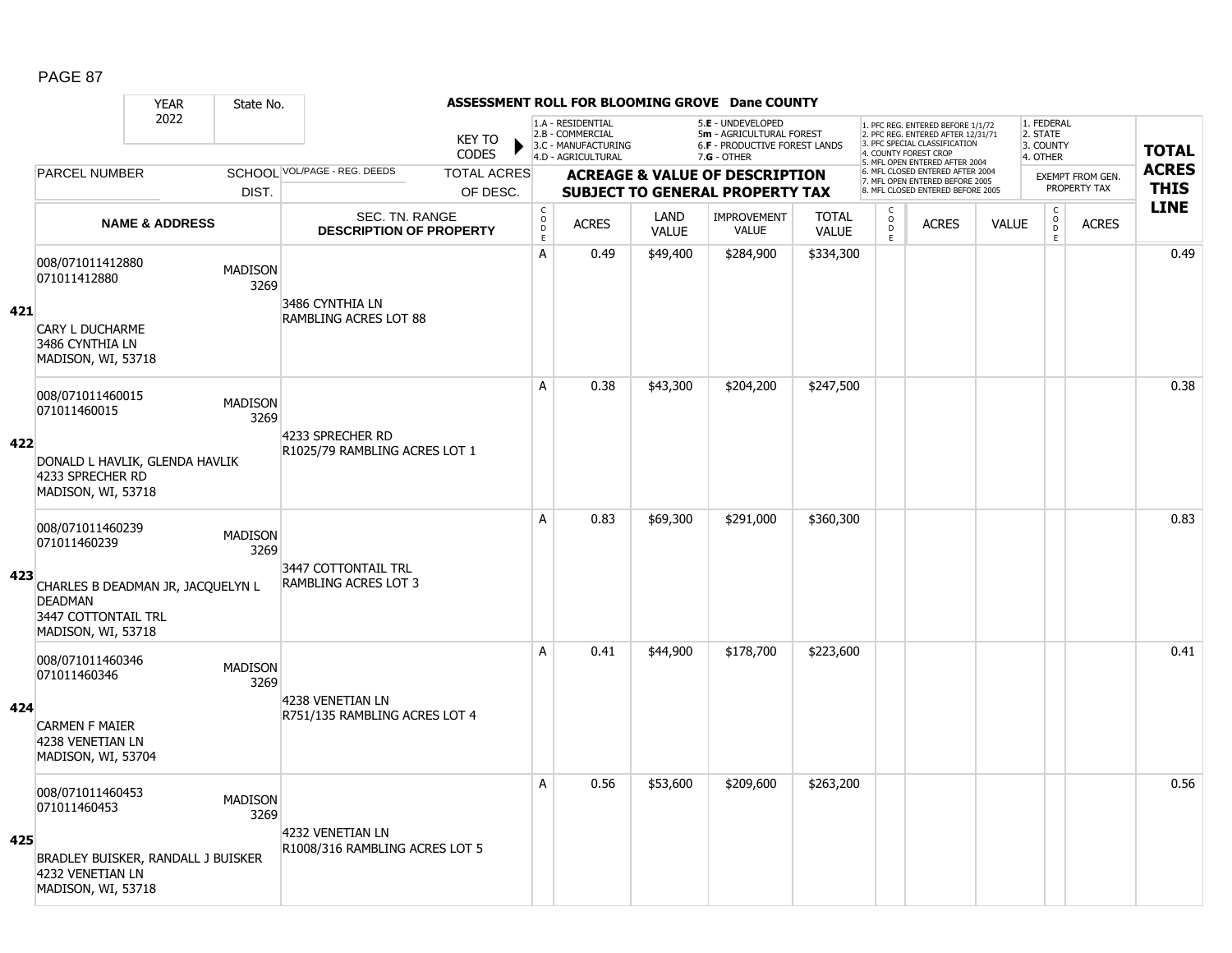|     |                                                                                                  | <b>YEAR</b>               | State No.              |                                                    |                               |                                        |                                                                                    |                      | ASSESSMENT ROLL FOR BLOOMING GROVE Dane COUNTY                                                         |                              |                          |                                                                                                                                   |              |                                                 |                                         |              |
|-----|--------------------------------------------------------------------------------------------------|---------------------------|------------------------|----------------------------------------------------|-------------------------------|----------------------------------------|------------------------------------------------------------------------------------|----------------------|--------------------------------------------------------------------------------------------------------|------------------------------|--------------------------|-----------------------------------------------------------------------------------------------------------------------------------|--------------|-------------------------------------------------|-----------------------------------------|--------------|
|     |                                                                                                  | 2022                      |                        |                                                    | <b>KEY TO</b><br><b>CODES</b> |                                        | 1.A - RESIDENTIAL<br>2.B - COMMERCIAL<br>3.C - MANUFACTURING<br>4.D - AGRICULTURAL |                      | 5.E - UNDEVELOPED<br>5m - AGRICULTURAL FOREST<br><b>6.F - PRODUCTIVE FOREST LANDS</b><br>$7.G - OTHER$ |                              |                          | 1. PFC REG. ENTERED BEFORE 1/1/72<br>2. PFC REG. ENTERED AFTER 12/31/71<br>3. PFC SPECIAL CLASSIFICATION<br>4. COUNTY FOREST CROP |              | 1. FEDERAL<br>2. STATE<br>3. COUNTY<br>4. OTHER |                                         | <b>TOTAL</b> |
|     | <b>PARCEL NUMBER</b>                                                                             |                           |                        | SCHOOL VOL/PAGE - REG. DEEDS                       | <b>TOTAL ACRES</b>            |                                        |                                                                                    |                      |                                                                                                        |                              |                          | 5. MFL OPEN ENTERED AFTER 2004<br>6. MFL CLOSED ENTERED AFTER 2004                                                                |              |                                                 |                                         | <b>ACRES</b> |
|     |                                                                                                  |                           | DIST.                  |                                                    | OF DESC.                      |                                        |                                                                                    |                      | <b>ACREAGE &amp; VALUE OF DESCRIPTION</b><br><b>SUBJECT TO GENERAL PROPERTY TAX</b>                    |                              |                          | 7. MFL OPEN ENTERED BEFORE 2005<br>8. MFL CLOSED ENTERED BEFORE 2005                                                              |              |                                                 | <b>EXEMPT FROM GEN.</b><br>PROPERTY TAX | <b>THIS</b>  |
|     |                                                                                                  | <b>NAME &amp; ADDRESS</b> |                        | SEC. TN. RANGE<br><b>DESCRIPTION OF PROPERTY</b>   |                               | $_{\rm o}^{\rm c}$<br>D<br>$\mathsf E$ | <b>ACRES</b>                                                                       | LAND<br><b>VALUE</b> | <b>IMPROVEMENT</b><br><b>VALUE</b>                                                                     | <b>TOTAL</b><br><b>VALUE</b> | C<br>$\overline{0}$<br>E | <b>ACRES</b>                                                                                                                      | <b>VALUE</b> | $\mathsf C$<br>$\overline{0}$<br>$\mathsf E$    | <b>ACRES</b>                            | <b>LINE</b>  |
|     | 008/071011412880<br>071011412880                                                                 |                           | <b>MADISON</b><br>3269 | 3486 CYNTHIA LN                                    |                               | $\mathsf{A}$                           | 0.49                                                                               | \$49,400             | \$284,900                                                                                              | \$334,300                    |                          |                                                                                                                                   |              |                                                 |                                         | 0.49         |
| 421 | <b>CARY L DUCHARME</b><br>3486 CYNTHIA LN<br>MADISON, WI, 53718                                  |                           |                        | <b>RAMBLING ACRES LOT 88</b>                       |                               |                                        |                                                                                    |                      |                                                                                                        |                              |                          |                                                                                                                                   |              |                                                 |                                         |              |
|     | 008/071011460015<br>071011460015                                                                 |                           | <b>MADISON</b><br>3269 |                                                    |                               | A                                      | 0.38                                                                               | \$43,300             | \$204,200                                                                                              | \$247,500                    |                          |                                                                                                                                   |              |                                                 |                                         | 0.38         |
| 422 | DONALD L HAVLIK, GLENDA HAVLIK<br>4233 SPRECHER RD<br>MADISON, WI, 53718                         |                           |                        | 4233 SPRECHER RD<br>R1025/79 RAMBLING ACRES LOT 1  |                               |                                        |                                                                                    |                      |                                                                                                        |                              |                          |                                                                                                                                   |              |                                                 |                                         |              |
|     | 008/071011460239<br>071011460239                                                                 |                           | <b>MADISON</b><br>3269 | 3447 COTTONTAIL TRL                                |                               | A                                      | 0.83                                                                               | \$69,300             | \$291,000                                                                                              | \$360,300                    |                          |                                                                                                                                   |              |                                                 |                                         | 0.83         |
| 423 | CHARLES B DEADMAN JR, JACQUELYN L<br><b>DEADMAN</b><br>3447 COTTONTAIL TRL<br>MADISON, WI, 53718 |                           |                        | <b>RAMBLING ACRES LOT 3</b>                        |                               |                                        |                                                                                    |                      |                                                                                                        |                              |                          |                                                                                                                                   |              |                                                 |                                         |              |
|     | 008/071011460346<br>071011460346                                                                 |                           | <b>MADISON</b><br>3269 |                                                    |                               | A                                      | 0.41                                                                               | \$44,900             | \$178,700                                                                                              | \$223,600                    |                          |                                                                                                                                   |              |                                                 |                                         | 0.41         |
| 424 | <b>CARMEN F MAIER</b><br>4238 VENETIAN LN<br>MADISON, WI, 53704                                  |                           |                        | 4238 VENETIAN LN<br>R751/135 RAMBLING ACRES LOT 4  |                               |                                        |                                                                                    |                      |                                                                                                        |                              |                          |                                                                                                                                   |              |                                                 |                                         |              |
|     | 008/071011460453<br>071011460453                                                                 |                           | <b>MADISON</b><br>3269 |                                                    |                               | A                                      | 0.56                                                                               | \$53,600             | \$209,600                                                                                              | \$263,200                    |                          |                                                                                                                                   |              |                                                 |                                         | 0.56         |
| 425 | BRADLEY BUISKER, RANDALL J BUISKER<br>4232 VENETIAN LN<br>MADISON, WI, 53718                     |                           |                        | 4232 VENETIAN LN<br>R1008/316 RAMBLING ACRES LOT 5 |                               |                                        |                                                                                    |                      |                                                                                                        |                              |                          |                                                                                                                                   |              |                                                 |                                         |              |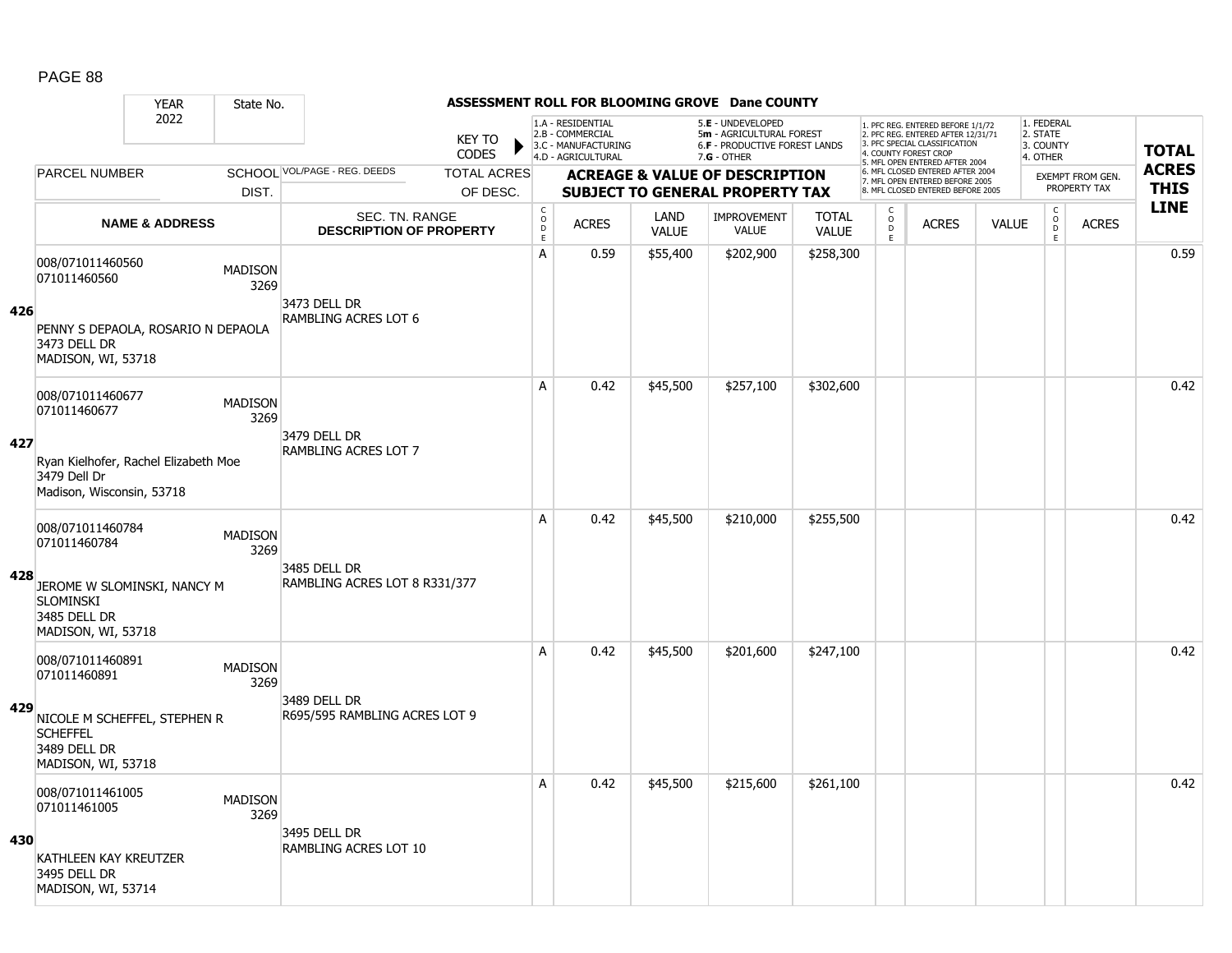### YEAR State No. **ASSESSMENT ROLL FOR BLOOMING GROVE Dane COUNTY** 2022 KEY TO **CODES** 1. PFC REG. ENTERED BEFORE 1/1/72 2. PFC REG. ENTERED AFTER 12/31/71 3. PFC SPECIAL CLASSIFICATION 4. COUNTY FOREST CROP 5. MFL OPEN ENTERED AFTER 2004 6. MFL CLOSED ENTERED AFTER 2004 7. MFL OPEN ENTERED BEFORE 2005 8. MFL CLOSED ENTERED BEFORE 2005 1. FEDERAL 2. STATE 3. COUNTY 4. OTHER **ACREAGE & VALUE OF DESCRIPTION SUBJECT TO GENERAL PROPERTY TAX** EXEMPT FROM GEN. PROPERTY TAX **TOTAL ACRES THIS LINE** 1.A - RESIDENTIAL 2.B - COMMERCIAL 3.C - MANUFACTURING 4.D - AGRICULTURAL 5.**E** - UNDEVELOPED 5**m** - AGRICULTURAL FOREST 6.**F** - PRODUCTIVE FOREST LANDS 7.**G** - OTHER TOTAL ACRES OF DESC. SCHOOL VOL/PAGE - REG. DEEDS DIST. PARCEL NUMBER ACRES C O  $\overline{D}$ E ACRES VALUE  $\mathsf{C}$ O  $\overline{D}$ E TOTAL VALUE IMPROVEMENT VALUE LAND ACRES | VALUE C O  $\overline{D}$ E SEC. TN. RANGE **DESCRIPTION OF PROPERTY NAME & ADDRESS 426** 008/071011460560 000/071011<del>-000</del>000<br>071011460560 MADISON 3269 PENNY S DEPAOLA, ROSARIO N DEPAOLA 3473 DELL DR MADISON, WI, 53718 3473 DELL DR RAMBLING ACRES LOT 6 A 0.59 \$55,400 \$202,900 \$258,300 distribution of the 10.59 \$202,900 \$202,900 \$258,300 distribution of the 10.59 **427** 008/071011460677 006/071011460677 MADISON<br>071011460677 MADISON 3269 Ryan Kielhofer, Rachel Elizabeth Moe 3479 Dell Dr Madison, Wisconsin, 53718 3479 DELL DR RAMBLING ACRES LOT 7 A 0.42 \$45,500 \$257,100 \$302,600 distance the control of the control of the control of the control of the contr **428** 008/071011460784 006/071011460764 MADISON<br>071011460784 MADISON 3269 JEROME W SLOMINSKI, NANCY M **SLOMINSKI** 3485 DELL DR MADISON, WI, 53718 3485 DELL DR RAMBLING ACRES LOT 8 R331/377 A 0.42 \$45,500 \$210,000 \$255,500 distance the control or determined to 0.42  $\,$ **429** 008/071011460891 0000071011400091 MADISON<br>071011460891 2369 3269 NICOLE M SCHEFFEL, STEPHEN R **SCHEFFEL** 3489 DELL DR MADISON, WI, 53718 3489 DELL DR R695/595 RAMBLING ACRES LOT 9 A 0.42 \$45,500 \$201,600 \$247,100 distribution of the 10.42  $\,$  0.42  $\,$ **430** 008/071011461005 0000071011-01005<br>071011461005 MADISON 3269 KATHLEEN KAY KREUTZER 3495 DELL DR MADISON, WI, 53714 3495 DELL DR RAMBLING ACRES LOT 10 A 0.42 \$45,500 \$215,600 \$261,100 distance the control of the control of the control of the control of the control of the control of the control of the control of the control of the control of the control of the control of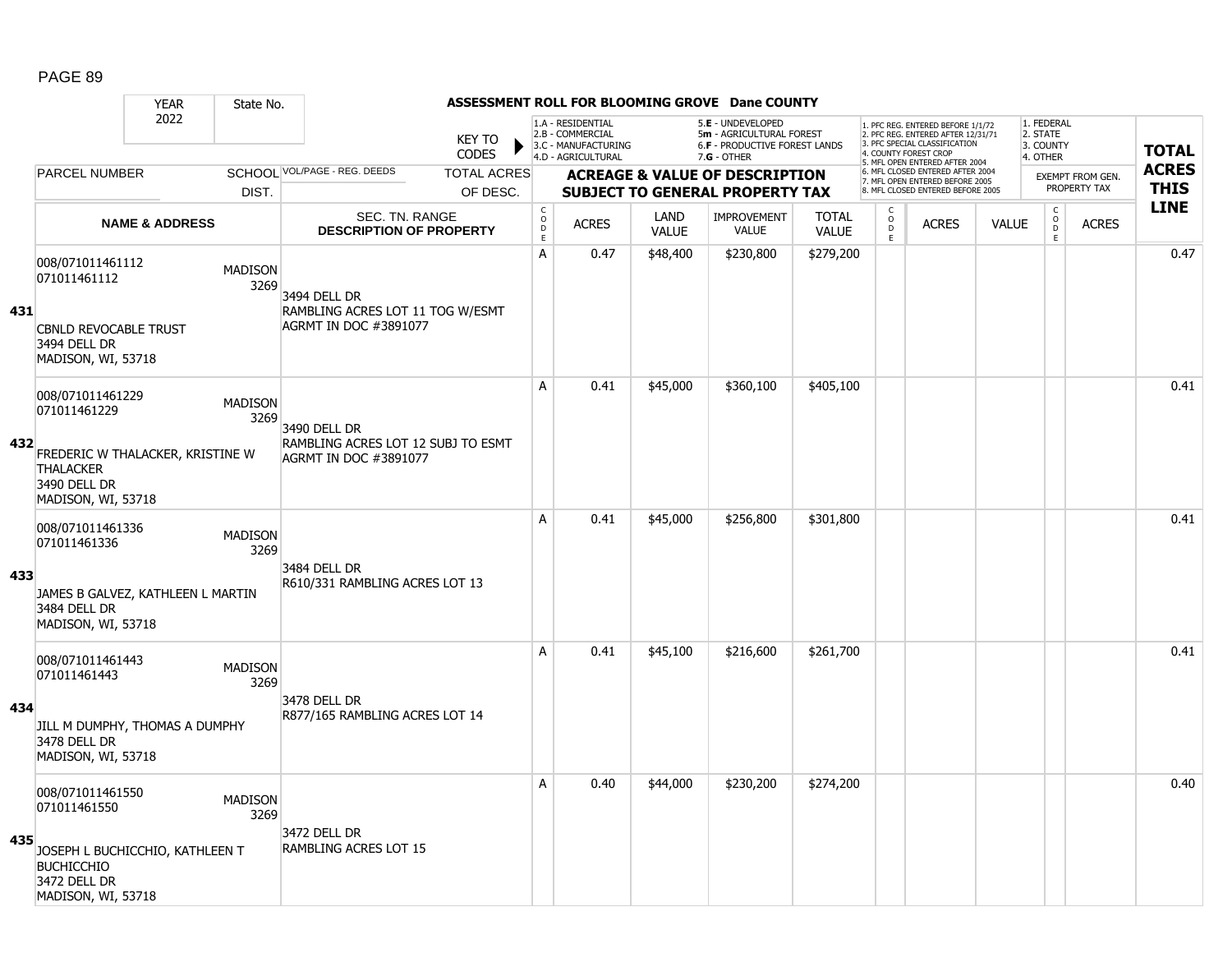|     |                                                                    | <b>YEAR</b><br>State No.          |                                                                    | ASSESSMENT ROLL FOR BLOOMING GROVE Dane COUNTY |                                                                  |                                                                                    |                      |                                                                                                 |                              |                          |                                                                                                                                   |              |                                                 |                  |              |
|-----|--------------------------------------------------------------------|-----------------------------------|--------------------------------------------------------------------|------------------------------------------------|------------------------------------------------------------------|------------------------------------------------------------------------------------|----------------------|-------------------------------------------------------------------------------------------------|------------------------------|--------------------------|-----------------------------------------------------------------------------------------------------------------------------------|--------------|-------------------------------------------------|------------------|--------------|
|     |                                                                    | 2022                              |                                                                    | <b>KEY TO</b><br><b>CODES</b>                  |                                                                  | 1.A - RESIDENTIAL<br>2.B - COMMERCIAL<br>3.C - MANUFACTURING<br>4.D - AGRICULTURAL |                      | 5.E - UNDEVELOPED<br>5m - AGRICULTURAL FOREST<br>6.F - PRODUCTIVE FOREST LANDS<br>$7.G - OTHER$ |                              |                          | 1. PFC REG. ENTERED BEFORE 1/1/72<br>2. PFC REG. ENTERED AFTER 12/31/71<br>3. PFC SPECIAL CLASSIFICATION<br>4. COUNTY FOREST CROP |              | 1. FEDERAL<br>2. STATE<br>3. COUNTY<br>4. OTHER |                  | <b>TOTAL</b> |
|     | <b>PARCEL NUMBER</b>                                               |                                   | SCHOOL VOL/PAGE - REG. DEEDS                                       | <b>TOTAL ACRES</b>                             |                                                                  |                                                                                    |                      | <b>ACREAGE &amp; VALUE OF DESCRIPTION</b>                                                       |                              |                          | 5. MFL OPEN ENTERED AFTER 2004<br>6. MFL CLOSED ENTERED AFTER 2004                                                                |              |                                                 | EXEMPT FROM GEN. | <b>ACRES</b> |
|     |                                                                    | DIST.                             |                                                                    | OF DESC.                                       |                                                                  |                                                                                    |                      | <b>SUBJECT TO GENERAL PROPERTY TAX</b>                                                          |                              |                          | 7. MFL OPEN ENTERED BEFORE 2005<br>8. MFL CLOSED ENTERED BEFORE 2005                                                              |              |                                                 | PROPERTY TAX     | <b>THIS</b>  |
|     |                                                                    | <b>NAME &amp; ADDRESS</b>         | SEC. TN. RANGE<br><b>DESCRIPTION OF PROPERTY</b>                   |                                                | $\mathsf C$<br>$\overset{\circ}{\phantom{\circ}}$<br>$\mathsf E$ | <b>ACRES</b>                                                                       | LAND<br><b>VALUE</b> | <b>IMPROVEMENT</b><br><b>VALUE</b>                                                              | <b>TOTAL</b><br><b>VALUE</b> | C<br>$\overline{D}$<br>E | <b>ACRES</b>                                                                                                                      | <b>VALUE</b> | $\begin{matrix} 0 \\ 0 \\ 0 \end{matrix}$<br>E  | <b>ACRES</b>     | <b>LINE</b>  |
|     | 008/071011461112<br>071011461112                                   | <b>MADISON</b><br>3269            | 3494 DELL DR                                                       |                                                | A                                                                | 0.47                                                                               | \$48,400             | \$230,800                                                                                       | \$279,200                    |                          |                                                                                                                                   |              |                                                 |                  | 0.47         |
| 431 | <b>CBNLD REVOCABLE TRUST</b><br>3494 DELL DR<br>MADISON, WI, 53718 |                                   | RAMBLING ACRES LOT 11 TOG W/ESMT<br><b>AGRMT IN DOC #3891077</b>   |                                                |                                                                  |                                                                                    |                      |                                                                                                 |                              |                          |                                                                                                                                   |              |                                                 |                  |              |
|     | 008/071011461229<br>071011461229                                   | <b>MADISON</b><br>3269            | 3490 DELL DR                                                       |                                                | Α                                                                | 0.41                                                                               | \$45,000             | \$360,100                                                                                       | \$405,100                    |                          |                                                                                                                                   |              |                                                 |                  | 0.41         |
| 432 | <b>THALACKER</b><br>3490 DELL DR<br>MADISON, WI, 53718             | FREDERIC W THALACKER, KRISTINE W  | RAMBLING ACRES LOT 12 SUBJ TO ESMT<br><b>AGRMT IN DOC #3891077</b> |                                                |                                                                  |                                                                                    |                      |                                                                                                 |                              |                          |                                                                                                                                   |              |                                                 |                  |              |
| 433 | 008/071011461336<br>071011461336                                   | <b>MADISON</b><br>3269            | 3484 DELL DR                                                       |                                                | A                                                                | 0.41                                                                               | \$45,000             | \$256,800                                                                                       | \$301,800                    |                          |                                                                                                                                   |              |                                                 |                  | 0.41         |
|     | 3484 DELL DR<br>MADISON, WI, 53718                                 | JAMES B GALVEZ, KATHLEEN L MARTIN | R610/331 RAMBLING ACRES LOT 13                                     |                                                |                                                                  |                                                                                    |                      |                                                                                                 |                              |                          |                                                                                                                                   |              |                                                 |                  |              |
|     | 008/071011461443<br>071011461443                                   | <b>MADISON</b><br>3269            |                                                                    |                                                | A                                                                | 0.41                                                                               | \$45,100             | \$216,600                                                                                       | \$261,700                    |                          |                                                                                                                                   |              |                                                 |                  | 0.41         |
| 434 | 3478 DELL DR<br>MADISON, WI, 53718                                 | JILL M DUMPHY, THOMAS A DUMPHY    | 3478 DELL DR<br>R877/165 RAMBLING ACRES LOT 14                     |                                                |                                                                  |                                                                                    |                      |                                                                                                 |                              |                          |                                                                                                                                   |              |                                                 |                  |              |
|     | 008/071011461550<br>071011461550                                   | <b>MADISON</b><br>3269            | 3472 DELL DR                                                       |                                                | Α                                                                | 0.40                                                                               | \$44,000             | \$230,200                                                                                       | \$274,200                    |                          |                                                                                                                                   |              |                                                 |                  | 0.40         |
| 435 | <b>BUCHICCHIO</b><br>3472 DELL DR<br>MADISON, WI, 53718            | JOSEPH L BUCHICCHIO, KATHLEEN T   | RAMBLING ACRES LOT 15                                              |                                                |                                                                  |                                                                                    |                      |                                                                                                 |                              |                          |                                                                                                                                   |              |                                                 |                  |              |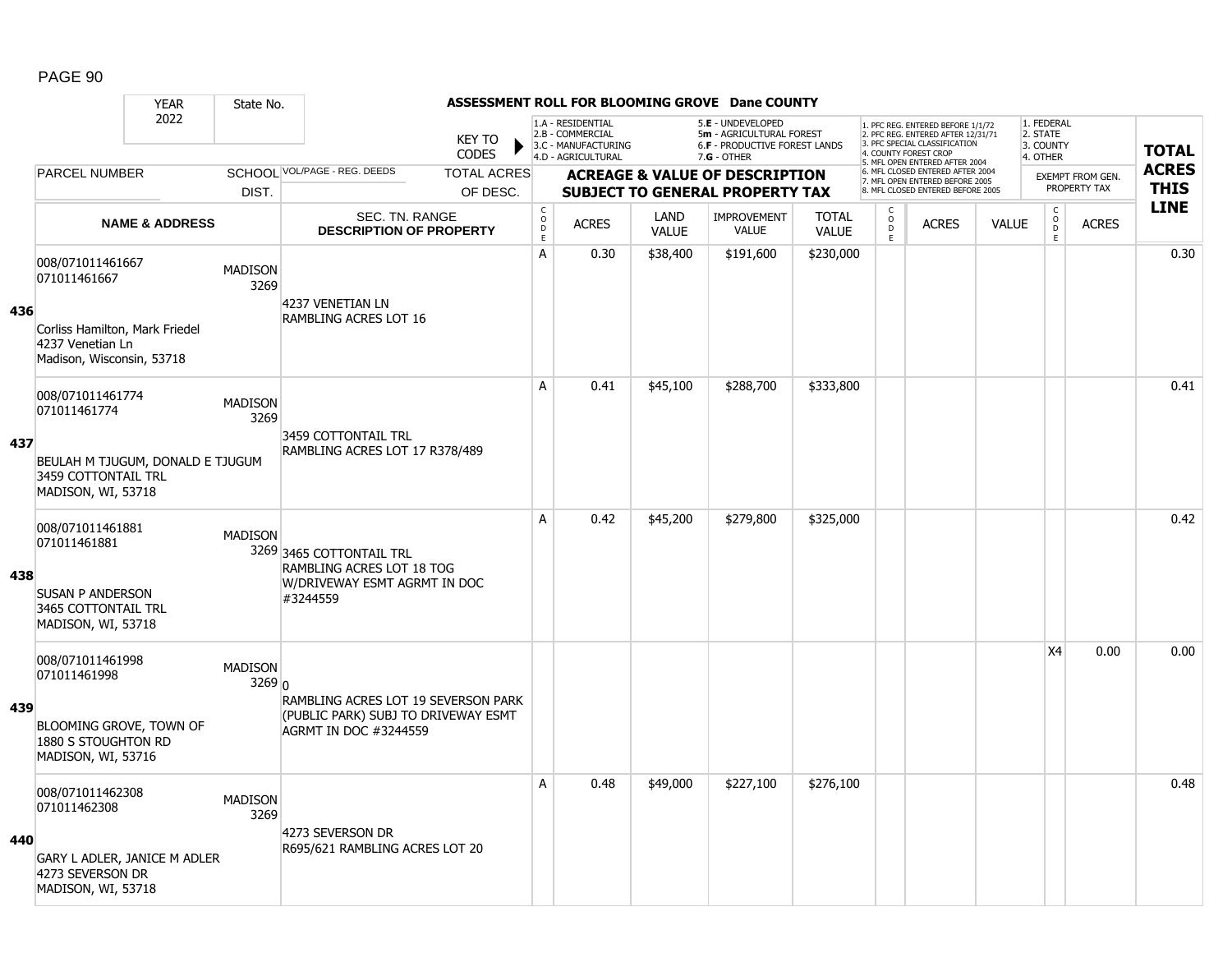#### YEAR State No. **ASSESSMENT ROLL FOR BLOOMING GROVE Dane COUNTY** 2022 KEY TO **CODES** 1. PFC REG. ENTERED BEFORE 1/1/72 2. PFC REG. ENTERED AFTER 12/31/71 3. PFC SPECIAL CLASSIFICATION 4. COUNTY FOREST CROP 5. MFL OPEN ENTERED AFTER 2004 6. MFL CLOSED ENTERED AFTER 2004 7. MFL OPEN ENTERED BEFORE 2005 8. MFL CLOSED ENTERED BEFORE 2005 1. FEDERAL 2. STATE 3. COUNTY 4. OTHER **ACREAGE & VALUE OF DESCRIPTION SUBJECT TO GENERAL PROPERTY TAX** EXEMPT FROM GEN. PROPERTY TAX **TOTAL ACRES THIS LINE** 1.A - RESIDENTIAL 2.B - COMMERCIAL 3.C - MANUFACTURING 4.D - AGRICULTURAL 5.**E** - UNDEVELOPED 5**m** - AGRICULTURAL FOREST 6.**F** - PRODUCTIVE FOREST LANDS 7.**G** - OTHER TOTAL ACRES OF DESC. SCHOOL VOL/PAGE - REG. DEEDS DIST. PARCEL NUMBER ACRES C O  $\overline{D}$ E ACRES VALUE  $\mathsf{C}$ O  $\overline{D}$ E TOTAL VALUE IMPROVEMENT VALUE LAND ACRES | VALUE C O  $\overline{D}$ E SEC. TN. RANGE **DESCRIPTION OF PROPERTY NAME & ADDRESS 436** 008/071011461667 000/071011401007<br>071011461667 MADISON 3269 Corliss Hamilton, Mark Friedel 4237 Venetian Ln Madison, Wisconsin, 53718 4237 VENETIAN LN RAMBLING ACRES LOT 16 A 0.30 \$38,400 \$191,600 \$230,000 discussed by the 10.30 \$38,400 \$191,600 \$230,000 **437** 008/071011461774 006/071011461774 MADISON<br>071011461774 2369 3269 BEULAH M TJUGUM, DONALD E TJUGUM 3459 COTTONTAIL TRL MADISON, WI, 53718 3459 COTTONTAIL TRL RAMBLING ACRES LOT 17 R378/489 A 0.41 \$45,100 \$288,700 \$333,800 distribution of the 10.41 0.41 distribution of the 10.41 distribution of the 1 **438** 008/071011461881 0000071011401001<br>071011461881 MADISON 3269 3465 COTTONTAIL TRL SUSAN P ANDERSON 3465 COTTONTAIL TRL MADISON, WI, 53718 RAMBLING ACRES LOT 18 TOG W/DRIVEWAY ESMT AGRMT IN DOC #3244559 A 0.42 \$45,200 \$279,800 \$325,000 distance the control of the control of the control of the control of the contr **439** 008/071011461998 0000071011401990<br>071011461998 MADISON 3269 0 BLOOMING GROVE, TOWN OF 1880 S STOUGHTON RD MADISON, WI, 53716 RAMBLING ACRES LOT 19 SEVERSON PARK (PUBLIC PARK) SUBJ TO DRIVEWAY ESMT AGRMT IN DOC #3244559  $X4 \t0.00 \t0.00$ **440** 008/071011462308 0000071011462300<br>071011462308 MADISON 3269 GARY L ADLER, JANICE M ADLER 4273 SEVERSON DR MADISON, WI, 53718 4273 SEVERSON DR R695/621 RAMBLING ACRES LOT 20 A 0.48 \$49,000 \$227,100 \$276,100 distribution of the distribution of the distribution of the distribution of t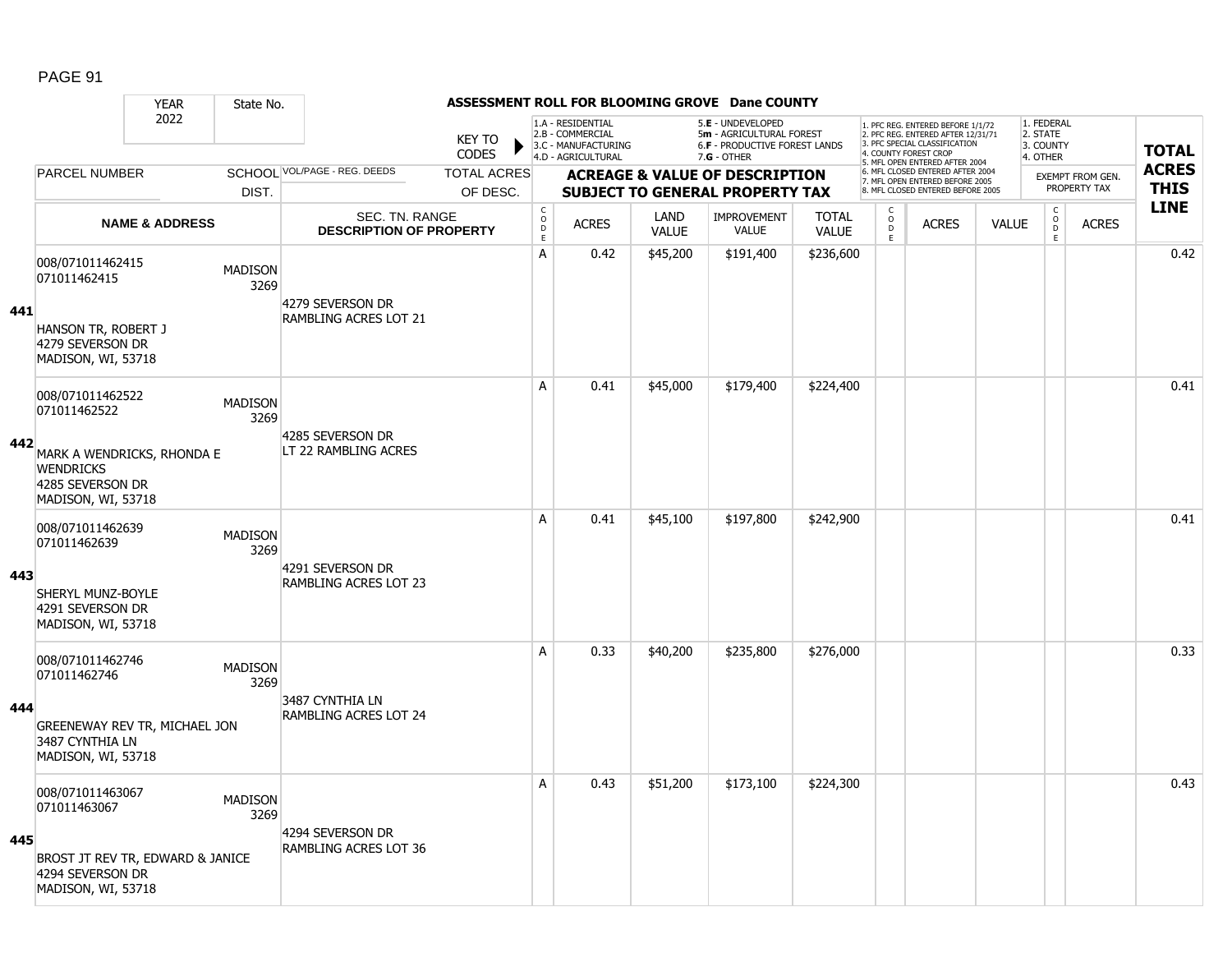### YEAR State No. **ASSESSMENT ROLL FOR BLOOMING GROVE Dane COUNTY** 2022 KEY TO **CODES** 1. PFC REG. ENTERED BEFORE 1/1/72 2. PFC REG. ENTERED AFTER 12/31/71 3. PFC SPECIAL CLASSIFICATION 4. COUNTY FOREST CROP 5. MFL OPEN ENTERED AFTER 2004 6. MFL CLOSED ENTERED AFTER 2004 7. MFL OPEN ENTERED BEFORE 2005 8. MFL CLOSED ENTERED BEFORE 2005 1. FEDERAL 2. STATE 3. COUNTY 4. OTHER **ACREAGE & VALUE OF DESCRIPTION SUBJECT TO GENERAL PROPERTY TAX** EXEMPT FROM GEN. PROPERTY TAX **TOTAL ACRES THIS LINE** 1.A - RESIDENTIAL 2.B - COMMERCIAL 3.C - MANUFACTURING 4.D - AGRICULTURAL 5.**E** - UNDEVELOPED 5**m** - AGRICULTURAL FOREST 6.**F** - PRODUCTIVE FOREST LANDS 7.**G** - OTHER TOTAL ACRES OF DESC. SCHOOL VOL/PAGE - REG. DEEDS DIST. PARCEL NUMBER ACRES C O  $\overline{D}$ E ACRES VALUE  $\mathsf{C}$ O  $\overline{D}$ E TOTAL VALUE IMPROVEMENT VALUE LAND ACRES | VALUE C O  $\overline{D}$ E SEC. TN. RANGE **DESCRIPTION OF PROPERTY NAME & ADDRESS 441** 008/071011462415 000/071011462415<br>071011462415 3269 HANSON TR, ROBERT J 4279 SEVERSON DR MADISON, WI, 53718 4279 SEVERSON DR RAMBLING ACRES LOT 21 A 0.42 \$45,200 \$191,400 \$236,600 degree to the 10.42 0.42 **442** 008/071011462522 006/071011462522 MADISON<br>071011462522 MADISON 3269 MARK A WENDRICKS, RHONDA E **WENDRICKS** 4285 SEVERSON DR MADISON, WI, 53718 4285 SEVERSON DR LT 22 RAMBLING ACRES A 0.41 \$45,000 \$179,400 \$224,400 distribution of the 10.41 0.41 distribution of the 10.41 distribution of the 1 **443** 008/071011462639 006/071011462639 MADISON<br>071011462639 MADISON 3269 SHERYL MUNZ-BOYLE 4291 SEVERSON DR MADISON, WI, 53718 4291 SEVERSON DR RAMBLING ACRES LOT 23 A 0.41 \$45,100 \$197,800 \$242,900 distribution of the 10.41 0.41 o.41 **444** 008/071011462746 0000071011462746 MADISON 3269 GREENEWAY REV TR, MICHAEL JON 3487 CYNTHIA LN MADISON, WI, 53718 3487 CYNTHIA LN RAMBLING ACRES LOT 24 A 0.33 \$40,200 \$235,800 \$276,000 discussed by the 1 0.33 \$40,200 **445** 008/071011463067 0000071011463067 MADISON<br>071011463067 MADISON 3269 BROST JT REV TR, EDWARD & JANICE 4294 SEVERSON DR MADISON, WI, 53718 4294 SEVERSON DR RAMBLING ACRES LOT 36 A 0.43 \$51,200 \$173,100 \$224,300 discussed by the control of the control of the control of the control of the c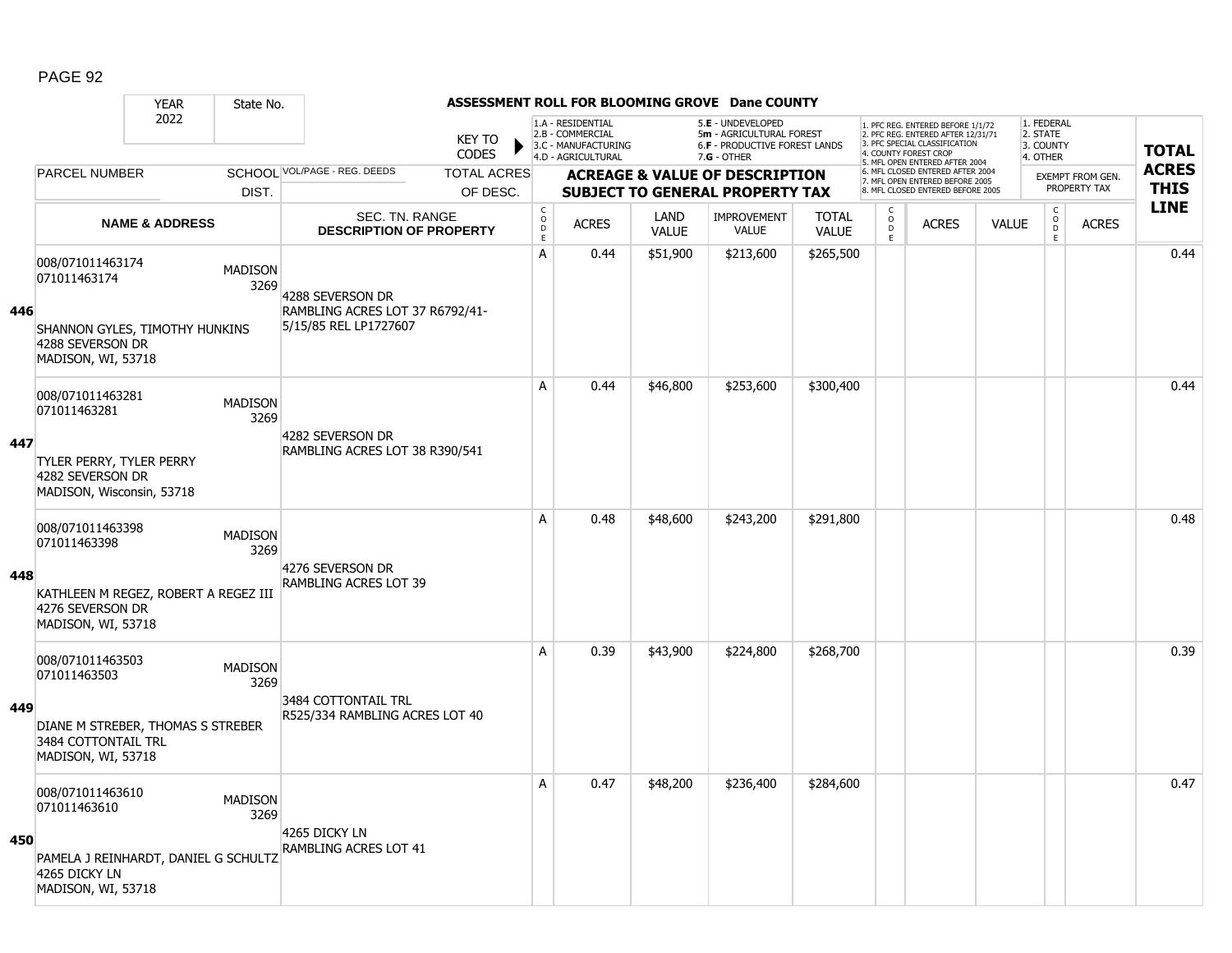|     |                                                                                | <b>YEAR</b>               | State No.              |                                                          |                    |                                            |                                                              |                      | ASSESSMENT ROLL FOR BLOOMING GROVE Dane COUNTY                                 |                              |                          |                                                                                                          |              |                                                          |                  |              |
|-----|--------------------------------------------------------------------------------|---------------------------|------------------------|----------------------------------------------------------|--------------------|--------------------------------------------|--------------------------------------------------------------|----------------------|--------------------------------------------------------------------------------|------------------------------|--------------------------|----------------------------------------------------------------------------------------------------------|--------------|----------------------------------------------------------|------------------|--------------|
|     |                                                                                | 2022                      |                        |                                                          | <b>KEY TO</b>      |                                            | 1.A - RESIDENTIAL<br>2.B - COMMERCIAL<br>3.C - MANUFACTURING |                      | 5.E - UNDEVELOPED<br>5m - AGRICULTURAL FOREST<br>6.F - PRODUCTIVE FOREST LANDS |                              |                          | 1. PFC REG. ENTERED BEFORE 1/1/72<br>2. PFC REG. ENTERED AFTER 12/31/71<br>3. PFC SPECIAL CLASSIFICATION |              | 1. FEDERAL<br>2. STATE<br>3. COUNTY                      |                  | <b>TOTAL</b> |
|     |                                                                                |                           |                        |                                                          | <b>CODES</b>       |                                            | 4.D - AGRICULTURAL                                           |                      | $7.G - OTHER$                                                                  |                              |                          | 4. COUNTY FOREST CROP<br>5. MFL OPEN ENTERED AFTER 2004                                                  |              | 4. OTHER                                                 |                  |              |
|     | <b>PARCEL NUMBER</b>                                                           |                           |                        | SCHOOL VOL/PAGE - REG. DEEDS                             | <b>TOTAL ACRES</b> |                                            |                                                              |                      | <b>ACREAGE &amp; VALUE OF DESCRIPTION</b>                                      |                              |                          | 6. MFL CLOSED ENTERED AFTER 2004<br>7. MFL OPEN ENTERED BEFORE 2005                                      |              |                                                          | EXEMPT FROM GEN. | <b>ACRES</b> |
|     |                                                                                |                           | DIST.                  |                                                          | OF DESC.           |                                            |                                                              |                      | <b>SUBJECT TO GENERAL PROPERTY TAX</b>                                         |                              |                          | 8. MFL CLOSED ENTERED BEFORE 2005                                                                        |              |                                                          | PROPERTY TAX     | <b>THIS</b>  |
|     |                                                                                | <b>NAME &amp; ADDRESS</b> |                        | SEC. TN. RANGE<br><b>DESCRIPTION OF PROPERTY</b>         |                    | $\mathsf C$<br>$\circ$<br>D<br>$\mathsf E$ | <b>ACRES</b>                                                 | LAND<br><b>VALUE</b> | <b>IMPROVEMENT</b><br><b>VALUE</b>                                             | <b>TOTAL</b><br><b>VALUE</b> | C<br>$\overline{0}$<br>E | <b>ACRES</b>                                                                                             | <b>VALUE</b> | $\begin{matrix} 0 \\ 0 \\ 0 \end{matrix}$<br>$\mathsf E$ | <b>ACRES</b>     | <b>LINE</b>  |
|     | 008/071011463174<br>071011463174                                               |                           | <b>MADISON</b><br>3269 | 4288 SEVERSON DR                                         |                    | A                                          | 0.44                                                         | \$51,900             | \$213,600                                                                      | \$265,500                    |                          |                                                                                                          |              |                                                          |                  | 0.44         |
| 446 | SHANNON GYLES, TIMOTHY HUNKINS<br>4288 SEVERSON DR<br>MADISON, WI, 53718       |                           |                        | RAMBLING ACRES LOT 37 R6792/41-<br>5/15/85 REL LP1727607 |                    |                                            |                                                              |                      |                                                                                |                              |                          |                                                                                                          |              |                                                          |                  |              |
|     | 008/071011463281<br>071011463281                                               |                           | <b>MADISON</b><br>3269 |                                                          |                    | A                                          | 0.44                                                         | \$46,800             | \$253,600                                                                      | \$300,400                    |                          |                                                                                                          |              |                                                          |                  | 0.44         |
| 447 | TYLER PERRY, TYLER PERRY<br>4282 SEVERSON DR<br>MADISON, Wisconsin, 53718      |                           |                        | 4282 SEVERSON DR<br>RAMBLING ACRES LOT 38 R390/541       |                    |                                            |                                                              |                      |                                                                                |                              |                          |                                                                                                          |              |                                                          |                  |              |
|     | 008/071011463398<br>071011463398                                               |                           | <b>MADISON</b><br>3269 | 4276 SEVERSON DR                                         |                    | A                                          | 0.48                                                         | \$48,600             | \$243,200                                                                      | \$291,800                    |                          |                                                                                                          |              |                                                          |                  | 0.48         |
| 448 | KATHLEEN M REGEZ, ROBERT A REGEZ III<br>4276 SEVERSON DR<br>MADISON, WI, 53718 |                           |                        | RAMBLING ACRES LOT 39                                    |                    |                                            |                                                              |                      |                                                                                |                              |                          |                                                                                                          |              |                                                          |                  |              |
|     | 008/071011463503<br>071011463503                                               |                           | <b>MADISON</b><br>3269 |                                                          |                    | A                                          | 0.39                                                         | \$43,900             | \$224,800                                                                      | \$268,700                    |                          |                                                                                                          |              |                                                          |                  | 0.39         |
| 449 | DIANE M STREBER, THOMAS S STREBER<br>3484 COTTONTAIL TRL<br>MADISON, WI, 53718 |                           |                        | 3484 COTTONTAIL TRL<br>R525/334 RAMBLING ACRES LOT 40    |                    |                                            |                                                              |                      |                                                                                |                              |                          |                                                                                                          |              |                                                          |                  |              |
|     | 008/071011463610<br>071011463610                                               |                           | <b>MADISON</b><br>3269 |                                                          |                    | $\mathsf{A}$                               | 0.47                                                         | \$48,200             | \$236,400                                                                      | \$284,600                    |                          |                                                                                                          |              |                                                          |                  | 0.47         |
| 450 | PAMELA J REINHARDT, DANIEL G SCHULTZ<br>4265 DICKY LN<br>MADISON, WI, 53718    |                           |                        | 4265 DICKY LN<br>RAMBLING ACRES LOT 41                   |                    |                                            |                                                              |                      |                                                                                |                              |                          |                                                                                                          |              |                                                          |                  |              |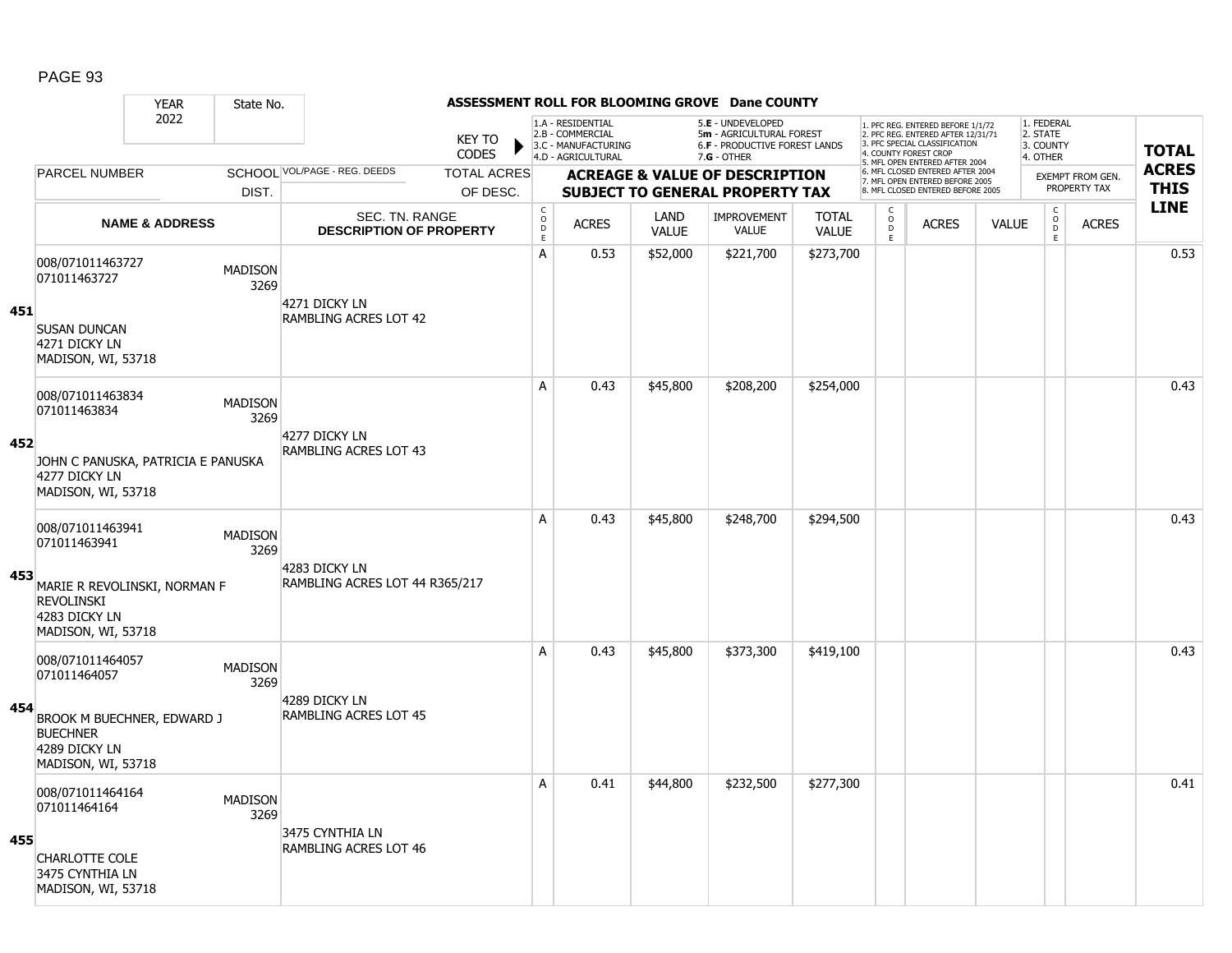### YEAR State No. **ASSESSMENT ROLL FOR BLOOMING GROVE Dane COUNTY** 2022 KEY TO **CODES** 1. PFC REG. ENTERED BEFORE 1/1/72 2. PFC REG. ENTERED AFTER 12/31/71 3. PFC SPECIAL CLASSIFICATION 4. COUNTY FOREST CROP 5. MFL OPEN ENTERED AFTER 2004 6. MFL CLOSED ENTERED AFTER 2004 7. MFL OPEN ENTERED BEFORE 2005 8. MFL CLOSED ENTERED BEFORE 2005 1. FEDERAL 2. STATE 3. COUNTY 4. OTHER **ACREAGE & VALUE OF DESCRIPTION SUBJECT TO GENERAL PROPERTY TAX** EXEMPT FROM GEN. PROPERTY TAX **TOTAL ACRES THIS LINE** 1.A - RESIDENTIAL 2.B - COMMERCIAL 3.C - MANUFACTURING 4.D - AGRICULTURAL 5.**E** - UNDEVELOPED 5**m** - AGRICULTURAL FOREST 6.**F** - PRODUCTIVE FOREST LANDS 7.**G** - OTHER TOTAL ACRES OF DESC. SCHOOL VOL/PAGE - REG. DEEDS DIST. PARCEL NUMBER ACRES C O  $\overline{D}$ E ACRES VALUE  $\mathsf{C}$ O  $\overline{D}$ E TOTAL VALUE IMPROVEMENT VALUE LAND ACRES | VALUE C O  $\overline{D}$ E SEC. TN. RANGE **DESCRIPTION OF PROPERTY NAME & ADDRESS 451** 008/071011463727 000/071011463727 MADISON 3269 SUSAN DUNCAN 4271 DICKY LN MADISON, WI, 53718 4271 DICKY LN RAMBLING ACRES LOT 42 A | 0.53 | \$52,000 | \$221,700 | \$273,700 | | | | | | | | | | | | 0.53 **452** 008/071011463834 006/071011463834 MADISON<br>071011463834 3269 JOHN C PANUSKA, PATRICIA E PANUSKA 4277 DICKY LN MADISON, WI, 53718 4277 DICKY LN RAMBLING ACRES LOT 43 A 0.43 \$45,800 \$208,200 \$254,000 distance the control of the control of the control of the control of the contr **453** 008/071011463941 006/071011463941 MADISON<br>071011463941 MADISON 3269 MARIE R REVOLINSKI, NORMAN F REVOLINSKI 4283 DICKY LN MADISON, WI, 53718 4283 DICKY LN RAMBLING ACRES LOT 44 R365/217 A 0.43 \$45,800 \$248,700 \$294,500 distance the control or distance of  $\sim$  0.43 **454** 008/071011464057 0000071011464057 MADISON 3269 BROOK M BUECHNER, EDWARD J **BUECHNER** 4289 DICKY LN MADISON, WI, 53718 4289 DICKY LN RAMBLING ACRES LOT 45 A 0.43 \$45,800 \$373,300 \$419,100 0.43 **455** 008/071011464164 0000000000111-0-110-1<br>071011464164 MADISON 3269 CHARLOTTE COLE 3475 CYNTHIA LN MADISON, WI, 53718 3475 CYNTHIA LN RAMBLING ACRES LOT 46 A 0.41 \$44,800 \$232,500 \$277,300 distance the control of the control of the control of the control of the contr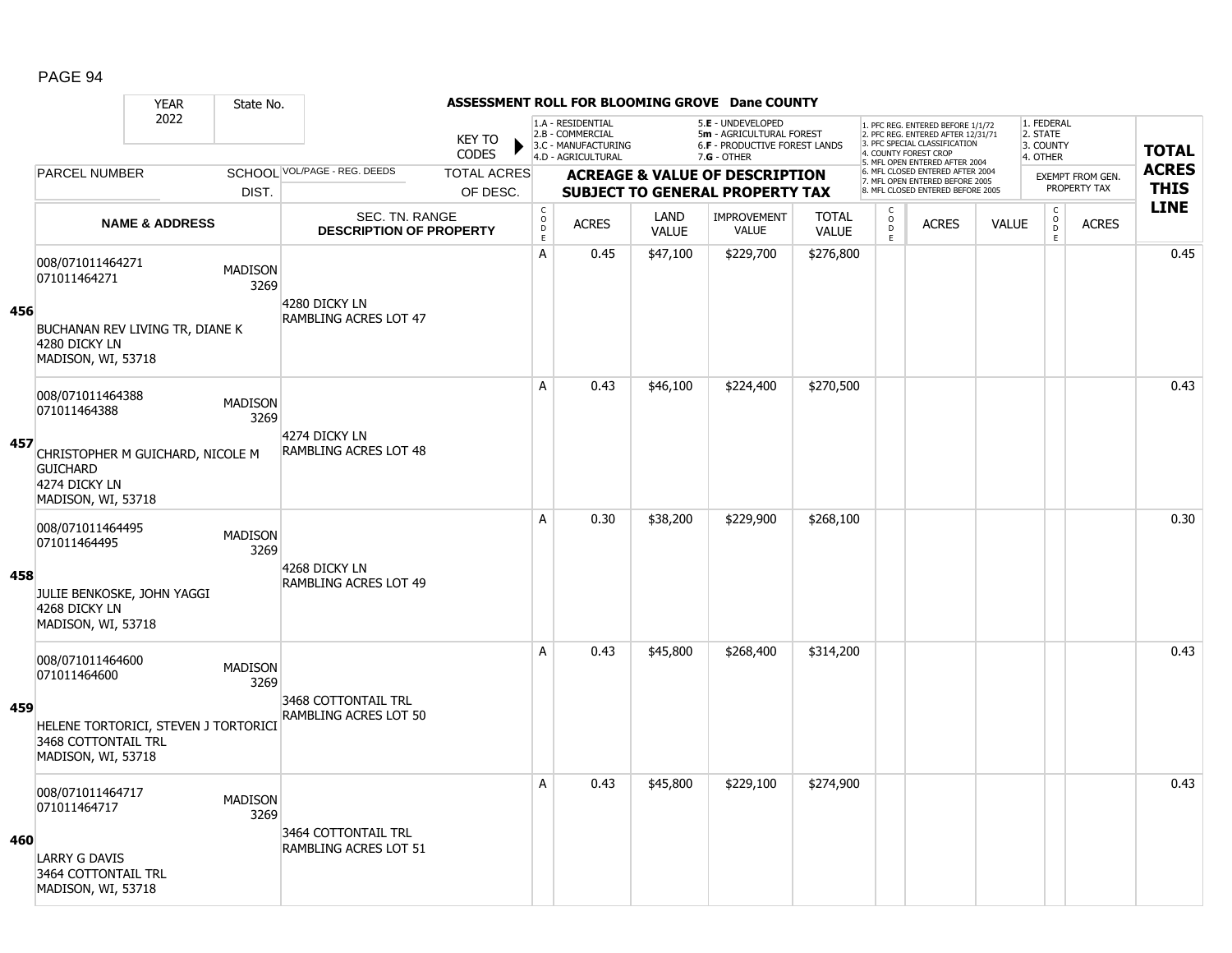### YEAR State No. **ASSESSMENT ROLL FOR BLOOMING GROVE Dane COUNTY** 2022 KEY TO **CODES** 1. PFC REG. ENTERED BEFORE 1/1/72 2. PFC REG. ENTERED AFTER 12/31/71 3. PFC SPECIAL CLASSIFICATION 4. COUNTY FOREST CROP 5. MFL OPEN ENTERED AFTER 2004 6. MFL CLOSED ENTERED AFTER 2004 7. MFL OPEN ENTERED BEFORE 2005 8. MFL CLOSED ENTERED BEFORE 2005 1. FEDERAL 2. STATE 3. COUNTY 4. OTHER **ACREAGE & VALUE OF DESCRIPTION SUBJECT TO GENERAL PROPERTY TAX** EXEMPT FROM GEN. PROPERTY TAX **TOTAL ACRES THIS LINE** 1.A - RESIDENTIAL 2.B - COMMERCIAL 3.C - MANUFACTURING 4.D - AGRICULTURAL 5.**E** - UNDEVELOPED 5**m** - AGRICULTURAL FOREST 6.**F** - PRODUCTIVE FOREST LANDS 7.**G** - OTHER TOTAL ACRES OF DESC. SCHOOL VOL/PAGE - REG. DEEDS DIST. PARCEL NUMBER ACRES C O  $\overline{D}$ E ACRES VALUE  $\mathsf{C}$ O  $\overline{D}$ E TOTAL VALUE IMPROVEMENT VALUE LAND ACRES | VALUE C O  $\overline{D}$ E SEC. TN. RANGE **DESCRIPTION OF PROPERTY NAME & ADDRESS 456** 008/071011464271 000/071011404271 MADISON 3269 BUCHANAN REV LIVING TR, DIANE K 4280 DICKY LN MADISON, WI, 53718 4280 DICKY LN RAMBLING ACRES LOT 47 A 0.45 \$47,100 \$229,700 \$276,800 distance the control of the control of the control of the control of the contr **457** 008/071011464388 006/071011464388 MADISON<br>071011464388 2360 3269 CHRISTOPHER M GUICHARD, NICOLE M **GUICHARD** 4274 DICKY LN MADISON, WI, 53718 4274 DICKY LN RAMBLING ACRES LOT 48 A 0.43 \$46,100 \$224,400 \$270,500 distance the control of the control of the control of the control of the contr **458** 008/071011464495 006/071011464495<br>071011464495 MADISON 3269 JULIE BENKOSKE, JOHN YAGGI 4268 DICKY LN MADISON, WI, 53718 4268 DICKY LN RAMBLING ACRES LOT 49 A 0.30 \$38,200 \$229,900 \$268,100 0.30 **459** 008/071011464600 0000071011404000<br>071011464600 MADISON 3269 HELENE TORTORICI, STEVEN J TORTORICI 3468 COTTONTAIL TRL MADISON, WI, 53718 3468 COTTONTAIL TRL RAMBLING ACRES LOT 50 A 0.43 \$45,800 \$268,400 \$314,200 0.43 **460** 008/071011464717 0000071011464717 MADISON 3269 LARRY G DAVIS 3464 COTTONTAIL TRL MADISON, WI, 53718 3464 COTTONTAIL TRL RAMBLING ACRES LOT 51 A 0.43 \$45,800 \$229,100 \$274,900 0.43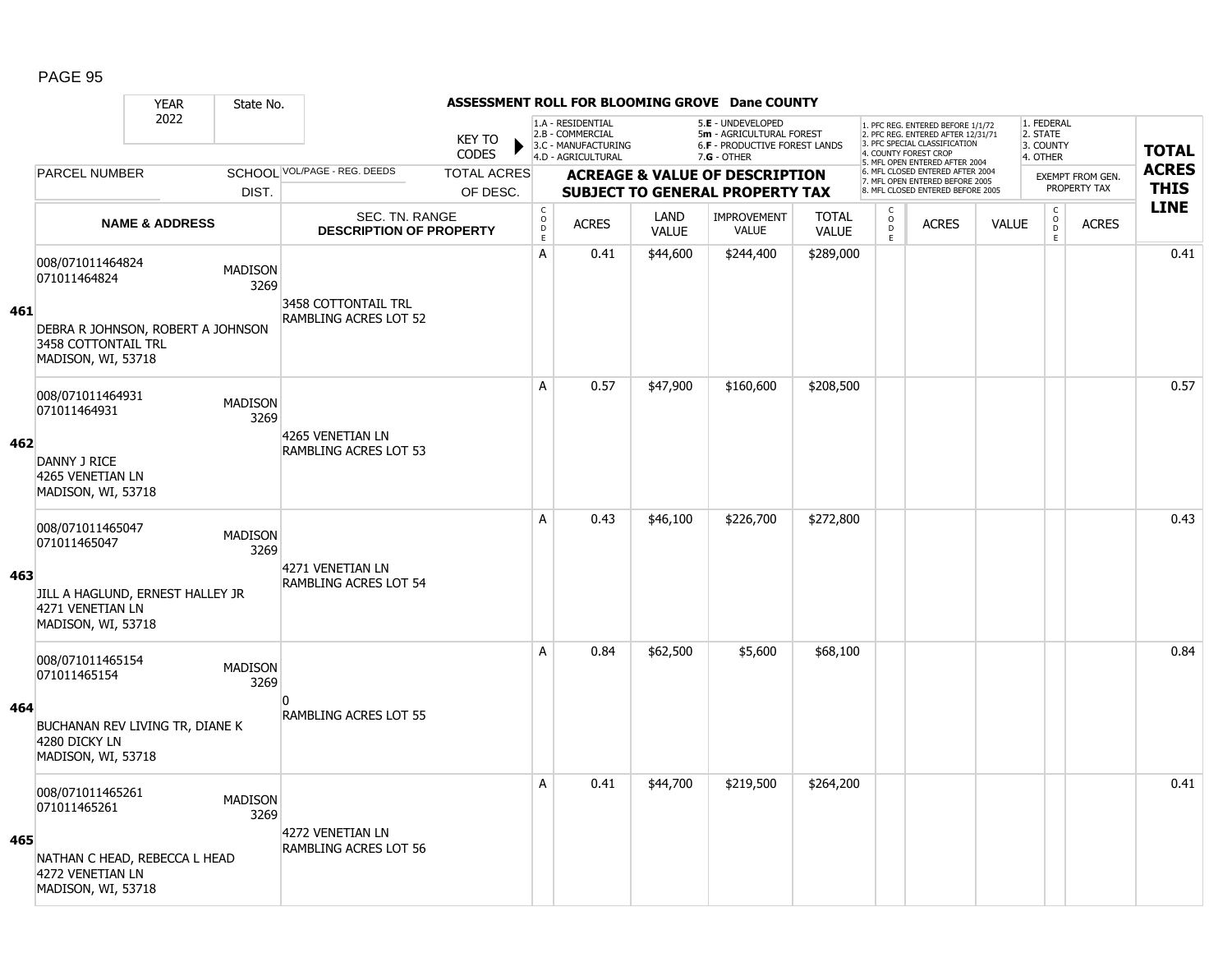|     |                                                                                | <b>YEAR</b>               | State No.              |                                                  |                               |                                        |                                                                                    |                      | ASSESSMENT ROLL FOR BLOOMING GROVE Dane COUNTY                                                  |                              |                                   |                                                                                                          |              |                                                 |                         |              |
|-----|--------------------------------------------------------------------------------|---------------------------|------------------------|--------------------------------------------------|-------------------------------|----------------------------------------|------------------------------------------------------------------------------------|----------------------|-------------------------------------------------------------------------------------------------|------------------------------|-----------------------------------|----------------------------------------------------------------------------------------------------------|--------------|-------------------------------------------------|-------------------------|--------------|
|     |                                                                                | 2022                      |                        |                                                  | <b>KEY TO</b><br><b>CODES</b> |                                        | 1.A - RESIDENTIAL<br>2.B - COMMERCIAL<br>3.C - MANUFACTURING<br>4.D - AGRICULTURAL |                      | 5.E - UNDEVELOPED<br>5m - AGRICULTURAL FOREST<br>6.F - PRODUCTIVE FOREST LANDS<br>$7.G - OTHER$ |                              | 4. COUNTY FOREST CROP             | 1. PFC REG. ENTERED BEFORE 1/1/72<br>2. PFC REG. ENTERED AFTER 12/31/71<br>3. PFC SPECIAL CLASSIFICATION |              | 1. FEDERAL<br>2. STATE<br>3. COUNTY<br>4. OTHER |                         | <b>TOTAL</b> |
|     | <b>PARCEL NUMBER</b>                                                           |                           |                        | SCHOOL VOL/PAGE - REG. DEEDS                     | <b>TOTAL ACRES</b>            |                                        |                                                                                    |                      | <b>ACREAGE &amp; VALUE OF DESCRIPTION</b>                                                       |                              |                                   | 5. MFL OPEN ENTERED AFTER 2004<br>6. MFL CLOSED ENTERED AFTER 2004<br>7. MFL OPEN ENTERED BEFORE 2005    |              |                                                 | <b>EXEMPT FROM GEN.</b> | <b>ACRES</b> |
|     |                                                                                |                           | DIST.                  |                                                  | OF DESC.                      |                                        |                                                                                    |                      | <b>SUBJECT TO GENERAL PROPERTY TAX</b>                                                          |                              |                                   | 8. MFL CLOSED ENTERED BEFORE 2005                                                                        |              |                                                 | PROPERTY TAX            | <b>THIS</b>  |
|     |                                                                                | <b>NAME &amp; ADDRESS</b> |                        | SEC. TN. RANGE<br><b>DESCRIPTION OF PROPERTY</b> |                               | $_{\rm o}^{\rm c}$<br>D<br>$\mathsf E$ | <b>ACRES</b>                                                                       | LAND<br><b>VALUE</b> | <b>IMPROVEMENT</b><br><b>VALUE</b>                                                              | <b>TOTAL</b><br><b>VALUE</b> | $\mathsf{C}$<br>$\circ$<br>D<br>E | <b>ACRES</b>                                                                                             | <b>VALUE</b> | $\mathsf{C}$<br>$\overline{0}$<br>$\mathsf E$   | <b>ACRES</b>            | <b>LINE</b>  |
| 461 | 008/071011464824<br>071011464824                                               |                           | <b>MADISON</b><br>3269 | 3458 COTTONTAIL TRL<br>RAMBLING ACRES LOT 52     |                               | A                                      | 0.41                                                                               | \$44,600             | \$244,400                                                                                       | \$289,000                    |                                   |                                                                                                          |              |                                                 |                         | 0.41         |
|     | DEBRA R JOHNSON, ROBERT A JOHNSON<br>3458 COTTONTAIL TRL<br>MADISON, WI, 53718 |                           |                        |                                                  |                               |                                        |                                                                                    |                      |                                                                                                 |                              |                                   |                                                                                                          |              |                                                 |                         |              |
|     | 008/071011464931<br>071011464931                                               |                           | <b>MADISON</b><br>3269 |                                                  |                               | A                                      | 0.57                                                                               | \$47,900             | \$160,600                                                                                       | \$208,500                    |                                   |                                                                                                          |              |                                                 |                         | 0.57         |
| 462 | DANNY J RICE<br>4265 VENETIAN LN<br>MADISON, WI, 53718                         |                           |                        | 4265 VENETIAN LN<br>RAMBLING ACRES LOT 53        |                               |                                        |                                                                                    |                      |                                                                                                 |                              |                                   |                                                                                                          |              |                                                 |                         |              |
|     | 008/071011465047<br>071011465047                                               |                           | <b>MADISON</b><br>3269 | 4271 VENETIAN LN                                 |                               | A                                      | 0.43                                                                               | \$46,100             | \$226,700                                                                                       | \$272,800                    |                                   |                                                                                                          |              |                                                 |                         | 0.43         |
| 463 | JILL A HAGLUND, ERNEST HALLEY JR<br>4271 VENETIAN LN<br>MADISON, WI, 53718     |                           |                        | RAMBLING ACRES LOT 54                            |                               |                                        |                                                                                    |                      |                                                                                                 |                              |                                   |                                                                                                          |              |                                                 |                         |              |
|     | 008/071011465154<br>071011465154                                               |                           | <b>MADISON</b><br>3269 |                                                  |                               | A                                      | 0.84                                                                               | \$62,500             | \$5,600                                                                                         | \$68,100                     |                                   |                                                                                                          |              |                                                 |                         | 0.84         |
| 464 | BUCHANAN REV LIVING TR, DIANE K<br>4280 DICKY LN<br>MADISON, WI, 53718         |                           |                        | n<br><b>RAMBLING ACRES LOT 55</b>                |                               |                                        |                                                                                    |                      |                                                                                                 |                              |                                   |                                                                                                          |              |                                                 |                         |              |
|     | 008/071011465261<br>071011465261                                               |                           | <b>MADISON</b><br>3269 | 4272 VENETIAN LN                                 |                               | A                                      | 0.41                                                                               | \$44,700             | \$219,500                                                                                       | \$264,200                    |                                   |                                                                                                          |              |                                                 |                         | 0.41         |
| 465 | NATHAN C HEAD, REBECCA L HEAD<br>4272 VENETIAN LN<br>MADISON, WI, 53718        |                           |                        | RAMBLING ACRES LOT 56                            |                               |                                        |                                                                                    |                      |                                                                                                 |                              |                                   |                                                                                                          |              |                                                 |                         |              |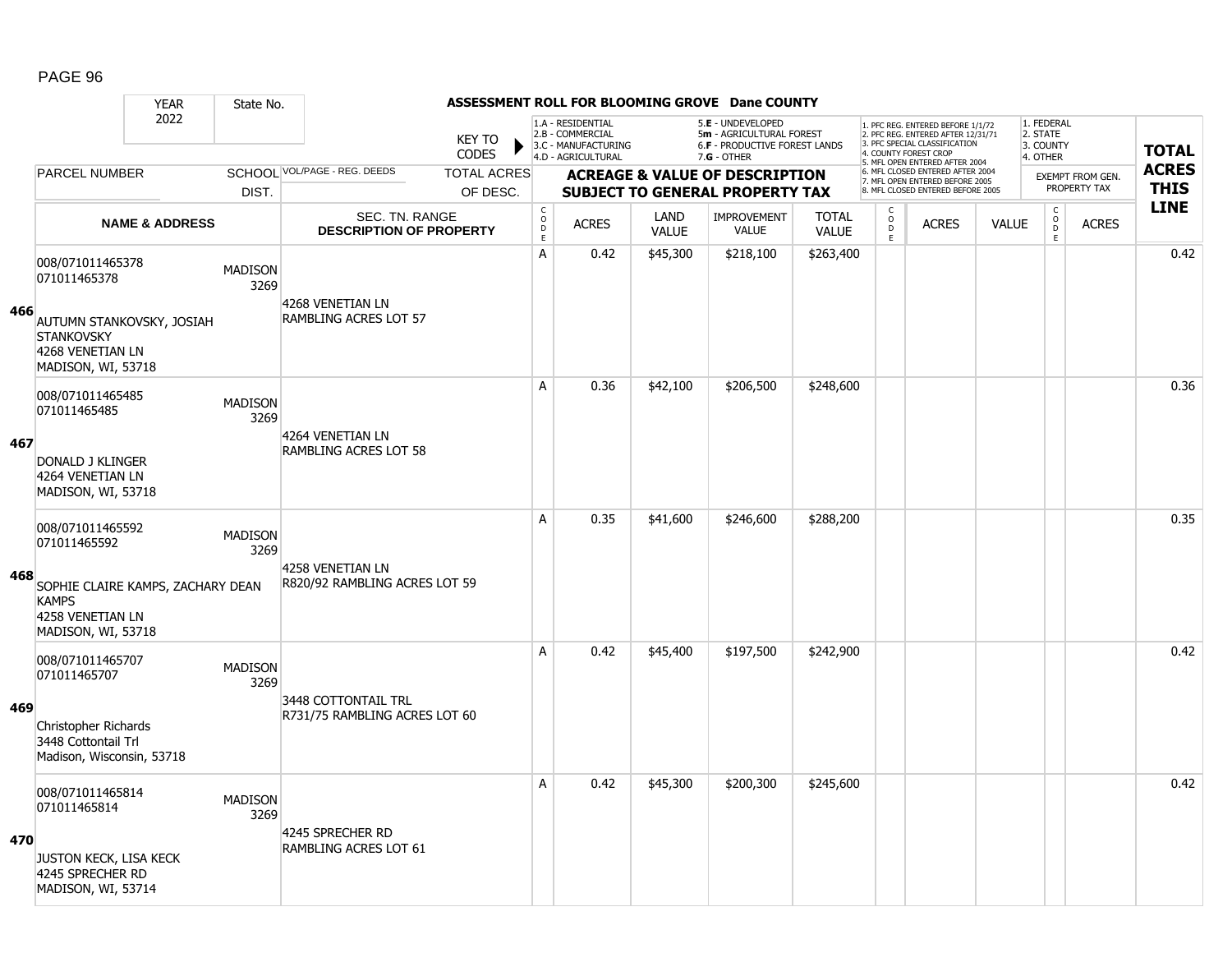|     |                                                                                                                                 | <b>YEAR</b>               | State No.              |                                                      |                        |                         |                                                                                    |                      | ASSESSMENT ROLL FOR BLOOMING GROVE Dane COUNTY                                                         |                              |                                       |                                                                                                                                   |              |                                                 |                                  |              |
|-----|---------------------------------------------------------------------------------------------------------------------------------|---------------------------|------------------------|------------------------------------------------------|------------------------|-------------------------|------------------------------------------------------------------------------------|----------------------|--------------------------------------------------------------------------------------------------------|------------------------------|---------------------------------------|-----------------------------------------------------------------------------------------------------------------------------------|--------------|-------------------------------------------------|----------------------------------|--------------|
|     |                                                                                                                                 | 2022                      |                        |                                                      | <b>KEY TO</b><br>CODES |                         | 1.A - RESIDENTIAL<br>2.B - COMMERCIAL<br>3.C - MANUFACTURING<br>4.D - AGRICULTURAL |                      | 5.E - UNDEVELOPED<br>5m - AGRICULTURAL FOREST<br><b>6.F - PRODUCTIVE FOREST LANDS</b><br>$7.G - OTHER$ |                              |                                       | 1. PFC REG. ENTERED BEFORE 1/1/72<br>2. PFC REG. ENTERED AFTER 12/31/71<br>3. PFC SPECIAL CLASSIFICATION<br>4. COUNTY FOREST CROP |              | 1. FEDERAL<br>2. STATE<br>3. COUNTY<br>4. OTHER |                                  | <b>TOTAL</b> |
|     | <b>PARCEL NUMBER</b>                                                                                                            |                           |                        | SCHOOL VOL/PAGE - REG. DEEDS                         | <b>TOTAL ACRES</b>     |                         |                                                                                    |                      |                                                                                                        |                              |                                       | 5. MFL OPEN ENTERED AFTER 2004<br>6. MFL CLOSED ENTERED AFTER 2004                                                                |              |                                                 |                                  | <b>ACRES</b> |
|     |                                                                                                                                 |                           | DIST.                  |                                                      | OF DESC.               |                         |                                                                                    |                      | <b>ACREAGE &amp; VALUE OF DESCRIPTION</b><br><b>SUBJECT TO GENERAL PROPERTY TAX</b>                    |                              |                                       | 7. MFL OPEN ENTERED BEFORE 2005<br>8. MFL CLOSED ENTERED BEFORE 2005                                                              |              |                                                 | EXEMPT FROM GEN.<br>PROPERTY TAX | <b>THIS</b>  |
|     |                                                                                                                                 | <b>NAME &amp; ADDRESS</b> |                        | SEC. TN. RANGE<br><b>DESCRIPTION OF PROPERTY</b>     |                        | $_{\rm o}^{\rm c}$<br>D | <b>ACRES</b>                                                                       | LAND<br><b>VALUE</b> | <b>IMPROVEMENT</b><br><b>VALUE</b>                                                                     | <b>TOTAL</b><br><b>VALUE</b> | $\mathsf C$<br>$\circ$<br>$\mathsf D$ | <b>ACRES</b>                                                                                                                      | <b>VALUE</b> | $\mathsf C$<br>$\overline{0}$                   | <b>ACRES</b>                     | <b>LINE</b>  |
| 466 | 008/071011465378<br>071011465378<br>AUTUMN STANKOVSKY, JOSIAH<br><b>STANKOVSKY</b><br>4268 VENETIAN LN<br>MADISON, WI, 53718    |                           | <b>MADISON</b><br>3269 | 4268 VENETIAN LN<br>RAMBLING ACRES LOT 57            |                        | $\mathsf E$<br>A        | 0.42                                                                               | \$45,300             | \$218,100                                                                                              | \$263,400                    | E                                     |                                                                                                                                   |              | $\mathsf E$                                     |                                  | 0.42         |
| 467 | 008/071011465485<br>071011465485<br>DONALD J KLINGER<br>4264 VENETIAN LN<br>MADISON, WI, 53718                                  |                           | <b>MADISON</b><br>3269 | 4264 VENETIAN LN<br>RAMBLING ACRES LOT 58            |                        | A                       | 0.36                                                                               | \$42,100             | \$206,500                                                                                              | \$248,600                    |                                       |                                                                                                                                   |              |                                                 |                                  | 0.36         |
| 468 | 008/071011465592<br>071011465592<br>SOPHIE CLAIRE KAMPS, ZACHARY DEAN<br><b>KAMPS</b><br>4258 VENETIAN LN<br>MADISON, WI, 53718 |                           | <b>MADISON</b><br>3269 | 4258 VENETIAN LN<br>R820/92 RAMBLING ACRES LOT 59    |                        | A                       | 0.35                                                                               | \$41,600             | \$246,600                                                                                              | \$288,200                    |                                       |                                                                                                                                   |              |                                                 |                                  | 0.35         |
| 469 | 008/071011465707<br>071011465707<br>Christopher Richards<br>3448 Cottontail Trl<br>Madison, Wisconsin, 53718                    |                           | <b>MADISON</b><br>3269 | 3448 COTTONTAIL TRL<br>R731/75 RAMBLING ACRES LOT 60 |                        | A                       | 0.42                                                                               | \$45,400             | \$197,500                                                                                              | \$242,900                    |                                       |                                                                                                                                   |              |                                                 |                                  | 0.42         |
| 470 | 008/071011465814<br>071011465814<br>JUSTON KECK, LISA KECK<br>4245 SPRECHER RD<br>MADISON, WI, 53714                            |                           | <b>MADISON</b><br>3269 | 4245 SPRECHER RD<br>RAMBLING ACRES LOT 61            |                        | A                       | 0.42                                                                               | \$45,300             | \$200,300                                                                                              | \$245,600                    |                                       |                                                                                                                                   |              |                                                 |                                  | 0.42         |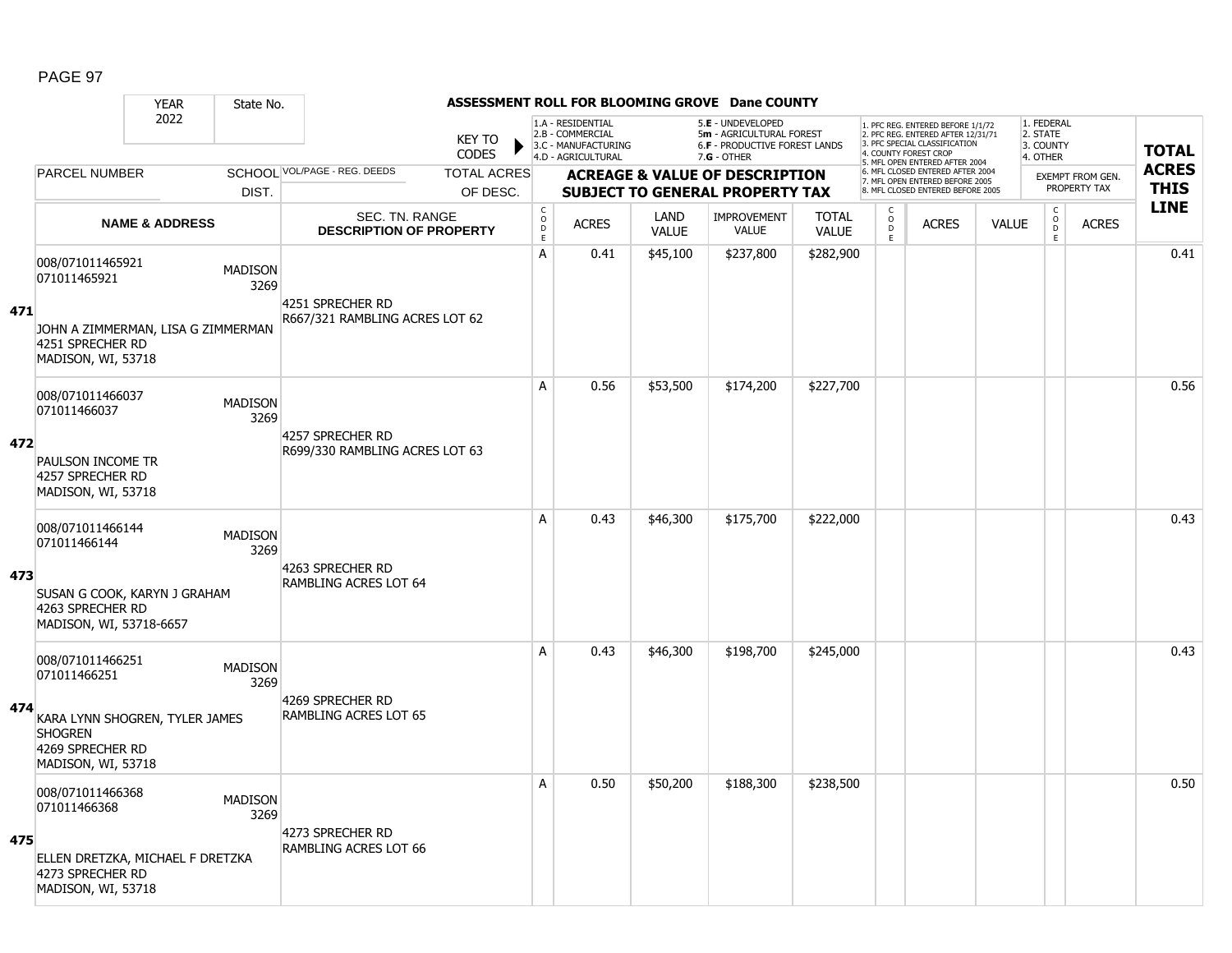|     |                                                                                            | <b>YEAR</b>               | State No.              |                                                  |                        |                                             |                                                                                    |                      | ASSESSMENT ROLL FOR BLOOMING GROVE Dane COUNTY                                                  |                              |                        |                                                                                                          |              |                                                 |                  |              |
|-----|--------------------------------------------------------------------------------------------|---------------------------|------------------------|--------------------------------------------------|------------------------|---------------------------------------------|------------------------------------------------------------------------------------|----------------------|-------------------------------------------------------------------------------------------------|------------------------------|------------------------|----------------------------------------------------------------------------------------------------------|--------------|-------------------------------------------------|------------------|--------------|
|     |                                                                                            | 2022                      |                        |                                                  | <b>KEY TO</b><br>CODES |                                             | 1.A - RESIDENTIAL<br>2.B - COMMERCIAL<br>3.C - MANUFACTURING<br>4.D - AGRICULTURAL |                      | 5.E - UNDEVELOPED<br>5m - AGRICULTURAL FOREST<br>6.F - PRODUCTIVE FOREST LANDS<br>$7.G - OTHER$ |                              | 4. COUNTY FOREST CROP  | 1. PFC REG. ENTERED BEFORE 1/1/72<br>2. PFC REG. ENTERED AFTER 12/31/71<br>3. PFC SPECIAL CLASSIFICATION |              | 1. FEDERAL<br>2. STATE<br>3. COUNTY<br>4. OTHER |                  | <b>TOTAL</b> |
|     | <b>PARCEL NUMBER</b>                                                                       |                           |                        | SCHOOL VOL/PAGE - REG. DEEDS                     | <b>TOTAL ACRES</b>     |                                             |                                                                                    |                      | <b>ACREAGE &amp; VALUE OF DESCRIPTION</b>                                                       |                              |                        | 5. MFL OPEN ENTERED AFTER 2004<br>6. MFL CLOSED ENTERED AFTER 2004                                       |              |                                                 | EXEMPT FROM GEN. | <b>ACRES</b> |
|     |                                                                                            |                           | DIST.                  |                                                  | OF DESC.               |                                             |                                                                                    |                      | <b>SUBJECT TO GENERAL PROPERTY TAX</b>                                                          |                              |                        | 7. MFL OPEN ENTERED BEFORE 2005<br>8. MFL CLOSED ENTERED BEFORE 2005                                     |              |                                                 | PROPERTY TAX     | <b>THIS</b>  |
|     |                                                                                            | <b>NAME &amp; ADDRESS</b> |                        | SEC. TN. RANGE<br><b>DESCRIPTION OF PROPERTY</b> |                        | $\mathsf{C}$<br>$\circ$<br>D<br>$\mathsf E$ | <b>ACRES</b>                                                                       | LAND<br><b>VALUE</b> | <b>IMPROVEMENT</b><br><b>VALUE</b>                                                              | <b>TOTAL</b><br><b>VALUE</b> | C<br>$\circ$<br>D<br>E | <b>ACRES</b>                                                                                             | <b>VALUE</b> | $\mathsf{C}$<br>$\overline{0}$<br>E             | <b>ACRES</b>     | <b>LINE</b>  |
| 471 | 008/071011465921<br>071011465921                                                           |                           | <b>MADISON</b><br>3269 | 4251 SPRECHER RD                                 |                        | $\mathsf{A}$                                | 0.41                                                                               | \$45,100             | \$237,800                                                                                       | \$282,900                    |                        |                                                                                                          |              |                                                 |                  | 0.41         |
|     | JOHN A ZIMMERMAN, LISA G ZIMMERMAN<br>4251 SPRECHER RD<br>MADISON, WI, 53718               |                           |                        | R667/321 RAMBLING ACRES LOT 62                   |                        |                                             |                                                                                    |                      |                                                                                                 |                              |                        |                                                                                                          |              |                                                 |                  |              |
|     | 008/071011466037<br>071011466037                                                           |                           | <b>MADISON</b><br>3269 | 4257 SPRECHER RD                                 |                        | A                                           | 0.56                                                                               | \$53,500             | \$174,200                                                                                       | \$227,700                    |                        |                                                                                                          |              |                                                 |                  | 0.56         |
| 472 | PAULSON INCOME TR<br>4257 SPRECHER RD<br>MADISON, WI, 53718                                |                           |                        | R699/330 RAMBLING ACRES LOT 63                   |                        |                                             |                                                                                    |                      |                                                                                                 |                              |                        |                                                                                                          |              |                                                 |                  |              |
|     | 008/071011466144<br>071011466144                                                           |                           | <b>MADISON</b><br>3269 | 4263 SPRECHER RD                                 |                        | A                                           | 0.43                                                                               | \$46,300             | \$175,700                                                                                       | \$222,000                    |                        |                                                                                                          |              |                                                 |                  | 0.43         |
| 473 | SUSAN G COOK, KARYN J GRAHAM<br>4263 SPRECHER RD<br>MADISON, WI, 53718-6657                |                           |                        | <b>RAMBLING ACRES LOT 64</b>                     |                        |                                             |                                                                                    |                      |                                                                                                 |                              |                        |                                                                                                          |              |                                                 |                  |              |
|     | 008/071011466251<br>071011466251                                                           |                           | <b>MADISON</b><br>3269 |                                                  |                        | A                                           | 0.43                                                                               | \$46,300             | \$198,700                                                                                       | \$245,000                    |                        |                                                                                                          |              |                                                 |                  | 0.43         |
| 474 | KARA LYNN SHOGREN, TYLER JAMES<br><b>SHOGREN</b><br>4269 SPRECHER RD<br>MADISON, WI, 53718 |                           |                        | 4269 SPRECHER RD<br><b>RAMBLING ACRES LOT 65</b> |                        |                                             |                                                                                    |                      |                                                                                                 |                              |                        |                                                                                                          |              |                                                 |                  |              |
|     | 008/071011466368<br>071011466368                                                           |                           | <b>MADISON</b><br>3269 |                                                  |                        | A                                           | 0.50                                                                               | \$50,200             | \$188,300                                                                                       | \$238,500                    |                        |                                                                                                          |              |                                                 |                  | 0.50         |
| 475 | ELLEN DRETZKA, MICHAEL F DRETZKA<br>4273 SPRECHER RD<br>MADISON, WI, 53718                 |                           |                        | 4273 SPRECHER RD<br><b>RAMBLING ACRES LOT 66</b> |                        |                                             |                                                                                    |                      |                                                                                                 |                              |                        |                                                                                                          |              |                                                 |                  |              |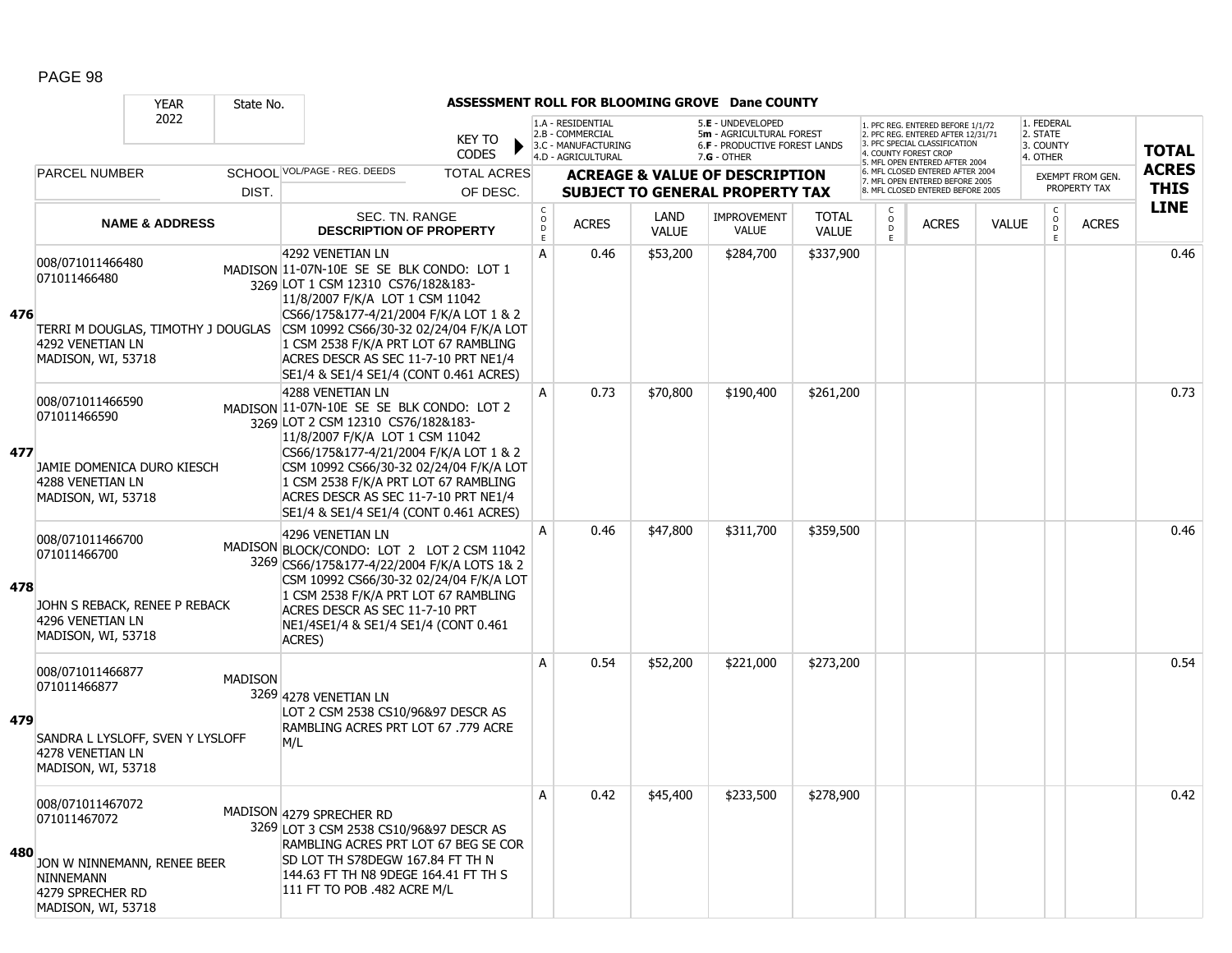|     |                                                                                                                               | <b>YEAR</b>               | State No.      |                                                                                                                                                                                                                                                                                                                                                                                          |                               |                                        |                                                                                    |                      | ASSESSMENT ROLL FOR BLOOMING GROVE Dane COUNTY                                                  |                              |                                    |                                                                                                                                   |              |                                                 |                         |              |
|-----|-------------------------------------------------------------------------------------------------------------------------------|---------------------------|----------------|------------------------------------------------------------------------------------------------------------------------------------------------------------------------------------------------------------------------------------------------------------------------------------------------------------------------------------------------------------------------------------------|-------------------------------|----------------------------------------|------------------------------------------------------------------------------------|----------------------|-------------------------------------------------------------------------------------------------|------------------------------|------------------------------------|-----------------------------------------------------------------------------------------------------------------------------------|--------------|-------------------------------------------------|-------------------------|--------------|
|     |                                                                                                                               | 2022                      |                |                                                                                                                                                                                                                                                                                                                                                                                          | <b>KEY TO</b><br><b>CODES</b> |                                        | 1.A - RESIDENTIAL<br>2.B - COMMERCIAL<br>3.C - MANUFACTURING<br>4.D - AGRICULTURAL |                      | 5.E - UNDEVELOPED<br>5m - AGRICULTURAL FOREST<br>6.F - PRODUCTIVE FOREST LANDS<br>$7.G - OTHER$ |                              |                                    | 1. PFC REG. ENTERED BEFORE 1/1/72<br>2. PFC REG. ENTERED AFTER 12/31/71<br>3. PFC SPECIAL CLASSIFICATION<br>4. COUNTY FOREST CROP |              | 1. FEDERAL<br>2. STATE<br>3. COUNTY<br>4. OTHER |                         | <b>TOTAL</b> |
|     | <b>PARCEL NUMBER</b>                                                                                                          |                           |                | SCHOOL VOL/PAGE - REG. DEEDS                                                                                                                                                                                                                                                                                                                                                             | <b>TOTAL ACRES</b>            |                                        |                                                                                    |                      | <b>ACREAGE &amp; VALUE OF DESCRIPTION</b>                                                       |                              |                                    | 5. MFL OPEN ENTERED AFTER 2004<br>6. MFL CLOSED ENTERED AFTER 2004                                                                |              |                                                 | <b>EXEMPT FROM GEN.</b> | <b>ACRES</b> |
|     |                                                                                                                               |                           | DIST.          |                                                                                                                                                                                                                                                                                                                                                                                          | OF DESC.                      |                                        |                                                                                    |                      | <b>SUBJECT TO GENERAL PROPERTY TAX</b>                                                          |                              |                                    | 7. MFL OPEN ENTERED BEFORE 2005<br>8. MFL CLOSED ENTERED BEFORE 2005                                                              |              |                                                 | PROPERTY TAX            | <b>THIS</b>  |
|     |                                                                                                                               | <b>NAME &amp; ADDRESS</b> |                | SEC. TN. RANGE<br><b>DESCRIPTION OF PROPERTY</b>                                                                                                                                                                                                                                                                                                                                         |                               | $_{\rm o}^{\rm c}$<br>D<br>$\mathsf E$ | <b>ACRES</b>                                                                       | LAND<br><b>VALUE</b> | <b>IMPROVEMENT</b><br><b>VALUE</b>                                                              | <b>TOTAL</b><br><b>VALUE</b> | C<br>$\circ$<br>$\mathsf{D}$<br>E. | <b>ACRES</b>                                                                                                                      | <b>VALUE</b> | $\mathsf{C}$<br>$\overline{D}$<br>E             | <b>ACRES</b>            | <b>LINE</b>  |
| 476 | 008/071011466480<br>071011466480<br>4292 VENETIAN LN<br>MADISON, WI, 53718                                                    |                           |                | 4292 VENETIAN LN<br>MADISON 11-07N-10E SE SE BLK CONDO: LOT 1<br>3269 LOT 1 CSM 12310 CS76/182&183-<br>11/8/2007 F/K/A LOT 1 CSM 11042<br>CS66/175&177-4/21/2004 F/K/A LOT 1 & 2<br>TERRI M DOUGLAS, TIMOTHY J DOUGLAS CSM 10992 CS66/30-32 02/24/04 F/K/A LOT<br>1 CSM 2538 F/K/A PRT LOT 67 RAMBLING<br>ACRES DESCR AS SEC 11-7-10 PRT NE1/4<br>SE1/4 & SE1/4 SE1/4 (CONT 0.461 ACRES) |                               | A                                      | 0.46                                                                               | \$53,200             | \$284,700                                                                                       | \$337,900                    |                                    |                                                                                                                                   |              |                                                 |                         | 0.46         |
| 477 | 008/071011466590<br>071011466590<br>JAMIE DOMENICA DURO KIESCH<br>4288 VENETIAN LN<br>MADISON, WI, 53718                      |                           |                | 4288 VENETIAN LN<br>MADISON 11-07N-10E SE SE BLK CONDO: LOT 2<br>3269 LOT 2 CSM 12310 CS76/182&183-<br>11/8/2007 F/K/A LOT 1 CSM 11042<br>CS66/175&177-4/21/2004 F/K/A LOT 1 & 2<br>CSM 10992 CS66/30-32 02/24/04 F/K/A LOT<br>1 CSM 2538 F/K/A PRT LOT 67 RAMBLING<br>ACRES DESCR AS SEC 11-7-10 PRT NE1/4<br>SE1/4 & SE1/4 SE1/4 (CONT 0.461 ACRES)                                    |                               | A                                      | 0.73                                                                               | \$70,800             | \$190,400                                                                                       | \$261,200                    |                                    |                                                                                                                                   |              |                                                 |                         | 0.73         |
| 478 | 008/071011466700<br>071011466700<br>JOHN S REBACK, RENEE P REBACK<br>4296 VENETIAN LN<br>MADISON, WI, 53718                   |                           |                | 4296 VENETIAN LN<br>MADISON BLOCK/CONDO: LOT 2 LOT 2 CSM 11042<br>3269 CS66/175&177-4/22/2004 F/K/A LOTS 1& 2<br>CSM 10992 CS66/30-32 02/24/04 F/K/A LOT<br>1 CSM 2538 F/K/A PRT LOT 67 RAMBLING<br>ACRES DESCR AS SEC 11-7-10 PRT<br>NE1/4SE1/4 & SE1/4 SE1/4 (CONT 0.461<br>ACRES)                                                                                                     |                               | A                                      | 0.46                                                                               | \$47,800             | \$311,700                                                                                       | \$359,500                    |                                    |                                                                                                                                   |              |                                                 |                         | 0.46         |
| 479 | 008/071011466877<br>071011466877<br>SANDRA L LYSLOFF, SVEN Y LYSLOFF<br>4278 VENETIAN LN<br>MADISON, WI, 53718                |                           | <b>MADISON</b> | 3269 4278 VENETIAN LN<br>LOT 2 CSM 2538 CS10/96&97 DESCR AS<br>RAMBLING ACRES PRT LOT 67 .779 ACRE<br>M/L                                                                                                                                                                                                                                                                                |                               | А                                      | 0.54                                                                               | \$52,200             | \$221,000                                                                                       | \$273,200                    |                                    |                                                                                                                                   |              |                                                 |                         | 0.54         |
| 480 | 008/071011467072<br>071011467072<br>JON W NINNEMANN, RENEE BEER<br><b>NINNEMANN</b><br>4279 SPRECHER RD<br>MADISON, WI, 53718 |                           |                | MADISON 4279 SPRECHER RD<br>3269 LOT 3 CSM 2538 CS10/96&97 DESCR AS<br>RAMBLING ACRES PRT LOT 67 BEG SE COR<br>SD LOT TH S78DEGW 167.84 FT TH N<br>144.63 FT TH N8 9DEGE 164.41 FT TH S<br>111 FT TO POB .482 ACRE M/L                                                                                                                                                                   |                               | A                                      | 0.42                                                                               | \$45,400             | \$233,500                                                                                       | \$278,900                    |                                    |                                                                                                                                   |              |                                                 |                         | 0.42         |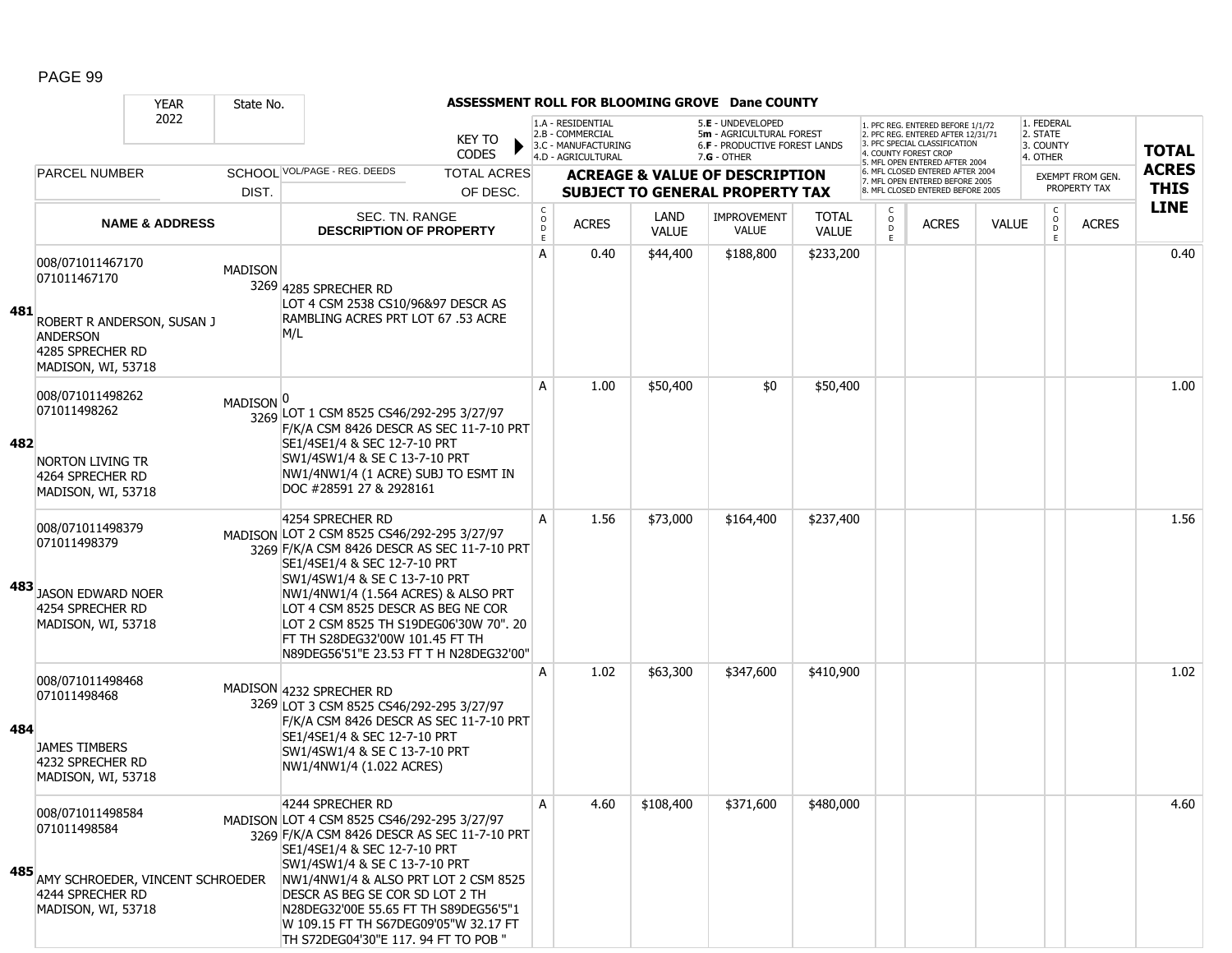|     |                                                                                                                             | <b>YEAR</b>               | State No.            |                                                                                                                                                                                                                                                                                                                                                                                       |                                       |                                                              |                      | ASSESSMENT ROLL FOR BLOOMING GROVE Dane COUNTY                                 |                              |                                     |                                                                                                                                   |              |                                     |                                  |              |
|-----|-----------------------------------------------------------------------------------------------------------------------------|---------------------------|----------------------|---------------------------------------------------------------------------------------------------------------------------------------------------------------------------------------------------------------------------------------------------------------------------------------------------------------------------------------------------------------------------------------|---------------------------------------|--------------------------------------------------------------|----------------------|--------------------------------------------------------------------------------|------------------------------|-------------------------------------|-----------------------------------------------------------------------------------------------------------------------------------|--------------|-------------------------------------|----------------------------------|--------------|
|     |                                                                                                                             | 2022                      |                      | <b>KEY TO</b><br><b>CODES</b>                                                                                                                                                                                                                                                                                                                                                         |                                       | 1.A - RESIDENTIAL<br>2.B - COMMERCIAL<br>3.C - MANUFACTURING |                      | 5.E - UNDEVELOPED<br>5m - AGRICULTURAL FOREST<br>6.F - PRODUCTIVE FOREST LANDS |                              |                                     | 1. PFC REG. ENTERED BEFORE 1/1/72<br>2. PFC REG. ENTERED AFTER 12/31/71<br>3. PFC SPECIAL CLASSIFICATION<br>4. COUNTY FOREST CROP |              | 1. FEDERAL<br>2. STATE<br>3. COUNTY |                                  | <b>TOTAL</b> |
|     | <b>PARCEL NUMBER</b>                                                                                                        |                           |                      | SCHOOL VOL/PAGE - REG. DEEDS<br><b>TOTAL ACRES</b>                                                                                                                                                                                                                                                                                                                                    |                                       | 4.D - AGRICULTURAL                                           |                      | $7.G - OTHER$<br><b>ACREAGE &amp; VALUE OF DESCRIPTION</b>                     |                              |                                     | 5. MFL OPEN ENTERED AFTER 2004<br>6. MFL CLOSED ENTERED AFTER 2004                                                                |              | 4. OTHER                            |                                  | <b>ACRES</b> |
|     |                                                                                                                             |                           | DIST.                | OF DESC.                                                                                                                                                                                                                                                                                                                                                                              |                                       |                                                              |                      | <b>SUBJECT TO GENERAL PROPERTY TAX</b>                                         |                              |                                     | 7. MFL OPEN ENTERED BEFORE 2005<br>8. MFL CLOSED ENTERED BEFORE 2005                                                              |              |                                     | EXEMPT FROM GEN.<br>PROPERTY TAX | <b>THIS</b>  |
|     |                                                                                                                             | <b>NAME &amp; ADDRESS</b> |                      | SEC. TN. RANGE<br><b>DESCRIPTION OF PROPERTY</b>                                                                                                                                                                                                                                                                                                                                      | C<br>$\mathsf{o}$<br>$\mathsf D$<br>E | <b>ACRES</b>                                                 | LAND<br><b>VALUE</b> | <b>IMPROVEMENT</b><br><b>VALUE</b>                                             | <b>TOTAL</b><br><b>VALUE</b> | C<br>$_\mathrm{D}^\mathrm{O}$<br>E. | <b>ACRES</b>                                                                                                                      | <b>VALUE</b> | $\mathsf{C}$<br>$\circ$<br>D<br>Ε.  | <b>ACRES</b>                     | <b>LINE</b>  |
| 481 | 008/071011467170<br>071011467170<br>ROBERT R ANDERSON, SUSAN J<br><b>ANDERSON</b><br>4285 SPRECHER RD<br>MADISON, WI, 53718 |                           | <b>MADISON</b>       | 3269 4285 SPRECHER RD<br>LOT 4 CSM 2538 CS10/96&97 DESCR AS<br>RAMBLING ACRES PRT LOT 67 .53 ACRE<br>M/L                                                                                                                                                                                                                                                                              | Α                                     | 0.40                                                         | \$44,400             | \$188,800                                                                      | \$233,200                    |                                     |                                                                                                                                   |              |                                     |                                  | 0.40         |
| 482 | 008/071011498262<br>071011498262<br><b>NORTON LIVING TR</b><br>4264 SPRECHER RD<br>MADISON, WI, 53718                       |                           | MADISON <sup>O</sup> | 3269 LOT 1 CSM 8525 CS46/292-295 3/27/97<br>F/K/A CSM 8426 DESCR AS SEC 11-7-10 PRT<br>SE1/4SE1/4 & SEC 12-7-10 PRT<br>SW1/4SW1/4 & SE C 13-7-10 PRT<br>NW1/4NW1/4 (1 ACRE) SUBJ TO ESMT IN<br>DOC #28591 27 & 2928161                                                                                                                                                                | A                                     | 1.00                                                         | \$50,400             | \$0                                                                            | \$50,400                     |                                     |                                                                                                                                   |              |                                     |                                  | 1.00         |
| 483 | 008/071011498379<br>071011498379<br><b>JASON EDWARD NOER</b><br>4254 SPRECHER RD<br>MADISON, WI, 53718                      |                           |                      | 4254 SPRECHER RD<br>MADISON LOT 2 CSM 8525 CS46/292-295 3/27/97<br>3269 F/K/A CSM 8426 DESCR AS SEC 11-7-10 PRT<br>SE1/4SE1/4 & SEC 12-7-10 PRT<br>SW1/4SW1/4 & SE C 13-7-10 PRT<br>NW1/4NW1/4 (1.564 ACRES) & ALSO PRT<br>LOT 4 CSM 8525 DESCR AS BEG NE COR<br>LOT 2 CSM 8525 TH S19DEG06'30W 70". 20<br>FT TH S28DEG32'00W 101.45 FT TH<br>N89DEG56'51"E 23.53 FT T H N28DEG32'00" | A                                     | 1.56                                                         | \$73,000             | \$164,400                                                                      | \$237,400                    |                                     |                                                                                                                                   |              |                                     |                                  | 1.56         |
| 484 | 008/071011498468<br>071011498468<br><b>JAMES TIMBERS</b><br>4232 SPRECHER RD<br>MADISON, WI, 53718                          |                           |                      | MADISON 4232 SPRECHER RD<br>3269 LOT 3 CSM 8525 CS46/292-295 3/27/97<br>F/K/A CSM 8426 DESCR AS SEC 11-7-10 PRT<br>SE1/4SE1/4 & SEC 12-7-10 PRT<br>SW1/4SW1/4 & SE C 13-7-10 PRT<br>NW1/4NW1/4 (1.022 ACRES)                                                                                                                                                                          | A                                     | 1.02                                                         | \$63,300             | \$347,600                                                                      | \$410,900                    |                                     |                                                                                                                                   |              |                                     |                                  | 1.02         |
| 485 | 008/071011498584<br>071011498584<br>AMY SCHROEDER, VINCENT SCHROEDER<br>4244 SPRECHER RD<br>MADISON, WI, 53718              |                           |                      | 4244 SPRECHER RD<br>MADISON LOT 4 CSM 8525 CS46/292-295 3/27/97<br>3269 F/K/A CSM 8426 DESCR AS SEC 11-7-10 PRT<br>SE1/4SE1/4 & SEC 12-7-10 PRT<br>SW1/4SW1/4 & SE C 13-7-10 PRT<br>NW1/4NW1/4 & ALSO PRT LOT 2 CSM 8525<br>DESCR AS BEG SE COR SD LOT 2 TH<br>N28DEG32'00E 55.65 FT TH S89DEG56'5"1<br>W 109.15 FT TH S67DEG09'05"W 32.17 FT<br>TH S72DEG04'30"E 117. 94 FT TO POB " | A                                     | 4.60                                                         | \$108,400            | \$371,600                                                                      | \$480,000                    |                                     |                                                                                                                                   |              |                                     |                                  | 4.60         |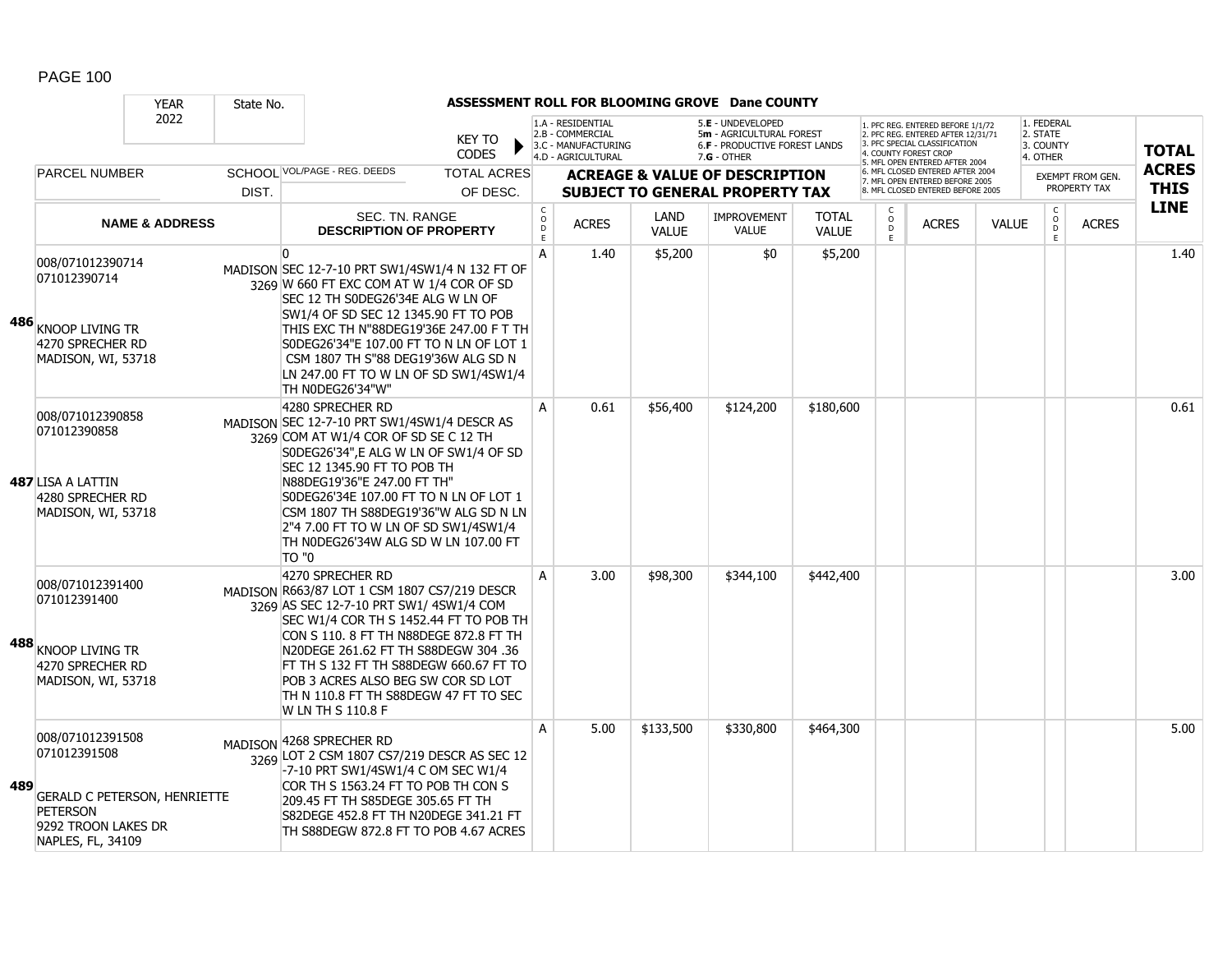|     |                                                                                                                                        | <b>YEAR</b>               | State No. |                                                                                                                                                                                                                                                                                                                                                                                              |                                |                              |                                                                                    |                      | ASSESSMENT ROLL FOR BLOOMING GROVE Dane COUNTY                                                         |                              |                                    |                                                                                                                                                                     |              |                                                 |                                         |                             |
|-----|----------------------------------------------------------------------------------------------------------------------------------------|---------------------------|-----------|----------------------------------------------------------------------------------------------------------------------------------------------------------------------------------------------------------------------------------------------------------------------------------------------------------------------------------------------------------------------------------------------|--------------------------------|------------------------------|------------------------------------------------------------------------------------|----------------------|--------------------------------------------------------------------------------------------------------|------------------------------|------------------------------------|---------------------------------------------------------------------------------------------------------------------------------------------------------------------|--------------|-------------------------------------------------|-----------------------------------------|-----------------------------|
|     |                                                                                                                                        | 2022                      |           |                                                                                                                                                                                                                                                                                                                                                                                              | <b>KEY TO</b><br><b>CODES</b>  |                              | 1.A - RESIDENTIAL<br>2.B - COMMERCIAL<br>3.C - MANUFACTURING<br>4.D - AGRICULTURAL |                      | 5.E - UNDEVELOPED<br>5m - AGRICULTURAL FOREST<br><b>6.F - PRODUCTIVE FOREST LANDS</b><br>$7.G - OTHER$ |                              |                                    | 1. PFC REG. ENTERED BEFORE 1/1/72<br>2. PFC REG. ENTERED AFTER 12/31/71<br>3. PFC SPECIAL CLASSIFICATION<br>4. COUNTY FOREST CROP<br>5. MFL OPEN ENTERED AFTER 2004 |              | 1. FEDERAL<br>2. STATE<br>3. COUNTY<br>4. OTHER |                                         | <b>TOTAL</b>                |
|     | <b>PARCEL NUMBER</b>                                                                                                                   |                           | DIST.     | SCHOOI VOL/PAGE - REG. DEEDS                                                                                                                                                                                                                                                                                                                                                                 | <b>TOTAL ACRES</b><br>OF DESC. |                              |                                                                                    |                      | <b>ACREAGE &amp; VALUE OF DESCRIPTION</b><br><b>SUBJECT TO GENERAL PROPERTY TAX</b>                    |                              |                                    | 6. MFL CLOSED ENTERED AFTER 2004<br>7. MFL OPEN ENTERED BEFORE 2005<br>8. MFL CLOSED ENTERED BEFORE 2005                                                            |              |                                                 | <b>EXEMPT FROM GEN.</b><br>PROPERTY TAX | <b>ACRES</b><br><b>THIS</b> |
|     |                                                                                                                                        | <b>NAME &amp; ADDRESS</b> |           | SEC. TN. RANGE<br><b>DESCRIPTION OF PROPERTY</b>                                                                                                                                                                                                                                                                                                                                             |                                | $_{\rm o}^{\rm c}$<br>D<br>E | <b>ACRES</b>                                                                       | LAND<br><b>VALUE</b> | <b>IMPROVEMENT</b><br><b>VALUE</b>                                                                     | <b>TOTAL</b><br><b>VALUE</b> | $\mathsf{C}$<br>$\circ$<br>D<br>F. | <b>ACRES</b>                                                                                                                                                        | <b>VALUE</b> | $\mathsf{C}$<br>$\mathsf{o}$<br>D<br>F.         | <b>ACRES</b>                            | <b>LINE</b>                 |
| 486 | 008/071012390714<br>071012390714<br><b>KNOOP LIVING TR</b><br>4270 SPRECHER RD<br>MADISON, WI, 53718                                   |                           |           | n<br>MADISON SEC 12-7-10 PRT SW1/4SW1/4 N 132 FT OF<br>3269 W 660 FT EXC COM AT W 1/4 COR OF SD<br>SEC 12 TH S0DEG26'34E ALG W LN OF<br>SW1/4 OF SD SEC 12 1345.90 FT TO POB<br>THIS EXC TH N"88DEG19'36E 247.00 F T TH<br>S0DEG26'34"E 107.00 FT TO N LN OF LOT 1<br>CSM 1807 TH S"88 DEG19'36W ALG SD N<br>LN 247.00 FT TO W LN OF SD SW1/4SW1/4<br>TH NODEG26'34"W"                       |                                | A                            | 1.40                                                                               | \$5,200              | \$0                                                                                                    | \$5,200                      |                                    |                                                                                                                                                                     |              |                                                 |                                         | 1.40                        |
|     | 008/071012390858<br>071012390858<br>487 LISA A LATTIN<br>4280 SPRECHER RD<br>MADISON, WI, 53718                                        |                           |           | 4280 SPRECHER RD<br>MADISON SEC 12-7-10 PRT SW1/4SW1/4 DESCR AS<br>3269 COM AT W1/4 COR OF SD SE C 12 TH<br>S0DEG26'34", E ALG W LN OF SW1/4 OF SD<br>SEC 12 1345.90 FT TO POB TH<br>N88DEG19'36"E 247.00 FT TH"<br>S0DEG26'34E 107.00 FT TO N LN OF LOT 1<br>CSM 1807 TH S88DEG19'36"W ALG SD N LN<br>2"4 7.00 FT TO W LN OF SD SW1/4SW1/4<br>TH NODEG26'34W ALG SD W LN 107.00 FT<br>TO "0 |                                | A                            | 0.61                                                                               | \$56,400             | \$124,200                                                                                              | \$180,600                    |                                    |                                                                                                                                                                     |              |                                                 |                                         | 0.61                        |
|     | 008/071012391400<br>071012391400<br>488 KNOOP LIVING TR<br>4270 SPRECHER RD<br>MADISON, WI, 53718                                      |                           |           | 4270 SPRECHER RD<br>MADISON R663/87 LOT 1 CSM 1807 CS7/219 DESCR<br>3269 AS SEC 12-7-10 PRT SW1/4SW1/4 COM<br>SEC W1/4 COR TH S 1452.44 FT TO POB TH<br>CON S 110. 8 FT TH N88DEGE 872.8 FT TH<br>N20DEGE 261.62 FT TH S88DEGW 304 .36<br>FT TH S 132 FT TH S88DEGW 660.67 FT TO<br>POB 3 ACRES ALSO BEG SW COR SD LOT<br>TH N 110.8 FT TH S88DEGW 47 FT TO SEC<br>W LN TH S 110.8 F         |                                | A                            | 3.00                                                                               | \$98,300             | \$344,100                                                                                              | \$442,400                    |                                    |                                                                                                                                                                     |              |                                                 |                                         | 3.00                        |
| 489 | 008/071012391508<br>071012391508<br><b>GERALD C PETERSON, HENRIETTE</b><br><b>PETERSON</b><br>9292 TROON LAKES DR<br>NAPLES, FL, 34109 |                           |           | MADISON 4268 SPRECHER RD<br>3269 LOT 2 CSM 1807 CS7/219 DESCR AS SEC 12<br>-7-10 PRT SW1/4SW1/4 C OM SEC W1/4<br>COR TH S 1563.24 FT TO POB TH CON S<br>209.45 FT TH S85DEGE 305.65 FT TH<br>S82DEGE 452.8 FT TH N20DEGE 341.21 FT<br>TH S88DEGW 872.8 FT TO POB 4.67 ACRES                                                                                                                  |                                | A                            | 5.00                                                                               | \$133,500            | \$330,800                                                                                              | \$464,300                    |                                    |                                                                                                                                                                     |              |                                                 |                                         | 5.00                        |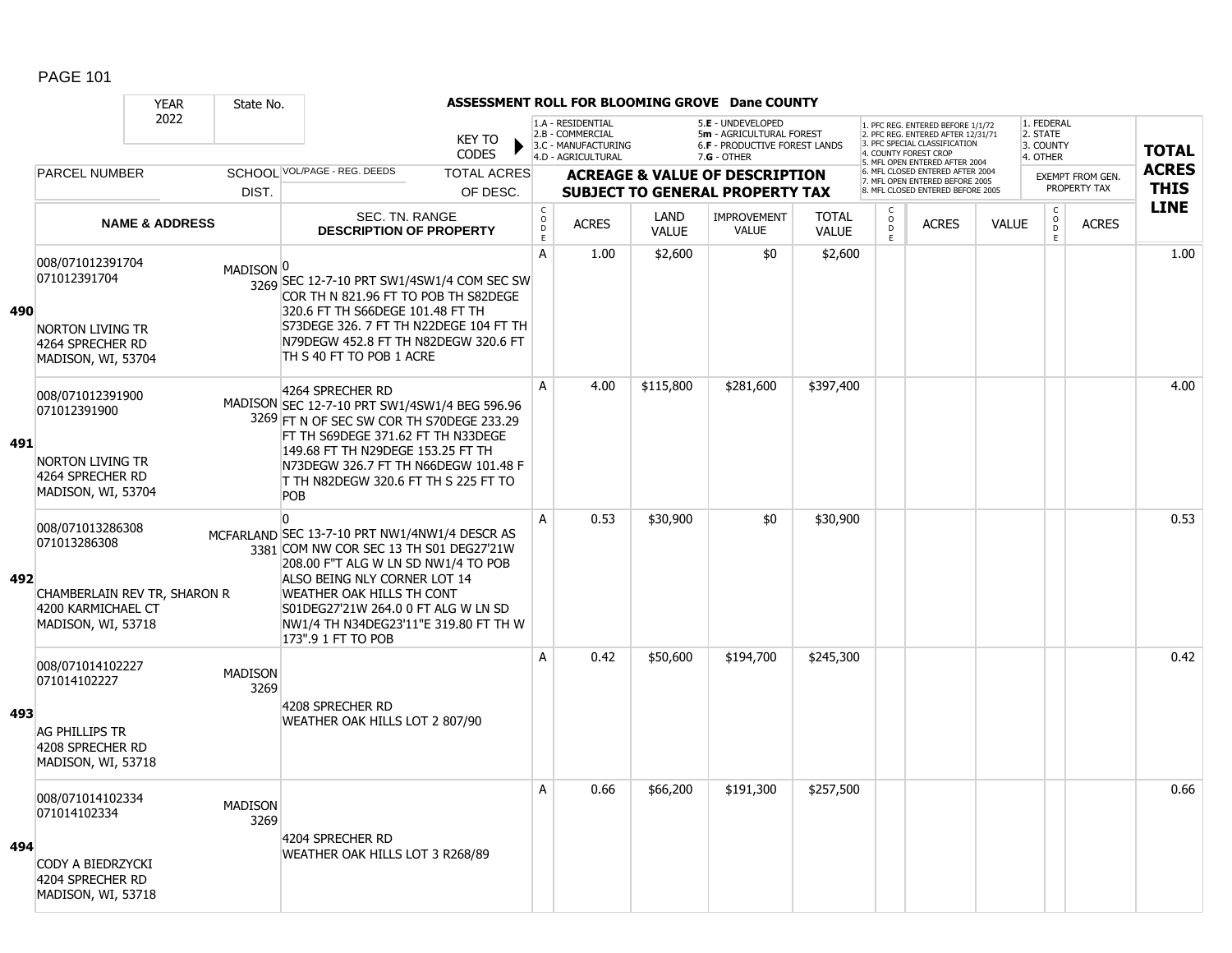|     |                                                                                                              | <b>YEAR</b>               | State No.              |                                                                                                                                                                                                                                                                                                                |                               |                                            |                                                                                    |                      | ASSESSMENT ROLL FOR BLOOMING GROVE Dane COUNTY                                                         |                              |                           |                                                                                                                                   |              |                                                 |                         |              |
|-----|--------------------------------------------------------------------------------------------------------------|---------------------------|------------------------|----------------------------------------------------------------------------------------------------------------------------------------------------------------------------------------------------------------------------------------------------------------------------------------------------------------|-------------------------------|--------------------------------------------|------------------------------------------------------------------------------------|----------------------|--------------------------------------------------------------------------------------------------------|------------------------------|---------------------------|-----------------------------------------------------------------------------------------------------------------------------------|--------------|-------------------------------------------------|-------------------------|--------------|
|     |                                                                                                              | 2022                      |                        |                                                                                                                                                                                                                                                                                                                | <b>KEY TO</b><br><b>CODES</b> |                                            | 1.A - RESIDENTIAL<br>2.B - COMMERCIAL<br>3.C - MANUFACTURING<br>4.D - AGRICULTURAL |                      | 5.E - UNDEVELOPED<br>5m - AGRICULTURAL FOREST<br><b>6.F - PRODUCTIVE FOREST LANDS</b><br>$7.G - OTHER$ |                              |                           | 1. PFC REG. ENTERED BEFORE 1/1/72<br>2. PFC REG. ENTERED AFTER 12/31/71<br>3. PFC SPECIAL CLASSIFICATION<br>4. COUNTY FOREST CROP |              | 1. FEDERAL<br>2. STATE<br>3. COUNTY<br>4. OTHER |                         | <b>TOTAL</b> |
|     | <b>PARCEL NUMBER</b>                                                                                         |                           |                        | SCHOOL VOL/PAGE - REG. DEEDS                                                                                                                                                                                                                                                                                   | <b>TOTAL ACRES</b>            |                                            |                                                                                    |                      | <b>ACREAGE &amp; VALUE OF DESCRIPTION</b>                                                              |                              |                           | 5. MFL OPEN ENTERED AFTER 2004<br>6. MFL CLOSED ENTERED AFTER 2004                                                                |              |                                                 | <b>EXEMPT FROM GEN.</b> | <b>ACRES</b> |
|     |                                                                                                              |                           | DIST.                  |                                                                                                                                                                                                                                                                                                                | OF DESC.                      |                                            |                                                                                    |                      | <b>SUBJECT TO GENERAL PROPERTY TAX</b>                                                                 |                              |                           | 7. MFL OPEN ENTERED BEFORE 2005<br>8. MFL CLOSED ENTERED BEFORE 2005                                                              |              |                                                 | PROPERTY TAX            | <b>THIS</b>  |
|     |                                                                                                              | <b>NAME &amp; ADDRESS</b> |                        | SEC. TN. RANGE<br><b>DESCRIPTION OF PROPERTY</b>                                                                                                                                                                                                                                                               |                               | $\mathsf C$<br>$\circ$<br>D<br>$\mathsf E$ | <b>ACRES</b>                                                                       | LAND<br><b>VALUE</b> | <b>IMPROVEMENT</b><br><b>VALUE</b>                                                                     | <b>TOTAL</b><br><b>VALUE</b> | C<br>$\overline{0}$<br>E. | <b>ACRES</b>                                                                                                                      | <b>VALUE</b> | $\begin{matrix} 0 \\ 0 \\ 0 \end{matrix}$<br>E  | <b>ACRES</b>            | <b>LINE</b>  |
| 490 | 008/071012391704<br>071012391704<br><b>NORTON LIVING TR</b><br>4264 SPRECHER RD<br>MADISON, WI, 53704        |                           | MADISON <sup>0</sup>   | 3269 SEC 12-7-10 PRT SW1/4SW1/4 COM SEC SW<br>COR TH N 821.96 FT TO POB TH S82DEGE<br>320.6 FT TH S66DEGE 101.48 FT TH<br>S73DEGE 326. 7 FT TH N22DEGE 104 FT TH<br>N79DEGW 452.8 FT TH N82DEGW 320.6 FT<br>TH S 40 FT TO POB 1 ACRE                                                                           |                               | A                                          | 1.00                                                                               | \$2,600              | \$0                                                                                                    | \$2,600                      |                           |                                                                                                                                   |              |                                                 |                         | 1.00         |
| 491 | 008/071012391900<br>071012391900<br><b>NORTON LIVING TR</b><br>4264 SPRECHER RD<br>MADISON, WI, 53704        |                           |                        | 4264 SPRECHER RD<br>MADISON SEC 12-7-10 PRT SW1/4SW1/4 BEG 596.96<br>3269 FT N OF SEC SW COR TH S70DEGE 233.29<br>FT TH S69DEGE 371.62 FT TH N33DEGE<br>149.68 FT TH N29DEGE 153.25 FT TH<br>N73DEGW 326.7 FT TH N66DEGW 101.48 F<br>T TH N82DEGW 320.6 FT TH S 225 FT TO<br>POB                               |                               | A                                          | 4.00                                                                               | \$115,800            | \$281,600                                                                                              | \$397,400                    |                           |                                                                                                                                   |              |                                                 |                         | 4.00         |
| 492 | 008/071013286308<br>071013286308<br>CHAMBERLAIN REV TR, SHARON R<br>4200 KARMICHAEL CT<br>MADISON, WI, 53718 |                           |                        | $\Omega$<br>MCFARLAND SEC 13-7-10 PRT NW1/4NW1/4 DESCR AS<br>3381 COM NW COR SEC 13 TH S01 DEG27'21W<br>208.00 F"T ALG W LN SD NW1/4 TO POB<br>ALSO BEING NLY CORNER LOT 14<br>WEATHER OAK HILLS TH CONT<br>S01DEG27'21W 264.0 0 FT ALG W LN SD<br>NW1/4 TH N34DEG23'11"E 319.80 FT TH W<br>173".9 1 FT TO POB |                               | $\overline{A}$                             | 0.53                                                                               | \$30,900             | \$0                                                                                                    | \$30,900                     |                           |                                                                                                                                   |              |                                                 |                         | 0.53         |
| 493 | 008/071014102227<br>071014102227<br><b>AG PHILLIPS TR</b><br>4208 SPRECHER RD<br>MADISON, WI, 53718          |                           | <b>MADISON</b><br>3269 | 4208 SPRECHER RD<br>WEATHER OAK HILLS LOT 2 807/90                                                                                                                                                                                                                                                             |                               | A                                          | 0.42                                                                               | \$50,600             | \$194,700                                                                                              | \$245,300                    |                           |                                                                                                                                   |              |                                                 |                         | 0.42         |
| 494 | 008/071014102334<br>071014102334<br>CODY A BIEDRZYCKI<br>4204 SPRECHER RD<br>MADISON, WI, 53718              |                           | <b>MADISON</b><br>3269 | 4204 SPRECHER RD<br>WEATHER OAK HILLS LOT 3 R268/89                                                                                                                                                                                                                                                            |                               | $\overline{A}$                             | 0.66                                                                               | \$66,200             | \$191,300                                                                                              | \$257,500                    |                           |                                                                                                                                   |              |                                                 |                         | 0.66         |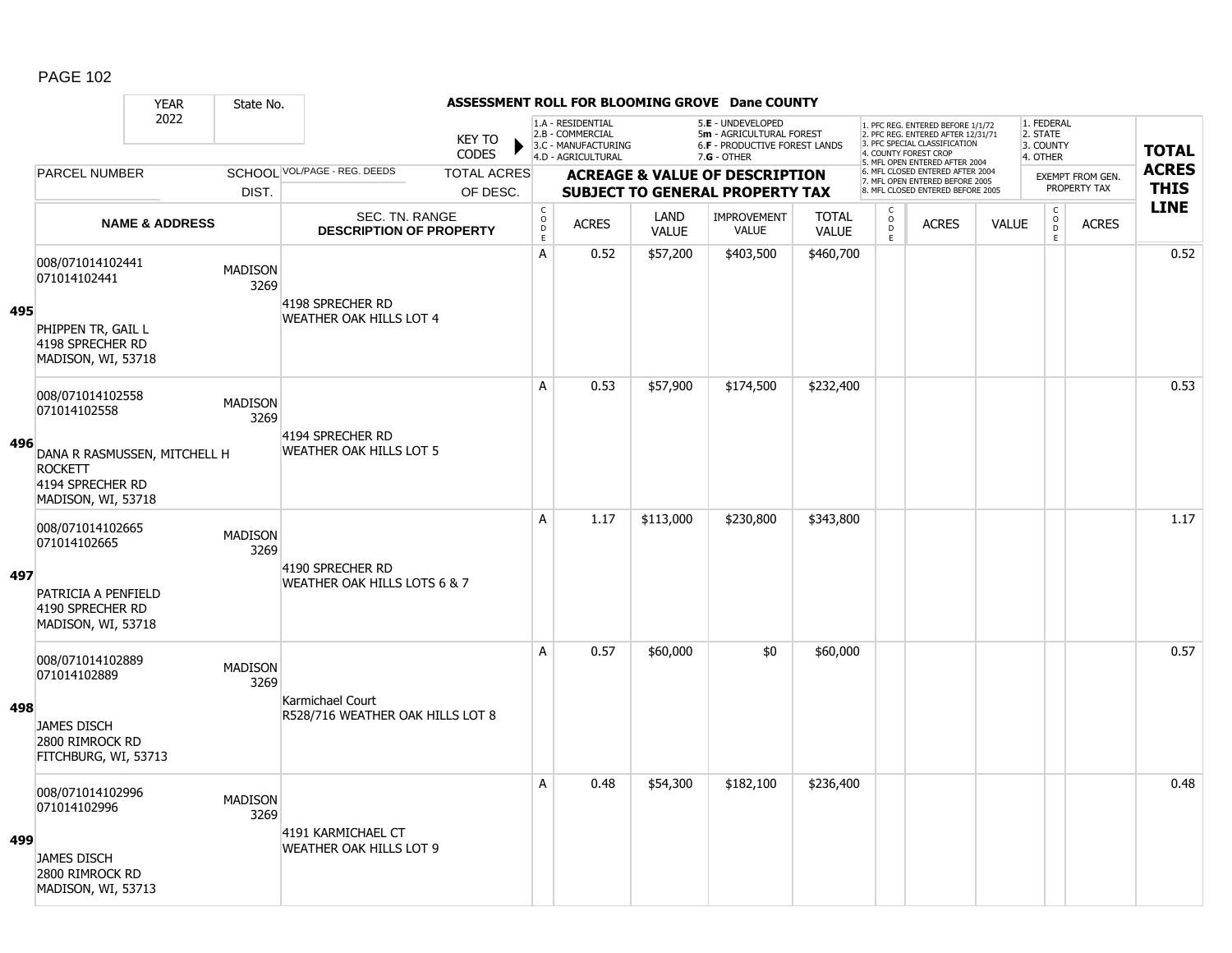### YEAR State No. **ASSESSMENT ROLL FOR BLOOMING GROVE Dane COUNTY** 2022 KEY TO **CODES** 1. PFC REG. ENTERED BEFORE 1/1/72 2. PFC REG. ENTERED AFTER 12/31/71 3. PFC SPECIAL CLASSIFICATION 4. COUNTY FOREST CROP 5. MFL OPEN ENTERED AFTER 2004 6. MFL CLOSED ENTERED AFTER 2004 7. MFL OPEN ENTERED BEFORE 2005 8. MFL CLOSED ENTERED BEFORE 2005 1. FEDERAL 2. STATE 3. COUNTY 4. OTHER **ACREAGE & VALUE OF DESCRIPTION SUBJECT TO GENERAL PROPERTY TAX** EXEMPT FROM GEN. PROPERTY TAX **TOTAL ACRES THIS LINE** 1.A - RESIDENTIAL 2.B - COMMERCIAL 3.C - MANUFACTURING 4.D - AGRICULTURAL 5.**E** - UNDEVELOPED 5**m** - AGRICULTURAL FOREST 6.**F** - PRODUCTIVE FOREST LANDS 7.**G** - OTHER TOTAL ACRES OF DESC. SCHOOL VOL/PAGE - REG. DEEDS DIST. PARCEL NUMBER ACRES C O  $\overline{D}$ E ACRES VALUE  $\mathsf{C}$ O  $\overline{D}$ E TOTAL VALUE IMPROVEMENT VALUE LAND ACRES | VALUE C O  $\overline{D}$ E SEC. TN. RANGE **DESCRIPTION OF PROPERTY NAME & ADDRESS 495** 008/071014102441 000/071014102441 MADISON 3269 PHIPPEN TR, GAIL L 4198 SPRECHER RD MADISON, WI, 53718 4198 SPRECHER RD WEATHER OAK HILLS LOT 4 A 0.52 \$57,200 \$403,500 \$460,700 distance the control of the control of the control of the control of the contr **496** 008/071014102558 006/071014102558 MADISON 3269 DANA R RASMUSSEN, MITCHELL H ROCKETT 4194 SPRECHER RD MADISON, WI, 53718 4194 SPRECHER RD WEATHER OAK HILLS LOT 5 A 0.53 \$57,900 \$174,500 \$232,400 distance the set of the set of the set of the set of the set of the set of th **497** 008/071014102665 006/071014102665 MADISON 3269 PATRICIA A PENFIELD 4190 SPRECHER RD MADISON, WI, 53718 4190 SPRECHER RD WEATHER OAK HILLS LOTS 6 & 7 A | 1.17 \$113,000 | \$230,800 | \$343,800 | | | | | | | | | | 1.17 **498** 008/071014102889 000007101+102009<br>071014102889 MADISON 3269 JAMES DISCH 2800 RIMROCK RD FITCHBURG, WI, 53713 Karmichael Court R528/716 WEATHER OAK HILLS LOT 8 A 0.57 \$60,000 \$0 \$60,000 distance the set of the set of the set of the set of th **499** 008/071014102996 0000071014102996 MADISON 3269 JAMES DISCH 2800 RIMROCK RD MADISON, WI, 53713 4191 KARMICHAEL CT WEATHER OAK HILLS LOT 9 A 0.48 \$54,300 \$182,100 \$236,400 distance the control or determined to 0.48  $\,$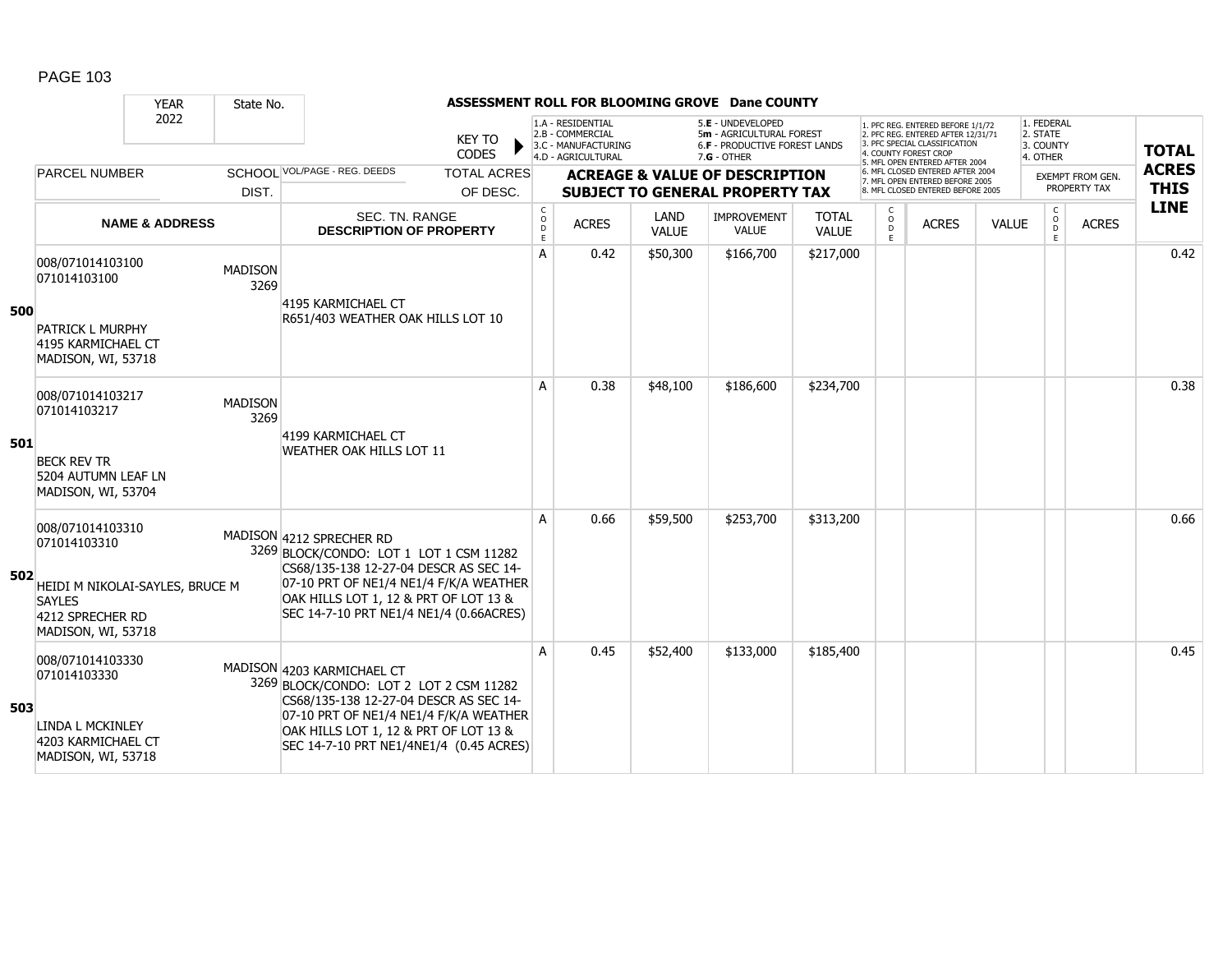|     |                                                                                            | <b>YEAR</b>               | State No.              |                                                                                                                                                           |                               |                                                |                                                                                    |                      | ASSESSMENT ROLL FOR BLOOMING GROVE Dane COUNTY                                                         |                              |                        |                                                                                                                                                                     |              |                                                 |                                         |                             |
|-----|--------------------------------------------------------------------------------------------|---------------------------|------------------------|-----------------------------------------------------------------------------------------------------------------------------------------------------------|-------------------------------|------------------------------------------------|------------------------------------------------------------------------------------|----------------------|--------------------------------------------------------------------------------------------------------|------------------------------|------------------------|---------------------------------------------------------------------------------------------------------------------------------------------------------------------|--------------|-------------------------------------------------|-----------------------------------------|-----------------------------|
|     |                                                                                            | 2022                      |                        |                                                                                                                                                           | <b>KEY TO</b><br><b>CODES</b> |                                                | 1.A - RESIDENTIAL<br>2.B - COMMERCIAL<br>3.C - MANUFACTURING<br>4.D - AGRICULTURAL |                      | 5.E - UNDEVELOPED<br>5m - AGRICULTURAL FOREST<br><b>6.F - PRODUCTIVE FOREST LANDS</b><br>$7.G - OTHER$ |                              |                        | 1. PFC REG. ENTERED BEFORE 1/1/72<br>2. PFC REG. ENTERED AFTER 12/31/71<br>3. PFC SPECIAL CLASSIFICATION<br>4. COUNTY FOREST CROP<br>5. MFL OPEN ENTERED AFTER 2004 |              | 1. FEDERAL<br>2. STATE<br>3. COUNTY<br>4. OTHER |                                         | <b>TOTAL</b>                |
|     | <b>PARCEL NUMBER</b>                                                                       |                           |                        | <b>SCHOOL VOL/PAGE - REG. DEEDS</b>                                                                                                                       | <b>TOTAL ACRES</b>            |                                                |                                                                                    |                      | <b>ACREAGE &amp; VALUE OF DESCRIPTION</b>                                                              |                              |                        | 6. MFL CLOSED ENTERED AFTER 2004<br>7. MFL OPEN ENTERED BEFORE 2005<br>8. MFL CLOSED ENTERED BEFORE 2005                                                            |              |                                                 | <b>EXEMPT FROM GEN.</b><br>PROPERTY TAX | <b>ACRES</b><br><b>THIS</b> |
|     |                                                                                            |                           | DIST.                  |                                                                                                                                                           | OF DESC.                      |                                                |                                                                                    |                      | <b>SUBJECT TO GENERAL PROPERTY TAX</b>                                                                 |                              | C                      |                                                                                                                                                                     |              | $\mathsf{C}$                                    |                                         | <b>LINE</b>                 |
|     |                                                                                            | <b>NAME &amp; ADDRESS</b> |                        | SEC. TN. RANGE<br><b>DESCRIPTION OF PROPERTY</b>                                                                                                          |                               | $\begin{matrix} 0 \\ 0 \\ D \end{matrix}$<br>E | <b>ACRES</b>                                                                       | LAND<br><b>VALUE</b> | <b>IMPROVEMENT</b><br><b>VALUE</b>                                                                     | <b>TOTAL</b><br><b>VALUE</b> | $\mathsf{o}$<br>D<br>E | <b>ACRES</b>                                                                                                                                                        | <b>VALUE</b> | $\circ$<br>$\overline{D}$<br>E                  | <b>ACRES</b>                            |                             |
| 500 | 008/071014103100<br>071014103100                                                           |                           | <b>MADISON</b><br>3269 | 4195 KARMICHAEL CT                                                                                                                                        |                               | A                                              | 0.42                                                                               | \$50,300             | \$166,700                                                                                              | \$217,000                    |                        |                                                                                                                                                                     |              |                                                 |                                         | 0.42                        |
|     | <b>PATRICK L MURPHY</b><br>4195 KARMICHAEL CT<br>MADISON, WI, 53718                        |                           |                        | R651/403 WEATHER OAK HILLS LOT 10                                                                                                                         |                               |                                                |                                                                                    |                      |                                                                                                        |                              |                        |                                                                                                                                                                     |              |                                                 |                                         |                             |
|     | 008/071014103217<br>071014103217                                                           |                           | <b>MADISON</b><br>3269 | 4199 KARMICHAEL CT                                                                                                                                        |                               | A                                              | 0.38                                                                               | \$48,100             | \$186,600                                                                                              | \$234,700                    |                        |                                                                                                                                                                     |              |                                                 |                                         | 0.38                        |
| 501 | <b>BECK REV TR</b><br>5204 AUTUMN LEAF LN<br>MADISON, WI, 53704                            |                           |                        | WEATHER OAK HILLS LOT 11                                                                                                                                  |                               |                                                |                                                                                    |                      |                                                                                                        |                              |                        |                                                                                                                                                                     |              |                                                 |                                         |                             |
|     | 008/071014103310<br>071014103310                                                           |                           |                        | MADISON 4212 SPRECHER RD<br>3269 BLOCK/CONDO: LOT 1 LOT 1 CSM 11282<br>CS68/135-138 12-27-04 DESCR AS SEC 14-                                             |                               | A                                              | 0.66                                                                               | \$59,500             | \$253,700                                                                                              | \$313,200                    |                        |                                                                                                                                                                     |              |                                                 |                                         | 0.66                        |
| 502 | HEIDI M NIKOLAI-SAYLES, BRUCE M<br><b>SAYLES</b><br>4212 SPRECHER RD<br>MADISON, WI, 53718 |                           |                        | 07-10 PRT OF NE1/4 NE1/4 F/K/A WEATHER<br>OAK HILLS LOT 1, 12 & PRT OF LOT 13 &<br>SEC 14-7-10 PRT NE1/4 NE1/4 (0.66ACRES)                                |                               |                                                |                                                                                    |                      |                                                                                                        |                              |                        |                                                                                                                                                                     |              |                                                 |                                         |                             |
| 503 | 008/071014103330<br>071014103330                                                           |                           |                        | MADISON 4203 KARMICHAEL CT<br>3269 BLOCK/CONDO: LOT 2 LOT 2 CSM 11282<br>CS68/135-138 12-27-04 DESCR AS SEC 14-<br>07-10 PRT OF NE1/4 NE1/4 F/K/A WEATHER |                               | A                                              | 0.45                                                                               | \$52,400             | \$133,000                                                                                              | \$185,400                    |                        |                                                                                                                                                                     |              |                                                 |                                         | 0.45                        |
|     | LINDA L MCKINLEY<br>4203 KARMICHAEL CT<br>MADISON, WI, 53718                               |                           |                        | OAK HILLS LOT 1, 12 & PRT OF LOT 13 &<br>SEC 14-7-10 PRT NE1/4NE1/4 (0.45 ACRES)                                                                          |                               |                                                |                                                                                    |                      |                                                                                                        |                              |                        |                                                                                                                                                                     |              |                                                 |                                         |                             |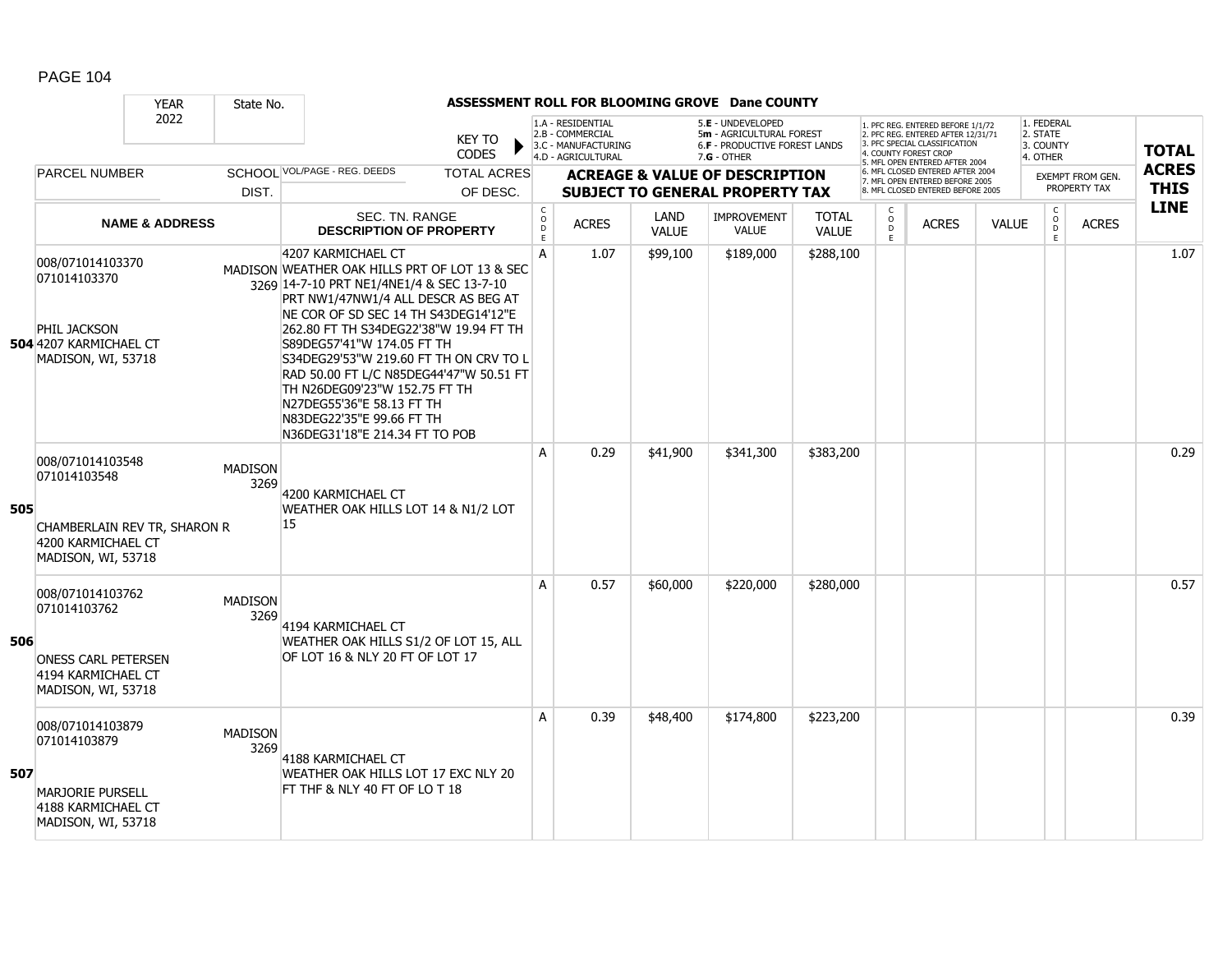|     |                                                                                                              | <b>YEAR</b>               | State No.              |                                                                                                                                                                                                                                                                                                                                                                                                                                                                                           |                                |                  |                                                                                    |                      | ASSESSMENT ROLL FOR BLOOMING GROVE Dane COUNTY                                                         |                              |                             |                                                                                                                                                                     |              |                                                 |                                  |                             |
|-----|--------------------------------------------------------------------------------------------------------------|---------------------------|------------------------|-------------------------------------------------------------------------------------------------------------------------------------------------------------------------------------------------------------------------------------------------------------------------------------------------------------------------------------------------------------------------------------------------------------------------------------------------------------------------------------------|--------------------------------|------------------|------------------------------------------------------------------------------------|----------------------|--------------------------------------------------------------------------------------------------------|------------------------------|-----------------------------|---------------------------------------------------------------------------------------------------------------------------------------------------------------------|--------------|-------------------------------------------------|----------------------------------|-----------------------------|
|     |                                                                                                              | 2022                      |                        |                                                                                                                                                                                                                                                                                                                                                                                                                                                                                           | KEY TO<br><b>CODES</b>         |                  | 1.A - RESIDENTIAL<br>2.B - COMMERCIAL<br>3.C - MANUFACTURING<br>4.D - AGRICULTURAL |                      | 5.E - UNDEVELOPED<br>5m - AGRICULTURAL FOREST<br><b>6.F - PRODUCTIVE FOREST LANDS</b><br>$7.G - OTHER$ |                              |                             | 1. PFC REG. ENTERED BEFORE 1/1/72<br>2. PFC REG. ENTERED AFTER 12/31/71<br>3. PFC SPECIAL CLASSIFICATION<br>4. COUNTY FOREST CROP<br>5. MFL OPEN ENTERED AFTER 2004 |              | 1. FEDERAL<br>2. STATE<br>3. COUNTY<br>4. OTHER |                                  | <b>TOTAL</b>                |
|     | <b>PARCEL NUMBER</b>                                                                                         |                           | DIST.                  | SCHOOL VOL/PAGE - REG. DEEDS                                                                                                                                                                                                                                                                                                                                                                                                                                                              | <b>TOTAL ACRES</b><br>OF DESC. |                  |                                                                                    |                      | <b>ACREAGE &amp; VALUE OF DESCRIPTION</b><br><b>SUBJECT TO GENERAL PROPERTY TAX</b>                    |                              |                             | 6. MFL CLOSED ENTERED AFTER 2004<br>7. MFL OPEN ENTERED BEFORE 2005<br>8. MFL CLOSED ENTERED BEFORE 2005                                                            |              |                                                 | EXEMPT FROM GEN.<br>PROPERTY TAX | <b>ACRES</b><br><b>THIS</b> |
|     |                                                                                                              | <b>NAME &amp; ADDRESS</b> |                        | SEC. TN. RANGE<br><b>DESCRIPTION OF PROPERTY</b>                                                                                                                                                                                                                                                                                                                                                                                                                                          |                                | C<br>D<br>D<br>E | <b>ACRES</b>                                                                       | LAND<br><b>VALUE</b> | <b>IMPROVEMENT</b><br><b>VALUE</b>                                                                     | <b>TOTAL</b><br><b>VALUE</b> | C<br>$\mathsf{o}$<br>D<br>E | <b>ACRES</b>                                                                                                                                                        | <b>VALUE</b> | $\mathsf{C}$<br>$\circ$<br>D<br>E               | <b>ACRES</b>                     | <b>LINE</b>                 |
|     | 008/071014103370<br>071014103370<br>PHIL JACKSON<br>504 4207 KARMICHAEL CT<br>MADISON, WI, 53718             |                           |                        | 4207 KARMICHAEL CT<br>MADISON WEATHER OAK HILLS PRT OF LOT 13 & SEC<br>3269 14-7-10 PRT NE1/4NE1/4 & SEC 13-7-10<br>PRT NW1/47NW1/4 ALL DESCR AS BEG AT<br>NE COR OF SD SEC 14 TH S43DEG14'12"E<br>262.80 FT TH S34DEG22'38"W 19.94 FT TH<br>S89DEG57'41"W 174.05 FT TH<br>S34DEG29'53"W 219.60 FT TH ON CRV TO L<br>RAD 50.00 FT L/C N85DEG44'47"W 50.51 FT<br>TH N26DEG09'23"W 152.75 FT TH<br>N27DEG55'36"E 58.13 FT TH<br>N83DEG22'35"E 99.66 FT TH<br>N36DEG31'18"E 214.34 FT TO POB |                                | A                | 1.07                                                                               | \$99,100             | \$189,000                                                                                              | \$288,100                    |                             |                                                                                                                                                                     |              |                                                 |                                  | 1.07                        |
| 505 | 008/071014103548<br>071014103548<br>CHAMBERLAIN REV TR, SHARON R<br>4200 KARMICHAEL CT<br>MADISON, WI, 53718 |                           | <b>MADISON</b><br>3269 | 4200 KARMICHAEL CT<br>WEATHER OAK HILLS LOT 14 & N1/2 LOT<br>15                                                                                                                                                                                                                                                                                                                                                                                                                           |                                | A                | 0.29                                                                               | \$41,900             | \$341,300                                                                                              | \$383,200                    |                             |                                                                                                                                                                     |              |                                                 |                                  | 0.29                        |
| 506 | 008/071014103762<br>071014103762<br><b>ONESS CARL PETERSEN</b><br>4194 KARMICHAEL CT<br>MADISON, WI, 53718   |                           | <b>MADISON</b><br>3269 | 4194 KARMICHAEL CT<br>WEATHER OAK HILLS S1/2 OF LOT 15, ALL<br>OF LOT 16 & NLY 20 FT OF LOT 17                                                                                                                                                                                                                                                                                                                                                                                            |                                | A                | 0.57                                                                               | \$60,000             | \$220,000                                                                                              | \$280,000                    |                             |                                                                                                                                                                     |              |                                                 |                                  | 0.57                        |
| 507 | 008/071014103879<br>071014103879<br><b>MARJORIE PURSELL</b><br>4188 KARMICHAEL CT<br>MADISON, WI, 53718      |                           | <b>MADISON</b><br>3269 | 4188 KARMICHAEL CT<br>WEATHER OAK HILLS LOT 17 EXC NLY 20<br>FT THF & NLY 40 FT OF LO T 18                                                                                                                                                                                                                                                                                                                                                                                                |                                | A                | 0.39                                                                               | \$48,400             | \$174,800                                                                                              | \$223,200                    |                             |                                                                                                                                                                     |              |                                                 |                                  | 0.39                        |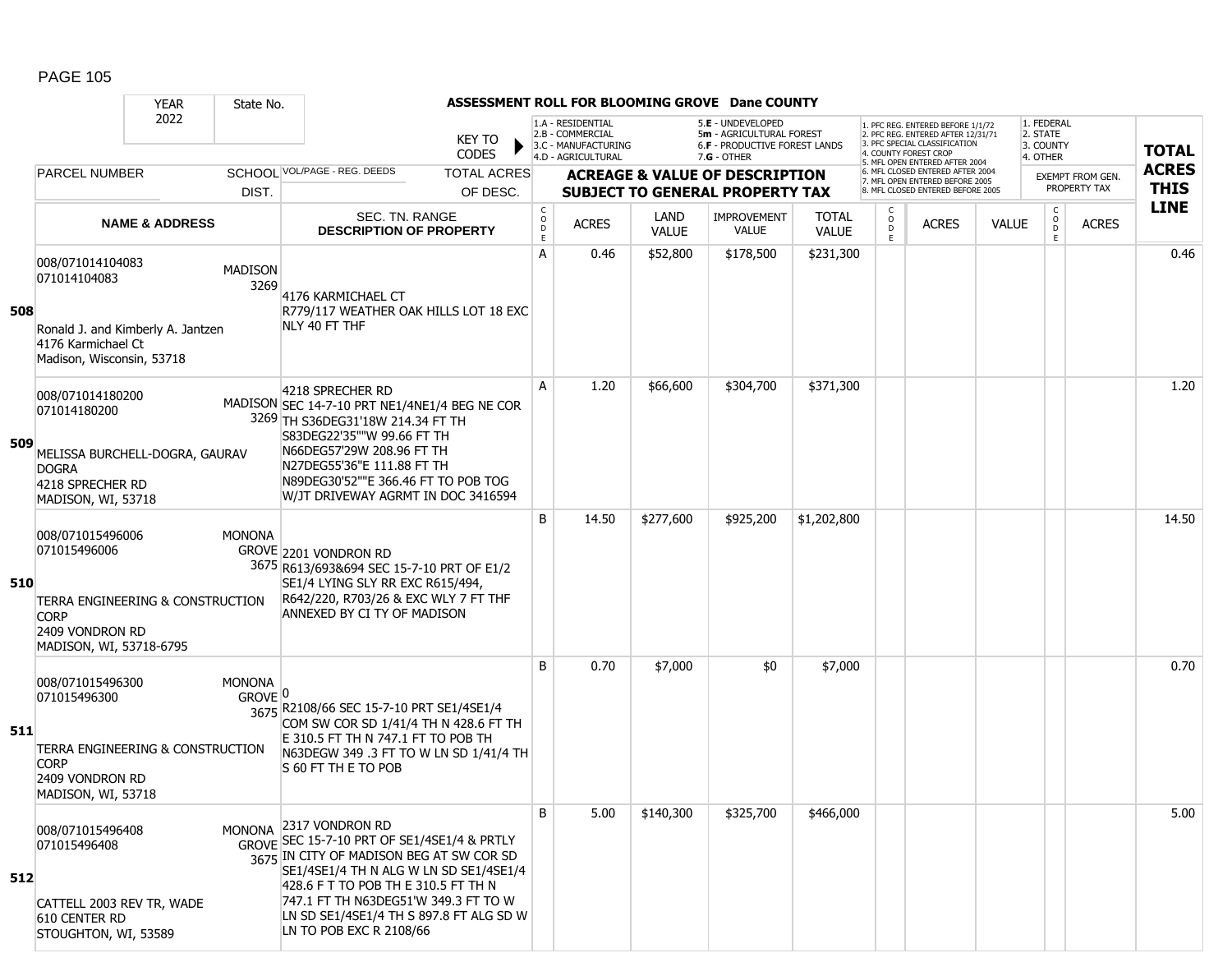|     |                                                                                                        | ASSESSMENT ROLL FOR BLOOMING GROVE Dane COUNTY<br><b>YEAR</b><br>State No. |                                       |                                                                                                                                                                                                                                                                                                           |                              |                                                                                    |                                                                                                 |                                           |                              |                                                                                                                                   |                                                                      |              |                                                 |                  |              |
|-----|--------------------------------------------------------------------------------------------------------|----------------------------------------------------------------------------|---------------------------------------|-----------------------------------------------------------------------------------------------------------------------------------------------------------------------------------------------------------------------------------------------------------------------------------------------------------|------------------------------|------------------------------------------------------------------------------------|-------------------------------------------------------------------------------------------------|-------------------------------------------|------------------------------|-----------------------------------------------------------------------------------------------------------------------------------|----------------------------------------------------------------------|--------------|-------------------------------------------------|------------------|--------------|
|     |                                                                                                        | 2022                                                                       |                                       | <b>KEY TO</b><br><b>CODES</b>                                                                                                                                                                                                                                                                             |                              | 1.A - RESIDENTIAL<br>2.B - COMMERCIAL<br>3.C - MANUFACTURING<br>4.D - AGRICULTURAL | 5.E - UNDEVELOPED<br>5m - AGRICULTURAL FOREST<br>6.F - PRODUCTIVE FOREST LANDS<br>$7.G - OTHER$ |                                           |                              | 1. PFC REG. ENTERED BEFORE 1/1/72<br>2. PFC REG. ENTERED AFTER 12/31/71<br>3. PFC SPECIAL CLASSIFICATION<br>4. COUNTY FOREST CROF |                                                                      |              | 1. FEDERAL<br>2. STATE<br>3. COUNTY<br>4. OTHER | <b>TOTAL</b>     |              |
|     | <b>PARCEL NUMBER</b>                                                                                   |                                                                            |                                       | SCHOOL VOL/PAGE - REG. DEEDS<br><b>TOTAL ACRES</b>                                                                                                                                                                                                                                                        |                              |                                                                                    |                                                                                                 | <b>ACREAGE &amp; VALUE OF DESCRIPTION</b> |                              |                                                                                                                                   | 5. MFL OPEN ENTERED AFTER 2004<br>6. MFL CLOSED ENTERED AFTER 2004   |              |                                                 | EXEMPT FROM GEN. | <b>ACRES</b> |
|     |                                                                                                        |                                                                            | DIST.                                 | OF DESC.                                                                                                                                                                                                                                                                                                  |                              |                                                                                    |                                                                                                 | <b>SUBJECT TO GENERAL PROPERTY TAX</b>    |                              |                                                                                                                                   | 7. MFL OPEN ENTERED BEFORE 2005<br>8. MFL CLOSED ENTERED BEFORE 2005 |              |                                                 | PROPERTY TAX     | <b>THIS</b>  |
|     |                                                                                                        | <b>NAME &amp; ADDRESS</b>                                                  |                                       | SEC. TN. RANGE<br><b>DESCRIPTION OF PROPERTY</b>                                                                                                                                                                                                                                                          | $_{\rm o}^{\rm c}$<br>D<br>E | <b>ACRES</b>                                                                       | LAND<br><b>VALUE</b>                                                                            | <b>IMPROVEMENT</b><br><b>VALUE</b>        | <b>TOTAL</b><br><b>VALUE</b> | C<br>$\circ$<br>D<br>E.                                                                                                           | <b>ACRES</b>                                                         | <b>VALUE</b> | C<br>$\circ$<br>D<br>Ε                          | <b>ACRES</b>     | <b>LINE</b>  |
| 508 | 008/071014104083<br>071014104083<br>4176 Karmichael Ct<br>Madison, Wisconsin, 53718                    | Ronald J. and Kimberly A. Jantzen                                          | <b>MADISON</b><br>3269                | 4176 KARMICHAEL CT<br>R779/117 WEATHER OAK HILLS LOT 18 EXC<br>NLY 40 FT THF                                                                                                                                                                                                                              | A                            | 0.46                                                                               | \$52,800                                                                                        | \$178,500                                 | \$231,300                    |                                                                                                                                   |                                                                      |              |                                                 |                  | 0.46         |
| 509 | 008/071014180200<br>071014180200<br><b>DOGRA</b><br>4218 SPRECHER RD<br>MADISON, WI, 53718             | MELISSA BURCHELL-DOGRA, GAURAV                                             |                                       | 4218 SPRECHER RD<br>MADISON SEC 14-7-10 PRT NE1/4NE1/4 BEG NE COR<br>3269 TH S36DEG31'18W 214.34 FT TH<br>S83DEG22'35""W 99.66 FT TH<br>N66DEG57'29W 208.96 FT TH<br>N27DEG55'36"E 111.88 FT TH<br>N89DEG30'52""E 366.46 FT TO POB TOG<br>W/JT DRIVEWAY AGRMT IN DOC 3416594                              | A                            | 1.20                                                                               | \$66,600                                                                                        | \$304,700                                 | \$371,300                    |                                                                                                                                   |                                                                      |              |                                                 |                  | 1.20         |
| 510 | 008/071015496006<br>071015496006<br><b>CORP</b><br>2409 VONDRON RD<br>MADISON, WI, 53718-6795          | TERRA ENGINEERING & CONSTRUCTION                                           | <b>MONONA</b>                         | GROVE 2201 VONDRON RD<br>3675 R613/693&694 SEC 15-7-10 PRT OF E1/2<br>SE1/4 LYING SLY RR EXC R615/494,<br>R642/220, R703/26 & EXC WLY 7 FT THF<br>ANNEXED BY CI TY OF MADISON                                                                                                                             | B                            | 14.50                                                                              | \$277,600                                                                                       | \$925,200                                 | \$1,202,800                  |                                                                                                                                   |                                                                      |              |                                                 |                  | 14.50        |
| 511 | 008/071015496300<br>071015496300<br><b>CORP</b><br>2409 VONDRON RD<br>MADISON, WI, 53718               | TERRA ENGINEERING & CONSTRUCTION                                           | <b>MONONA</b><br>$GROVE$ <sup>0</sup> | 3675 R2108/66 SEC 15-7-10 PRT SE1/4SE1/4<br>COM SW COR SD 1/41/4 TH N 428.6 FT TH<br>E 310.5 FT TH N 747.1 FT TO POB TH<br>N63DEGW 349 .3 FT TO W LN SD 1/41/4 TH<br>IS 60 FT TH E TO POB                                                                                                                 | B                            | 0.70                                                                               | \$7,000                                                                                         | \$0                                       | \$7,000                      |                                                                                                                                   |                                                                      |              |                                                 |                  | 0.70         |
| 512 | 008/071015496408<br>071015496408<br>CATTELL 2003 REV TR, WADE<br>610 CENTER RD<br>STOUGHTON, WI, 53589 |                                                                            | MONONA                                | 2317 VONDRON RD<br>GROVE SEC 15-7-10 PRT OF SE1/4SE1/4 & PRTLY<br>3675 IN CITY OF MADISON BEG AT SW COR SD<br>SE1/4SE1/4 TH N ALG W LN SD SE1/4SE1/4<br>428.6 F T TO POB TH E 310.5 FT TH N<br>747.1 FT TH N63DEG51'W 349.3 FT TO W<br>LN SD SE1/4SE1/4 TH S 897.8 FT ALG SD W<br>LN TO POB EXC R 2108/66 | B                            | 5.00                                                                               | \$140,300                                                                                       | \$325,700                                 | \$466,000                    |                                                                                                                                   |                                                                      |              |                                                 |                  | 5.00         |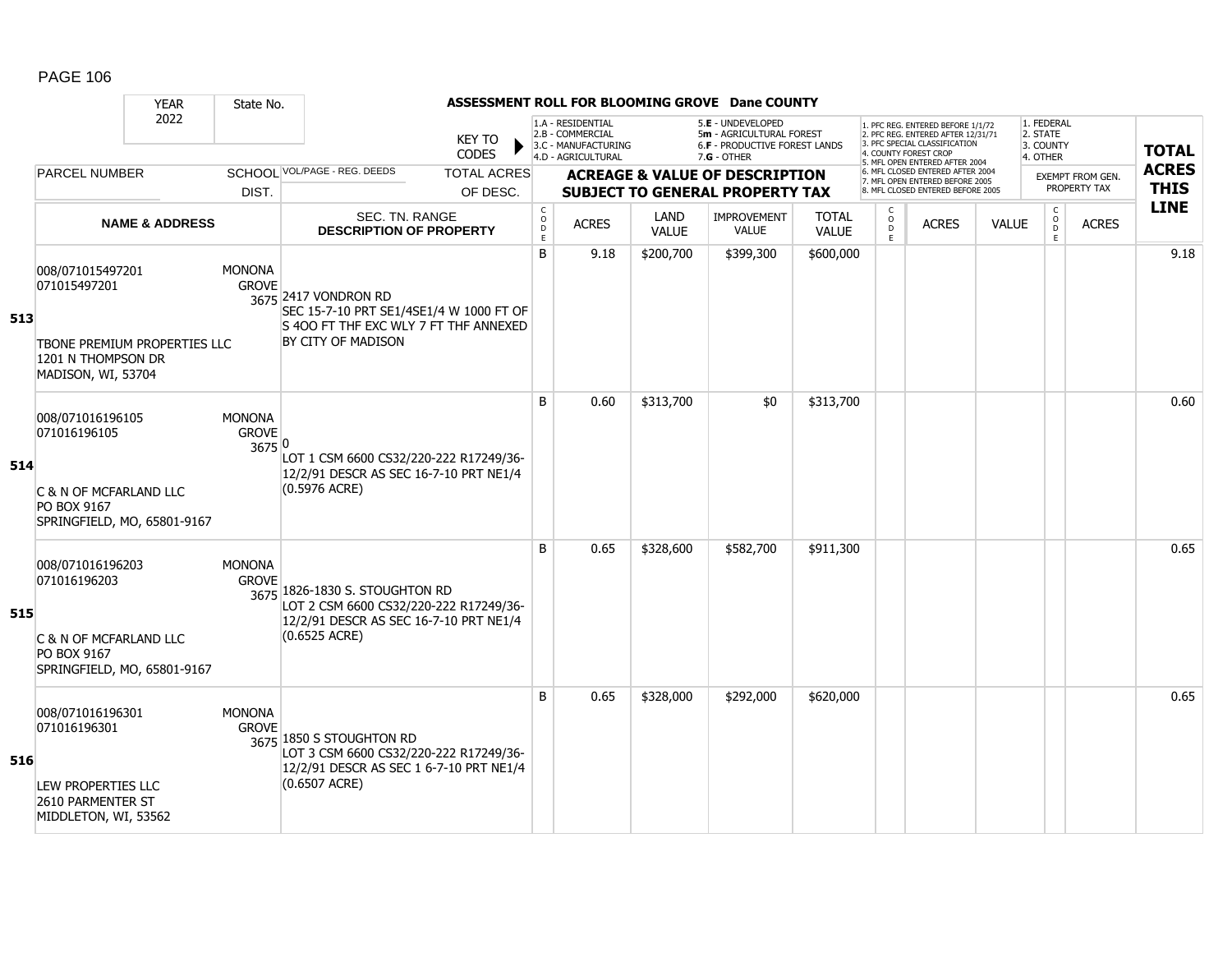|     |                                                                                                              | <b>YEAR</b>               | State No.                               |                                                                                                                                                                                                                        |                                |                                            |                                                                                                                                                                     |                             | ASSESSMENT ROLL FOR BLOOMING GROVE Dane COUNTY                                      |                                                 |                                  |                                                                                                          |              |                                                |                                         |                             |
|-----|--------------------------------------------------------------------------------------------------------------|---------------------------|-----------------------------------------|------------------------------------------------------------------------------------------------------------------------------------------------------------------------------------------------------------------------|--------------------------------|--------------------------------------------|---------------------------------------------------------------------------------------------------------------------------------------------------------------------|-----------------------------|-------------------------------------------------------------------------------------|-------------------------------------------------|----------------------------------|----------------------------------------------------------------------------------------------------------|--------------|------------------------------------------------|-----------------------------------------|-----------------------------|
|     |                                                                                                              | 2022                      |                                         | 1.A - RESIDENTIAL<br>5.E - UNDEVELOPED<br>2.B - COMMERCIAL<br>5m - AGRICULTURAL FOREST<br><b>KEY TO</b><br>3.C - MANUFACTURING<br><b>6.F - PRODUCTIVE FOREST LANDS</b><br>CODES<br>4.D - AGRICULTURAL<br>$7.G - OTHER$ |                                |                                            | 1. PFC REG. ENTERED BEFORE 1/1/72<br>2. PFC REG. ENTERED AFTER 12/31/71<br>3. PFC SPECIAL CLASSIFICATION<br>4. COUNTY FOREST CROP<br>5. MFL OPEN ENTERED AFTER 2004 |                             |                                                                                     | 1. FEDERAL<br>2. STATE<br>3. COUNTY<br>4. OTHER |                                  | <b>TOTAL</b>                                                                                             |              |                                                |                                         |                             |
|     | <b>PARCEL NUMBER</b>                                                                                         |                           | DIST.                                   | SCHOOL VOL/PAGE - REG. DEEDS                                                                                                                                                                                           | <b>TOTAL ACRES</b><br>OF DESC. |                                            |                                                                                                                                                                     |                             | <b>ACREAGE &amp; VALUE OF DESCRIPTION</b><br><b>SUBJECT TO GENERAL PROPERTY TAX</b> |                                                 |                                  | 6. MFL CLOSED ENTERED AFTER 2004<br>7. MFL OPEN ENTERED BEFORE 2005<br>8. MFL CLOSED ENTERED BEFORE 2005 |              |                                                | <b>EXEMPT FROM GEN.</b><br>PROPERTY TAX | <b>ACRES</b><br><b>THIS</b> |
|     |                                                                                                              | <b>NAME &amp; ADDRESS</b> |                                         | SEC. TN. RANGE<br><b>DESCRIPTION OF PROPERTY</b>                                                                                                                                                                       |                                | $\mathsf C$<br>$\circ$<br>$\mathsf D$<br>E | <b>ACRES</b>                                                                                                                                                        | <b>LAND</b><br><b>VALUE</b> | IMPROVEMENT<br><b>VALUE</b>                                                         | <b>TOTAL</b><br><b>VALUE</b>                    | C<br>$\circ$<br>$\mathsf D$<br>E | <b>ACRES</b>                                                                                             | <b>VALUE</b> | $\begin{matrix} 0 \\ 0 \\ 0 \end{matrix}$<br>E | <b>ACRES</b>                            | <b>LINE</b>                 |
| 513 | 008/071015497201<br>071015497201<br>TBONE PREMIUM PROPERTIES LLC<br>1201 N THOMPSON DR<br>MADISON, WI, 53704 |                           | <b>MONONA</b><br><b>GROVE</b>           | 3675 2417 VONDRON RD<br>SEC 15-7-10 PRT SE1/4SE1/4 W 1000 FT OF<br>IS 400 FT THE EXC WLY 7 FT THE ANNEXED<br>BY CITY OF MADISON                                                                                        |                                | B                                          | 9.18                                                                                                                                                                | \$200,700                   | \$399,300                                                                           | \$600,000                                       |                                  |                                                                                                          |              |                                                |                                         | 9.18                        |
| 514 | 008/071016196105<br>071016196105<br>C & N OF MCFARLAND LLC<br>PO BOX 9167<br>SPRINGFIELD, MO, 65801-9167     |                           | <b>MONONA</b><br><b>GROVE</b><br>3675 0 | LOT 1 CSM 6600 CS32/220-222 R17249/36-<br>12/2/91 DESCR AS SEC 16-7-10 PRT NE1/4<br>$(0.5976$ ACRE)                                                                                                                    |                                | <sub>B</sub>                               | 0.60                                                                                                                                                                | \$313,700                   | \$0                                                                                 | \$313,700                                       |                                  |                                                                                                          |              |                                                |                                         | 0.60                        |
| 515 | 008/071016196203<br>071016196203<br>C & N OF MCFARLAND LLC<br>PO BOX 9167<br>SPRINGFIELD, MO, 65801-9167     |                           | <b>MONONA</b><br><b>GROVE</b>           | 3675 1826-1830 S. STOUGHTON RD<br>LOT 2 CSM 6600 CS32/220-222 R17249/36-<br>12/2/91 DESCR AS SEC 16-7-10 PRT NE1/4<br>(0.6525 ACRE)                                                                                    |                                | B                                          | 0.65                                                                                                                                                                | \$328,600                   | \$582,700                                                                           | \$911,300                                       |                                  |                                                                                                          |              |                                                |                                         | 0.65                        |
| 516 | 008/071016196301<br>071016196301<br>LEW PROPERTIES LLC<br>2610 PARMENTER ST<br>MIDDLETON, WI, 53562          |                           | <b>MONONA</b><br><b>GROVE</b>           | 3675 1850 S STOUGHTON RD<br>LOT 3 CSM 6600 CS32/220-222 R17249/36-<br>12/2/91 DESCR AS SEC 1 6-7-10 PRT NE1/4<br>(0.6507 ACRE)                                                                                         |                                | B                                          | 0.65                                                                                                                                                                | \$328,000                   | \$292,000                                                                           | \$620,000                                       |                                  |                                                                                                          |              |                                                |                                         | 0.65                        |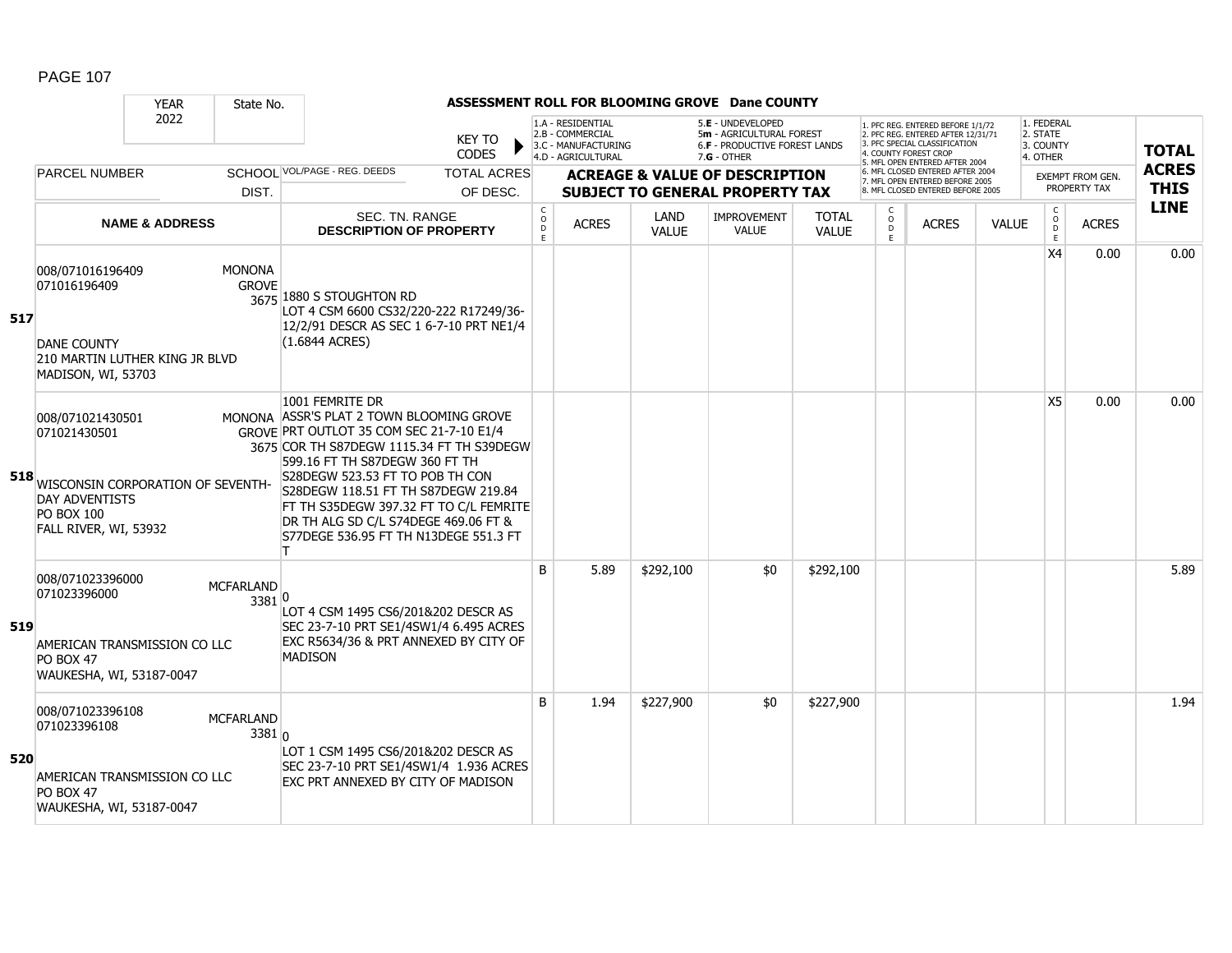|     | ASSESSMENT ROLL FOR BLOOMING GROVE Dane COUNTY<br><b>YEAR</b><br>State No.                                                                       |                           |                                |                                                                                                                                                                                                                                                                                                                                                                                             |                                |                         |              |               |                                                                                     |                              |                                                                                                                                           |              |                                                                                                                                   |                             |                                         |                                                 |  |              |
|-----|--------------------------------------------------------------------------------------------------------------------------------------------------|---------------------------|--------------------------------|---------------------------------------------------------------------------------------------------------------------------------------------------------------------------------------------------------------------------------------------------------------------------------------------------------------------------------------------------------------------------------------------|--------------------------------|-------------------------|--------------|---------------|-------------------------------------------------------------------------------------|------------------------------|-------------------------------------------------------------------------------------------------------------------------------------------|--------------|-----------------------------------------------------------------------------------------------------------------------------------|-----------------------------|-----------------------------------------|-------------------------------------------------|--|--------------|
|     |                                                                                                                                                  |                           |                                | 2022<br><b>KEY TO</b><br><b>CODES</b>                                                                                                                                                                                                                                                                                                                                                       |                                |                         |              |               | 1.A - RESIDENTIAL<br>2.B - COMMERCIAL<br>3.C - MANUFACTURING<br>4.D - AGRICULTURAL  |                              | 5.E - UNDEVELOPED<br>5m - AGRICULTURAL FOREST<br>6.F - PRODUCTIVE FOREST LANDS<br>$7.G - OTHER$                                           |              | 1. PFC REG. ENTERED BEFORE 1/1/72<br>2. PFC REG. ENTERED AFTER 12/31/71<br>3. PFC SPECIAL CLASSIFICATION<br>4. COUNTY FOREST CROP |                             |                                         | 1. FEDERAL<br>2. STATE<br>3. COUNTY<br>4. OTHER |  | <b>TOTAL</b> |
|     | <b>PARCEL NUMBER</b>                                                                                                                             |                           | DIST.                          | SCHOOI VOL/PAGE - REG. DEEDS                                                                                                                                                                                                                                                                                                                                                                | <b>TOTAL ACRES</b><br>OF DESC. |                         |              |               | <b>ACREAGE &amp; VALUE OF DESCRIPTION</b><br><b>SUBJECT TO GENERAL PROPERTY TAX</b> |                              | 5. MFL OPEN ENTERED AFTER 2004<br>6. MFL CLOSED ENTERED AFTER 2004<br>7. MFL OPEN ENTERED BEFORE 2005<br>8 MFL CLOSED ENTERED BEFORE 2005 |              |                                                                                                                                   |                             | <b>EXEMPT FROM GEN.</b><br>PROPERTY TAX | <b>ACRES</b><br><b>THIS</b>                     |  |              |
|     |                                                                                                                                                  | <b>NAME &amp; ADDRESS</b> |                                | SEC. TN. RANGE<br><b>DESCRIPTION OF PROPERTY</b>                                                                                                                                                                                                                                                                                                                                            |                                | C<br>$\circ$<br>D<br>E. | <b>ACRES</b> | LAND<br>VALUE | <b>IMPROVEMENT</b><br><b>VALUE</b>                                                  | <b>TOTAL</b><br><b>VALUE</b> | C.<br>$\circ$<br>D<br>E                                                                                                                   | <b>ACRES</b> | <b>VALUE</b>                                                                                                                      | C<br>$\mathsf{O}$<br>D<br>E | <b>ACRES</b>                            | <b>LINE</b>                                     |  |              |
| 517 | 008/071016196409<br>071016196409<br><b>DANE COUNTY</b><br>210 MARTIN LUTHER KING JR BLVD<br>MADISON, WI, 53703                                   |                           | <b>MONONA</b><br><b>GROVE</b>  | 3675 1880 S STOUGHTON RD<br>LOT 4 CSM 6600 CS32/220-222 R17249/36-<br>12/2/91 DESCR AS SEC 1 6-7-10 PRT NE1/4<br>(1.6844 ACRES)                                                                                                                                                                                                                                                             |                                |                         |              |               |                                                                                     |                              |                                                                                                                                           |              |                                                                                                                                   | X4                          | 0.00                                    | 0.00                                            |  |              |
|     | 008/071021430501<br>071021430501<br>518 WISCONSIN CORPORATION OF SEVENTH-<br><b>DAY ADVENTISTS</b><br><b>PO BOX 100</b><br>FALL RIVER, WI, 53932 |                           |                                | 1001 FEMRITE DR<br>MONONA ASSR'S PLAT 2 TOWN BLOOMING GROVE<br>GROVE PRT OUTLOT 35 COM SEC 21-7-10 E1/4<br>3675 COR TH S87DEGW 1115.34 FT TH S39DEGW<br>599.16 FT TH S87DEGW 360 FT TH<br>S28DEGW 523.53 FT TO POB TH CON<br>S28DEGW 118.51 FT TH S87DEGW 219.84<br>FT TH S35DEGW 397.32 FT TO C/L FEMRITE<br>DR TH ALG SD C/L S74DEGE 469.06 FT &<br>S77DEGE 536.95 FT TH N13DEGE 551.3 FT |                                |                         |              |               |                                                                                     |                              |                                                                                                                                           |              |                                                                                                                                   | X5                          | 0.00                                    | 0.00                                            |  |              |
| 519 | 008/071023396000<br>071023396000<br>AMERICAN TRANSMISSION CO LLC<br><b>PO BOX 47</b><br>WAUKESHA, WI, 53187-0047                                 |                           | <b>MCFARLAND</b><br>$3381^{0}$ | LOT 4 CSM 1495 CS6/201&202 DESCR AS<br>SEC 23-7-10 PRT SE1/4SW1/4 6.495 ACRES<br>EXC R5634/36 & PRT ANNEXED BY CITY OF<br><b>MADISON</b>                                                                                                                                                                                                                                                    |                                | B                       | 5.89         | \$292,100     | \$0                                                                                 | \$292,100                    |                                                                                                                                           |              |                                                                                                                                   |                             |                                         | 5.89                                            |  |              |
| 520 | 008/071023396108<br>071023396108<br>AMERICAN TRANSMISSION CO LLC<br><b>PO BOX 47</b><br>WAUKESHA, WI, 53187-0047                                 |                           | <b>MCFARLAND</b><br>3381n      | LOT 1 CSM 1495 CS6/201&202 DESCR AS<br>SEC 23-7-10 PRT SE1/4SW1/4 1.936 ACRES<br>EXC PRT ANNEXED BY CITY OF MADISON                                                                                                                                                                                                                                                                         |                                | <sub>B</sub>            | 1.94         | \$227,900     | \$0                                                                                 | \$227,900                    |                                                                                                                                           |              |                                                                                                                                   |                             |                                         | 1.94                                            |  |              |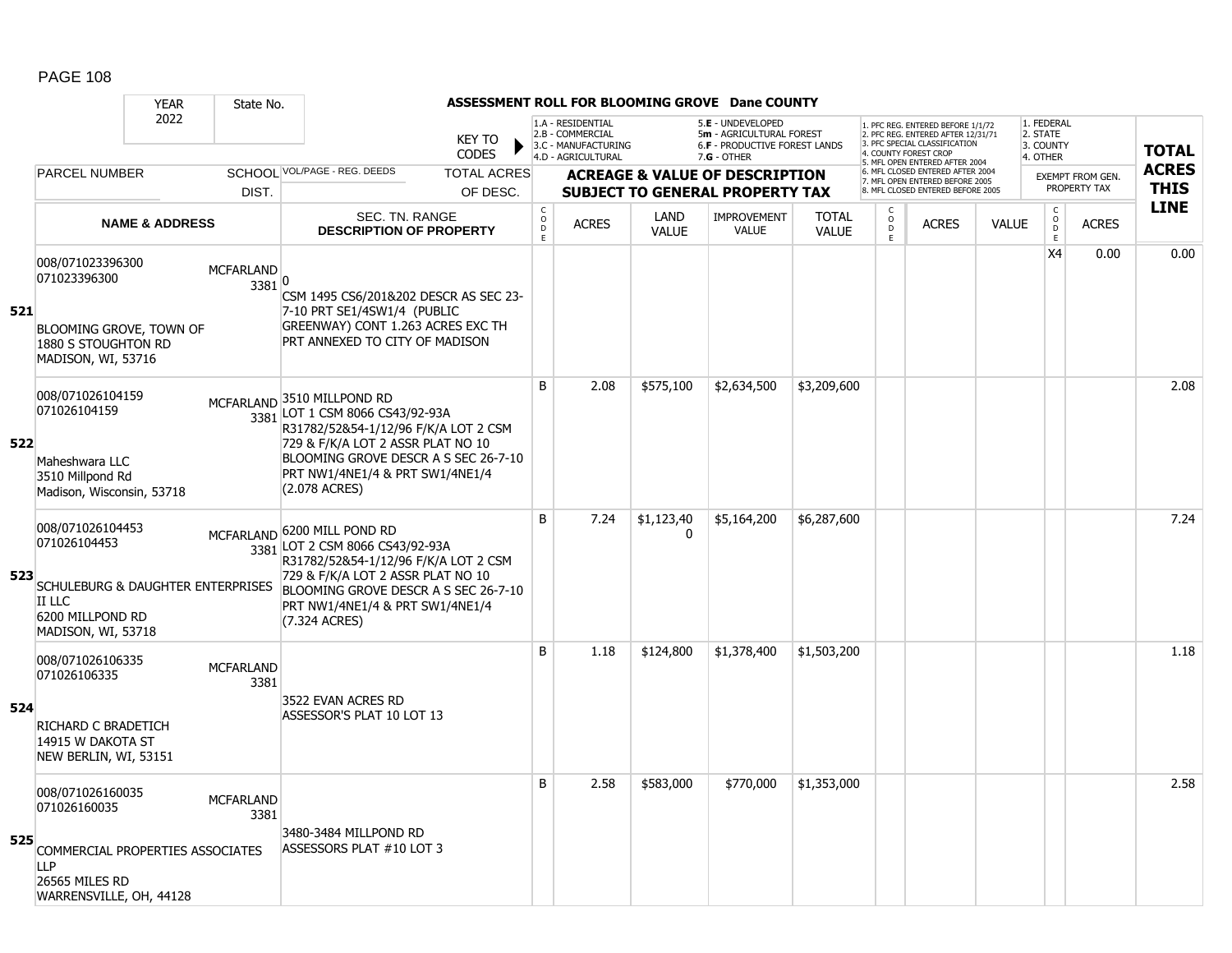|     |                                                                                                                                      | <b>YEAR</b>               | State No.                  |                                                                                                                                                                                                                                         |                              |                                                                                    |                      | ASSESSMENT ROLL FOR BLOOMING GROVE Dane COUNTY                                                  |                              |                        |                                                                                                                                  |              |                                                 |                         |              |
|-----|--------------------------------------------------------------------------------------------------------------------------------------|---------------------------|----------------------------|-----------------------------------------------------------------------------------------------------------------------------------------------------------------------------------------------------------------------------------------|------------------------------|------------------------------------------------------------------------------------|----------------------|-------------------------------------------------------------------------------------------------|------------------------------|------------------------|----------------------------------------------------------------------------------------------------------------------------------|--------------|-------------------------------------------------|-------------------------|--------------|
|     |                                                                                                                                      | 2022                      |                            | <b>KEY TO</b><br><b>CODES</b>                                                                                                                                                                                                           |                              | 1.A - RESIDENTIAL<br>2.B - COMMERCIAL<br>3.C - MANUFACTURING<br>4.D - AGRICULTURAL |                      | 5.E - UNDEVELOPED<br>5m - AGRICULTURAL FOREST<br>6.F - PRODUCTIVE FOREST LANDS<br>$7.G - OTHER$ |                              |                        | . PFC REG. ENTERED BEFORE 1/1/72<br>2. PFC REG. ENTERED AFTER 12/31/71<br>3. PFC SPECIAL CLASSIFICATION<br>4. COUNTY FOREST CROP |              | 1. FEDERAL<br>2. STATE<br>3. COUNTY<br>4. OTHER |                         | <b>TOTAL</b> |
|     | <b>PARCEL NUMBER</b>                                                                                                                 |                           |                            | SCHOOL VOL/PAGE - REG. DEEDS<br><b>TOTAL ACRES</b>                                                                                                                                                                                      |                              |                                                                                    |                      | <b>ACREAGE &amp; VALUE OF DESCRIPTION</b>                                                       |                              |                        | 5. MFL OPEN ENTERED AFTER 2004<br>6. MFL CLOSED ENTERED AFTER 2004<br>7. MFL OPEN ENTERED BEFORE 2005                            |              |                                                 | <b>EXEMPT FROM GEN.</b> | <b>ACRES</b> |
|     |                                                                                                                                      |                           | DIST.                      | OF DESC.                                                                                                                                                                                                                                |                              |                                                                                    |                      | <b>SUBJECT TO GENERAL PROPERTY TAX</b>                                                          |                              |                        | 8. MFL CLOSED ENTERED BEFORE 2005                                                                                                |              |                                                 | PROPERTY TAX            | <b>THIS</b>  |
|     |                                                                                                                                      | <b>NAME &amp; ADDRESS</b> |                            | SEC. TN. RANGE<br><b>DESCRIPTION OF PROPERTY</b>                                                                                                                                                                                        | $_{\rm o}^{\rm c}$<br>D<br>E | <b>ACRES</b>                                                                       | LAND<br><b>VALUE</b> | <b>IMPROVEMENT</b><br><b>VALUE</b>                                                              | <b>TOTAL</b><br><b>VALUE</b> | C<br>$\circ$<br>D<br>E | <b>ACRES</b>                                                                                                                     | <b>VALUE</b> | $_{\rm o}^{\rm c}$<br>D<br>Ē                    | <b>ACRES</b>            | <b>LINE</b>  |
| 521 | 008/071023396300<br>071023396300<br>BLOOMING GROVE, TOWN OF                                                                          |                           | <b>MCFARLAND</b><br>3381 0 | CSM 1495 CS6/201&202 DESCR AS SEC 23-<br>7-10 PRT SE1/4SW1/4 (PUBLIC<br>GREENWAY) CONT 1.263 ACRES EXC TH<br>PRT ANNEXED TO CITY OF MADISON                                                                                             |                              |                                                                                    |                      |                                                                                                 |                              |                        |                                                                                                                                  |              | X4                                              | 0.00                    | 0.00         |
|     | 1880 S STOUGHTON RD<br>MADISON, WI, 53716                                                                                            |                           |                            |                                                                                                                                                                                                                                         |                              |                                                                                    |                      |                                                                                                 |                              |                        |                                                                                                                                  |              |                                                 |                         |              |
| 522 | 008/071026104159<br>071026104159                                                                                                     |                           |                            | MCFARLAND 3510 MILLPOND RD<br>3381 LOT 1 CSM 8066 CS43/92-93A<br>R31782/52&54-1/12/96 F/K/A LOT 2 CSM<br>729 & F/K/A LOT 2 ASSR PLAT NO 10                                                                                              | B                            | 2.08                                                                               | \$575,100            | \$2,634,500                                                                                     | \$3,209,600                  |                        |                                                                                                                                  |              |                                                 |                         | 2.08         |
|     | Maheshwara LLC<br>3510 Millpond Rd<br>Madison, Wisconsin, 53718                                                                      |                           |                            | BLOOMING GROVE DESCR A S SEC 26-7-10<br>PRT NW1/4NE1/4 & PRT SW1/4NE1/4<br>(2.078 ACRES)                                                                                                                                                |                              |                                                                                    |                      |                                                                                                 |                              |                        |                                                                                                                                  |              |                                                 |                         |              |
| 523 | 008/071026104453<br>071026104453<br><b>SCHULEBURG &amp; DAUGHTER ENTERPRISES</b><br>II LLC<br>6200 MILLPOND RD<br>MADISON, WI, 53718 |                           |                            | MCFARLAND 6200 MILL POND RD<br>3381 LOT 2 CSM 8066 CS43/92-93A<br>R31782/52&54-1/12/96 F/K/A LOT 2 CSM<br>729 & F/K/A LOT 2 ASSR PLAT NO 10<br>BLOOMING GROVE DESCR A S SEC 26-7-10<br>PRT NW1/4NE1/4 & PRT SW1/4NE1/4<br>(7.324 ACRES) | B.                           | 7.24                                                                               | \$1,123,40<br>0      | \$5,164,200                                                                                     | \$6,287,600                  |                        |                                                                                                                                  |              |                                                 |                         | 7.24         |
|     | 008/071026106335<br>071026106335                                                                                                     |                           | <b>MCFARLAND</b><br>3381   |                                                                                                                                                                                                                                         | <sub>B</sub>                 | 1.18                                                                               | \$124,800            | \$1,378,400                                                                                     | \$1,503,200                  |                        |                                                                                                                                  |              |                                                 |                         | 1.18         |
| 524 | RICHARD C BRADETICH<br>14915 W DAKOTA ST<br>NEW BERLIN, WI, 53151                                                                    |                           |                            | 3522 EVAN ACRES RD<br>ASSESSOR'S PLAT 10 LOT 13                                                                                                                                                                                         |                              |                                                                                    |                      |                                                                                                 |                              |                        |                                                                                                                                  |              |                                                 |                         |              |
| 525 | 008/071026160035<br>071026160035                                                                                                     |                           | <b>MCFARLAND</b><br>3381   | 3480-3484 MILLPOND RD                                                                                                                                                                                                                   | B                            | 2.58                                                                               | \$583,000            | \$770,000                                                                                       | \$1,353,000                  |                        |                                                                                                                                  |              |                                                 |                         | 2.58         |
|     | COMMERCIAL PROPERTIES ASSOCIATES<br><b>LLP</b><br>26565 MILES RD<br>WARRENSVILLE, OH, 44128                                          |                           |                            | ASSESSORS PLAT #10 LOT 3                                                                                                                                                                                                                |                              |                                                                                    |                      |                                                                                                 |                              |                        |                                                                                                                                  |              |                                                 |                         |              |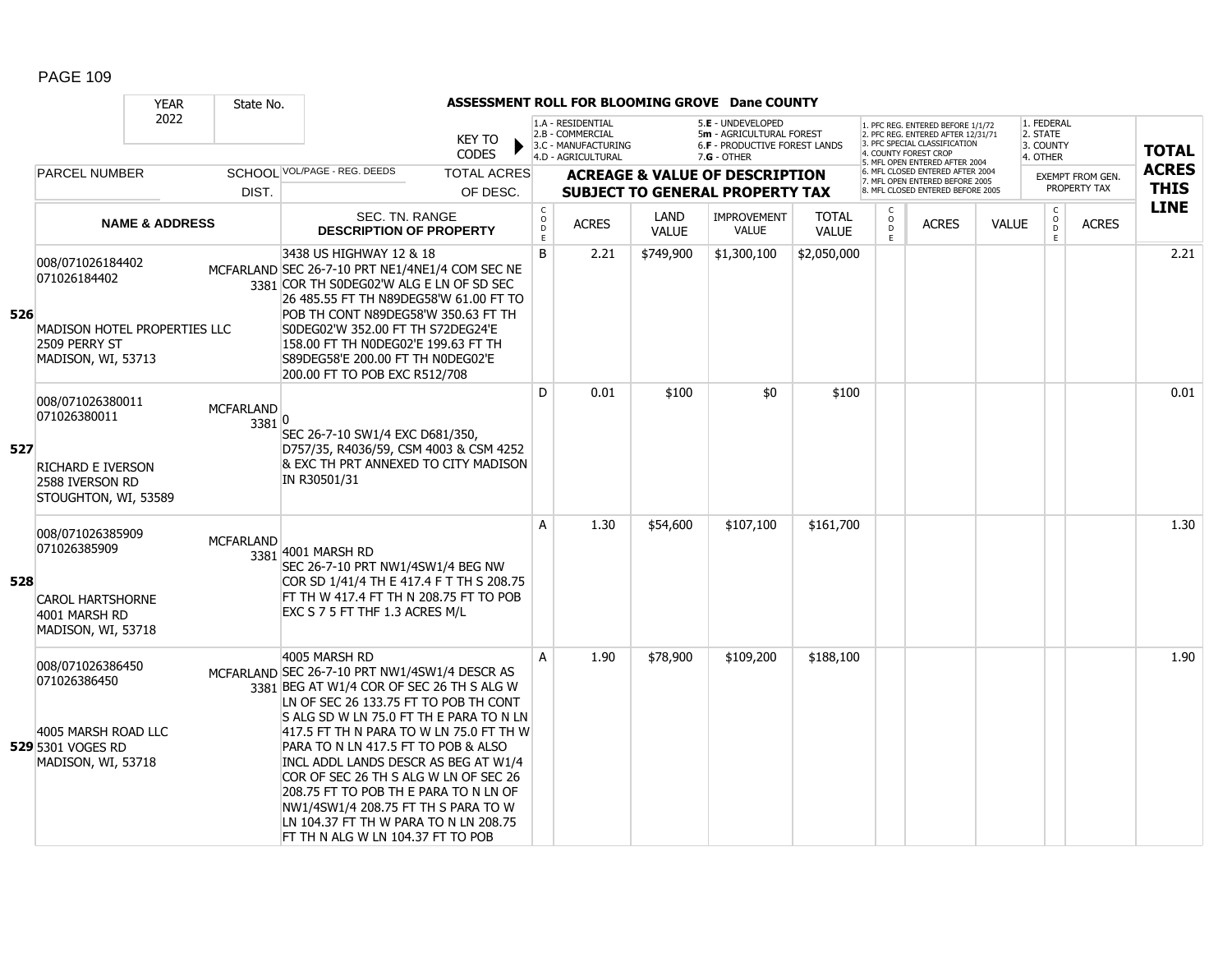|     |                                                                                                                | <b>YEAR</b>               | State No.                  |                                                                                                                                                                                                                                                                                                                                                                                                                                                                                                                                   |                                |                                                |                                                                                    |                      | ASSESSMENT ROLL FOR BLOOMING GROVE Dane COUNTY                                                       |                              |                             |                                                                                                                                                                     |              |                                                 |                                  |                             |
|-----|----------------------------------------------------------------------------------------------------------------|---------------------------|----------------------------|-----------------------------------------------------------------------------------------------------------------------------------------------------------------------------------------------------------------------------------------------------------------------------------------------------------------------------------------------------------------------------------------------------------------------------------------------------------------------------------------------------------------------------------|--------------------------------|------------------------------------------------|------------------------------------------------------------------------------------|----------------------|------------------------------------------------------------------------------------------------------|------------------------------|-----------------------------|---------------------------------------------------------------------------------------------------------------------------------------------------------------------|--------------|-------------------------------------------------|----------------------------------|-----------------------------|
|     |                                                                                                                | 2022                      |                            |                                                                                                                                                                                                                                                                                                                                                                                                                                                                                                                                   | <b>KEY TO</b><br>CODES         |                                                | 1.A - RESIDENTIAL<br>2.B - COMMERCIAL<br>3.C - MANUFACTURING<br>4.D - AGRICULTURAL |                      | 5.E - UNDEVELOPED<br>5m - AGRICULTURAL FOREST<br><b>6.F - PRODUCTIVE FOREST LANDS</b><br>7.G - OTHER |                              |                             | 1. PFC REG. ENTERED BEFORE 1/1/72<br>2. PFC REG. ENTERED AFTER 12/31/71<br>3. PFC SPECIAL CLASSIFICATION<br>4. COUNTY FOREST CROP<br>5. MFL OPEN ENTERED AFTER 2004 |              | 1. FEDERAL<br>2. STATE<br>3. COUNTY<br>4. OTHER |                                  | <b>TOTAL</b>                |
|     | <b>PARCEL NUMBER</b>                                                                                           |                           | DIST.                      | SCHOOL VOL/PAGE - REG. DEEDS                                                                                                                                                                                                                                                                                                                                                                                                                                                                                                      | <b>TOTAL ACRES</b><br>OF DESC. |                                                |                                                                                    |                      | <b>ACREAGE &amp; VALUE OF DESCRIPTION</b><br><b>SUBJECT TO GENERAL PROPERTY TAX</b>                  |                              |                             | 6. MFL CLOSED ENTERED AFTER 2004<br>7. MFL OPEN ENTERED BEFORE 2005<br>8. MFL CLOSED ENTERED BEFORE 2005                                                            |              |                                                 | EXEMPT FROM GEN.<br>PROPERTY TAX | <b>ACRES</b><br><b>THIS</b> |
|     |                                                                                                                | <b>NAME &amp; ADDRESS</b> |                            | <b>SEC. TN. RANGE</b><br><b>DESCRIPTION OF PROPERTY</b>                                                                                                                                                                                                                                                                                                                                                                                                                                                                           |                                | $\begin{matrix} 0 \\ 0 \\ D \end{matrix}$<br>E | <b>ACRES</b>                                                                       | LAND<br><b>VALUE</b> | <b>IMPROVEMENT</b><br><b>VALUE</b>                                                                   | <b>TOTAL</b><br><b>VALUE</b> | C<br>$\mathsf{o}$<br>D<br>E | <b>ACRES</b>                                                                                                                                                        | <b>VALUE</b> | $\mathsf C$<br>$\circ$<br>D<br>E                | <b>ACRES</b>                     | <b>LINE</b>                 |
| 526 | 008/071026184402<br>071026184402<br><b>MADISON HOTEL PROPERTIES LLC</b><br>2509 PERRY ST<br>MADISON, WI, 53713 |                           |                            | 3438 US HIGHWAY 12 & 18<br>MCFARLAND SEC 26-7-10 PRT NE1/4NE1/4 COM SEC NE<br>3381 COR TH SODEG02'W ALG E LN OF SD SEC<br>26 485.55 FT TH N89DEG58'W 61.00 FT TO<br>POB TH CONT N89DEG58'W 350.63 FT TH<br>S0DEG02'W 352.00 FT TH S72DEG24'E<br>158.00 FT TH NODEG02'E 199.63 FT TH<br>S89DEG58'E 200.00 FT TH N0DEG02'E<br>200.00 FT TO POB EXC R512/708                                                                                                                                                                         |                                | B                                              | 2.21                                                                               | \$749,900            | \$1,300,100                                                                                          | \$2,050,000                  |                             |                                                                                                                                                                     |              |                                                 |                                  | 2.21                        |
| 527 | 008/071026380011<br>071026380011<br><b>RICHARD E IVERSON</b><br>2588 IVERSON RD<br>STOUGHTON, WI, 53589        |                           | <b>MCFARLAND</b><br>3381 0 | SEC 26-7-10 SW1/4 EXC D681/350,<br>D757/35, R4036/59, CSM 4003 & CSM 4252<br>& EXC TH PRT ANNEXED TO CITY MADISON<br>IN R30501/31                                                                                                                                                                                                                                                                                                                                                                                                 |                                | D                                              | 0.01                                                                               | \$100                | \$0                                                                                                  | \$100                        |                             |                                                                                                                                                                     |              |                                                 |                                  | 0.01                        |
| 528 | 008/071026385909<br>071026385909<br><b>CAROL HARTSHORNE</b><br>4001 MARSH RD<br>MADISON, WI, 53718             |                           | <b>MCFARLAND</b>           | 3381 4001 MARSH RD<br>SEC 26-7-10 PRT NW1/4SW1/4 BEG NW<br>COR SD 1/41/4 TH E 417.4 F T TH S 208.75<br>FT TH W 417.4 FT TH N 208.75 FT TO POB<br>EXC S 7 5 FT THF 1.3 ACRES M/L                                                                                                                                                                                                                                                                                                                                                   |                                | A                                              | 1.30                                                                               | \$54,600             | \$107,100                                                                                            | \$161,700                    |                             |                                                                                                                                                                     |              |                                                 |                                  | 1.30                        |
|     | 008/071026386450<br>071026386450<br>4005 MARSH ROAD LLC<br><b>529</b> 5301 VOGES RD<br>MADISON, WI, 53718      |                           |                            | 4005 MARSH RD<br>MCFARLAND SEC 26-7-10 PRT NW1/4SW1/4 DESCR AS<br>3381 BEG AT W1/4 COR OF SEC 26 TH S ALG W<br>LN OF SEC 26 133.75 FT TO POB TH CONT<br>IS ALG SD W LN 75.0 FT TH E PARA TO N LN<br>417.5 FT TH N PARA TO W LN 75.0 FT TH W<br>PARA TO N LN 417.5 FT TO POB & ALSO<br>INCL ADDL LANDS DESCR AS BEG AT W1/4<br>COR OF SEC 26 TH S ALG W LN OF SEC 26<br>208.75 FT TO POB TH E PARA TO N LN OF<br>NW1/4SW1/4 208.75 FT TH S PARA TO W<br>LN 104.37 FT TH W PARA TO N LN 208.75<br>FT TH N ALG W LN 104.37 FT TO POB |                                | A                                              | 1.90                                                                               | \$78,900             | \$109,200                                                                                            | \$188,100                    |                             |                                                                                                                                                                     |              |                                                 |                                  | 1.90                        |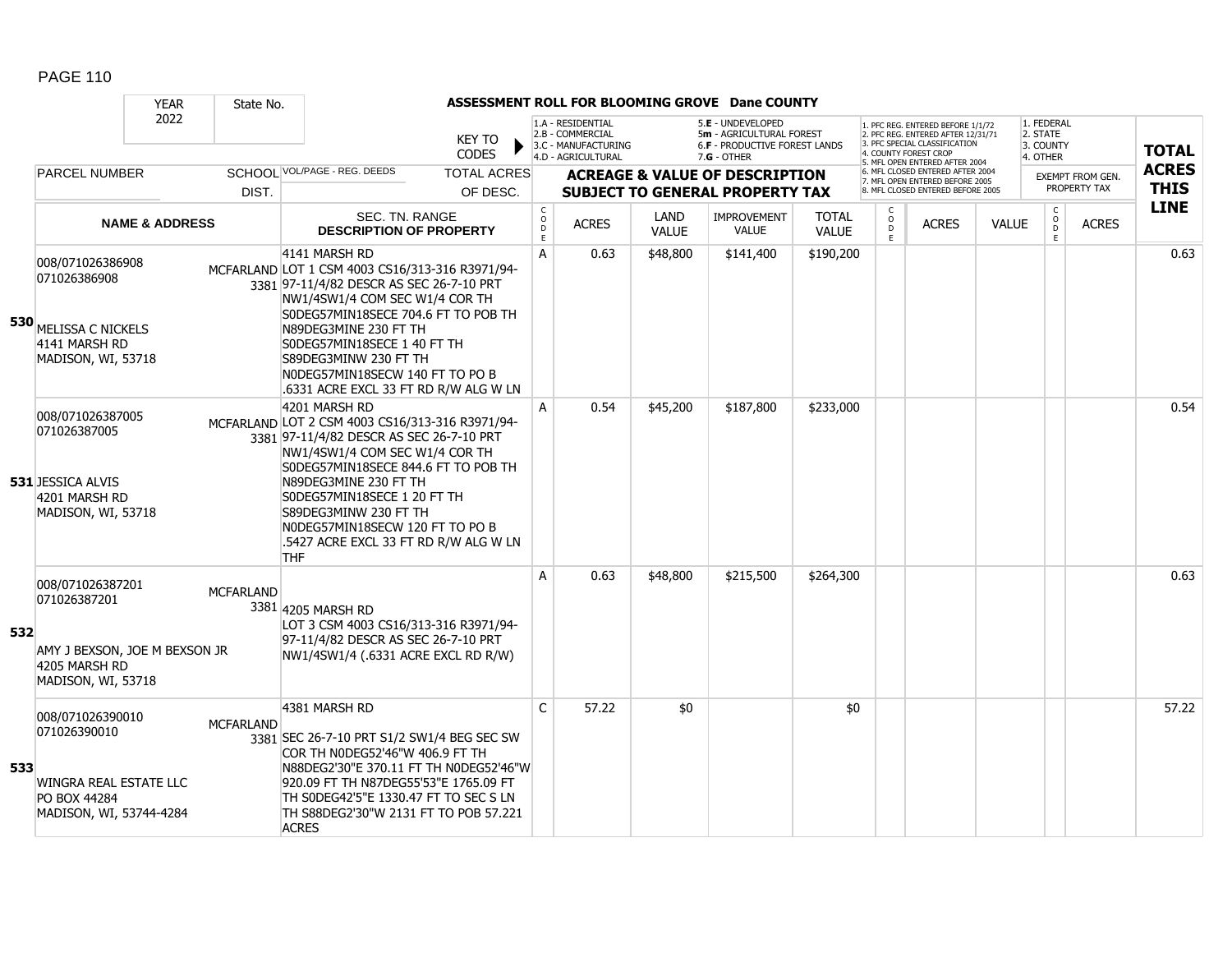|     |                                                                                                          | <b>YEAR</b>               | State No.        |                                                                                                                                                                                                                                                                                                                                                                  |                                |                                                           |                                                                                    |                             | ASSESSMENT ROLL FOR BLOOMING GROVE Dane COUNTY                                                         |                       |                        |                                                                                                                                                                     |              |                                                 |                                         |                             |
|-----|----------------------------------------------------------------------------------------------------------|---------------------------|------------------|------------------------------------------------------------------------------------------------------------------------------------------------------------------------------------------------------------------------------------------------------------------------------------------------------------------------------------------------------------------|--------------------------------|-----------------------------------------------------------|------------------------------------------------------------------------------------|-----------------------------|--------------------------------------------------------------------------------------------------------|-----------------------|------------------------|---------------------------------------------------------------------------------------------------------------------------------------------------------------------|--------------|-------------------------------------------------|-----------------------------------------|-----------------------------|
|     |                                                                                                          | 2022                      |                  |                                                                                                                                                                                                                                                                                                                                                                  | <b>KEY TO</b><br><b>CODES</b>  |                                                           | 1.A - RESIDENTIAL<br>2.B - COMMERCIAL<br>3.C - MANUFACTURING<br>4.D - AGRICULTURAL |                             | 5.E - UNDEVELOPED<br>5m - AGRICULTURAL FOREST<br><b>6.F - PRODUCTIVE FOREST LANDS</b><br>$7.G - OTHER$ |                       |                        | 1. PFC REG. ENTERED BEFORE 1/1/72<br>2. PFC REG. ENTERED AFTER 12/31/71<br>3. PFC SPECIAL CLASSIFICATION<br>4. COUNTY FOREST CROP<br>5. MFL OPEN ENTERED AFTER 2004 |              | 1. FEDERAL<br>2. STATE<br>3. COUNTY<br>4. OTHER |                                         | <b>TOTAL</b>                |
|     | <b>PARCEL NUMBER</b>                                                                                     |                           | DIST.            | SCHOOL VOL/PAGE - REG. DEEDS                                                                                                                                                                                                                                                                                                                                     | <b>TOTAL ACRES</b><br>OF DESC. |                                                           |                                                                                    |                             | <b>ACREAGE &amp; VALUE OF DESCRIPTION</b><br><b>SUBJECT TO GENERAL PROPERTY TAX</b>                    |                       |                        | 6. MFL CLOSED ENTERED AFTER 2004<br>7. MFL OPEN ENTERED BEFORE 2005<br>8. MFL CLOSED ENTERED BEFORE 2005                                                            |              |                                                 | <b>EXEMPT FROM GEN.</b><br>PROPERTY TAX | <b>ACRES</b><br><b>THIS</b> |
|     |                                                                                                          | <b>NAME &amp; ADDRESS</b> |                  | SEC. TN. RANGE<br><b>DESCRIPTION OF PROPERTY</b>                                                                                                                                                                                                                                                                                                                 |                                | $\begin{matrix} 0 \\ 0 \\ D \end{matrix}$<br>$\mathsf{E}$ | <b>ACRES</b>                                                                       | <b>LAND</b><br><b>VALUE</b> | <b>IMPROVEMENT</b><br><b>VALUE</b>                                                                     | TOTAL<br><b>VALUE</b> | C<br>$\circ$<br>D<br>E | <b>ACRES</b>                                                                                                                                                        | <b>VALUE</b> | $\mathsf C$<br>$_{\rm D}^{\rm O}$<br>E          | <b>ACRES</b>                            | <b>LINE</b>                 |
|     | 008/071026386908<br>071026386908<br>530 MELISSA C NICKELS<br>4141 MARSH RD<br>MADISON, WI, 53718         |                           |                  | 4141 MARSH RD<br>MCFARLAND LOT 1 CSM 4003 CS16/313-316 R3971/94-<br>3381 97-11/4/82 DESCR AS SEC 26-7-10 PRT<br>NW1/4SW1/4 COM SEC W1/4 COR TH<br>S0DEG57MIN18SECE 704.6 FT TO POB TH<br>N89DEG3MINE 230 FT TH<br>S0DEG57MIN18SECE 1 40 FT TH<br>S89DEG3MINW 230 FT TH<br>NODEG57MIN18SECW 140 FT TO PO B<br>.6331 ACRE EXCL 33 FT RD R/W ALG W LN               |                                | A                                                         | 0.63                                                                               | \$48,800                    | \$141,400                                                                                              | \$190,200             |                        |                                                                                                                                                                     |              |                                                 |                                         | 0.63                        |
|     | 008/071026387005<br>071026387005<br><b>531 JESSICA ALVIS</b><br>4201 MARSH RD<br>MADISON, WI, 53718      |                           |                  | 4201 MARSH RD<br>MCFARLAND LOT 2 CSM 4003 CS16/313-316 R3971/94-<br>3381 97-11/4/82 DESCR AS SEC 26-7-10 PRT<br>NW1/4SW1/4 COM SEC W1/4 COR TH<br>S0DEG57MIN18SECE 844.6 FT TO POB TH<br>N89DEG3MINE 230 FT TH<br>S0DEG57MIN18SECE 1 20 FT TH<br>S89DEG3MINW 230 FT TH<br>NODEG57MIN18SECW 120 FT TO PO B<br>.5427 ACRE EXCL 33 FT RD R/W ALG W LN<br><b>THF</b> |                                | A                                                         | 0.54                                                                               | \$45,200                    | \$187,800                                                                                              | \$233,000             |                        |                                                                                                                                                                     |              |                                                 |                                         | 0.54                        |
| 532 | 008/071026387201<br>071026387201<br>AMY J BEXSON, JOE M BEXSON JR<br>4205 MARSH RD<br>MADISON, WI, 53718 |                           | <b>MCFARLAND</b> | 3381 4205 MARSH RD<br>LOT 3 CSM 4003 CS16/313-316 R3971/94-<br>97-11/4/82 DESCR AS SEC 26-7-10 PRT<br>NW1/4SW1/4 (.6331 ACRE EXCL RD R/W)                                                                                                                                                                                                                        |                                | A                                                         | 0.63                                                                               | \$48,800                    | \$215,500                                                                                              | \$264,300             |                        |                                                                                                                                                                     |              |                                                 |                                         | 0.63                        |
| 533 | 008/071026390010<br>071026390010<br>WINGRA REAL ESTATE LLC<br>PO BOX 44284<br>MADISON, WI, 53744-4284    |                           | <b>MCFARLAND</b> | 4381 MARSH RD<br>3381 SEC 26-7-10 PRT S1/2 SW1/4 BEG SEC SW<br>COR TH NODEG52'46"W 406.9 FT TH<br>N88DEG2'30"E 370.11 FT TH N0DEG52'46"W<br>920.09 FT TH N87DEG55'53"E 1765.09 FT<br>TH SODEG42'5"E 1330.47 FT TO SEC S LN<br>TH S88DEG2'30"W 2131 FT TO POB 57.221<br><b>ACRES</b>                                                                              |                                | $\mathsf{C}$                                              | 57.22                                                                              | \$0                         |                                                                                                        | \$0                   |                        |                                                                                                                                                                     |              |                                                 |                                         | 57.22                       |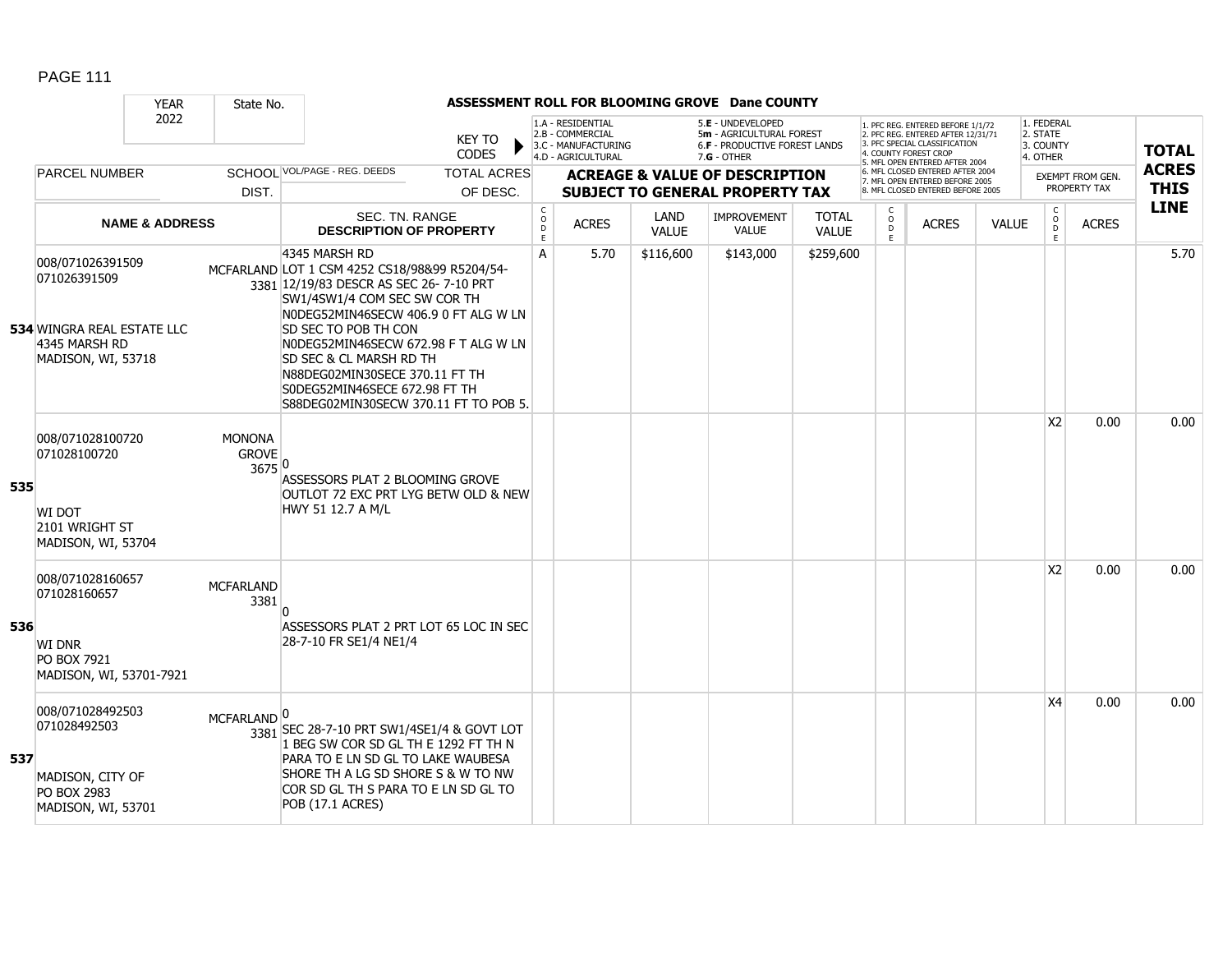|     |                                                                                                              | <b>YEAR</b>               | State No.                               |                                                                                                                                                                                                                                                                                                                                                                                         |                                |                                  |                                                                                    |                      | ASSESSMENT ROLL FOR BLOOMING GROVE Dane COUNTY                                                         |                              |                                   |                                                                                                                                                                     |              |                                                 |                                         |                             |
|-----|--------------------------------------------------------------------------------------------------------------|---------------------------|-----------------------------------------|-----------------------------------------------------------------------------------------------------------------------------------------------------------------------------------------------------------------------------------------------------------------------------------------------------------------------------------------------------------------------------------------|--------------------------------|----------------------------------|------------------------------------------------------------------------------------|----------------------|--------------------------------------------------------------------------------------------------------|------------------------------|-----------------------------------|---------------------------------------------------------------------------------------------------------------------------------------------------------------------|--------------|-------------------------------------------------|-----------------------------------------|-----------------------------|
|     |                                                                                                              | 2022                      |                                         |                                                                                                                                                                                                                                                                                                                                                                                         | <b>KEY TO</b><br><b>CODES</b>  |                                  | 1.A - RESIDENTIAL<br>2.B - COMMERCIAL<br>3.C - MANUFACTURING<br>4.D - AGRICULTURAL |                      | 5.E - UNDEVELOPED<br>5m - AGRICULTURAL FOREST<br><b>6.F - PRODUCTIVE FOREST LANDS</b><br>$7.G - OTHER$ |                              |                                   | 1. PFC REG. ENTERED BEFORE 1/1/72<br>2. PFC REG. ENTERED AFTER 12/31/71<br>3. PFC SPECIAL CLASSIFICATION<br>4. COUNTY FOREST CROP<br>5. MFL OPEN ENTERED AFTER 2004 |              | 1. FEDERAL<br>2. STATE<br>3. COUNTY<br>4. OTHER |                                         | <b>TOTAL</b>                |
|     | <b>PARCEL NUMBER</b>                                                                                         |                           | DIST.                                   | SCHOOI VOL/PAGE - REG. DEEDS                                                                                                                                                                                                                                                                                                                                                            | <b>TOTAL ACRES</b><br>OF DESC. |                                  |                                                                                    |                      | <b>ACREAGE &amp; VALUE OF DESCRIPTION</b><br><b>SUBJECT TO GENERAL PROPERTY TAX</b>                    |                              |                                   | 6. MFL CLOSED ENTERED AFTER 2004<br>7. MFL OPEN ENTERED BEFORE 2005<br>8. MFL CLOSED ENTERED BEFORE 2005                                                            |              |                                                 | <b>EXEMPT FROM GEN.</b><br>PROPERTY TAX | <b>ACRES</b><br><b>THIS</b> |
|     |                                                                                                              | <b>NAME &amp; ADDRESS</b> |                                         | SEC. TN. RANGE<br><b>DESCRIPTION OF PROPERTY</b>                                                                                                                                                                                                                                                                                                                                        |                                | C<br>$\circ$<br>$\mathsf D$<br>E | <b>ACRES</b>                                                                       | LAND<br><b>VALUE</b> | <b>IMPROVEMENT</b><br><b>VALUE</b>                                                                     | <b>TOTAL</b><br><b>VALUE</b> | C<br>$\circ$<br>$\mathsf D$<br>E. | <b>ACRES</b>                                                                                                                                                        | <b>VALUE</b> | C<br>$\circ$<br>Ď<br>E                          | <b>ACRES</b>                            | <b>LINE</b>                 |
|     | 008/071026391509<br>071026391509<br><b>534 WINGRA REAL ESTATE LLC</b><br>4345 MARSH RD<br>MADISON, WI, 53718 |                           |                                         | 4345 MARSH RD<br>MCFARLAND LOT 1 CSM 4252 CS18/98&99 R5204/54-<br>3381 12/19/83 DESCR AS SEC 26-7-10 PRT<br>SW1/4SW1/4 COM SEC SW COR TH<br>NODEG52MIN46SECW 406.9 0 FT ALG W LN<br>SD SEC TO POB TH CON<br>NODEG52MIN46SECW 672.98 F T ALG W LN<br>SD SEC & CL MARSH RD TH<br>N88DEG02MIN30SECE 370.11 FT TH<br>S0DEG52MIN46SECE 672.98 FT TH<br>S88DEG02MIN30SECW 370.11 FT TO POB 5. |                                | A                                | 5.70                                                                               | \$116,600            | \$143,000                                                                                              | \$259,600                    |                                   |                                                                                                                                                                     |              |                                                 |                                         | 5.70                        |
| 535 | 008/071028100720<br>071028100720<br>WI DOT<br>2101 WRIGHT ST<br>MADISON, WI, 53704                           |                           | <b>MONONA</b><br><b>GROVE</b><br>3675 0 | ASSESSORS PLAT 2 BLOOMING GROVE<br>OUTLOT 72 EXC PRT LYG BETW OLD & NEW<br>HWY 51 12.7 A M/L                                                                                                                                                                                                                                                                                            |                                |                                  |                                                                                    |                      |                                                                                                        |                              |                                   |                                                                                                                                                                     |              | <b>X2</b>                                       | 0.00                                    | 0.00                        |
| 536 | 008/071028160657<br>071028160657<br><b>WI DNR</b><br>PO BOX 7921<br>MADISON, WI, 53701-7921                  |                           | <b>MCFARLAND</b><br>3381                | ASSESSORS PLAT 2 PRT LOT 65 LOC IN SEC<br>28-7-10 FR SE1/4 NE1/4                                                                                                                                                                                                                                                                                                                        |                                |                                  |                                                                                    |                      |                                                                                                        |                              |                                   |                                                                                                                                                                     |              | X <sub>2</sub>                                  | 0.00                                    | 0.00                        |
| 537 | 008/071028492503<br>071028492503<br>MADISON, CITY OF<br>PO BOX 2983<br>MADISON, WI, 53701                    |                           | MCFARLAND <sup>0</sup>                  | 3381 SEC 28-7-10 PRT SW1/4SE1/4 & GOVT LOT<br>1 BEG SW COR SD GL TH E 1292 FT TH N<br>PARA TO E LN SD GL TO LAKE WAUBESA<br>SHORE TH A LG SD SHORE S & W TO NW<br>COR SD GL TH S PARA TO E LN SD GL TO<br>POB (17.1 ACRES)                                                                                                                                                              |                                |                                  |                                                                                    |                      |                                                                                                        |                              |                                   |                                                                                                                                                                     |              | X4                                              | 0.00                                    | 0.00                        |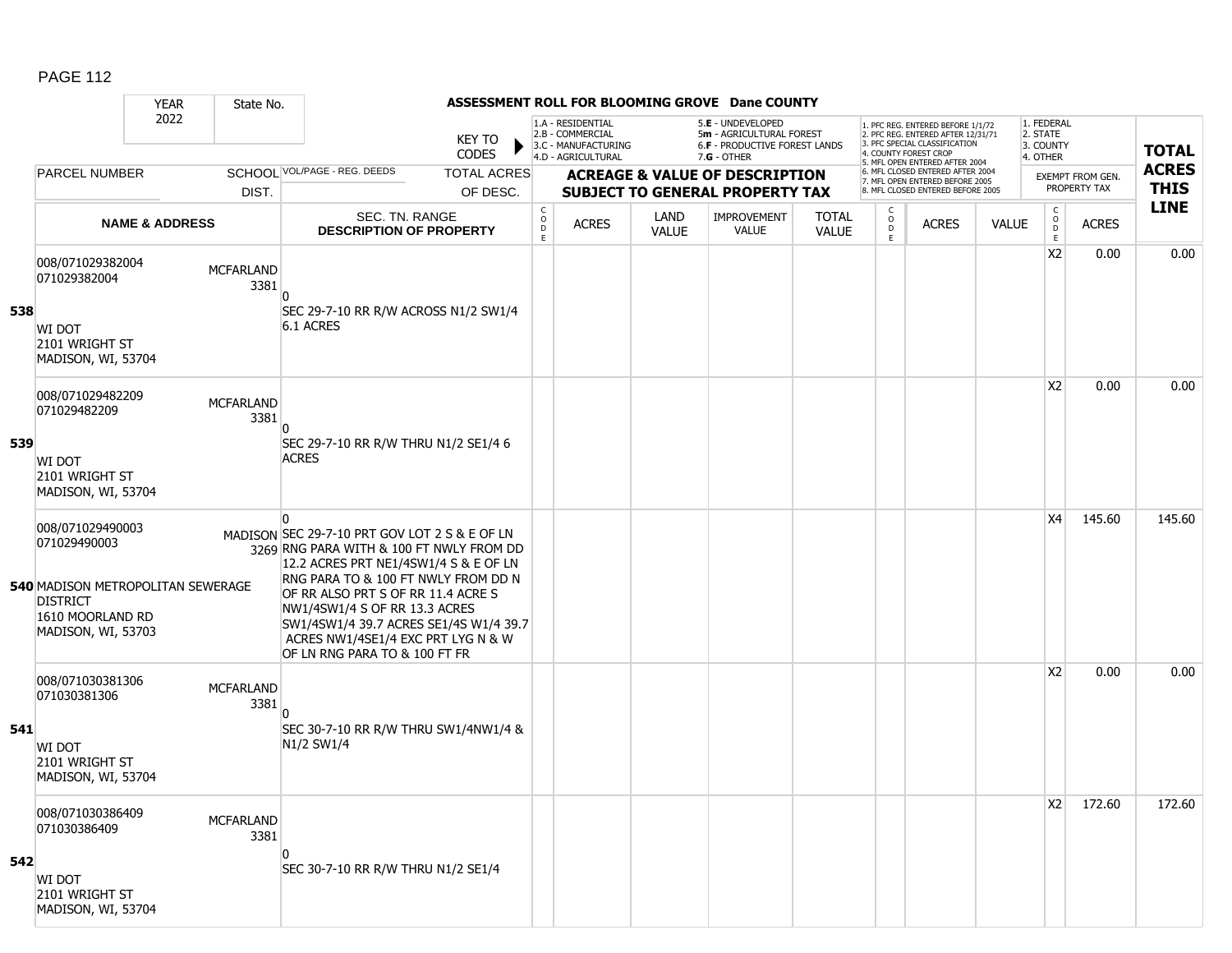#### YEAR State No. **ASSESSMENT ROLL FOR BLOOMING GROVE Dane COUNTY** 2022 KEY TO **CODES** 1. PFC REG. ENTERED BEFORE 1/1/72 2. PFC REG. ENTERED AFTER 12/31/71 3. PFC SPECIAL CLASSIFICATION 4. COUNTY FOREST CROP 5. MFL OPEN ENTERED AFTER 2004 6. MFL CLOSED ENTERED AFTER 2004 7. MFL OPEN ENTERED BEFORE 2005 8. MFL CLOSED ENTERED BEFORE 2005 1. FEDERAL 2. STATE 3. COUNTY 4. OTHER **ACREAGE & VALUE OF DESCRIPTION SUBJECT TO GENERAL PROPERTY TAX** EXEMPT FROM GEN. PROPERTY TAX **TOTAL ACRES THIS LINE** 1.A - RESIDENTIAL 2.B - COMMERCIAL 3.C - MANUFACTURING 4.D - AGRICULTURAL 5.**E** - UNDEVELOPED 5**m** - AGRICULTURAL FOREST 6.**F** - PRODUCTIVE FOREST LANDS 7.**G** - OTHER TOTAL ACRES OF DESC. SCHOOL VOL/PAGE - REG. DEEDS DIST. PARCEL NUMBER ACRES C O  $\overline{D}$ E ACRES VALUE  $\mathsf{C}$ O  $\overline{D}$ E TOTAL VALUE IMPROVEMENT VALUE LAND ACRES | VALUE C O  $\overline{D}$ E SEC. TN. RANGE **DESCRIPTION OF PROPERTY NAME & ADDRESS 538** 008/071029382004 000/071025502004 MCFARLAND 3381 WI DOT 2101 WRIGHT ST MADISON, WI, 53704  $\overline{0}$ SEC 29-7-10 RR R/W ACROSS N1/2 SW1/4 6.1 ACRES  $|X2|$  0.00 0.00 **539** 008/071029482209 006/071029482209 MCFARLAND 3381 WI DOT 2101 WRIGHT ST MADISON, WI, 53704  $\overline{0}$ SEC 29-7-10 RR R/W THRU N1/2 SE1/4 6 ACRES  $|X2|$  0.00 0.00 **540** MADISON METROPOLITAN SEWERAGE 008/071029490003 071029490003 3269 RNG PARA WITH & 100 FT NWLY FROM DD DISTRICT 1610 MOORLAND RD MADISON, WI, 53703  $\overline{0}$ MADISON SEC 29-7-10 PRT GOV LOT 2 S & E OF LN 12.2 ACRES PRT NE1/4SW1/4 S & E OF LN RNG PARA TO & 100 FT NWLY FROM DD N OF RR ALSO PRT S OF RR 11.4 ACRE S NW1/4SW1/4 S OF RR 13.3 ACRES SW1/4SW1/4 39.7 ACRES SE1/4S W1/4 39.7 ACRES NW1/4SE1/4 EXC PRT LYG N & W OF LN RNG PARA TO & 100 FT FR X4 145.60 145.60 **541** 008/071030381306 000/071030301300<br>071030381306 3381 WI DOT 2101 WRIGHT ST MADISON, WI, 53704  $\overline{0}$ SEC 30-7-10 RR R/W THRU SW1/4NW1/4 & N1/2 SW1/4  $|X2|$  0.00 0.00 **542** 008/071030386409 006/071030366409 MCFARLAND 3381 WI DOT 2101 WRIGHT ST MADISON, WI, 53704  $\Omega$ SEC 30-7-10 RR R/W THRU N1/2 SE1/4  $|X2|$  172.60 172.60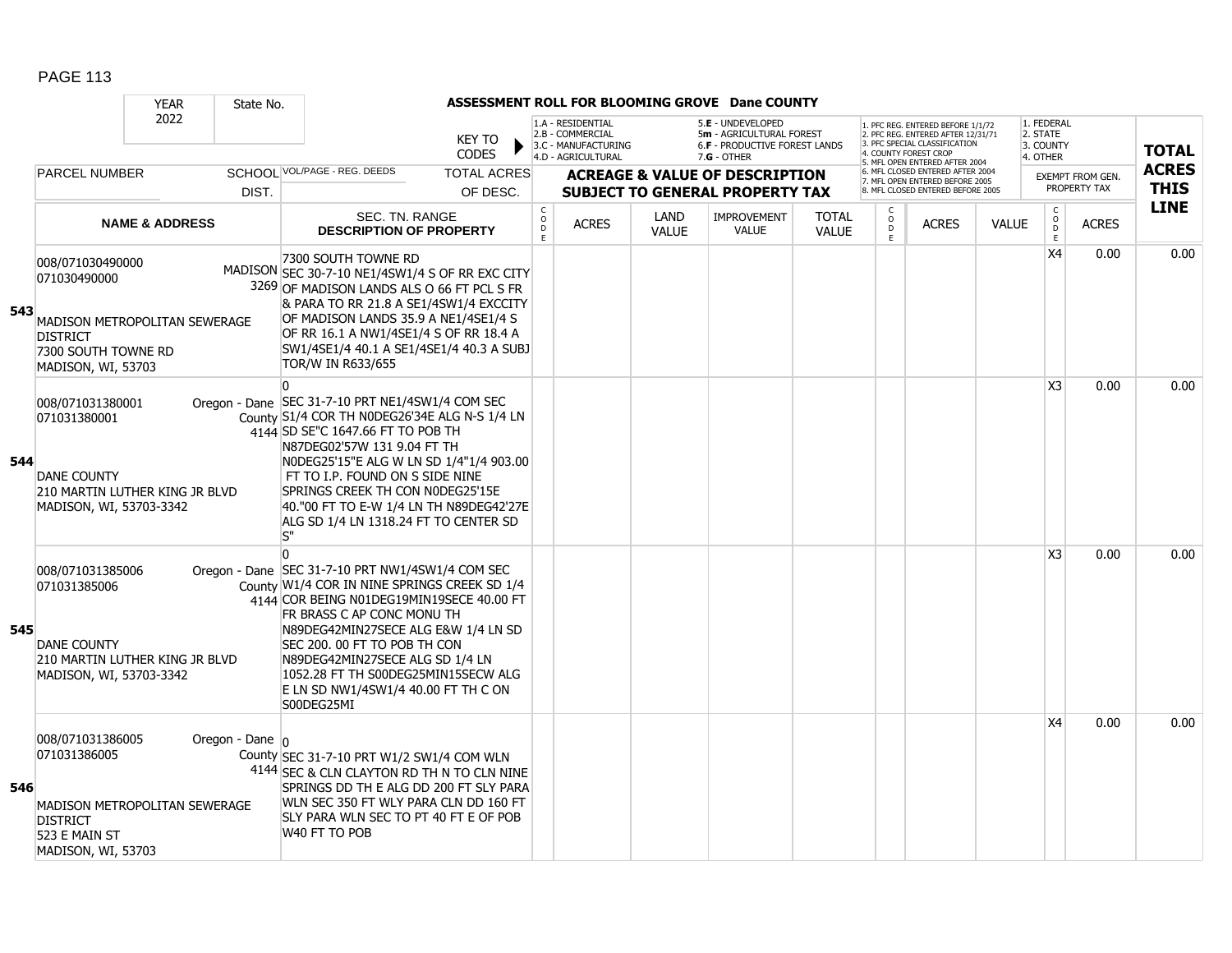|     |                                                                                                  | <b>YEAR</b>                    | State No.           |                                                                                                                                                                                                                                                                                                                                                                                                |                                |                              |                                                                                    |                      | ASSESSMENT ROLL FOR BLOOMING GROVE Dane COUNTY                                                  |                              |                        |                                                                                                                                                                     |              |                                                 |                                         |                             |
|-----|--------------------------------------------------------------------------------------------------|--------------------------------|---------------------|------------------------------------------------------------------------------------------------------------------------------------------------------------------------------------------------------------------------------------------------------------------------------------------------------------------------------------------------------------------------------------------------|--------------------------------|------------------------------|------------------------------------------------------------------------------------|----------------------|-------------------------------------------------------------------------------------------------|------------------------------|------------------------|---------------------------------------------------------------------------------------------------------------------------------------------------------------------|--------------|-------------------------------------------------|-----------------------------------------|-----------------------------|
|     |                                                                                                  | 2022                           |                     |                                                                                                                                                                                                                                                                                                                                                                                                | KEY TO<br><b>CODES</b>         |                              | 1.A - RESIDENTIAL<br>2.B - COMMERCIAL<br>3.C - MANUFACTURING<br>4.D - AGRICULTURAL |                      | 5.E - UNDEVELOPED<br>5m - AGRICULTURAL FOREST<br>6.F - PRODUCTIVE FOREST LANDS<br>$7.G - OTHER$ |                              |                        | 1. PFC REG. ENTERED BEFORE 1/1/72<br>2. PFC REG. ENTERED AFTER 12/31/71<br>3. PFC SPECIAL CLASSIFICATION<br>4. COUNTY FOREST CROP<br>5. MFL OPEN ENTERED AFTER 2004 |              | 1. FEDERAL<br>2. STATE<br>3. COUNTY<br>4. OTHER |                                         | <b>TOTAL</b>                |
|     | <b>PARCEL NUMBER</b>                                                                             |                                | DIST.               | SCHOOL VOL/PAGE - REG. DEEDS                                                                                                                                                                                                                                                                                                                                                                   | <b>TOTAL ACRES</b><br>OF DESC. |                              |                                                                                    |                      | <b>ACREAGE &amp; VALUE OF DESCRIPTION</b><br><b>SUBJECT TO GENERAL PROPERTY TAX</b>             |                              |                        | 6. MFL CLOSED ENTERED AFTER 2004<br>7. MFL OPEN ENTERED BEFORE 2005<br>8. MFL CLOSED ENTERED BEFORE 2005                                                            |              |                                                 | <b>EXEMPT FROM GEN.</b><br>PROPERTY TAX | <b>ACRES</b><br><b>THIS</b> |
|     |                                                                                                  | <b>NAME &amp; ADDRESS</b>      |                     | <b>SEC. TN. RANGE</b><br><b>DESCRIPTION OF PROPERTY</b>                                                                                                                                                                                                                                                                                                                                        |                                | $_{\rm o}^{\rm c}$<br>D<br>E | <b>ACRES</b>                                                                       | LAND<br><b>VALUE</b> | <b>IMPROVEMENT</b><br><b>VALUE</b>                                                              | <b>TOTAL</b><br><b>VALUE</b> | C<br>$\circ$<br>D<br>E | <b>ACRES</b>                                                                                                                                                        | <b>VALUE</b> | $\begin{matrix} 0 \\ 0 \\ 0 \end{matrix}$<br>E  | <b>ACRES</b>                            | <b>LINE</b>                 |
| 543 | 008/071030490000<br>071030490000<br><b>DISTRICT</b><br>7300 SOUTH TOWNE RD<br>MADISON, WI, 53703 | MADISON METROPOLITAN SEWERAGE  |                     | 7300 SOUTH TOWNE RD<br>MADISON SEC 30-7-10 NE1/4SW1/4 S OF RR EXC CITY<br>3269 OF MADISON LANDS ALS O 66 FT PCL S FR<br>& PARA TO RR 21.8 A SE1/4SW1/4 EXCCITY<br>OF MADISON LANDS 35.9 A NE1/4SE1/4 S<br>OF RR 16.1 A NW1/4SE1/4 S OF RR 18.4 A<br>SW1/4SE1/4 40.1 A SE1/4SE1/4 40.3 A SUBJ<br>TOR/W IN R633/655                                                                              |                                |                              |                                                                                    |                      |                                                                                                 |                              |                        |                                                                                                                                                                     |              | X4                                              | 0.00                                    | 0.00                        |
| 544 | 008/071031380001<br>071031380001<br><b>DANE COUNTY</b><br>MADISON, WI, 53703-3342                | 210 MARTIN LUTHER KING JR BLVD |                     | $\Omega$<br>Oregon - Dane SEC 31-7-10 PRT NE1/4SW1/4 COM SEC<br>County S1/4 COR TH N0DEG26'34E ALG N-S 1/4 LN<br>4144 SD SE"C 1647.66 FT TO POB TH<br>N87DEG02'57W 131 9.04 FT TH<br>NODEG25'15"E ALG W LN SD 1/4"1/4 903.00<br>FT TO I.P. FOUND ON S SIDE NINE<br>SPRINGS CREEK TH CON N0DEG25'15E<br>40."00 FT TO E-W 1/4 LN TH N89DEG42'27E<br>ALG SD 1/4 LN 1318.24 FT TO CENTER SD<br>S'' |                                |                              |                                                                                    |                      |                                                                                                 |                              |                        |                                                                                                                                                                     |              | X <sub>3</sub>                                  | 0.00                                    | 0.00                        |
| 545 | 008/071031385006<br>071031385006<br><b>DANE COUNTY</b><br>MADISON, WI, 53703-3342                | 210 MARTIN LUTHER KING JR BLVD |                     | $\Omega$<br>Oregon - Dane SEC 31-7-10 PRT NW1/4SW1/4 COM SEC<br>County W1/4 COR IN NINE SPRINGS CREEK SD 1/4<br>4144 COR BEING N01DEG19MIN19SECE 40.00 FT<br>FR BRASS C AP CONC MONU TH<br>N89DEG42MIN27SECE ALG E&W 1/4 LN SD<br>SEC 200, 00 FT TO POB TH CON<br>N89DEG42MIN27SECE ALG SD 1/4 LN<br>1052.28 FT TH S00DEG25MIN15SECW ALG<br>E LN SD NW1/4SW1/4 40.00 FT TH C ON<br>S00DEG25MI  |                                |                              |                                                                                    |                      |                                                                                                 |                              |                        |                                                                                                                                                                     |              | X <sub>3</sub>                                  | 0.00                                    | 0.00                        |
| 546 | 008/071031386005<br>071031386005<br><b>DISTRICT</b><br>523 E MAIN ST<br>MADISON, WI, 53703       | MADISON METROPOLITAN SEWERAGE  | Oregon - Dane $ _0$ | County SEC 31-7-10 PRT W1/2 SW1/4 COM WLN<br>4144 SEC & CLN CLAYTON RD TH N TO CLN NINE<br>SPRINGS DD TH E ALG DD 200 FT SLY PARA<br>WLN SEC 350 FT WLY PARA CLN DD 160 FT<br>SLY PARA WLN SEC TO PT 40 FT E OF POB<br>W40 FT TO POB                                                                                                                                                           |                                |                              |                                                                                    |                      |                                                                                                 |                              |                        |                                                                                                                                                                     |              | X4                                              | 0.00                                    | 0.00                        |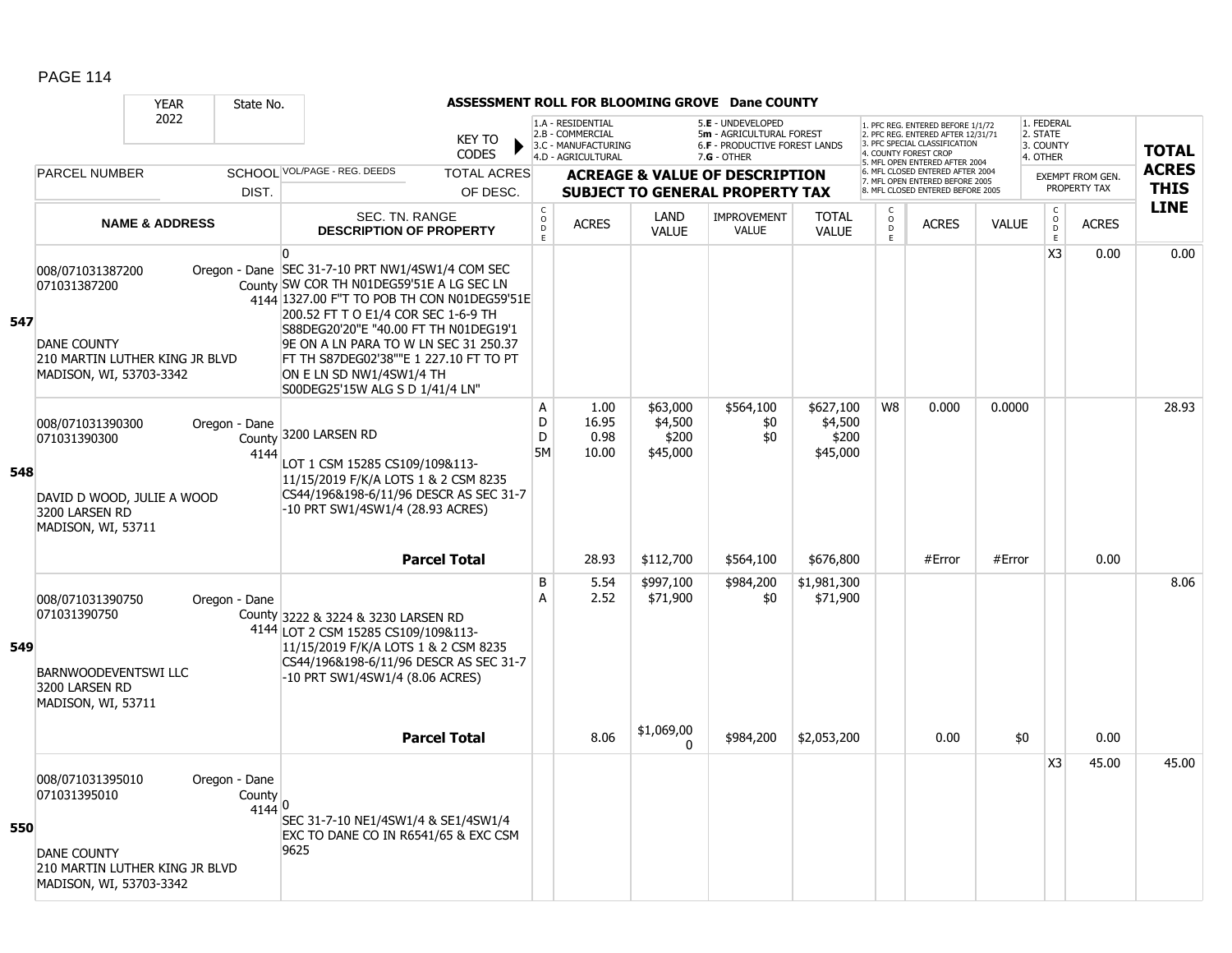|     |                                                                                                                     | <b>YEAR</b>               | State No.                         |                                                                                                                                                                                                                                                                                                                                                                                            |                               |                       |                                                                                    |                                          | ASSESSMENT ROLL FOR BLOOMING GROVE Dane COUNTY                                                         |                                           |                          |                                                                                                                                   |              |                                                 |                         |              |
|-----|---------------------------------------------------------------------------------------------------------------------|---------------------------|-----------------------------------|--------------------------------------------------------------------------------------------------------------------------------------------------------------------------------------------------------------------------------------------------------------------------------------------------------------------------------------------------------------------------------------------|-------------------------------|-----------------------|------------------------------------------------------------------------------------|------------------------------------------|--------------------------------------------------------------------------------------------------------|-------------------------------------------|--------------------------|-----------------------------------------------------------------------------------------------------------------------------------|--------------|-------------------------------------------------|-------------------------|--------------|
|     |                                                                                                                     | 2022                      |                                   |                                                                                                                                                                                                                                                                                                                                                                                            | <b>KEY TO</b><br><b>CODES</b> |                       | 1.A - RESIDENTIAL<br>2.B - COMMERCIAL<br>3.C - MANUFACTURING<br>4.D - AGRICULTURAL |                                          | 5.E - UNDEVELOPED<br>5m - AGRICULTURAL FOREST<br><b>6.F - PRODUCTIVE FOREST LANDS</b><br>$7.G - OTHER$ |                                           |                          | 1. PFC REG. ENTERED BEFORE 1/1/72<br>2. PFC REG. ENTERED AFTER 12/31/71<br>3. PFC SPECIAL CLASSIFICATION<br>4. COUNTY FOREST CROP |              | 1. FEDERAL<br>2. STATE<br>3. COUNTY<br>4. OTHER |                         | <b>TOTAL</b> |
|     | PARCEL NUMBER                                                                                                       |                           |                                   | SCHOOL VOL/PAGE - REG. DEEDS                                                                                                                                                                                                                                                                                                                                                               | <b>TOTAL ACRES</b>            |                       |                                                                                    |                                          | <b>ACREAGE &amp; VALUE OF DESCRIPTION</b>                                                              |                                           |                          | 5. MFL OPEN ENTERED AFTER 2004<br>6. MFL CLOSED ENTERED AFTER 2004<br>7. MFL OPEN ENTERED BEFORE 2005                             |              |                                                 | <b>EXEMPT FROM GEN.</b> | <b>ACRES</b> |
|     |                                                                                                                     |                           | DIST.                             |                                                                                                                                                                                                                                                                                                                                                                                            | OF DESC.                      |                       |                                                                                    |                                          | <b>SUBJECT TO GENERAL PROPERTY TAX</b>                                                                 |                                           |                          | 8. MFL CLOSED ENTERED BEFORE 2005                                                                                                 |              |                                                 | PROPERTY TAX            | <b>THIS</b>  |
|     |                                                                                                                     | <b>NAME &amp; ADDRESS</b> |                                   | SEC. TN. RANGE<br><b>DESCRIPTION OF PROPERTY</b>                                                                                                                                                                                                                                                                                                                                           |                               | $\rm _o^C$<br>D<br>E. | <b>ACRES</b>                                                                       | LAND<br><b>VALUE</b>                     | <b>IMPROVEMENT</b><br><b>VALUE</b>                                                                     | <b>TOTAL</b><br><b>VALUE</b>              | C<br>$\overline{0}$<br>E | <b>ACRES</b>                                                                                                                      | <b>VALUE</b> | $\begin{array}{c} C \\ 0 \\ E \end{array}$      | <b>ACRES</b>            | <b>LINE</b>  |
| 547 | 008/071031387200<br>071031387200<br><b>DANE COUNTY</b><br>210 MARTIN LUTHER KING JR BLVD<br>MADISON, WI, 53703-3342 |                           |                                   | $\Omega$<br>Oregon - Dane SEC 31-7-10 PRT NW1/4SW1/4 COM SEC<br>County SW COR TH N01DEG59'51E A LG SEC LN<br>4144 1327.00 F"T TO POB TH CON N01DEG59'51E<br>200.52 FT T O E1/4 COR SEC 1-6-9 TH<br>S88DEG20'20"E "40.00 FT TH N01DEG19'1<br>9E ON A LN PARA TO W LN SEC 31 250.37<br>FT TH S87DEG02'38""E 1 227.10 FT TO PT<br>ON E LN SD NW1/4SW1/4 TH<br>S00DEG25'15W ALG S D 1/41/4 LN" |                               |                       |                                                                                    |                                          |                                                                                                        |                                           |                          |                                                                                                                                   |              | X <sub>3</sub>                                  | 0.00                    | 0.00         |
| 548 | 008/071031390300<br>071031390300<br>DAVID D WOOD, JULIE A WOOD<br>3200 LARSEN RD<br>MADISON, WI, 53711              |                           | Oregon - Dane<br>County<br>4144   | 3200 LARSEN RD<br>LOT 1 CSM 15285 CS109/109&113-<br>11/15/2019 F/K/A LOTS 1 & 2 CSM 8235<br>CS44/196&198-6/11/96 DESCR AS SEC 31-7<br>-10 PRT SW1/4SW1/4 (28.93 ACRES)                                                                                                                                                                                                                     |                               | A<br>D<br>D<br>5M     | 1.00<br>16.95<br>0.98<br>10.00                                                     | \$63,000<br>\$4,500<br>\$200<br>\$45,000 | \$564,100<br>\$0<br>\$0                                                                                | \$627,100<br>\$4,500<br>\$200<br>\$45,000 | W8                       | 0.000                                                                                                                             | 0.0000       |                                                 |                         | 28.93        |
|     |                                                                                                                     |                           |                                   |                                                                                                                                                                                                                                                                                                                                                                                            | <b>Parcel Total</b>           |                       | 28.93                                                                              | \$112,700                                | \$564,100                                                                                              | \$676,800                                 |                          | #Error                                                                                                                            | #Error       |                                                 | 0.00                    |              |
| 549 | 008/071031390750<br>071031390750<br>BARNWOODEVENTSWI LLC<br>3200 LARSEN RD<br>MADISON, WI, 53711                    |                           | Oregon - Dane                     | County 3222 & 3224 & 3230 LARSEN RD<br>4144 LOT 2 CSM 15285 CS109/109&113-<br>11/15/2019 F/K/A LOTS 1 & 2 CSM 8235<br>CS44/196&198-6/11/96 DESCR AS SEC 31-7<br>-10 PRT SW1/4SW1/4 (8.06 ACRES)                                                                                                                                                                                            |                               | B<br>A                | 5.54<br>2.52                                                                       | \$997,100<br>\$71,900                    | \$984,200<br>\$0                                                                                       | \$1,981,300<br>\$71,900                   |                          |                                                                                                                                   |              |                                                 |                         | 8.06         |
|     |                                                                                                                     |                           |                                   |                                                                                                                                                                                                                                                                                                                                                                                            | <b>Parcel Total</b>           |                       | 8.06                                                                               | \$1,069,00<br>$\Omega$                   | \$984,200                                                                                              | \$2,053,200                               |                          | 0.00                                                                                                                              | \$0          |                                                 | 0.00                    |              |
| 550 | 008/071031395010<br>071031395010<br><b>DANE COUNTY</b><br>210 MARTIN LUTHER KING JR BLVD<br>MADISON, WI, 53703-3342 |                           | Oregon - Dane<br>County<br>4144 0 | SEC 31-7-10 NE1/4SW1/4 & SE1/4SW1/4<br>EXC TO DANE CO IN R6541/65 & EXC CSM<br>9625                                                                                                                                                                                                                                                                                                        |                               |                       |                                                                                    |                                          |                                                                                                        |                                           |                          |                                                                                                                                   |              | X <sub>3</sub>                                  | 45.00                   | 45.00        |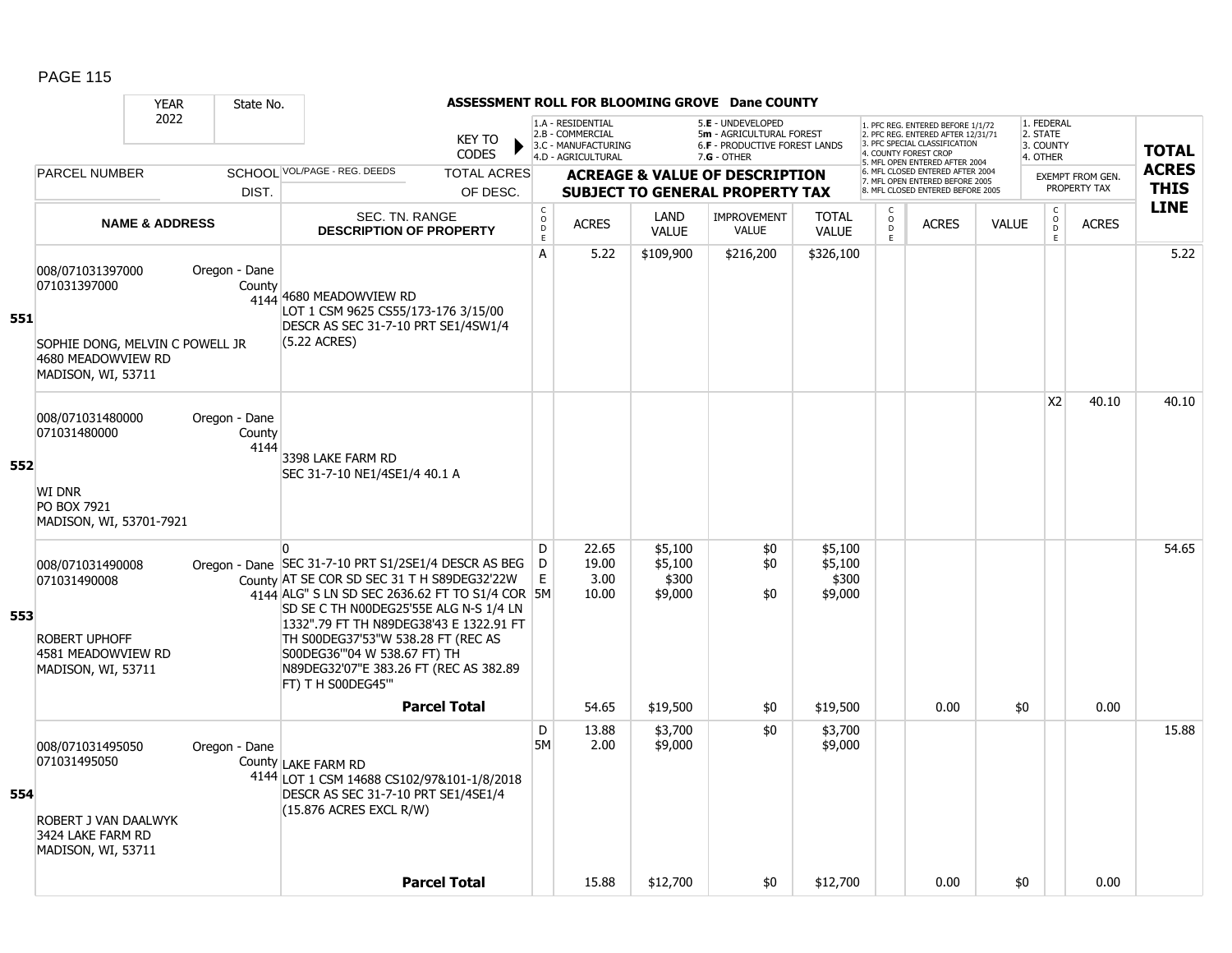|     |                                                                                                                 | <b>YEAR</b>               | State No.                       |                                                                                                                                                                                                                                                                                                                                                                                              |                               |                                                 |                                                                                    |                                        | ASSESSMENT ROLL FOR BLOOMING GROVE Dane COUNTY                                                       |                                        |                                  |                                                                                                                                                                         |              |                                                            |                                         |                             |
|-----|-----------------------------------------------------------------------------------------------------------------|---------------------------|---------------------------------|----------------------------------------------------------------------------------------------------------------------------------------------------------------------------------------------------------------------------------------------------------------------------------------------------------------------------------------------------------------------------------------------|-------------------------------|-------------------------------------------------|------------------------------------------------------------------------------------|----------------------------------------|------------------------------------------------------------------------------------------------------|----------------------------------------|----------------------------------|-------------------------------------------------------------------------------------------------------------------------------------------------------------------------|--------------|------------------------------------------------------------|-----------------------------------------|-----------------------------|
|     |                                                                                                                 | 2022                      |                                 |                                                                                                                                                                                                                                                                                                                                                                                              | <b>KEY TO</b><br><b>CODES</b> |                                                 | 1.A - RESIDENTIAL<br>2.B - COMMERCIAL<br>3.C - MANUFACTURING<br>4.D - AGRICULTURAL |                                        | 5.E - UNDEVELOPED<br>5m - AGRICULTURAL FOREST<br><b>6.F - PRODUCTIVE FOREST LANDS</b><br>7.G - OTHER |                                        |                                  | 1. PFC REG. ENTERED BEFORE 1/1/72<br>2. PFC REG. ENTERED AFTER 12/31/71<br>3. PFC SPECIAL CLASSIFICATION<br><b>COUNTY FOREST CROP</b><br>5. MFL OPEN ENTERED AFTER 2004 |              | 1. FEDERAL<br>2. STATE<br>3. COUNTY<br>4. OTHER            |                                         | <b>TOTAL</b>                |
|     | <b>PARCEL NUMBER</b>                                                                                            |                           |                                 | SCHOOL VOL/PAGE - REG. DEEDS                                                                                                                                                                                                                                                                                                                                                                 | <b>TOTAL ACRES</b>            |                                                 |                                                                                    |                                        | <b>ACREAGE &amp; VALUE OF DESCRIPTION</b>                                                            |                                        |                                  | 6. MFL CLOSED ENTERED AFTER 2004<br>7. MFL OPEN ENTERED BEFORE 2005                                                                                                     |              |                                                            | <b>EXEMPT FROM GEN.</b><br>PROPERTY TAX | <b>ACRES</b><br><b>THIS</b> |
|     |                                                                                                                 |                           | DIST.                           |                                                                                                                                                                                                                                                                                                                                                                                              | OF DESC.                      |                                                 |                                                                                    |                                        | <b>SUBJECT TO GENERAL PROPERTY TAX</b>                                                               |                                        |                                  | 8. MFL CLOSED ENTERED BEFORE 2005                                                                                                                                       |              |                                                            |                                         | <b>LINE</b>                 |
|     |                                                                                                                 | <b>NAME &amp; ADDRESS</b> |                                 | SEC. TN. RANGE<br><b>DESCRIPTION OF PROPERTY</b>                                                                                                                                                                                                                                                                                                                                             |                               | $\begin{array}{c} C \\ O \\ D \\ E \end{array}$ | <b>ACRES</b>                                                                       | LAND<br><b>VALUE</b>                   | <b>IMPROVEMENT</b><br><b>VALUE</b>                                                                   | <b>TOTAL</b><br><b>VALUE</b>           | C<br>$\circ$<br>$\mathsf D$<br>E | <b>ACRES</b>                                                                                                                                                            | <b>VALUE</b> | $\mathsf C$<br>$\overset{\circ}{\phantom{\circ}}_{D}$<br>E | <b>ACRES</b>                            |                             |
| 551 | 008/071031397000<br>071031397000<br>SOPHIE DONG, MELVIN C POWELL JR<br>4680 MEADOWVIEW RD<br>MADISON, WI, 53711 |                           | Oregon - Dane<br>County         | 4144 4680 MEADOWVIEW RD<br>LOT 1 CSM 9625 CS55/173-176 3/15/00<br>DESCR AS SEC 31-7-10 PRT SE1/4SW1/4<br>(5.22 ACRES)                                                                                                                                                                                                                                                                        |                               | A                                               | 5.22                                                                               | \$109,900                              | \$216,200                                                                                            | \$326,100                              |                                  |                                                                                                                                                                         |              |                                                            |                                         | 5.22                        |
| 552 | 008/071031480000<br>071031480000<br><b>WI DNR</b><br>PO BOX 7921<br>MADISON, WI, 53701-7921                     |                           | Oregon - Dane<br>County<br>4144 | 3398 LAKE FARM RD<br>SEC 31-7-10 NE1/4SE1/4 40.1 A                                                                                                                                                                                                                                                                                                                                           |                               |                                                 |                                                                                    |                                        |                                                                                                      |                                        |                                  |                                                                                                                                                                         |              | X <sub>2</sub>                                             | 40.10                                   | 40.10                       |
| 553 | 008/071031490008<br>071031490008<br><b>ROBERT UPHOFF</b><br>4581 MEADOWVIEW RD<br>MADISON, WI, 53711            |                           |                                 | $\Omega$<br>Oregon - Dane SEC 31-7-10 PRT S1/2SE1/4 DESCR AS BEG<br>County AT SE COR SD SEC 31 T H S89DEG32'22W<br>4144 ALG" S LN SD SEC 2636.62 FT TO S1/4 COR 5M<br>SD SE C TH N00DEG25'55E ALG N-S 1/4 LN<br>1332".79 FT TH N89DEG38'43 E 1322.91 FT<br>TH S00DEG37'53"W 538.28 FT (REC AS<br>S00DEG36"'04 W 538.67 FT) TH<br>N89DEG32'07"E 383.26 FT (REC AS 382.89<br>FT) T H S00DEG45" |                               | D<br>D<br>E                                     | 22.65<br>19.00<br>3.00<br>10.00                                                    | \$5,100<br>\$5,100<br>\$300<br>\$9,000 | \$0<br>\$0<br>\$0                                                                                    | \$5,100<br>\$5,100<br>\$300<br>\$9,000 |                                  |                                                                                                                                                                         |              |                                                            |                                         | 54.65                       |
|     |                                                                                                                 |                           |                                 | <b>Parcel Total</b>                                                                                                                                                                                                                                                                                                                                                                          |                               |                                                 | 54.65                                                                              | \$19,500                               | \$0                                                                                                  | \$19,500                               |                                  | 0.00                                                                                                                                                                    | \$0          |                                                            | 0.00                                    |                             |
| 554 | 008/071031495050<br>071031495050<br>ROBERT J VAN DAALWYK                                                        |                           | Oregon - Dane                   | County LAKE FARM RD<br>4144 LOT 1 CSM 14688 CS102/97&101-1/8/2018<br>DESCR AS SEC 31-7-10 PRT SE1/4SE1/4<br>$(15.876$ ACRES EXCL R/W)                                                                                                                                                                                                                                                        |                               | D<br><b>5M</b>                                  | 13.88<br>2.00                                                                      | \$3,700<br>\$9,000                     | \$0                                                                                                  | \$3,700<br>\$9,000                     |                                  |                                                                                                                                                                         |              |                                                            |                                         | 15.88                       |
|     | 3424 LAKE FARM RD<br>MADISON, WI, 53711                                                                         |                           |                                 |                                                                                                                                                                                                                                                                                                                                                                                              |                               |                                                 |                                                                                    |                                        |                                                                                                      |                                        |                                  |                                                                                                                                                                         |              |                                                            |                                         |                             |
|     |                                                                                                                 |                           |                                 | <b>Parcel Total</b>                                                                                                                                                                                                                                                                                                                                                                          |                               |                                                 | 15.88                                                                              | \$12,700                               | \$0                                                                                                  | \$12,700                               |                                  | 0.00                                                                                                                                                                    | \$0          |                                                            | 0.00                                    |                             |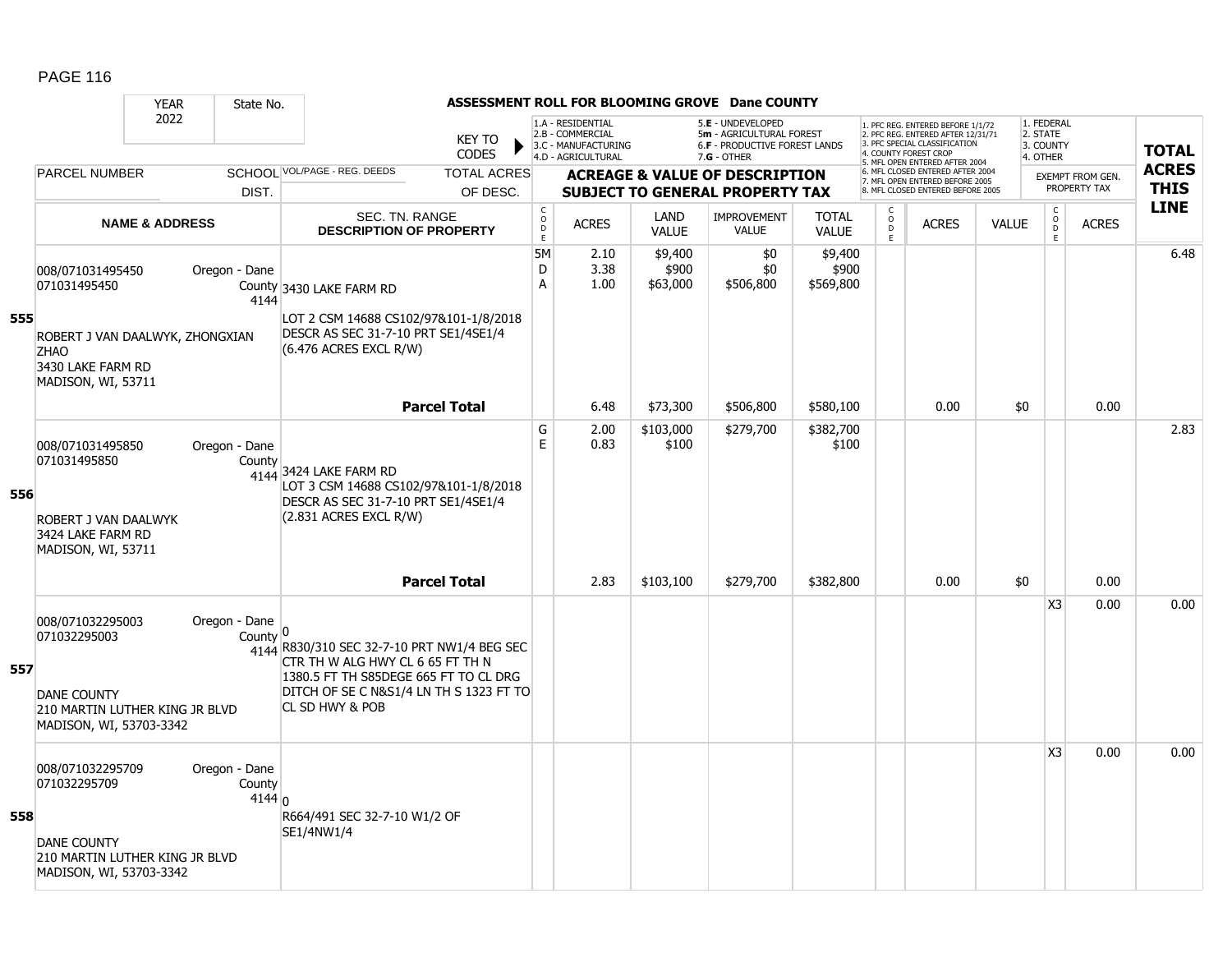|     |                                                                                           | <b>YEAR</b>               | State No.                           |                                                                                                                                                                     |                               |                                                  |                                                                                    |                              | ASSESSMENT ROLL FOR BLOOMING GROVE Dane COUNTY                                                       |                               |                                                 |                                                                                                                                                                     |              |                                                 |                         |                            |
|-----|-------------------------------------------------------------------------------------------|---------------------------|-------------------------------------|---------------------------------------------------------------------------------------------------------------------------------------------------------------------|-------------------------------|--------------------------------------------------|------------------------------------------------------------------------------------|------------------------------|------------------------------------------------------------------------------------------------------|-------------------------------|-------------------------------------------------|---------------------------------------------------------------------------------------------------------------------------------------------------------------------|--------------|-------------------------------------------------|-------------------------|----------------------------|
|     |                                                                                           | 2022                      |                                     |                                                                                                                                                                     | <b>KEY TO</b><br><b>CODES</b> |                                                  | 1.A - RESIDENTIAL<br>2.B - COMMERCIAL<br>3.C - MANUFACTURING<br>4.D - AGRICULTURAL |                              | 5.E - UNDEVELOPED<br>5m - AGRICULTURAL FOREST<br><b>6.F - PRODUCTIVE FOREST LANDS</b><br>7.G - OTHER |                               |                                                 | 1. PFC REG. ENTERED BEFORE 1/1/72<br>2. PFC REG. ENTERED AFTER 12/31/71<br>3. PFC SPECIAL CLASSIFICATION<br>4. COUNTY FOREST CROP<br>5. MFL OPEN ENTERED AFTER 2004 |              | 1. FEDERAL<br>2. STATE<br>3. COUNTY<br>4. OTHER |                         | <b>TOTAL</b>               |
|     | <b>PARCEL NUMBER</b>                                                                      |                           |                                     | SCHOOL VOL/PAGE - REG. DEEDS                                                                                                                                        | <b>TOTAL ACRES</b>            |                                                  |                                                                                    |                              | <b>ACREAGE &amp; VALUE OF DESCRIPTION</b>                                                            |                               |                                                 | 6. MFL CLOSED ENTERED AFTER 2004<br>7. MFL OPEN ENTERED BEFORE 2005                                                                                                 |              |                                                 | <b>EXEMPT FROM GEN.</b> | <b>ACRES</b>               |
|     |                                                                                           |                           | DIST.                               |                                                                                                                                                                     | OF DESC.                      |                                                  |                                                                                    |                              | <b>SUBJECT TO GENERAL PROPERTY TAX</b>                                                               |                               |                                                 | 8. MFL CLOSED ENTERED BEFORE 2005                                                                                                                                   |              |                                                 | PROPERTY TAX            | <b>THIS</b><br><b>LINE</b> |
|     |                                                                                           | <b>NAME &amp; ADDRESS</b> |                                     | SEC. TN. RANGE<br><b>DESCRIPTION OF PROPERTY</b>                                                                                                                    |                               | $\mathsf{C}$<br>$\mathsf{o}$<br>D<br>$\mathsf E$ | <b>ACRES</b>                                                                       | LAND<br><b>VALUE</b>         | <b>IMPROVEMENT</b><br><b>VALUE</b>                                                                   | <b>TOTAL</b><br><b>VALUE</b>  | C<br>$\mathsf{o}$<br>$\mathsf D$<br>$\mathsf E$ | <b>ACRES</b>                                                                                                                                                        | <b>VALUE</b> | $\mathsf{C}$<br>$\overline{D}$<br>E             | <b>ACRES</b>            |                            |
|     | 008/071031495450<br>071031495450                                                          |                           | Oregon - Dane<br>4144               | County 3430 LAKE FARM RD                                                                                                                                            |                               | 5M<br>D<br>A                                     | 2.10<br>3.38<br>1.00                                                               | \$9,400<br>\$900<br>\$63,000 | \$0<br>\$0<br>\$506,800                                                                              | \$9,400<br>\$900<br>\$569,800 |                                                 |                                                                                                                                                                     |              |                                                 |                         | 6.48                       |
| 555 | ROBERT J VAN DAALWYK, ZHONGXIAN<br><b>ZHAO</b><br>3430 LAKE FARM RD<br>MADISON, WI, 53711 |                           |                                     | LOT 2 CSM 14688 CS102/97&101-1/8/2018<br>DESCR AS SEC 31-7-10 PRT SE1/4SE1/4<br>(6.476 ACRES EXCL R/W)                                                              |                               |                                                  |                                                                                    |                              |                                                                                                      |                               |                                                 |                                                                                                                                                                     |              |                                                 |                         |                            |
|     |                                                                                           |                           |                                     |                                                                                                                                                                     | <b>Parcel Total</b>           |                                                  | 6.48                                                                               | \$73,300                     | \$506,800                                                                                            | \$580,100                     |                                                 | 0.00                                                                                                                                                                | \$0          |                                                 | 0.00                    |                            |
| 556 | 008/071031495850<br>071031495850                                                          |                           | Oregon - Dane<br>County             | 4144 3424 LAKE FARM RD<br>LOT 3 CSM 14688 CS102/97&101-1/8/2018<br>DESCR AS SEC 31-7-10 PRT SE1/4SE1/4                                                              |                               | G<br>E                                           | 2.00<br>0.83                                                                       | \$103,000<br>\$100           | \$279,700                                                                                            | \$382,700<br>\$100            |                                                 |                                                                                                                                                                     |              |                                                 |                         | 2.83                       |
|     | ROBERT J VAN DAALWYK<br>3424 LAKE FARM RD<br>MADISON, WI, 53711                           |                           |                                     | (2.831 ACRES EXCL R/W)                                                                                                                                              | <b>Parcel Total</b>           |                                                  | 2.83                                                                               | \$103,100                    | \$279,700                                                                                            | \$382,800                     |                                                 | 0.00                                                                                                                                                                | \$0          |                                                 | 0.00                    |                            |
| 557 | 008/071032295003<br>071032295003<br><b>DANE COUNTY</b>                                    |                           | Oregon - Dane<br>County $ 0$        | 4144 R830/310 SEC 32-7-10 PRT NW1/4 BEG SEC<br>CTR TH W ALG HWY CL 6 65 FT TH N<br>1380.5 FT TH S85DEGE 665 FT TO CL DRG<br>DITCH OF SE C N&S1/4 LN TH S 1323 FT TO |                               |                                                  |                                                                                    |                              |                                                                                                      |                               |                                                 |                                                                                                                                                                     |              | X <sub>3</sub>                                  | 0.00                    | 0.00                       |
|     | 210 MARTIN LUTHER KING JR BLVD<br>MADISON, WI, 53703-3342                                 |                           |                                     | CL SD HWY & POB                                                                                                                                                     |                               |                                                  |                                                                                    |                              |                                                                                                      |                               |                                                 |                                                                                                                                                                     |              |                                                 |                         |                            |
|     | 008/071032295709<br>071032295709                                                          |                           | Oregon - Dane<br>County<br>4144 $n$ |                                                                                                                                                                     |                               |                                                  |                                                                                    |                              |                                                                                                      |                               |                                                 |                                                                                                                                                                     |              | X <sub>3</sub>                                  | 0.00                    | 0.00                       |
| 558 | <b>DANE COUNTY</b><br>210 MARTIN LUTHER KING JR BLVD<br>MADISON, WI, 53703-3342           |                           |                                     | R664/491 SEC 32-7-10 W1/2 OF<br>SE1/4NW1/4                                                                                                                          |                               |                                                  |                                                                                    |                              |                                                                                                      |                               |                                                 |                                                                                                                                                                     |              |                                                 |                         |                            |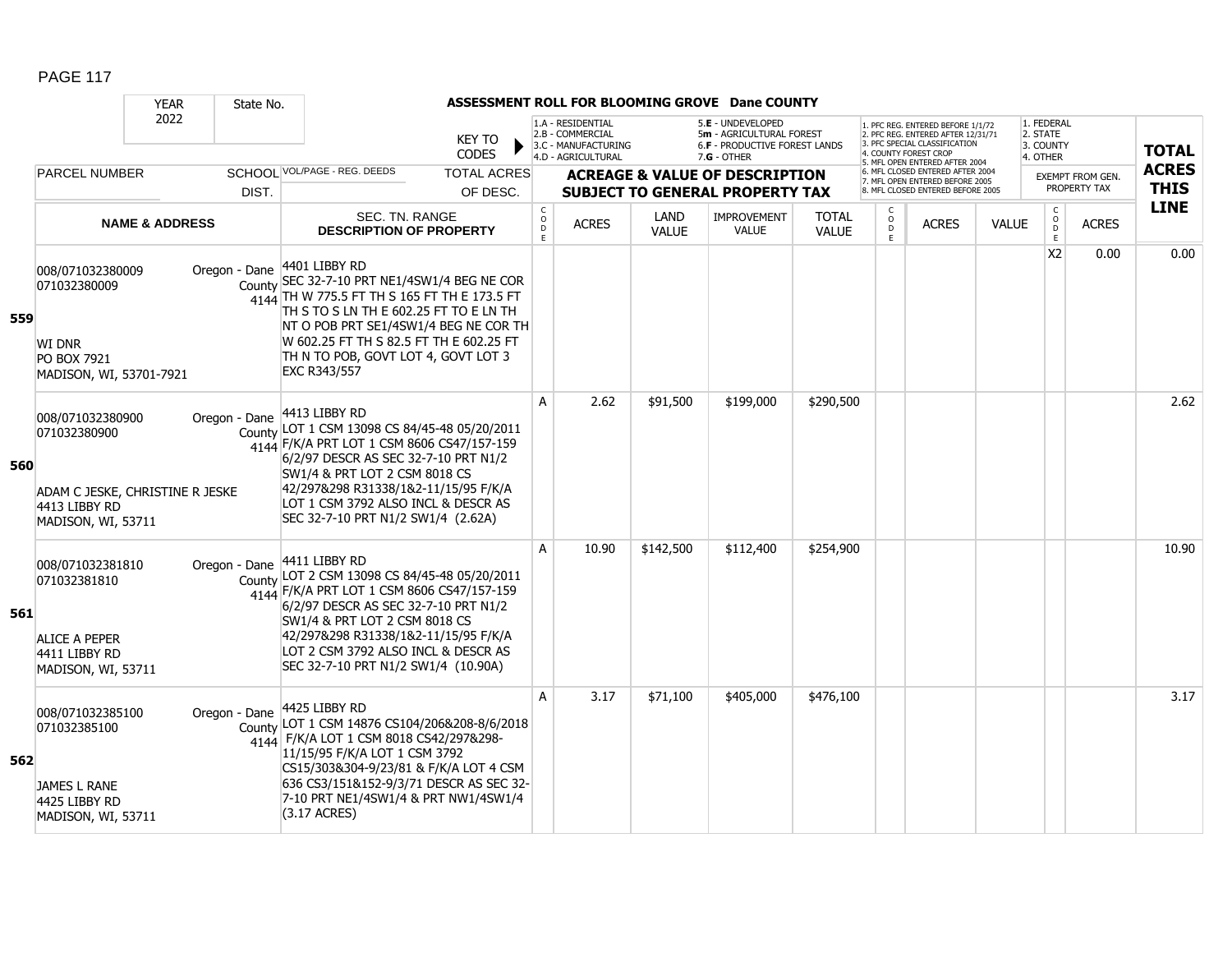|     |                                                                                                            | <b>YEAR</b>               | State No.     |                                                                                                                                                                                                                                                                                                             |                                |                        |                                                                                    |              | ASSESSMENT ROLL FOR BLOOMING GROVE Dane COUNTY                                                  |              |                         |                                                                                                                                                                     |              |                                                 |                                         |                             |
|-----|------------------------------------------------------------------------------------------------------------|---------------------------|---------------|-------------------------------------------------------------------------------------------------------------------------------------------------------------------------------------------------------------------------------------------------------------------------------------------------------------|--------------------------------|------------------------|------------------------------------------------------------------------------------|--------------|-------------------------------------------------------------------------------------------------|--------------|-------------------------|---------------------------------------------------------------------------------------------------------------------------------------------------------------------|--------------|-------------------------------------------------|-----------------------------------------|-----------------------------|
|     |                                                                                                            | 2022                      |               |                                                                                                                                                                                                                                                                                                             | <b>KEY TO</b><br><b>CODES</b>  |                        | 1.A - RESIDENTIAL<br>2.B - COMMERCIAL<br>3.C - MANUFACTURING<br>4.D - AGRICULTURAL |              | 5.E - UNDEVELOPED<br>5m - AGRICULTURAL FOREST<br>6.F - PRODUCTIVE FOREST LANDS<br>$7.G - OTHER$ |              |                         | 1. PFC REG. ENTERED BEFORE 1/1/72<br>2. PFC REG. ENTERED AFTER 12/31/71<br>3. PFC SPECIAL CLASSIFICATION<br>4. COUNTY FOREST CROP<br>5. MFL OPEN ENTERED AFTER 2004 |              | 1. FEDERAL<br>2. STATE<br>3. COUNTY<br>4. OTHER |                                         | <b>TOTAL</b>                |
|     | <b>PARCEL NUMBER</b>                                                                                       |                           | DIST.         | SCHOOL VOL/PAGE - REG. DEEDS                                                                                                                                                                                                                                                                                | <b>TOTAL ACRES</b><br>OF DESC. |                        |                                                                                    |              | <b>ACREAGE &amp; VALUE OF DESCRIPTION</b><br><b>SUBJECT TO GENERAL PROPERTY TAX</b>             |              |                         | 6. MFL CLOSED ENTERED AFTER 2004<br>7. MFL OPEN ENTERED BEFORE 2005<br>8. MFL CLOSED ENTERED BEFORE 2005                                                            |              |                                                 | <b>EXEMPT FROM GEN.</b><br>PROPERTY TAX | <b>ACRES</b><br><b>THIS</b> |
|     |                                                                                                            |                           |               | SEC. TN. RANGE                                                                                                                                                                                                                                                                                              |                                | C                      |                                                                                    | LAND         | <b>IMPROVEMENT</b>                                                                              | <b>TOTAL</b> | C                       |                                                                                                                                                                     |              | $\mathsf C$                                     |                                         | <b>LINE</b>                 |
|     |                                                                                                            | <b>NAME &amp; ADDRESS</b> |               | <b>DESCRIPTION OF PROPERTY</b>                                                                                                                                                                                                                                                                              |                                | $\mathsf{o}$<br>D<br>E | <b>ACRES</b>                                                                       | <b>VALUE</b> | <b>VALUE</b>                                                                                    | <b>VALUE</b> | $\mathsf{O}$<br>D<br>F. | <b>ACRES</b>                                                                                                                                                        | <b>VALUE</b> | $_{\rm D}^{\rm O}$<br>E                         | <b>ACRES</b>                            |                             |
| 559 | 008/071032380009<br>071032380009<br><b>WI DNR</b><br>PO BOX 7921<br>MADISON, WI, 53701-7921                |                           | Oregon - Dane | 4401 LIBBY RD<br>County SEC 32-7-10 PRT NE1/4SW1/4 BEG NE COR<br>4144 TH W 775.5 FT TH S 165 FT TH E 173.5 FT<br>TH S TO S LN TH E 602.25 FT TO E LN TH<br>NT O POB PRT SE1/4SW1/4 BEG NE COR TH<br>W 602.25 FT TH S 82.5 FT TH E 602.25 FT<br>TH N TO POB, GOVT LOT 4, GOVT LOT 3<br><b>EXC R343/557</b>   |                                |                        |                                                                                    |              |                                                                                                 |              |                         |                                                                                                                                                                     |              | X <sub>2</sub>                                  | 0.00                                    | 0.00                        |
| 560 | 008/071032380900<br>071032380900<br>ADAM C JESKE, CHRISTINE R JESKE<br>4413 LIBBY RD<br>MADISON, WI, 53711 |                           | Oregon - Dane | 4413 LIBBY RD<br>County LOT 1 CSM 13098 CS 84/45-48 05/20/2011<br>4144 F/K/A PRT LOT 1 CSM 8606 CS47/157-159<br>6/2/97 DESCR AS SEC 32-7-10 PRT N1/2<br>SW1/4 & PRT LOT 2 CSM 8018 CS<br>42/297&298 R31338/1&2-11/15/95 F/K/A<br>LOT 1 CSM 3792 ALSO INCL & DESCR AS<br>SEC 32-7-10 PRT N1/2 SW1/4 (2.62A)  |                                | A                      | 2.62                                                                               | \$91,500     | \$199,000                                                                                       | \$290,500    |                         |                                                                                                                                                                     |              |                                                 |                                         | 2.62                        |
| 561 | 008/071032381810<br>071032381810<br>ALICE A PEPER<br>4411 LIBBY RD<br>MADISON, WI, 53711                   |                           | Oregon - Dane | 4411 LIBBY RD<br>County LOT 2 CSM 13098 CS 84/45-48 05/20/2011<br>4144 F/K/A PRT LOT 1 CSM 8606 CS47/157-159<br>6/2/97 DESCR AS SEC 32-7-10 PRT N1/2<br>SW1/4 & PRT LOT 2 CSM 8018 CS<br>42/297&298 R31338/1&2-11/15/95 F/K/A<br>LOT 2 CSM 3792 ALSO INCL & DESCR AS<br>SEC 32-7-10 PRT N1/2 SW1/4 (10.90A) |                                | A                      | 10.90                                                                              | \$142,500    | \$112,400                                                                                       | \$254,900    |                         |                                                                                                                                                                     |              |                                                 |                                         | 10.90                       |
| 562 | 008/071032385100<br>071032385100<br>JAMES L RANE<br>4425 LIBBY RD<br>MADISON, WI, 53711                    |                           | Oregon - Dane | 4425 LIBBY RD<br>County LOT 1 CSM 14876 CS104/206&208-8/6/2018<br>4144 F/K/A LOT 1 CSM 8018 CS42/297&298-<br>11/15/95 F/K/A LOT 1 CSM 3792<br>CS15/303&304-9/23/81 & F/K/A LOT 4 CSM<br>636 CS3/151&152-9/3/71 DESCR AS SEC 32-<br>7-10 PRT NE1/4SW1/4 & PRT NW1/4SW1/4<br>(3.17 ACRES)                     |                                | A                      | 3.17                                                                               | \$71,100     | \$405,000                                                                                       | \$476,100    |                         |                                                                                                                                                                     |              |                                                 |                                         | 3.17                        |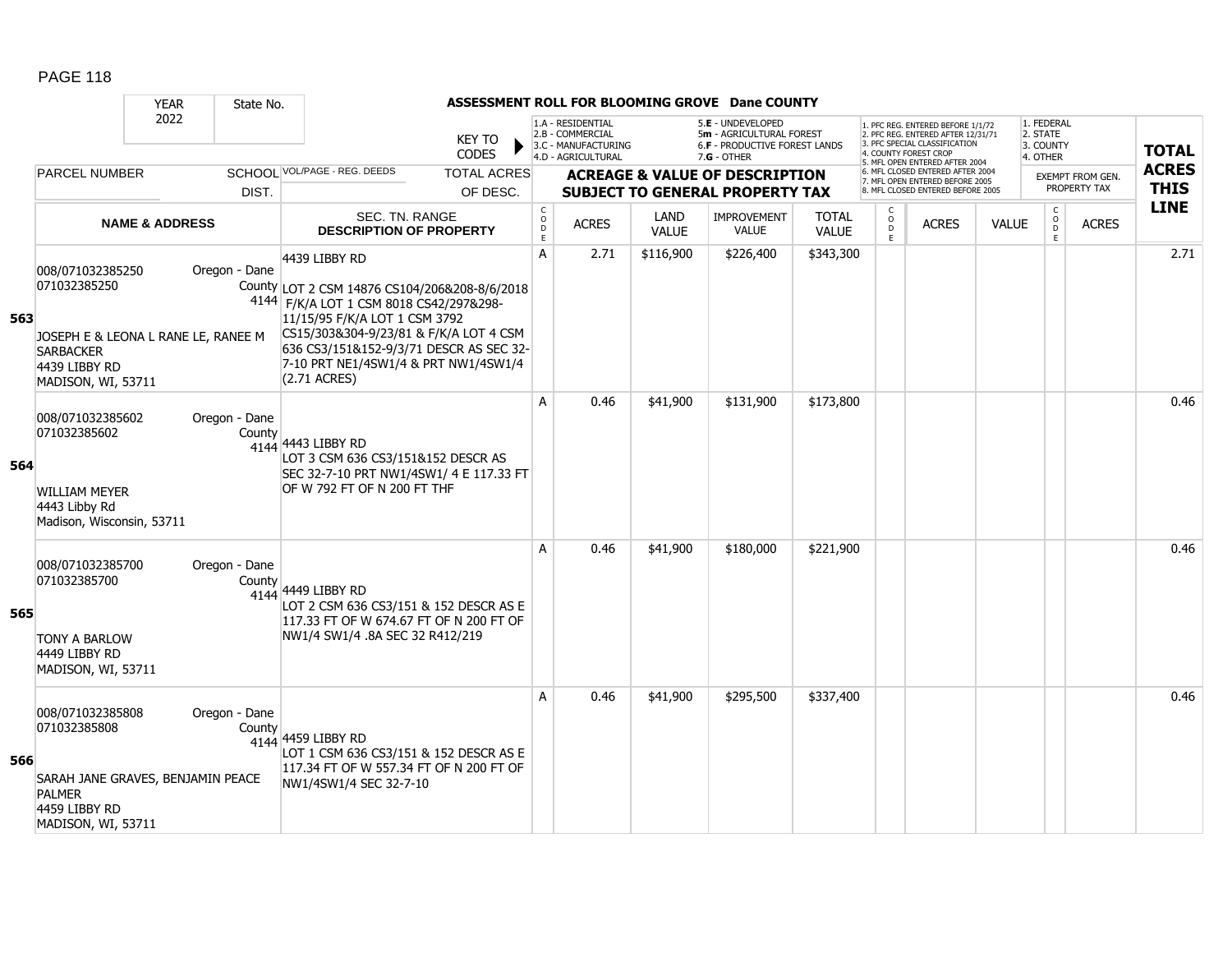|     |                                                                                                                                    | <b>YEAR</b>               | State No.               |                                                                                                                                                                                                                                                                                         |                                |                                                |                                                                                    |                      | ASSESSMENT ROLL FOR BLOOMING GROVE Dane COUNTY                                                  |                              |                                      |                                                                                                                                                                     |              |                                                 |                                         |                             |
|-----|------------------------------------------------------------------------------------------------------------------------------------|---------------------------|-------------------------|-----------------------------------------------------------------------------------------------------------------------------------------------------------------------------------------------------------------------------------------------------------------------------------------|--------------------------------|------------------------------------------------|------------------------------------------------------------------------------------|----------------------|-------------------------------------------------------------------------------------------------|------------------------------|--------------------------------------|---------------------------------------------------------------------------------------------------------------------------------------------------------------------|--------------|-------------------------------------------------|-----------------------------------------|-----------------------------|
|     |                                                                                                                                    | 2022                      |                         |                                                                                                                                                                                                                                                                                         | <b>KEY TO</b><br><b>CODES</b>  |                                                | 1.A - RESIDENTIAL<br>2.B - COMMERCIAL<br>3.C - MANUFACTURING<br>4.D - AGRICULTURAL |                      | 5.E - UNDEVELOPED<br>5m - AGRICULTURAL FOREST<br>6.F - PRODUCTIVE FOREST LANDS<br>$7.G - OTHER$ |                              |                                      | 1. PFC REG. ENTERED BEFORE 1/1/72<br>2. PFC REG. ENTERED AFTER 12/31/71<br>3. PFC SPECIAL CLASSIFICATION<br>4. COUNTY FOREST CROP<br>5. MFL OPEN ENTERED AFTER 2004 |              | 1. FEDERAL<br>2. STATE<br>3. COUNTY<br>4. OTHER |                                         | <b>TOTAL</b>                |
|     | <b>PARCEL NUMBER</b>                                                                                                               |                           | DIST.                   | SCHOOL VOL/PAGE - REG. DEEDS                                                                                                                                                                                                                                                            | <b>TOTAL ACRES</b><br>OF DESC. |                                                |                                                                                    |                      | <b>ACREAGE &amp; VALUE OF DESCRIPTION</b><br><b>SUBJECT TO GENERAL PROPERTY TAX</b>             |                              |                                      | 6. MFL CLOSED ENTERED AFTER 2004<br>7. MFL OPEN ENTERED BEFORE 2005<br>8. MFL CLOSED ENTERED BEFORE 2005                                                            |              |                                                 | <b>EXEMPT FROM GEN.</b><br>PROPERTY TAX | <b>ACRES</b><br><b>THIS</b> |
|     |                                                                                                                                    | <b>NAME &amp; ADDRESS</b> |                         | SEC. TN. RANGE<br><b>DESCRIPTION OF PROPERTY</b>                                                                                                                                                                                                                                        |                                | $\mathsf C$<br>$\mathsf O$<br>D<br>$\mathsf E$ | <b>ACRES</b>                                                                       | LAND<br><b>VALUE</b> | <b>IMPROVEMENT</b><br><b>VALUE</b>                                                              | <b>TOTAL</b><br><b>VALUE</b> | C<br>$\circ$<br>$\overline{D}$<br>E. | <b>ACRES</b>                                                                                                                                                        | <b>VALUE</b> | $\mathsf{C}$<br>$_{\rm D}^{\rm O}$<br>E         | <b>ACRES</b>                            | <b>LINE</b>                 |
| 563 | 008/071032385250<br>071032385250<br>JOSEPH E & LEONA L RANE LE, RANEE M<br><b>SARBACKER</b><br>4439 LIBBY RD<br>MADISON, WI, 53711 |                           | Oregon - Dane           | 4439 LIBBY RD<br>County LOT 2 CSM 14876 CS104/206&208-8/6/2018<br>4144 F/K/A LOT 1 CSM 8018 CS42/297&298-<br>11/15/95 F/K/A LOT 1 CSM 3792<br>CS15/303&304-9/23/81 & F/K/A LOT 4 CSM<br>636 CS3/151&152-9/3/71 DESCR AS SEC 32-<br>7-10 PRT NE1/4SW1/4 & PRT NW1/4SW1/4<br>(2.71 ACRES) |                                | A                                              | 2.71                                                                               | \$116,900            | \$226,400                                                                                       | \$343,300                    |                                      |                                                                                                                                                                     |              |                                                 |                                         | 2.71                        |
| 564 | 008/071032385602<br>071032385602<br><b>WILLIAM MEYER</b><br>4443 Libby Rd<br>Madison, Wisconsin, 53711                             |                           | Oregon - Dane<br>County | 4144 4443 LIBBY RD<br>LOT 3 CSM 636 CS3/151&152 DESCR AS<br>SEC 32-7-10 PRT NW1/4SW1/ 4 E 117.33 FT<br>OF W 792 FT OF N 200 FT THF                                                                                                                                                      |                                | A                                              | 0.46                                                                               | \$41,900             | \$131,900                                                                                       | \$173,800                    |                                      |                                                                                                                                                                     |              |                                                 |                                         | 0.46                        |
| 565 | 008/071032385700<br>071032385700<br><b>TONY A BARLOW</b><br>4449 LIBBY RD<br>MADISON, WI, 53711                                    |                           | Oregon - Dane<br>County | 4144 4449 LIBBY RD<br>LOT 2 CSM 636 CS3/151 & 152 DESCR AS E<br>117.33 FT OF W 674.67 FT OF N 200 FT OF<br>NW1/4 SW1/4 .8A SEC 32 R412/219                                                                                                                                              |                                | A                                              | 0.46                                                                               | \$41,900             | \$180,000                                                                                       | \$221,900                    |                                      |                                                                                                                                                                     |              |                                                 |                                         | 0.46                        |
| 566 | 008/071032385808<br>071032385808<br>SARAH JANE GRAVES, BENJAMIN PEACE<br><b>PALMER</b><br>4459 LIBBY RD<br>MADISON, WI, 53711      |                           | Oregon - Dane<br>County | 4144 459 LIBBY RD<br>LOT 1 CSM 636 CS3/151 & 152 DESCR AS E<br>117.34 FT OF W 557.34 FT OF N 200 FT OF<br>NW1/4SW1/4 SEC 32-7-10                                                                                                                                                        |                                | A                                              | 0.46                                                                               | \$41,900             | \$295,500                                                                                       | \$337,400                    |                                      |                                                                                                                                                                     |              |                                                 |                                         | 0.46                        |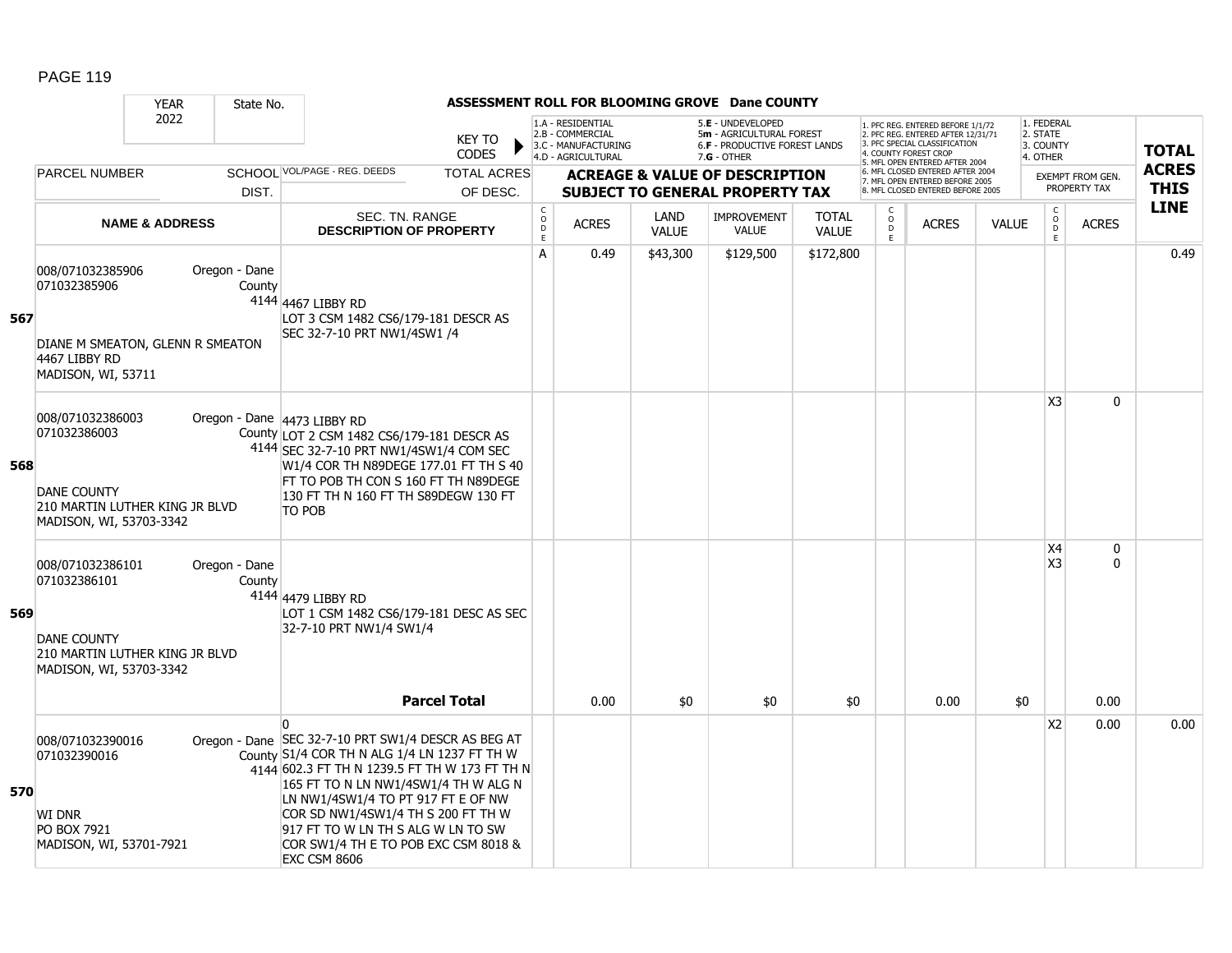|     |                                                                                                                     | <b>YEAR</b>               | State No.               |                                                                                                                                                                                                                                                                                                                                                                                      |                                |                                      |                                                                                    |                      | ASSESSMENT ROLL FOR BLOOMING GROVE Dane COUNTY                                                |                              |                         |                                                                                                                                                                    |              |                                                 |                                         |                             |
|-----|---------------------------------------------------------------------------------------------------------------------|---------------------------|-------------------------|--------------------------------------------------------------------------------------------------------------------------------------------------------------------------------------------------------------------------------------------------------------------------------------------------------------------------------------------------------------------------------------|--------------------------------|--------------------------------------|------------------------------------------------------------------------------------|----------------------|-----------------------------------------------------------------------------------------------|------------------------------|-------------------------|--------------------------------------------------------------------------------------------------------------------------------------------------------------------|--------------|-------------------------------------------------|-----------------------------------------|-----------------------------|
|     |                                                                                                                     | 2022                      |                         |                                                                                                                                                                                                                                                                                                                                                                                      | KEY TO<br><b>CODES</b>         |                                      | 1.A - RESIDENTIAL<br>2.B - COMMERCIAL<br>3.C - MANUFACTURING<br>4.D - AGRICULTURAL |                      | 5.E - UNDEVELOPED<br>5m - AGRICULTURAL FOREST<br>6.F - PRODUCTIVE FOREST LANDS<br>7.G - OTHER |                              |                         | . PFC REG. ENTERED BEFORE 1/1/72<br>2. PFC REG. ENTERED AFTER 12/31/71<br>3. PFC SPECIAL CLASSIFICATION<br>4. COUNTY FOREST CROP<br>5. MFL OPEN ENTERED AFTER 2004 |              | 1. FEDERAL<br>2. STATE<br>3. COUNTY<br>4. OTHER |                                         | <b>TOTAL</b>                |
|     | <b>PARCEL NUMBER</b>                                                                                                |                           | DIST.                   | SCHOOL VOL/PAGE - REG. DEEDS                                                                                                                                                                                                                                                                                                                                                         | <b>TOTAL ACRES</b><br>OF DESC. |                                      |                                                                                    |                      | <b>ACREAGE &amp; VALUE OF DESCRIPTION</b><br><b>SUBJECT TO GENERAL PROPERTY TAX</b>           |                              |                         | 6. MFL CLOSED ENTERED AFTER 2004<br>7. MFL OPEN ENTERED BEFORE 2005<br>8. MFL CLOSED ENTERED BEFORE 2005                                                           |              |                                                 | <b>EXEMPT FROM GEN.</b><br>PROPERTY TAX | <b>ACRES</b><br><b>THIS</b> |
|     |                                                                                                                     | <b>NAME &amp; ADDRESS</b> |                         | SEC. TN. RANGE<br><b>DESCRIPTION OF PROPERTY</b>                                                                                                                                                                                                                                                                                                                                     |                                | C<br>$\mathsf O$<br>$\mathsf D$<br>E | <b>ACRES</b>                                                                       | LAND<br><b>VALUE</b> | <b>IMPROVEMENT</b><br><b>VALUE</b>                                                            | <b>TOTAL</b><br><b>VALUE</b> | $_{\rm D}^{\rm O}$<br>E | <b>ACRES</b>                                                                                                                                                       | <b>VALUE</b> | $\mathsf C$<br>$\overline{0}$<br>E              | <b>ACRES</b>                            | <b>LINE</b>                 |
| 567 | 008/071032385906<br>071032385906<br>DIANE M SMEATON, GLENN R SMEATON<br>4467 LIBBY RD<br>MADISON, WI, 53711         |                           | Oregon - Dane<br>County | 4144 4467 LIBBY RD<br>LOT 3 CSM 1482 CS6/179-181 DESCR AS<br>SEC 32-7-10 PRT NW1/4SW1 /4                                                                                                                                                                                                                                                                                             |                                | A                                    | 0.49                                                                               | \$43,300             | \$129,500                                                                                     | \$172,800                    |                         |                                                                                                                                                                    |              |                                                 |                                         | 0.49                        |
| 568 | 008/071032386003<br>071032386003<br><b>DANE COUNTY</b><br>210 MARTIN LUTHER KING JR BLVD<br>MADISON, WI, 53703-3342 |                           |                         | Oregon - Dane 4473 LIBBY RD<br>County LOT 2 CSM 1482 CS6/179-181 DESCR AS<br>4144 SEC 32-7-10 PRT NW1/4SW1/4 COM SEC<br>W1/4 COR TH N89DEGE 177.01 FT TH S 40<br>FT TO POB TH CON S 160 FT TH N89DEGE<br>130 FT TH N 160 FT TH S89DEGW 130 FT<br>TO POB                                                                                                                              |                                |                                      |                                                                                    |                      |                                                                                               |                              |                         |                                                                                                                                                                    |              | X <sub>3</sub>                                  | $\mathbf 0$                             |                             |
| 569 | 008/071032386101<br>071032386101<br><b>DANE COUNTY</b><br>210 MARTIN LUTHER KING JR BLVD<br>MADISON, WI, 53703-3342 |                           | Oregon - Dane<br>County | 4144 4479 LIBBY RD<br>LOT 1 CSM 1482 CS6/179-181 DESC AS SEC<br>32-7-10 PRT NW1/4 SW1/4                                                                                                                                                                                                                                                                                              | <b>Parcel Total</b>            |                                      | 0.00                                                                               | \$0                  | \$0                                                                                           | \$0                          |                         | 0.00                                                                                                                                                               | \$0          | X4<br>X <sub>3</sub>                            | 0<br>$\mathbf{0}$<br>0.00               |                             |
| 570 | 008/071032390016<br>071032390016<br><b>WI DNR</b><br>PO BOX 7921<br>MADISON, WI, 53701-7921                         |                           |                         | l0.<br>Oregon - Dane SEC 32-7-10 PRT SW1/4 DESCR AS BEG AT<br>County S1/4 COR TH N ALG 1/4 LN 1237 FT TH W<br>4144 602.3 FT TH N 1239.5 FT TH W 173 FT TH N<br>165 FT TO N LN NW1/4SW1/4 TH W ALG N<br>LN NW1/4SW1/4 TO PT 917 FT E OF NW<br>COR SD NW1/4SW1/4 TH S 200 FT TH W<br>917 FT TO W LN TH S ALG W LN TO SW<br>COR SW1/4 TH E TO POB EXC CSM 8018 &<br><b>EXC CSM 8606</b> |                                |                                      |                                                                                    |                      |                                                                                               |                              |                         |                                                                                                                                                                    |              | X <sub>2</sub>                                  | 0.00                                    | 0.00                        |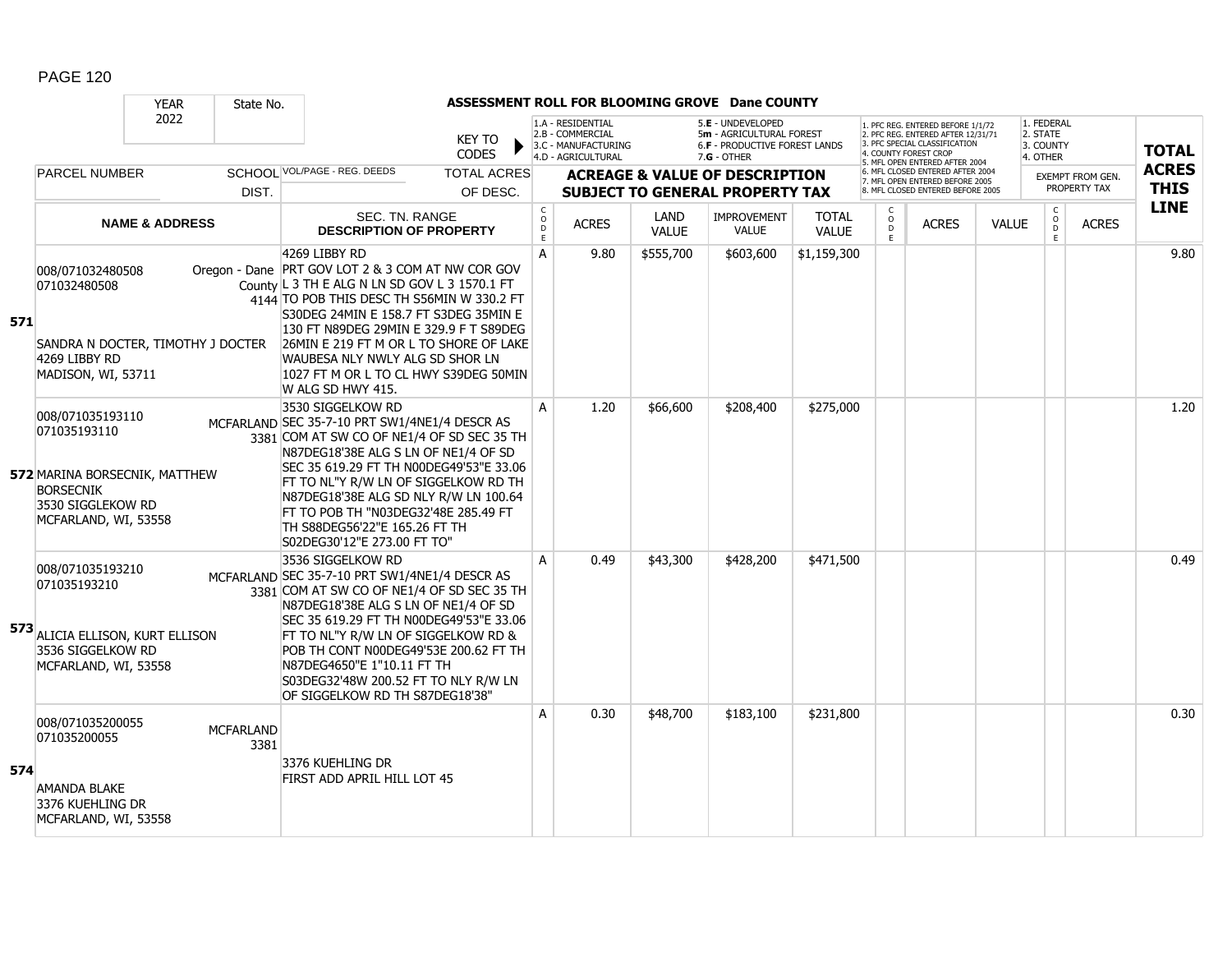|     |                                                                                                                                    | <b>YEAR</b>               | State No.                |                                                                                                                                                                                                                                                                                                                                                                                                 |                                |                                          |                                                                                    |                      | ASSESSMENT ROLL FOR BLOOMING GROVE Dane COUNTY                                                |                              |                        |                                                                                                                                                                     |              |                                                 |                                  |                             |
|-----|------------------------------------------------------------------------------------------------------------------------------------|---------------------------|--------------------------|-------------------------------------------------------------------------------------------------------------------------------------------------------------------------------------------------------------------------------------------------------------------------------------------------------------------------------------------------------------------------------------------------|--------------------------------|------------------------------------------|------------------------------------------------------------------------------------|----------------------|-----------------------------------------------------------------------------------------------|------------------------------|------------------------|---------------------------------------------------------------------------------------------------------------------------------------------------------------------|--------------|-------------------------------------------------|----------------------------------|-----------------------------|
|     |                                                                                                                                    | 2022                      |                          |                                                                                                                                                                                                                                                                                                                                                                                                 | <b>KEY TO</b><br><b>CODES</b>  |                                          | 1.A - RESIDENTIAL<br>2.B - COMMERCIAL<br>3.C - MANUFACTURING<br>4.D - AGRICULTURAL |                      | 5.E - UNDEVELOPED<br>5m - AGRICULTURAL FOREST<br>6.F - PRODUCTIVE FOREST LANDS<br>7.G - OTHER |                              |                        | 1. PFC REG. ENTERED BEFORE 1/1/72<br>2. PFC REG. ENTERED AFTER 12/31/71<br>3. PFC SPECIAL CLASSIFICATION<br>4. COUNTY FOREST CROP<br>5. MFL OPEN ENTERED AFTER 2004 |              | 1. FEDERAL<br>2. STATE<br>3. COUNTY<br>4. OTHER |                                  | <b>TOTAL</b>                |
|     | <b>PARCEL NUMBER</b>                                                                                                               |                           | DIST.                    | SCHOOL VOL/PAGE - REG. DEEDS                                                                                                                                                                                                                                                                                                                                                                    | <b>TOTAL ACRES</b><br>OF DESC. |                                          |                                                                                    |                      | <b>ACREAGE &amp; VALUE OF DESCRIPTION</b><br><b>SUBJECT TO GENERAL PROPERTY TAX</b>           |                              |                        | 6. MFL CLOSED ENTERED AFTER 2004<br>7. MFL OPEN ENTERED BEFORE 2005<br>8. MFL CLOSED ENTERED BEFORE 2005                                                            |              |                                                 | EXEMPT FROM GEN.<br>PROPERTY TAX | <b>ACRES</b><br><b>THIS</b> |
|     |                                                                                                                                    | <b>NAME &amp; ADDRESS</b> |                          | SEC. TN. RANGE<br><b>DESCRIPTION OF PROPERTY</b>                                                                                                                                                                                                                                                                                                                                                |                                | $\mathsf{C}$<br>$\circ$<br>$\frac{D}{E}$ | <b>ACRES</b>                                                                       | LAND<br><b>VALUE</b> | <b>IMPROVEMENT</b><br><b>VALUE</b>                                                            | <b>TOTAL</b><br><b>VALUE</b> | C<br>$\circ$<br>D<br>E | <b>ACRES</b>                                                                                                                                                        | <b>VALUE</b> | $\mathsf{C}$<br>$\circ$<br>D<br>E               | <b>ACRES</b>                     | <b>LINE</b>                 |
| 571 | 008/071032480508<br>071032480508<br>SANDRA N DOCTER, TIMOTHY J DOCTER<br>4269 LIBBY RD<br>MADISON, WI, 53711                       |                           |                          | 4269 LIBBY RD<br>Oregon - Dane PRT GOV LOT 2 & 3 COM AT NW COR GOV<br>County L 3 TH E ALG N LN SD GOV L 3 1570.1 FT<br>4144 TO POB THIS DESC TH S56MIN W 330.2 FT<br>S30DEG 24MIN E 158.7 FT S3DEG 35MIN E<br>130 FT N89DEG 29MIN E 329.9 F T S89DEG<br>26MIN E 219 FT M OR L TO SHORE OF LAKE<br>WAUBESA NLY NWLY ALG SD SHOR LN<br>1027 FT M OR L TO CL HWY S39DEG 50MIN<br>W ALG SD HWY 415. |                                | A                                        | 9.80                                                                               | \$555,700            | \$603,600                                                                                     | \$1,159,300                  |                        |                                                                                                                                                                     |              |                                                 |                                  | 9.80                        |
|     | 008/071035193110<br>071035193110<br>572 MARINA BORSECNIK, MATTHEW<br><b>BORSECNIK</b><br>3530 SIGGLEKOW RD<br>MCFARLAND, WI, 53558 |                           |                          | 3530 SIGGELKOW RD<br>MCFARLAND SEC 35-7-10 PRT SW1/4NE1/4 DESCR AS<br>3381 COM AT SW CO OF NE1/4 OF SD SEC 35 TH<br>N87DEG18'38E ALG S LN OF NE1/4 OF SD<br>SEC 35 619.29 FT TH N00DEG49'53"E 33.06<br>FT TO NL"Y R/W LN OF SIGGELKOW RD TH<br>N87DEG18'38E ALG SD NLY R/W LN 100.64<br>FT TO POB TH "N03DEG32'48E 285.49 FT<br>TH S88DEG56'22"E 165.26 FT TH<br>S02DEG30'12"E 273.00 FT TO"    |                                | A                                        | 1.20                                                                               | \$66,600             | \$208,400                                                                                     | \$275,000                    |                        |                                                                                                                                                                     |              |                                                 |                                  | 1.20                        |
| 573 | 008/071035193210<br>071035193210<br>ALICIA ELLISON, KURT ELLISON<br>3536 SIGGELKOW RD<br>MCFARLAND, WI, 53558                      |                           |                          | 3536 SIGGELKOW RD<br>MCFARLAND SEC 35-7-10 PRT SW1/4NE1/4 DESCR AS<br>3381 COM AT SW CO OF NE1/4 OF SD SEC 35 TH<br>N87DEG18'38E ALG S LN OF NE1/4 OF SD<br>SEC 35 619.29 FT TH N00DEG49'53"E 33.06<br>FT TO NL"Y R/W LN OF SIGGELKOW RD &<br>POB TH CONT N00DEG49'53E 200.62 FT TH<br>N87DEG4650"E 1"10.11 FT TH<br>S03DEG32'48W 200.52 FT TO NLY R/W LN<br>OF SIGGELKOW RD TH S87DEG18'38"    |                                | A                                        | 0.49                                                                               | \$43,300             | \$428,200                                                                                     | \$471,500                    |                        |                                                                                                                                                                     |              |                                                 |                                  | 0.49                        |
| 574 | 008/071035200055<br>071035200055<br><b>AMANDA BLAKE</b><br>3376 KUEHLING DR<br>MCFARLAND, WI, 53558                                |                           | <b>MCFARLAND</b><br>3381 | 3376 KUEHLING DR<br>FIRST ADD APRIL HILL LOT 45                                                                                                                                                                                                                                                                                                                                                 |                                | A                                        | 0.30                                                                               | \$48,700             | \$183,100                                                                                     | \$231,800                    |                        |                                                                                                                                                                     |              |                                                 |                                  | 0.30                        |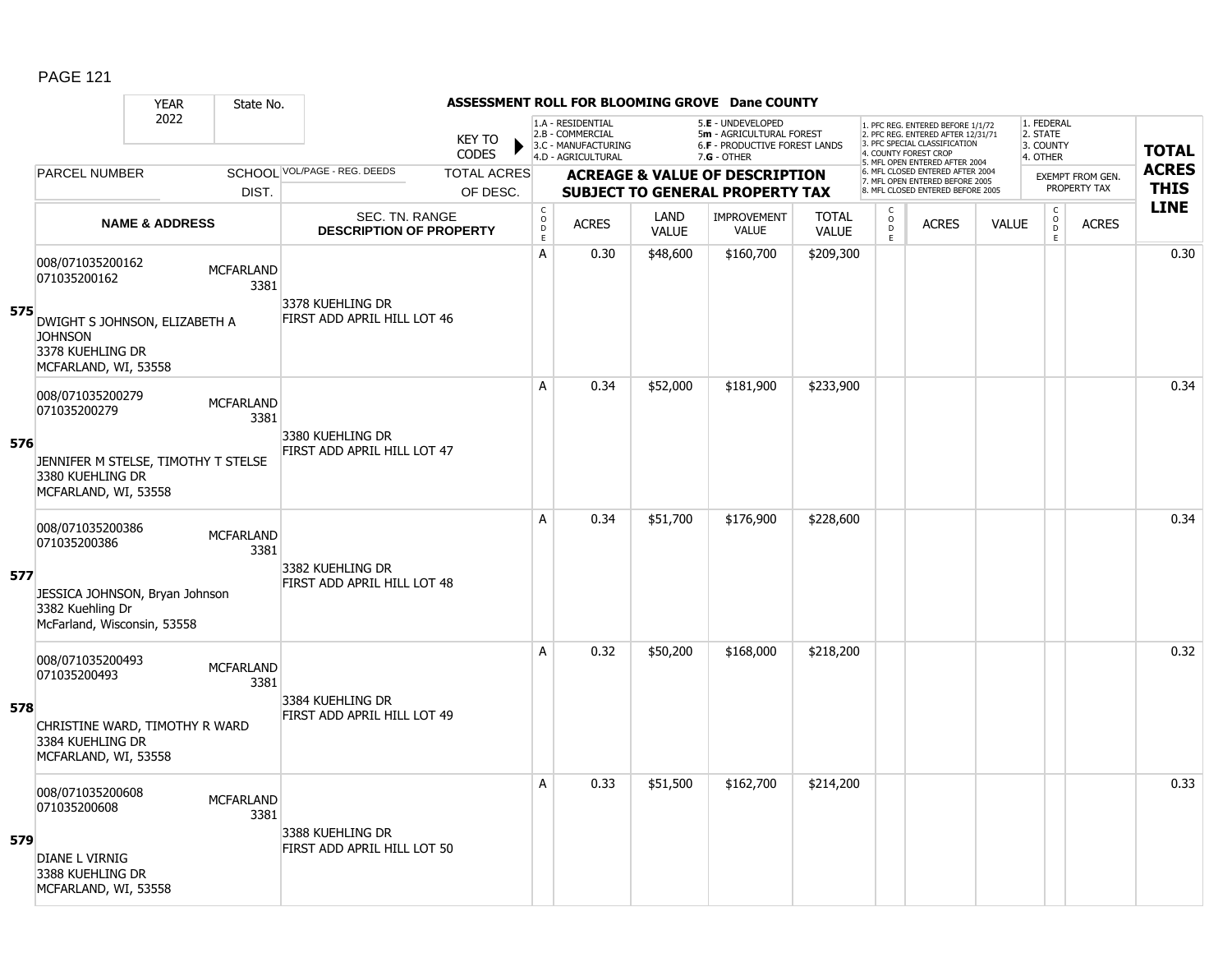### YEAR State No. **ASSESSMENT ROLL FOR BLOOMING GROVE Dane COUNTY** 2022 KEY TO **CODES** 1. PFC REG. ENTERED BEFORE 1/1/72 2. PFC REG. ENTERED AFTER 12/31/71 3. PFC SPECIAL CLASSIFICATION 4. COUNTY FOREST CROP 5. MFL OPEN ENTERED AFTER 2004 6. MFL CLOSED ENTERED AFTER 2004 7. MFL OPEN ENTERED BEFORE 2005 8. MFL CLOSED ENTERED BEFORE 2005 1. FEDERAL 2. STATE 3. COUNTY 4. OTHER **ACREAGE & VALUE OF DESCRIPTION SUBJECT TO GENERAL PROPERTY TAX** EXEMPT FROM GEN. PROPERTY TAX **TOTAL ACRES THIS LINE** 1.A - RESIDENTIAL 2.B - COMMERCIAL 3.C - MANUFACTURING 4.D - AGRICULTURAL 5.**E** - UNDEVELOPED 5**m** - AGRICULTURAL FOREST 6.**F** - PRODUCTIVE FOREST LANDS 7.**G** - OTHER TOTAL ACRES OF DESC. SCHOOL VOL/PAGE - REG. DEEDS DIST. PARCEL NUMBER ACRES C O  $\overline{D}$ E ACRES VALUE  $\mathsf{C}$ O  $\overline{D}$ E TOTAL VALUE IMPROVEMENT VALUE LAND ACRES | VALUE C O  $\overline{D}$ E SEC. TN. RANGE **DESCRIPTION OF PROPERTY NAME & ADDRESS 575** 008/071035200162 000/071035200102 MCFARLAND 3381 DWIGHT S JOHNSON, ELIZABETH A **JOHNSON** 3378 KUEHLING DR MCFARLAND, WI, 53558 3378 KUEHLING DR FIRST ADD APRIL HILL LOT 46 A 0.30 \$48,600 \$160,700 \$209,300 distance the control of the control of the control of the control of the contr **576** 008/071035200279 006/071033200279 MCFARLAND 3381 JENNIFER M STELSE, TIMOTHY T STELSE 3380 KUEHLING DR MCFARLAND, WI, 53558 3380 KUEHLING DR FIRST ADD APRIL HILL LOT 47 A 0.34 \$52,000 \$181,900 \$233,900 0.34 **577** 008/071035200386 000/071033200300<br>071035200386 MCFARLAND 3381 JESSICA JOHNSON, Bryan Johnson 3382 Kuehling Dr McFarland, Wisconsin, 53558 3382 KUEHLING DR FIRST ADD APRIL HILL LOT 48 A 0.34 \$51,700 \$176,900 \$228,600 0.34 **578** 008/071035200493 000/071033200493 MCFARLAND 3381 CHRISTINE WARD, TIMOTHY R WARD 3384 KUEHLING DR MCFARLAND, WI, 53558 3384 KUEHLING DR FIRST ADD APRIL HILL LOT 49 A 0.32 \$50,200 \$168,000 \$218,200 distance the set of the set of the set of the set of the set of the set of th **579** 008/071035200608 000/0710352000000<br>071035200608 MCFARLAND 3381 DIANE L VIRNIG 3388 KUEHLING DR MCFARLAND, WI, 53558 3388 KUEHLING DR FIRST ADD APRIL HILL LOT 50 A 0.33 \$51,500 \$162,700 \$214,200 distance the control of the control of the control of the control of the control o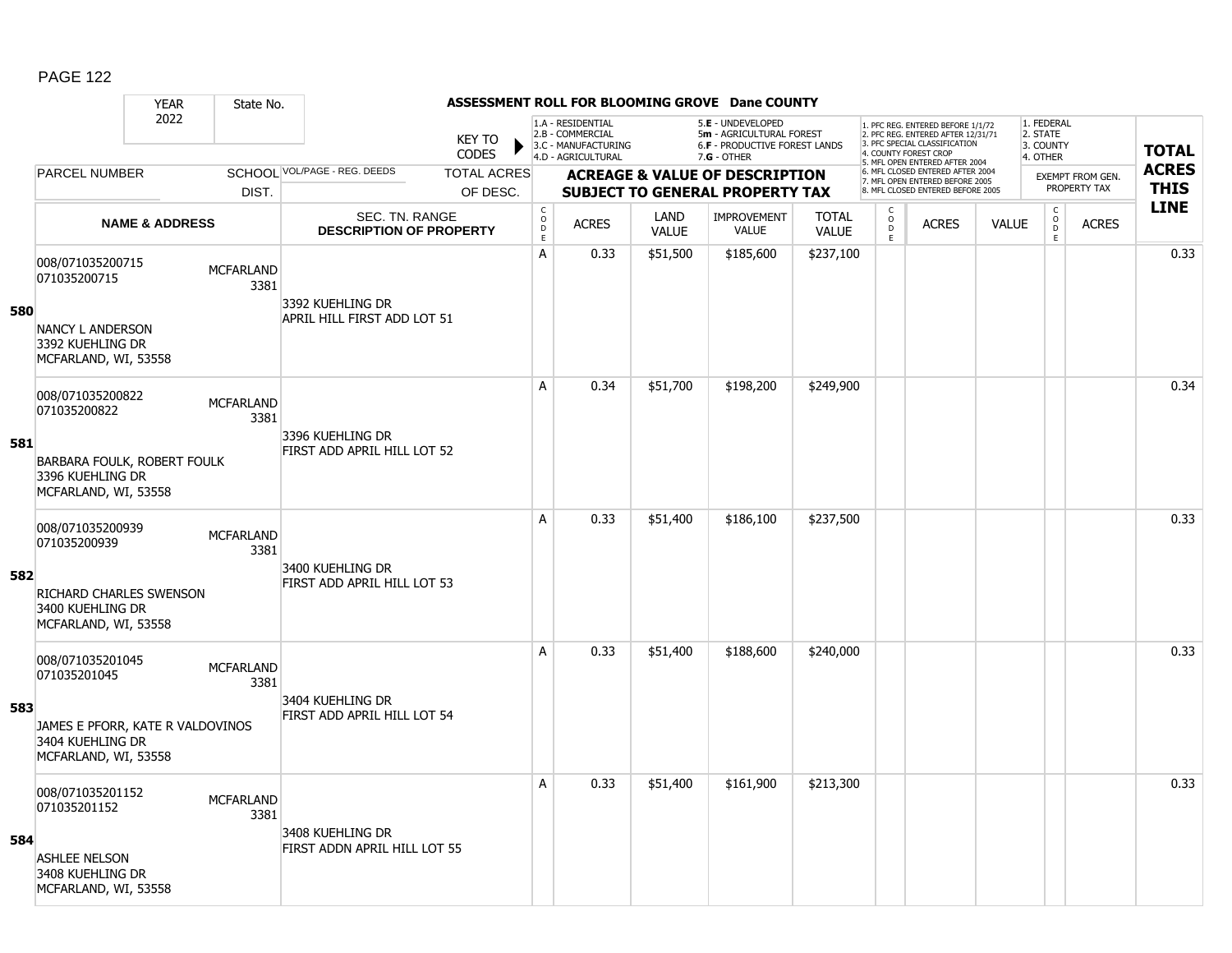### YEAR State No. **ASSESSMENT ROLL FOR BLOOMING GROVE Dane COUNTY** 2022 KEY TO **CODES** 1. PFC REG. ENTERED BEFORE 1/1/72 2. PFC REG. ENTERED AFTER 12/31/71 3. PFC SPECIAL CLASSIFICATION 4. COUNTY FOREST CROP 5. MFL OPEN ENTERED AFTER 2004 6. MFL CLOSED ENTERED AFTER 2004 7. MFL OPEN ENTERED BEFORE 2005 8. MFL CLOSED ENTERED BEFORE 2005 1. FEDERAL 2. STATE 3. COUNTY 4. OTHER **ACREAGE & VALUE OF DESCRIPTION SUBJECT TO GENERAL PROPERTY TAX** EXEMPT FROM GEN. PROPERTY TAX **TOTAL ACRES THIS LINE** 1.A - RESIDENTIAL 2.B - COMMERCIAL 3.C - MANUFACTURING 4.D - AGRICULTURAL 5.**E** - UNDEVELOPED 5**m** - AGRICULTURAL FOREST 6.**F** - PRODUCTIVE FOREST LANDS 7.**G** - OTHER TOTAL ACRES OF DESC. SCHOOL VOL/PAGE - REG. DEEDS DIST. PARCEL NUMBER ACRES C O D E ACRES VALUE  $\mathsf{C}$ O  $\overline{D}$ E TOTAL VALUE IMPROVEMENT VALUE LAND ACRES | VALUE C O  $\overline{D}$ E SEC. TN. RANGE **DESCRIPTION OF PROPERTY NAME & ADDRESS 580** 008/071035200715 000/071035200713<br>071035200715 MCFARLAND 3381 NANCY L ANDERSON 3392 KUEHLING DR MCFARLAND, WI, 53558 3392 KUEHLING DR APRIL HILL FIRST ADD LOT 51 A 0.33 \$51,500 \$185,600 \$237,100 distance the contract of the contract of the contract of the contract of the c **581** 008/071035200822 006/071033200622 MCFARLAND 3381 BARBARA FOULK, ROBERT FOULK 3396 KUEHLING DR MCFARLAND, WI, 53558 3396 KUEHLING DR FIRST ADD APRIL HILL LOT 52 A | 0.34 | \$51,700 | \$198,200 | \$249,900 | | | | | | | | | | | | 0.34 **582** 008/071035200939 000/071033200939 MCFARLAND 3381 RICHARD CHARLES SWENSON 3400 KUEHLING DR MCFARLAND, WI, 53558 3400 KUEHLING DR FIRST ADD APRIL HILL LOT 53 A 0.33 \$51,400 \$186,100 \$237,500 discussed by the 10.33 \$51,400 \$186,100 \$237,500 **583** 008/071035201045 000/071033201043<br>071035201045 MCFARLAND 3381 JAMES E PFORR, KATE R VALDOVINOS 3404 KUEHLING DR MCFARLAND, WI, 53558 3404 KUEHLING DR FIRST ADD APRIL HILL LOT 54 A 0.33 \$51,400 \$188,600 \$240,000 distance the contract of the contract of the contract of the contract of the c **584** 008/071035201152 000/071035201132 MCFARLAND 3381 ASHLEE NELSON 3408 KUEHLING DR MCFARLAND, WI, 53558 3408 KUEHLING DR FIRST ADDN APRIL HILL LOT 55 A 0.33 \$51,400 \$161,900 \$213,300 discussed by the 1 0.33 \$51,400 \$161,900 \$213,300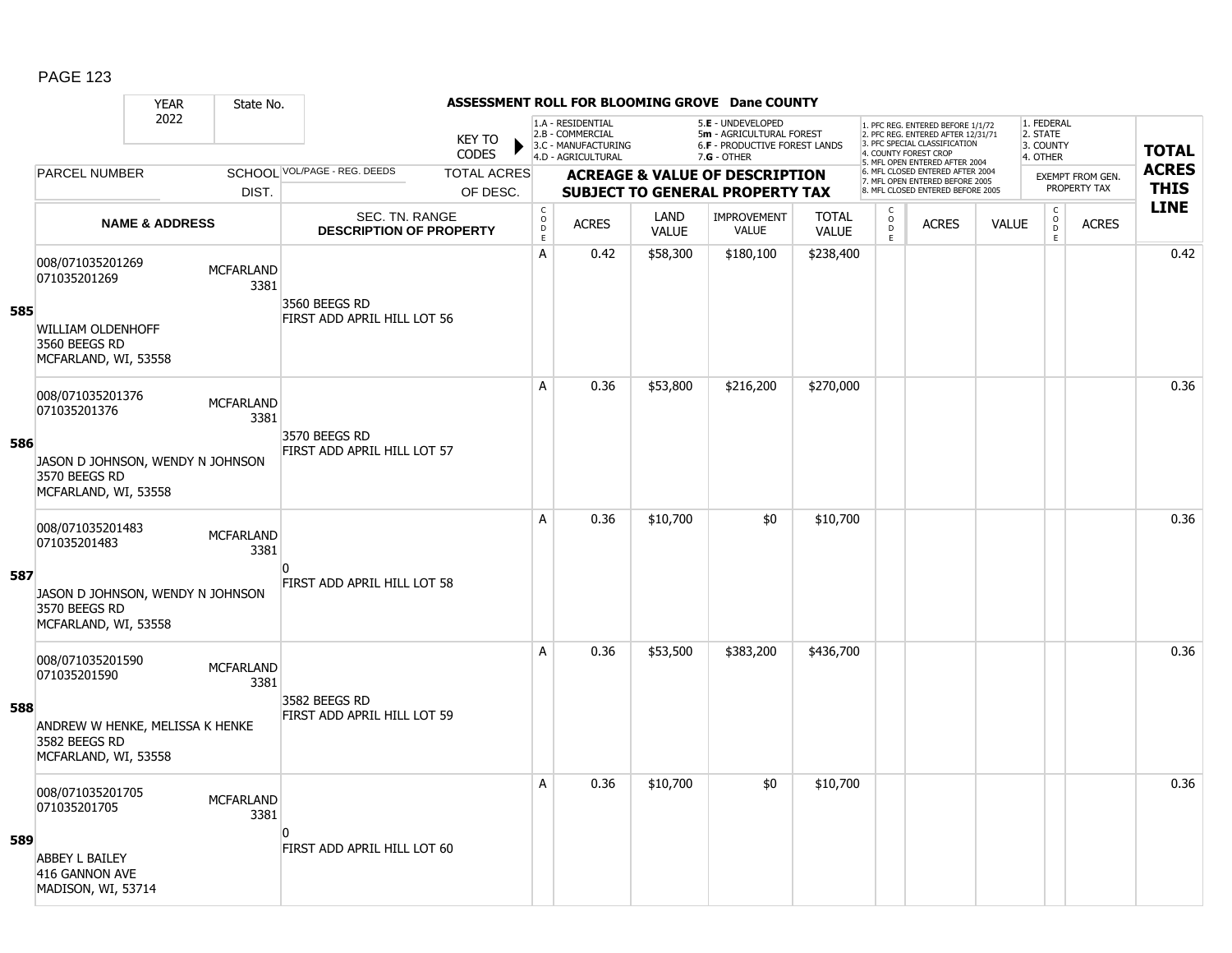### YEAR State No. **ASSESSMENT ROLL FOR BLOOMING GROVE Dane COUNTY** 2022 KEY TO **CODES** 1. PFC REG. ENTERED BEFORE 1/1/72 2. PFC REG. ENTERED AFTER 12/31/71 3. PFC SPECIAL CLASSIFICATION 4. COUNTY FOREST CROP 5. MFL OPEN ENTERED AFTER 2004 6. MFL CLOSED ENTERED AFTER 2004 7. MFL OPEN ENTERED BEFORE 2005 8. MFL CLOSED ENTERED BEFORE 2005 1. FEDERAL 2. STATE 3. COUNTY 4. OTHER **ACREAGE & VALUE OF DESCRIPTION SUBJECT TO GENERAL PROPERTY TAX** EXEMPT FROM GEN. PROPERTY TAX **TOTAL ACRES THIS LINE** 1.A - RESIDENTIAL 2.B - COMMERCIAL 3.C - MANUFACTURING 4.D - AGRICULTURAL 5.**E** - UNDEVELOPED 5**m** - AGRICULTURAL FOREST 6.**F** - PRODUCTIVE FOREST LANDS 7.**G** - OTHER TOTAL ACRES OF DESC. SCHOOL VOL/PAGE - REG. DEEDS DIST. PARCEL NUMBER ACRES C O D E ACRES VALUE  $\mathsf{C}$ O  $\overline{D}$ E TOTAL VALUE IMPROVEMENT VALUE LAND ACRES | VALUE C O  $\overline{D}$ E SEC. TN. RANGE **DESCRIPTION OF PROPERTY NAME & ADDRESS 585** 008/071035201269 000/071035201209 MCFARLAND 3381 WILLIAM OLDENHOFF 3560 BEEGS RD MCFARLAND, WI, 53558 3560 BEEGS RD FIRST ADD APRIL HILL LOT 56 A 0.42 \$58,300 \$180,100 \$238,400 distance the set of the set of the set of the set of the set of the set of th **586** 008/071035201376 006/071033201376 MCFARLAND 3381 JASON D JOHNSON, WENDY N JOHNSON 3570 BEEGS RD MCFARLAND, WI, 53558 3570 BEEGS RD FIRST ADD APRIL HILL LOT 57 A | 0.36 | \$53,800 | \$216,200 | \$270,000 | | | | | | | | | | | | 0.36 **587** 008/071035201483 000/071033201<del>1</del>03<br>071035201483 MCFARLAND 3381 JASON D JOHNSON, WENDY N JOHNSON 3570 BEEGS RD MCFARLAND, WI, 53558  $\overline{0}$ FIRST ADD APRIL HILL LOT 58 A 0.36 \$10,700 \$0 \$10,700 distance the set of the set of the set of the set of th **588** 008/071035201590 0000071033201350<br>071035201590 MCFARLAND 3381 ANDREW W HENKE, MELISSA K HENKE 3582 BEEGS RD MCFARLAND, WI, 53558 3582 BEEGS RD FIRST ADD APRIL HILL LOT 59 A | 0.36 | \$53,500 | \$383,200 | \$436,700 | | | | | | | | | | | 0.36 **589** 008/071035201705 000/071035201703<br>071035201705 MCFARLAND 3381 ABBEY L BAILEY 416 GANNON AVE MADISON, WI, 53714  $\Omega$ FIRST ADD APRIL HILL LOT 60 A 0.36 \$10,700 \$0 \$10,700 distance the contract of the set of the set of the set of the set of the set of the s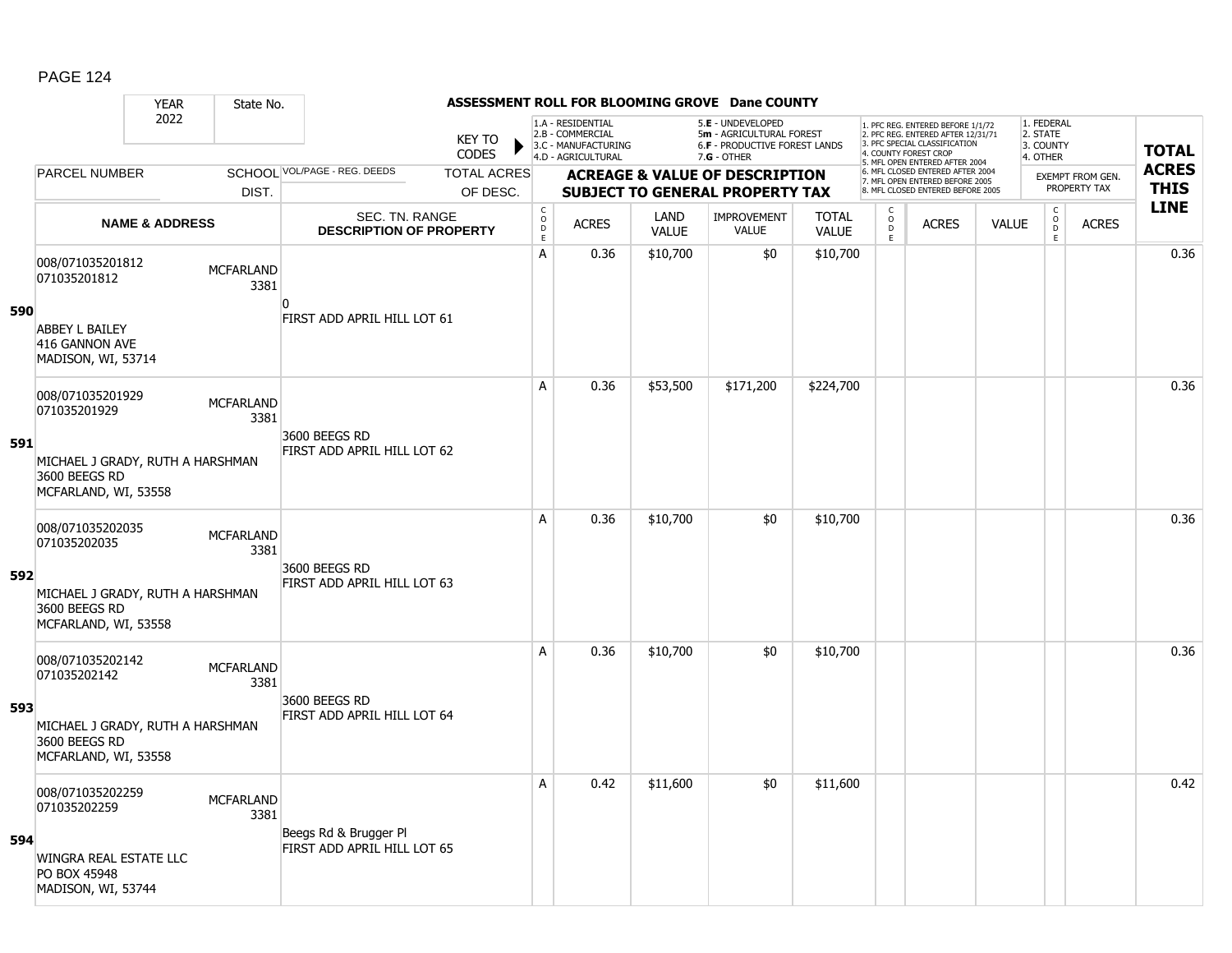### YEAR State No. **ASSESSMENT ROLL FOR BLOOMING GROVE Dane COUNTY** 2022 KEY TO **CODES** 1. PFC REG. ENTERED BEFORE 1/1/72 2. PFC REG. ENTERED AFTER 12/31/71 3. PFC SPECIAL CLASSIFICATION 4. COUNTY FOREST CROP 5. MFL OPEN ENTERED AFTER 2004 6. MFL CLOSED ENTERED AFTER 2004 7. MFL OPEN ENTERED BEFORE 2005 8. MFL CLOSED ENTERED BEFORE 2005 1. FEDERAL 2. STATE 3. COUNTY 4. OTHER **ACREAGE & VALUE OF DESCRIPTION SUBJECT TO GENERAL PROPERTY TAX** EXEMPT FROM GEN. PROPERTY TAX **TOTAL ACRES THIS LINE** 1.A - RESIDENTIAL 2.B - COMMERCIAL 3.C - MANUFACTURING 4.D - AGRICULTURAL 5.**E** - UNDEVELOPED 5**m** - AGRICULTURAL FOREST 6.**F** - PRODUCTIVE FOREST LANDS 7.**G** - OTHER TOTAL ACRES OF DESC. SCHOOL VOL/PAGE - REG. DEEDS DIST. PARCEL NUMBER ACRES C O D E ACRES VALUE  $\mathsf{C}$ O  $\overline{D}$ E TOTAL VALUE IMPROVEMENT VALUE LAND ACRES | VALUE C O  $\overline{D}$ E SEC. TN. RANGE **DESCRIPTION OF PROPERTY NAME & ADDRESS 590** 008/071035201812 000/071035201012<br>071035201812 MCFARLAND 3381 ABBEY L BAILEY 416 GANNON AVE MADISON, WI, 53714  $\Omega$ FIRST ADD APRIL HILL LOT 61 A 0.36 \$10,700 \$0 \$10,700 distance the set of the set of the set of the set of th **591** 008/071035201929 006/071033201929 MCFARLAND 3381 MICHAEL J GRADY, RUTH A HARSHMAN 3600 BEEGS RD MCFARLAND, WI, 53558 3600 BEEGS RD FIRST ADD APRIL HILL LOT 62 A | 0.36 | \$53,500 | \$171,200 | \$224,700 | | | | | | | | | | | 0.36 **592** 008/071035202035 000/071033202033<br>071035202035 3381 MICHAEL J GRADY, RUTH A HARSHMAN 3600 BEEGS RD MCFARLAND, WI, 53558 3600 BEEGS RD FIRST ADD APRIL HILL LOT 63 A 0.36 \$10,700 \$0 \$10,700 distance the set of the set of the set of the set of th **593** 008/071035202142 000/071033202142 MCFARLAND 3381 MICHAEL J GRADY, RUTH A HARSHMAN 3600 BEEGS RD MCFARLAND, WI, 53558 3600 BEEGS RD FIRST ADD APRIL HILL LOT 64 A 0.36 \$10,700 \$0 \$10,700 distance the set of the set of the set of the set of th **594** 008/071035202259 000/071033202253<br>071035202259 MCFARLAND 3381 WINGRA REAL ESTATE LLC PO BOX 45948 MADISON, WI, 53744 Beegs Rd & Brugger Pl FIRST ADD APRIL HILL LOT 65  $\mathsf{A} \quad \quad \mathsf{0.42} \quad \mathsf{\$11,600} \quad \quad \mathsf{\$0} \quad \quad \mathsf{\$11,600} \quad \quad \mid \quad \quad \quad \quad \quad \mathsf{0.42}$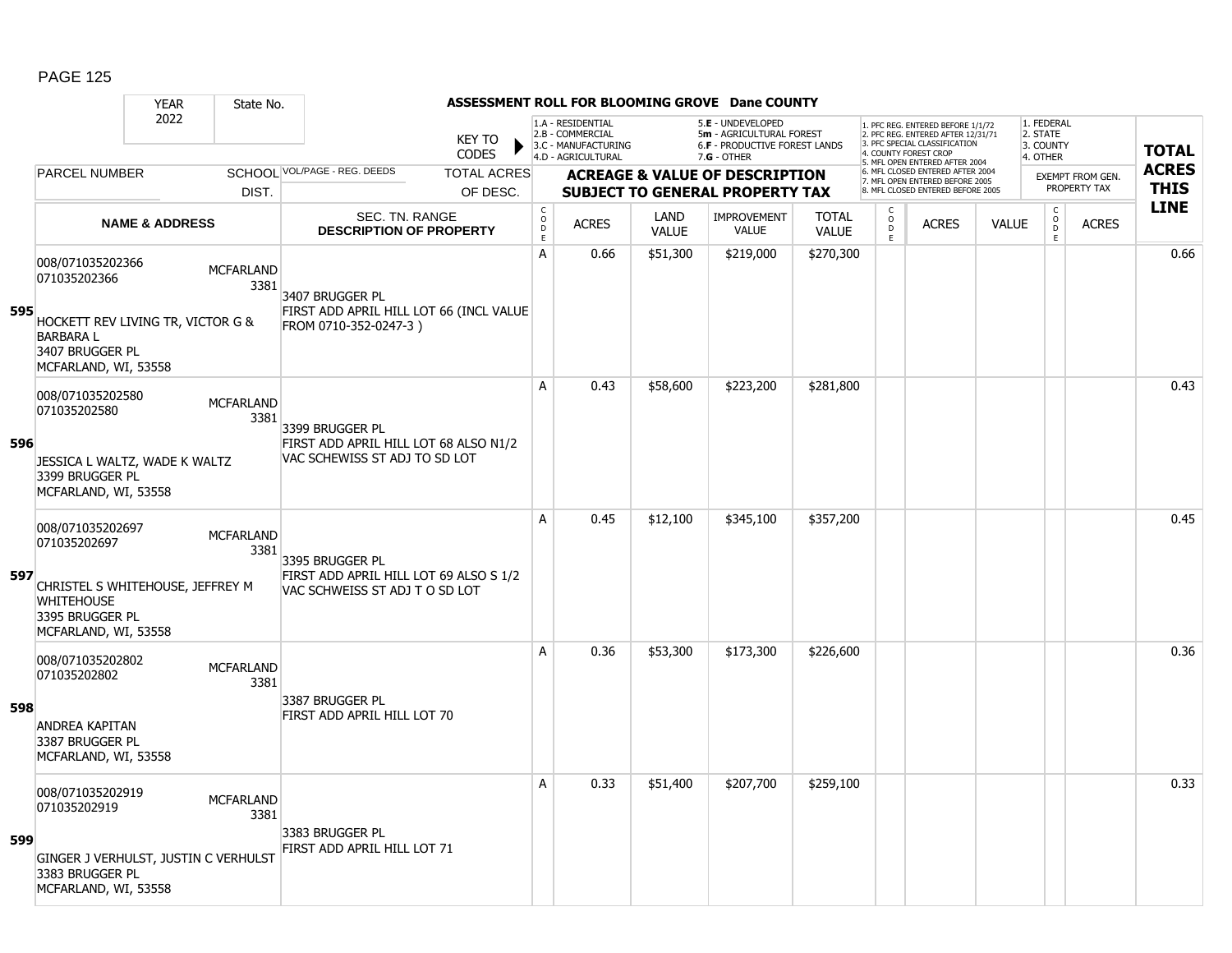|     |                                                                                                  | <b>YEAR</b>               | State No.                |                                                                          |                    |                                            |                                                              |                             | ASSESSMENT ROLL FOR BLOOMING GROVE Dane COUNTY                                        |                              |                                            |                                                                                                          |              |                                              |                  |              |
|-----|--------------------------------------------------------------------------------------------------|---------------------------|--------------------------|--------------------------------------------------------------------------|--------------------|--------------------------------------------|--------------------------------------------------------------|-----------------------------|---------------------------------------------------------------------------------------|------------------------------|--------------------------------------------|----------------------------------------------------------------------------------------------------------|--------------|----------------------------------------------|------------------|--------------|
|     |                                                                                                  | 2022                      |                          |                                                                          | <b>KEY TO</b>      |                                            | 1.A - RESIDENTIAL<br>2.B - COMMERCIAL<br>3.C - MANUFACTURING |                             | 5.E - UNDEVELOPED<br>5m - AGRICULTURAL FOREST<br><b>6.F - PRODUCTIVE FOREST LANDS</b> |                              |                                            | 1. PFC REG. ENTERED BEFORE 1/1/72<br>2. PFC REG. ENTERED AFTER 12/31/71<br>3. PFC SPECIAL CLASSIFICATION |              | 1. FEDERAL<br>2. STATE<br>3. COUNTY          |                  | <b>TOTAL</b> |
|     |                                                                                                  |                           |                          |                                                                          | <b>CODES</b>       |                                            | 4.D - AGRICULTURAL                                           |                             | $7.G - OTHER$                                                                         |                              |                                            | 4. COUNTY FOREST CROP<br>5. MFL OPEN ENTERED AFTER 2004                                                  |              | 4. OTHER                                     |                  |              |
|     | <b>PARCEL NUMBER</b>                                                                             |                           |                          | SCHOOL VOL/PAGE - REG. DEEDS                                             | <b>TOTAL ACRES</b> |                                            |                                                              |                             | <b>ACREAGE &amp; VALUE OF DESCRIPTION</b>                                             |                              |                                            | 6. MFL CLOSED ENTERED AFTER 2004<br>7. MFL OPEN ENTERED BEFORE 2005                                      |              |                                              | EXEMPT FROM GEN. | <b>ACRES</b> |
|     |                                                                                                  |                           | DIST.                    |                                                                          | OF DESC.           |                                            |                                                              |                             | <b>SUBJECT TO GENERAL PROPERTY TAX</b>                                                |                              |                                            | 8. MFL CLOSED ENTERED BEFORE 2005                                                                        |              |                                              | PROPERTY TAX     | <b>THIS</b>  |
|     |                                                                                                  | <b>NAME &amp; ADDRESS</b> |                          | SEC. TN. RANGE<br><b>DESCRIPTION OF PROPERTY</b>                         |                    | $\mathsf C$<br>$\circ$<br>D<br>$\mathsf E$ | <b>ACRES</b>                                                 | <b>LAND</b><br><b>VALUE</b> | <b>IMPROVEMENT</b><br><b>VALUE</b>                                                    | <b>TOTAL</b><br><b>VALUE</b> | $\mathsf C$<br>$\circ$<br>$\mathsf D$<br>E | <b>ACRES</b>                                                                                             | <b>VALUE</b> | $\mathsf C$<br>$\overline{0}$<br>$\mathsf E$ | <b>ACRES</b>     | <b>LINE</b>  |
| 595 | 008/071035202366<br>071035202366<br>HOCKETT REV LIVING TR, VICTOR G &                            |                           | <b>MCFARLAND</b><br>3381 | 3407 BRUGGER PL<br>FIRST ADD APRIL HILL LOT 66 (INCL VALUE               |                    | A                                          | 0.66                                                         | \$51,300                    | \$219,000                                                                             | \$270,300                    |                                            |                                                                                                          |              |                                              |                  | 0.66         |
|     | <b>BARBARAL</b><br>3407 BRUGGER PL<br>MCFARLAND, WI, 53558                                       |                           |                          | FROM 0710-352-0247-3)                                                    |                    |                                            |                                                              |                             |                                                                                       |                              |                                            |                                                                                                          |              |                                              |                  |              |
|     | 008/071035202580<br>071035202580                                                                 |                           | <b>MCFARLAND</b><br>3381 | 3399 BRUGGER PL                                                          |                    | A                                          | 0.43                                                         | \$58,600                    | \$223,200                                                                             | \$281,800                    |                                            |                                                                                                          |              |                                              |                  | 0.43         |
| 596 | JESSICA L WALTZ, WADE K WALTZ<br>3399 BRUGGER PL<br>MCFARLAND, WI, 53558                         |                           |                          | FIRST ADD APRIL HILL LOT 68 ALSO N1/2<br>VAC SCHEWISS ST ADJ TO SD LOT   |                    |                                            |                                                              |                             |                                                                                       |                              |                                            |                                                                                                          |              |                                              |                  |              |
|     | 008/071035202697<br>071035202697                                                                 |                           | <b>MCFARLAND</b><br>3381 | 3395 BRUGGER PL                                                          |                    | A                                          | 0.45                                                         | \$12,100                    | \$345,100                                                                             | \$357,200                    |                                            |                                                                                                          |              |                                              |                  | 0.45         |
| 597 | CHRISTEL S WHITEHOUSE, JEFFREY M<br><b>WHITEHOUSE</b><br>3395 BRUGGER PL<br>MCFARLAND, WI, 53558 |                           |                          | FIRST ADD APRIL HILL LOT 69 ALSO S 1/2<br>VAC SCHWEISS ST ADJ T O SD LOT |                    |                                            |                                                              |                             |                                                                                       |                              |                                            |                                                                                                          |              |                                              |                  |              |
|     | 008/071035202802<br>071035202802                                                                 |                           | <b>MCFARLAND</b><br>3381 |                                                                          |                    | A                                          | 0.36                                                         | \$53,300                    | \$173,300                                                                             | \$226,600                    |                                            |                                                                                                          |              |                                              |                  | 0.36         |
| 598 | <b>ANDREA KAPITAN</b><br>3387 BRUGGER PL<br>MCFARLAND, WI, 53558                                 |                           |                          | 3387 BRUGGER PL<br>FIRST ADD APRIL HILL LOT 70                           |                    |                                            |                                                              |                             |                                                                                       |                              |                                            |                                                                                                          |              |                                              |                  |              |
|     | 008/071035202919<br>071035202919                                                                 |                           | <b>MCFARLAND</b><br>3381 |                                                                          |                    | A                                          | 0.33                                                         | \$51,400                    | \$207,700                                                                             | \$259,100                    |                                            |                                                                                                          |              |                                              |                  | 0.33         |
| 599 | GINGER J VERHULST, JUSTIN C VERHULST<br>3383 BRUGGER PL<br>MCFARLAND, WI, 53558                  |                           |                          | 3383 BRUGGER PL<br>FIRST ADD APRIL HILL LOT 71                           |                    |                                            |                                                              |                             |                                                                                       |                              |                                            |                                                                                                          |              |                                              |                  |              |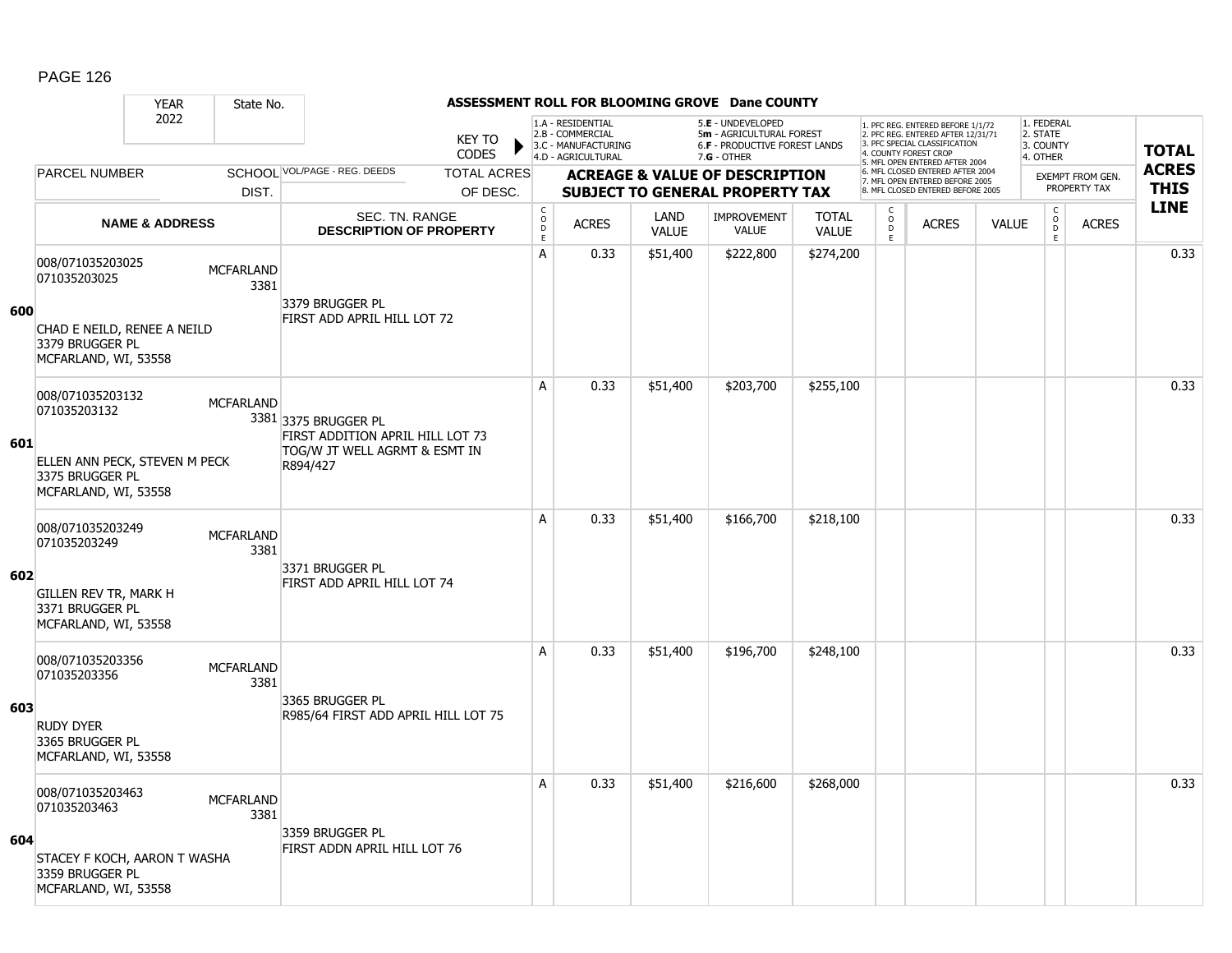### YEAR State No. **ASSESSMENT ROLL FOR BLOOMING GROVE Dane COUNTY** 2022 KEY TO **CODES** 1. PFC REG. ENTERED BEFORE 1/1/72 2. PFC REG. ENTERED AFTER 12/31/71 3. PFC SPECIAL CLASSIFICATION 4. COUNTY FOREST CROP 5. MFL OPEN ENTERED AFTER 2004 6. MFL CLOSED ENTERED AFTER 2004 7. MFL OPEN ENTERED BEFORE 2005 8. MFL CLOSED ENTERED BEFORE 2005 1. FEDERAL 2. STATE 3. COUNTY 4. OTHER **ACREAGE & VALUE OF DESCRIPTION SUBJECT TO GENERAL PROPERTY TAX** EXEMPT FROM GEN. PROPERTY TAX **TOTAL ACRES THIS LINE** 1.A - RESIDENTIAL 2.B - COMMERCIAL 3.C - MANUFACTURING 4.D - AGRICULTURAL 5.**E** - UNDEVELOPED 5**m** - AGRICULTURAL FOREST 6.**F** - PRODUCTIVE FOREST LANDS 7.**G** - OTHER TOTAL ACRES OF DESC. SCHOOL VOL/PAGE - REG. DEEDS DIST. PARCEL NUMBER ACRES C O D E ACRES VALUE  $\mathsf{C}$ O  $\overline{D}$ E TOTAL VALUE IMPROVEMENT VALUE LAND ACRES | VALUE C O  $\overline{D}$ E SEC. TN. RANGE **DESCRIPTION OF PROPERTY NAME & ADDRESS 600** 008/071035203025 000/071033203023<br>071035203025 MCFARLAND 3381 CHAD E NEILD, RENEE A NEILD 3379 BRUGGER PL MCFARLAND, WI, 53558 3379 BRUGGER PL FIRST ADD APRIL HILL LOT 72 A 0.33 \$51,400 \$222,800 \$274,200 distance the control of the control of the control of the control o **601** 008/071035203132 006/071033203132 MCFARLAND 3381 3375 BRUGGER PL ELLEN ANN PECK, STEVEN M PECK 3375 BRUGGER PL MCFARLAND, WI, 53558 FIRST ADDITION APRIL HILL LOT 73 TOG/W JT WELL AGRMT & ESMT IN R894/427 A 0.33 \$51,400 \$203,700 \$255,100 distance the contract of the contract of the contract of the contract of the c **602** 008/071035203249 000/071033203249 MCFARLAND 3381 GILLEN REV TR, MARK H 3371 BRUGGER PL MCFARLAND, WI, 53558 3371 BRUGGER PL FIRST ADD APRIL HILL LOT 74 A 0.33 \$51,400 \$166,700 \$218,100 distance the contract of the contract of the contract of the contract of the c **603** 008/071035203356 000/071033203356 MCFARLAND 3381 RUDY DYER 3365 BRUGGER PL MCFARLAND, WI, 53558 3365 BRUGGER PL R985/64 FIRST ADD APRIL HILL LOT 75 A 0.33 \$51,400 \$196,700 \$248,100 distance the contract of the contract of the contract of the contract of the c **604** 008/071035203463 000/071035203463 MCFARLAND 3381 STACEY F KOCH, AARON T WASHA 3359 BRUGGER PL MCFARLAND, WI, 53558 3359 BRUGGER PL FIRST ADDN APRIL HILL LOT 76 A 0.33 \$51,400 \$216,600 \$268,000 discussed by 1.0.33 \$51,400 \$216,600 \$268,000 d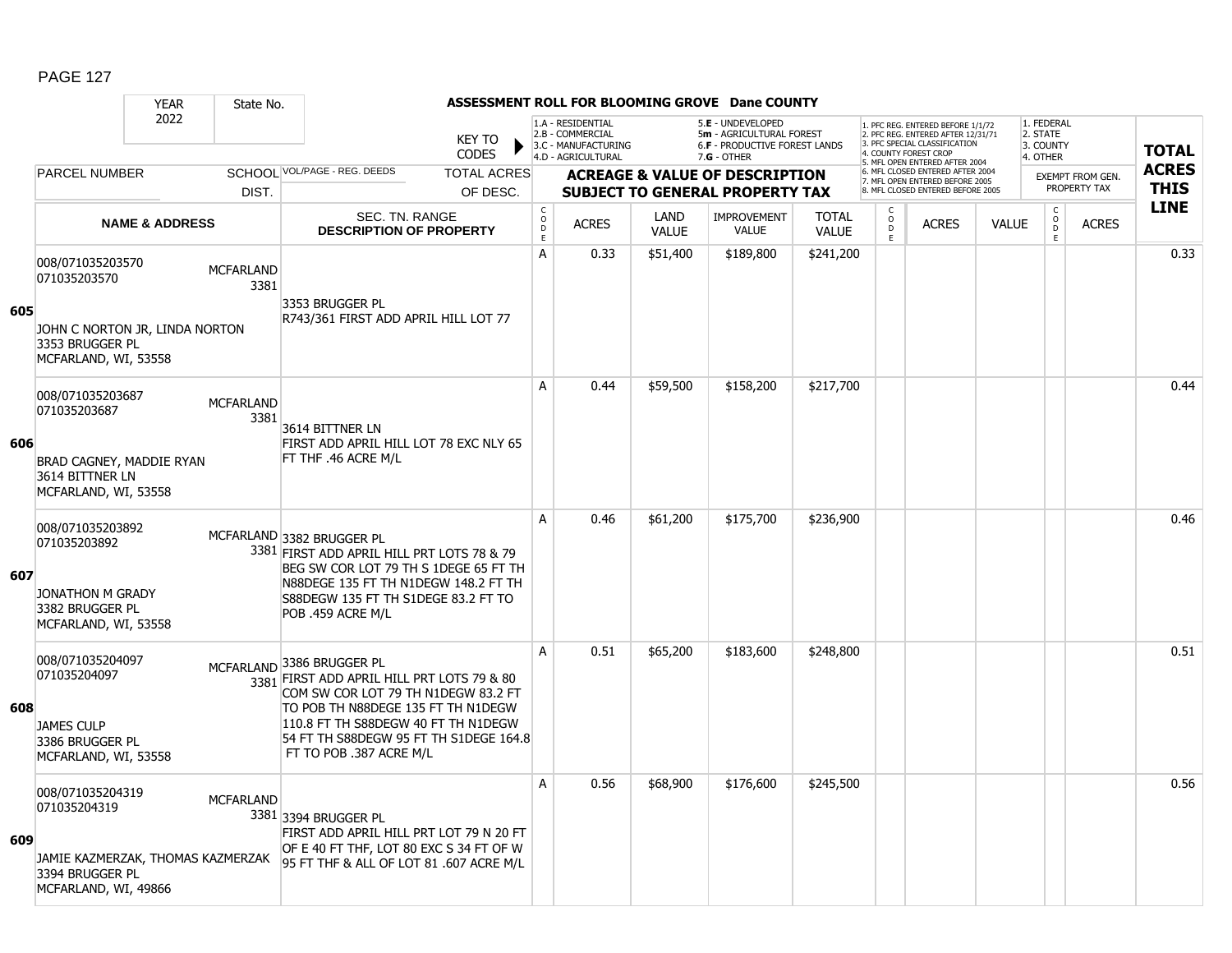#### YEAR State No. **ASSESSMENT ROLL FOR BLOOMING GROVE Dane COUNTY** 2022 KEY TO **CODES** 1. PFC REG. ENTERED BEFORE 1/1/72 2. PFC REG. ENTERED AFTER 12/31/71 3. PFC SPECIAL CLASSIFICATION 4. COUNTY FOREST CROP 5. MFL OPEN ENTERED AFTER 2004 6. MFL CLOSED ENTERED AFTER 2004 7. MFL OPEN ENTERED BEFORE 2005 8. MFL CLOSED ENTERED BEFORE 2005 1. FEDERAL 2. STATE 3. COUNTY 4. OTHER **ACREAGE & VALUE OF DESCRIPTION SUBJECT TO GENERAL PROPERTY TAX** EXEMPT FROM GEN. PROPERTY TAX **TOTAL ACRES THIS LINE** 1.A - RESIDENTIAL 2.B - COMMERCIAL 3.C - MANUFACTURING 4.D - AGRICULTURAL 5.**E** - UNDEVELOPED 5**m** - AGRICULTURAL FOREST 6.**F** - PRODUCTIVE FOREST LANDS 7.**G** - OTHER TOTAL ACRES OF DESC. SCHOOL VOL/PAGE - REG. DEEDS DIST. PARCEL NUMBER ACRES C O  $\overline{D}$ E ACRES VALUE  $\mathsf{C}$ O  $\overline{D}$ E TOTAL VALUE IMPROVEMENT VALUE LAND ACRES | VALUE C O  $\overline{D}$ E SEC. TN. RANGE **DESCRIPTION OF PROPERTY NAME & ADDRESS 605** 008/071035203570 000/071035203570<br>071035203570 MCFARLAND 3381 JOHN C NORTON JR, LINDA NORTON 3353 BRUGGER PL MCFARLAND, WI, 53558 3353 BRUGGER PL R743/361 FIRST ADD APRIL HILL LOT 77 A 0.33 \$51,400 \$189,800 \$241,200 distance the control of the control of the control of the control of the contr **606** 008/071035203687 006/071033203067 MCFARLAND 3381 BRAD CAGNEY, MADDIE RYAN 3614 BITTNER LN MCFARLAND, WI, 53558 3614 BITTNER LN FIRST ADD APRIL HILL LOT 78 EXC NLY 65 FT THF .46 ACRE M/L A 0.44 \$59,500 \$158,200 \$217,700 distance the contract of the contract of the contract of the contract of the c **607** 008/071035203892 071035203892 3381 FIRST ADD APRIL HILL PRT LOTS 78 & 79 JONATHON M GRADY 3382 BRUGGER PL MCFARLAND, WI, 53558 MCFARLAND 3382 BRUGGER PL BEG SW COR LOT 79 TH S 1DEGE 65 FT TH N88DEGE 135 FT TH N1DEGW 148.2 FT TH S88DEGW 135 FT TH S1DEGE 83.2 FT TO POB .459 ACRE M/L A 0.46 \$61,200 \$175,700 \$236,900 distance the control of the control of the control of the control of the contr **608** 008/071035204097 071035204097 3381 FIRST ADD APRIL HILL PRT LOTS 79 & 80 JAMES CULP 3386 BRUGGER PL MCFARLAND, WI, 53558 MCFARLAND 3386 BRUGGER PL COM SW COR LOT 79 TH N1DEGW 83.2 FT TO POB TH N88DEGE 135 FT TH N1DEGW 110.8 FT TH S88DEGW 40 FT TH N1DEGW 54 FT TH S88DEGW 95 FT TH S1DEGE 164.8 FT TO POB .387 ACRE M/L A 0.51 \$65,200 \$183,600 \$248,800 distance the set of the set of the set of the set of the set of the set of th **609** 008/071035204319 000/071033204319 MCFARLAND 3381 3394 BRUGGER PL JAMIE KAZMERZAK, THOMAS KAZMERZAK 3394 BRUGGER PL MCFARLAND, WI, 49866 FIRST ADD APRIL HILL PRT LOT 79 N 20 FT OF E 40 FT THF, LOT 80 EXC S 34 FT OF W 95 FT THF & ALL OF LOT 81 .607 ACRE M/L A 0.56 \$68,900 \$176,600 \$245,500 distance the control of the control of the control of the control of the contr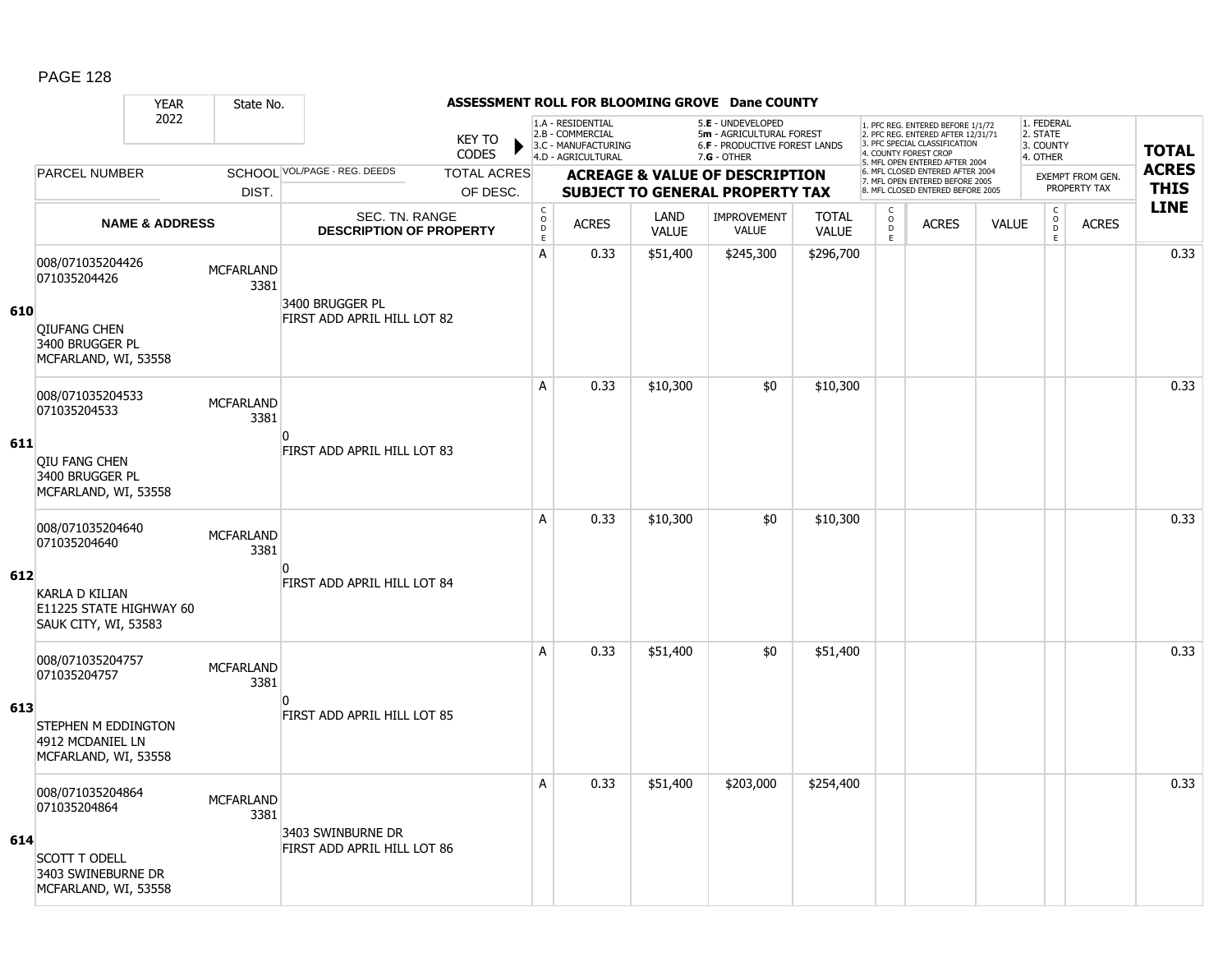### YEAR State No. **ASSESSMENT ROLL FOR BLOOMING GROVE Dane COUNTY** 2022 KEY TO **CODES** 1. PFC REG. ENTERED BEFORE 1/1/72 2. PFC REG. ENTERED AFTER 12/31/71 3. PFC SPECIAL CLASSIFICATION 4. COUNTY FOREST CROP 5. MFL OPEN ENTERED AFTER 2004 6. MFL CLOSED ENTERED AFTER 2004 7. MFL OPEN ENTERED BEFORE 2005 8. MFL CLOSED ENTERED BEFORE 2005 1. FEDERAL 2. STATE 3. COUNTY 4. OTHER **ACREAGE & VALUE OF DESCRIPTION SUBJECT TO GENERAL PROPERTY TAX** EXEMPT FROM GEN. PROPERTY TAX **TOTAL ACRES THIS LINE** 1.A - RESIDENTIAL 2.B - COMMERCIAL 3.C - MANUFACTURING 4.D - AGRICULTURAL 5.**E** - UNDEVELOPED 5**m** - AGRICULTURAL FOREST 6.**F** - PRODUCTIVE FOREST LANDS 7.**G** - OTHER TOTAL ACRES OF DESC. SCHOOL VOL/PAGE - REG. DEEDS DIST. PARCEL NUMBER ACRES C O D E ACRES VALUE  $\mathsf{C}$ O  $\overline{D}$ E TOTAL VALUE IMPROVEMENT VALUE LAND ACRES | VALUE C O  $\overline{D}$ E SEC. TN. RANGE **DESCRIPTION OF PROPERTY NAME & ADDRESS 610** 008/071035204426 000/071033204420<br>071035204426 3381 QIUFANG CHEN 3400 BRUGGER PL MCFARLAND, WI, 53558 3400 BRUGGER PL FIRST ADD APRIL HILL LOT 82 A 0.33 \$51,400 \$245,300 \$296,700 distance the control of the control of the control of the control of the contr **611** 008/071035204533 006/071033204333<br>071035204533 MCFARLAND 3381 QIU FANG CHEN 3400 BRUGGER PL MCFARLAND, WI, 53558  $\Omega$ FIRST ADD APRIL HILL LOT 83 A 0.33 \$10,300 \$0 \$0 \$10,300 discussed by the set of the set of the set of the set of the set of th **612** 008/071035204640 000/071033204040<br>071035204640 3381 KARLA D KILIAN E11225 STATE HIGHWAY 60 SAUK CITY, WI, 53583  $\overline{0}$ FIRST ADD APRIL HILL LOT 84 A 0.33 \$10,300 \$0 \$0 \$10,300 discussed by the set of the set of the set of the set of the set of th **613** 008/071035204757 000/071033204757 MCFARLAND 3381 STEPHEN M EDDINGTON 4912 MCDANIEL LN MCFARLAND, WI, 53558  $\overline{0}$ FIRST ADD APRIL HILL LOT 85 A 0.33 \$51,400 \$0 \$51,400 distribution of the set of the set of the set of the set of the set of the set of th **614** 008/071035204864 000/071035204864 MCFARLAND 3381 SCOTT T ODELL 3403 SWINEBURNE DR MCFARLAND, WI, 53558 3403 SWINBURNE DR FIRST ADD APRIL HILL LOT 86 A 0.33 \$51,400 \$203,000 \$254,400 distance the control or distance of the control or distance of the control or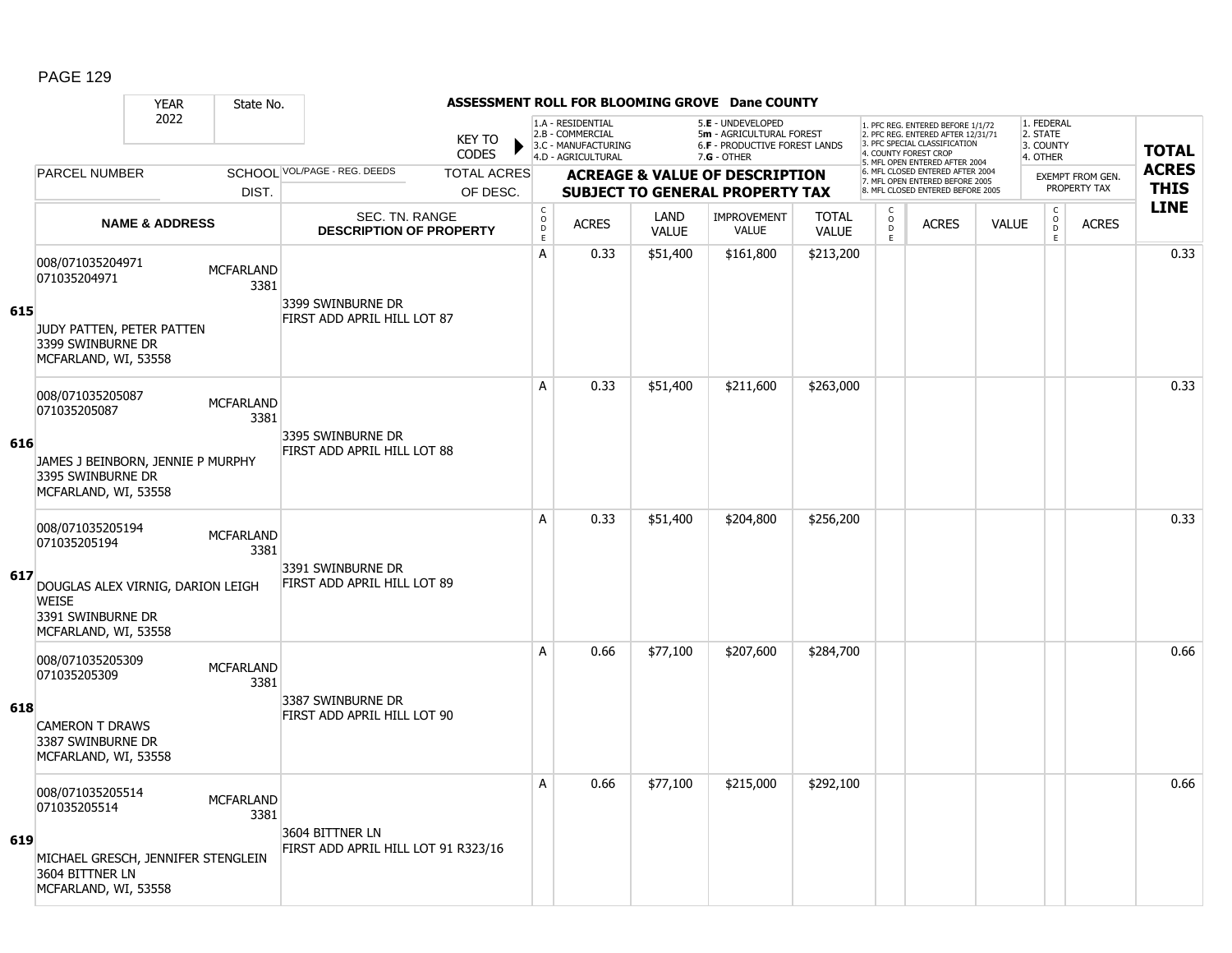### YEAR State No. **ASSESSMENT ROLL FOR BLOOMING GROVE Dane COUNTY** 2022 KEY TO **CODES** 1. PFC REG. ENTERED BEFORE 1/1/72 2. PFC REG. ENTERED AFTER 12/31/71 3. PFC SPECIAL CLASSIFICATION 4. COUNTY FOREST CROP 5. MFL OPEN ENTERED AFTER 2004 6. MFL CLOSED ENTERED AFTER 2004 7. MFL OPEN ENTERED BEFORE 2005 8. MFL CLOSED ENTERED BEFORE 2005 1. FEDERAL 2. STATE 3. COUNTY 4. OTHER **ACREAGE & VALUE OF DESCRIPTION SUBJECT TO GENERAL PROPERTY TAX** EXEMPT FROM GEN. PROPERTY TAX **TOTAL ACRES THIS LINE** 1.A - RESIDENTIAL 2.B - COMMERCIAL 3.C - MANUFACTURING 4.D - AGRICULTURAL 5.**E** - UNDEVELOPED 5**m** - AGRICULTURAL FOREST 6.**F** - PRODUCTIVE FOREST LANDS 7.**G** - OTHER TOTAL ACRES OF DESC. SCHOOL VOL/PAGE - REG. DEEDS DIST. PARCEL NUMBER ACRES C O D E ACRES VALUE  $\mathsf{C}$ O  $\overline{D}$ E TOTAL VALUE IMPROVEMENT VALUE LAND ACRES | VALUE C O  $\overline{D}$ E SEC. TN. RANGE **DESCRIPTION OF PROPERTY NAME & ADDRESS 615** 008/071035204971 000/071033204971 MCFARLAND 3381 JUDY PATTEN, PETER PATTEN 3399 SWINBURNE DR MCFARLAND, WI, 53558 3399 SWINBURNE DR FIRST ADD APRIL HILL LOT 87 A 0.33 \$51,400 \$161,800 \$213,200 distance the set of the set of the set of the set of the set of the set of th **616** 008/071035205087 006/071033203067 MCFARLAND 3381 JAMES J BEINBORN, JENNIE P MURPHY 3395 SWINBURNE DR MCFARLAND, WI, 53558 3395 SWINBURNE DR FIRST ADD APRIL HILL LOT 88 A 0.33 \$51,400 \$211,600 \$263,000 distance the contract of the contract of the contract of the contract of the c **617** 008/071035205194 000/071033203134<br>071035205194 MCFARLAND 3381 DOUGLAS ALEX VIRNIG, DARION LEIGH **WEISE** 3391 SWINBURNE DR MCFARLAND, WI, 53558 3391 SWINBURNE DR FIRST ADD APRIL HILL LOT 89 A 0.33 \$51,400 \$204,800 \$256,200 distance the control of the control of the control of the control of the contr **618** 008/071035205309 000/071035205309 MCFARLAND 3381 CAMERON T DRAWS 3387 SWINBURNE DR MCFARLAND, WI, 53558 3387 SWINBURNE DR FIRST ADD APRIL HILL LOT 90 A 0.66 \$77,100 \$207,600 \$284,700 distance the particle of the set of the set of t **619** 008/071035205514 000/071035205514 MCFARLAND 3381 MICHAEL GRESCH, JENNIFER STENGLEIN 3604 BITTNER LN MCFARLAND, WI, 53558 3604 BITTNER LN FIRST ADD APRIL HILL LOT 91 R323/16 A 0.66 \$77,100 \$215,000 \$292,100 distance the control of the control of the control of the control of the contr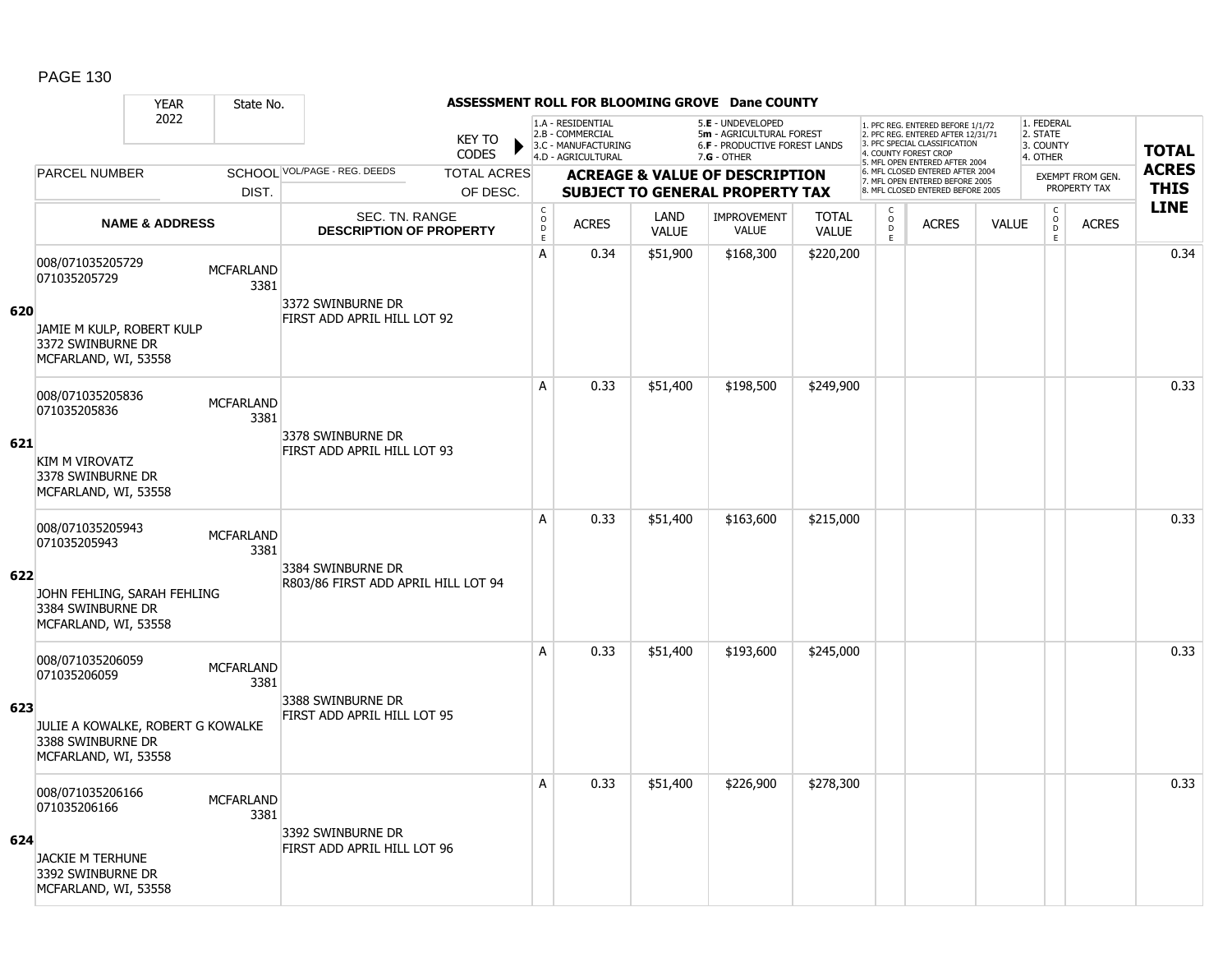### YEAR State No. **ASSESSMENT ROLL FOR BLOOMING GROVE Dane COUNTY** 2022 KEY TO **CODES** 1. PFC REG. ENTERED BEFORE 1/1/72 2. PFC REG. ENTERED AFTER 12/31/71 3. PFC SPECIAL CLASSIFICATION 4. COUNTY FOREST CROP 5. MFL OPEN ENTERED AFTER 2004 6. MFL CLOSED ENTERED AFTER 2004 7. MFL OPEN ENTERED BEFORE 2005 8. MFL CLOSED ENTERED BEFORE 2005 1. FEDERAL 2. STATE 3. COUNTY 4. OTHER **ACREAGE & VALUE OF DESCRIPTION SUBJECT TO GENERAL PROPERTY TAX** EXEMPT FROM GEN. PROPERTY TAX **TOTAL ACRES THIS LINE** 1.A - RESIDENTIAL 2.B - COMMERCIAL 3.C - MANUFACTURING 4.D - AGRICULTURAL 5.**E** - UNDEVELOPED 5**m** - AGRICULTURAL FOREST 6.**F** - PRODUCTIVE FOREST LANDS 7.**G** - OTHER TOTAL ACRES OF DESC. SCHOOL VOL/PAGE - REG. DEEDS DIST. PARCEL NUMBER ACRES C O  $\overline{D}$ E ACRES VALUE  $\mathsf{C}$ O  $\overline{D}$ E TOTAL VALUE IMPROVEMENT VALUE LAND ACRES | VALUE C O  $\overline{D}$ E SEC. TN. RANGE **DESCRIPTION OF PROPERTY NAME & ADDRESS 620** 008/071035205729 000/071035205729 MCFARLAND 3381 JAMIE M KULP, ROBERT KULP 3372 SWINBURNE DR MCFARLAND, WI, 53558 3372 SWINBURNE DR FIRST ADD APRIL HILL LOT 92 A | 0.34 | \$51,900 | \$168,300 | \$220,200 | | | | | | | | | | | | 0.34 **621** 008/071035205836 006/071033203636<br>071035205836 MCFARLAND 3381 KIM M VIROVATZ 3378 SWINBURNE DR MCFARLAND, WI, 53558 3378 SWINBURNE DR FIRST ADD APRIL HILL LOT 93 A 0.33 \$51,400 \$198,500 \$249,900 discussed by the 10.33 \$51,400 \$198,500 \$249,900 **622** 008/071035205943 000/071033203943 MCFARLAND 3381 JOHN FEHLING, SARAH FEHLING 3384 SWINBURNE DR MCFARLAND, WI, 53558 3384 SWINBURNE DR R803/86 FIRST ADD APRIL HILL LOT 94 A 0.33 \$51,400 \$163,600 \$215,000 distance the contract of the contract of the contract of the contract of the c **623** 008/071035206059 000/0710352000059 MCFARLAND 3381 JULIE A KOWALKE, ROBERT G KOWALKE 3388 SWINBURNE DR MCFARLAND, WI, 53558 3388 SWINBURNE DR FIRST ADD APRIL HILL LOT 95 A 0.33 \$51,400 \$193,600 \$245,000 distance the contract of the contract of the contract of the contract of the c **624** 008/071035206166 000/071035206166 MCFARLAND 3381 JACKIE M TERHUNE 3392 SWINBURNE DR MCFARLAND, WI, 53558 3392 SWINBURNE DR FIRST ADD APRIL HILL LOT 96 A 0.33 \$51,400 \$226,900 \$278,300 distance the control or distance of the control or distance of the control or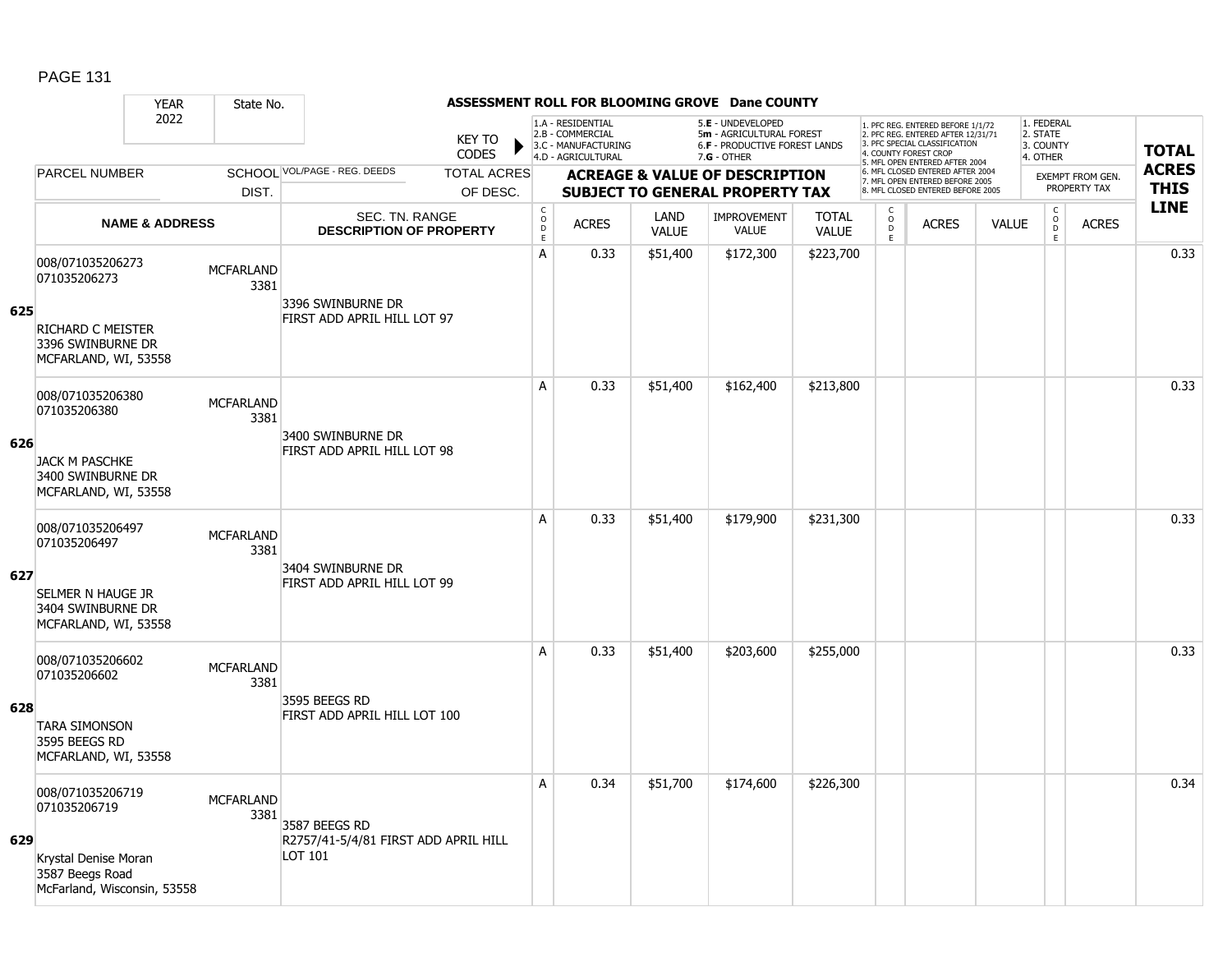### YEAR State No. **ASSESSMENT ROLL FOR BLOOMING GROVE Dane COUNTY** 2022 KEY TO **CODES** 1. PFC REG. ENTERED BEFORE 1/1/72 2. PFC REG. ENTERED AFTER 12/31/71 3. PFC SPECIAL CLASSIFICATION 4. COUNTY FOREST CROP 5. MFL OPEN ENTERED AFTER 2004 6. MFL CLOSED ENTERED AFTER 2004 7. MFL OPEN ENTERED BEFORE 2005 8. MFL CLOSED ENTERED BEFORE 2005 1. FEDERAL 2. STATE 3. COUNTY 4. OTHER **ACREAGE & VALUE OF DESCRIPTION SUBJECT TO GENERAL PROPERTY TAX** EXEMPT FROM GEN. PROPERTY TAX **TOTAL ACRES THIS LINE** 1.A - RESIDENTIAL 2.B - COMMERCIAL 3.C - MANUFACTURING 4.D - AGRICULTURAL 5.**E** - UNDEVELOPED 5**m** - AGRICULTURAL FOREST 6.**F** - PRODUCTIVE FOREST LANDS 7.**G** - OTHER TOTAL ACRES OF DESC. SCHOOL VOL/PAGE - REG. DEEDS DIST. PARCEL NUMBER ACRES C O  $\overline{D}$ E ACRES VALUE  $\mathsf{C}$ O  $\overline{D}$ E TOTAL VALUE IMPROVEMENT VALUE LAND ACRES | VALUE C O  $\overline{D}$ E SEC. TN. RANGE **DESCRIPTION OF PROPERTY NAME & ADDRESS 625** 008/071035206273 000/071035200273 MCFARLAND 3381 RICHARD C MEISTER 3396 SWINBURNE DR MCFARLAND, WI, 53558 3396 SWINBURNE DR FIRST ADD APRIL HILL LOT 97 A 0.33 \$51,400 \$172,300 \$223,700 distance the control of the control of the control of the control o **626** 008/071035206380 006/071033200360<br>071035206380 MCFARLAND 3381 JACK M PASCHKE 3400 SWINBURNE DR MCFARLAND, WI, 53558 3400 SWINBURNE DR FIRST ADD APRIL HILL LOT 98 A 0.33 \$51,400 \$162,400 \$213,800 distance the set of the set of the set of the set of the set of the set of th **627** 008/071035206497 000/071033200497 MCFARLAND 3381 SELMER N HAUGE JR 3404 SWINBURNE DR MCFARLAND, WI, 53558 3404 SWINBURNE DR FIRST ADD APRIL HILL LOT 99 A 0.33 \$51,400 \$179,900 \$231,300 distance the contract of the contract of the contract of the contract of the c **628** 008/071035206602 000/0710332000002 MCFARLAND 3381 TARA SIMONSON 3595 BEEGS RD MCFARLAND, WI, 53558 3595 BEEGS RD FIRST ADD APRIL HILL LOT 100 A 0.33 \$51,400 \$203,600 \$255,000 distance the contract of the contract of the contract of the contract of the c **629** 008/071035206719 000/071035206719 MCFARLAND 3381 Krystal Denise Moran 3587 Beegs Road McFarland, Wisconsin, 53558 3587 BEEGS RD R2757/41-5/4/81 FIRST ADD APRIL HILL LOT 101 A 0.34 \$51,700 \$174,600 \$226,300 discussed by the 10.34  $\,$  0.34  $\,$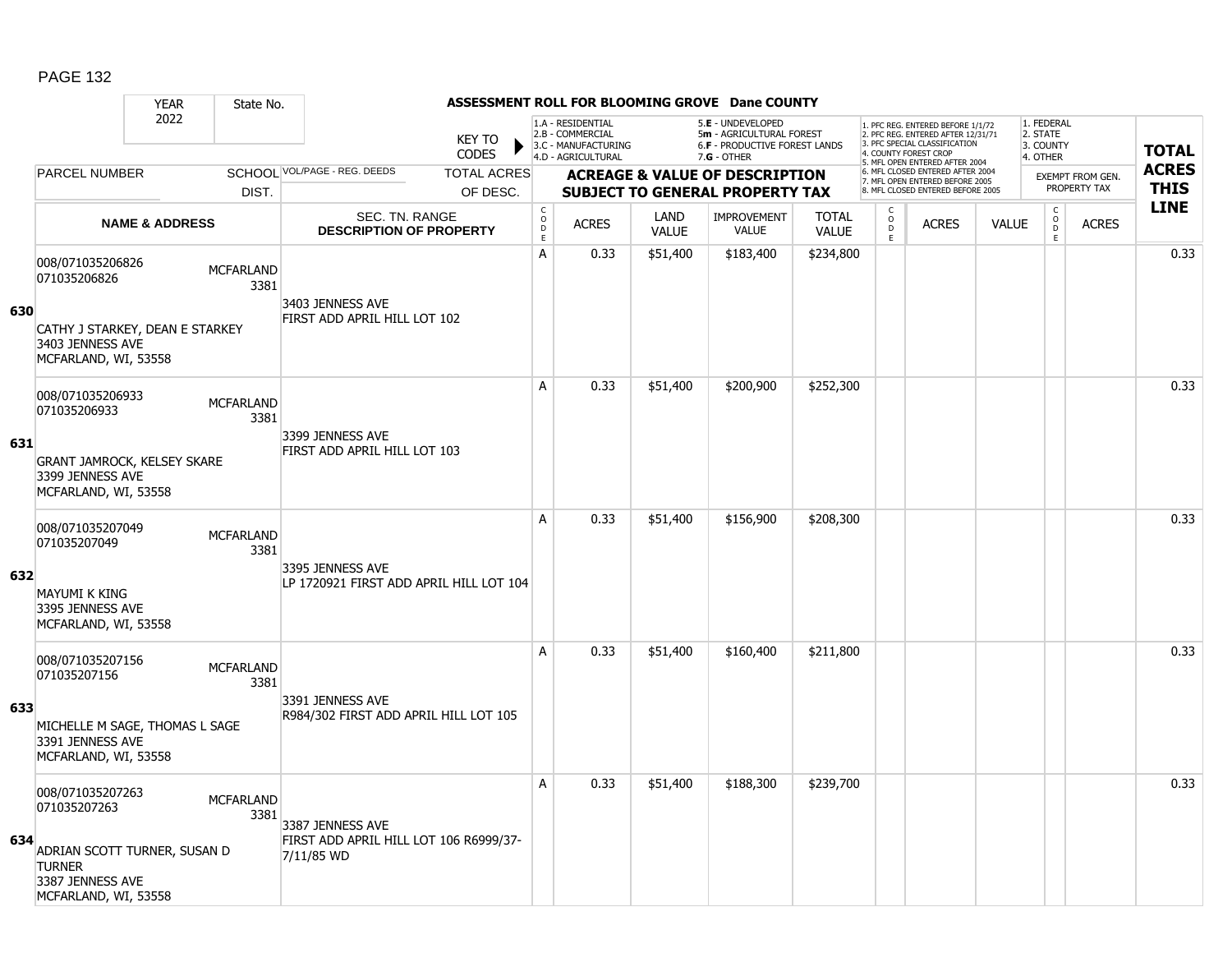#### YEAR State No. **ASSESSMENT ROLL FOR BLOOMING GROVE Dane COUNTY** 2022 KEY TO **CODES** 1. PFC REG. ENTERED BEFORE 1/1/72 2. PFC REG. ENTERED AFTER 12/31/71 3. PFC SPECIAL CLASSIFICATION 4. COUNTY FOREST CROP 5. MFL OPEN ENTERED AFTER 2004 6. MFL CLOSED ENTERED AFTER 2004 7. MFL OPEN ENTERED BEFORE 2005 8. MFL CLOSED ENTERED BEFORE 2005 1. FEDERAL 2. STATE 3. COUNTY 4. OTHER **ACREAGE & VALUE OF DESCRIPTION SUBJECT TO GENERAL PROPERTY TAX** EXEMPT FROM GEN. PROPERTY TAX **TOTAL ACRES THIS LINE** 1.A - RESIDENTIAL 2.B - COMMERCIAL 3.C - MANUFACTURING 4.D - AGRICULTURAL 5.**E** - UNDEVELOPED 5**m** - AGRICULTURAL FOREST 6.**F** - PRODUCTIVE FOREST LANDS 7.**G** - OTHER TOTAL ACRES OF DESC. SCHOOL VOL/PAGE - REG. DEEDS DIST. PARCEL NUMBER ACRES C O D E ACRES VALUE  $\mathsf{C}$ O  $\overline{D}$ E TOTAL VALUE IMPROVEMENT VALUE LAND ACRES | VALUE C O  $\overline{D}$ E SEC. TN. RANGE **DESCRIPTION OF PROPERTY NAME & ADDRESS 630** 008/071035206826 000/0710352000620<br>071035206826 MCFARLAND 3381 CATHY J STARKEY, DEAN E STARKEY 3403 JENNESS AVE MCFARLAND, WI, 53558 3403 JENNESS AVE FIRST ADD APRIL HILL LOT 102 A 0.33 \$51,400 \$183,400 \$234,800 distance the contract of the contract of the contract of the contract of the c **631** 008/071035206933 006/071033200933<br>071035206933 MCFARLAND 3381 GRANT JAMROCK, KELSEY SKARE 3399 JENNESS AVE MCFARLAND, WI, 53558 3399 JENNESS AVE FIRST ADD APRIL HILL LOT 103 A 0.33 \$51,400 \$200,900 \$252,300 distance the control or distance of the control o **632** 008/071035207049 000/071033207049 MCFARLAND 3381 MAYUMI K KING 3395 JENNESS AVE MCFARLAND, WI, 53558 3395 JENNESS AVE LP 1720921 FIRST ADD APRIL HILL LOT 104 A 0.33 \$51,400 \$156,900 \$208,300 distance the contract of the contract of the contract of the contract of the c **633** 008/071035207156 000/071033207130<br>071035207156 MCFARLAND 3381 MICHELLE M SAGE, THOMAS L SAGE 3391 JENNESS AVE MCFARLAND, WI, 53558 3391 JENNESS AVE R984/302 FIRST ADD APRIL HILL LOT 105 A 0.33 \$51,400 \$160,400 \$211,800 distance the set of the set of the set of the set of the set of the set of th **634** 008/071035207263 000/071035207263 MCFARLAND 3381 ADRIAN SCOTT TURNER, SUSAN D **TURNER** 3387 JENNESS AVE MCFARLAND, WI, 53558 3387 JENNESS AVE FIRST ADD APRIL HILL LOT 106 R6999/37- 7/11/85 WD A 0.33 \$51,400 \$188,300 \$239,700 discussed by the 1 0.33 \$51,400 \$188,300 \$239,700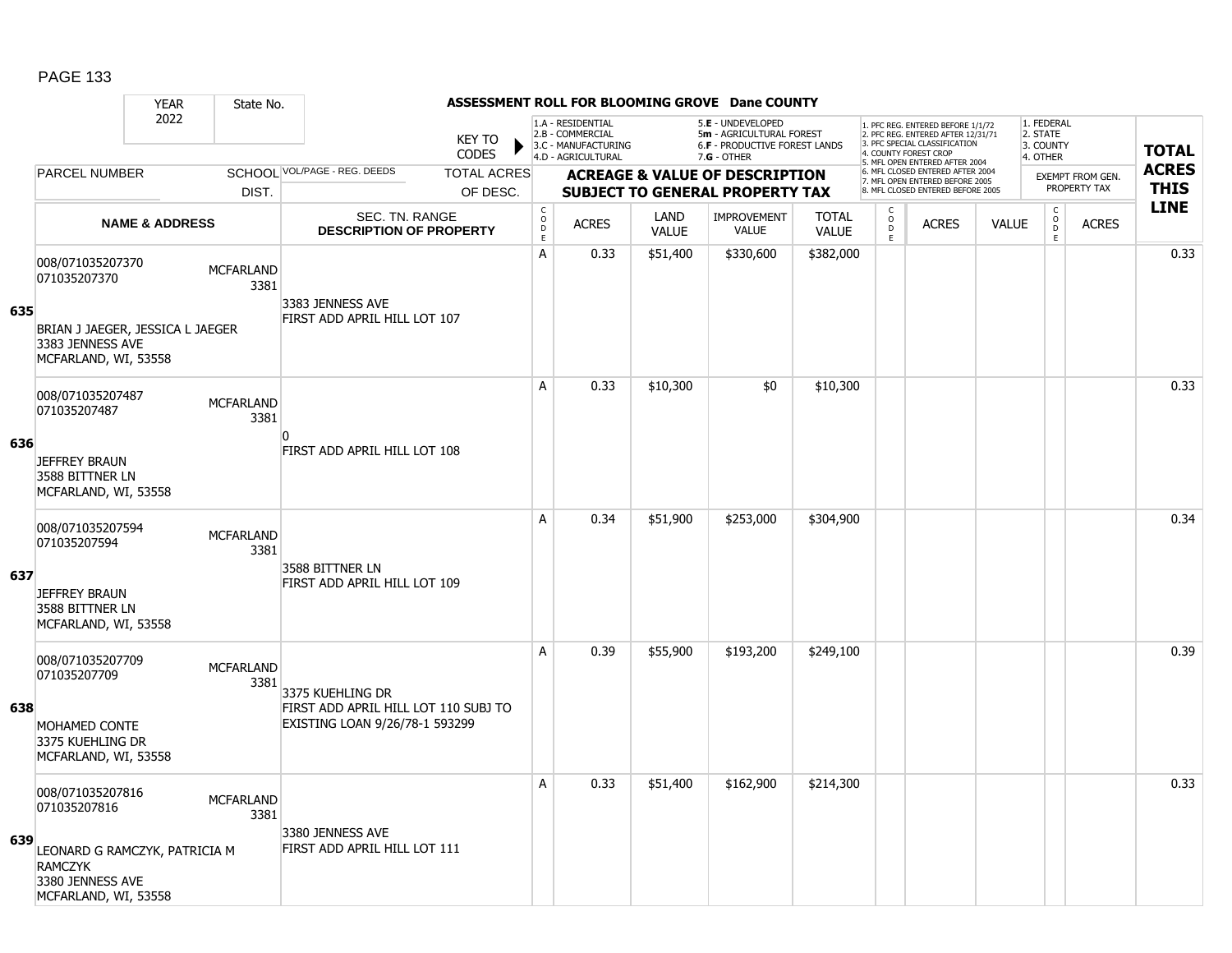|     |                                                                                                                                              | <b>YEAR</b>                                  | State No.                                                           |                                                                        |                                                 |                                                                                    |                                        |                                                                                                      | ASSESSMENT ROLL FOR BLOOMING GROVE Dane COUNTY |                                                                                                                                   |              |              |                                                 |              |                             |      |
|-----|----------------------------------------------------------------------------------------------------------------------------------------------|----------------------------------------------|---------------------------------------------------------------------|------------------------------------------------------------------------|-------------------------------------------------|------------------------------------------------------------------------------------|----------------------------------------|------------------------------------------------------------------------------------------------------|------------------------------------------------|-----------------------------------------------------------------------------------------------------------------------------------|--------------|--------------|-------------------------------------------------|--------------|-----------------------------|------|
|     | 2022                                                                                                                                         |                                              | <b>KEY TO</b><br><b>CODES</b>                                       |                                                                        |                                                 | 1.A - RESIDENTIAL<br>2.B - COMMERCIAL<br>3.C - MANUFACTURING<br>4.D - AGRICULTURAL |                                        | 5.E - UNDEVELOPED<br>5m - AGRICULTURAL FOREST<br><b>6.F - PRODUCTIVE FOREST LANDS</b><br>7.G - OTHER |                                                | 1. PFC REG. ENTERED BEFORE 1/1/72<br>2. PFC REG. ENTERED AFTER 12/31/71<br>3. PFC SPECIAL CLASSIFICATION<br>4. COUNTY FOREST CROP |              |              | 1. FEDERAL<br>2. STATE<br>3. COUNTY<br>4. OTHER |              | <b>TOTAL</b>                |      |
|     | <b>PARCEL NUMBER</b>                                                                                                                         |                                              | SCHOOL VOL/PAGE - REG. DEEDS<br><b>TOTAL ACRES</b>                  |                                                                        | <b>ACREAGE &amp; VALUE OF DESCRIPTION</b>       |                                                                                    |                                        |                                                                                                      |                                                | 5. MFL OPEN ENTERED AFTER 2004<br>6. MFL CLOSED ENTERED AFTER 2004                                                                |              |              | <b>EXEMPT FROM GEN.</b>                         |              | <b>ACRES</b><br><b>THIS</b> |      |
|     | DIST.<br><b>NAME &amp; ADDRESS</b>                                                                                                           |                                              | OF DESC.<br><b>SEC. TN. RANGE</b><br><b>DESCRIPTION OF PROPERTY</b> |                                                                        |                                                 |                                                                                    | <b>SUBJECT TO GENERAL PROPERTY TAX</b> |                                                                                                      |                                                | 7. MFL OPEN ENTERED BEFORE 2005<br>8. MFL CLOSED ENTERED BEFORE 2005                                                              |              |              | PROPERTY TAX                                    |              |                             |      |
|     |                                                                                                                                              |                                              |                                                                     |                                                                        | $\mathsf C$<br>$\mathsf{o}$<br>D<br>$\mathsf E$ | <b>ACRES</b>                                                                       | LAND<br><b>VALUE</b>                   | <b>IMPROVEMENT</b><br><b>VALUE</b>                                                                   | <b>TOTAL</b><br><b>VALUE</b>                   | $\mathsf{C}$<br>$\circ$<br>D<br>E                                                                                                 | <b>ACRES</b> | <b>VALUE</b> | $\mathsf{C}$<br>$\overline{0}$<br>E             | <b>ACRES</b> | <b>LINE</b>                 |      |
| 635 | 008/071035207370<br><b>MCFARLAND</b><br>071035207370<br>3381<br>BRIAN J JAEGER, JESSICA L JAEGER<br>3383 JENNESS AVE<br>MCFARLAND, WI, 53558 |                                              | 3383 JENNESS AVE                                                    |                                                                        | A                                               | 0.33                                                                               | \$51,400                               | \$330,600                                                                                            | \$382,000                                      |                                                                                                                                   |              |              |                                                 |              | 0.33                        |      |
|     |                                                                                                                                              |                                              | FIRST ADD APRIL HILL LOT 107                                        |                                                                        |                                                 |                                                                                    |                                        |                                                                                                      |                                                |                                                                                                                                   |              |              |                                                 |              |                             |      |
| 636 | 008/071035207487<br><b>MCFARLAND</b><br>071035207487<br>3381                                                                                 |                                              | n                                                                   |                                                                        | A                                               | 0.33                                                                               | \$10,300                               | \$0                                                                                                  | \$10,300                                       |                                                                                                                                   |              |              |                                                 |              | 0.33                        |      |
|     | <b>JEFFREY BRAUN</b><br>3588 BITTNER LN<br>MCFARLAND, WI, 53558                                                                              |                                              |                                                                     | FIRST ADD APRIL HILL LOT 108                                           |                                                 |                                                                                    |                                        |                                                                                                      |                                                |                                                                                                                                   |              |              |                                                 |              |                             |      |
|     | 071035207594                                                                                                                                 | 008/071035207594<br><b>MCFARLAND</b><br>3381 |                                                                     | 3588 BITTNER LN                                                        |                                                 | A                                                                                  | 0.34                                   | \$51,900                                                                                             | \$253,000                                      | \$304,900                                                                                                                         |              |              |                                                 |              |                             | 0.34 |
| 637 | <b>JEFFREY BRAUN</b><br>3588 BITTNER LN<br>MCFARLAND, WI, 53558                                                                              |                                              |                                                                     | FIRST ADD APRIL HILL LOT 109                                           |                                                 |                                                                                    |                                        |                                                                                                      |                                                |                                                                                                                                   |              |              |                                                 |              |                             |      |
|     | 008/071035207709<br>071035207709                                                                                                             |                                              | <b>MCFARLAND</b><br>3381                                            | 3375 KUEHLING DR                                                       |                                                 | A                                                                                  | 0.39                                   | \$55,900                                                                                             | \$193,200                                      | \$249,100                                                                                                                         |              |              |                                                 |              |                             | 0.39 |
| 638 | MOHAMED CONTE<br>3375 KUEHLING DR<br>MCFARLAND, WI, 53558                                                                                    |                                              |                                                                     | FIRST ADD APRIL HILL LOT 110 SUBJ TO<br>EXISTING LOAN 9/26/78-1 593299 |                                                 |                                                                                    |                                        |                                                                                                      |                                                |                                                                                                                                   |              |              |                                                 |              |                             |      |
|     | 071035207816                                                                                                                                 | 008/071035207816<br><b>MCFARLAND</b><br>3381 |                                                                     | 3380 JENNESS AVE                                                       |                                                 | A                                                                                  | 0.33                                   | \$51,400                                                                                             | \$162,900                                      | \$214,300                                                                                                                         |              |              |                                                 |              |                             | 0.33 |
| 639 | LEONARD G RAMCZYK, PATRICIA M<br><b>RAMCZYK</b><br>3380 JENNESS AVE<br>MCFARLAND, WI, 53558                                                  |                                              |                                                                     | FIRST ADD APRIL HILL LOT 111                                           |                                                 |                                                                                    |                                        |                                                                                                      |                                                |                                                                                                                                   |              |              |                                                 |              |                             |      |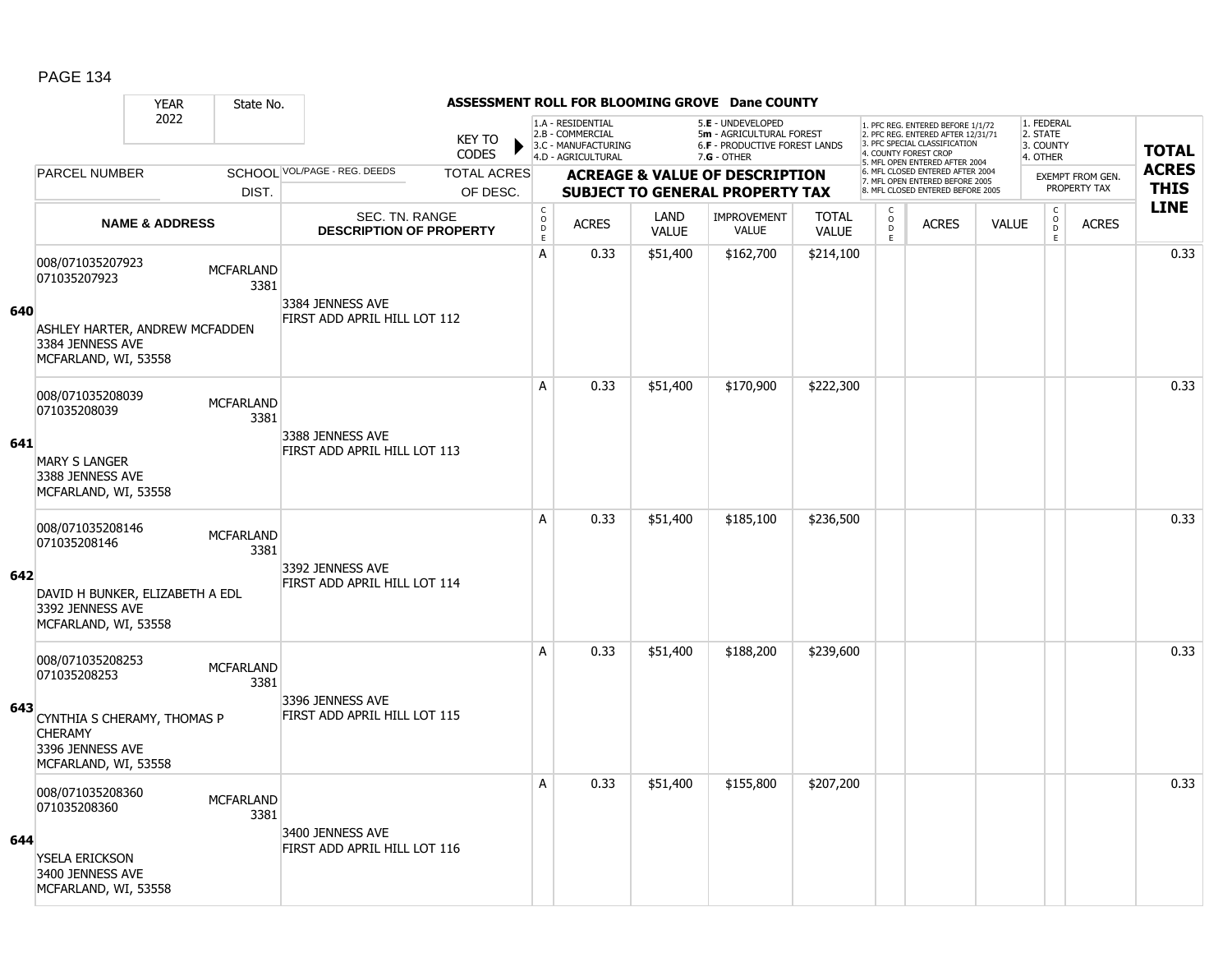### YEAR State No. **ASSESSMENT ROLL FOR BLOOMING GROVE Dane COUNTY** 2022 KEY TO **CODES** 1. PFC REG. ENTERED BEFORE 1/1/72 2. PFC REG. ENTERED AFTER 12/31/71 3. PFC SPECIAL CLASSIFICATION 4. COUNTY FOREST CROP 5. MFL OPEN ENTERED AFTER 2004 6. MFL CLOSED ENTERED AFTER 2004 7. MFL OPEN ENTERED BEFORE 2005 8. MFL CLOSED ENTERED BEFORE 2005 1. FEDERAL 2. STATE 3. COUNTY 4. OTHER **ACREAGE & VALUE OF DESCRIPTION SUBJECT TO GENERAL PROPERTY TAX** EXEMPT FROM GEN. PROPERTY TAX **TOTAL ACRES THIS LINE** 1.A - RESIDENTIAL 2.B - COMMERCIAL 3.C - MANUFACTURING 4.D - AGRICULTURAL 5.**E** - UNDEVELOPED 5**m** - AGRICULTURAL FOREST 6.**F** - PRODUCTIVE FOREST LANDS 7.**G** - OTHER TOTAL ACRES OF DESC. SCHOOL VOL/PAGE - REG. DEEDS DIST. PARCEL NUMBER ACRES C O D E ACRES VALUE  $\mathsf{C}$ O  $\overline{D}$ E TOTAL VALUE IMPROVEMENT VALUE LAND ACRES | VALUE C O  $\overline{D}$ E SEC. TN. RANGE **DESCRIPTION OF PROPERTY NAME & ADDRESS 640** 008/071035207923 000/071033207523<br>071035207923 MCFARLAND 3381 ASHLEY HARTER, ANDREW MCFADDEN 3384 JENNESS AVE MCFARLAND, WI, 53558 3384 JENNESS AVE FIRST ADD APRIL HILL LOT 112 A 0.33 \$51,400 \$162,700 \$214,100 distance the contract of the contract of the contract of the contract of the c **641** 008/071035208039 006/071033206039 MCFARLAND 3381 MARY S LANGER 3388 JENNESS AVE MCFARLAND, WI, 53558 3388 JENNESS AVE FIRST ADD APRIL HILL LOT 113 A 0.33 \$51,400 \$170,900 \$222,300 distance the control of the control of the control of the control o **642** 008/071035208146 000/0710332061<del>1</del>0<br>071035208146 MCFARLAND 3381 DAVID H BUNKER, ELIZABETH A EDL 3392 JENNESS AVE MCFARLAND, WI, 53558 3392 JENNESS AVE FIRST ADD APRIL HILL LOT 114 A 0.33 \$51,400 \$185,100 \$236,500 distance the control of the control of the control of the control of the contr **643** 008/071035208253 0007071033200233<br>071035208253 MCFARLAND 3381 CYNTHIA S CHERAMY, THOMAS P **CHERAMY** 3396 JENNESS AVE MCFARLAND, WI, 53558 3396 JENNESS AVE FIRST ADD APRIL HILL LOT 115 A 0.33 \$51,400 \$188,200 \$239,600 distance the contract of the contract of the contract of the contract of the c **644** 008/071035208360 000/071035208360 MCFARLAND 3381 YSELA ERICKSON 3400 JENNESS AVE MCFARLAND, WI, 53558 3400 JENNESS AVE FIRST ADD APRIL HILL LOT 116 A 0.33 \$51,400 \$155,800 \$207,200 discussed by the 1 0.33 \$51,400 \$155,800 \$207,200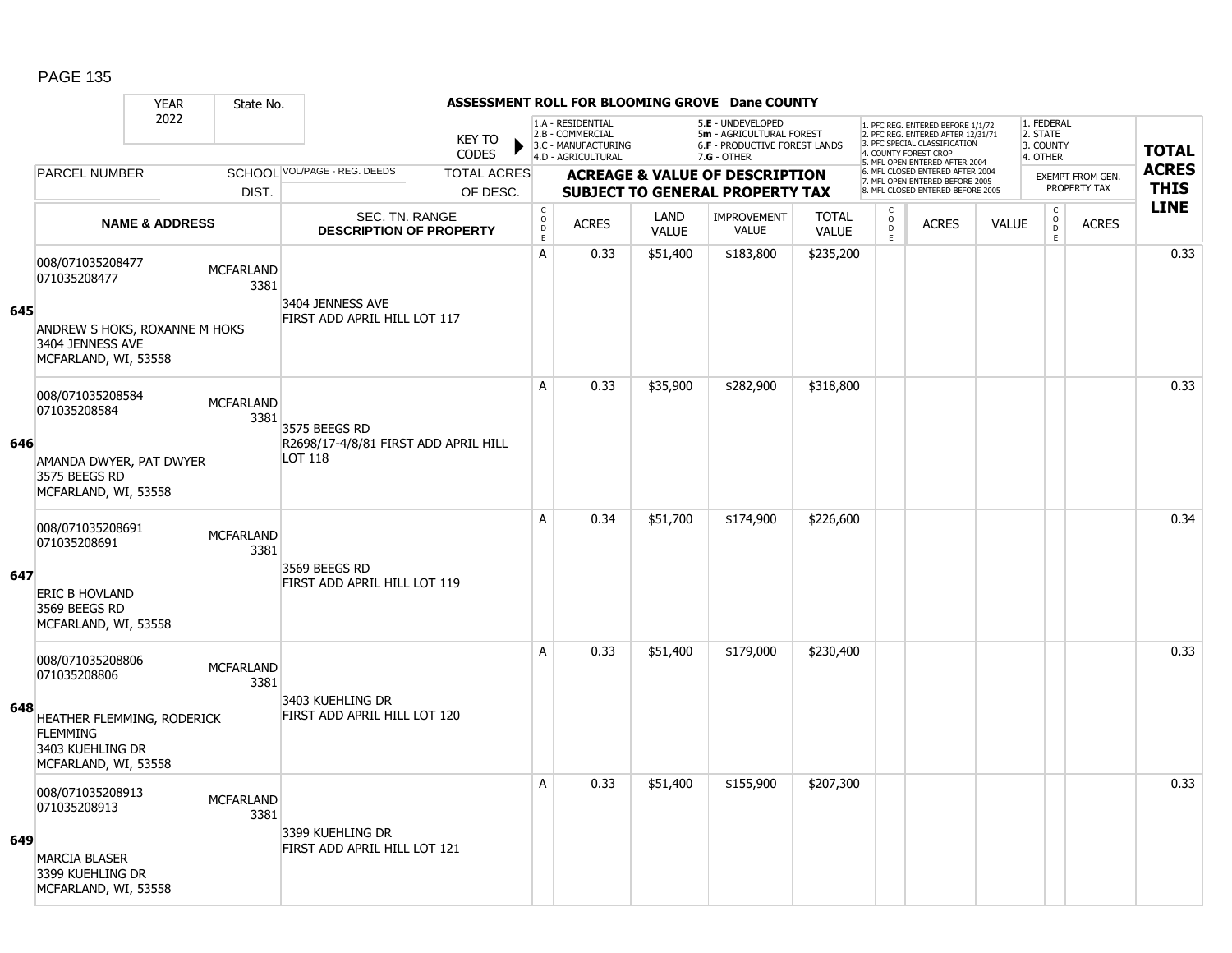#### YEAR State No. **ASSESSMENT ROLL FOR BLOOMING GROVE Dane COUNTY** 2022 KEY TO **CODES** 1. PFC REG. ENTERED BEFORE 1/1/72 2. PFC REG. ENTERED AFTER 12/31/71 3. PFC SPECIAL CLASSIFICATION 4. COUNTY FOREST CROP 5. MFL OPEN ENTERED AFTER 2004 6. MFL CLOSED ENTERED AFTER 2004 7. MFL OPEN ENTERED BEFORE 2005 8. MFL CLOSED ENTERED BEFORE 2005 1. FEDERAL 2. STATE 3. COUNTY 4. OTHER **ACREAGE & VALUE OF DESCRIPTION SUBJECT TO GENERAL PROPERTY TAX** EXEMPT FROM GEN. PROPERTY TAX **TOTAL ACRES THIS LINE** 1.A - RESIDENTIAL 2.B - COMMERCIAL 3.C - MANUFACTURING 4.D - AGRICULTURAL 5.**E** - UNDEVELOPED 5**m** - AGRICULTURAL FOREST 6.**F** - PRODUCTIVE FOREST LANDS 7.**G** - OTHER TOTAL ACRES OF DESC. SCHOOL VOL/PAGE - REG. DEEDS DIST. PARCEL NUMBER ACRES C O D E ACRES VALUE  $\mathsf{C}$ O  $\overline{D}$ E TOTAL VALUE IMPROVEMENT VALUE LAND ACRES | VALUE C O  $\overline{D}$ E SEC. TN. RANGE **DESCRIPTION OF PROPERTY NAME & ADDRESS 645** 008/071035208477 000/071033200477 MCFARLAND 3381 ANDREW S HOKS, ROXANNE M HOKS 3404 JENNESS AVE MCFARLAND, WI, 53558 3404 JENNESS AVE FIRST ADD APRIL HILL LOT 117 A 0.33 \$51,400 \$183,800 \$235,200 distance the control of the control of the control of the control of the contr **646** 008/071035208584 006/071033206364<br>071035208584 MCFARLAND 3381 AMANDA DWYER, PAT DWYER 3575 BEEGS RD MCFARLAND, WI, 53558 3575 BEEGS RD R2698/17-4/8/81 FIRST ADD APRIL HILL LOT 118 A 0.33 \$35,900 \$282,900 \$318,800 0.33 **647** 008/071035208691 000/071033200091 MCFARLAND 3381 ERIC B HOVLAND 3569 BEEGS RD MCFARLAND, WI, 53558 3569 BEEGS RD FIRST ADD APRIL HILL LOT 119 A 0.34 \$51,700 \$174,900 \$226,600 0.34 **648** 008/071035208806 0007071033206000<br>071035208806 MCFARLAND 3381 HEATHER FLEMMING, RODERICK FLEMMING 3403 KUEHLING DR MCFARLAND, WI, 53558 3403 KUEHLING DR FIRST ADD APRIL HILL LOT 120 A 0.33 \$51,400 \$179,000 \$230,400 distance the contract of the contract of the contract of the contract of the c **649** 008/071035208913 000/071035200913 MCFARLAND 3381 MARCIA BLASER 3399 KUEHLING DR MCFARLAND, WI, 53558 3399 KUEHLING DR FIRST ADD APRIL HILL LOT 121 A 0.33 \$51,400 \$155,900 \$207,300 discussed by the 1 0.33 \$51,400 \$155,900 \$207,300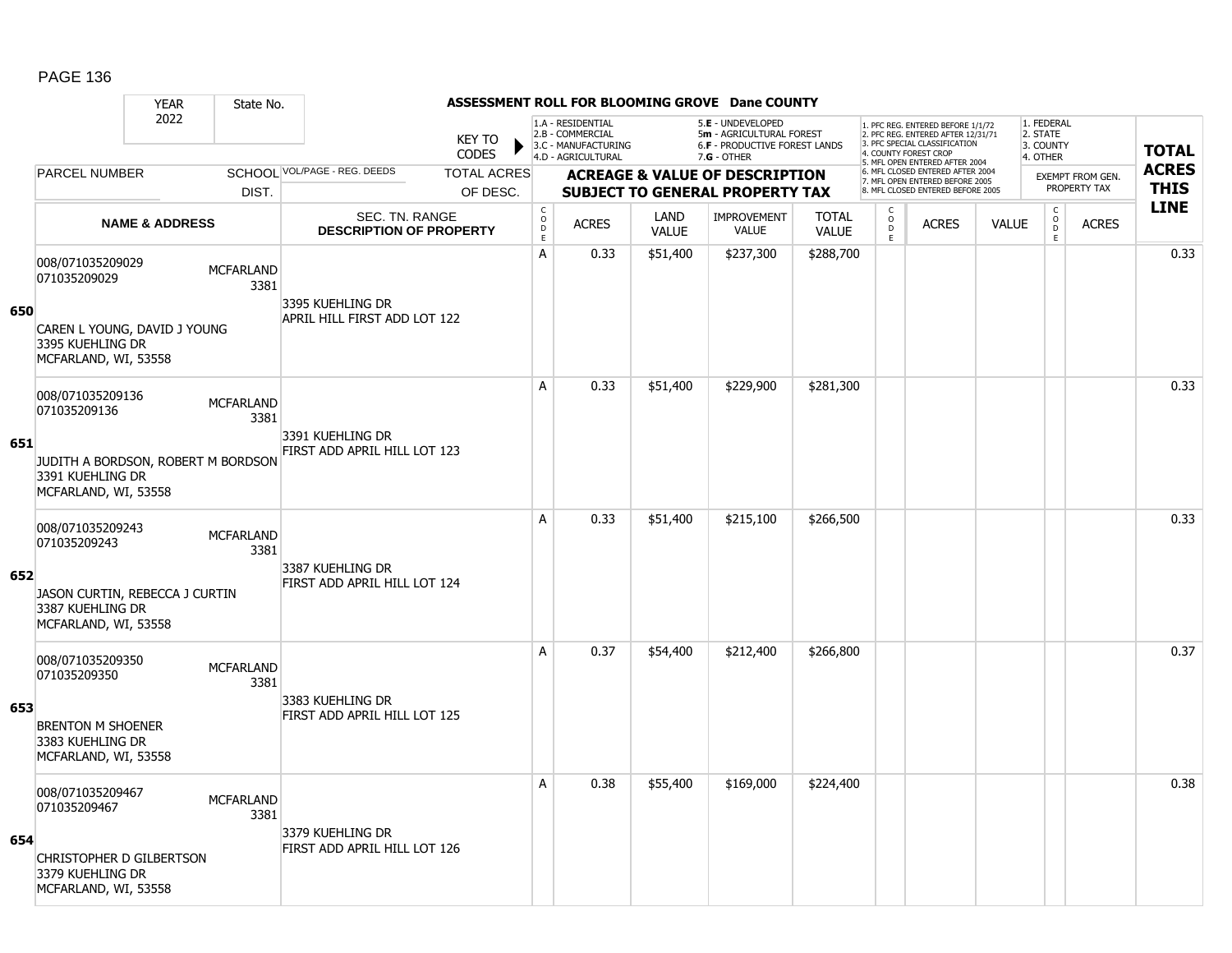### YEAR State No. **ASSESSMENT ROLL FOR BLOOMING GROVE Dane COUNTY** 2022 KEY TO **CODES** 1. PFC REG. ENTERED BEFORE 1/1/72 2. PFC REG. ENTERED AFTER 12/31/71 3. PFC SPECIAL CLASSIFICATION 4. COUNTY FOREST CROP 5. MFL OPEN ENTERED AFTER 2004 6. MFL CLOSED ENTERED AFTER 2004 7. MFL OPEN ENTERED BEFORE 2005 8. MFL CLOSED ENTERED BEFORE 2005 1. FEDERAL 2. STATE 3. COUNTY 4. OTHER **ACREAGE & VALUE OF DESCRIPTION SUBJECT TO GENERAL PROPERTY TAX** EXEMPT FROM GEN. PROPERTY TAX **TOTAL ACRES THIS LINE** 1.A - RESIDENTIAL 2.B - COMMERCIAL 3.C - MANUFACTURING 4.D - AGRICULTURAL 5.**E** - UNDEVELOPED 5**m** - AGRICULTURAL FOREST 6.**F** - PRODUCTIVE FOREST LANDS 7.**G** - OTHER TOTAL ACRES OF DESC. SCHOOL VOL/PAGE - REG. DEEDS DIST. PARCEL NUMBER ACRES C O D E ACRES VALUE  $\mathsf{C}$ O  $\overline{D}$ E TOTAL VALUE IMPROVEMENT VALUE LAND ACRES | VALUE C O  $\overline{D}$ E SEC. TN. RANGE **DESCRIPTION OF PROPERTY NAME & ADDRESS 650** 008/071035209029 000/071033209029 MCFARLAND 3381 CAREN L YOUNG, DAVID J YOUNG 3395 KUEHLING DR MCFARLAND, WI, 53558 3395 KUEHLING DR APRIL HILL FIRST ADD LOT 122 A | 0.33 | \$51,400 | \$237,300 | \$288,700 | | | | | | | | | | | 0.33 **651** 008/071035209136 006/071033209130<br>071035209136 MCFARLAND 3381 JUDITH A BORDSON, ROBERT M BORDSON 3391 KUEHLING DR MCFARLAND, WI, 53558 3391 KUEHLING DR FIRST ADD APRIL HILL LOT 123 A 0.33 \$51,400 \$229,900 \$281,300 distance the contract of the contract of the contract of the contract of the c **652** 008/071035209243 000/071033209243 MCFARLAND 3381 JASON CURTIN, REBECCA J CURTIN 3387 KUEHLING DR MCFARLAND, WI, 53558 3387 KUEHLING DR FIRST ADD APRIL HILL LOT 124 A 0.33 \$51,400 \$215,100 \$266,500 distance the contract of the contract of the contract of the contract of the c **653** 008/071035209350 000/071033209350 MCFARLAND 3381 BRENTON M SHOENER 3383 KUEHLING DR MCFARLAND, WI, 53558 3383 KUEHLING DR FIRST ADD APRIL HILL LOT 125 A 0.37 \$54,400 \$212,400 \$266,800 distribution of the 10.37 \$4.400 \$212,400 \$206,800 distribution of the 10.37 \$ **654** 008/071035209467 000/071035203467 MCFARLAND 3381 CHRISTOPHER D GILBERTSON 3379 KUEHLING DR MCFARLAND, WI, 53558 3379 KUEHLING DR FIRST ADD APRIL HILL LOT 126 A 0.38 \$55,400 \$169,000 \$224,400 distribution of the 1 0.38 \$55,400 distribution of the 1 0.38  $\,$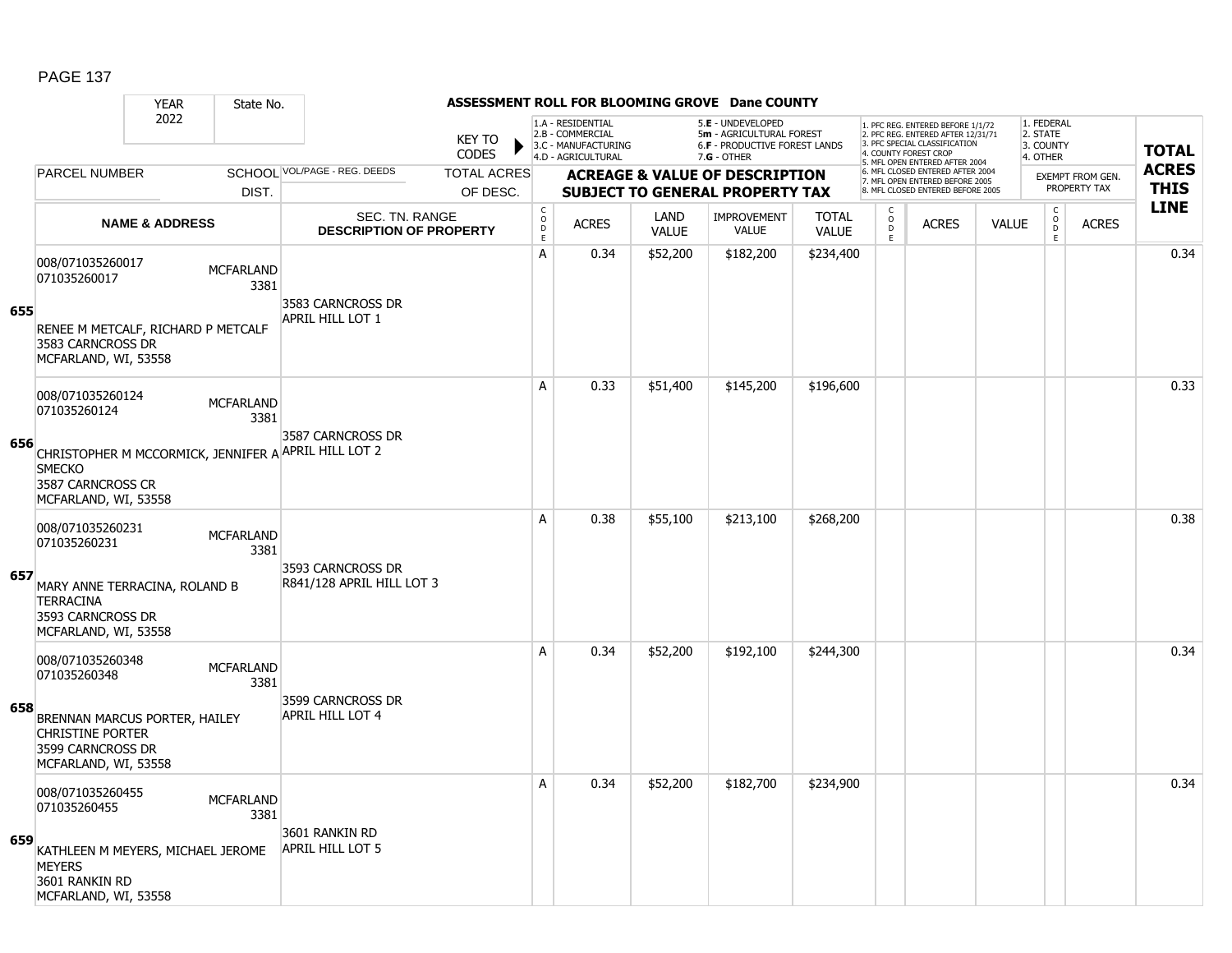#### YEAR State No. **ASSESSMENT ROLL FOR BLOOMING GROVE Dane COUNTY** 2022 KEY TO **CODES** 1. PFC REG. ENTERED BEFORE 1/1/72 2. PFC REG. ENTERED AFTER 12/31/71 3. PFC SPECIAL CLASSIFICATION 4. COUNTY FOREST CROP 5. MFL OPEN ENTERED AFTER 2004 6. MFL CLOSED ENTERED AFTER 2004 7. MFL OPEN ENTERED BEFORE 2005 8. MFL CLOSED ENTERED BEFORE 2005 1. FEDERAL 2. STATE 3. COUNTY 4. OTHER **ACREAGE & VALUE OF DESCRIPTION SUBJECT TO GENERAL PROPERTY TAX** EXEMPT FROM GEN. PROPERTY TAX **TOTAL ACRES THIS LINE** 1.A - RESIDENTIAL 2.B - COMMERCIAL 3.C - MANUFACTURING 4.D - AGRICULTURAL 5.**E** - UNDEVELOPED 5**m** - AGRICULTURAL FOREST 6.**F** - PRODUCTIVE FOREST LANDS 7.**G** - OTHER TOTAL ACRES OF DESC. SCHOOL VOL/PAGE - REG. DEEDS DIST. PARCEL NUMBER ACRES C O D E ACRES VALUE  $\mathsf{C}$ O  $\overline{D}$ E TOTAL VALUE IMPROVEMENT VALUE LAND ACRES | VALUE C O  $\overline{D}$ E SEC. TN. RANGE **DESCRIPTION OF PROPERTY NAME & ADDRESS 655** 008/071035260017 000/071035260017 MCFARLAND 3381 RENEE M METCALF, RICHARD P METCALF 3583 CARNCROSS DR MCFARLAND, WI, 53558 3583 CARNCROSS DR APRIL HILL LOT 1 A | 0.34 | \$52,200 | \$182,200 | \$234,400 | | | | | | | | | | | | 0.34 **656** 008/071035260124 006/071033200124<br>071035260124 MCFARLAND 3381 CHRISTOPHER M MCCORMICK, JENNIFER A APRIL HILL LOT 2 **SMECKO** 3587 CARNCROSS CR MCFARLAND, WI, 53558 3587 CARNCROSS DR A 0.33 \$51,400 \$145,200 \$196,600 distribution of the 10.33 \$51,400 \$145,200 \$196,600 distribution of the 10.33 **657** 008/071035260231 000/071033200231 MCFARLAND 3381 MARY ANNE TERRACINA, ROLAND B **TERRACINA** 3593 CARNCROSS DR MCFARLAND, WI, 53558 3593 CARNCROSS DR R841/128 APRIL HILL LOT 3 A 0.38 \$55,100 \$213,100 \$268,200 distance the same of the set of the set of the set of the set of the set of t **658** 008/071035260348 000/071033260348 MCFARLAND 3381 BRENNAN MARCUS PORTER, HAILEY CHRISTINE PORTER 3599 CARNCROSS DR MCFARLAND, WI, 53558 3599 CARNCROSS DR APRIL HILL LOT 4 A | 0.34 | \$52,200 | \$192,100 | \$244,300 | | | | | | | | | | | 0.34 **659** 008/071035260455 000/071035260455<br>071035260455 3381 KATHLEEN M MEYERS, MICHAEL JEROME **MEYERS** 3601 RANKIN RD MCFARLAND, WI, 53558 3601 RANKIN RD APRIL HILL LOT 5 A | 0.34 | \$52,200 | \$182,700 | \$234,900 | | | | | | | | | | | | | | | 0.34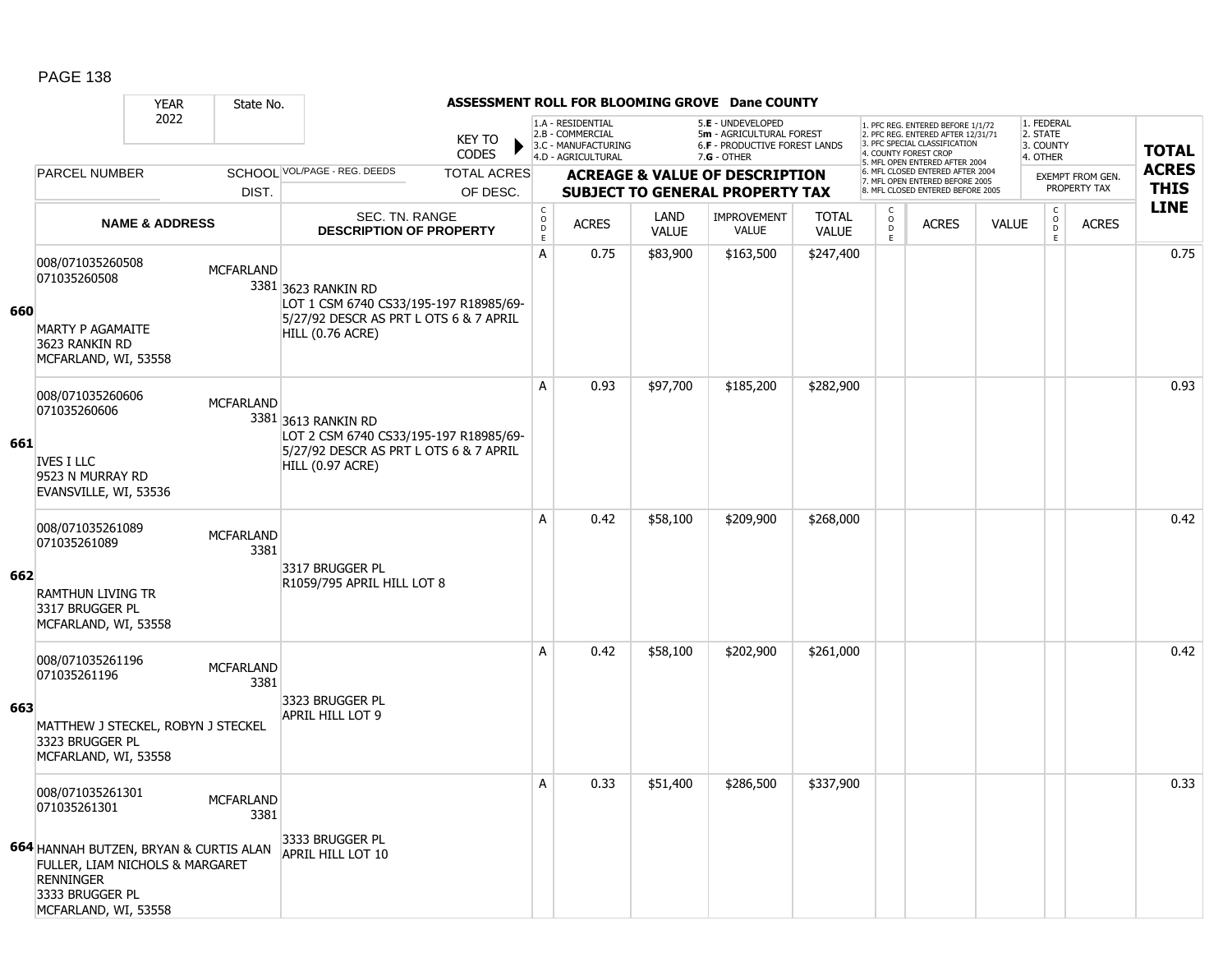|     |                                                                                                                                                                              | <b>YEAR</b> | State No.                                          |                                                                                                                             |                                                  |              |                                                                                    |                                           | ASSESSMENT ROLL FOR BLOOMING GROVE Dane COUNTY                                                  |                                                                    |                                                                                                                                   |                                                                      |                                    |                                                 |              |              |
|-----|------------------------------------------------------------------------------------------------------------------------------------------------------------------------------|-------------|----------------------------------------------------|-----------------------------------------------------------------------------------------------------------------------------|--------------------------------------------------|--------------|------------------------------------------------------------------------------------|-------------------------------------------|-------------------------------------------------------------------------------------------------|--------------------------------------------------------------------|-----------------------------------------------------------------------------------------------------------------------------------|----------------------------------------------------------------------|------------------------------------|-------------------------------------------------|--------------|--------------|
|     |                                                                                                                                                                              | 2022        |                                                    |                                                                                                                             | <b>KEY TO</b><br><b>CODES</b>                    |              | 1.A - RESIDENTIAL<br>2.B - COMMERCIAL<br>3.C - MANUFACTURING<br>4.D - AGRICULTURAL |                                           | 5.E - UNDEVELOPED<br>5m - AGRICULTURAL FOREST<br>6.F - PRODUCTIVE FOREST LANDS<br>$7.G - OTHER$ |                                                                    | 1. PFC REG. ENTERED BEFORE 1/1/72<br>2. PFC REG. ENTERED AFTER 12/31/71<br>3. PFC SPECIAL CLASSIFICATION<br>4. COUNTY FOREST CROP |                                                                      |                                    | 1. FEDERAL<br>2. STATE<br>3. COUNTY<br>4. OTHER |              | <b>TOTAL</b> |
|     | <b>PARCEL NUMBER</b>                                                                                                                                                         |             | SCHOOL VOL/PAGE - REG. DEEDS<br><b>TOTAL ACRES</b> |                                                                                                                             |                                                  |              |                                                                                    | <b>ACREAGE &amp; VALUE OF DESCRIPTION</b> |                                                                                                 | 5. MFL OPEN ENTERED AFTER 2004<br>6. MFL CLOSED ENTERED AFTER 2004 |                                                                                                                                   |                                                                      | EXEMPT FROM GEN.                   |                                                 | <b>ACRES</b> |              |
|     |                                                                                                                                                                              |             | DIST.                                              |                                                                                                                             | OF DESC.                                         |              |                                                                                    |                                           | <b>SUBJECT TO GENERAL PROPERTY TAX</b>                                                          |                                                                    |                                                                                                                                   | 7. MFL OPEN ENTERED BEFORE 2005<br>8. MFL CLOSED ENTERED BEFORE 2005 |                                    |                                                 | PROPERTY TAX | <b>THIS</b>  |
|     | <b>NAME &amp; ADDRESS</b>                                                                                                                                                    |             | SEC. TN. RANGE<br><b>DESCRIPTION OF PROPERTY</b>   |                                                                                                                             | $_{\rm o}^{\rm c}$<br>$\mathsf D$<br>$\mathsf E$ | <b>ACRES</b> | LAND<br><b>VALUE</b>                                                               | <b>IMPROVEMENT</b><br><b>VALUE</b>        | <b>TOTAL</b><br><b>VALUE</b>                                                                    | $\mathsf{C}$<br>$\mathsf O$<br>D<br>E                              | <b>ACRES</b>                                                                                                                      | <b>VALUE</b>                                                         | C<br>$_\mathrm{D}^\mathrm{O}$<br>E | <b>ACRES</b>                                    | <b>LINE</b>  |              |
| 660 | 008/071035260508<br>071035260508<br><b>MARTY P AGAMAITE</b><br>3623 RANKIN RD<br>MCFARLAND, WI, 53558                                                                        |             | <b>MCFARLAND</b>                                   | 3381 3623 RANKIN RD<br>LOT 1 CSM 6740 CS33/195-197 R18985/69-<br>5/27/92 DESCR AS PRT L OTS 6 & 7 APRIL<br>HILL (0.76 ACRE) |                                                  | А            | 0.75                                                                               | \$83,900                                  | \$163,500                                                                                       | \$247,400                                                          |                                                                                                                                   |                                                                      |                                    |                                                 |              | 0.75         |
| 661 | 008/071035260606<br>071035260606<br><b>IVES I LLC</b><br>9523 N MURRAY RD<br>EVANSVILLE, WI, 53536                                                                           |             | <b>MCFARLAND</b>                                   | 3381 3613 RANKIN RD<br>LOT 2 CSM 6740 CS33/195-197 R18985/69-<br>5/27/92 DESCR AS PRT L OTS 6 & 7 APRIL<br>HILL (0.97 ACRE) |                                                  | A            | 0.93                                                                               | \$97,700                                  | \$185,200                                                                                       | \$282,900                                                          |                                                                                                                                   |                                                                      |                                    |                                                 |              | 0.93         |
| 662 | 008/071035261089<br>071035261089<br><b>RAMTHUN LIVING TR</b><br>3317 BRUGGER PL<br>MCFARLAND, WI, 53558                                                                      |             | <b>MCFARLAND</b><br>3381                           | 3317 BRUGGER PL<br>R1059/795 APRIL HILL LOT 8                                                                               |                                                  | A            | 0.42                                                                               | \$58,100                                  | \$209,900                                                                                       | \$268,000                                                          |                                                                                                                                   |                                                                      |                                    |                                                 |              | 0.42         |
| 663 | 008/071035261196<br>071035261196<br>MATTHEW J STECKEL, ROBYN J STECKEL<br>3323 BRUGGER PL<br>MCFARLAND, WI, 53558                                                            |             | <b>MCFARLAND</b><br>3381                           | 3323 BRUGGER PL<br>APRIL HILL LOT 9                                                                                         |                                                  | A            | 0.42                                                                               | \$58,100                                  | \$202,900                                                                                       | \$261,000                                                          |                                                                                                                                   |                                                                      |                                    |                                                 |              | 0.42         |
|     | 008/071035261301<br>071035261301<br>664 HANNAH BUTZEN, BRYAN & CURTIS ALAN<br>FULLER, LIAM NICHOLS & MARGARET<br><b>RENNINGER</b><br>3333 BRUGGER PL<br>MCFARLAND, WI, 53558 |             | <b>MCFARLAND</b><br>3381                           | 3333 BRUGGER PL<br>APRIL HILL LOT 10                                                                                        |                                                  | А            | 0.33                                                                               | \$51,400                                  | \$286,500                                                                                       | \$337,900                                                          |                                                                                                                                   |                                                                      |                                    |                                                 |              | 0.33         |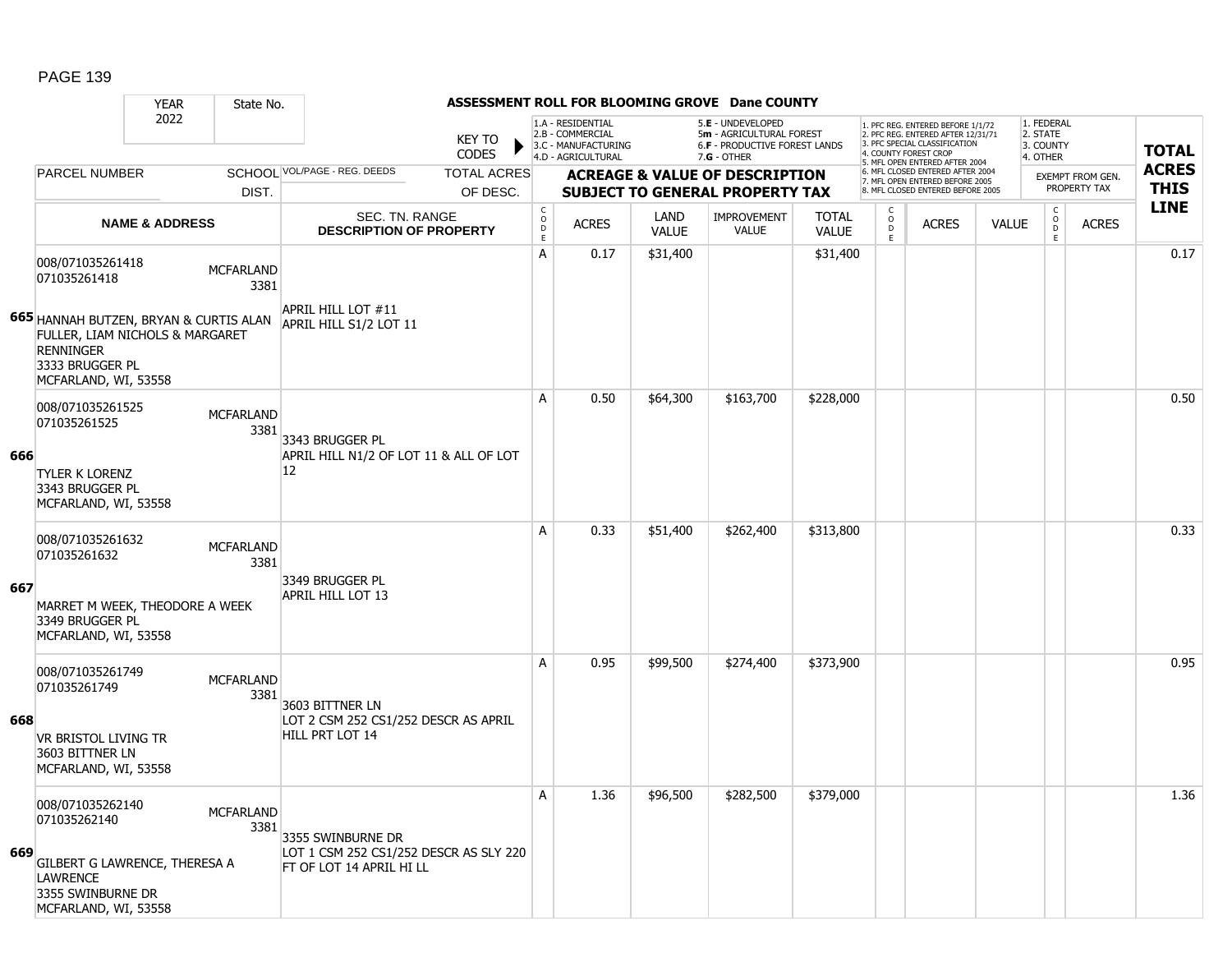#### YEAR State No. **ASSESSMENT ROLL FOR BLOOMING GROVE Dane COUNTY** 2022 KEY TO **CODES** 1. PFC REG. ENTERED BEFORE 1/1/72 2. PFC REG. ENTERED AFTER 12/31/71 3. PFC SPECIAL CLASSIFICATION 4. COUNTY FOREST CROP 5. MFL OPEN ENTERED AFTER 2004 6. MFL CLOSED ENTERED AFTER 2004 7. MFL OPEN ENTERED BEFORE 2005 8. MFL CLOSED ENTERED BEFORE 2005 1. FEDERAL 2. STATE 3. COUNTY 4. OTHER **ACREAGE & VALUE OF DESCRIPTION SUBJECT TO GENERAL PROPERTY TAX** EXEMPT FROM GEN. PROPERTY TAX **TOTAL ACRES THIS LINE** 1.A - RESIDENTIAL 2.B - COMMERCIAL 3.C - MANUFACTURING 4.D - AGRICULTURAL 5.**E** - UNDEVELOPED 5**m** - AGRICULTURAL FOREST 6.**F** - PRODUCTIVE FOREST LANDS 7.**G** - OTHER TOTAL ACRES OF DESC. SCHOOL VOL/PAGE - REG. DEEDS DIST. PARCEL NUMBER ACRES C O D E ACRES VALUE  $\mathsf{C}$ O  $\overline{D}$ E TOTAL VALUE IMPROVEMENT VALUE LAND ACRES | VALUE C O  $\overline{D}$ E SEC. TN. RANGE **DESCRIPTION OF PROPERTY NAME & ADDRESS 665** HANNAH BUTZEN, BRYAN & CURTIS ALAN 008/071035261418 000/071035261418 MCFARLAND 3381 FULLER, LIAM NICHOLS & MARGARET RENNINGER 3333 BRUGGER PL MCFARLAND, WI, 53558 APRIL HILL LOT #11 APRIL HILL S1/2 LOT 11 A 0.17 \$31,400 \$31,400 \$31,400 \$31,400 \$31,400 \$31,400 \$31,400 \$31,400 \$31,400 \$ **666** 008/071035261525 006/071035261525<br>071035261525 3381 TYLER K LORENZ 3343 BRUGGER PL MCFARLAND, WI, 53558 3343 BRUGGER PL APRIL HILL N1/2 OF LOT 11 & ALL OF LOT 12 A 0.50 \$64,300 \$163,700 \$228,000 distance the control of the control of the control of the control of the contr **667** 008/071035261632 000/071033261632 MCFARLAND 3381 MARRET M WEEK, THEODORE A WEEK 3349 BRUGGER PL MCFARLAND, WI, 53558 3349 BRUGGER PL APRIL HILL LOT 13 A 0.33 \$51,400 \$262,400 \$313,800 discrete and the 1 0.33 \$51,400 \$262,400 \$313,800 **668** 008/071035261749 008/071035261749<br>071035261749 MCFARLAND 3381 VR BRISTOL LIVING TR 3603 BITTNER LN MCFARLAND, WI, 53558 3603 BITTNER LN LOT 2 CSM 252 CS1/252 DESCR AS APRIL HILL PRT LOT 14 A 0.95 \$99,500 \$274,400 \$373,900 distribution of the 10.95  $\,$ **669** 008/071035262140 006/071035262140<br>071035262140 MCFARLAND 3381 GILBERT G LAWRENCE, THERESA A **LAWRENCE** 3355 SWINBURNE DR MCFARLAND, WI, 53558 3355 SWINBURNE DR LOT 1 CSM 252 CS1/252 DESCR AS SLY 220 FT OF LOT 14 APRIL HI LL A 1.36 \$96,500 \$282,500 \$379,000 1.36 \$200 1.36 \$1.36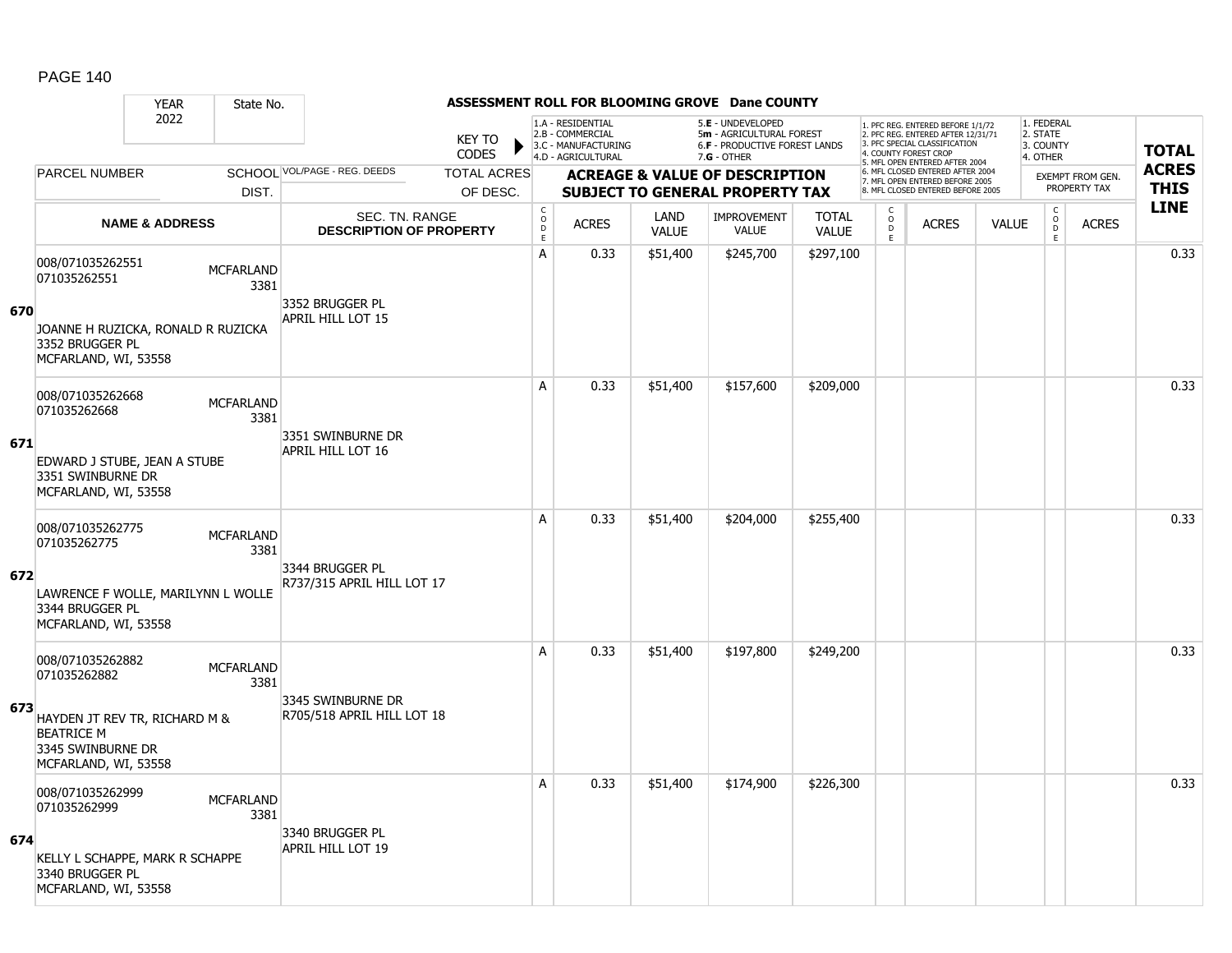#### YEAR State No. **ASSESSMENT ROLL FOR BLOOMING GROVE Dane COUNTY** 2022 KEY TO **CODES** 1. PFC REG. ENTERED BEFORE 1/1/72 2. PFC REG. ENTERED AFTER 12/31/71 3. PFC SPECIAL CLASSIFICATION 4. COUNTY FOREST CROP 5. MFL OPEN ENTERED AFTER 2004 6. MFL CLOSED ENTERED AFTER 2004 7. MFL OPEN ENTERED BEFORE 2005 8. MFL CLOSED ENTERED BEFORE 2005 1. FEDERAL 2. STATE 3. COUNTY 4. OTHER **ACREAGE & VALUE OF DESCRIPTION SUBJECT TO GENERAL PROPERTY TAX** EXEMPT FROM GEN. PROPERTY TAX **TOTAL ACRES THIS LINE** 1.A - RESIDENTIAL 2.B - COMMERCIAL 3.C - MANUFACTURING 4.D - AGRICULTURAL 5.**E** - UNDEVELOPED 5**m** - AGRICULTURAL FOREST 6.**F** - PRODUCTIVE FOREST LANDS 7.**G** - OTHER TOTAL ACRES OF DESC. SCHOOL VOL/PAGE - REG. DEEDS DIST. PARCEL NUMBER ACRES C O D E ACRES VALUE  $\mathsf{C}$ O  $\overline{D}$ E TOTAL VALUE IMPROVEMENT VALUE LAND ACRES | VALUE C O  $\overline{D}$ E SEC. TN. RANGE **DESCRIPTION OF PROPERTY NAME & ADDRESS 670** 008/071035262551 000/071033262331 MCFARLAND 3381 JOANNE H RUZICKA, RONALD R RUZICKA 3352 BRUGGER PL MCFARLAND, WI, 53558 3352 BRUGGER PL APRIL HILL LOT 15 A 0.33 \$51,400 \$245,700 \$297,100 distance the control of the control of the control of the control of the contr **671** 008/071035262668 006/071033202006<br>071035262668 MCFARLAND 3381 EDWARD J STUBE, JEAN A STUBE 3351 SWINBURNE DR MCFARLAND, WI, 53558 3351 SWINBURNE DR APRIL HILL LOT 16 A 0.33 \$51,400 \$157,600 \$209,000 distance the contract of the contract of the contract of the contract of the c **672** 008/071035262775 000/071033202775 MCFARLAND 3381 LAWRENCE F WOLLE, MARILYNN L WOLLE 3344 BRUGGER PL MCFARLAND, WI, 53558 3344 BRUGGER PL R737/315 APRIL HILL LOT 17 A 0.33 \$51,400 \$204,000 \$255,400 distance the contract of the contract of the contract of the contract of the c **673** 008/071035262882 0007071033262602<br>071035262882 MCFARLAND 3381 HAYDEN JT REV TR, RICHARD M & BEATRICE M 3345 SWINBURNE DR MCFARLAND, WI, 53558 3345 SWINBURNE DR R705/518 APRIL HILL LOT 18 A 0.33 \$51,400 \$197,800 \$249,200 distance the control of the control of the control of the control of the contr **674** 008/071035262999 000/0710332623333<br>071035262999 MCFARLAND 3381 KELLY L SCHAPPE, MARK R SCHAPPE 3340 BRUGGER PL MCFARLAND, WI, 53558 3340 BRUGGER PL APRIL HILL LOT 19 A 0.33 \$51,400 \$174,900 \$226,300 discussed by the 1 0.33 \$51,400 \$174,900 \$226,300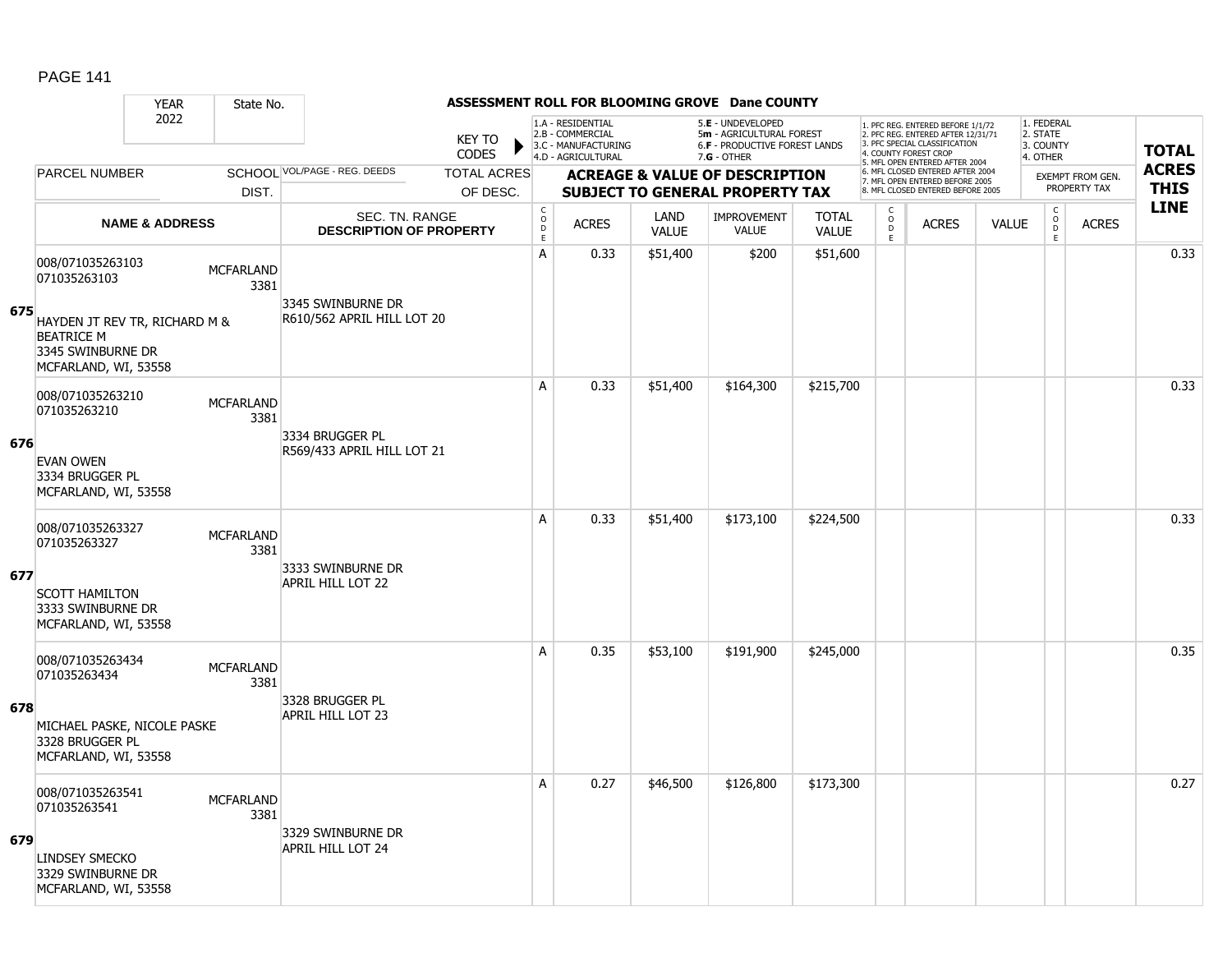### YEAR State No. **ASSESSMENT ROLL FOR BLOOMING GROVE Dane COUNTY** 2022 KEY TO **CODES** 1. PFC REG. ENTERED BEFORE 1/1/72 2. PFC REG. ENTERED AFTER 12/31/71 3. PFC SPECIAL CLASSIFICATION 4. COUNTY FOREST CROP 5. MFL OPEN ENTERED AFTER 2004 6. MFL CLOSED ENTERED AFTER 2004 7. MFL OPEN ENTERED BEFORE 2005 8. MFL CLOSED ENTERED BEFORE 2005 1. FEDERAL 2. STATE 3. COUNTY 4. OTHER **ACREAGE & VALUE OF DESCRIPTION SUBJECT TO GENERAL PROPERTY TAX** EXEMPT FROM GEN. PROPERTY TAX **TOTAL ACRES THIS LINE** 1.A - RESIDENTIAL 2.B - COMMERCIAL 3.C - MANUFACTURING 4.D - AGRICULTURAL 5.**E** - UNDEVELOPED 5**m** - AGRICULTURAL FOREST 6.**F** - PRODUCTIVE FOREST LANDS 7.**G** - OTHER TOTAL ACRES OF DESC. SCHOOL VOL/PAGE - REG. DEEDS DIST. PARCEL NUMBER ACRES C O D E ACRES VALUE  $\mathsf{C}$ O  $\overline{D}$ E TOTAL VALUE IMPROVEMENT VALUE LAND ACRES | VALUE C O  $\overline{D}$ E SEC. TN. RANGE **DESCRIPTION OF PROPERTY NAME & ADDRESS 675** 008/071035263103 000/071035263103 MCFARLAND 3381 HAYDEN JT REV TR, RICHARD M & BEATRICE M 3345 SWINBURNE DR MCFARLAND, WI, 53558 3345 SWINBURNE DR R610/562 APRIL HILL LOT 20 A 0.33 \$51,400 \$200 \$51,600 distance the contract of the contract of the contract of the second second of the c **676** 008/071035263210 006/071033203210<br>071035263210 MCFARLAND 3381 EVAN OWEN 3334 BRUGGER PL MCFARLAND, WI, 53558 3334 BRUGGER PL R569/433 APRIL HILL LOT 21 A 0.33 \$51,400 \$164,300 \$215,700 distance the contract of the contract of the contract of the contract of the c **677** 008/071035263327 000/071033203327 MCFARLAND 3381 SCOTT HAMILTON 3333 SWINBURNE DR MCFARLAND, WI, 53558 3333 SWINBURNE DR APRIL HILL LOT 22 A 0.33 \$51,400 \$173,100 \$224,500 distance the control of the control of the control of the control of the contr **678** 008/071035263434 000/071033263434 MCFARLAND 3381 MICHAEL PASKE, NICOLE PASKE 3328 BRUGGER PL MCFARLAND, WI, 53558 3328 BRUGGER PL APRIL HILL LOT 23 A 0.35 \$53,100 \$191,900 \$245,000 0.35 **679** 008/071035263541 000/071035263541 MCFARLAND 3381 LINDSEY SMECKO 3329 SWINBURNE DR MCFARLAND, WI, 53558 3329 SWINBURNE DR APRIL HILL LOT 24 A 0.27 \$46,500 \$126,800 \$173,300 distribution and 0.27  $\,$  0.27  $\,$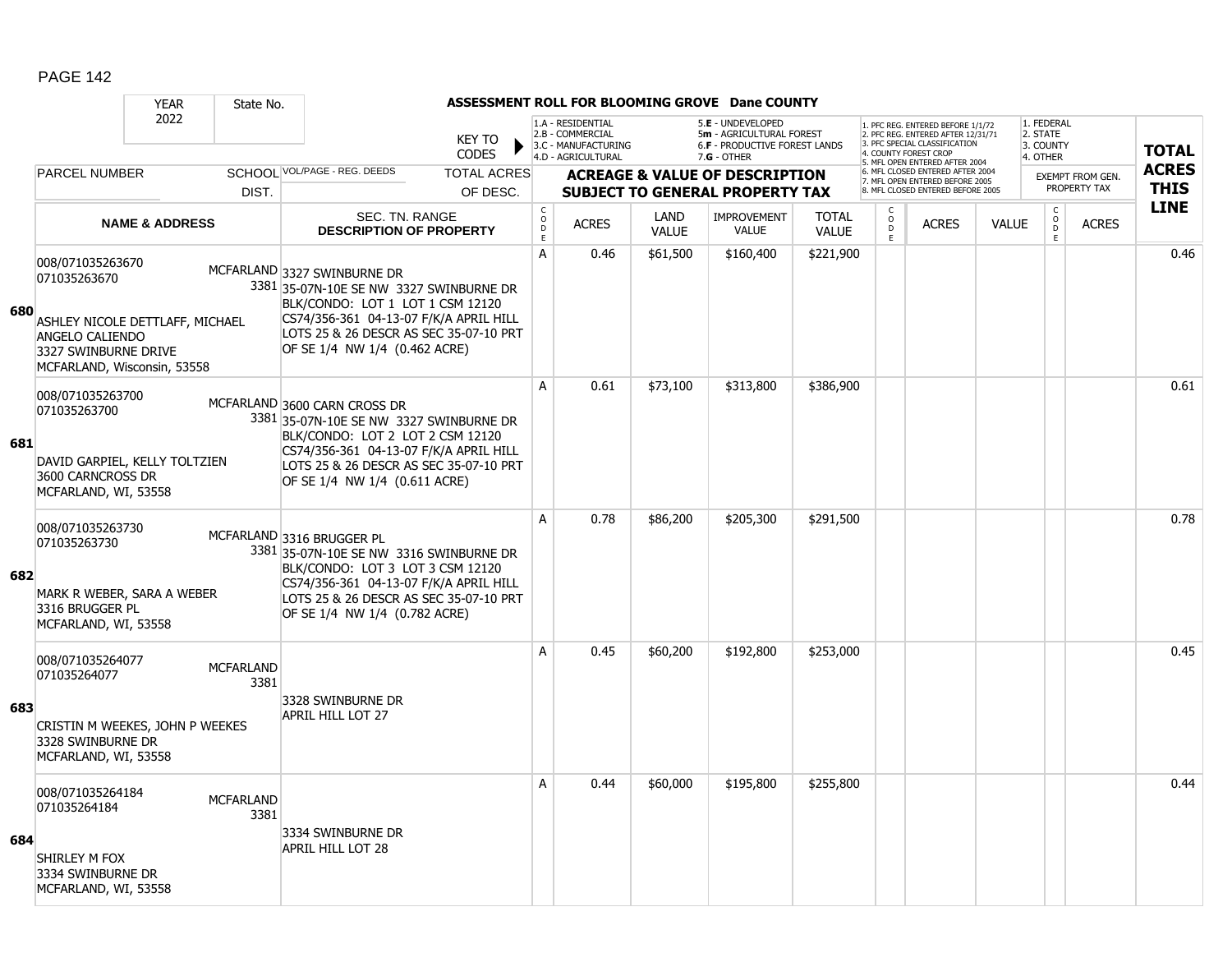|     |                                                                                                                                               | <b>YEAR</b>                                        | State No.                     |                                                                                                                                                                                                                                  |  |                                                                                     |              |                                                                                                      | ASSESSMENT ROLL FOR BLOOMING GROVE Dane COUNTY                                                                                    |                              |                                                                      |                                                 |              |                                                |              |              |
|-----|-----------------------------------------------------------------------------------------------------------------------------------------------|----------------------------------------------------|-------------------------------|----------------------------------------------------------------------------------------------------------------------------------------------------------------------------------------------------------------------------------|--|-------------------------------------------------------------------------------------|--------------|------------------------------------------------------------------------------------------------------|-----------------------------------------------------------------------------------------------------------------------------------|------------------------------|----------------------------------------------------------------------|-------------------------------------------------|--------------|------------------------------------------------|--------------|--------------|
|     | 2022                                                                                                                                          |                                                    | <b>KEY TO</b><br><b>CODES</b> |                                                                                                                                                                                                                                  |  | 1.A - RESIDENTIAL<br>2.B - COMMERCIAL<br>3.C - MANUFACTURING<br>4.D - AGRICULTURAL  |              | 5.E - UNDEVELOPED<br>5m - AGRICULTURAL FOREST<br><b>6.F - PRODUCTIVE FOREST LANDS</b><br>7.G - OTHER | 1. PFC REG. ENTERED BEFORE 1/1/72<br>2. PFC REG. ENTERED AFTER 12/31/71<br>3. PFC SPECIAL CLASSIFICATION<br>4. COUNTY FOREST CROP |                              |                                                                      | 1. FEDERAL<br>2. STATE<br>3. COUNTY<br>4. OTHER |              | <b>TOTAL</b>                                   |              |              |
|     | <b>PARCEL NUMBER</b>                                                                                                                          | SCHOOL VOL/PAGE - REG. DEEDS<br><b>TOTAL ACRES</b> |                               |                                                                                                                                                                                                                                  |  |                                                                                     |              |                                                                                                      |                                                                                                                                   |                              | 5. MFL OPEN ENTERED AFTER 2004<br>6. MFL CLOSED ENTERED AFTER 2004   |                                                 |              | <b>EXEMPT FROM GEN.</b>                        |              | <b>ACRES</b> |
|     | DIST.                                                                                                                                         |                                                    | OF DESC.                      |                                                                                                                                                                                                                                  |  | <b>ACREAGE &amp; VALUE OF DESCRIPTION</b><br><b>SUBJECT TO GENERAL PROPERTY TAX</b> |              |                                                                                                      |                                                                                                                                   |                              | 7. MFL OPEN ENTERED BEFORE 2005<br>8. MFL CLOSED ENTERED BEFORE 2005 |                                                 |              | PROPERTY TAX                                   | <b>THIS</b>  |              |
|     | <b>NAME &amp; ADDRESS</b>                                                                                                                     |                                                    |                               | <b>SEC. TN. RANGE</b><br><b>DESCRIPTION OF PROPERTY</b>                                                                                                                                                                          |  | $_{\rm o}^{\rm c}$<br>D<br>E                                                        | <b>ACRES</b> | LAND<br><b>VALUE</b>                                                                                 | <b>IMPROVEMENT</b><br><b>VALUE</b>                                                                                                | <b>TOTAL</b><br><b>VALUE</b> | C.<br>$_{\rm D}^{\rm O}$<br>E.                                       | <b>ACRES</b>                                    | <b>VALUE</b> | $\begin{matrix} 0 \\ 0 \\ 0 \end{matrix}$<br>E | <b>ACRES</b> | <b>LINE</b>  |
| 680 | 008/071035263670<br>071035263670<br>ASHLEY NICOLE DETTLAFF, MICHAEL<br>ANGELO CALIENDO<br>3327 SWINBURNE DRIVE<br>MCFARLAND, Wisconsin, 53558 |                                                    |                               | MCFARLAND 3327 SWINBURNE DR<br>3381 35-07N-10E SE NW 3327 SWINBURNE DR<br>BLK/CONDO: LOT 1 LOT 1 CSM 12120<br>CS74/356-361 04-13-07 F/K/A APRIL HILL<br>LOTS 25 & 26 DESCR AS SEC 35-07-10 PRT<br>OF SE 1/4 NW 1/4 (0.462 ACRE)  |  | A                                                                                   | 0.46         | \$61,500                                                                                             | \$160,400                                                                                                                         | \$221,900                    |                                                                      |                                                 |              |                                                |              | 0.46         |
| 681 | 008/071035263700<br>071035263700<br>DAVID GARPIEL, KELLY TOLTZIEN<br>3600 CARNCROSS DR<br>MCFARLAND, WI, 53558                                |                                                    |                               | MCFARLAND 3600 CARN CROSS DR<br>3381 35-07N-10E SE NW 3327 SWINBURNE DR<br>BLK/CONDO: LOT 2 LOT 2 CSM 12120<br>CS74/356-361 04-13-07 F/K/A APRIL HILL<br>LOTS 25 & 26 DESCR AS SEC 35-07-10 PRT<br>OF SE 1/4 NW 1/4 (0.611 ACRE) |  | $\overline{A}$                                                                      | 0.61         | \$73,100                                                                                             | \$313,800                                                                                                                         | \$386,900                    |                                                                      |                                                 |              |                                                |              | 0.61         |
| 682 | 008/071035263730<br>071035263730<br>MARK R WEBER, SARA A WEBER<br>3316 BRUGGER PL<br>MCFARLAND, WI, 53558                                     |                                                    |                               | MCFARLAND 3316 BRUGGER PL<br>3381 35-07N-10E SE NW 3316 SWINBURNE DR<br>BLK/CONDO: LOT 3 LOT 3 CSM 12120<br>CS74/356-361 04-13-07 F/K/A APRIL HILL<br>LOTS 25 & 26 DESCR AS SEC 35-07-10 PRT<br>OF SE 1/4 NW 1/4 (0.782 ACRE)    |  | A                                                                                   | 0.78         | \$86,200                                                                                             | \$205,300                                                                                                                         | \$291,500                    |                                                                      |                                                 |              |                                                |              | 0.78         |
| 683 | 008/071035264077<br>071035264077<br>CRISTIN M WEEKES, JOHN P WEEKES<br>3328 SWINBURNE DR<br>MCFARLAND, WI, 53558                              |                                                    | <b>MCFARLAND</b><br>3381      | 3328 SWINBURNE DR<br>APRIL HILL LOT 27                                                                                                                                                                                           |  | A                                                                                   | 0.45         | \$60,200                                                                                             | \$192,800                                                                                                                         | \$253,000                    |                                                                      |                                                 |              |                                                |              | 0.45         |
| 684 | 008/071035264184<br>071035264184<br>SHIRLEY M FOX<br>3334 SWINBURNE DR<br>MCFARLAND, WI, 53558                                                |                                                    | <b>MCFARLAND</b><br>3381      | 3334 SWINBURNE DR<br>APRIL HILL LOT 28                                                                                                                                                                                           |  | A                                                                                   | 0.44         | \$60,000                                                                                             | \$195,800                                                                                                                         | \$255,800                    |                                                                      |                                                 |              |                                                |              | 0.44         |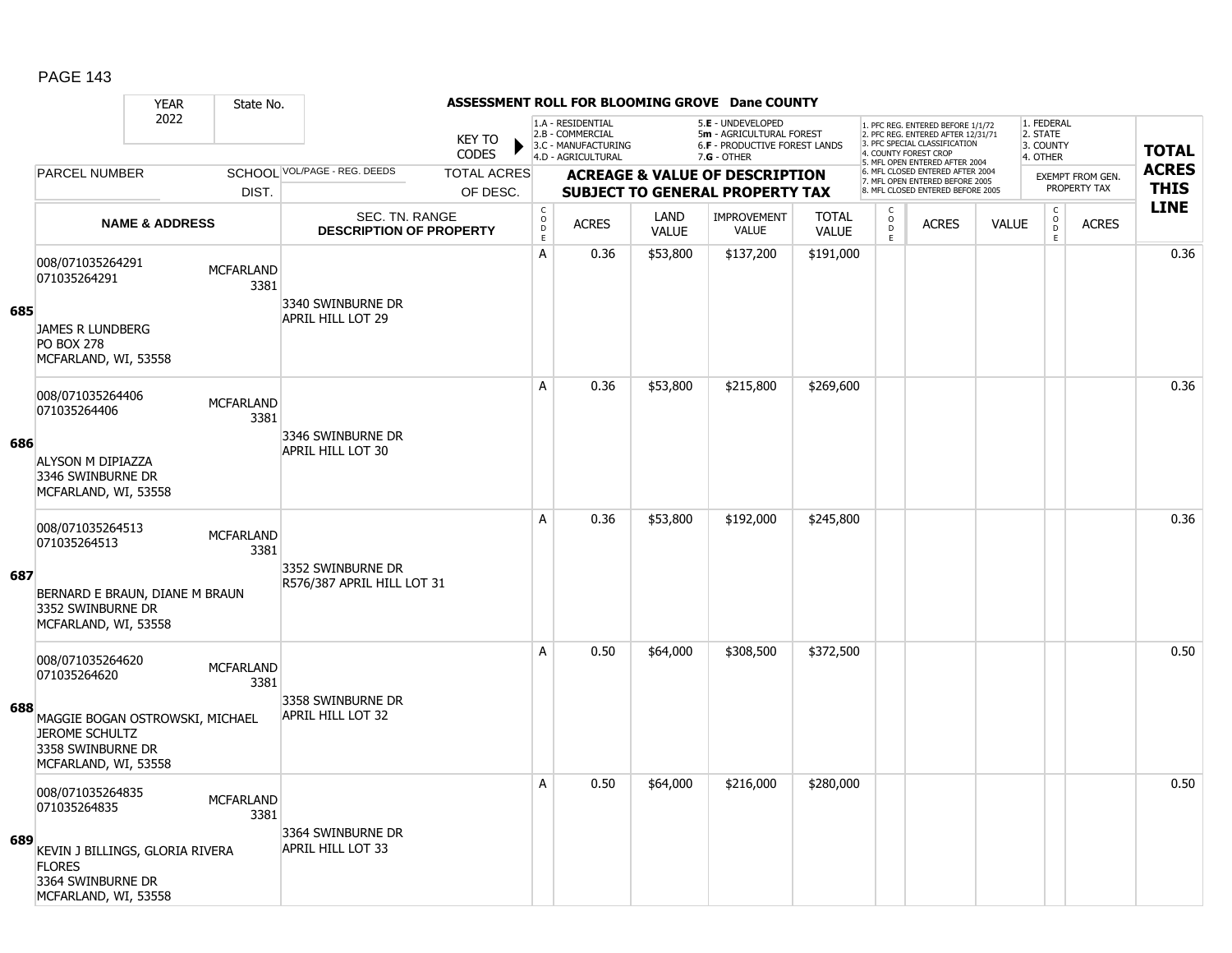#### YEAR State No. **ASSESSMENT ROLL FOR BLOOMING GROVE Dane COUNTY** 2022 KEY TO **CODES** 1. PFC REG. ENTERED BEFORE 1/1/72 2. PFC REG. ENTERED AFTER 12/31/71 3. PFC SPECIAL CLASSIFICATION 4. COUNTY FOREST CROP 5. MFL OPEN ENTERED AFTER 2004 6. MFL CLOSED ENTERED AFTER 2004 7. MFL OPEN ENTERED BEFORE 2005 8. MFL CLOSED ENTERED BEFORE 2005 1. FEDERAL 2. STATE 3. COUNTY 4. OTHER **ACREAGE & VALUE OF DESCRIPTION SUBJECT TO GENERAL PROPERTY TAX** EXEMPT FROM GEN. PROPERTY TAX **TOTAL ACRES THIS LINE** 1.A - RESIDENTIAL 2.B - COMMERCIAL 3.C - MANUFACTURING 4.D - AGRICULTURAL 5.**E** - UNDEVELOPED 5**m** - AGRICULTURAL FOREST 6.**F** - PRODUCTIVE FOREST LANDS 7.**G** - OTHER TOTAL ACRES OF DESC. SCHOOL VOL/PAGE - REG. DEEDS DIST. PARCEL NUMBER ACRES C O D E ACRES VALUE  $\mathsf{C}$ O  $\overline{D}$ E TOTAL VALUE IMPROVEMENT VALUE LAND ACRES | VALUE C O  $\overline{D}$ E SEC. TN. RANGE **DESCRIPTION OF PROPERTY NAME & ADDRESS 685** 008/071035264291 000/071033204291 MCFARLAND 3381 JAMES R LUNDBERG PO BOX 278 MCFARLAND, WI, 53558 3340 SWINBURNE DR APRIL HILL LOT 29 A | 0.36 | \$53,800 | \$137,200 | \$191,000 | | | | | | | | | | | | 0.36 **686** 008/071035264406 006/07103320<del>11</del>00<br>071035264406 MCFARLAND 3381 ALYSON M DIPIAZZA 3346 SWINBURNE DR MCFARLAND, WI, 53558 3346 SWINBURNE DR APRIL HILL LOT 30 A 0.36 \$53,800 \$215,800 \$269,600 distribution of the 10.36 \$215,800 \$2215,800 \$ **687** 008/071035264513 000/071033204313<br>071035264513 3381 BERNARD E BRAUN, DIANE M BRAUN 3352 SWINBURNE DR MCFARLAND, WI, 53558 3352 SWINBURNE DR R576/387 APRIL HILL LOT 31 A 0.36 \$53,800 \$192,000 \$245,800 0.36 **688** 008/071035264620 000/071033204020<br>071035264620 MCFARLAND 3381 MAGGIE BOGAN OSTROWSKI, MICHAEL JEROME SCHULTZ 3358 SWINBURNE DR MCFARLAND, WI, 53558 3358 SWINBURNE DR APRIL HILL LOT 32 A 0.50 \$64,000 \$308,500 \$372,500 distribution of the 10.50  $\,$ **689** 008/071035264835 000/071033264835<br>071035264835 3381 KEVIN J BILLINGS, GLORIA RIVERA FLORES 3364 SWINBURNE DR MCFARLAND, WI, 53558 3364 SWINBURNE DR APRIL HILL LOT 33 A 0.50 \$64,000 \$216,000 \$280,000 distribution of the 10.50 cm or 0.50  $\,$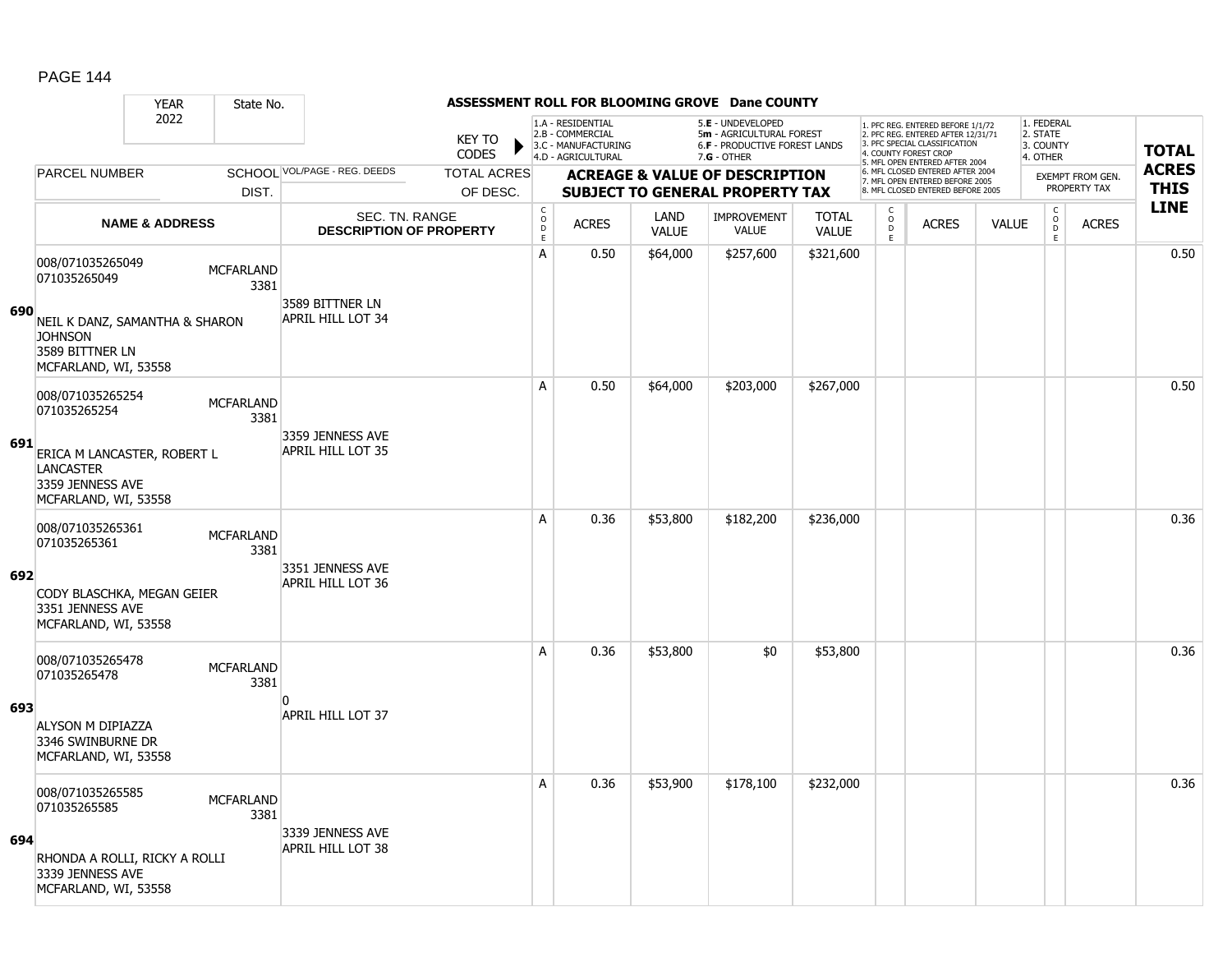#### YEAR State No. **ASSESSMENT ROLL FOR BLOOMING GROVE Dane COUNTY** 2022 KEY TO **CODES** 1. PFC REG. ENTERED BEFORE 1/1/72 2. PFC REG. ENTERED AFTER 12/31/71 3. PFC SPECIAL CLASSIFICATION 4. COUNTY FOREST CROP 5. MFL OPEN ENTERED AFTER 2004 6. MFL CLOSED ENTERED AFTER 2004 7. MFL OPEN ENTERED BEFORE 2005 8. MFL CLOSED ENTERED BEFORE 2005 1. FEDERAL 2. STATE 3. COUNTY 4. OTHER **ACREAGE & VALUE OF DESCRIPTION SUBJECT TO GENERAL PROPERTY TAX** EXEMPT FROM GEN. PROPERTY TAX **TOTAL ACRES THIS LINE** 1.A - RESIDENTIAL 2.B - COMMERCIAL 3.C - MANUFACTURING 4.D - AGRICULTURAL 5.**E** - UNDEVELOPED 5**m** - AGRICULTURAL FOREST 6.**F** - PRODUCTIVE FOREST LANDS 7.**G** - OTHER TOTAL ACRES OF DESC. SCHOOL VOL/PAGE - REG. DEEDS DIST. PARCEL NUMBER ACRES C O D E ACRES VALUE  $\mathsf{C}$ O  $\overline{D}$ E TOTAL VALUE IMPROVEMENT VALUE LAND ACRES | VALUE C O  $\overline{D}$ E SEC. TN. RANGE **DESCRIPTION OF PROPERTY NAME & ADDRESS 690** 008/071035265049 000/071035265049 MCFARLAND 3381 NEIL K DANZ, SAMANTHA & SHARON **JOHNSON** 3589 BITTNER LN MCFARLAND, WI, 53558 3589 BITTNER LN APRIL HILL LOT 34 A 0.50 \$64,000 \$257,600 \$321,600 distribution of the 10.50  $\,$ **691** 008/071035265254 006/071033203234<br>071035265254 MCFARLAND 3381 ERICA M LANCASTER, ROBERT L **LANCASTER** 3359 JENNESS AVE MCFARLAND, WI, 53558 3359 JENNESS AVE APRIL HILL LOT 35 A 0.50 \$64,000 \$203,000 \$267,000 distance the set of the set of the set of the set of the set of the set of th **692** 008/071035265361 000/071033203301 MCFARLAND 3381 CODY BLASCHKA, MEGAN GEIER 3351 JENNESS AVE MCFARLAND, WI, 53558 3351 JENNESS AVE APRIL HILL LOT 36 A 0.36 \$53,800 \$182,200 \$236,000 0.36 **693** 008/071035265478 000/071033263476<br>071035265478 MCFARLAND 3381 ALYSON M DIPIAZZA 3346 SWINBURNE DR MCFARLAND, WI, 53558  $\overline{0}$ APRIL HILL LOT 37 A 0.36 \$53,800 \$0 \$53,800 discussed and the set of the set of the set of the set of the set of the set of the **694** 008/071035265585 000/071035265585 MCFARLAND 3381 RHONDA A ROLLI, RICKY A ROLLI 3339 JENNESS AVE MCFARLAND, WI, 53558 3339 JENNESS AVE APRIL HILL LOT 38 A | 0.36 | \$53,900 | \$178,100 | \$232,000 | | | | | | | | | | | | | 0.36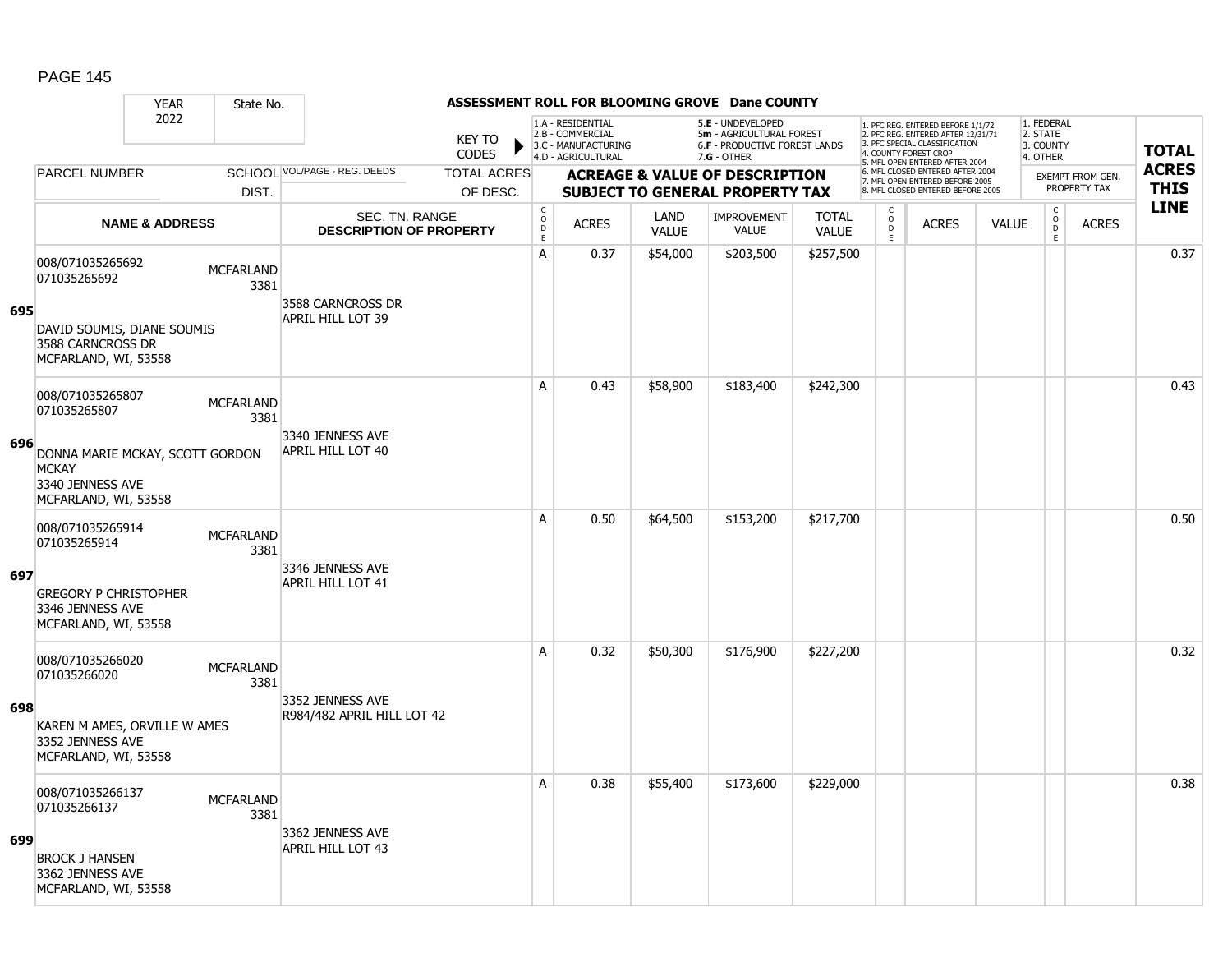#### YEAR State No. **ASSESSMENT ROLL FOR BLOOMING GROVE Dane COUNTY** 2022 KEY TO **CODES** 1. PFC REG. ENTERED BEFORE 1/1/72 2. PFC REG. ENTERED AFTER 12/31/71 3. PFC SPECIAL CLASSIFICATION 4. COUNTY FOREST CROP 5. MFL OPEN ENTERED AFTER 2004 6. MFL CLOSED ENTERED AFTER 2004 7. MFL OPEN ENTERED BEFORE 2005 8. MFL CLOSED ENTERED BEFORE 2005 1. FEDERAL 2. STATE 3. COUNTY 4. OTHER **ACREAGE & VALUE OF DESCRIPTION SUBJECT TO GENERAL PROPERTY TAX** EXEMPT FROM GEN. PROPERTY TAX **TOTAL ACRES THIS LINE** 1.A - RESIDENTIAL 2.B - COMMERCIAL 3.C - MANUFACTURING 4.D - AGRICULTURAL 5.**E** - UNDEVELOPED 5**m** - AGRICULTURAL FOREST 6.**F** - PRODUCTIVE FOREST LANDS 7.**G** - OTHER TOTAL ACRES OF DESC. SCHOOL VOL/PAGE - REG. DEEDS DIST. PARCEL NUMBER ACRES C O D E ACRES VALUE  $\mathsf{C}$ O  $\overline{D}$ E TOTAL VALUE IMPROVEMENT VALUE LAND ACRES | VALUE C O  $\overline{D}$ E SEC. TN. RANGE **DESCRIPTION OF PROPERTY NAME & ADDRESS 695** 008/071035265692 000/071035265692 MCFARLAND 3381 DAVID SOUMIS, DIANE SOUMIS 3588 CARNCROSS DR MCFARLAND, WI, 53558 3588 CARNCROSS DR APRIL HILL LOT 39 A 0.37 \$54,000 \$203,500 \$257,500 0.37 **696** 008/071035265807 006/071033203607<br>071035265807 MCFARLAND 3381 DONNA MARIE MCKAY, SCOTT GORDON **MCKAY** 3340 JENNESS AVE MCFARLAND, WI, 53558 3340 JENNESS AVE APRIL HILL LOT 40 A 0.43 \$58,900 \$183,400 \$242,300 distance the control or determined to 0.43 and **697** 008/071035265914 000/07103320391+<br>071035265914 MCFARLAND 3381 GREGORY P CHRISTOPHER 3346 JENNESS AVE MCFARLAND, WI, 53558 3346 JENNESS AVE APRIL HILL LOT 41 A 0.50 \$64,500 \$153,200 \$217,700 distance the set of the set of the set of the set of the set of the set of th **698** 008/071035266020 000/071033260020<br>071035266020 MCFARLAND 3381 KAREN M AMES, ORVILLE W AMES 3352 JENNESS AVE MCFARLAND, WI, 53558 3352 JENNESS AVE R984/482 APRIL HILL LOT 42 A 0.32 \$50,300 \$176,900 \$227,200 distance the set of the set of the set of the set of the set of the set of th **699** 008/071035266137 000/071035266137 MCFARLAND 3381 BROCK J HANSEN 3362 JENNESS AVE MCFARLAND, WI, 53558 3362 JENNESS AVE APRIL HILL LOT 43 A 0.38 \$55,400 \$173,600 \$229,000 discussed by the 1 0.38 \$55,400 \$173,600 \$229,000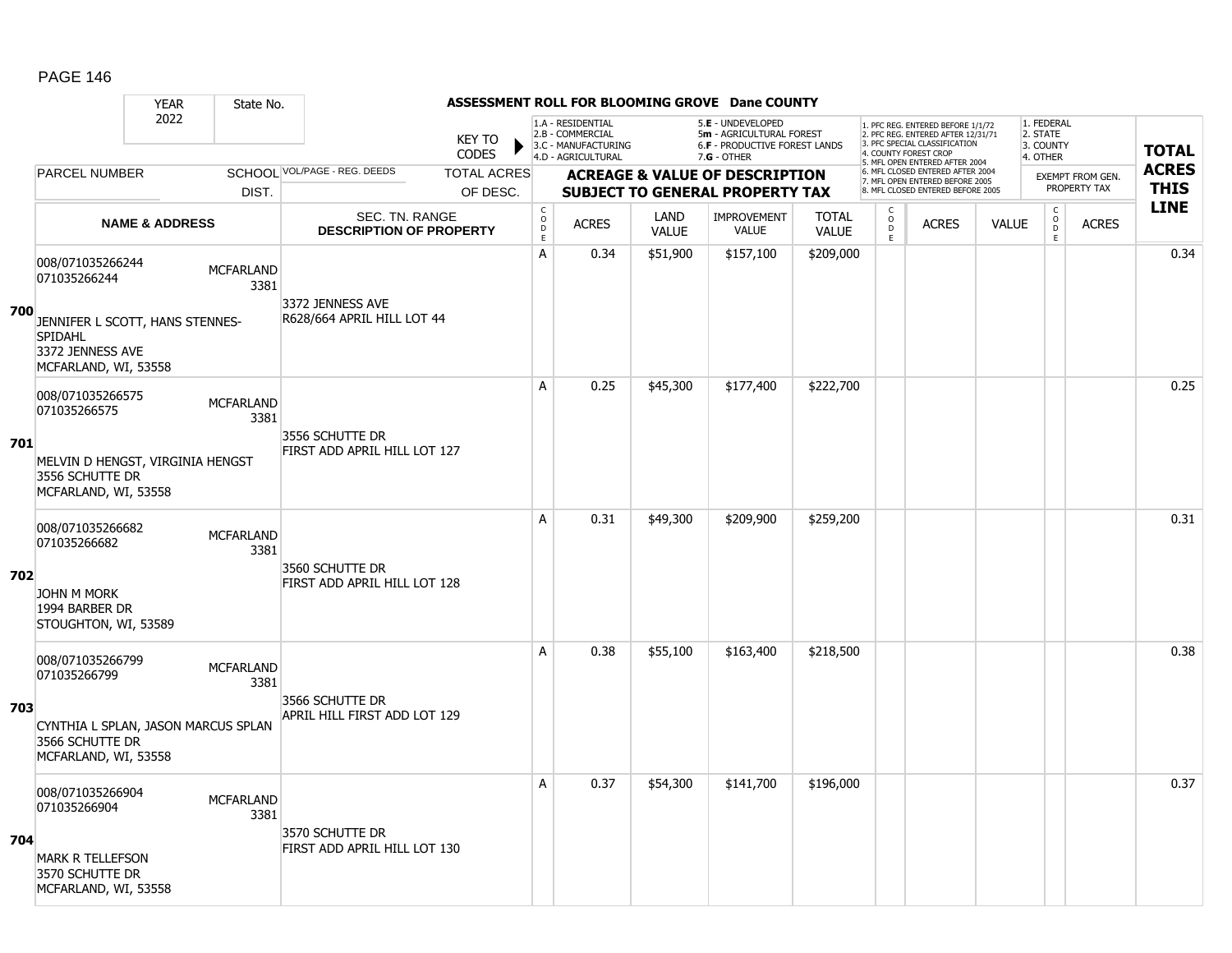#### YEAR State No. **ASSESSMENT ROLL FOR BLOOMING GROVE Dane COUNTY** 2022 KEY TO **CODES** 1. PFC REG. ENTERED BEFORE 1/1/72 2. PFC REG. ENTERED AFTER 12/31/71 3. PFC SPECIAL CLASSIFICATION 4. COUNTY FOREST CROP 5. MFL OPEN ENTERED AFTER 2004 6. MFL CLOSED ENTERED AFTER 2004 7. MFL OPEN ENTERED BEFORE 2005 8. MFL CLOSED ENTERED BEFORE 2005 1. FEDERAL 2. STATE 3. COUNTY 4. OTHER **ACREAGE & VALUE OF DESCRIPTION SUBJECT TO GENERAL PROPERTY TAX** EXEMPT FROM GEN. PROPERTY TAX **TOTAL ACRES THIS LINE** 1.A - RESIDENTIAL 2.B - COMMERCIAL 3.C - MANUFACTURING 4.D - AGRICULTURAL 5.**E** - UNDEVELOPED 5**m** - AGRICULTURAL FOREST 6.**F** - PRODUCTIVE FOREST LANDS 7.**G** - OTHER TOTAL ACRES OF DESC. SCHOOL VOL/PAGE - REG. DEEDS DIST. PARCEL NUMBER ACRES C O D E ACRES VALUE  $\mathsf{C}$ O  $\overline{D}$ E TOTAL VALUE IMPROVEMENT VALUE LAND ACRES | VALUE C O  $\overline{D}$ E SEC. TN. RANGE **DESCRIPTION OF PROPERTY NAME & ADDRESS 700** 008/071035266244 000/071033200244 MCFARLAND 3381 JENNIFER L SCOTT, HANS STENNES-SPIDAHL 3372 JENNESS AVE MCFARLAND, WI, 53558 3372 JENNESS AVE R628/664 APRIL HILL LOT 44 A 0.34 \$51,900 \$157,100 \$209,000 0.34 **701** 008/071035266575 006/071033200373<br>071035266575 MCFARLAND 3381 MELVIN D HENGST, VIRGINIA HENGST 3556 SCHUTTE DR MCFARLAND, WI, 53558 3556 SCHUTTE DR FIRST ADD APRIL HILL LOT 127 A | 0.25 | \$45,300 | \$177,400 | \$222,700 | | | | | | | | | | | | | 0.25 **702** 008/071035266682 000/0710332000002<br>071035266682 MCFARLAND 3381 JOHN M MORK 1994 BARBER DR STOUGHTON, WI, 53589 3560 SCHUTTE DR FIRST ADD APRIL HILL LOT 128 A 0.31 \$49,300 \$209,900 \$259,200 distance the set of the set of the set of the set of the set of the set of th **703** 008/071035266799 000/071033260799 MCFARLAND 3381 CYNTHIA L SPLAN, JASON MARCUS SPLAN 3566 SCHUTTE DR MCFARLAND, WI, 53558 3566 SCHUTTE DR APRIL HILL FIRST ADD LOT 129 A 0.38 \$55,100 \$163,400 \$218,500 distance the control of the control of the control of the control of the contr **704** 008/071035266904 000/071035266904 MCFARLAND 3381 MARK R TELLEFSON 3570 SCHUTTE DR MCFARLAND, WI, 53558 3570 SCHUTTE DR FIRST ADD APRIL HILL LOT 130 A 0.37 \$54,300 \$141,700 \$196,000 discussed by the control of the control of the control of the control of the c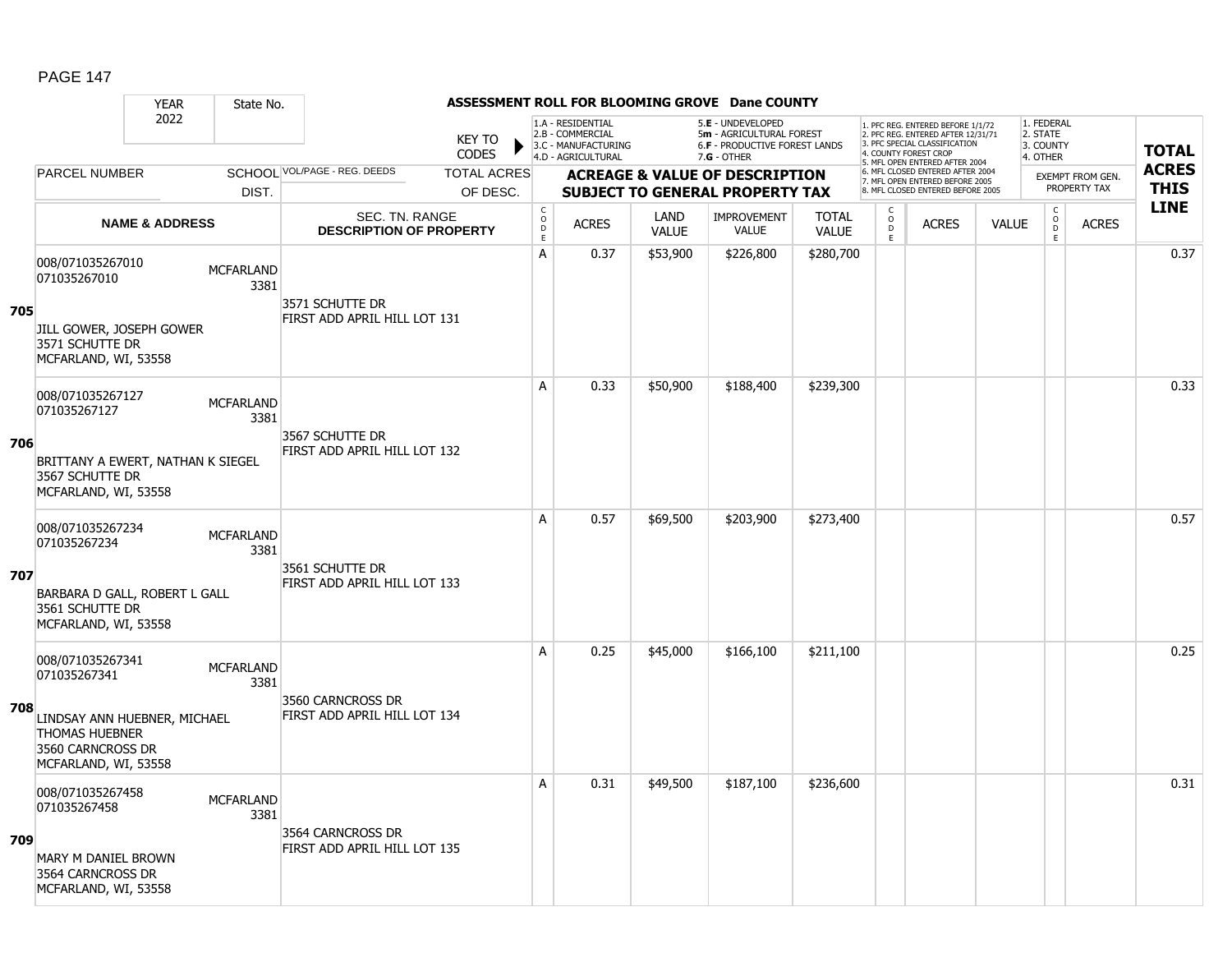#### YEAR State No. **ASSESSMENT ROLL FOR BLOOMING GROVE Dane COUNTY** 2022 KEY TO **CODES** 1. PFC REG. ENTERED BEFORE 1/1/72 2. PFC REG. ENTERED AFTER 12/31/71 3. PFC SPECIAL CLASSIFICATION 4. COUNTY FOREST CROP 5. MFL OPEN ENTERED AFTER 2004 6. MFL CLOSED ENTERED AFTER 2004 7. MFL OPEN ENTERED BEFORE 2005 8. MFL CLOSED ENTERED BEFORE 2005 1. FEDERAL 2. STATE 3. COUNTY 4. OTHER **ACREAGE & VALUE OF DESCRIPTION SUBJECT TO GENERAL PROPERTY TAX** EXEMPT FROM GEN. PROPERTY TAX **TOTAL ACRES THIS LINE** 1.A - RESIDENTIAL 2.B - COMMERCIAL 3.C - MANUFACTURING 4.D - AGRICULTURAL 5.**E** - UNDEVELOPED 5**m** - AGRICULTURAL FOREST 6.**F** - PRODUCTIVE FOREST LANDS 7.**G** - OTHER TOTAL ACRES OF DESC. SCHOOL VOL/PAGE - REG. DEEDS DIST. PARCEL NUMBER ACRES C O D E ACRES VALUE  $\mathsf{C}$ O  $\overline{D}$ E TOTAL VALUE IMPROVEMENT VALUE LAND ACRES | VALUE C O  $\overline{D}$ E SEC. TN. RANGE **DESCRIPTION OF PROPERTY NAME & ADDRESS 705** 008/071035267010 000/071035267010 MCFARLAND 3381 JILL GOWER, JOSEPH GOWER 3571 SCHUTTE DR MCFARLAND, WI, 53558 3571 SCHUTTE DR FIRST ADD APRIL HILL LOT 131 A | 0.37 | \$53,900 | \$226,800 | \$280,700 | | | | | | | | | | | | 0.37 **706** 008/071035267127 006/071033267127 MCFARLAND 3381 BRITTANY A EWERT, NATHAN K SIEGEL 3567 SCHUTTE DR MCFARLAND, WI, 53558 3567 SCHUTTE DR FIRST ADD APRIL HILL LOT 132 A 0.33 \$50,900 \$188,400 \$239,300 0.33 **707** 008/071035267234 000/071033207234 MCFARLAND 3381 BARBARA D GALL, ROBERT L GALL 3561 SCHUTTE DR MCFARLAND, WI, 53558 3561 SCHUTTE DR FIRST ADD APRIL HILL LOT 133 A 0.57 \$69,500 \$203,900 \$273,400 distance the set of the set of the set of the set of the set of the set of th **708** 008/071035267341 000/071033207341 MCFARLAND 3381 LINDSAY ANN HUEBNER, MICHAEL THOMAS HUEBNER 3560 CARNCROSS DR MCFARLAND, WI, 53558 3560 CARNCROSS DR FIRST ADD APRIL HILL LOT 134 A 0.25 \$45,000 \$166,100 \$211,100 0.25 **709** 008/071035267458 000/071035267458 MCFARLAND 3381 MARY M DANIEL BROWN 3564 CARNCROSS DR MCFARLAND, WI, 53558 3564 CARNCROSS DR FIRST ADD APRIL HILL LOT 135 A 0.31 \$49,500 \$187,100 \$236,600 discussed by the 1 0.31 0.31  $\,$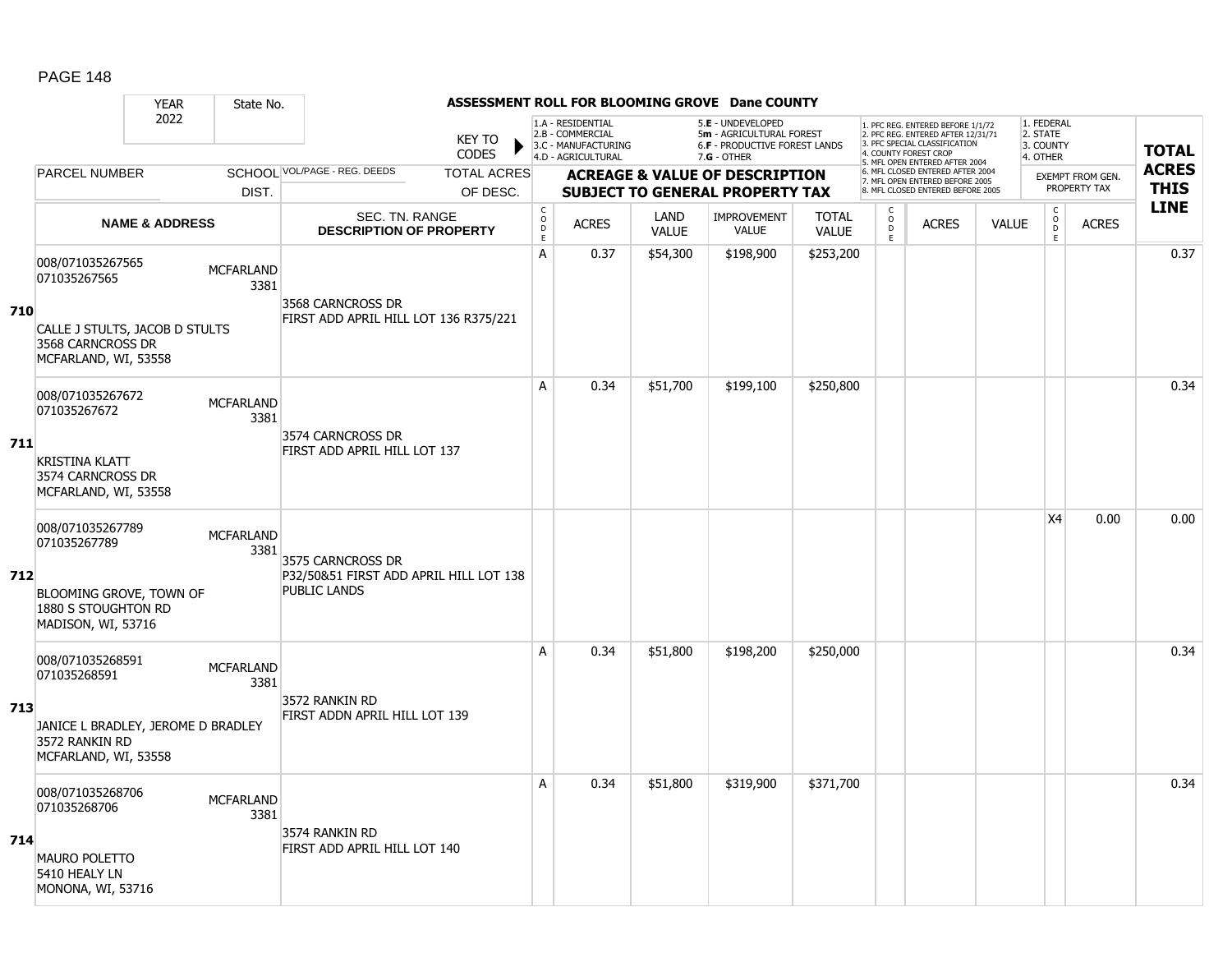#### YEAR State No. **ASSESSMENT ROLL FOR BLOOMING GROVE Dane COUNTY** 2022 KEY TO **CODES** 1. PFC REG. ENTERED BEFORE 1/1/72 2. PFC REG. ENTERED AFTER 12/31/71 3. PFC SPECIAL CLASSIFICATION 4. COUNTY FOREST CROP 5. MFL OPEN ENTERED AFTER 2004 6. MFL CLOSED ENTERED AFTER 2004 7. MFL OPEN ENTERED BEFORE 2005 8. MFL CLOSED ENTERED BEFORE 2005 1. FEDERAL 2. STATE 3. COUNTY 4. OTHER **ACREAGE & VALUE OF DESCRIPTION SUBJECT TO GENERAL PROPERTY TAX** EXEMPT FROM GEN. PROPERTY TAX **TOTAL ACRES THIS LINE** 1.A - RESIDENTIAL 2.B - COMMERCIAL 3.C - MANUFACTURING 4.D - AGRICULTURAL 5.**E** - UNDEVELOPED 5**m** - AGRICULTURAL FOREST 6.**F** - PRODUCTIVE FOREST LANDS 7.**G** - OTHER TOTAL ACRES OF DESC. SCHOOL VOL/PAGE - REG. DEEDS DIST. PARCEL NUMBER ACRES C O D E ACRES VALUE  $\mathsf{C}$ O  $\overline{D}$ E TOTAL VALUE IMPROVEMENT VALUE LAND ACRES | VALUE C O  $\overline{D}$ E SEC. TN. RANGE **DESCRIPTION OF PROPERTY NAME & ADDRESS 710** 008/071035267565 000/071035267565 MCFARLAND 3381 CALLE J STULTS, JACOB D STULTS 3568 CARNCROSS DR MCFARLAND, WI, 53558 3568 CARNCROSS DR FIRST ADD APRIL HILL LOT 136 R375/221 A 0.37 \$54,300 \$198,900 \$253,200 0.37 **711** 008/071035267672 006/071033267672 MCFARLAND 3381 KRISTINA KLATT 3574 CARNCROSS DR MCFARLAND, WI, 53558 3574 CARNCROSS DR FIRST ADD APRIL HILL LOT 137 A 0.34 \$51,700 \$199,100 \$250,800 0.34 **712** 008/071035267789 000/071033207709 MCFARLAND 3381 BLOOMING GROVE, TOWN OF 1880 S STOUGHTON RD MADISON, WI, 53716 3575 CARNCROSS DR P32/50&51 FIRST ADD APRIL HILL LOT 138 PUBLIC LANDS  $|X4|$  0.00 0.00 **713** 008/071035268591 000/0710332063591 MCFARLAND 3381 JANICE L BRADLEY, JEROME D BRADLEY 3572 RANKIN RD MCFARLAND, WI, 53558 3572 RANKIN RD FIRST ADDN APRIL HILL LOT 139 A 0.34 \$51,800 \$198,200 \$250,000 0.34 **714** 008/071035268706 000/071035268706 MCFARLAND 3381 MAURO POLETTO 5410 HEALY LN MONONA, WI, 53716 3574 RANKIN RD FIRST ADD APRIL HILL LOT 140 A | 0.34 | \$51,800 | \$319,900 | \$371,700 | | | | | | | | | | | | | | | 0.34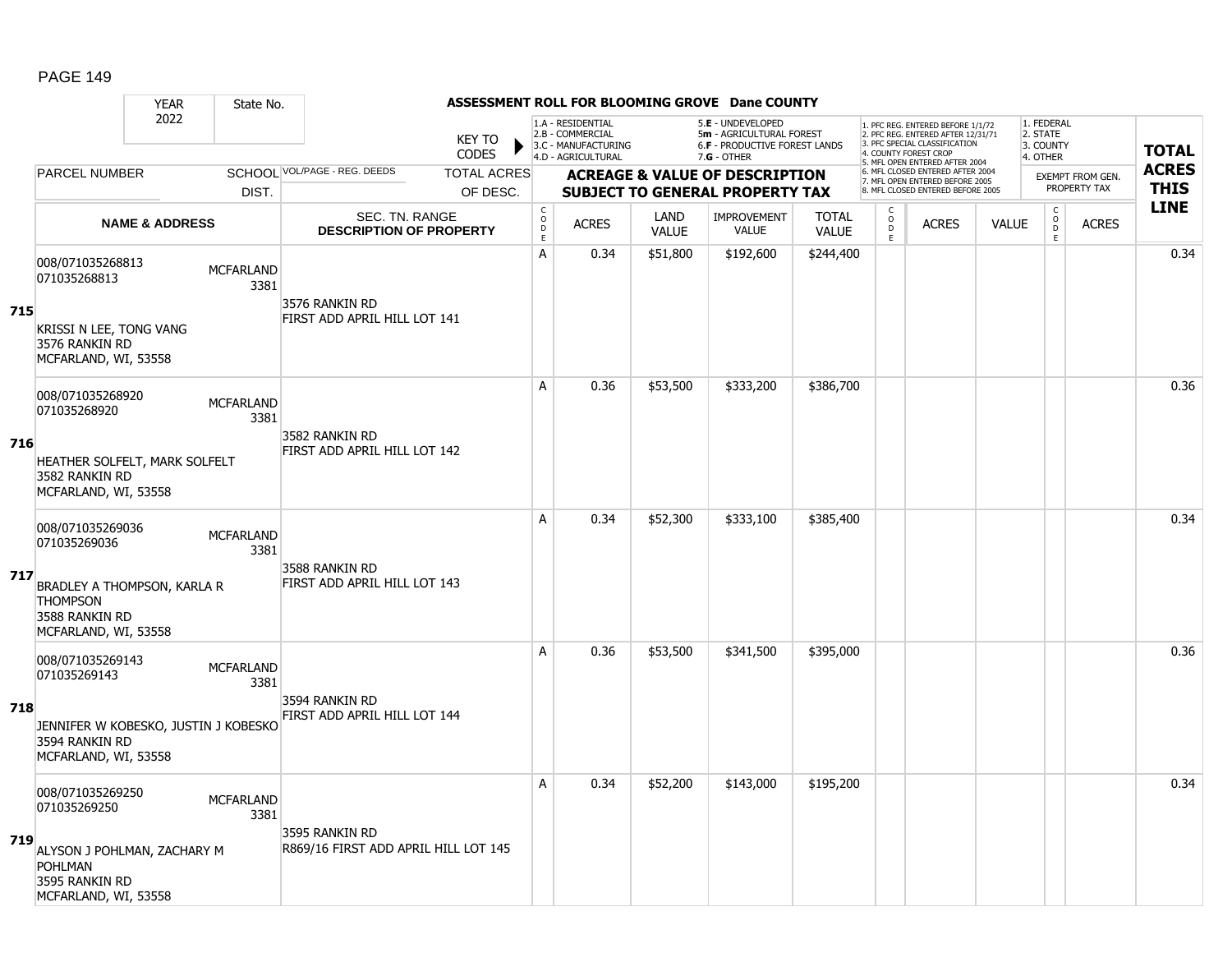#### YEAR State No. **ASSESSMENT ROLL FOR BLOOMING GROVE Dane COUNTY** 2022 KEY TO **CODES** 1. PFC REG. ENTERED BEFORE 1/1/72 2. PFC REG. ENTERED AFTER 12/31/71 3. PFC SPECIAL CLASSIFICATION 4. COUNTY FOREST CROP 5. MFL OPEN ENTERED AFTER 2004 6. MFL CLOSED ENTERED AFTER 2004 7. MFL OPEN ENTERED BEFORE 2005 8. MFL CLOSED ENTERED BEFORE 2005 1. FEDERAL 2. STATE 3. COUNTY 4. OTHER **ACREAGE & VALUE OF DESCRIPTION SUBJECT TO GENERAL PROPERTY TAX** EXEMPT FROM GEN. PROPERTY TAX **TOTAL ACRES THIS LINE** 1.A - RESIDENTIAL 2.B - COMMERCIAL 3.C - MANUFACTURING 4.D - AGRICULTURAL 5.**E** - UNDEVELOPED 5**m** - AGRICULTURAL FOREST 6.**F** - PRODUCTIVE FOREST LANDS 7.**G** - OTHER TOTAL ACRES OF DESC. SCHOOL VOL/PAGE - REG. DEEDS DIST. PARCEL NUMBER ACRES C O D E ACRES VALUE  $\mathsf{C}$ O  $\overline{D}$ E TOTAL VALUE IMPROVEMENT VALUE LAND ACRES | VALUE C O  $\overline{D}$ E SEC. TN. RANGE **DESCRIPTION OF PROPERTY NAME & ADDRESS 715** 008/071035268813 000/071035268813 MCFARLAND 3381 KRISSI N LEE, TONG VANG 3576 RANKIN RD MCFARLAND, WI, 53558 3576 RANKIN RD FIRST ADD APRIL HILL LOT 141 A | 0.34 | \$51,800 | \$192,600 | \$244,400 | | | | | | | | | | | | 0.34 **716** 008/071035268920 006/071033206920<br>071035268920 MCFARLAND 3381 HEATHER SOLFELT, MARK SOLFELT 3582 RANKIN RD MCFARLAND, WI, 53558 3582 RANKIN RD FIRST ADD APRIL HILL LOT 142 A | 0.36 | \$53,500 | \$333,200 | \$386,700 | | | | | | | | | | | 0.36 **717** 008/071035269036 000/071033209030<br>071035269036 MCFARLAND 3381 BRADLEY A THOMPSON, KARLA R **THOMPSON** 3588 RANKIN RD MCFARLAND, WI, 53558 3588 RANKIN RD FIRST ADD APRIL HILL LOT 143 A | 0.34 | \$52,300 | \$333,100 | \$385,400 | | | | | | | | | | | | 0.34 **718** 008/071035269143 000/071033269143 MCFARLAND 3381 JENNIFER W KOBESKO, JUSTIN J KOBESKO 3594 RANKIN RD MCFARLAND, WI, 53558 3594 RANKIN RD FIRST ADD APRIL HILL LOT 144 A 0.36 \$53,500 \$341,500 \$395,000 0.36 **719** 008/071035269250 000/071035269250<br>071035269250 MCFARLAND 3381 ALYSON J POHLMAN, ZACHARY M POHLMAN 3595 RANKIN RD MCFARLAND, WI, 53558 3595 RANKIN RD R869/16 FIRST ADD APRIL HILL LOT 145 A 0.34 \$52,200 \$143,000 \$195,200 0.34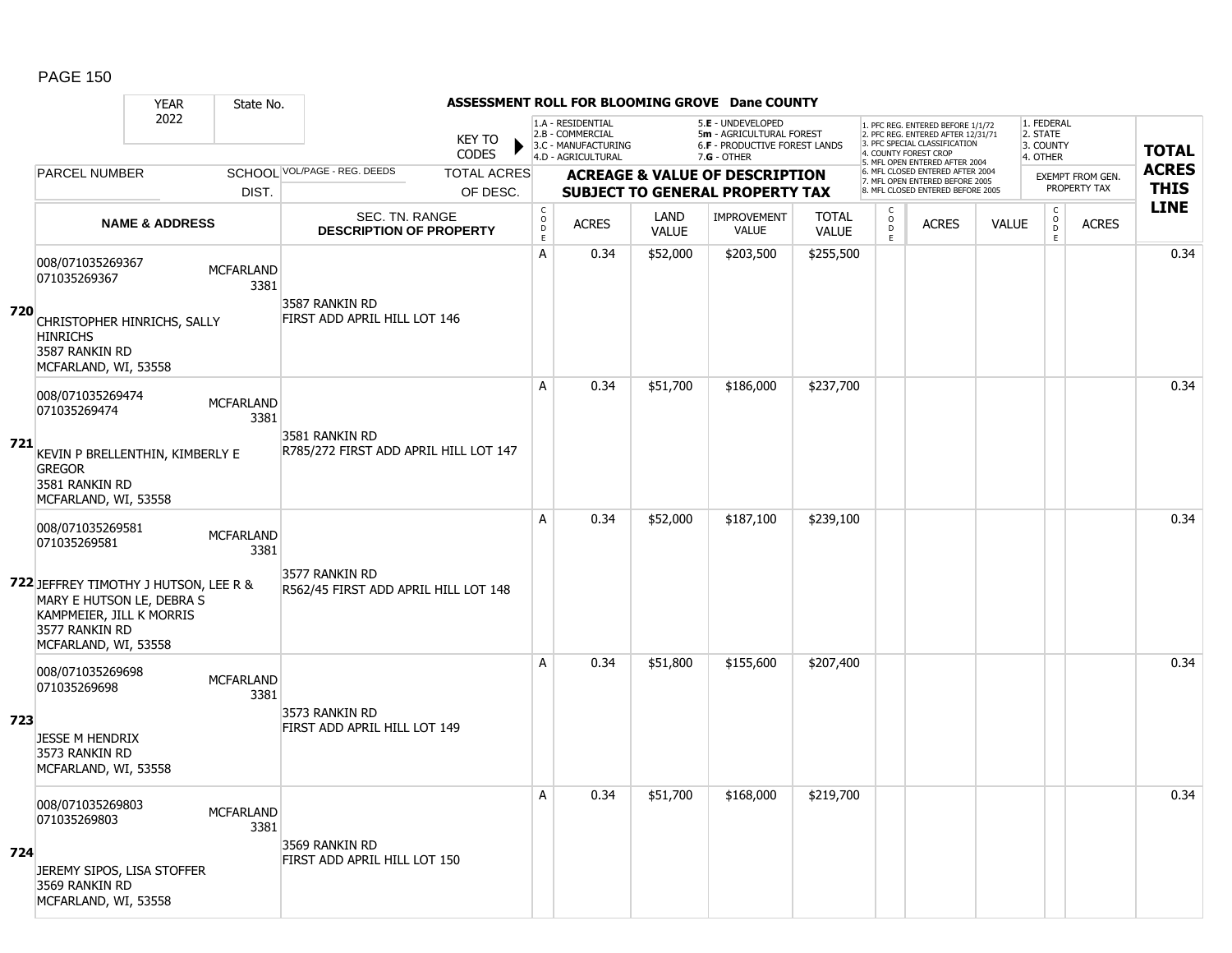#### YEAR State No. **ASSESSMENT ROLL FOR BLOOMING GROVE Dane COUNTY** 2022 KEY TO **CODES** 1. PFC REG. ENTERED BEFORE 1/1/72 2. PFC REG. ENTERED AFTER 12/31/71 3. PFC SPECIAL CLASSIFICATION 4. COUNTY FOREST CROP 5. MFL OPEN ENTERED AFTER 2004 6. MFL CLOSED ENTERED AFTER 2004 7. MFL OPEN ENTERED BEFORE 2005 8. MFL CLOSED ENTERED BEFORE 2005 1. FEDERAL 2. STATE 3. COUNTY 4. OTHER **ACREAGE & VALUE OF DESCRIPTION SUBJECT TO GENERAL PROPERTY TAX** EXEMPT FROM GEN. PROPERTY TAX **TOTAL ACRES THIS LINE** 1.A - RESIDENTIAL 2.B - COMMERCIAL 3.C - MANUFACTURING 4.D - AGRICULTURAL 5.**E** - UNDEVELOPED 5**m** - AGRICULTURAL FOREST 6.**F** - PRODUCTIVE FOREST LANDS 7.**G** - OTHER TOTAL ACRES OF DESC. SCHOOL VOL/PAGE - REG. DEEDS DIST. PARCEL NUMBER ACRES C O D E ACRES VALUE  $\mathsf{C}$ O  $\overline{D}$ E TOTAL VALUE IMPROVEMENT VALUE LAND ACRES | VALUE C O  $\overline{D}$ E SEC. TN. RANGE **DESCRIPTION OF PROPERTY NAME & ADDRESS 720** 008/071035269367 000/071033209307<br>071035269367 MCFARLAND 3381 CHRISTOPHER HINRICHS, SALLY **HINRICHS** 3587 RANKIN RD MCFARLAND, WI, 53558 3587 RANKIN RD FIRST ADD APRIL HILL LOT 146 A 0.34 \$52,000 \$203,500 \$255,500 0.34 **721** 008/071035269474 006/071033209474<br>071035269474 MCFARLAND 3381 KEVIN P BRELLENTHIN, KIMBERLY E **GREGOR** 3581 RANKIN RD MCFARLAND, WI, 53558 3581 RANKIN RD R785/272 FIRST ADD APRIL HILL LOT 147 A | 0.34 | \$51,700 | \$186,000 | \$237,700 | | | | | | | | | | | | 0.34 **722** JEFFREY TIMOTHY J HUTSON, LEE R & 008/071035269581 000/071033209301<br>071035269581 MCFARLAND 3381 MARY E HUTSON LE, DEBRA S KAMPMEIER, JILL K MORRIS 3577 RANKIN RD MCFARLAND, WI, 53558 3577 RANKIN RD R562/45 FIRST ADD APRIL HILL LOT 148 A | 0.34 | \$52,000 | \$187,100 | \$239,100 | | | | | | | | | | | 0.34 **723** 008/071035269698 006/071033209090<br>071035269698 MCFARLAND 3381 JESSE M HENDRIX 3573 RANKIN RD MCFARLAND, WI, 53558 3573 RANKIN RD FIRST ADD APRIL HILL LOT 149 A 0.34 \$51,800 \$155,600 \$207,400 0.34 **724** 008/071035269803 000/071033269803 MCFARLAND 3381 JEREMY SIPOS, LISA STOFFER 3569 RANKIN RD MCFARLAND, WI, 53558 3569 RANKIN RD FIRST ADD APRIL HILL LOT 150 A | 0.34 | \$51,700 | \$168,000 | \$219,700 | | | | | | | | | | | | 0.34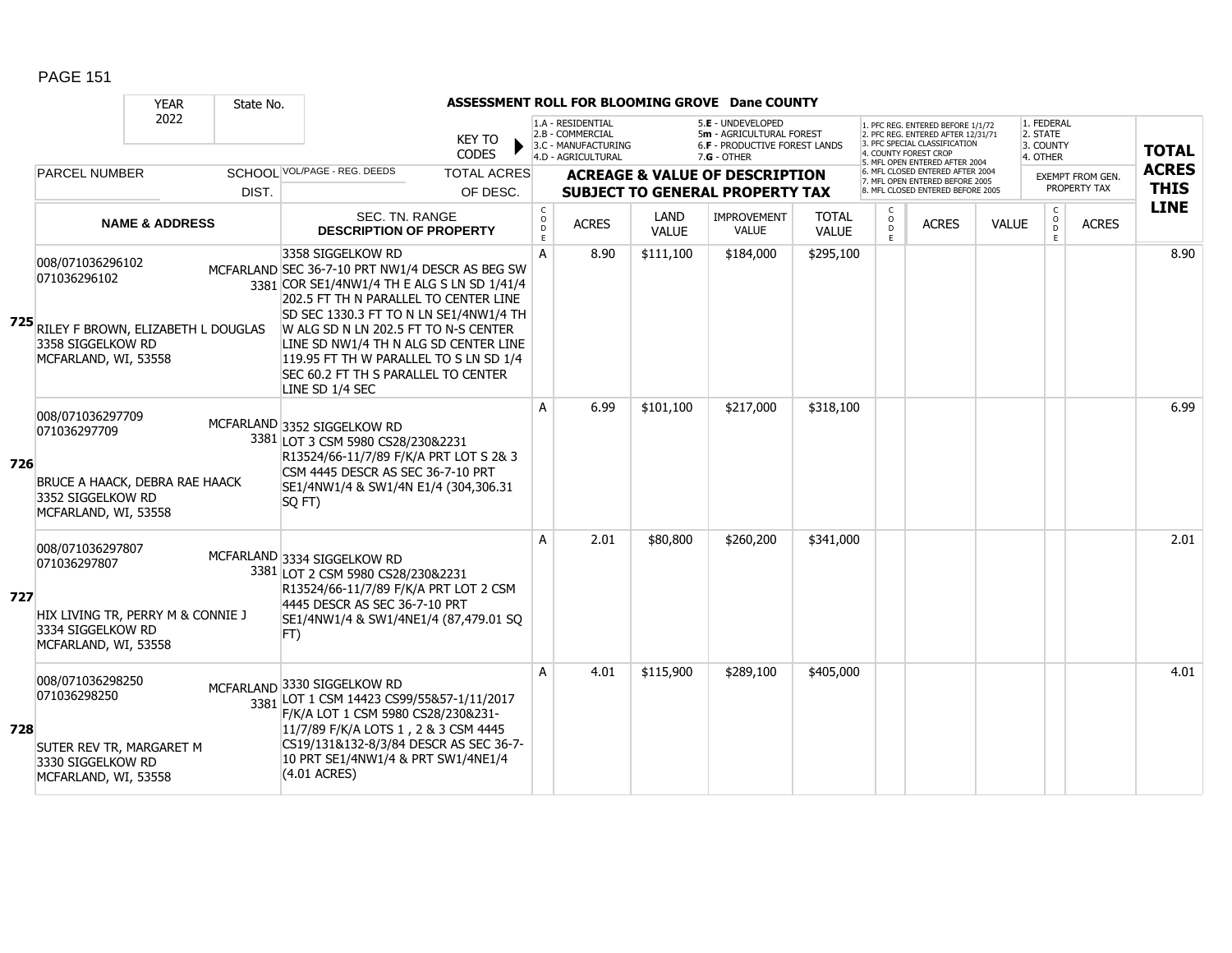|     |                                                                                                                         | <b>YEAR</b>               | State No. |                                                                                                                                                                                                                                                                                                                                                                                             | ASSESSMENT ROLL FOR BLOOMING GROVE Dane COUNTY |                                                |                                                                                    |              |                                                                                                        |              |                                                                                                      |                                                                                                                                                                      |              |                                                 |                                         |                             |
|-----|-------------------------------------------------------------------------------------------------------------------------|---------------------------|-----------|---------------------------------------------------------------------------------------------------------------------------------------------------------------------------------------------------------------------------------------------------------------------------------------------------------------------------------------------------------------------------------------------|------------------------------------------------|------------------------------------------------|------------------------------------------------------------------------------------|--------------|--------------------------------------------------------------------------------------------------------|--------------|------------------------------------------------------------------------------------------------------|----------------------------------------------------------------------------------------------------------------------------------------------------------------------|--------------|-------------------------------------------------|-----------------------------------------|-----------------------------|
|     |                                                                                                                         | 2022                      |           |                                                                                                                                                                                                                                                                                                                                                                                             | <b>KEY TO</b><br><b>CODES</b>                  |                                                | 1.A - RESIDENTIAL<br>2.B - COMMERCIAL<br>3.C - MANUFACTURING<br>4.D - AGRICULTURAL |              | 5.E - UNDEVELOPED<br>5m - AGRICULTURAL FOREST<br><b>6.F - PRODUCTIVE FOREST LANDS</b><br>$7.G - OTHER$ |              |                                                                                                      | 1. PFC REG. ENTERED BEFORE 1/1/72<br>2. PFC REG. ENTERED AFTER 12/31/71<br>3. PFC SPECIAL CLASSIFICATION<br><b>COUNTY FOREST CROP</b><br>MFL OPEN ENTERED AFTER 2004 |              | 1. FEDERAL<br>2. STATE<br>3. COUNTY<br>4. OTHER |                                         | <b>TOTAL</b>                |
|     | <b>PARCEL NUMBER</b>                                                                                                    |                           | DIST.     | SCHOOL VOL/PAGE - REG. DEEDS                                                                                                                                                                                                                                                                                                                                                                | <b>TOTAL ACRES</b><br>OF DESC.                 |                                                |                                                                                    |              | <b>ACREAGE &amp; VALUE OF DESCRIPTION</b><br><b>SUBJECT TO GENERAL PROPERTY TAX</b>                    |              | MFL CLOSED ENTERED AFTER 2004<br>7. MFL OPEN ENTERED BEFORE 2005<br>. MFL CLOSED ENTERED BEFORE 2005 |                                                                                                                                                                      |              |                                                 | <b>EXEMPT FROM GEN.</b><br>PROPERTY TAX | <b>ACRES</b><br><b>THIS</b> |
|     |                                                                                                                         |                           |           | SEC. TN. RANGE                                                                                                                                                                                                                                                                                                                                                                              |                                                |                                                |                                                                                    | LAND         | <b>IMPROVEMENT</b>                                                                                     | <b>TOTAL</b> | C                                                                                                    |                                                                                                                                                                      |              | $\mathsf{C}$                                    |                                         | <b>LINE</b>                 |
|     |                                                                                                                         | <b>NAME &amp; ADDRESS</b> |           | <b>DESCRIPTION OF PROPERTY</b>                                                                                                                                                                                                                                                                                                                                                              |                                                | $\begin{matrix} 0 \\ 0 \\ 0 \end{matrix}$<br>E | <b>ACRES</b>                                                                       | <b>VALUE</b> | <b>VALUE</b>                                                                                           | <b>VALUE</b> | $\circ$<br>D<br>E                                                                                    | <b>ACRES</b>                                                                                                                                                         | <b>VALUE</b> | $_{\rm D}^{\rm O}$<br>E                         | <b>ACRES</b>                            |                             |
|     | 008/071036296102<br>071036296102<br>725 RILEY F BROWN, ELIZABETH L DOUGLAS<br>3358 SIGGELKOW RD<br>MCFARLAND, WI, 53558 |                           |           | 3358 SIGGELKOW RD<br>MCFARLAND SEC 36-7-10 PRT NW1/4 DESCR AS BEG SW<br>3381 COR SE1/4NW1/4 TH E ALG S LN SD 1/41/4<br>202.5 FT TH N PARALLEL TO CENTER LINE<br>SD SEC 1330.3 FT TO N LN SE1/4NW1/4 TH<br>W ALG SD N LN 202.5 FT TO N-S CENTER<br>LINE SD NW1/4 TH N ALG SD CENTER LINE<br>119.95 FT TH W PARALLEL TO S LN SD 1/4<br>SEC 60.2 FT TH S PARALLEL TO CENTER<br>LINE SD 1/4 SEC |                                                | A                                              | 8.90                                                                               | \$111,100    | \$184,000                                                                                              | \$295,100    |                                                                                                      |                                                                                                                                                                      |              |                                                 |                                         | 8.90                        |
| 726 | 008/071036297709<br>071036297709<br>BRUCE A HAACK, DEBRA RAE HAACK<br>3352 SIGGELKOW RD<br>MCFARLAND, WI, 53558         |                           |           | MCFARLAND 3352 SIGGELKOW RD<br>3381 LOT 3 CSM 5980 CS28/230&2231<br>R13524/66-11/7/89 F/K/A PRT LOT S 2& 3<br>CSM 4445 DESCR AS SEC 36-7-10 PRT<br>SE1/4NW1/4 & SW1/4N E1/4 (304,306.31<br>SQ FT)                                                                                                                                                                                           |                                                | A                                              | 6.99                                                                               | \$101,100    | \$217,000                                                                                              | \$318,100    |                                                                                                      |                                                                                                                                                                      |              |                                                 |                                         | 6.99                        |
| 727 | 008/071036297807<br>071036297807<br>HIX LIVING TR, PERRY M & CONNIE J<br>3334 SIGGELKOW RD<br>MCFARLAND, WI, 53558      |                           |           | MCFARLAND 3334 SIGGELKOW RD<br>3381 LOT 2 CSM 5980 CS28/230&2231<br>R13524/66-11/7/89 F/K/A PRT LOT 2 CSM<br>4445 DESCR AS SEC 36-7-10 PRT<br>SE1/4NW1/4 & SW1/4NE1/4 (87,479.01 SQ<br>FT)                                                                                                                                                                                                  |                                                | A                                              | 2.01                                                                               | \$80,800     | \$260,200                                                                                              | \$341,000    |                                                                                                      |                                                                                                                                                                      |              |                                                 |                                         | 2.01                        |
| 728 | 008/071036298250<br>071036298250<br>SUTER REV TR, MARGARET M<br>3330 SIGGELKOW RD<br>MCFARLAND, WI, 53558               |                           |           | MCFARLAND 3330 SIGGELKOW RD<br>3381 LOT 1 CSM 14423 CS99/55&57-1/11/2017<br>F/K/A LOT 1 CSM 5980 CS28/230&231-<br>11/7/89 F/K/A LOTS 1, 2 & 3 CSM 4445<br>CS19/131&132-8/3/84 DESCR AS SEC 36-7-<br>10 PRT SE1/4NW1/4 & PRT SW1/4NE1/4<br>$(4.01$ ACRES)                                                                                                                                    |                                                | A                                              | 4.01                                                                               | \$115,900    | \$289,100                                                                                              | \$405,000    |                                                                                                      |                                                                                                                                                                      |              |                                                 |                                         | 4.01                        |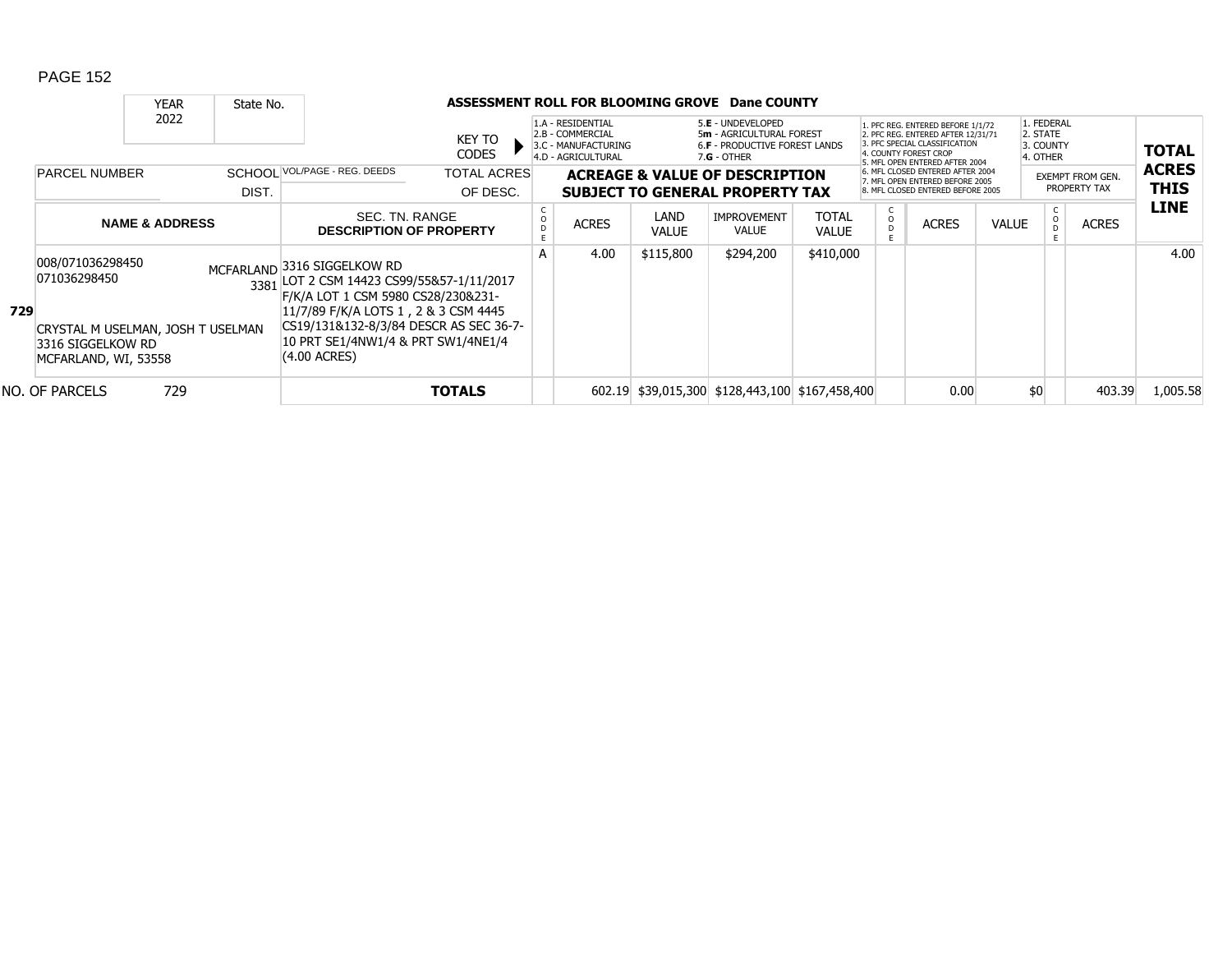|     |                                                                                                                                                | <b>YEAR</b>                                                                    | State No. |                                                                                                                                                                                                  |                                |   |                                                                                                                                                                                       |                      | ASSESSMENT ROLL FOR BLOOMING GROVE Dane COUNTY                                      |                                                                                                                                                                     |                                                                                                          |              |                                                 |                                         |              |                             |
|-----|------------------------------------------------------------------------------------------------------------------------------------------------|--------------------------------------------------------------------------------|-----------|--------------------------------------------------------------------------------------------------------------------------------------------------------------------------------------------------|--------------------------------|---|---------------------------------------------------------------------------------------------------------------------------------------------------------------------------------------|----------------------|-------------------------------------------------------------------------------------|---------------------------------------------------------------------------------------------------------------------------------------------------------------------|----------------------------------------------------------------------------------------------------------|--------------|-------------------------------------------------|-----------------------------------------|--------------|-----------------------------|
|     |                                                                                                                                                | 2022                                                                           |           |                                                                                                                                                                                                  | KEY TO<br><b>CODES</b>         |   | 1.A - RESIDENTIAL<br>5.E - UNDEVELOPED<br>2.B - COMMERCIAL<br>5m - AGRICULTURAL FOREST<br>3.C - MANUFACTURING<br>6.F - PRODUCTIVE FOREST LANDS<br>4.D - AGRICULTURAL<br>$7.G - OTHER$ |                      |                                                                                     | 1. PFC REG. ENTERED BEFORE 1/1/72<br>2. PFC REG. ENTERED AFTER 12/31/71<br>3. PFC SPECIAL CLASSIFICATION<br>4. COUNTY FOREST CROP<br>5. MFL OPEN ENTERED AFTER 2004 |                                                                                                          |              | 1. FEDERAL<br>2. STATE<br>3. COUNTY<br>4. OTHER |                                         | <b>TOTAL</b> |                             |
|     | SCHOOL VOL/PAGE - REG. DEEDS<br><b>PARCEL NUMBER</b><br>DIST.<br>SEC. TN. RANGE<br><b>NAME &amp; ADDRESS</b><br><b>DESCRIPTION OF PROPERTY</b> |                                                                                |           |                                                                                                                                                                                                  | <b>TOTAL ACRES</b><br>OF DESC. |   |                                                                                                                                                                                       |                      | <b>ACREAGE &amp; VALUE OF DESCRIPTION</b><br><b>SUBJECT TO GENERAL PROPERTY TAX</b> |                                                                                                                                                                     | 6. MFL CLOSED ENTERED AFTER 2004<br>7. MFL OPEN ENTERED BEFORE 2005<br>8. MFL CLOSED ENTERED BEFORE 2005 |              |                                                 | <b>EXEMPT FROM GEN.</b><br>PROPERTY TAX |              | <b>ACRES</b><br><b>THIS</b> |
|     |                                                                                                                                                |                                                                                |           |                                                                                                                                                                                                  |                                |   | <b>ACRES</b>                                                                                                                                                                          | LAND<br><b>VALUE</b> | <b>IMPROVEMENT</b><br><b>VALUE</b>                                                  | <b>TOTAL</b><br><b>VALUE</b>                                                                                                                                        | $\frac{c}{0}$<br>D                                                                                       | <b>ACRES</b> | <b>VALUE</b>                                    | $\circ$                                 | <b>ACRES</b> | <b>LINE</b>                 |
| 729 | 008/071036298450<br>071036298450                                                                                                               |                                                                                |           | MCFARLAND 3316 SIGGELKOW RD<br>3381 LOT 2 CSM 14423 CS99/55&57-1/11/2017<br>F/K/A LOT 1 CSM 5980 CS28/230&231-<br>11/7/89 F/K/A LOTS 1, 2 & 3 CSM 4445<br>CS19/131&132-8/3/84 DESCR AS SEC 36-7- |                                | А | 4.00                                                                                                                                                                                  | \$115,800            | \$294,200                                                                           | \$410,000                                                                                                                                                           |                                                                                                          |              |                                                 |                                         |              | 4.00                        |
|     |                                                                                                                                                | CRYSTAL M USELMAN, JOSH T USELMAN<br>3316 SIGGELKOW RD<br>MCFARLAND, WI, 53558 |           | 10 PRT SE1/4NW1/4 & PRT SW1/4NE1/4<br>$(4.00 \text{ ACRES})$                                                                                                                                     |                                |   |                                                                                                                                                                                       |                      |                                                                                     |                                                                                                                                                                     |                                                                                                          |              |                                                 |                                         |              |                             |
|     | NO. OF PARCELS                                                                                                                                 | 729                                                                            |           |                                                                                                                                                                                                  | <b>TOTALS</b>                  |   |                                                                                                                                                                                       |                      | 602.19 \$39,015,300 \$128,443,100 \$167,458,400                                     |                                                                                                                                                                     |                                                                                                          | 0.00         |                                                 | \$0                                     | 403.39       | 1,005.58                    |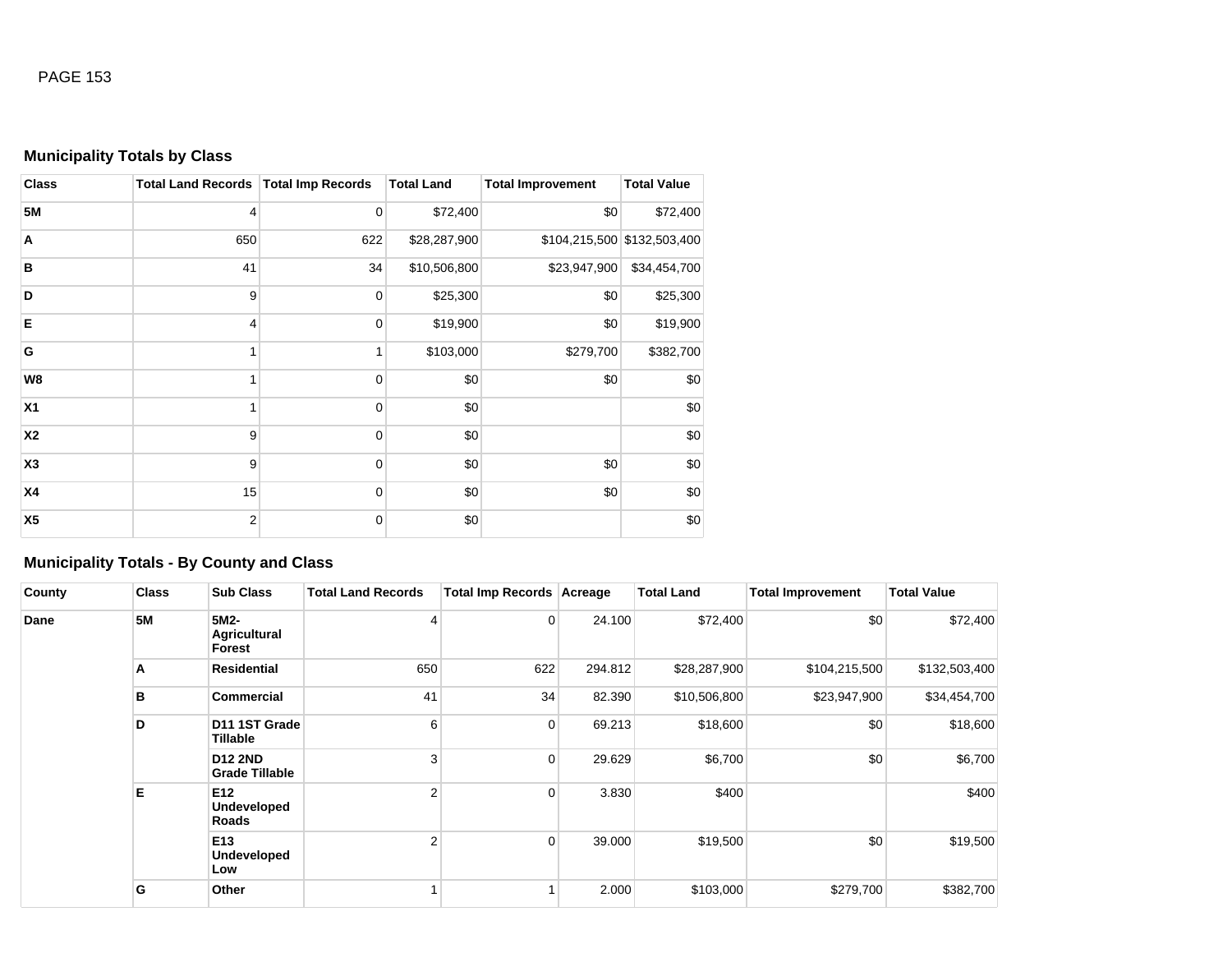## **Municipality Totals by Class**

| <b>Class</b>   | Total Land Records   Total Imp Records |             | <b>Total Land</b> | <b>Total Improvement</b> | <b>Total Value</b>          |
|----------------|----------------------------------------|-------------|-------------------|--------------------------|-----------------------------|
| <b>5M</b>      | 4                                      | 0           | \$72,400          | \$0                      | \$72,400                    |
| Α              | 650                                    | 622         | \$28,287,900      |                          | \$104,215,500 \$132,503,400 |
| B              | 41                                     | 34          | \$10,506,800      | \$23,947,900             | \$34,454,700                |
| D              | 9                                      | 0           | \$25,300          | \$0                      | \$25,300                    |
| Е              | 4                                      | 0           | \$19,900          | \$0                      | \$19,900                    |
| G              | 1                                      |             | \$103,000         | \$279,700                | \$382,700                   |
| W8             | 1                                      | $\mathbf 0$ | \$0               | \$0                      | \$0                         |
| X <sub>1</sub> | 1                                      | $\mathbf 0$ | \$0               |                          | \$0                         |
| <b>X2</b>      | 9                                      | 0           | \$0               |                          | \$0                         |
| X3             | 9                                      | 0           | \$0               | \$0                      | \$0                         |
| <b>X4</b>      | 15                                     | 0           | \$0               | \$0                      | \$0                         |
| X <sub>5</sub> | $\overline{2}$                         | $\mathbf 0$ | \$0               |                          | \$0                         |

## **Municipality Totals - By County and Class**

| County | <b>Class</b> | <b>Sub Class</b>                        | <b>Total Land Records</b> | Total Imp Records Acreage |         | <b>Total Land</b> | <b>Total Improvement</b> | <b>Total Value</b> |
|--------|--------------|-----------------------------------------|---------------------------|---------------------------|---------|-------------------|--------------------------|--------------------|
| Dane   | <b>5M</b>    | 5M2-<br><b>Agricultural</b><br>Forest   | 4                         | $\overline{0}$            | 24.100  | \$72,400          | \$0                      | \$72,400           |
|        | A            | <b>Residential</b>                      | 650                       | 622                       | 294.812 | \$28,287,900      | \$104,215,500            | \$132,503,400      |
|        | в            | <b>Commercial</b>                       | 41                        | 34                        | 82.390  | \$10,506,800      | \$23,947,900             | \$34,454,700       |
|        | D            | D11 1ST Grade<br>Tillable               | 6                         | $\overline{0}$            | 69.213  | \$18,600          | \$0                      | \$18,600           |
|        |              | <b>D12 2ND</b><br><b>Grade Tillable</b> | 3                         | $\overline{0}$            | 29.629  | \$6,700           | \$0                      | \$6,700            |
|        | Е            | E12<br>Undeveloped<br>Roads             | 2                         | $\overline{0}$            | 3.830   | \$400             |                          | \$400              |
|        |              | E13<br>Undeveloped<br>Low               | $\overline{2}$            | $\overline{0}$            | 39.000  | \$19,500          | \$0                      | \$19,500           |
|        | G            | Other                                   |                           |                           | 2.000   | \$103,000         | \$279,700                | \$382,700          |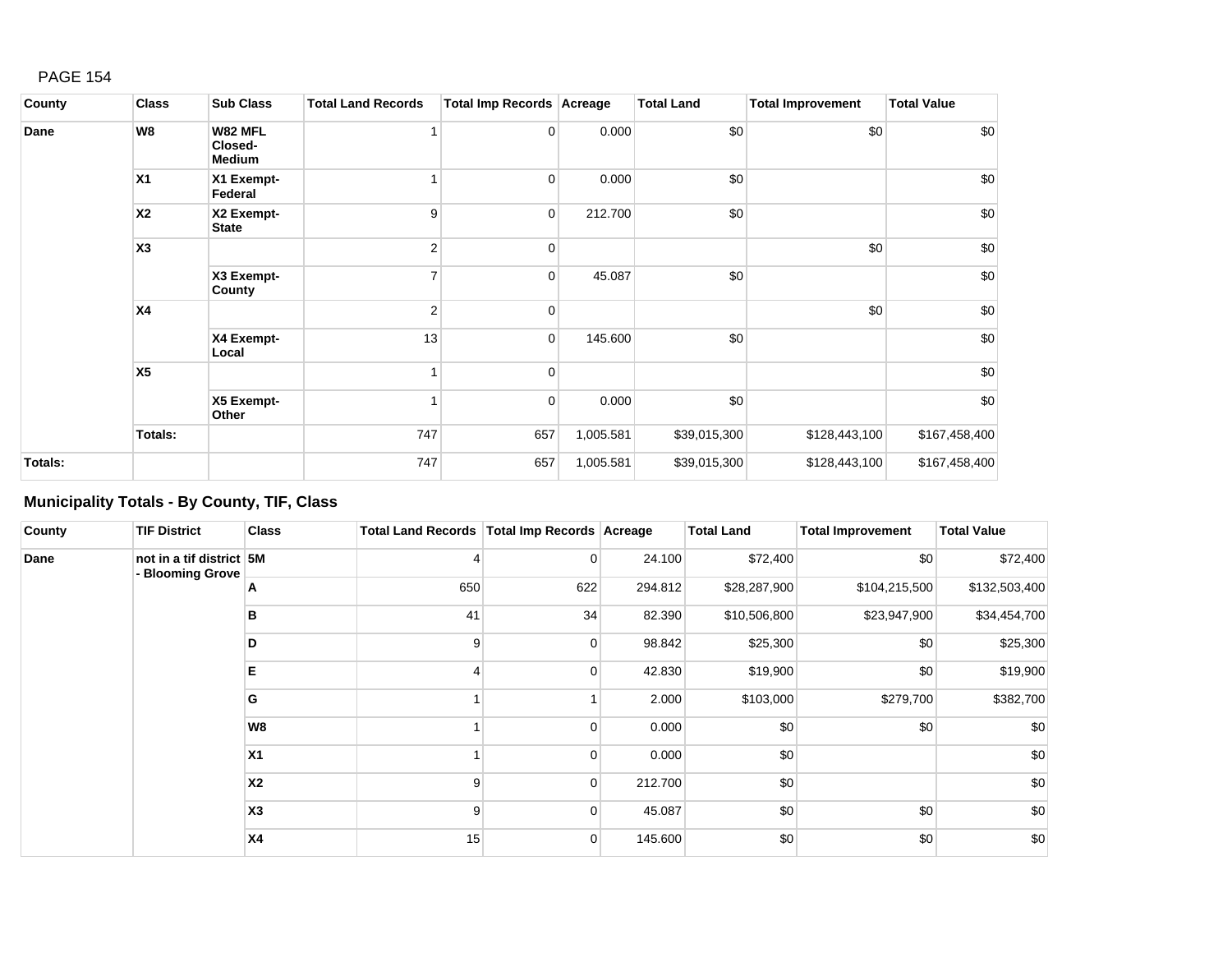| County         | <b>Class</b>   | <b>Sub Class</b>                           | <b>Total Land Records</b> | Total Imp Records Acreage |           | <b>Total Land</b> | <b>Total Improvement</b> | <b>Total Value</b> |
|----------------|----------------|--------------------------------------------|---------------------------|---------------------------|-----------|-------------------|--------------------------|--------------------|
| Dane           | W8             | <b>W82 MFL</b><br>Closed-<br><b>Medium</b> |                           | $\overline{0}$            | 0.000     | \$0               | \$0                      | \$0                |
|                | X <sub>1</sub> | X1 Exempt-<br>Federal                      | 1                         | 0                         | 0.000     | \$0               |                          | \$0                |
|                | <b>X2</b>      | X2 Exempt-<br><b>State</b>                 | 9                         | 0                         | 212.700   | \$0               |                          | \$0                |
|                | X3             |                                            | $\overline{2}$            | 0                         |           |                   | \$0                      | \$0                |
|                |                | X3 Exempt-<br>County                       | 7                         | $\overline{0}$            | 45.087    | \$0               |                          | \$0                |
|                | <b>X4</b>      |                                            | $\overline{2}$            | 0                         |           |                   | \$0                      | \$0                |
|                |                | X4 Exempt-<br>Local                        | 13                        | $\overline{0}$            | 145.600   | \$0               |                          | \$0                |
|                | X5             |                                            | 1                         | 0                         |           |                   |                          | \$0                |
|                |                | X5 Exempt-<br>Other                        |                           | 0                         | 0.000     | \$0               |                          | \$0                |
|                | Totals:        |                                            | 747                       | 657                       | 1,005.581 | \$39,015,300      | \$128,443,100            | \$167,458,400      |
| <b>Totals:</b> |                |                                            | 747                       | 657                       | 1,005.581 | \$39,015,300      | \$128,443,100            | \$167,458,400      |

# **Municipality Totals - By County, TIF, Class**

| County | <b>TIF District</b>                          | <b>Class</b>   | Total Land Records   Total Imp Records   Acreage |                |         | <b>Total Land</b> | <b>Total Improvement</b> | <b>Total Value</b> |
|--------|----------------------------------------------|----------------|--------------------------------------------------|----------------|---------|-------------------|--------------------------|--------------------|
| Dane   | not in a tif district 5M<br>- Blooming Grove |                | 4                                                | 0              | 24.100  | \$72,400          | \$0                      | \$72,400           |
|        |                                              | Α              | 650                                              | 622            | 294.812 | \$28,287,900      | \$104,215,500            | \$132,503,400      |
|        |                                              | в              | 41                                               | 34             | 82.390  | \$10,506,800      | \$23,947,900             | \$34,454,700       |
|        |                                              | D              | 9                                                | 0              | 98.842  | \$25,300          | \$0                      | \$25,300           |
|        |                                              | Е              | 4                                                | 0              | 42.830  | \$19,900          | \$0                      | \$19,900           |
|        |                                              | G              |                                                  |                | 2.000   | \$103,000         | \$279,700                | \$382,700          |
|        |                                              | W8             |                                                  | 0              | 0.000   | \$0               | \$0                      | \$0                |
|        |                                              | X <sub>1</sub> |                                                  | 0              | 0.000   | \$0               |                          | \$0                |
|        |                                              | X <sub>2</sub> | 9                                                | $\overline{0}$ | 212.700 | \$0               |                          | \$0                |
|        |                                              | X3             | 9                                                | $\mathbf 0$    | 45.087  | \$0               | \$0                      | \$0                |
|        |                                              | <b>X4</b>      | 15                                               | 0              | 145.600 | \$0               | \$0                      | \$0                |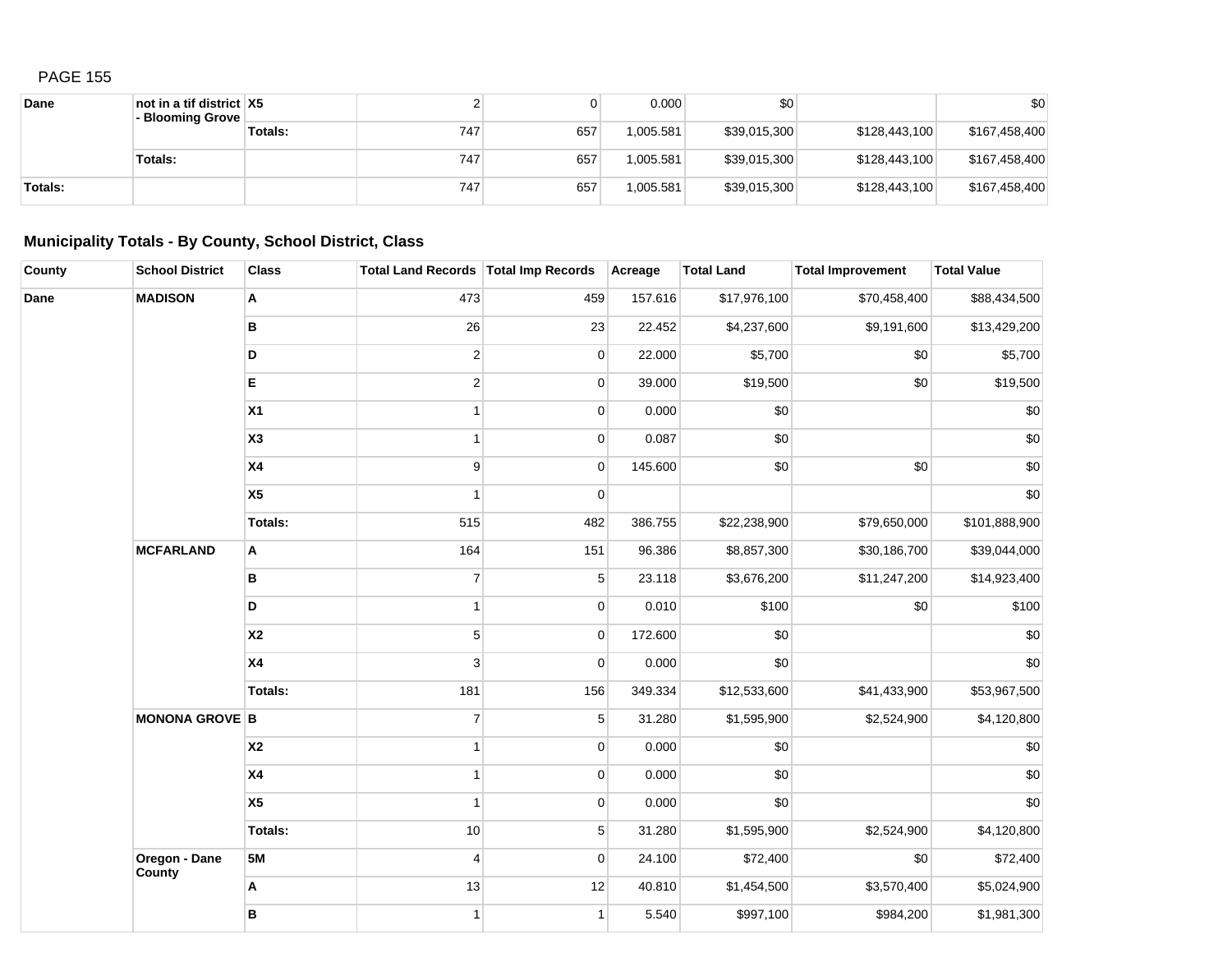| Dane    | not in a tif district $ X5 $<br>- Blooming Grove |         |     |     | 0.000     | \$0          |               | \$0           |
|---------|--------------------------------------------------|---------|-----|-----|-----------|--------------|---------------|---------------|
|         |                                                  | Totals: | 747 | 657 | 1.005.581 | \$39,015,300 | \$128,443,100 | \$167,458,400 |
|         | <b>Totals:</b>                                   |         | 747 | 657 | 1.005.581 | \$39,015,300 | \$128,443,100 | \$167,458,400 |
| Totals: |                                                  |         | 747 | 657 | .005.581  | \$39,015,300 | \$128,443,100 | \$167,458,400 |

## **Municipality Totals - By County, School District, Class**

| County | <b>School District</b>  | <b>Class</b>   | Total Land Records Total Imp Records |                | Acreage | <b>Total Land</b> | <b>Total Improvement</b> | <b>Total Value</b> |
|--------|-------------------------|----------------|--------------------------------------|----------------|---------|-------------------|--------------------------|--------------------|
| Dane   | <b>MADISON</b>          | A              | 473                                  | 459            | 157.616 | \$17,976,100      | \$70,458,400             | \$88,434,500       |
|        |                         | В              | 26                                   | 23             | 22.452  | \$4,237,600       | \$9,191,600              | \$13,429,200       |
|        |                         | D              | $\overline{2}$                       | $\pmb{0}$      | 22.000  | \$5,700           | \$0                      | \$5,700            |
|        |                         | E              | $\overline{2}$                       | $\mathbf 0$    | 39.000  | \$19,500          | \$0                      | \$19,500           |
|        |                         | X1             | $\mathbf{1}$                         | $\mathbf 0$    | 0.000   | \$0               |                          | \$0                |
|        |                         | X <sub>3</sub> | $\mathbf{1}$                         | $\pmb{0}$      | 0.087   | \$0               |                          | \$0                |
|        |                         | X4             | 9                                    | $\mathbf 0$    | 145.600 | \$0               | \$0                      | \$0                |
|        |                         | X <sub>5</sub> | $\mathbf{1}$                         | $\mathbf 0$    |         |                   |                          | \$0                |
|        |                         | <b>Totals:</b> | 515                                  | 482            | 386.755 | \$22,238,900      | \$79,650,000             | \$101,888,900      |
|        | <b>MCFARLAND</b>        | Α              | 164                                  | 151            | 96.386  | \$8,857,300       | \$30,186,700             | \$39,044,000       |
|        |                         | В              | $\overline{7}$                       | $\sqrt{5}$     | 23.118  | \$3,676,200       | \$11,247,200             | \$14,923,400       |
|        |                         | D              | $\mathbf{1}$                         | $\overline{0}$ | 0.010   | \$100             | \$0                      | \$100              |
|        |                         | <b>X2</b>      | 5                                    | $\mathbf 0$    | 172.600 | \$0               |                          | \$0                |
|        |                         | X <sub>4</sub> | 3                                    | $\mathbf 0$    | 0.000   | \$0               |                          | \$0                |
|        |                         | Totals:        | 181                                  | 156            | 349.334 | \$12,533,600      | \$41,433,900             | \$53,967,500       |
|        | <b>MONONA GROVE B</b>   |                | $\overline{7}$                       | $\mathbf 5$    | 31.280  | \$1,595,900       | \$2,524,900              | \$4,120,800        |
|        |                         | <b>X2</b>      | $\mathbf{1}$                         | $\mathbf 0$    | 0.000   | \$0               |                          | \$0                |
|        |                         | X4             | 1                                    | $\mathbf 0$    | 0.000   | \$0               |                          | \$0                |
|        |                         | X <sub>5</sub> | 1                                    | $\pmb{0}$      | 0.000   | \$0               |                          | \$0                |
|        |                         | <b>Totals:</b> | 10                                   | $\sqrt{5}$     | 31.280  | \$1,595,900       | \$2,524,900              | \$4,120,800        |
|        | Oregon - Dane<br>County | <b>5M</b>      | $\overline{4}$                       | $\mathbf 0$    | 24.100  | \$72,400          | \$0                      | \$72,400           |
|        |                         | Α              | 13                                   | 12             | 40.810  | \$1,454,500       | \$3,570,400              | \$5,024,900        |
|        |                         | В              | $\mathbf{1}$                         | $\mathbf{1}$   | 5.540   | \$997,100         | \$984,200                | \$1,981,300        |